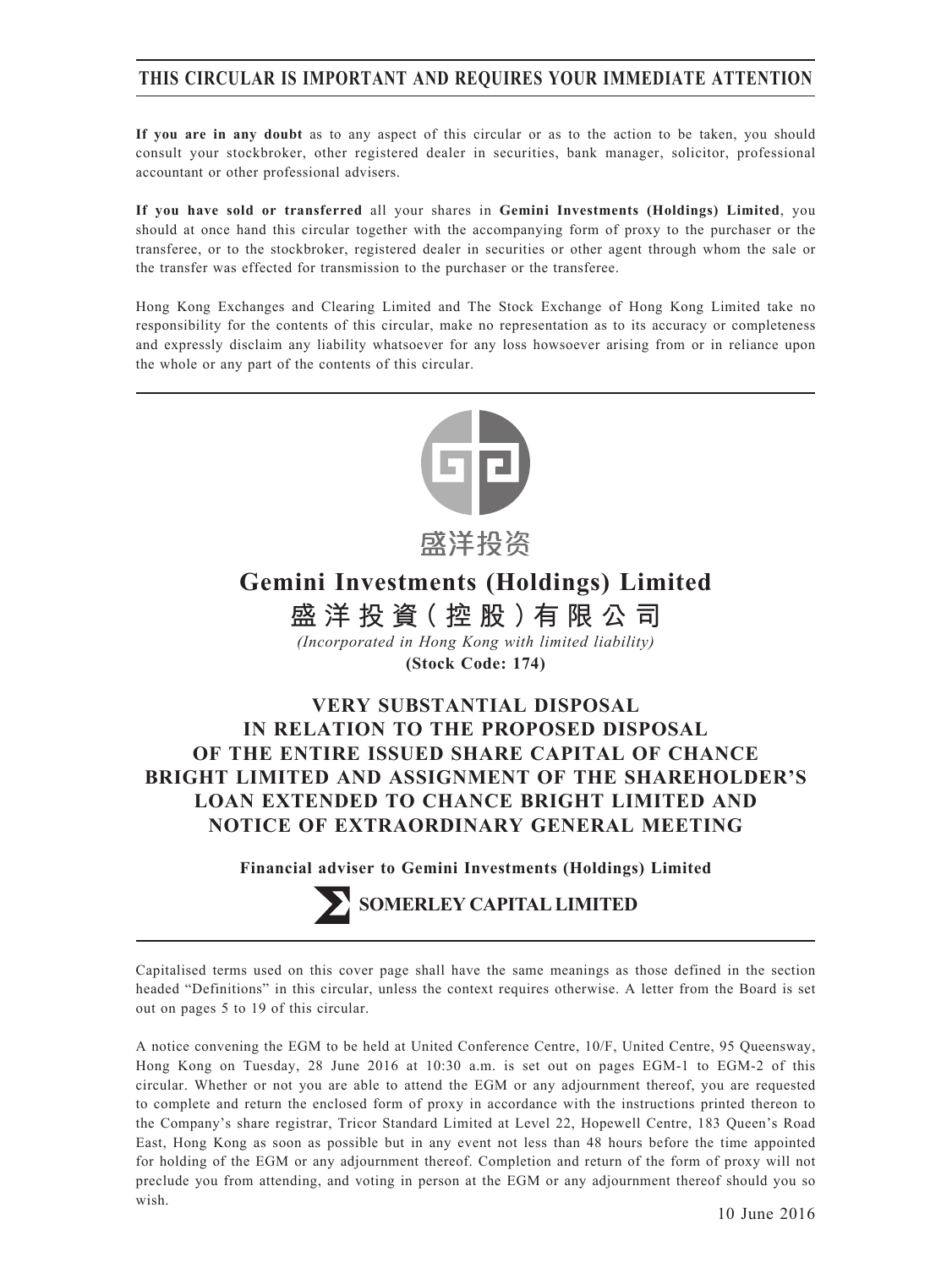## **THIS CIRCULAR IS IMPORTANT AND REQUIRES YOUR IMMEDIATE ATTENTION**

**If you are in any doubt** as to any aspect of this circular or as to the action to be taken, you should consult your stockbroker, other registered dealer in securities, bank manager, solicitor, professional accountant or other professional advisers.

**If you have sold or transferred** all your shares in **Gemini Investments (Holdings) Limited**, you should at once hand this circular together with the accompanying form of proxy to the purchaser or the transferee, or to the stockbroker, registered dealer in securities or other agent through whom the sale or the transfer was effected for transmission to the purchaser or the transferee.

Hong Kong Exchanges and Clearing Limited and The Stock Exchange of Hong Kong Limited take no responsibility for the contents of this circular, make no representation as to its accuracy or completeness and expressly disclaim any liability whatsoever for any loss howsoever arising from or in reliance upon the whole or any part of the contents of this circular.



感洋投资

**Gemini Investments (Holdings) Limited**

**盛洋投資(控股)有限公司** *(Incorporated in Hong Kong with limited liability)*

**(Stock Code: 174)**

# **VERY SUBSTANTIAL DISPOSAL IN RELATION TO THE PROPOSED DISPOSAL OF THE ENTIRE ISSUED SHARE CAPITAL OF CHANCE BRIGHT LIMITED AND ASSIGNMENT OF THE SHAREHOLDER'S LOAN EXTENDED TO CHANCE BRIGHT LIMITED AND NOTICE OF EXTRAORDINARY GENERAL MEETING**

**Financial adviser to Gemini Investments (Holdings) Limited**

**SOMERLEY CAPITAL LIMITED** 

Capitalised terms used on this cover page shall have the same meanings as those defined in the section headed "Definitions" in this circular, unless the context requires otherwise. A letter from the Board is set out on pages 5 to 19 of this circular.

A notice convening the EGM to be held at United Conference Centre, 10/F, United Centre, 95 Queensway, Hong Kong on Tuesday, 28 June 2016 at 10:30 a.m. is set out on pages EGM-1 to EGM-2 of this circular. Whether or not you are able to attend the EGM or any adjournment thereof, you are requested to complete and return the enclosed form of proxy in accordance with the instructions printed thereon to the Company's share registrar, Tricor Standard Limited at Level 22, Hopewell Centre, 183 Queen's Road East, Hong Kong as soon as possible but in any event not less than 48 hours before the time appointed for holding of the EGM or any adjournment thereof. Completion and return of the form of proxy will not preclude you from attending, and voting in person at the EGM or any adjournment thereof should you so wish.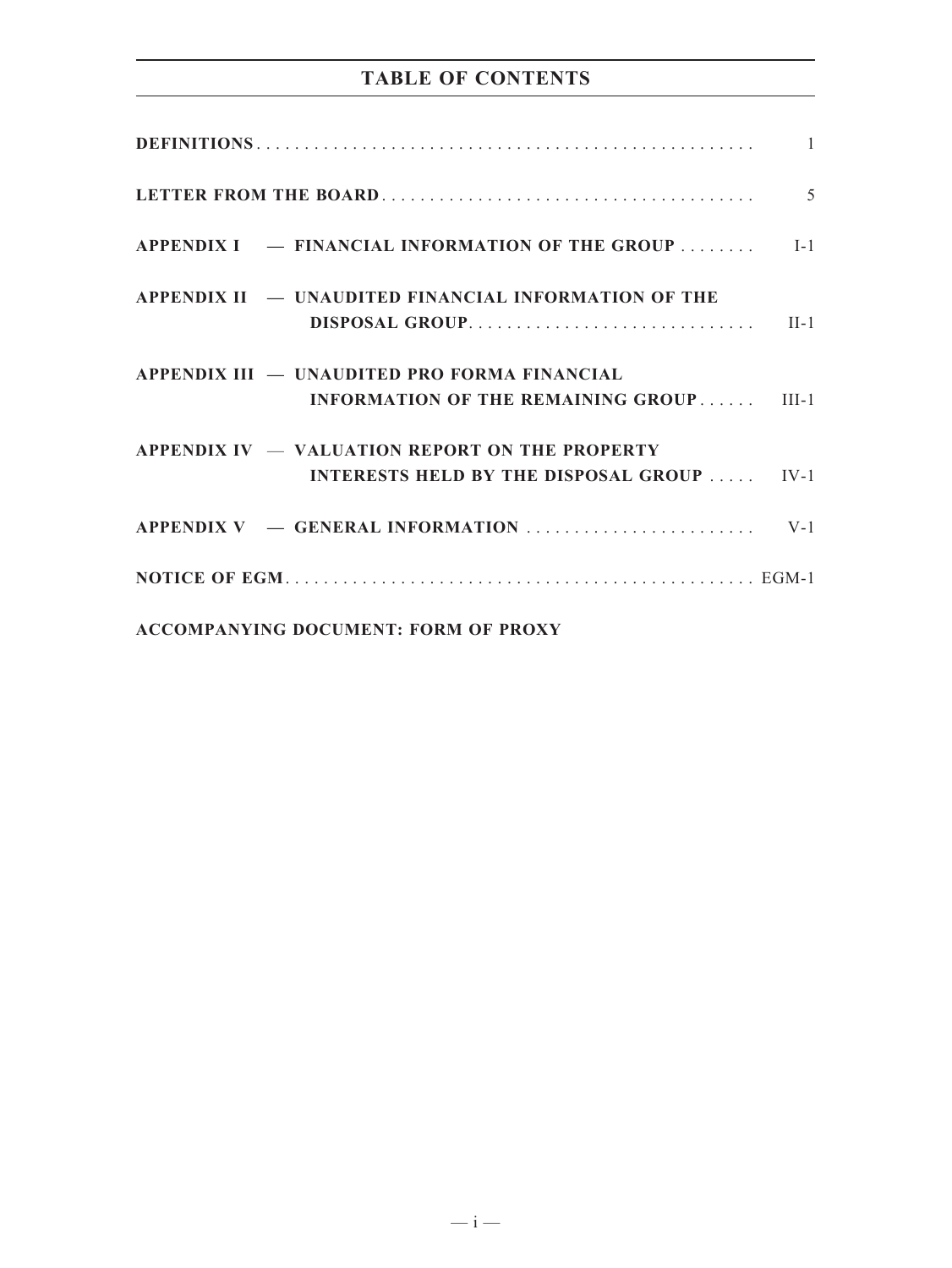# **TABLE OF CONTENTS**

|                                                                                                       | $\overline{5}$ |
|-------------------------------------------------------------------------------------------------------|----------------|
| APPENDIX I – FINANCIAL INFORMATION OF THE GROUP  [-1]                                                 |                |
| APPENDIX II - UNAUDITED FINANCIAL INFORMATION OF THE                                                  |                |
| APPENDIX III — UNAUDITED PRO FORMA FINANCIAL<br><b>INFORMATION OF THE REMAINING GROUP III-1</b>       |                |
| APPENDIX IV $-$ VALUATION REPORT ON THE PROPERTY<br><b>INTERESTS HELD BY THE DISPOSAL GROUP  IV-1</b> |                |
|                                                                                                       |                |
|                                                                                                       |                |
| <b>ACCOMPANYING DOCUMENT: FORM OF PROXY</b>                                                           |                |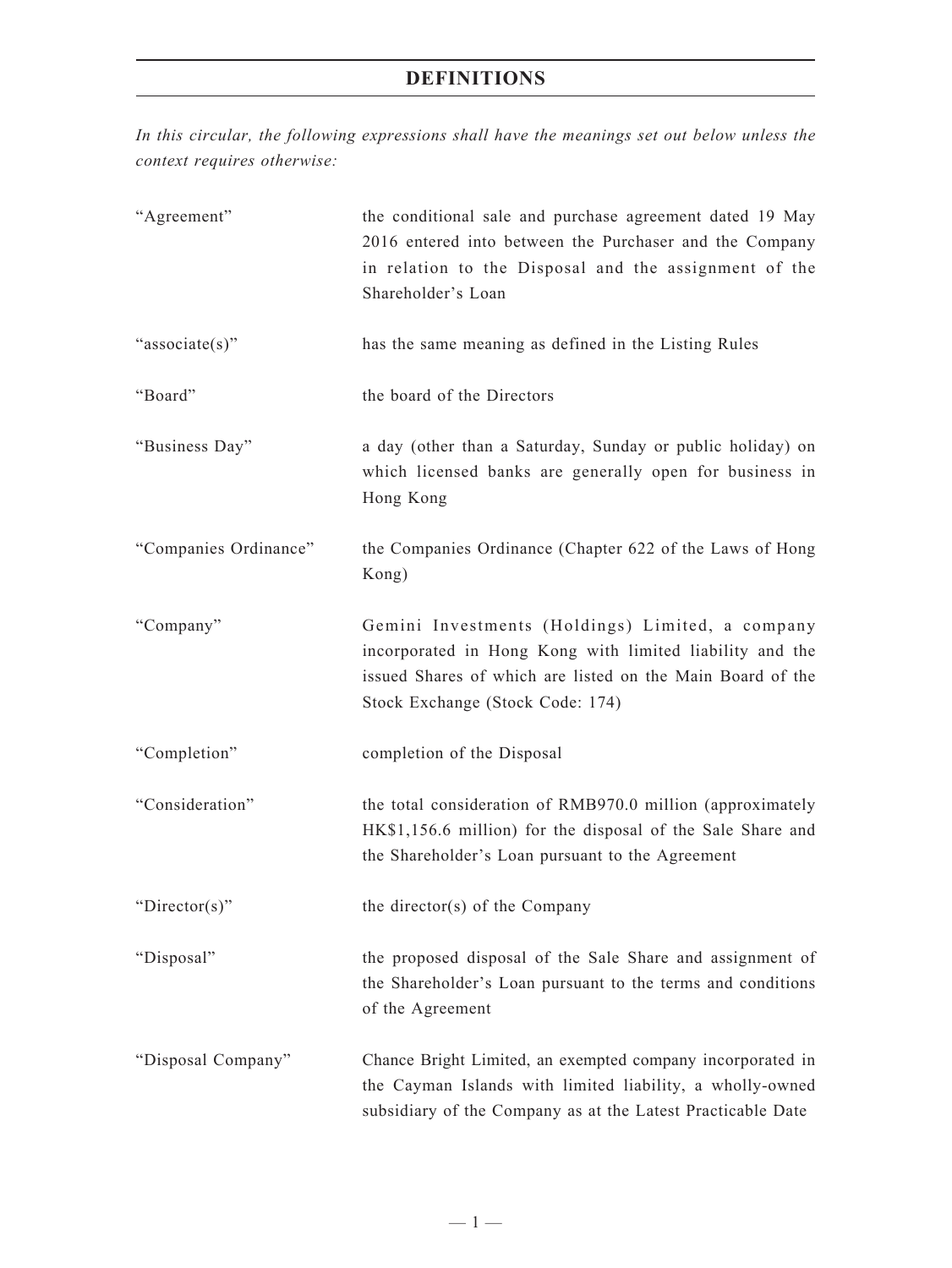*In this circular, the following expressions shall have the meanings set out below unless the context requires otherwise:*

| "Agreement"           | the conditional sale and purchase agreement dated 19 May<br>2016 entered into between the Purchaser and the Company<br>in relation to the Disposal and the assignment of the<br>Shareholder's Loan             |
|-----------------------|----------------------------------------------------------------------------------------------------------------------------------------------------------------------------------------------------------------|
| "associate(s)"        | has the same meaning as defined in the Listing Rules                                                                                                                                                           |
| "Board"               | the board of the Directors                                                                                                                                                                                     |
| "Business Day"        | a day (other than a Saturday, Sunday or public holiday) on<br>which licensed banks are generally open for business in<br>Hong Kong                                                                             |
| "Companies Ordinance" | the Companies Ordinance (Chapter 622 of the Laws of Hong<br>Kong)                                                                                                                                              |
| "Company"             | Gemini Investments (Holdings) Limited, a company<br>incorporated in Hong Kong with limited liability and the<br>issued Shares of which are listed on the Main Board of the<br>Stock Exchange (Stock Code: 174) |
| "Completion"          | completion of the Disposal                                                                                                                                                                                     |
| "Consideration"       | the total consideration of RMB970.0 million (approximately<br>HK\$1,156.6 million) for the disposal of the Sale Share and<br>the Shareholder's Loan pursuant to the Agreement                                  |
| " $Directory$ "       | the director(s) of the Company                                                                                                                                                                                 |
| "Disposal"            | the proposed disposal of the Sale Share and assignment of<br>the Shareholder's Loan pursuant to the terms and conditions<br>of the Agreement                                                                   |
| "Disposal Company"    | Chance Bright Limited, an exempted company incorporated in<br>the Cayman Islands with limited liability, a wholly-owned<br>subsidiary of the Company as at the Latest Practicable Date                         |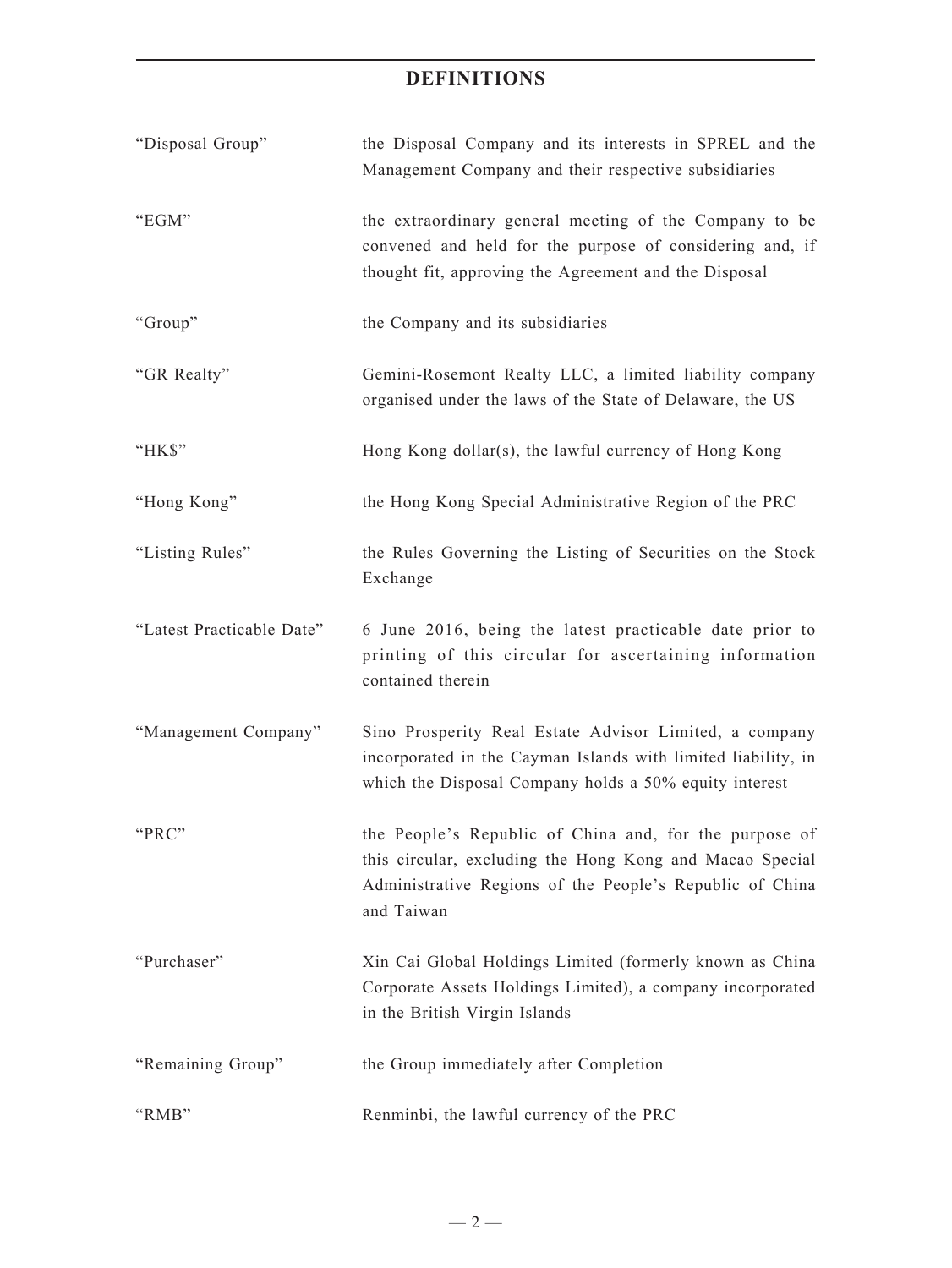| "Disposal Group"          | the Disposal Company and its interests in SPREL and the<br>Management Company and their respective subsidiaries                                                                              |
|---------------------------|----------------------------------------------------------------------------------------------------------------------------------------------------------------------------------------------|
| "EGM"                     | the extraordinary general meeting of the Company to be<br>convened and held for the purpose of considering and, if<br>thought fit, approving the Agreement and the Disposal                  |
| "Group"                   | the Company and its subsidiaries                                                                                                                                                             |
| "GR Realty"               | Gemini-Rosemont Realty LLC, a limited liability company<br>organised under the laws of the State of Delaware, the US                                                                         |
| "HK\$"                    | Hong Kong dollar(s), the lawful currency of Hong Kong                                                                                                                                        |
| "Hong Kong"               | the Hong Kong Special Administrative Region of the PRC                                                                                                                                       |
| "Listing Rules"           | the Rules Governing the Listing of Securities on the Stock<br>Exchange                                                                                                                       |
| "Latest Practicable Date" | 6 June 2016, being the latest practicable date prior to<br>printing of this circular for ascertaining information<br>contained therein                                                       |
| "Management Company"      | Sino Prosperity Real Estate Advisor Limited, a company<br>incorporated in the Cayman Islands with limited liability, in<br>which the Disposal Company holds a 50% equity interest            |
| "PRC"                     | the People's Republic of China and, for the purpose of<br>this circular, excluding the Hong Kong and Macao Special<br>Administrative Regions of the People's Republic of China<br>and Taiwan |
| "Purchaser"               | Xin Cai Global Holdings Limited (formerly known as China<br>Corporate Assets Holdings Limited), a company incorporated<br>in the British Virgin Islands                                      |
| "Remaining Group"         | the Group immediately after Completion                                                                                                                                                       |
| "RMB"                     | Renminbi, the lawful currency of the PRC                                                                                                                                                     |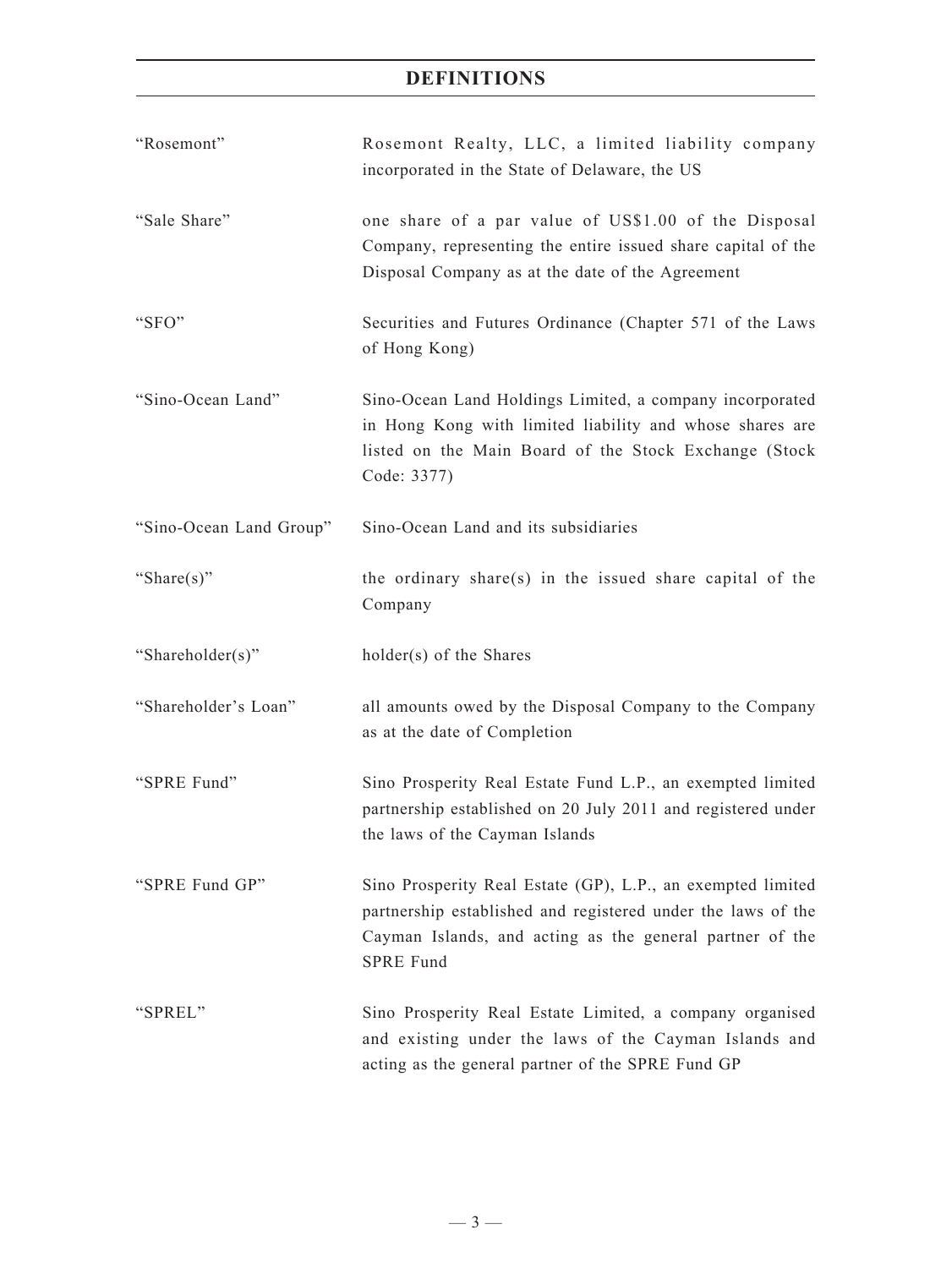| "Rosemont"              | Rosemont Realty, LLC, a limited liability company<br>incorporated in the State of Delaware, the US                                                                                                          |
|-------------------------|-------------------------------------------------------------------------------------------------------------------------------------------------------------------------------------------------------------|
| "Sale Share"            | one share of a par value of US\$1.00 of the Disposal<br>Company, representing the entire issued share capital of the<br>Disposal Company as at the date of the Agreement                                    |
| "SFO"                   | Securities and Futures Ordinance (Chapter 571 of the Laws<br>of Hong Kong)                                                                                                                                  |
| "Sino-Ocean Land"       | Sino-Ocean Land Holdings Limited, a company incorporated<br>in Hong Kong with limited liability and whose shares are<br>listed on the Main Board of the Stock Exchange (Stock<br>Code: 3377)                |
| "Sino-Ocean Land Group" | Sino-Ocean Land and its subsidiaries                                                                                                                                                                        |
| "Share $(s)$ "          | the ordinary share(s) in the issued share capital of the<br>Company                                                                                                                                         |
| "Shareholder(s)"        | $holder(s)$ of the Shares                                                                                                                                                                                   |
| "Shareholder's Loan"    | all amounts owed by the Disposal Company to the Company<br>as at the date of Completion                                                                                                                     |
| "SPRE Fund"             | Sino Prosperity Real Estate Fund L.P., an exempted limited<br>partnership established on 20 July 2011 and registered under<br>the laws of the Cayman Islands                                                |
| "SPRE Fund GP"          | Sino Prosperity Real Estate (GP), L.P., an exempted limited<br>partnership established and registered under the laws of the<br>Cayman Islands, and acting as the general partner of the<br><b>SPRE Fund</b> |
| "SPREL"                 | Sino Prosperity Real Estate Limited, a company organised<br>and existing under the laws of the Cayman Islands and<br>acting as the general partner of the SPRE Fund GP                                      |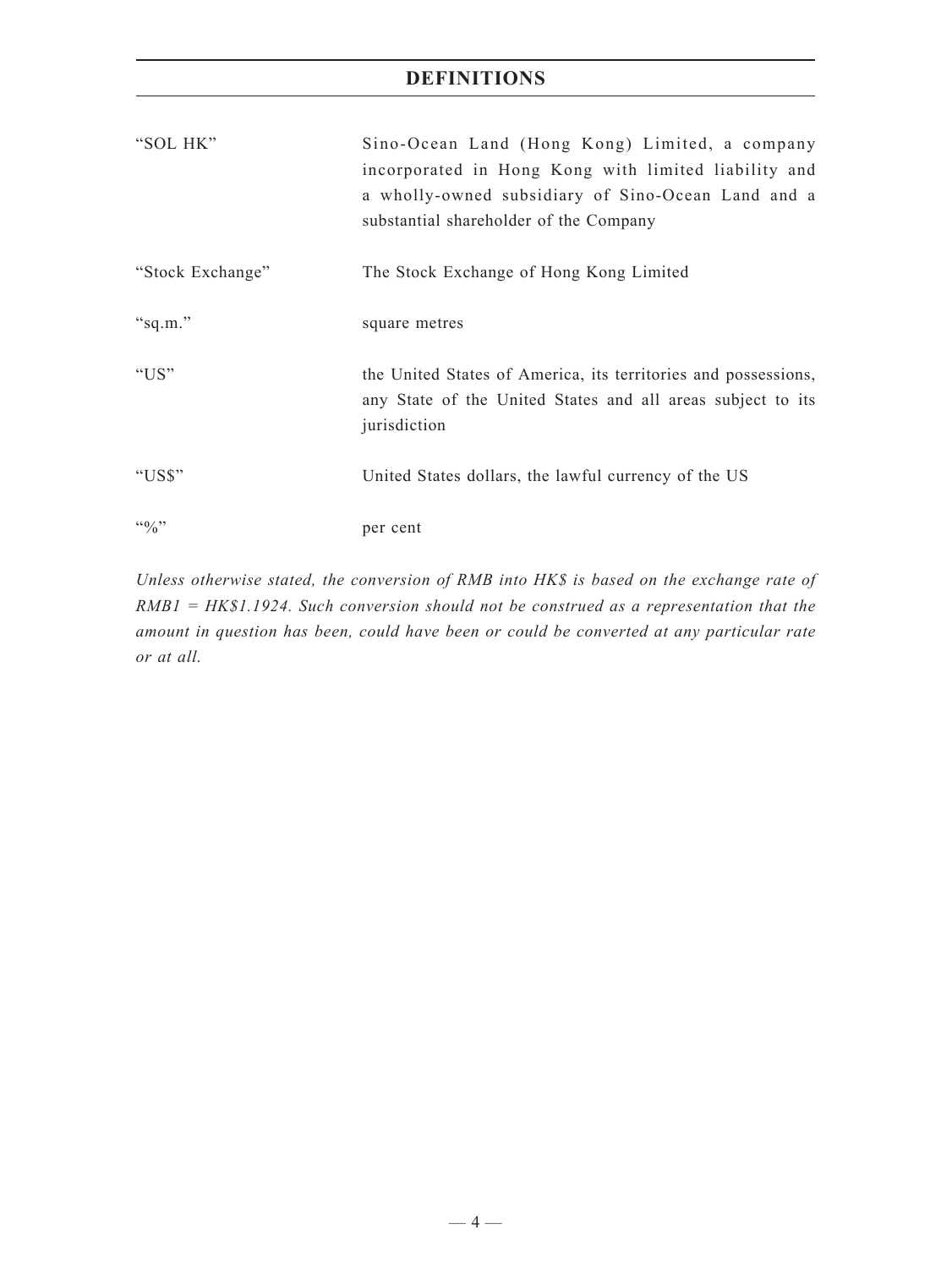| "SOL HK"           | Sino-Ocean Land (Hong Kong) Limited, a company<br>incorporated in Hong Kong with limited liability and<br>a wholly-owned subsidiary of Sino-Ocean Land and a<br>substantial shareholder of the Company |
|--------------------|--------------------------------------------------------------------------------------------------------------------------------------------------------------------------------------------------------|
| "Stock Exchange"   | The Stock Exchange of Hong Kong Limited                                                                                                                                                                |
| "sq.m."            | square metres                                                                                                                                                                                          |
| " $US"$            | the United States of America, its territories and possessions,<br>any State of the United States and all areas subject to its<br>jurisdiction                                                          |
| "US\$"             | United States dollars, the lawful currency of the US                                                                                                                                                   |
| $\mathfrak{g}_{0}$ | per cent                                                                                                                                                                                               |

*Unless otherwise stated, the conversion of RMB into HK\$ is based on the exchange rate of RMB1 = HK\$1.1924. Such conversion should not be construed as a representation that the amount in question has been, could have been or could be converted at any particular rate or at all.*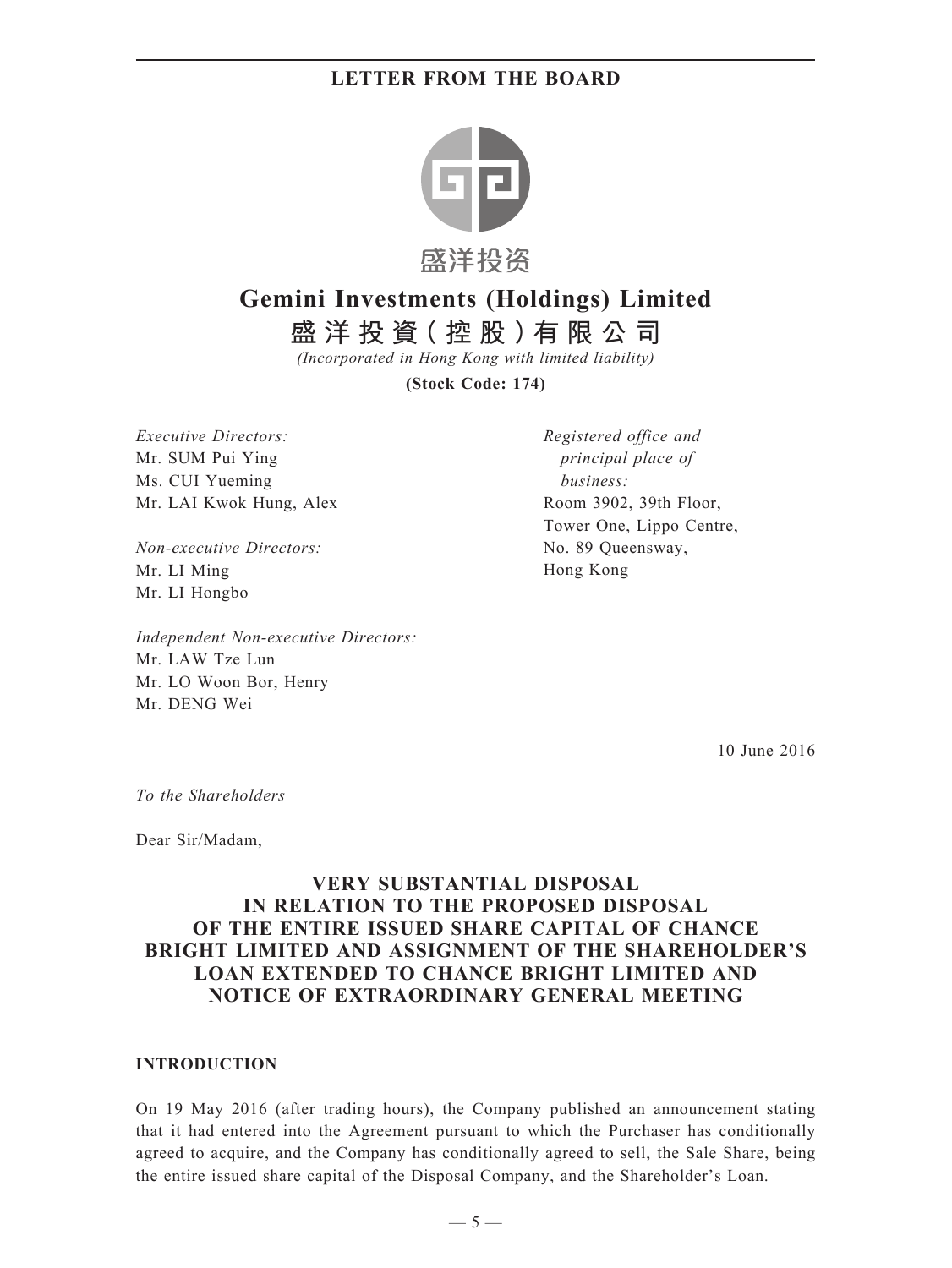

# **Gemini Investments (Holdings) Limited**

**盛洋投資(控股)有限公司**

*(Incorporated in Hong Kong with limited liability)*

**(Stock Code: 174)**

*Executive Directors:* Mr. SUM Pui Ying Ms. CUI Yueming Mr. LAI Kwok Hung, Alex

*Non-executive Directors:* Mr. LI Ming Mr. LI Hongbo

*Independent Non-executive Directors:* Mr. LAW Tze Lun Mr. LO Woon Bor, Henry Mr. DENG Wei

*Registered office and principal place of business:* Room 3902, 39th Floor, Tower One, Lippo Centre, No. 89 Queensway, Hong Kong

10 June 2016

*To the Shareholders*

Dear Sir/Madam,

### **VERY SUBSTANTIAL DISPOSAL IN RELATION TO THE PROPOSED DISPOSAL OF THE ENTIRE ISSUED SHARE CAPITAL OF CHANCE BRIGHT LIMITED AND ASSIGNMENT OF THE SHAREHOLDER'S LOAN EXTENDED TO CHANCE BRIGHT LIMITED AND NOTICE OF EXTRAORDINARY GENERAL MEETING**

### **INTRODUCTION**

On 19 May 2016 (after trading hours), the Company published an announcement stating that it had entered into the Agreement pursuant to which the Purchaser has conditionally agreed to acquire, and the Company has conditionally agreed to sell, the Sale Share, being the entire issued share capital of the Disposal Company, and the Shareholder's Loan.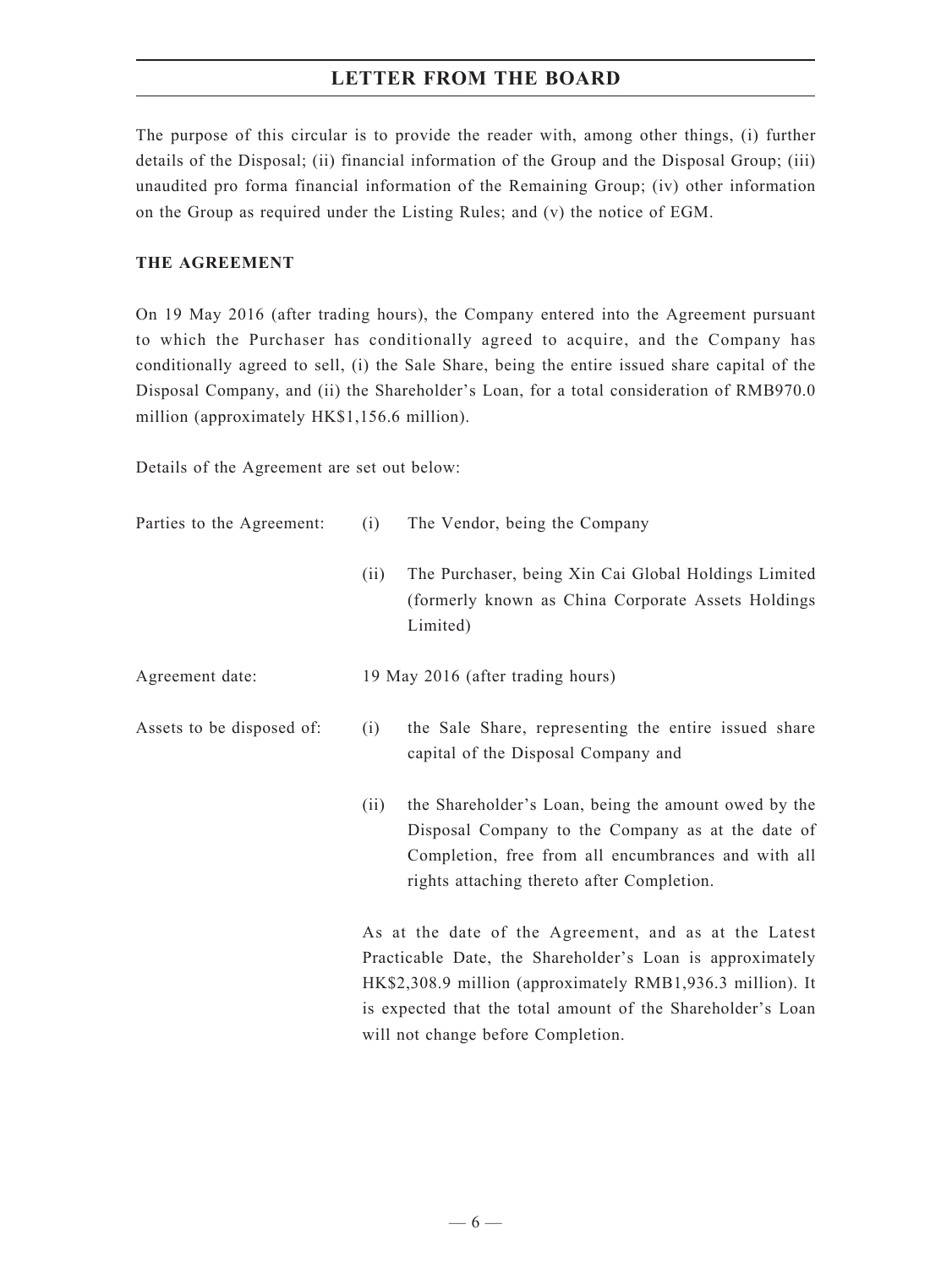The purpose of this circular is to provide the reader with, among other things, (i) further details of the Disposal; (ii) financial information of the Group and the Disposal Group; (iii) unaudited pro forma financial information of the Remaining Group; (iv) other information on the Group as required under the Listing Rules; and (v) the notice of EGM.

### **THE AGREEMENT**

On 19 May 2016 (after trading hours), the Company entered into the Agreement pursuant to which the Purchaser has conditionally agreed to acquire, and the Company has conditionally agreed to sell, (i) the Sale Share, being the entire issued share capital of the Disposal Company, and (ii) the Shareholder's Loan, for a total consideration of RMB970.0 million (approximately HK\$1,156.6 million).

Details of the Agreement are set out below:

| Parties to the Agreement: | (i)  | The Vendor, being the Company                                                                                                                                                                                                                   |
|---------------------------|------|-------------------------------------------------------------------------------------------------------------------------------------------------------------------------------------------------------------------------------------------------|
|                           | (ii) | The Purchaser, being Xin Cai Global Holdings Limited<br>(formerly known as China Corporate Assets Holdings<br>Limited)                                                                                                                          |
| Agreement date:           |      | 19 May 2016 (after trading hours)                                                                                                                                                                                                               |
| Assets to be disposed of: | (i)  | the Sale Share, representing the entire issued share<br>capital of the Disposal Company and                                                                                                                                                     |
|                           | (ii) | the Shareholder's Loan, being the amount owed by the<br>Disposal Company to the Company as at the date of<br>Completion, free from all encumbrances and with all<br>rights attaching thereto after Completion.                                  |
|                           |      | As at the date of the Agreement, and as at the Latest<br>Practicable Date, the Shareholder's Loan is approximately<br>HK\$2,308.9 million (approximately RMB1,936.3 million). It<br>is expected that the total amount of the Shareholder's Loan |

will not change before Completion.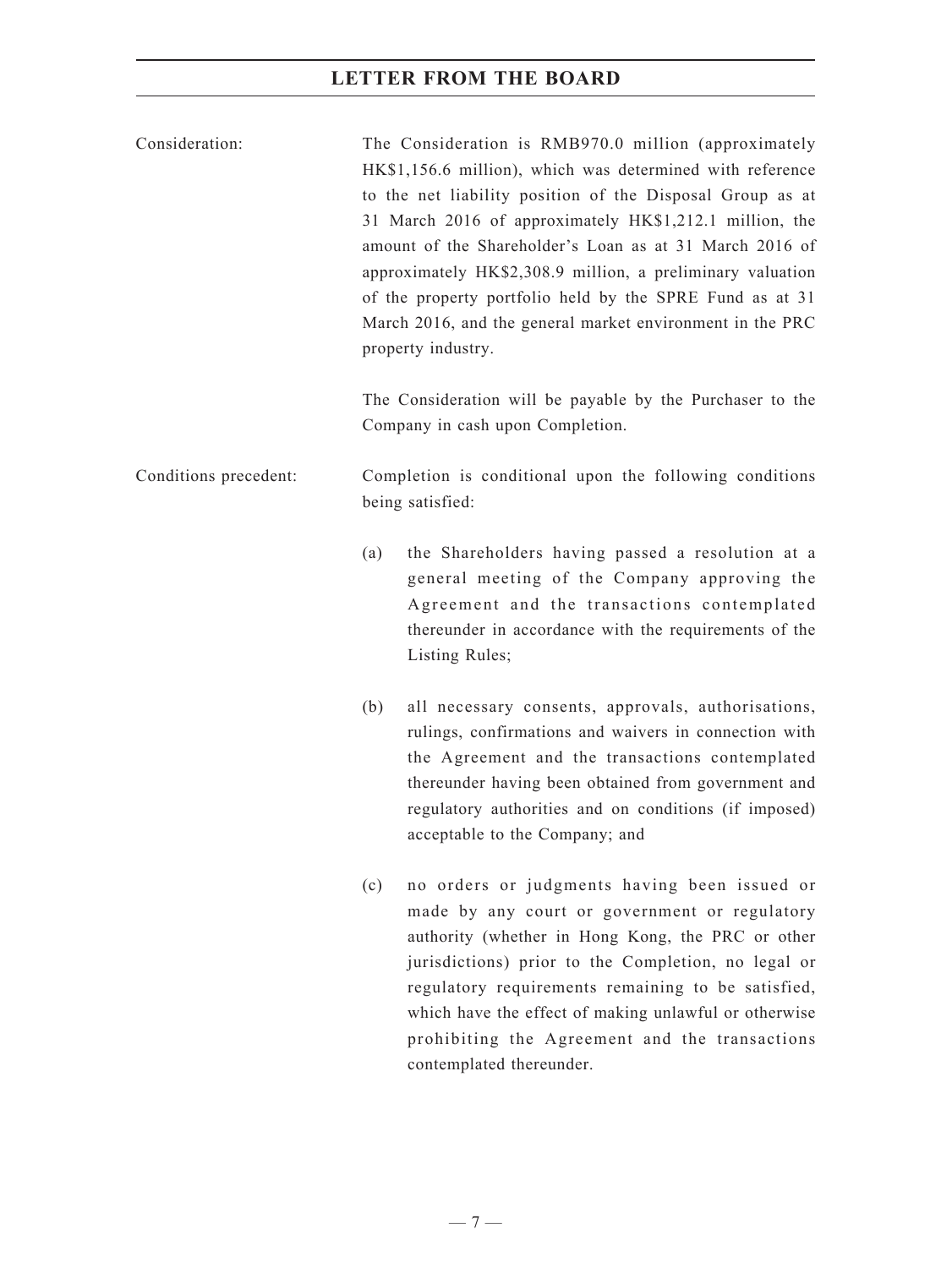| Consideration:        | The Consideration is RMB970.0 million (approximately<br>HK\$1,156.6 million), which was determined with reference<br>to the net liability position of the Disposal Group as at<br>31 March 2016 of approximately HK\$1,212.1 million, the<br>amount of the Shareholder's Loan as at 31 March 2016 of<br>approximately HK\$2,308.9 million, a preliminary valuation<br>of the property portfolio held by the SPRE Fund as at 31<br>March 2016, and the general market environment in the PRC<br>property industry. |
|-----------------------|-------------------------------------------------------------------------------------------------------------------------------------------------------------------------------------------------------------------------------------------------------------------------------------------------------------------------------------------------------------------------------------------------------------------------------------------------------------------------------------------------------------------|
|                       | The Consideration will be payable by the Purchaser to the<br>Company in cash upon Completion.                                                                                                                                                                                                                                                                                                                                                                                                                     |
| Conditions precedent: | Completion is conditional upon the following conditions<br>being satisfied:                                                                                                                                                                                                                                                                                                                                                                                                                                       |
|                       | the Shareholders having passed a resolution at a<br>(a)<br>general meeting of the Company approving the<br>Agreement and the transactions contemplated<br>thereunder in accordance with the requirements of the<br>Listing Rules;                                                                                                                                                                                                                                                                                 |
|                       | all necessary consents, approvals, authorisations,<br>(b)<br>rulings, confirmations and waivers in connection with<br>the Agreement and the transactions contemplated<br>thereunder having been obtained from government and<br>regulatory authorities and on conditions (if imposed)<br>acceptable to the Company; and                                                                                                                                                                                           |
|                       | no orders or judgments having been issued or<br>(c)<br>made by any court or government or regulatory<br>authority (whether in Hong Kong, the PRC or other<br>jurisdictions) prior to the Completion, no legal or<br>regulatory requirements remaining to be satisfied,<br>which have the effect of making unlawful or otherwise<br>prohibiting the Agreement and the transactions<br>contemplated thereunder.                                                                                                     |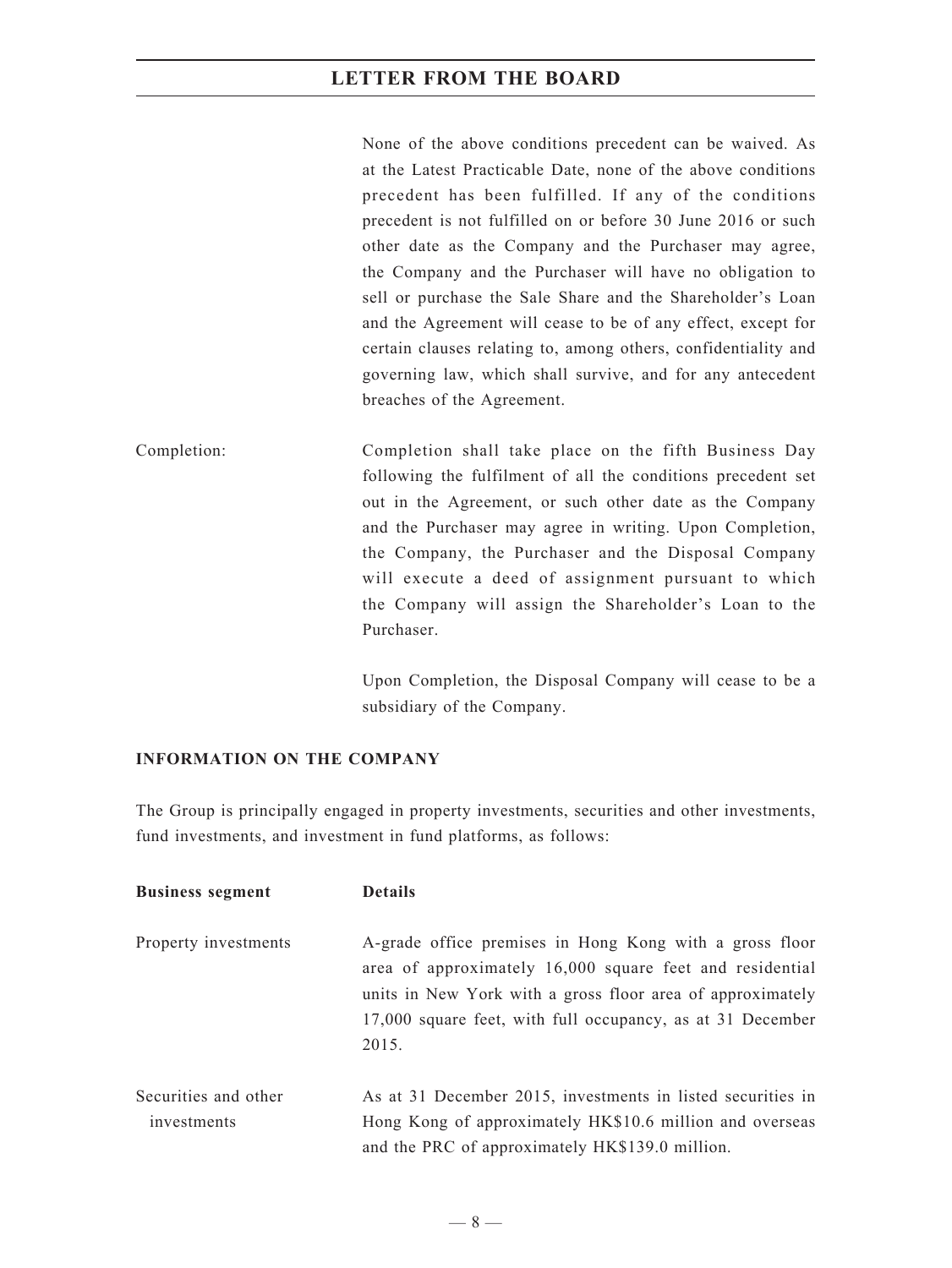None of the above conditions precedent can be waived. As at the Latest Practicable Date, none of the above conditions precedent has been fulfilled. If any of the conditions precedent is not fulfilled on or before 30 June 2016 or such other date as the Company and the Purchaser may agree, the Company and the Purchaser will have no obligation to sell or purchase the Sale Share and the Shareholder's Loan and the Agreement will cease to be of any effect, except for certain clauses relating to, among others, confidentiality and governing law, which shall survive, and for any antecedent breaches of the Agreement.

Completion: Completion shall take place on the fifth Business Day following the fulfilment of all the conditions precedent set out in the Agreement, or such other date as the Company and the Purchaser may agree in writing. Upon Completion, the Company, the Purchaser and the Disposal Company will execute a deed of assignment pursuant to which the Company will assign the Shareholder's Loan to the Purchaser.

> Upon Completion, the Disposal Company will cease to be a subsidiary of the Company.

### **INFORMATION ON THE COMPANY**

The Group is principally engaged in property investments, securities and other investments, fund investments, and investment in fund platforms, as follows:

| <b>Business segment</b>             | <b>Details</b>                                                                                                                                                                                                                                           |
|-------------------------------------|----------------------------------------------------------------------------------------------------------------------------------------------------------------------------------------------------------------------------------------------------------|
| Property investments                | A-grade office premises in Hong Kong with a gross floor<br>area of approximately 16,000 square feet and residential<br>units in New York with a gross floor area of approximately<br>17,000 square feet, with full occupancy, as at 31 December<br>2015. |
| Securities and other<br>investments | As at 31 December 2015, investments in listed securities in<br>Hong Kong of approximately HK\$10.6 million and overseas<br>and the PRC of approximately HK\$139.0 million.                                                                               |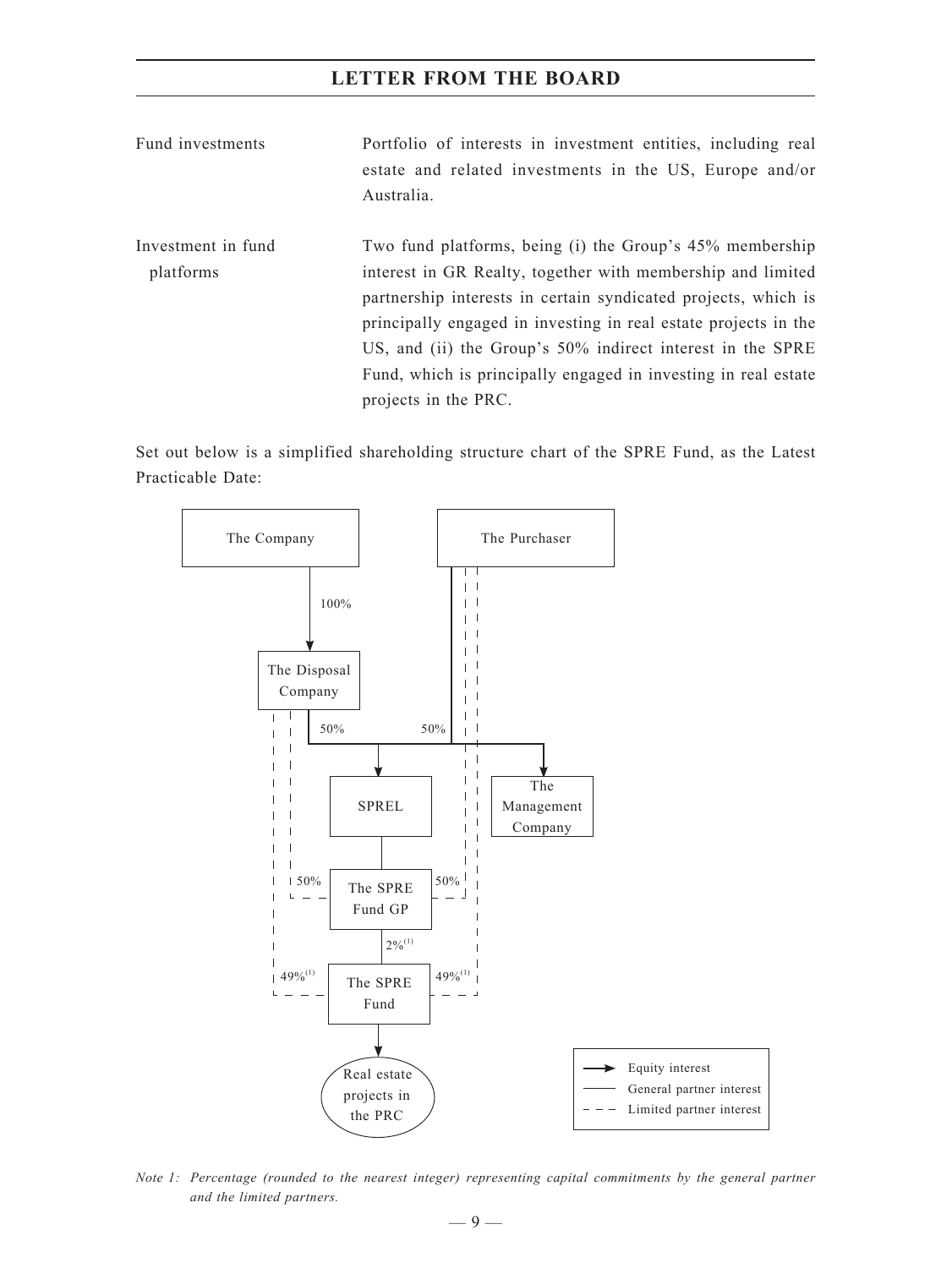- Fund investments Portfolio of interests in investment entities, including real estate and related investments in the US, Europe and/or Australia.
- Investment in fund platforms Two fund platforms, being (i) the Group's 45% membership interest in GR Realty, together with membership and limited partnership interests in certain syndicated projects, which is principally engaged in investing in real estate projects in the US, and (ii) the Group's 50% indirect interest in the SPRE Fund, which is principally engaged in investing in real estate projects in the PRC.

Set out below is a simplified shareholding structure chart of the SPRE Fund, as the Latest Practicable Date:



*Note 1: Percentage (rounded to the nearest integer) representing capital commitments by the general partner and the limited partners.*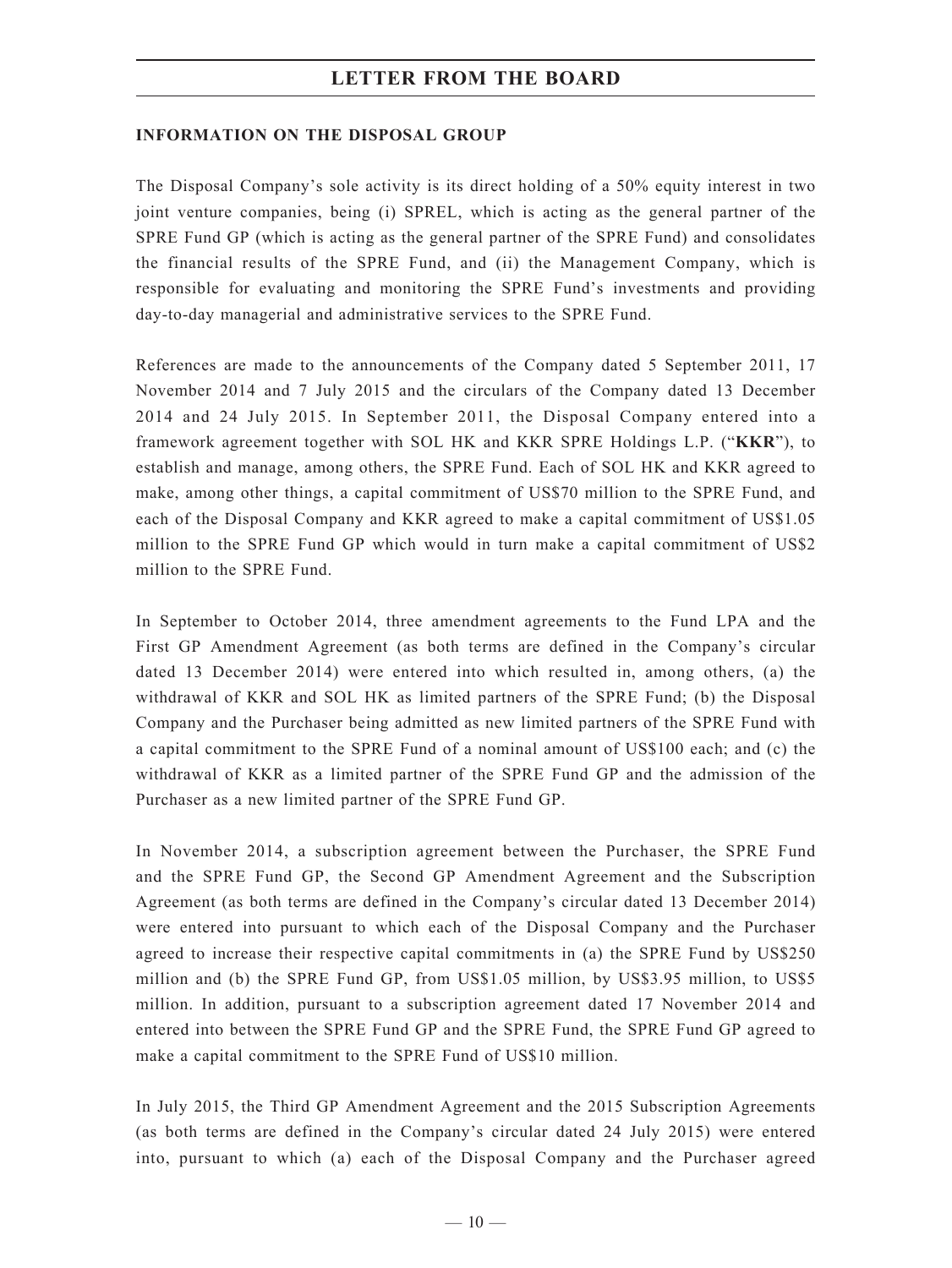### **INFORMATION ON THE DISPOSAL GROUP**

The Disposal Company's sole activity is its direct holding of a 50% equity interest in two joint venture companies, being (i) SPREL, which is acting as the general partner of the SPRE Fund GP (which is acting as the general partner of the SPRE Fund) and consolidates the financial results of the SPRE Fund, and (ii) the Management Company, which is responsible for evaluating and monitoring the SPRE Fund's investments and providing day-to-day managerial and administrative services to the SPRE Fund.

References are made to the announcements of the Company dated 5 September 2011, 17 November 2014 and 7 July 2015 and the circulars of the Company dated 13 December 2014 and 24 July 2015. In September 2011, the Disposal Company entered into a framework agreement together with SOL HK and KKR SPRE Holdings L.P. ("**KKR**"), to establish and manage, among others, the SPRE Fund. Each of SOL HK and KKR agreed to make, among other things, a capital commitment of US\$70 million to the SPRE Fund, and each of the Disposal Company and KKR agreed to make a capital commitment of US\$1.05 million to the SPRE Fund GP which would in turn make a capital commitment of US\$2 million to the SPRE Fund.

In September to October 2014, three amendment agreements to the Fund LPA and the First GP Amendment Agreement (as both terms are defined in the Company's circular dated 13 December 2014) were entered into which resulted in, among others, (a) the withdrawal of KKR and SOL HK as limited partners of the SPRE Fund; (b) the Disposal Company and the Purchaser being admitted as new limited partners of the SPRE Fund with a capital commitment to the SPRE Fund of a nominal amount of US\$100 each; and (c) the withdrawal of KKR as a limited partner of the SPRE Fund GP and the admission of the Purchaser as a new limited partner of the SPRE Fund GP.

In November 2014, a subscription agreement between the Purchaser, the SPRE Fund and the SPRE Fund GP, the Second GP Amendment Agreement and the Subscription Agreement (as both terms are defined in the Company's circular dated 13 December 2014) were entered into pursuant to which each of the Disposal Company and the Purchaser agreed to increase their respective capital commitments in (a) the SPRE Fund by US\$250 million and (b) the SPRE Fund GP, from US\$1.05 million, by US\$3.95 million, to US\$5 million. In addition, pursuant to a subscription agreement dated 17 November 2014 and entered into between the SPRE Fund GP and the SPRE Fund, the SPRE Fund GP agreed to make a capital commitment to the SPRE Fund of US\$10 million.

In July 2015, the Third GP Amendment Agreement and the 2015 Subscription Agreements (as both terms are defined in the Company's circular dated 24 July 2015) were entered into, pursuant to which (a) each of the Disposal Company and the Purchaser agreed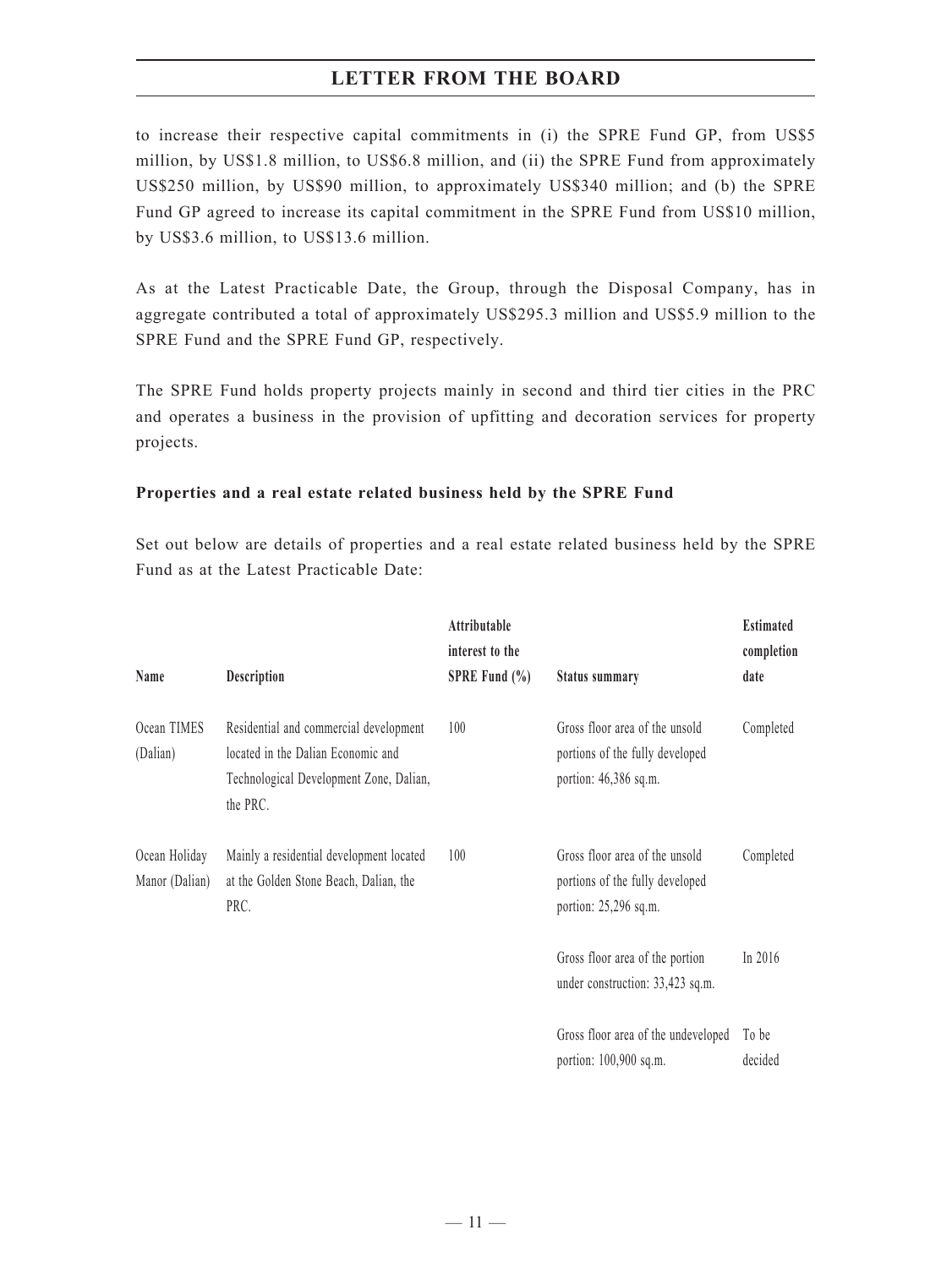to increase their respective capital commitments in (i) the SPRE Fund GP, from US\$5 million, by US\$1.8 million, to US\$6.8 million, and (ii) the SPRE Fund from approximately US\$250 million, by US\$90 million, to approximately US\$340 million; and (b) the SPRE Fund GP agreed to increase its capital commitment in the SPRE Fund from US\$10 million, by US\$3.6 million, to US\$13.6 million.

As at the Latest Practicable Date, the Group, through the Disposal Company, has in aggregate contributed a total of approximately US\$295.3 million and US\$5.9 million to the SPRE Fund and the SPRE Fund GP, respectively.

The SPRE Fund holds property projects mainly in second and third tier cities in the PRC and operates a business in the provision of upfitting and decoration services for property projects.

### **Properties and a real estate related business held by the SPRE Fund**

Set out below are details of properties and a real estate related business held by the SPRE Fund as at the Latest Practicable Date:

| Name                            | Description                                                                                                                         | Attributable<br>interest to the<br>SPRE Fund $(\% )$ | <b>Status summary</b>                                                                        | <b>Estimated</b><br>completion<br>date |
|---------------------------------|-------------------------------------------------------------------------------------------------------------------------------------|------------------------------------------------------|----------------------------------------------------------------------------------------------|----------------------------------------|
| Ocean TIMES<br>(Dalian)         | Residential and commercial development<br>located in the Dalian Economic and<br>Technological Development Zone, Dalian,<br>the PRC. | 100                                                  | Gross floor area of the unsold<br>portions of the fully developed<br>portion: $46,386$ sq.m. | Completed                              |
| Ocean Holiday<br>Manor (Dalian) | Mainly a residential development located<br>at the Golden Stone Beach, Dalian, the<br>PRC.                                          | 100                                                  | Gross floor area of the unsold<br>portions of the fully developed<br>portion: 25,296 sq.m.   | Completed                              |
|                                 |                                                                                                                                     |                                                      | Gross floor area of the portion<br>under construction: 33,423 sq.m.                          | In 2016                                |
|                                 |                                                                                                                                     |                                                      | Gross floor area of the undeveloped<br>portion: 100,900 sq.m.                                | To be<br>decided                       |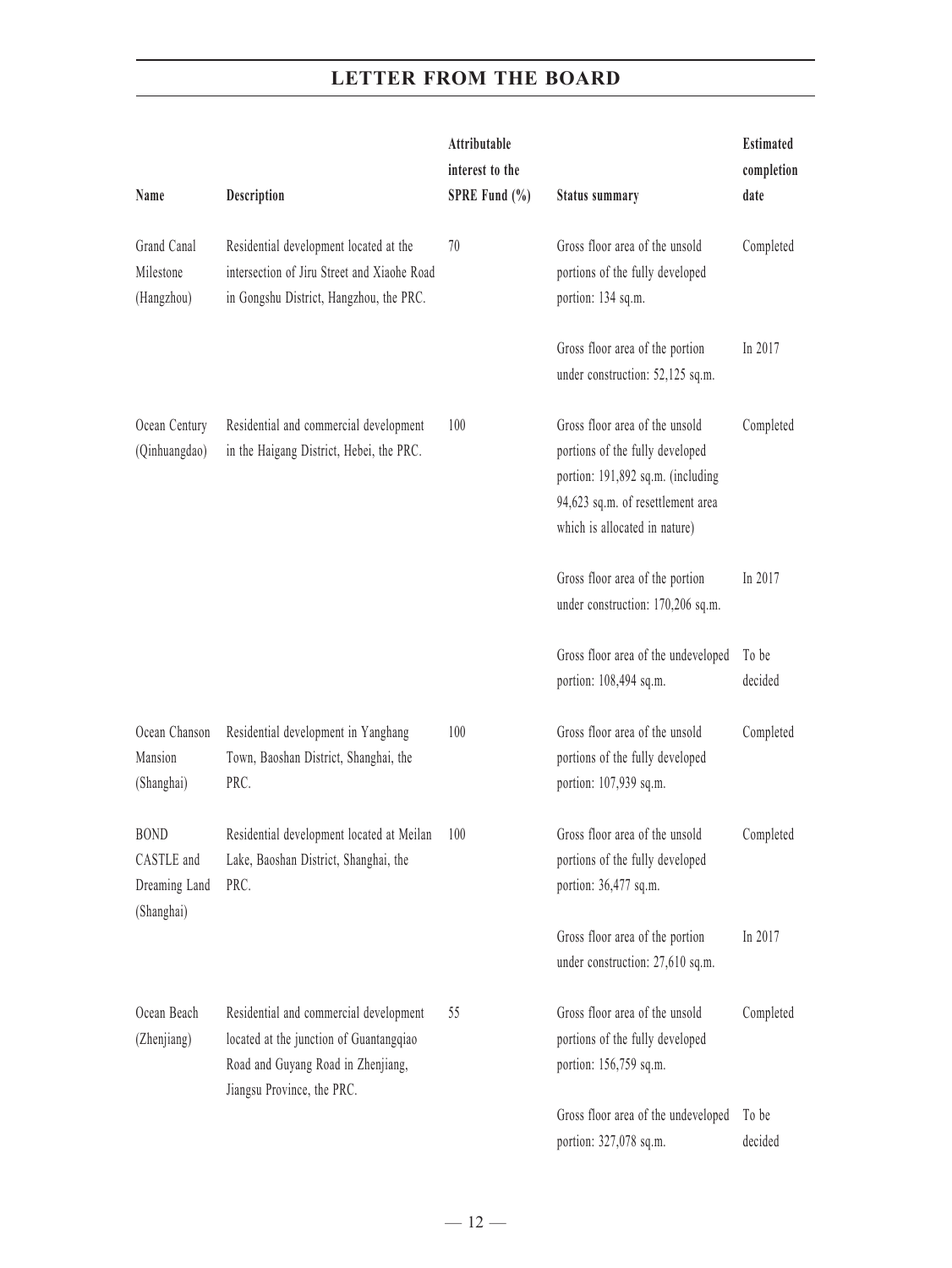| Name                                                     | Description                                                                                                                                           | Attributable<br>interest to the<br>SPRE Fund $(\% )$ | <b>Status summary</b>                                                                                                                                                        | <b>Estimated</b><br>completion<br>date |
|----------------------------------------------------------|-------------------------------------------------------------------------------------------------------------------------------------------------------|------------------------------------------------------|------------------------------------------------------------------------------------------------------------------------------------------------------------------------------|----------------------------------------|
| Grand Canal<br>Milestone<br>(Hangzhou)                   | Residential development located at the<br>intersection of Jiru Street and Xiaohe Road<br>in Gongshu District, Hangzhou, the PRC.                      | 70                                                   | Gross floor area of the unsold<br>portions of the fully developed<br>portion: 134 sq.m.                                                                                      | Completed                              |
|                                                          |                                                                                                                                                       |                                                      | Gross floor area of the portion<br>under construction: 52,125 sq.m.                                                                                                          | In 2017                                |
| Ocean Century<br>(Qinhuangdao)                           | Residential and commercial development<br>in the Haigang District, Hebei, the PRC.                                                                    | 100                                                  | Gross floor area of the unsold<br>portions of the fully developed<br>portion: 191,892 sq.m. (including<br>94,623 sq.m. of resettlement area<br>which is allocated in nature) | Completed                              |
|                                                          |                                                                                                                                                       |                                                      | Gross floor area of the portion<br>under construction: 170,206 sq.m.                                                                                                         | In 2017                                |
|                                                          |                                                                                                                                                       |                                                      | Gross floor area of the undeveloped<br>portion: 108,494 sq.m.                                                                                                                | To be<br>decided                       |
| Ocean Chanson<br>Mansion<br>(Shanghai)                   | Residential development in Yanghang<br>Town, Baoshan District, Shanghai, the<br>PRC.                                                                  | 100                                                  | Gross floor area of the unsold<br>portions of the fully developed<br>portion: 107,939 sq.m.                                                                                  | Completed                              |
| <b>BOND</b><br>CASTLE and<br>Dreaming Land<br>(Shanghai) | Residential development located at Meilan<br>Lake, Baoshan District, Shanghai, the<br>PRC.                                                            | 100                                                  | Gross floor area of the unsold<br>portions of the fully developed<br>portion: 36,477 sq.m.                                                                                   | Completed                              |
|                                                          |                                                                                                                                                       |                                                      | Gross floor area of the portion<br>under construction: 27,610 sq.m.                                                                                                          | In 2017                                |
| Ocean Beach<br>(Zhenjiang)                               | Residential and commercial development<br>located at the junction of Guantangqiao<br>Road and Guyang Road in Zhenjiang,<br>Jiangsu Province, the PRC. | 55                                                   | Gross floor area of the unsold<br>portions of the fully developed<br>portion: 156,759 sq.m.                                                                                  | Completed                              |
|                                                          |                                                                                                                                                       |                                                      | Gross floor area of the undeveloped<br>portion: 327,078 sq.m.                                                                                                                | To be<br>decided                       |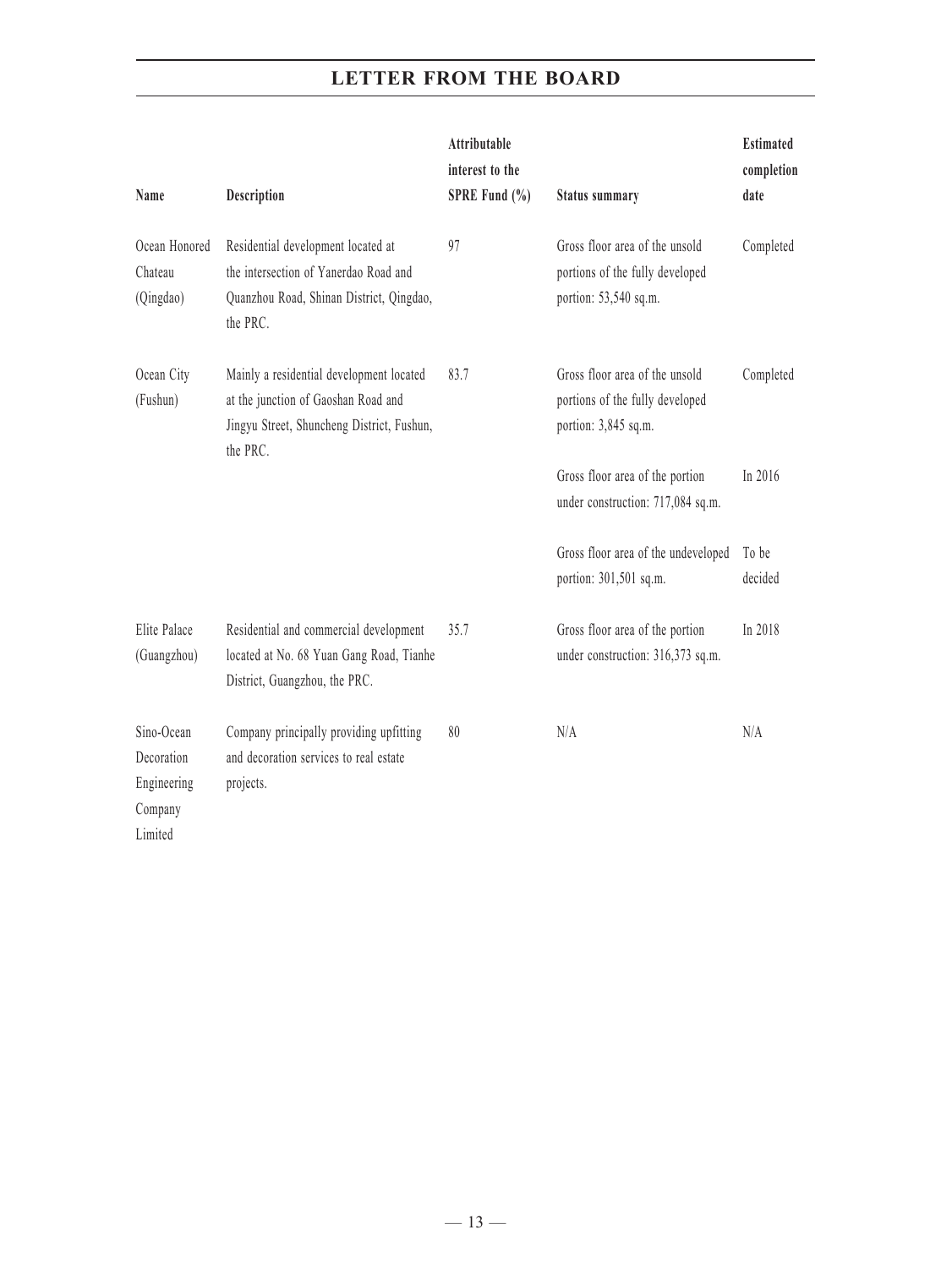| Name                                                          | Description                                                                                                                               | Attributable<br>interest to the<br>SPRE Fund $(\% )$ | <b>Status summary</b>                                                                      | <b>Estimated</b><br>completion<br>date |
|---------------------------------------------------------------|-------------------------------------------------------------------------------------------------------------------------------------------|------------------------------------------------------|--------------------------------------------------------------------------------------------|----------------------------------------|
| Ocean Honored<br>Chateau<br>(Qingdao)                         | Residential development located at<br>the intersection of Yanerdao Road and<br>Quanzhou Road, Shinan District, Qingdao,<br>the PRC.       | 97                                                   | Gross floor area of the unsold<br>portions of the fully developed<br>portion: 53,540 sq.m. | Completed                              |
| Ocean City<br>(Fushun)                                        | Mainly a residential development located<br>at the junction of Gaoshan Road and<br>Jingyu Street, Shuncheng District, Fushun,<br>the PRC. | 83.7                                                 | Gross floor area of the unsold<br>portions of the fully developed<br>portion: 3,845 sq.m.  | Completed                              |
|                                                               |                                                                                                                                           |                                                      | Gross floor area of the portion<br>under construction: 717,084 sq.m.                       | In 2016                                |
|                                                               |                                                                                                                                           |                                                      | Gross floor area of the undeveloped<br>portion: 301,501 sq.m.                              | To be<br>decided                       |
| Elite Palace<br>(Guangzhou)                                   | Residential and commercial development<br>located at No. 68 Yuan Gang Road, Tianhe<br>District, Guangzhou, the PRC.                       | 35.7                                                 | Gross floor area of the portion<br>under construction: 316,373 sq.m.                       | In 2018                                |
| Sino-Ocean<br>Decoration<br>Engineering<br>Company<br>Limited | Company principally providing upfitting<br>and decoration services to real estate<br>projects.                                            | 80                                                   | N/A                                                                                        | N/A                                    |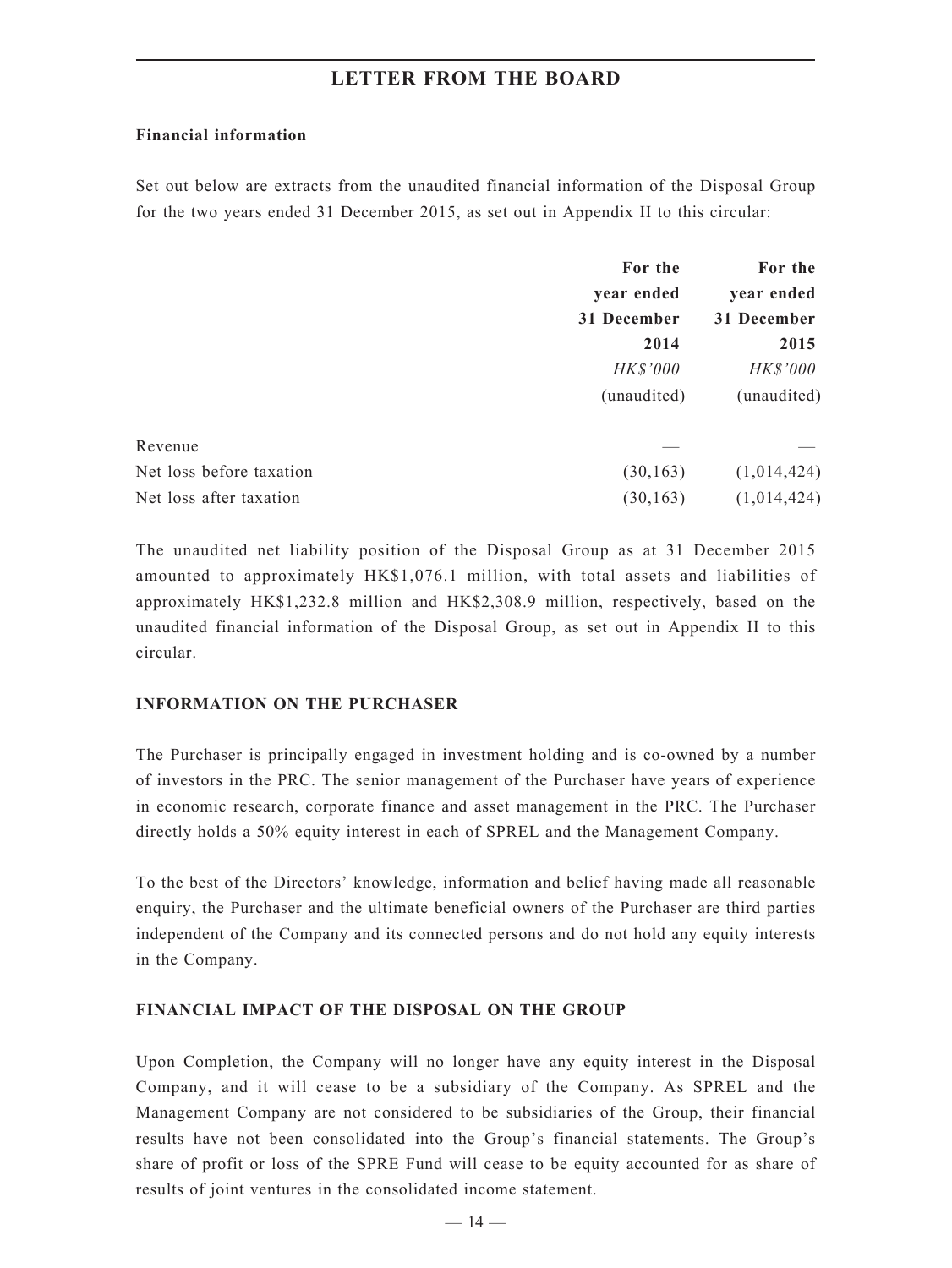### **Financial information**

Set out below are extracts from the unaudited financial information of the Disposal Group for the two years ended 31 December 2015, as set out in Appendix II to this circular:

|                          | For the         | For the<br>year ended |  |
|--------------------------|-----------------|-----------------------|--|
|                          | year ended      |                       |  |
|                          | 31 December     | 31 December           |  |
|                          | 2014            | 2015                  |  |
|                          | <b>HK\$'000</b> | HK\$'000              |  |
|                          | (unaudited)     | (unaudited)           |  |
| Revenue                  |                 |                       |  |
| Net loss before taxation | (30, 163)       | (1,014,424)           |  |
| Net loss after taxation  | (30, 163)       | (1,014,424)           |  |

The unaudited net liability position of the Disposal Group as at 31 December 2015 amounted to approximately HK\$1,076.1 million, with total assets and liabilities of approximately HK\$1,232.8 million and HK\$2,308.9 million, respectively, based on the unaudited financial information of the Disposal Group, as set out in Appendix II to this circular.

### **INFORMATION ON THE PURCHASER**

The Purchaser is principally engaged in investment holding and is co-owned by a number of investors in the PRC. The senior management of the Purchaser have years of experience in economic research, corporate finance and asset management in the PRC. The Purchaser directly holds a 50% equity interest in each of SPREL and the Management Company.

To the best of the Directors' knowledge, information and belief having made all reasonable enquiry, the Purchaser and the ultimate beneficial owners of the Purchaser are third parties independent of the Company and its connected persons and do not hold any equity interests in the Company.

### **FINANCIAL IMPACT OF THE DISPOSAL ON THE GROUP**

Upon Completion, the Company will no longer have any equity interest in the Disposal Company, and it will cease to be a subsidiary of the Company. As SPREL and the Management Company are not considered to be subsidiaries of the Group, their financial results have not been consolidated into the Group's financial statements. The Group's share of profit or loss of the SPRE Fund will cease to be equity accounted for as share of results of joint ventures in the consolidated income statement.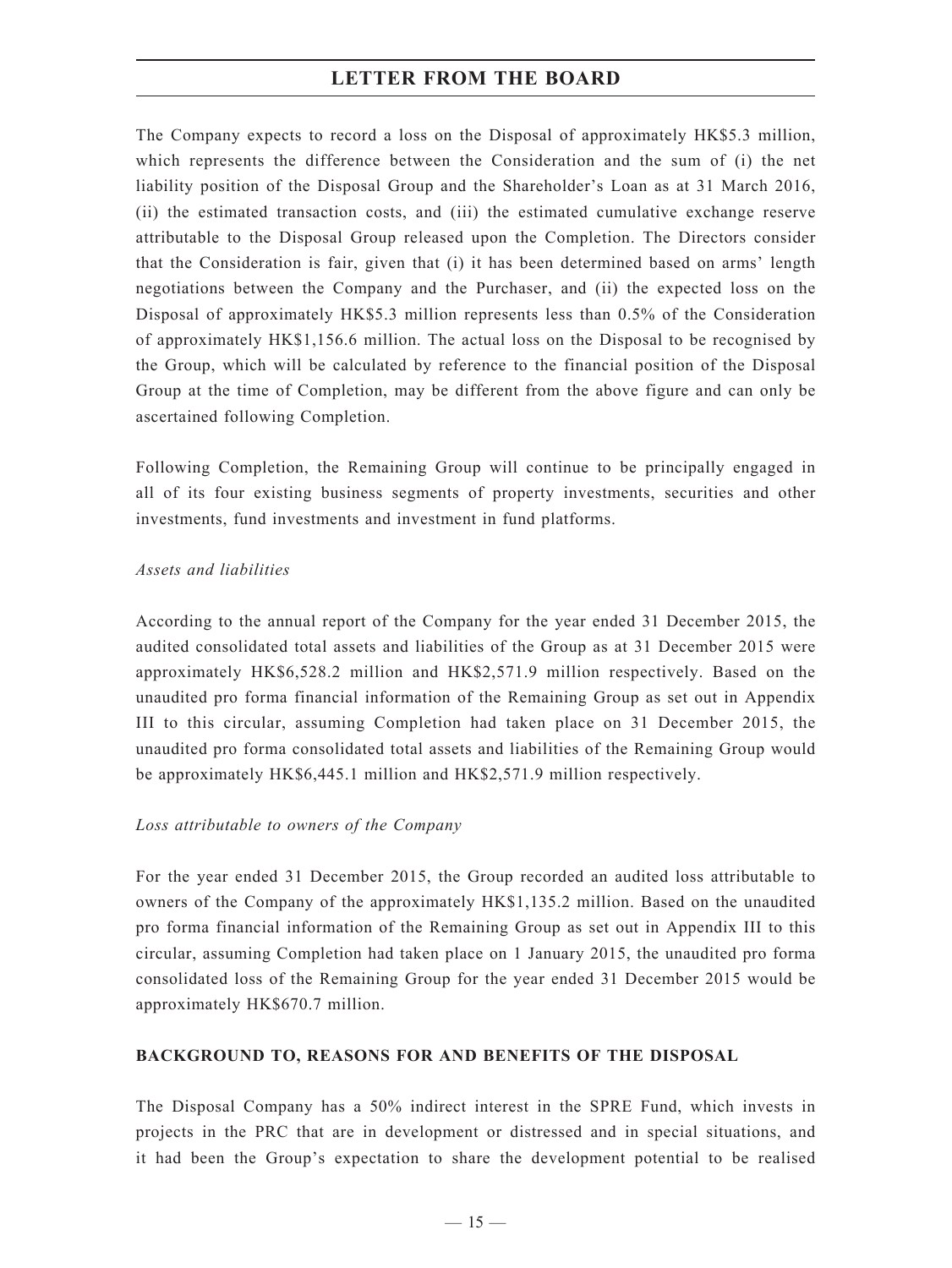The Company expects to record a loss on the Disposal of approximately HK\$5.3 million, which represents the difference between the Consideration and the sum of (i) the net liability position of the Disposal Group and the Shareholder's Loan as at 31 March 2016, (ii) the estimated transaction costs, and (iii) the estimated cumulative exchange reserve attributable to the Disposal Group released upon the Completion. The Directors consider that the Consideration is fair, given that (i) it has been determined based on arms' length negotiations between the Company and the Purchaser, and (ii) the expected loss on the Disposal of approximately HK\$5.3 million represents less than 0.5% of the Consideration of approximately HK\$1,156.6 million. The actual loss on the Disposal to be recognised by the Group, which will be calculated by reference to the financial position of the Disposal Group at the time of Completion, may be different from the above figure and can only be ascertained following Completion.

Following Completion, the Remaining Group will continue to be principally engaged in all of its four existing business segments of property investments, securities and other investments, fund investments and investment in fund platforms.

### *Assets and liabilities*

According to the annual report of the Company for the year ended 31 December 2015, the audited consolidated total assets and liabilities of the Group as at 31 December 2015 were approximately HK\$6,528.2 million and HK\$2,571.9 million respectively. Based on the unaudited pro forma financial information of the Remaining Group as set out in Appendix III to this circular, assuming Completion had taken place on 31 December 2015, the unaudited pro forma consolidated total assets and liabilities of the Remaining Group would be approximately HK\$6,445.1 million and HK\$2,571.9 million respectively.

### *Loss attributable to owners of the Company*

For the year ended 31 December 2015, the Group recorded an audited loss attributable to owners of the Company of the approximately HK\$1,135.2 million. Based on the unaudited pro forma financial information of the Remaining Group as set out in Appendix III to this circular, assuming Completion had taken place on 1 January 2015, the unaudited pro forma consolidated loss of the Remaining Group for the year ended 31 December 2015 would be approximately HK\$670.7 million.

### **BACKGROUND TO, REASONS FOR AND BENEFITS OF THE DISPOSAL**

The Disposal Company has a 50% indirect interest in the SPRE Fund, which invests in projects in the PRC that are in development or distressed and in special situations, and it had been the Group's expectation to share the development potential to be realised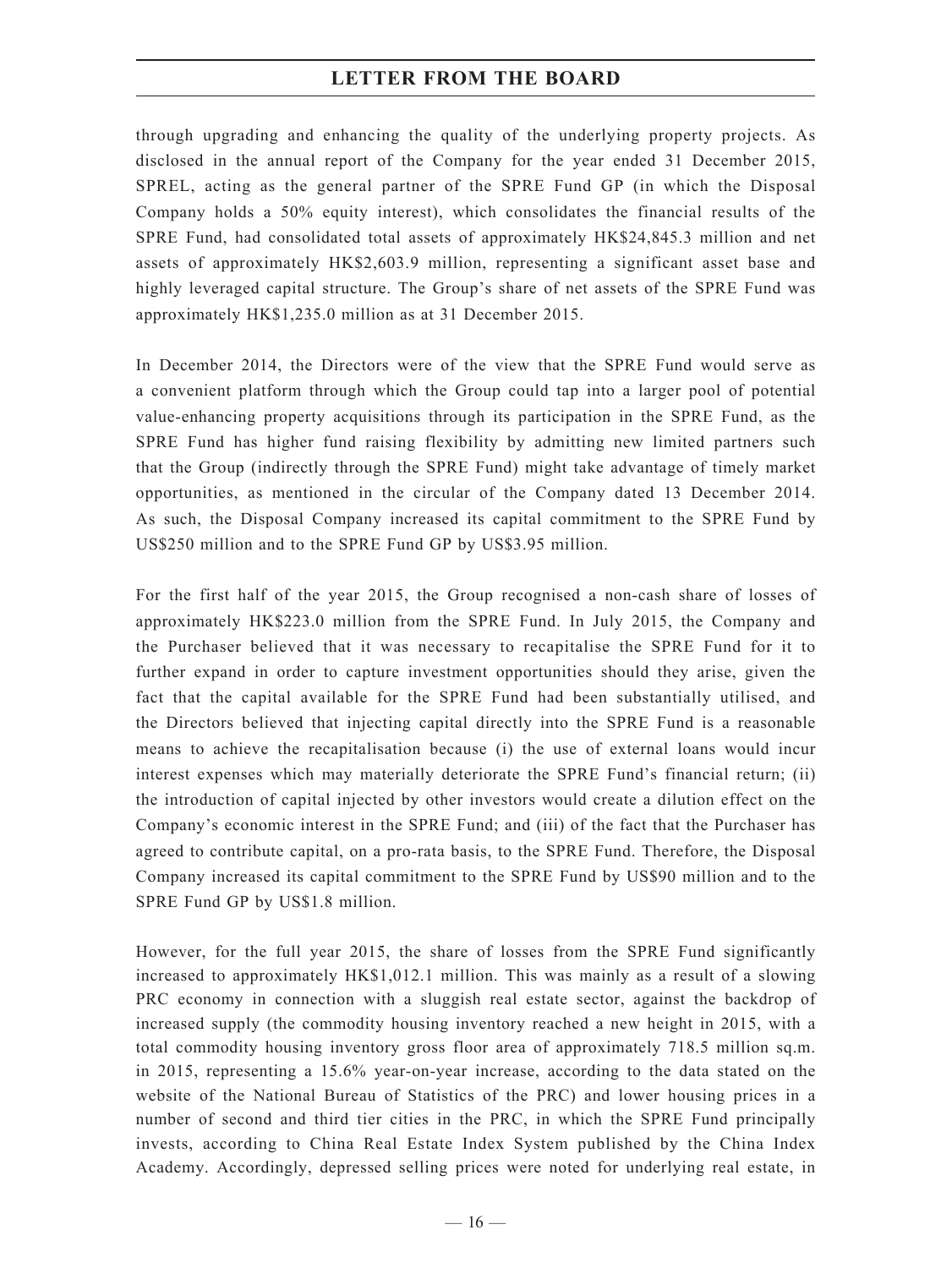through upgrading and enhancing the quality of the underlying property projects. As disclosed in the annual report of the Company for the year ended 31 December 2015, SPREL, acting as the general partner of the SPRE Fund GP (in which the Disposal Company holds a 50% equity interest), which consolidates the financial results of the SPRE Fund, had consolidated total assets of approximately HK\$24,845.3 million and net assets of approximately HK\$2,603.9 million, representing a significant asset base and highly leveraged capital structure. The Group's share of net assets of the SPRE Fund was approximately HK\$1,235.0 million as at 31 December 2015.

In December 2014, the Directors were of the view that the SPRE Fund would serve as a convenient platform through which the Group could tap into a larger pool of potential value-enhancing property acquisitions through its participation in the SPRE Fund, as the SPRE Fund has higher fund raising flexibility by admitting new limited partners such that the Group (indirectly through the SPRE Fund) might take advantage of timely market opportunities, as mentioned in the circular of the Company dated 13 December 2014. As such, the Disposal Company increased its capital commitment to the SPRE Fund by US\$250 million and to the SPRE Fund GP by US\$3.95 million.

For the first half of the year 2015, the Group recognised a non-cash share of losses of approximately HK\$223.0 million from the SPRE Fund. In July 2015, the Company and the Purchaser believed that it was necessary to recapitalise the SPRE Fund for it to further expand in order to capture investment opportunities should they arise, given the fact that the capital available for the SPRE Fund had been substantially utilised, and the Directors believed that injecting capital directly into the SPRE Fund is a reasonable means to achieve the recapitalisation because (i) the use of external loans would incur interest expenses which may materially deteriorate the SPRE Fund's financial return; (ii) the introduction of capital injected by other investors would create a dilution effect on the Company's economic interest in the SPRE Fund; and (iii) of the fact that the Purchaser has agreed to contribute capital, on a pro-rata basis, to the SPRE Fund. Therefore, the Disposal Company increased its capital commitment to the SPRE Fund by US\$90 million and to the SPRE Fund GP by US\$1.8 million.

However, for the full year 2015, the share of losses from the SPRE Fund significantly increased to approximately HK\$1,012.1 million. This was mainly as a result of a slowing PRC economy in connection with a sluggish real estate sector, against the backdrop of increased supply (the commodity housing inventory reached a new height in 2015, with a total commodity housing inventory gross floor area of approximately 718.5 million sq.m. in 2015, representing a 15.6% year-on-year increase, according to the data stated on the website of the National Bureau of Statistics of the PRC) and lower housing prices in a number of second and third tier cities in the PRC, in which the SPRE Fund principally invests, according to China Real Estate Index System published by the China Index Academy. Accordingly, depressed selling prices were noted for underlying real estate, in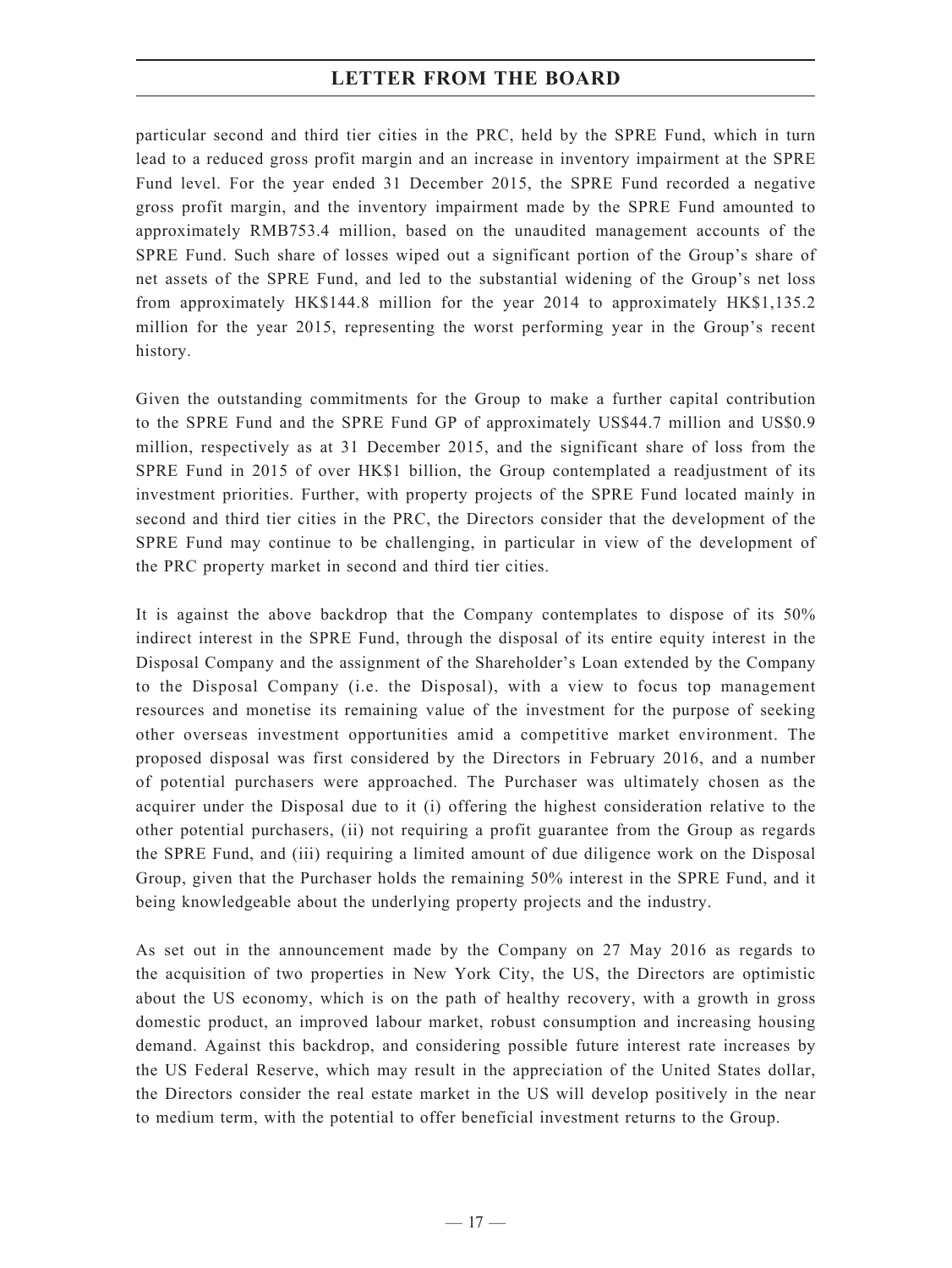particular second and third tier cities in the PRC, held by the SPRE Fund, which in turn lead to a reduced gross profit margin and an increase in inventory impairment at the SPRE Fund level. For the year ended 31 December 2015, the SPRE Fund recorded a negative gross profit margin, and the inventory impairment made by the SPRE Fund amounted to approximately RMB753.4 million, based on the unaudited management accounts of the SPRE Fund. Such share of losses wiped out a significant portion of the Group's share of net assets of the SPRE Fund, and led to the substantial widening of the Group's net loss from approximately HK\$144.8 million for the year 2014 to approximately HK\$1,135.2 million for the year 2015, representing the worst performing year in the Group's recent history.

Given the outstanding commitments for the Group to make a further capital contribution to the SPRE Fund and the SPRE Fund GP of approximately US\$44.7 million and US\$0.9 million, respectively as at 31 December 2015, and the significant share of loss from the SPRE Fund in 2015 of over HK\$1 billion, the Group contemplated a readjustment of its investment priorities. Further, with property projects of the SPRE Fund located mainly in second and third tier cities in the PRC, the Directors consider that the development of the SPRE Fund may continue to be challenging, in particular in view of the development of the PRC property market in second and third tier cities.

It is against the above backdrop that the Company contemplates to dispose of its 50% indirect interest in the SPRE Fund, through the disposal of its entire equity interest in the Disposal Company and the assignment of the Shareholder's Loan extended by the Company to the Disposal Company (i.e. the Disposal), with a view to focus top management resources and monetise its remaining value of the investment for the purpose of seeking other overseas investment opportunities amid a competitive market environment. The proposed disposal was first considered by the Directors in February 2016, and a number of potential purchasers were approached. The Purchaser was ultimately chosen as the acquirer under the Disposal due to it (i) offering the highest consideration relative to the other potential purchasers, (ii) not requiring a profit guarantee from the Group as regards the SPRE Fund, and (iii) requiring a limited amount of due diligence work on the Disposal Group, given that the Purchaser holds the remaining 50% interest in the SPRE Fund, and it being knowledgeable about the underlying property projects and the industry.

As set out in the announcement made by the Company on 27 May 2016 as regards to the acquisition of two properties in New York City, the US, the Directors are optimistic about the US economy, which is on the path of healthy recovery, with a growth in gross domestic product, an improved labour market, robust consumption and increasing housing demand. Against this backdrop, and considering possible future interest rate increases by the US Federal Reserve, which may result in the appreciation of the United States dollar, the Directors consider the real estate market in the US will develop positively in the near to medium term, with the potential to offer beneficial investment returns to the Group.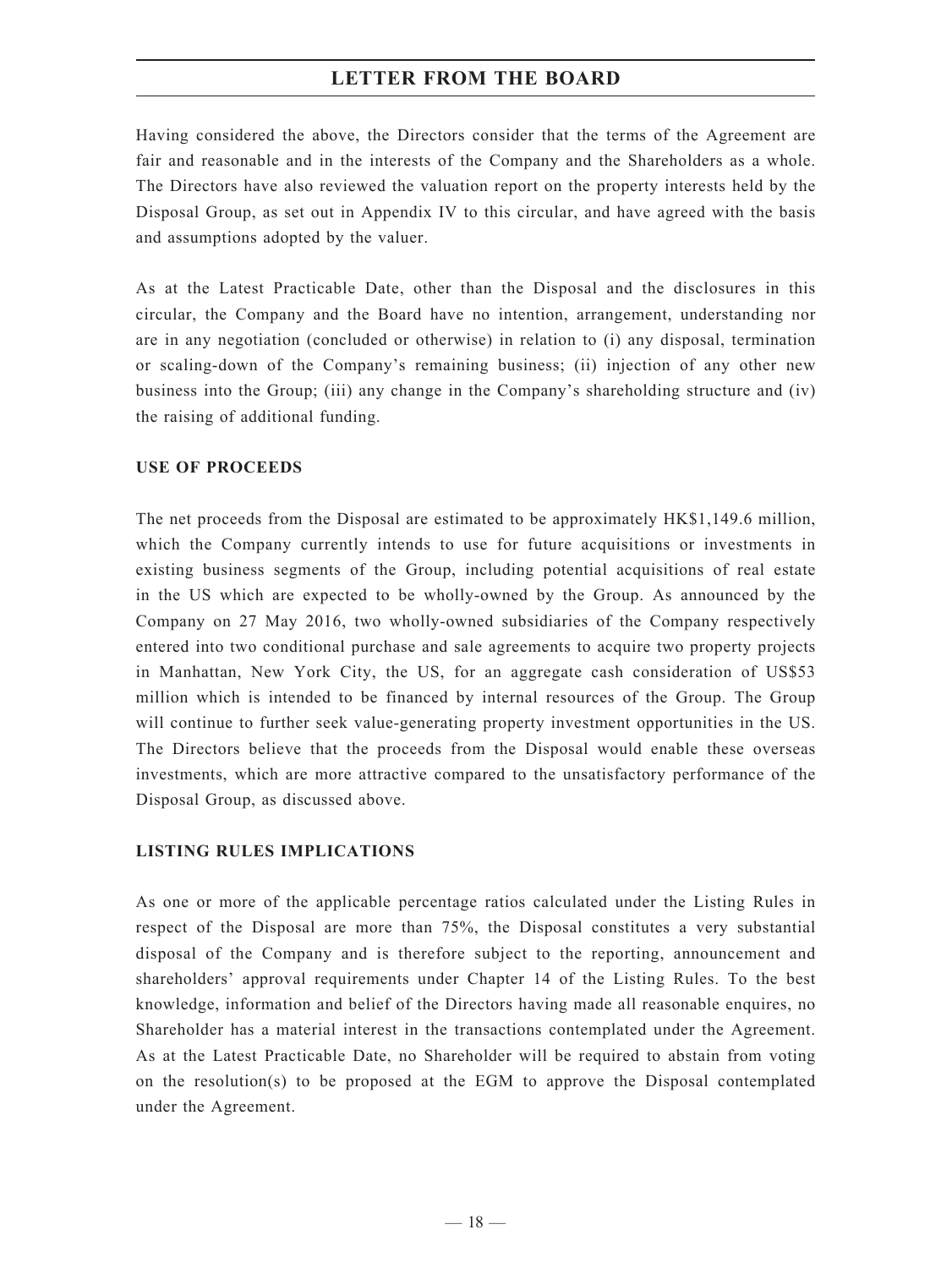Having considered the above, the Directors consider that the terms of the Agreement are fair and reasonable and in the interests of the Company and the Shareholders as a whole. The Directors have also reviewed the valuation report on the property interests held by the Disposal Group, as set out in Appendix IV to this circular, and have agreed with the basis and assumptions adopted by the valuer.

As at the Latest Practicable Date, other than the Disposal and the disclosures in this circular, the Company and the Board have no intention, arrangement, understanding nor are in any negotiation (concluded or otherwise) in relation to (i) any disposal, termination or scaling-down of the Company's remaining business; (ii) injection of any other new business into the Group; (iii) any change in the Company's shareholding structure and (iv) the raising of additional funding.

### **USE OF PROCEEDS**

The net proceeds from the Disposal are estimated to be approximately HK\$1,149.6 million, which the Company currently intends to use for future acquisitions or investments in existing business segments of the Group, including potential acquisitions of real estate in the US which are expected to be wholly-owned by the Group. As announced by the Company on 27 May 2016, two wholly-owned subsidiaries of the Company respectively entered into two conditional purchase and sale agreements to acquire two property projects in Manhattan, New York City, the US, for an aggregate cash consideration of US\$53 million which is intended to be financed by internal resources of the Group. The Group will continue to further seek value-generating property investment opportunities in the US. The Directors believe that the proceeds from the Disposal would enable these overseas investments, which are more attractive compared to the unsatisfactory performance of the Disposal Group, as discussed above.

### **LISTING RULES IMPLICATIONS**

As one or more of the applicable percentage ratios calculated under the Listing Rules in respect of the Disposal are more than 75%, the Disposal constitutes a very substantial disposal of the Company and is therefore subject to the reporting, announcement and shareholders' approval requirements under Chapter 14 of the Listing Rules. To the best knowledge, information and belief of the Directors having made all reasonable enquires, no Shareholder has a material interest in the transactions contemplated under the Agreement. As at the Latest Practicable Date, no Shareholder will be required to abstain from voting on the resolution(s) to be proposed at the EGM to approve the Disposal contemplated under the Agreement.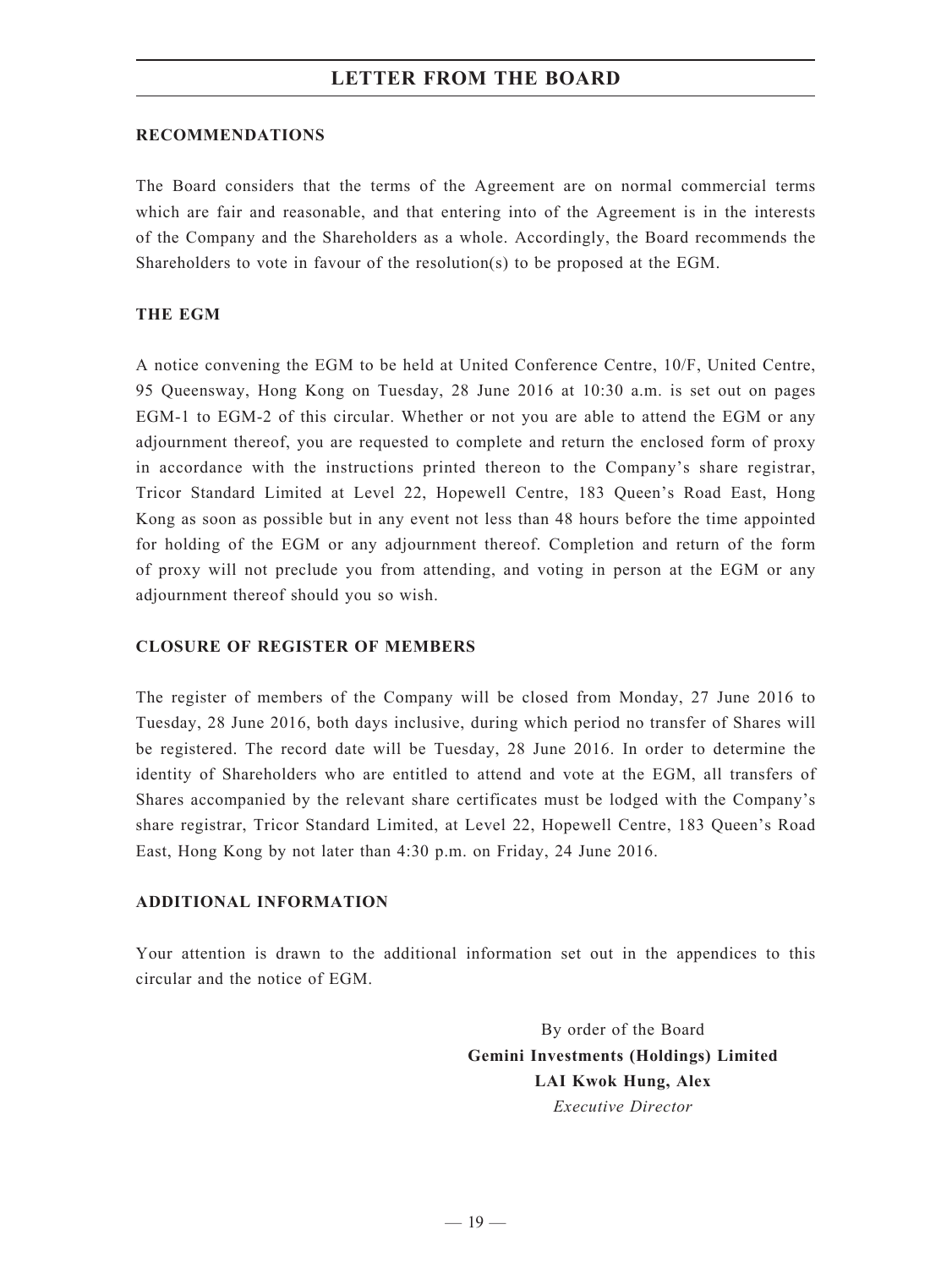#### **RECOMMENDATIONS**

The Board considers that the terms of the Agreement are on normal commercial terms which are fair and reasonable, and that entering into of the Agreement is in the interests of the Company and the Shareholders as a whole. Accordingly, the Board recommends the Shareholders to vote in favour of the resolution(s) to be proposed at the EGM.

### **THE EGM**

A notice convening the EGM to be held at United Conference Centre, 10/F, United Centre, 95 Queensway, Hong Kong on Tuesday, 28 June 2016 at 10:30 a.m. is set out on pages EGM-1 to EGM-2 of this circular. Whether or not you are able to attend the EGM or any adjournment thereof, you are requested to complete and return the enclosed form of proxy in accordance with the instructions printed thereon to the Company's share registrar, Tricor Standard Limited at Level 22, Hopewell Centre, 183 Queen's Road East, Hong Kong as soon as possible but in any event not less than 48 hours before the time appointed for holding of the EGM or any adjournment thereof. Completion and return of the form of proxy will not preclude you from attending, and voting in person at the EGM or any adjournment thereof should you so wish.

### **CLOSURE OF REGISTER OF MEMBERS**

The register of members of the Company will be closed from Monday, 27 June 2016 to Tuesday, 28 June 2016, both days inclusive, during which period no transfer of Shares will be registered. The record date will be Tuesday, 28 June 2016. In order to determine the identity of Shareholders who are entitled to attend and vote at the EGM, all transfers of Shares accompanied by the relevant share certificates must be lodged with the Company's share registrar, Tricor Standard Limited, at Level 22, Hopewell Centre, 183 Queen's Road East, Hong Kong by not later than 4:30 p.m. on Friday, 24 June 2016.

### **ADDITIONAL INFORMATION**

Your attention is drawn to the additional information set out in the appendices to this circular and the notice of EGM.

> By order of the Board **Gemini Investments (Holdings) Limited LAI Kwok Hung, Alex** *Executive Director*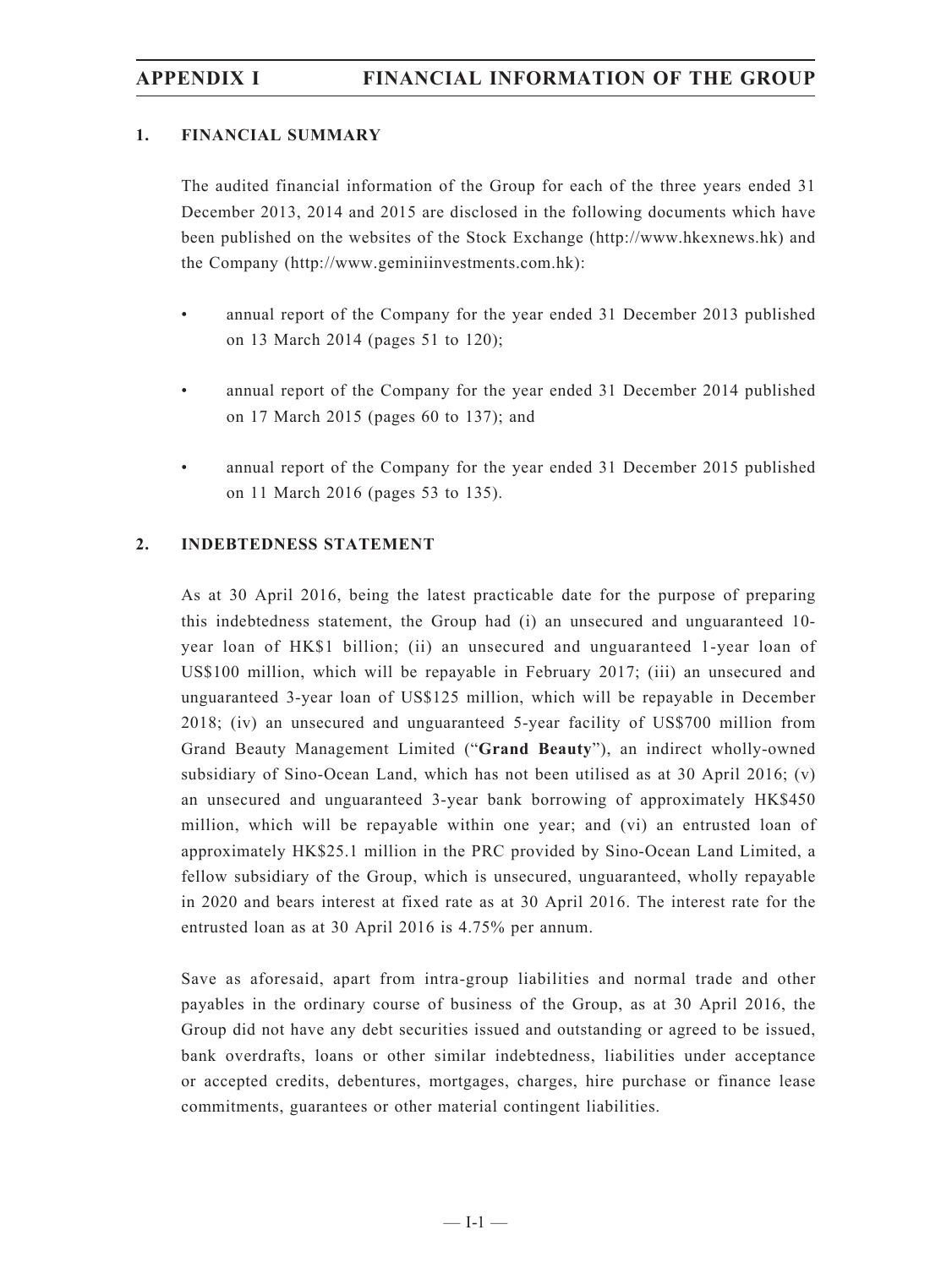### **1. FINANCIAL SUMMARY**

The audited financial information of the Group for each of the three years ended 31 December 2013, 2014 and 2015 are disclosed in the following documents which have been published on the websites of the Stock Exchange (http://www.hkexnews.hk) and the Company (http://www.geminiinvestments.com.hk):

- annual report of the Company for the year ended 31 December 2013 published on 13 March 2014 (pages 51 to 120);
- annual report of the Company for the year ended 31 December 2014 published on 17 March 2015 (pages 60 to 137); and
- annual report of the Company for the year ended 31 December 2015 published on 11 March 2016 (pages 53 to 135).

### **2. INDEBTEDNESS STATEMENT**

As at 30 April 2016, being the latest practicable date for the purpose of preparing this indebtedness statement, the Group had (i) an unsecured and unguaranteed 10 year loan of HK\$1 billion; (ii) an unsecured and unguaranteed 1-year loan of US\$100 million, which will be repayable in February 2017; (iii) an unsecured and unguaranteed 3-year loan of US\$125 million, which will be repayable in December 2018; (iv) an unsecured and unguaranteed 5-year facility of US\$700 million from Grand Beauty Management Limited ("**Grand Beauty**"), an indirect wholly-owned subsidiary of Sino-Ocean Land, which has not been utilised as at 30 April 2016; (v) an unsecured and unguaranteed 3-year bank borrowing of approximately HK\$450 million, which will be repayable within one year; and (vi) an entrusted loan of approximately HK\$25.1 million in the PRC provided by Sino-Ocean Land Limited, a fellow subsidiary of the Group, which is unsecured, unguaranteed, wholly repayable in 2020 and bears interest at fixed rate as at 30 April 2016. The interest rate for the entrusted loan as at 30 April 2016 is 4.75% per annum.

Save as aforesaid, apart from intra-group liabilities and normal trade and other payables in the ordinary course of business of the Group, as at 30 April 2016, the Group did not have any debt securities issued and outstanding or agreed to be issued, bank overdrafts, loans or other similar indebtedness, liabilities under acceptance or accepted credits, debentures, mortgages, charges, hire purchase or finance lease commitments, guarantees or other material contingent liabilities.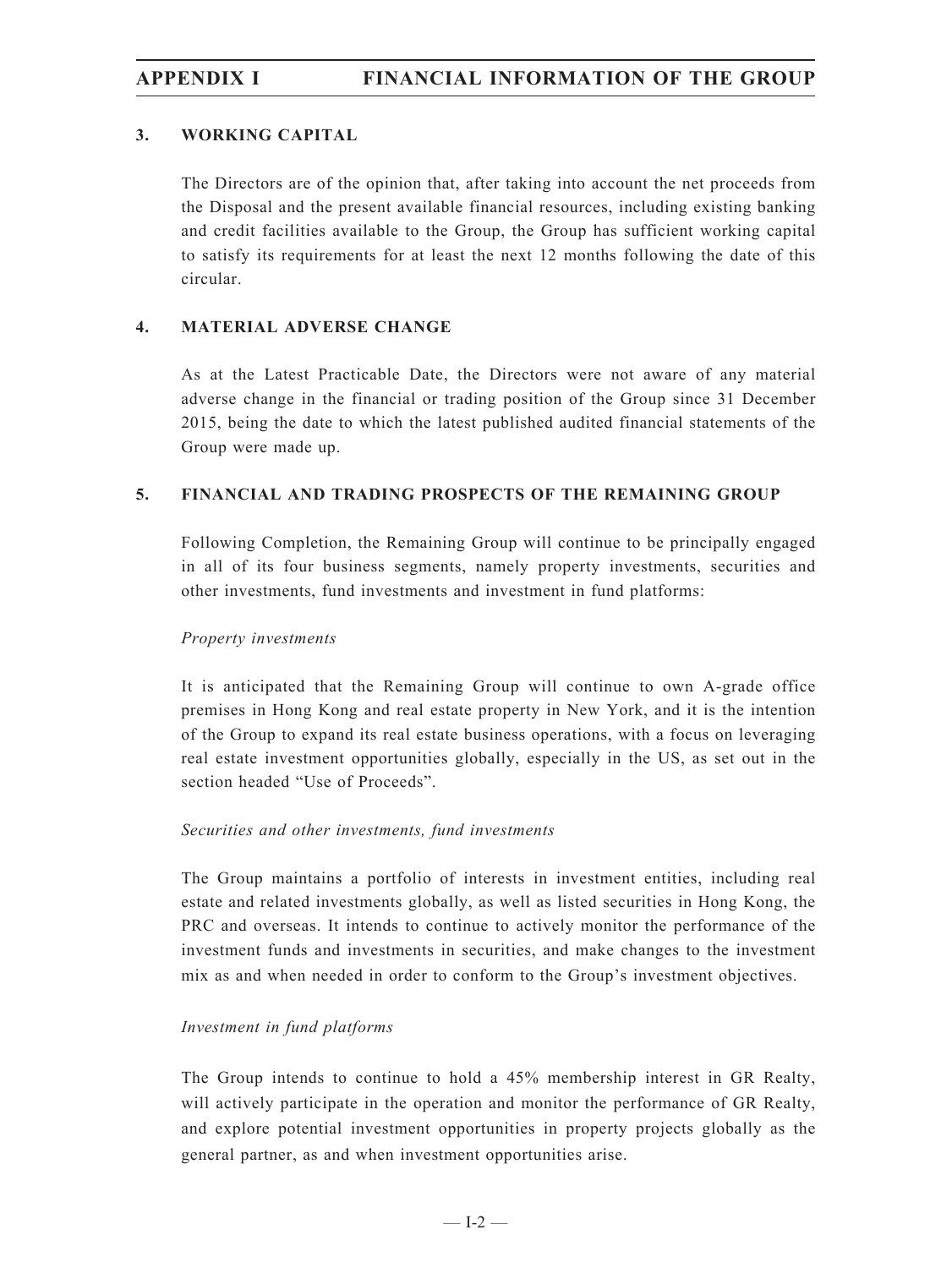### **3. WORKING CAPITAL**

The Directors are of the opinion that, after taking into account the net proceeds from the Disposal and the present available financial resources, including existing banking and credit facilities available to the Group, the Group has sufficient working capital to satisfy its requirements for at least the next 12 months following the date of this circular.

### **4. MATERIAL ADVERSE CHANGE**

As at the Latest Practicable Date, the Directors were not aware of any material adverse change in the financial or trading position of the Group since 31 December 2015, being the date to which the latest published audited financial statements of the Group were made up.

### **5. FINANCIAL AND TRADING PROSPECTS OF THE REMAINING GROUP**

Following Completion, the Remaining Group will continue to be principally engaged in all of its four business segments, namely property investments, securities and other investments, fund investments and investment in fund platforms:

### *Property investments*

It is anticipated that the Remaining Group will continue to own A-grade office premises in Hong Kong and real estate property in New York, and it is the intention of the Group to expand its real estate business operations, with a focus on leveraging real estate investment opportunities globally, especially in the US, as set out in the section headed "Use of Proceeds".

### *Securities and other investments, fund investments*

The Group maintains a portfolio of interests in investment entities, including real estate and related investments globally, as well as listed securities in Hong Kong, the PRC and overseas. It intends to continue to actively monitor the performance of the investment funds and investments in securities, and make changes to the investment mix as and when needed in order to conform to the Group's investment objectives.

### *Investment in fund platforms*

The Group intends to continue to hold a 45% membership interest in GR Realty, will actively participate in the operation and monitor the performance of GR Realty, and explore potential investment opportunities in property projects globally as the general partner, as and when investment opportunities arise.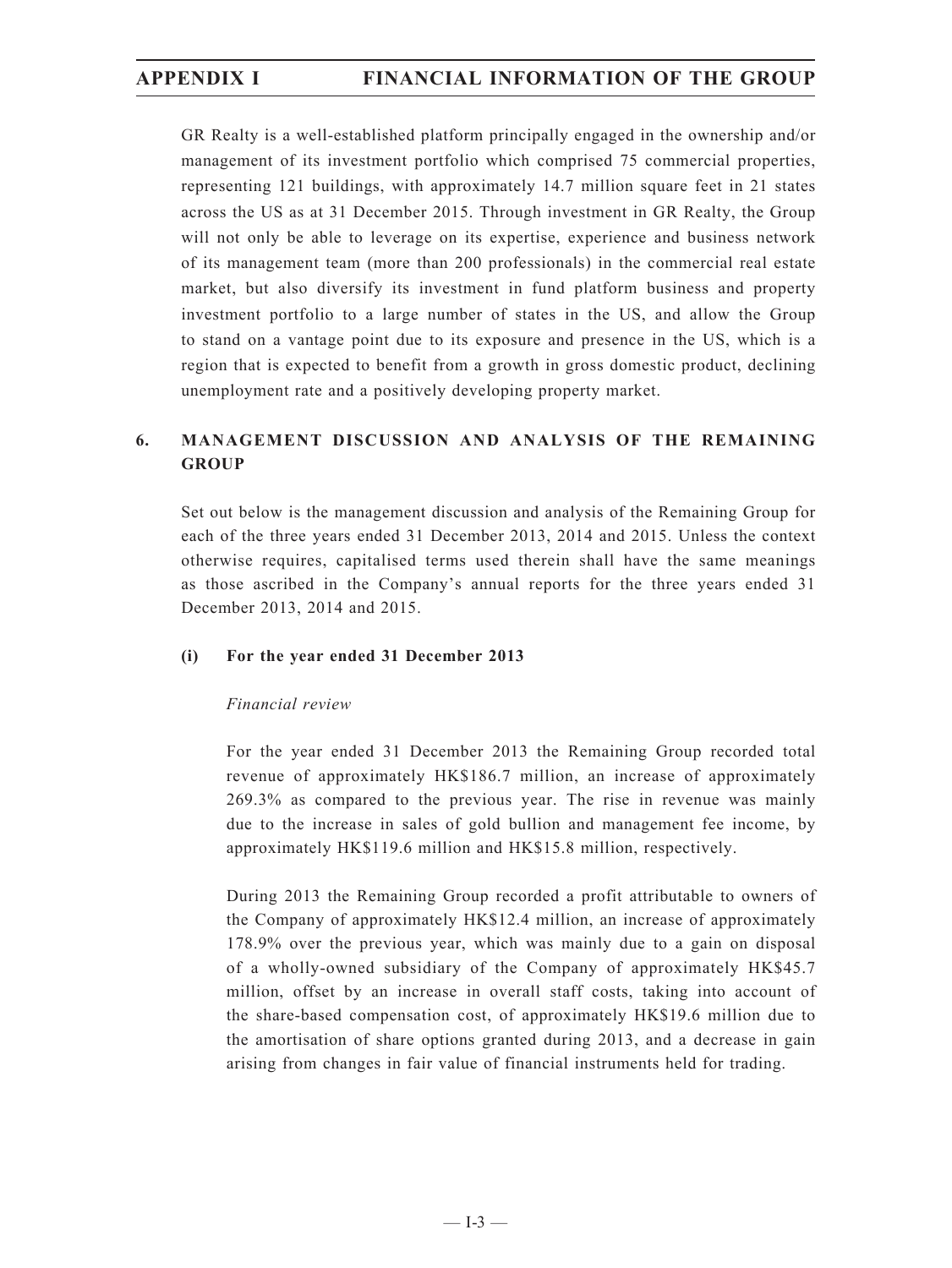GR Realty is a well-established platform principally engaged in the ownership and/or management of its investment portfolio which comprised 75 commercial properties, representing 121 buildings, with approximately 14.7 million square feet in 21 states across the US as at 31 December 2015. Through investment in GR Realty, the Group will not only be able to leverage on its expertise, experience and business network of its management team (more than 200 professionals) in the commercial real estate market, but also diversify its investment in fund platform business and property investment portfolio to a large number of states in the US, and allow the Group to stand on a vantage point due to its exposure and presence in the US, which is a region that is expected to benefit from a growth in gross domestic product, declining unemployment rate and a positively developing property market.

### **6. MANAGEMENT DISCUSSION AND ANALYSIS OF THE REMAINING GROUP**

Set out below is the management discussion and analysis of the Remaining Group for each of the three years ended 31 December 2013, 2014 and 2015. Unless the context otherwise requires, capitalised terms used therein shall have the same meanings as those ascribed in the Company's annual reports for the three years ended 31 December 2013, 2014 and 2015.

### **(i) For the year ended 31 December 2013**

### *Financial review*

For the year ended 31 December 2013 the Remaining Group recorded total revenue of approximately HK\$186.7 million, an increase of approximately 269.3% as compared to the previous year. The rise in revenue was mainly due to the increase in sales of gold bullion and management fee income, by approximately HK\$119.6 million and HK\$15.8 million, respectively.

During 2013 the Remaining Group recorded a profit attributable to owners of the Company of approximately HK\$12.4 million, an increase of approximately 178.9% over the previous year, which was mainly due to a gain on disposal of a wholly-owned subsidiary of the Company of approximately HK\$45.7 million, offset by an increase in overall staff costs, taking into account of the share-based compensation cost, of approximately HK\$19.6 million due to the amortisation of share options granted during 2013, and a decrease in gain arising from changes in fair value of financial instruments held for trading.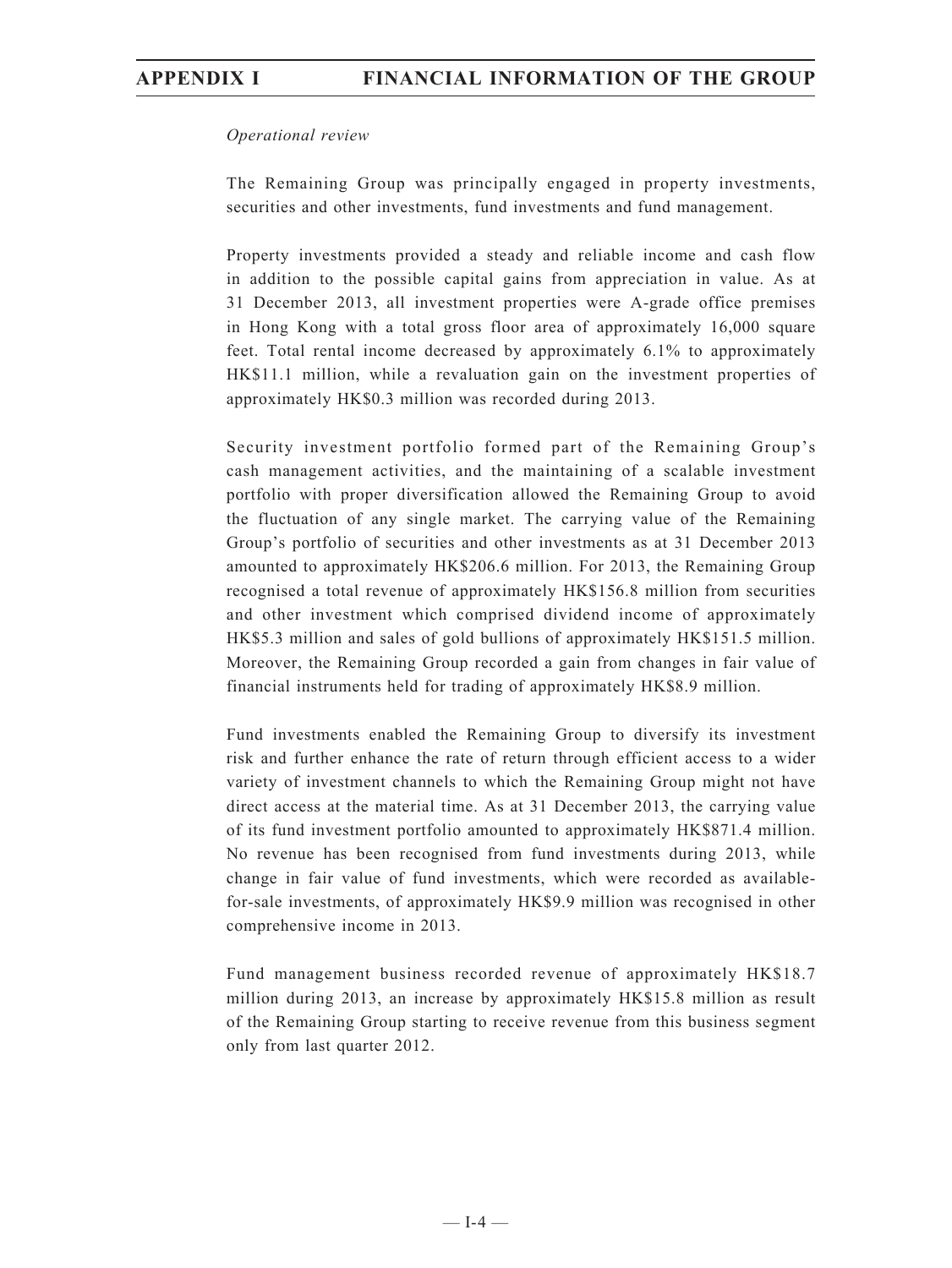### *Operational review*

The Remaining Group was principally engaged in property investments, securities and other investments, fund investments and fund management.

Property investments provided a steady and reliable income and cash flow in addition to the possible capital gains from appreciation in value. As at 31 December 2013, all investment properties were A-grade office premises in Hong Kong with a total gross floor area of approximately 16,000 square feet. Total rental income decreased by approximately 6.1% to approximately HK\$11.1 million, while a revaluation gain on the investment properties of approximately HK\$0.3 million was recorded during 2013.

Security investment portfolio formed part of the Remaining Group's cash management activities, and the maintaining of a scalable investment portfolio with proper diversification allowed the Remaining Group to avoid the fluctuation of any single market. The carrying value of the Remaining Group's portfolio of securities and other investments as at 31 December 2013 amounted to approximately HK\$206.6 million. For 2013, the Remaining Group recognised a total revenue of approximately HK\$156.8 million from securities and other investment which comprised dividend income of approximately HK\$5.3 million and sales of gold bullions of approximately HK\$151.5 million. Moreover, the Remaining Group recorded a gain from changes in fair value of financial instruments held for trading of approximately HK\$8.9 million.

Fund investments enabled the Remaining Group to diversify its investment risk and further enhance the rate of return through efficient access to a wider variety of investment channels to which the Remaining Group might not have direct access at the material time. As at 31 December 2013, the carrying value of its fund investment portfolio amounted to approximately HK\$871.4 million. No revenue has been recognised from fund investments during 2013, while change in fair value of fund investments, which were recorded as availablefor-sale investments, of approximately HK\$9.9 million was recognised in other comprehensive income in 2013.

Fund management business recorded revenue of approximately HK\$18.7 million during 2013, an increase by approximately HK\$15.8 million as result of the Remaining Group starting to receive revenue from this business segment only from last quarter 2012.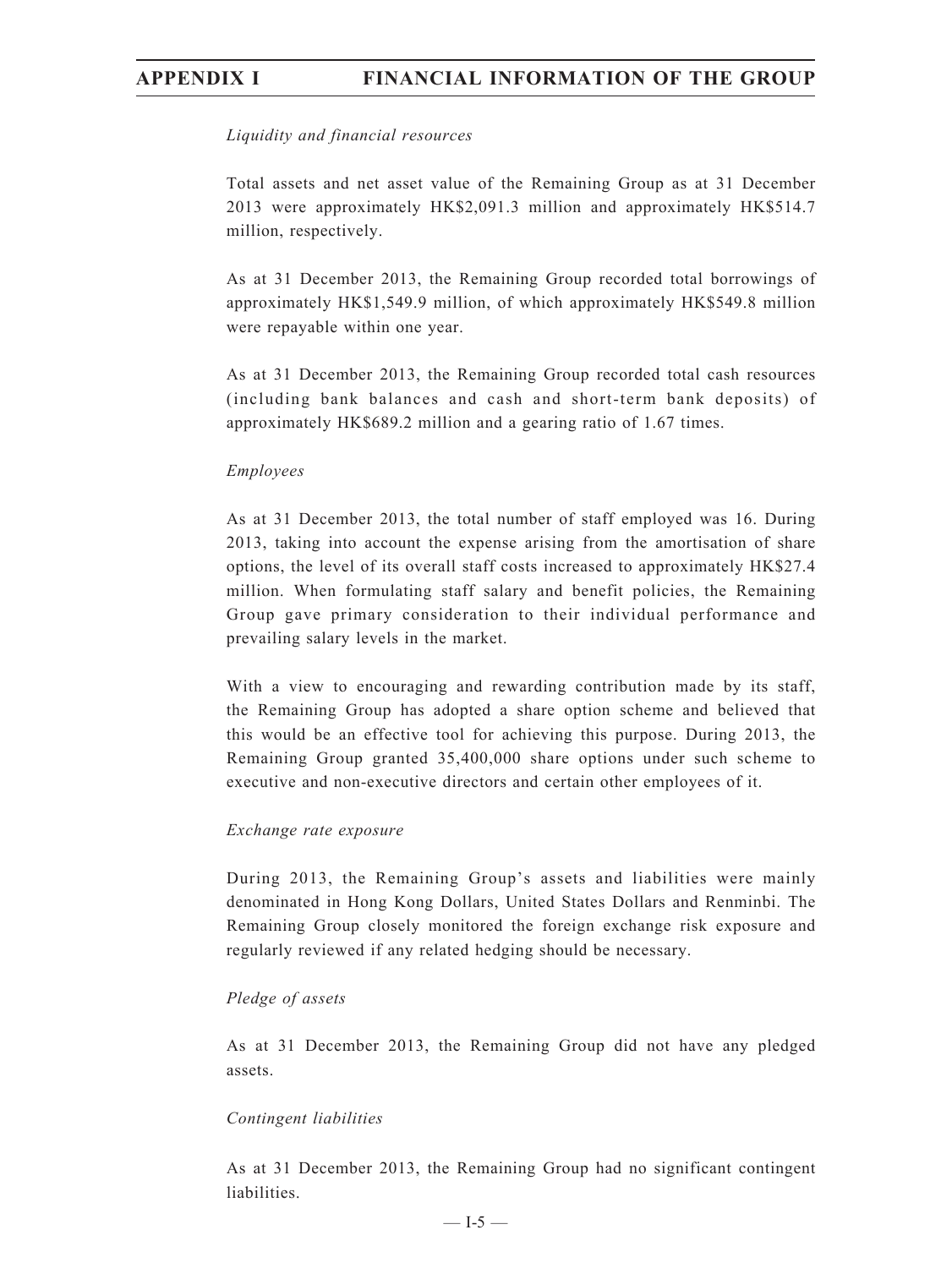### *Liquidity and financial resources*

Total assets and net asset value of the Remaining Group as at 31 December 2013 were approximately HK\$2,091.3 million and approximately HK\$514.7 million, respectively.

As at 31 December 2013, the Remaining Group recorded total borrowings of approximately HK\$1,549.9 million, of which approximately HK\$549.8 million were repayable within one year.

As at 31 December 2013, the Remaining Group recorded total cash resources (including bank balances and cash and short-term bank deposits) of approximately HK\$689.2 million and a gearing ratio of 1.67 times.

### *Employees*

As at 31 December 2013, the total number of staff employed was 16. During 2013, taking into account the expense arising from the amortisation of share options, the level of its overall staff costs increased to approximately HK\$27.4 million. When formulating staff salary and benefit policies, the Remaining Group gave primary consideration to their individual performance and prevailing salary levels in the market.

With a view to encouraging and rewarding contribution made by its staff, the Remaining Group has adopted a share option scheme and believed that this would be an effective tool for achieving this purpose. During 2013, the Remaining Group granted 35,400,000 share options under such scheme to executive and non-executive directors and certain other employees of it.

### *Exchange rate exposure*

During 2013, the Remaining Group's assets and liabilities were mainly denominated in Hong Kong Dollars, United States Dollars and Renminbi. The Remaining Group closely monitored the foreign exchange risk exposure and regularly reviewed if any related hedging should be necessary.

### *Pledge of assets*

As at 31 December 2013, the Remaining Group did not have any pledged assets.

### *Contingent liabilities*

As at 31 December 2013, the Remaining Group had no significant contingent liabilities.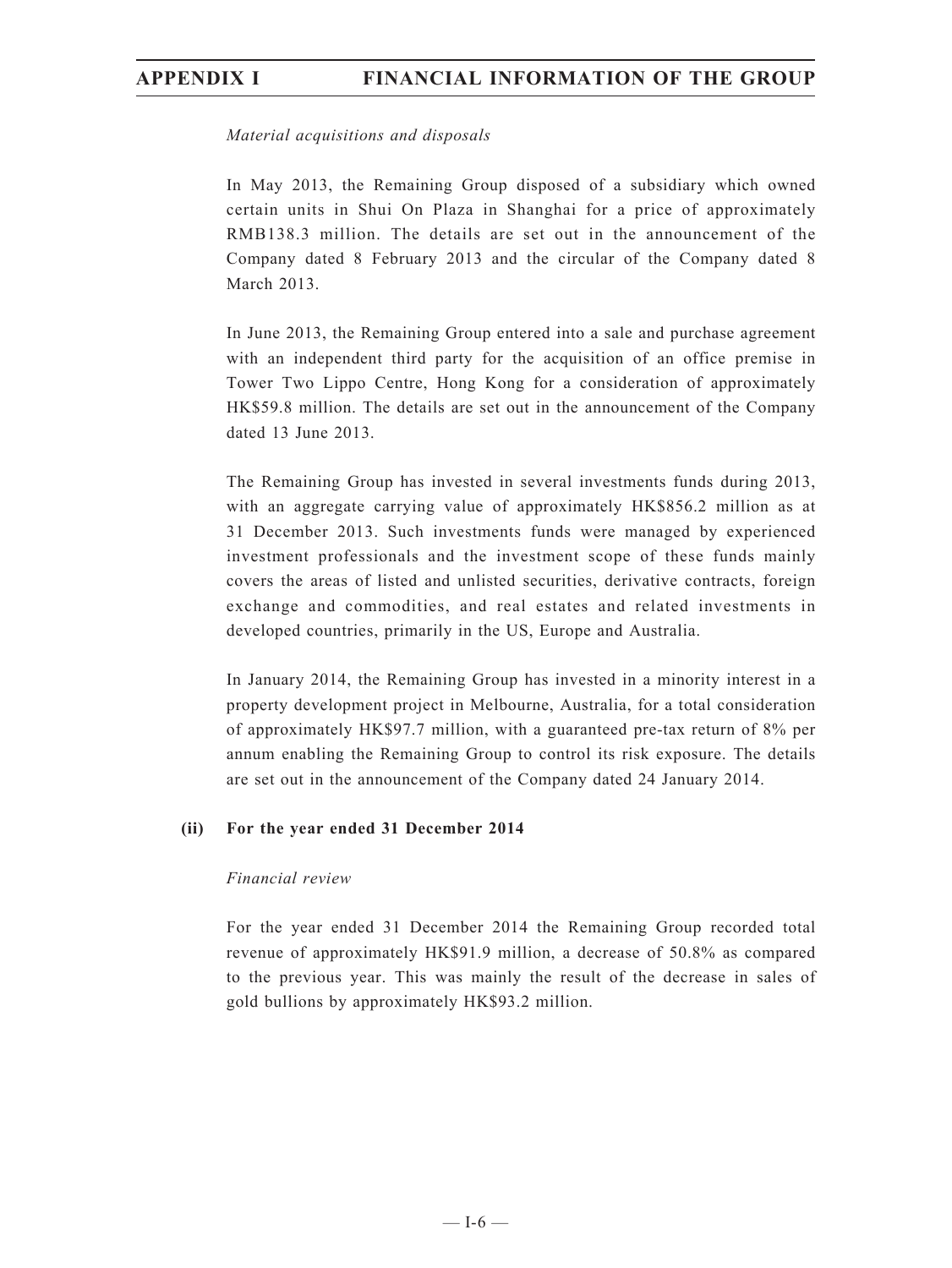### *Material acquisitions and disposals*

In May 2013, the Remaining Group disposed of a subsidiary which owned certain units in Shui On Plaza in Shanghai for a price of approximately RMB138.3 million. The details are set out in the announcement of the Company dated 8 February 2013 and the circular of the Company dated 8 March 2013.

In June 2013, the Remaining Group entered into a sale and purchase agreement with an independent third party for the acquisition of an office premise in Tower Two Lippo Centre, Hong Kong for a consideration of approximately HK\$59.8 million. The details are set out in the announcement of the Company dated 13 June 2013.

The Remaining Group has invested in several investments funds during 2013, with an aggregate carrying value of approximately HK\$856.2 million as at 31 December 2013. Such investments funds were managed by experienced investment professionals and the investment scope of these funds mainly covers the areas of listed and unlisted securities, derivative contracts, foreign exchange and commodities, and real estates and related investments in developed countries, primarily in the US, Europe and Australia.

In January 2014, the Remaining Group has invested in a minority interest in a property development project in Melbourne, Australia, for a total consideration of approximately HK\$97.7 million, with a guaranteed pre-tax return of 8% per annum enabling the Remaining Group to control its risk exposure. The details are set out in the announcement of the Company dated 24 January 2014.

### **(ii) For the year ended 31 December 2014**

### *Financial review*

For the year ended 31 December 2014 the Remaining Group recorded total revenue of approximately HK\$91.9 million, a decrease of 50.8% as compared to the previous year. This was mainly the result of the decrease in sales of gold bullions by approximately HK\$93.2 million.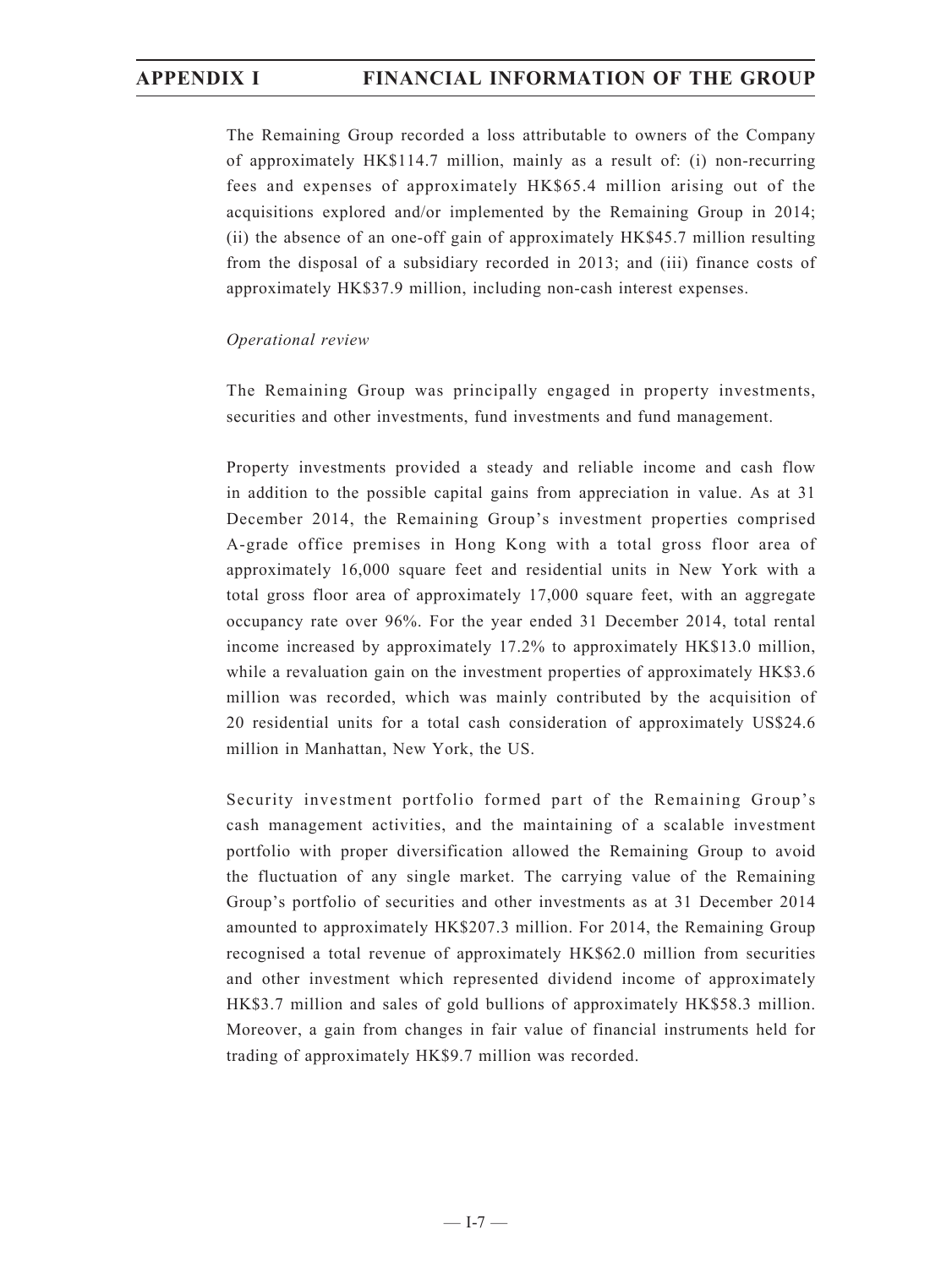The Remaining Group recorded a loss attributable to owners of the Company of approximately HK\$114.7 million, mainly as a result of: (i) non-recurring fees and expenses of approximately HK\$65.4 million arising out of the acquisitions explored and/or implemented by the Remaining Group in 2014; (ii) the absence of an one-off gain of approximately HK\$45.7 million resulting from the disposal of a subsidiary recorded in 2013; and (iii) finance costs of approximately HK\$37.9 million, including non-cash interest expenses.

### *Operational review*

The Remaining Group was principally engaged in property investments, securities and other investments, fund investments and fund management.

Property investments provided a steady and reliable income and cash flow in addition to the possible capital gains from appreciation in value. As at 31 December 2014, the Remaining Group's investment properties comprised A-grade office premises in Hong Kong with a total gross floor area of approximately 16,000 square feet and residential units in New York with a total gross floor area of approximately 17,000 square feet, with an aggregate occupancy rate over 96%. For the year ended 31 December 2014, total rental income increased by approximately 17.2% to approximately HK\$13.0 million, while a revaluation gain on the investment properties of approximately HK\$3.6 million was recorded, which was mainly contributed by the acquisition of 20 residential units for a total cash consideration of approximately US\$24.6 million in Manhattan, New York, the US.

Security investment portfolio formed part of the Remaining Group's cash management activities, and the maintaining of a scalable investment portfolio with proper diversification allowed the Remaining Group to avoid the fluctuation of any single market. The carrying value of the Remaining Group's portfolio of securities and other investments as at 31 December 2014 amounted to approximately HK\$207.3 million. For 2014, the Remaining Group recognised a total revenue of approximately HK\$62.0 million from securities and other investment which represented dividend income of approximately HK\$3.7 million and sales of gold bullions of approximately HK\$58.3 million. Moreover, a gain from changes in fair value of financial instruments held for trading of approximately HK\$9.7 million was recorded.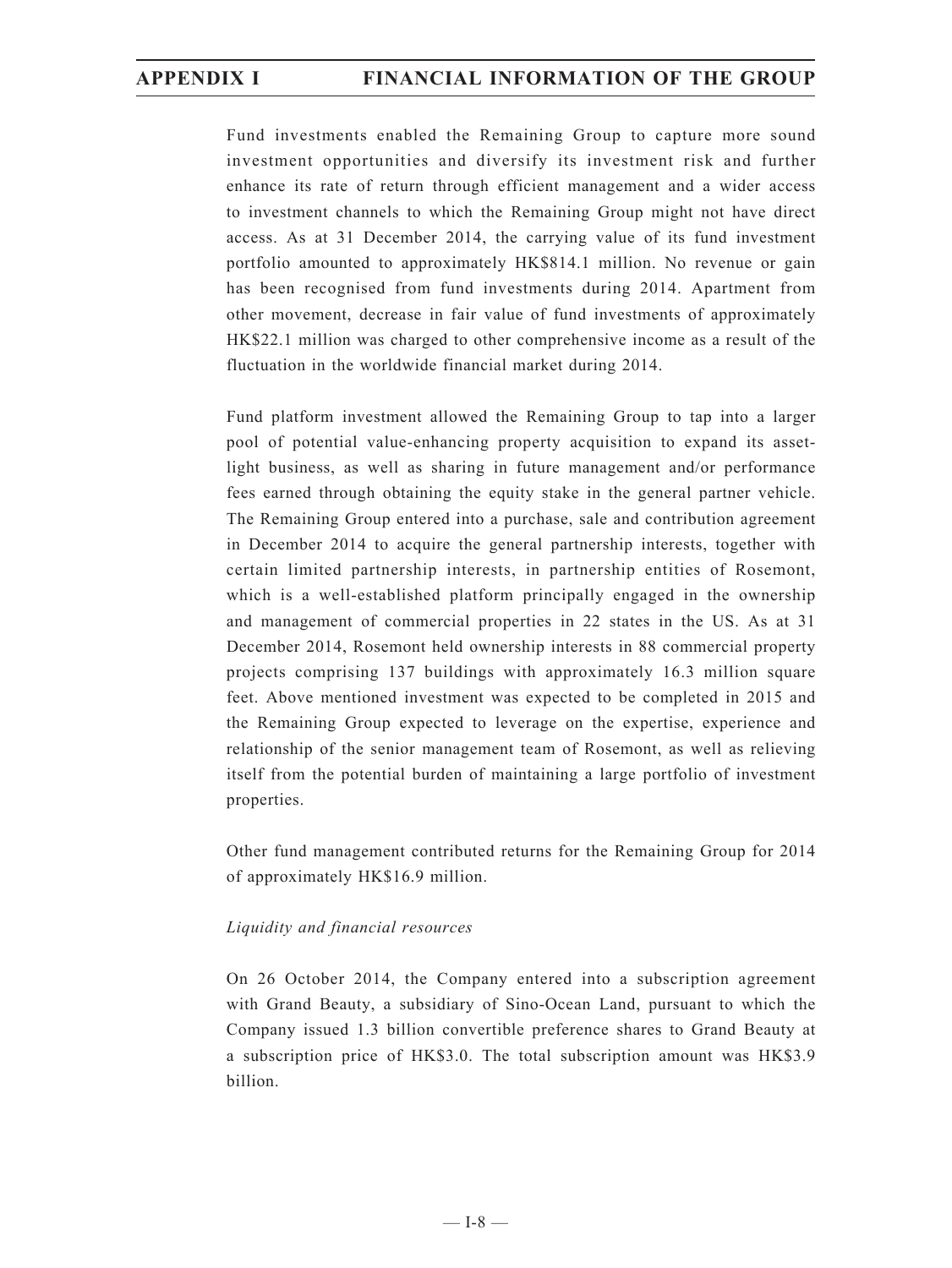Fund investments enabled the Remaining Group to capture more sound investment opportunities and diversify its investment risk and further enhance its rate of return through efficient management and a wider access to investment channels to which the Remaining Group might not have direct access. As at 31 December 2014, the carrying value of its fund investment portfolio amounted to approximately HK\$814.1 million. No revenue or gain has been recognised from fund investments during 2014. Apartment from other movement, decrease in fair value of fund investments of approximately HK\$22.1 million was charged to other comprehensive income as a result of the fluctuation in the worldwide financial market during 2014.

Fund platform investment allowed the Remaining Group to tap into a larger pool of potential value-enhancing property acquisition to expand its assetlight business, as well as sharing in future management and/or performance fees earned through obtaining the equity stake in the general partner vehicle. The Remaining Group entered into a purchase, sale and contribution agreement in December 2014 to acquire the general partnership interests, together with certain limited partnership interests, in partnership entities of Rosemont, which is a well-established platform principally engaged in the ownership and management of commercial properties in 22 states in the US. As at 31 December 2014, Rosemont held ownership interests in 88 commercial property projects comprising 137 buildings with approximately 16.3 million square feet. Above mentioned investment was expected to be completed in 2015 and the Remaining Group expected to leverage on the expertise, experience and relationship of the senior management team of Rosemont, as well as relieving itself from the potential burden of maintaining a large portfolio of investment properties.

Other fund management contributed returns for the Remaining Group for 2014 of approximately HK\$16.9 million.

### *Liquidity and financial resources*

On 26 October 2014, the Company entered into a subscription agreement with Grand Beauty, a subsidiary of Sino-Ocean Land, pursuant to which the Company issued 1.3 billion convertible preference shares to Grand Beauty at a subscription price of HK\$3.0. The total subscription amount was HK\$3.9 billion.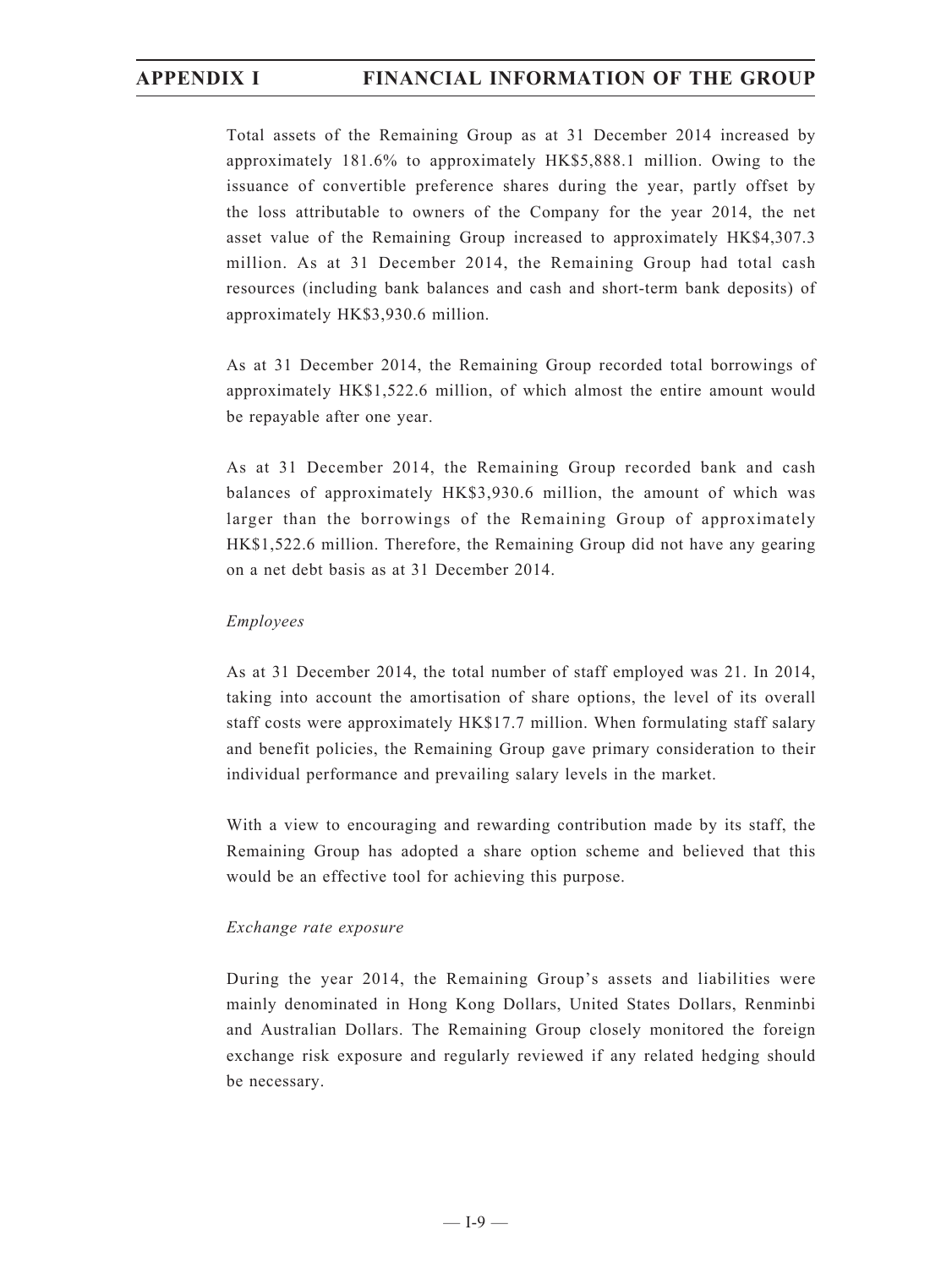Total assets of the Remaining Group as at 31 December 2014 increased by approximately 181.6% to approximately HK\$5,888.1 million. Owing to the issuance of convertible preference shares during the year, partly offset by the loss attributable to owners of the Company for the year 2014, the net asset value of the Remaining Group increased to approximately HK\$4,307.3 million. As at 31 December 2014, the Remaining Group had total cash resources (including bank balances and cash and short-term bank deposits) of approximately HK\$3,930.6 million.

As at 31 December 2014, the Remaining Group recorded total borrowings of approximately HK\$1,522.6 million, of which almost the entire amount would be repayable after one year.

As at 31 December 2014, the Remaining Group recorded bank and cash balances of approximately HK\$3,930.6 million, the amount of which was larger than the borrowings of the Remaining Group of approximately HK\$1,522.6 million. Therefore, the Remaining Group did not have any gearing on a net debt basis as at 31 December 2014.

### *Employees*

As at 31 December 2014, the total number of staff employed was 21. In 2014, taking into account the amortisation of share options, the level of its overall staff costs were approximately HK\$17.7 million. When formulating staff salary and benefit policies, the Remaining Group gave primary consideration to their individual performance and prevailing salary levels in the market.

With a view to encouraging and rewarding contribution made by its staff, the Remaining Group has adopted a share option scheme and believed that this would be an effective tool for achieving this purpose.

### *Exchange rate exposure*

During the year 2014, the Remaining Group's assets and liabilities were mainly denominated in Hong Kong Dollars, United States Dollars, Renminbi and Australian Dollars. The Remaining Group closely monitored the foreign exchange risk exposure and regularly reviewed if any related hedging should be necessary.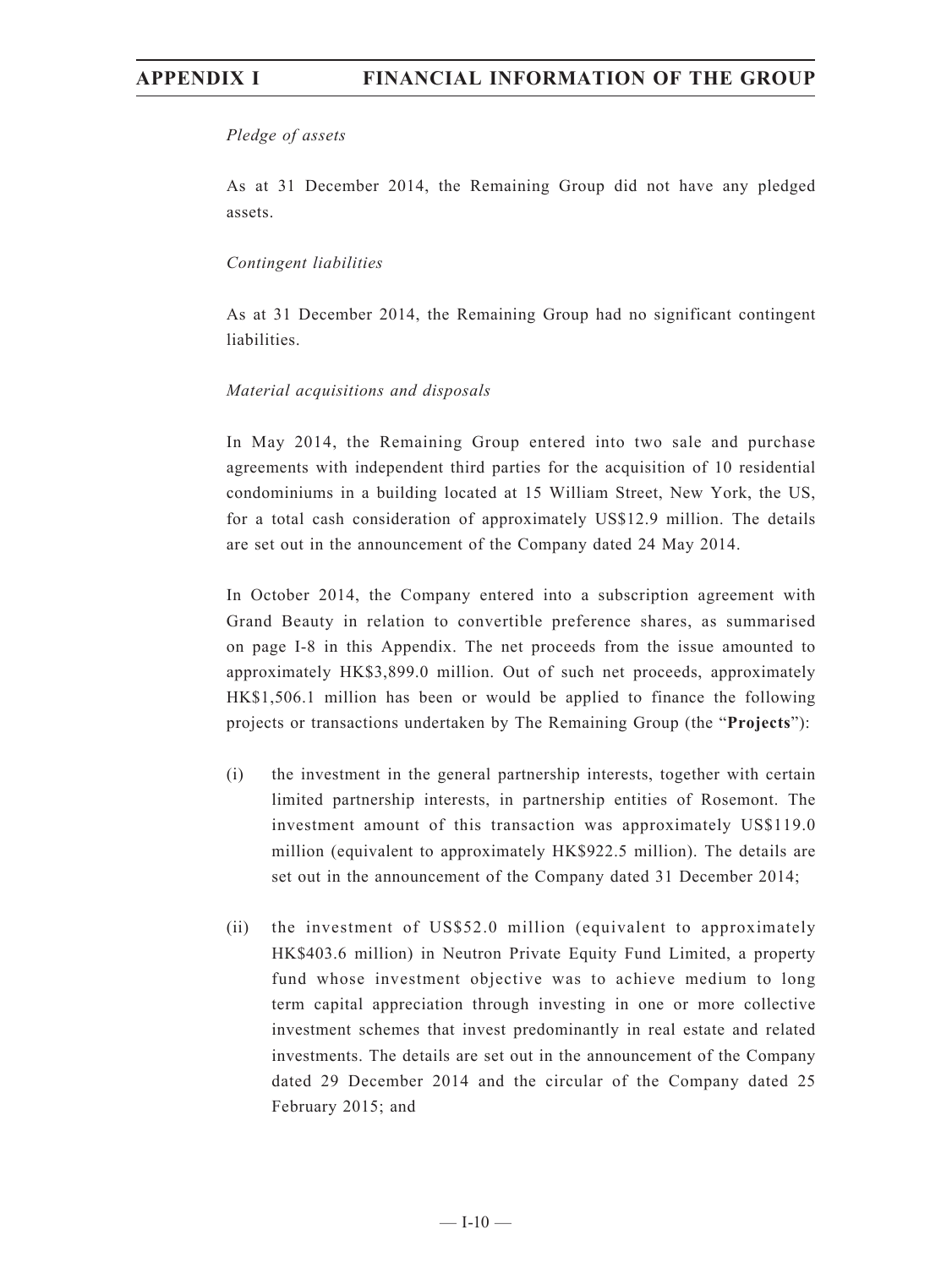### *Pledge of assets*

As at 31 December 2014, the Remaining Group did not have any pledged assets.

### *Contingent liabilities*

As at 31 December 2014, the Remaining Group had no significant contingent liabilities.

### *Material acquisitions and disposals*

In May 2014, the Remaining Group entered into two sale and purchase agreements with independent third parties for the acquisition of 10 residential condominiums in a building located at 15 William Street, New York, the US, for a total cash consideration of approximately US\$12.9 million. The details are set out in the announcement of the Company dated 24 May 2014.

In October 2014, the Company entered into a subscription agreement with Grand Beauty in relation to convertible preference shares, as summarised on page I-8 in this Appendix. The net proceeds from the issue amounted to approximately HK\$3,899.0 million. Out of such net proceeds, approximately HK\$1,506.1 million has been or would be applied to finance the following projects or transactions undertaken by The Remaining Group (the "**Projects**"):

- (i) the investment in the general partnership interests, together with certain limited partnership interests, in partnership entities of Rosemont. The investment amount of this transaction was approximately US\$119.0 million (equivalent to approximately HK\$922.5 million). The details are set out in the announcement of the Company dated 31 December 2014;
- (ii) the investment of US\$52.0 million (equivalent to approximately HK\$403.6 million) in Neutron Private Equity Fund Limited, a property fund whose investment objective was to achieve medium to long term capital appreciation through investing in one or more collective investment schemes that invest predominantly in real estate and related investments. The details are set out in the announcement of the Company dated 29 December 2014 and the circular of the Company dated 25 February 2015; and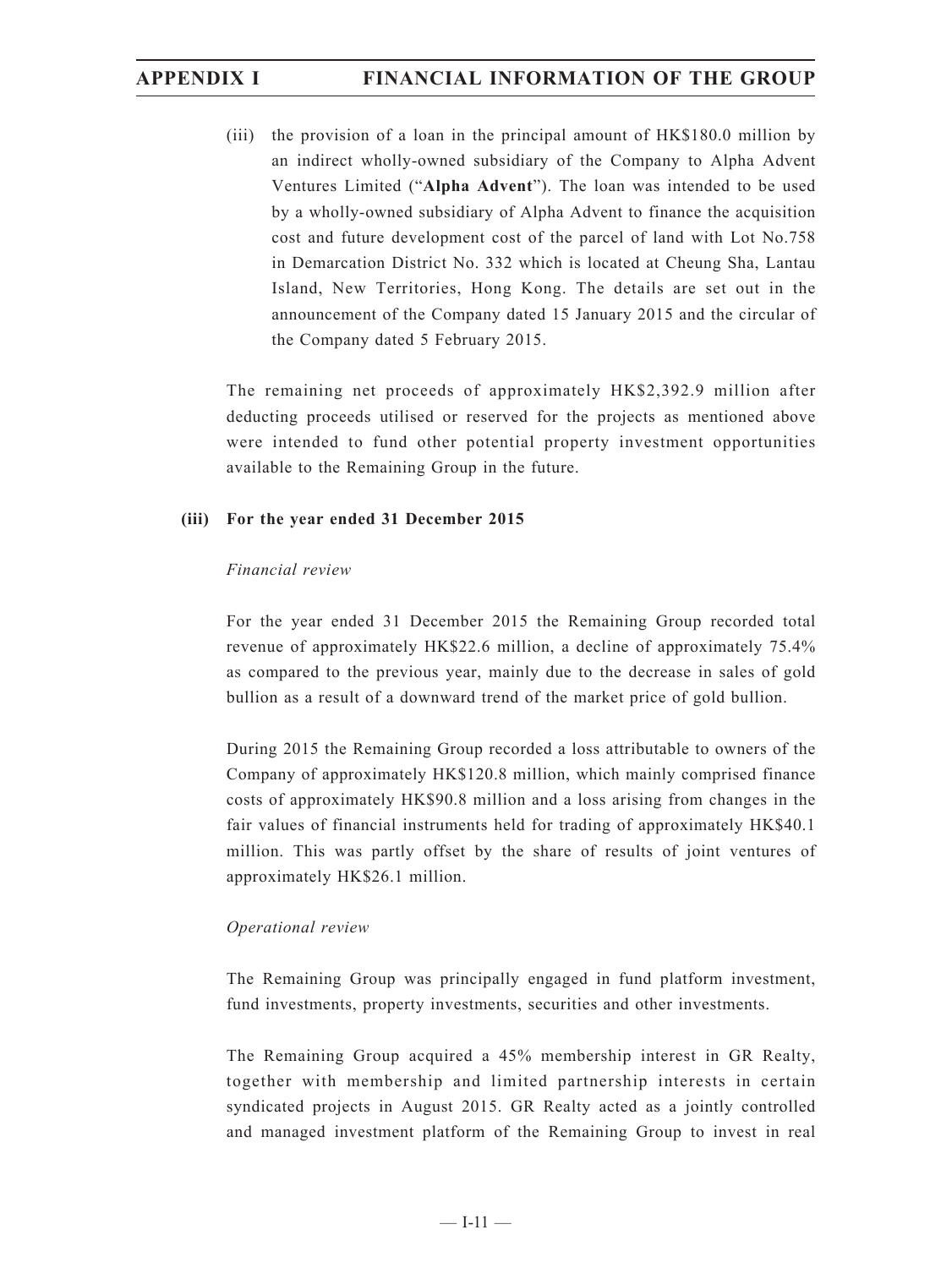(iii) the provision of a loan in the principal amount of HK\$180.0 million by an indirect wholly-owned subsidiary of the Company to Alpha Advent Ventures Limited ("**Alpha Advent**"). The loan was intended to be used by a wholly-owned subsidiary of Alpha Advent to finance the acquisition cost and future development cost of the parcel of land with Lot No.758 in Demarcation District No. 332 which is located at Cheung Sha, Lantau Island, New Territories, Hong Kong. The details are set out in the announcement of the Company dated 15 January 2015 and the circular of the Company dated 5 February 2015.

The remaining net proceeds of approximately HK\$2,392.9 million after deducting proceeds utilised or reserved for the projects as mentioned above were intended to fund other potential property investment opportunities available to the Remaining Group in the future.

### **(iii) For the year ended 31 December 2015**

### *Financial review*

For the year ended 31 December 2015 the Remaining Group recorded total revenue of approximately HK\$22.6 million, a decline of approximately 75.4% as compared to the previous year, mainly due to the decrease in sales of gold bullion as a result of a downward trend of the market price of gold bullion.

During 2015 the Remaining Group recorded a loss attributable to owners of the Company of approximately HK\$120.8 million, which mainly comprised finance costs of approximately HK\$90.8 million and a loss arising from changes in the fair values of financial instruments held for trading of approximately HK\$40.1 million. This was partly offset by the share of results of joint ventures of approximately HK\$26.1 million.

### *Operational review*

The Remaining Group was principally engaged in fund platform investment, fund investments, property investments, securities and other investments.

The Remaining Group acquired a 45% membership interest in GR Realty, together with membership and limited partnership interests in certain syndicated projects in August 2015. GR Realty acted as a jointly controlled and managed investment platform of the Remaining Group to invest in real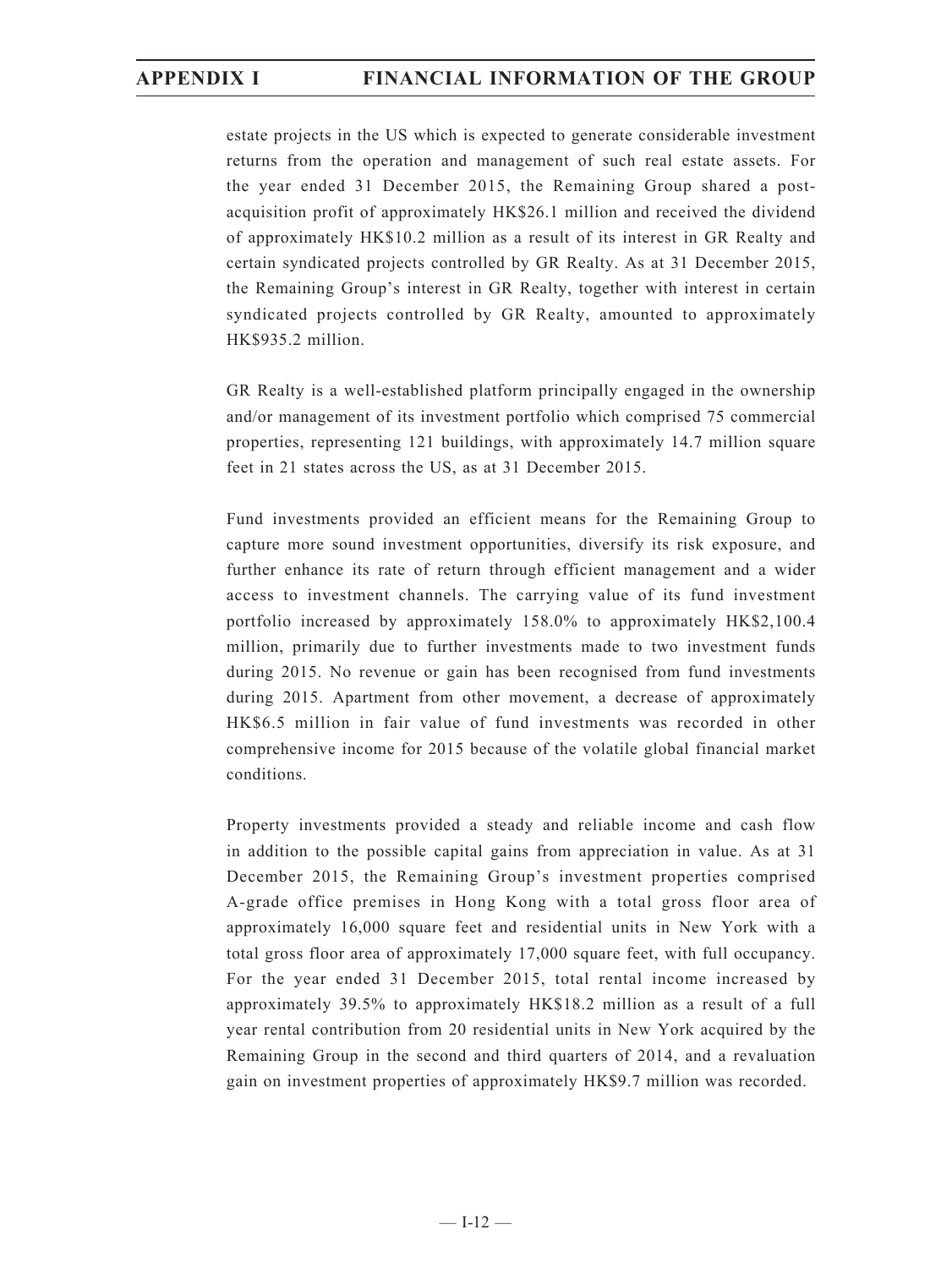estate projects in the US which is expected to generate considerable investment returns from the operation and management of such real estate assets. For the year ended 31 December 2015, the Remaining Group shared a postacquisition profit of approximately HK\$26.1 million and received the dividend of approximately HK\$10.2 million as a result of its interest in GR Realty and certain syndicated projects controlled by GR Realty. As at 31 December 2015, the Remaining Group's interest in GR Realty, together with interest in certain syndicated projects controlled by GR Realty, amounted to approximately HK\$935.2 million.

GR Realty is a well-established platform principally engaged in the ownership and/or management of its investment portfolio which comprised 75 commercial properties, representing 121 buildings, with approximately 14.7 million square feet in 21 states across the US, as at 31 December 2015.

Fund investments provided an efficient means for the Remaining Group to capture more sound investment opportunities, diversify its risk exposure, and further enhance its rate of return through efficient management and a wider access to investment channels. The carrying value of its fund investment portfolio increased by approximately 158.0% to approximately HK\$2,100.4 million, primarily due to further investments made to two investment funds during 2015. No revenue or gain has been recognised from fund investments during 2015. Apartment from other movement, a decrease of approximately HK\$6.5 million in fair value of fund investments was recorded in other comprehensive income for 2015 because of the volatile global financial market conditions.

Property investments provided a steady and reliable income and cash flow in addition to the possible capital gains from appreciation in value. As at 31 December 2015, the Remaining Group's investment properties comprised A-grade office premises in Hong Kong with a total gross floor area of approximately 16,000 square feet and residential units in New York with a total gross floor area of approximately 17,000 square feet, with full occupancy. For the year ended 31 December 2015, total rental income increased by approximately 39.5% to approximately HK\$18.2 million as a result of a full year rental contribution from 20 residential units in New York acquired by the Remaining Group in the second and third quarters of 2014, and a revaluation gain on investment properties of approximately HK\$9.7 million was recorded.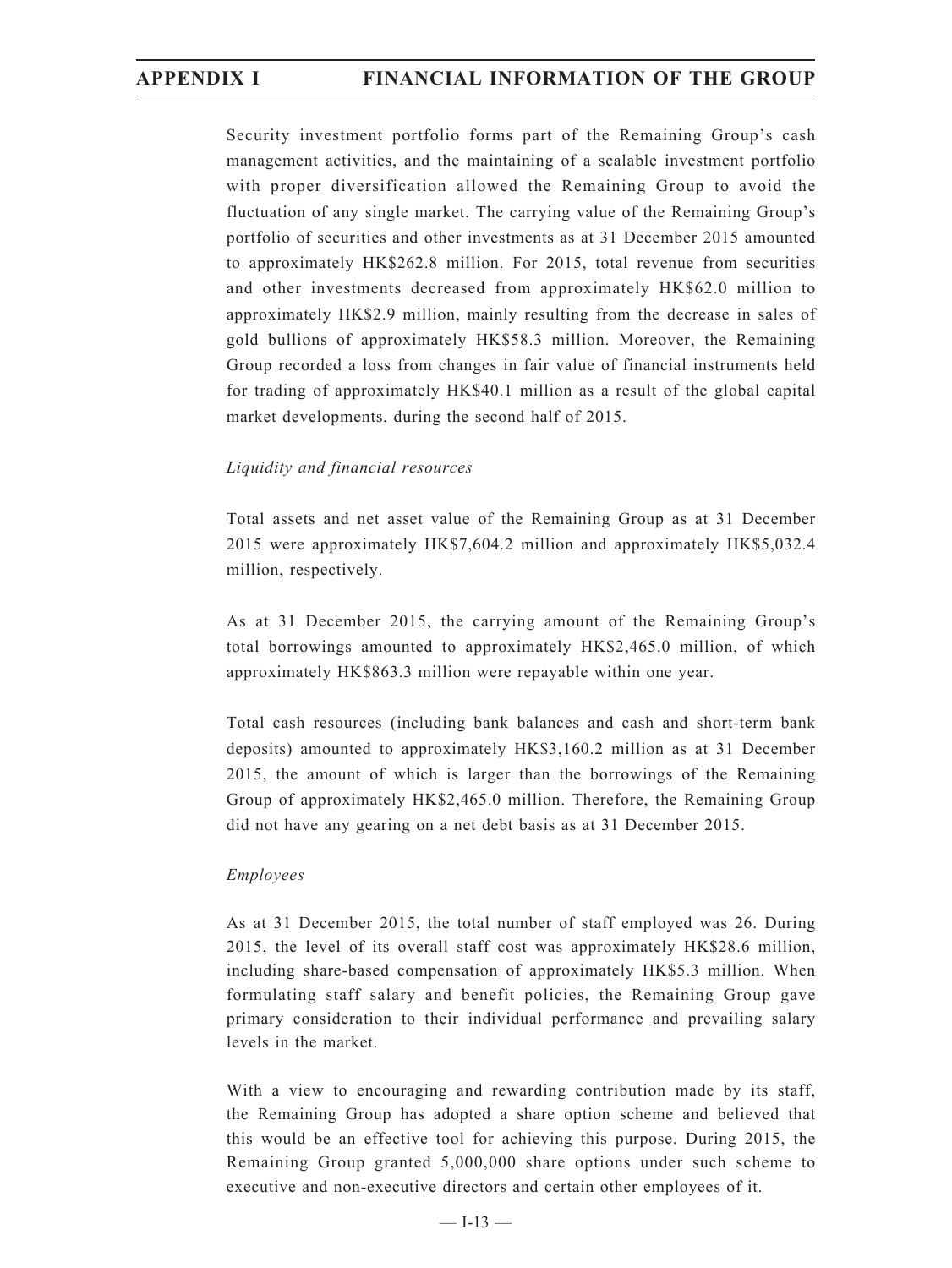Security investment portfolio forms part of the Remaining Group's cash management activities, and the maintaining of a scalable investment portfolio with proper diversification allowed the Remaining Group to avoid the fluctuation of any single market. The carrying value of the Remaining Group's portfolio of securities and other investments as at 31 December 2015 amounted to approximately HK\$262.8 million. For 2015, total revenue from securities and other investments decreased from approximately HK\$62.0 million to approximately HK\$2.9 million, mainly resulting from the decrease in sales of gold bullions of approximately HK\$58.3 million. Moreover, the Remaining Group recorded a loss from changes in fair value of financial instruments held for trading of approximately HK\$40.1 million as a result of the global capital market developments, during the second half of 2015.

### *Liquidity and financial resources*

Total assets and net asset value of the Remaining Group as at 31 December 2015 were approximately HK\$7,604.2 million and approximately HK\$5,032.4 million, respectively.

As at 31 December 2015, the carrying amount of the Remaining Group's total borrowings amounted to approximately HK\$2,465.0 million, of which approximately HK\$863.3 million were repayable within one year.

Total cash resources (including bank balances and cash and short-term bank deposits) amounted to approximately HK\$3,160.2 million as at 31 December 2015, the amount of which is larger than the borrowings of the Remaining Group of approximately HK\$2,465.0 million. Therefore, the Remaining Group did not have any gearing on a net debt basis as at 31 December 2015.

### *Employees*

As at 31 December 2015, the total number of staff employed was 26. During 2015, the level of its overall staff cost was approximately HK\$28.6 million, including share-based compensation of approximately HK\$5.3 million. When formulating staff salary and benefit policies, the Remaining Group gave primary consideration to their individual performance and prevailing salary levels in the market.

With a view to encouraging and rewarding contribution made by its staff, the Remaining Group has adopted a share option scheme and believed that this would be an effective tool for achieving this purpose. During 2015, the Remaining Group granted 5,000,000 share options under such scheme to executive and non-executive directors and certain other employees of it.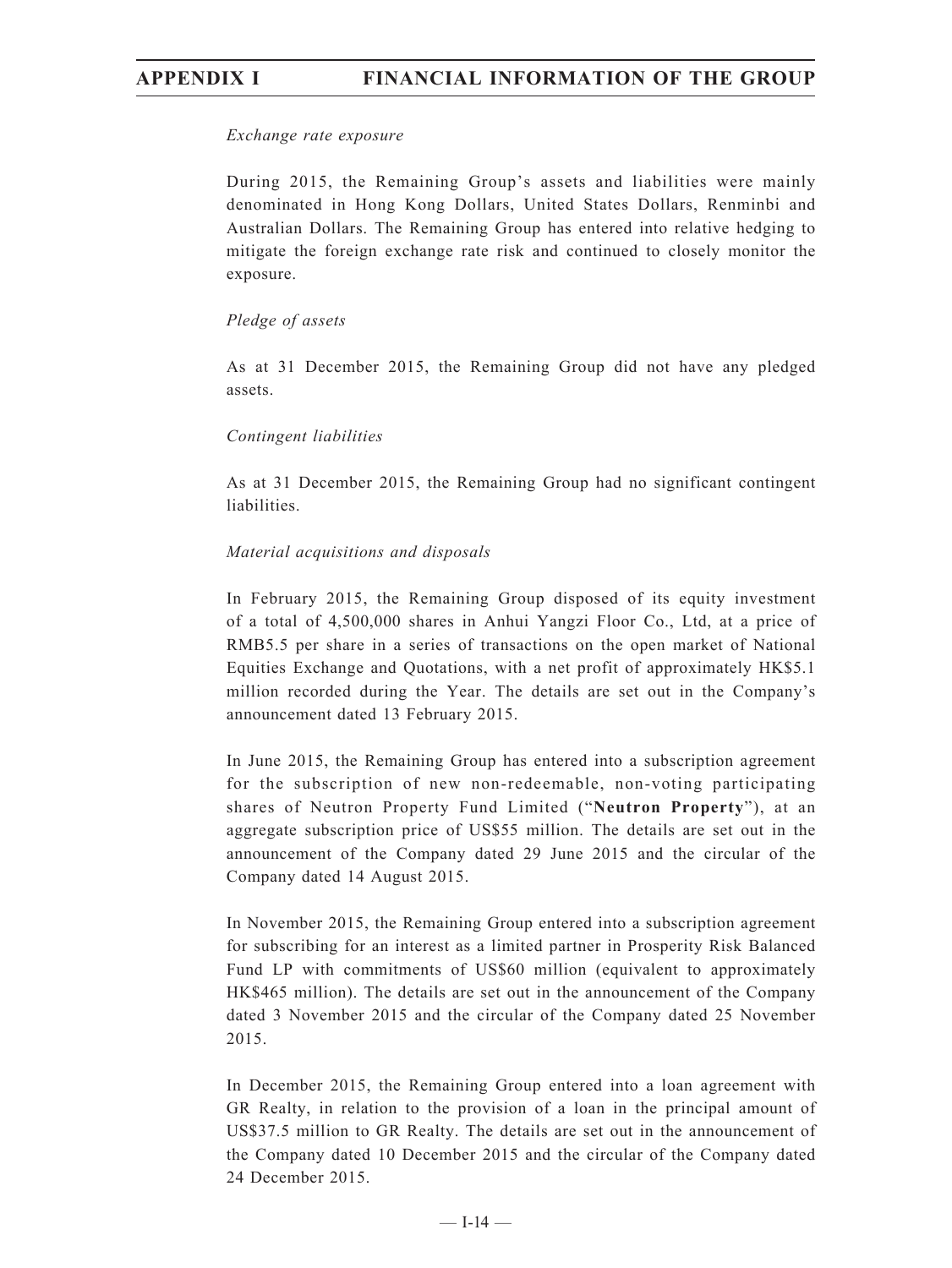### *Exchange rate exposure*

During 2015, the Remaining Group's assets and liabilities were mainly denominated in Hong Kong Dollars, United States Dollars, Renminbi and Australian Dollars. The Remaining Group has entered into relative hedging to mitigate the foreign exchange rate risk and continued to closely monitor the exposure.

### *Pledge of assets*

As at 31 December 2015, the Remaining Group did not have any pledged assets.

### *Contingent liabilities*

As at 31 December 2015, the Remaining Group had no significant contingent liabilities.

### *Material acquisitions and disposals*

In February 2015, the Remaining Group disposed of its equity investment of a total of 4,500,000 shares in Anhui Yangzi Floor Co., Ltd, at a price of RMB5.5 per share in a series of transactions on the open market of National Equities Exchange and Quotations, with a net profit of approximately HK\$5.1 million recorded during the Year. The details are set out in the Company's announcement dated 13 February 2015.

In June 2015, the Remaining Group has entered into a subscription agreement for the subscription of new non-redeemable, non-voting participating shares of Neutron Property Fund Limited ("**Neutron Property**"), at an aggregate subscription price of US\$55 million. The details are set out in the announcement of the Company dated 29 June 2015 and the circular of the Company dated 14 August 2015.

In November 2015, the Remaining Group entered into a subscription agreement for subscribing for an interest as a limited partner in Prosperity Risk Balanced Fund LP with commitments of US\$60 million (equivalent to approximately HK\$465 million). The details are set out in the announcement of the Company dated 3 November 2015 and the circular of the Company dated 25 November 2015.

In December 2015, the Remaining Group entered into a loan agreement with GR Realty, in relation to the provision of a loan in the principal amount of US\$37.5 million to GR Realty. The details are set out in the announcement of the Company dated 10 December 2015 and the circular of the Company dated 24 December 2015.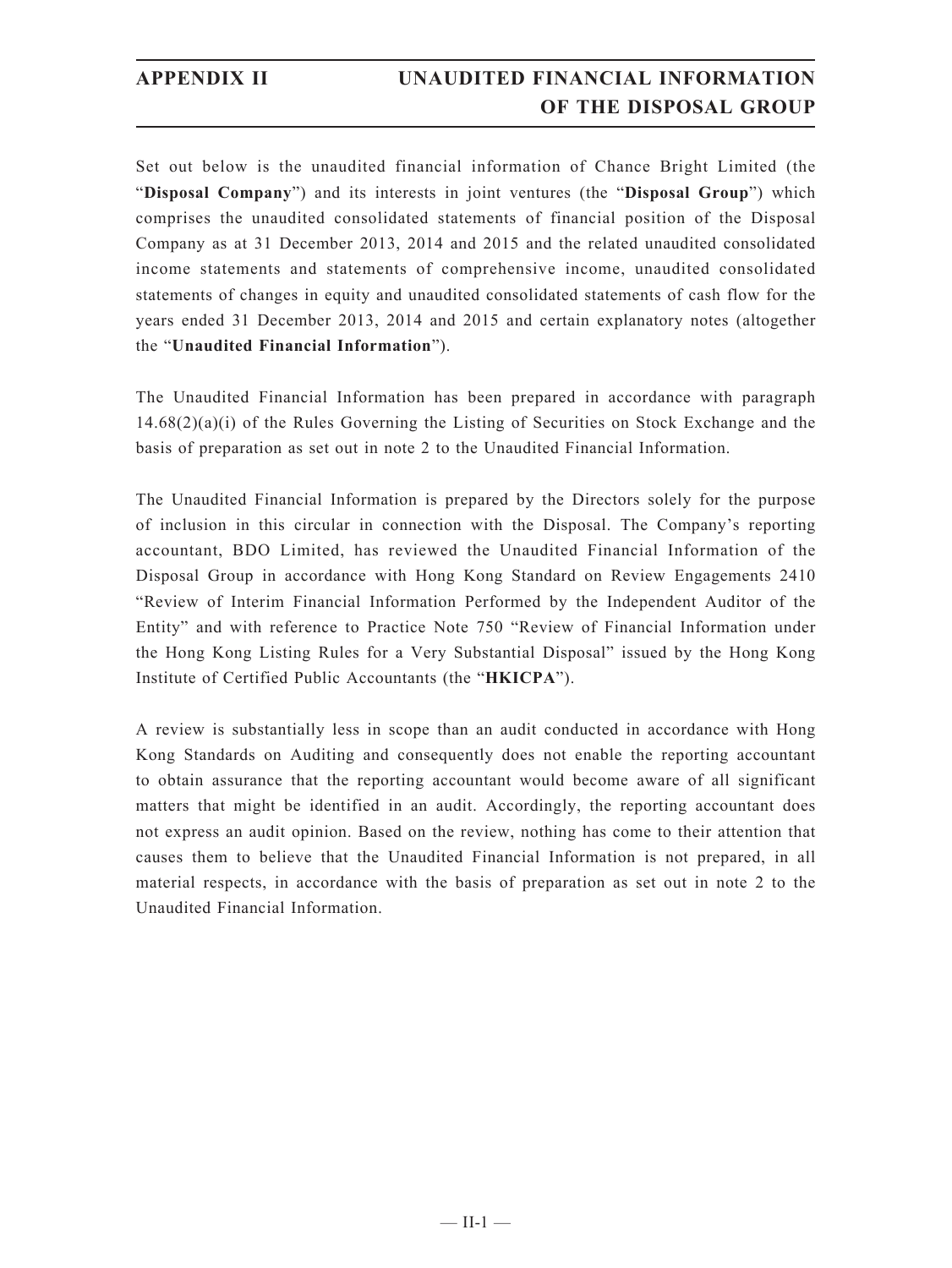# **APPENDIX II UNAUDITED FINANCIAL INFORMATION OF THE DISPOSAL GROUP**

Set out below is the unaudited financial information of Chance Bright Limited (the "**Disposal Company**") and its interests in joint ventures (the "**Disposal Group**") which comprises the unaudited consolidated statements of financial position of the Disposal Company as at 31 December 2013, 2014 and 2015 and the related unaudited consolidated income statements and statements of comprehensive income, unaudited consolidated statements of changes in equity and unaudited consolidated statements of cash flow for the years ended 31 December 2013, 2014 and 2015 and certain explanatory notes (altogether the "**Unaudited Financial Information**").

The Unaudited Financial Information has been prepared in accordance with paragraph  $14.68(2)(a)(i)$  of the Rules Governing the Listing of Securities on Stock Exchange and the basis of preparation as set out in note 2 to the Unaudited Financial Information.

The Unaudited Financial Information is prepared by the Directors solely for the purpose of inclusion in this circular in connection with the Disposal. The Company's reporting accountant, BDO Limited, has reviewed the Unaudited Financial Information of the Disposal Group in accordance with Hong Kong Standard on Review Engagements 2410 "Review of Interim Financial Information Performed by the Independent Auditor of the Entity" and with reference to Practice Note 750 "Review of Financial Information under the Hong Kong Listing Rules for a Very Substantial Disposal" issued by the Hong Kong Institute of Certified Public Accountants (the "**HKICPA**").

A review is substantially less in scope than an audit conducted in accordance with Hong Kong Standards on Auditing and consequently does not enable the reporting accountant to obtain assurance that the reporting accountant would become aware of all significant matters that might be identified in an audit. Accordingly, the reporting accountant does not express an audit opinion. Based on the review, nothing has come to their attention that causes them to believe that the Unaudited Financial Information is not prepared, in all material respects, in accordance with the basis of preparation as set out in note 2 to the Unaudited Financial Information.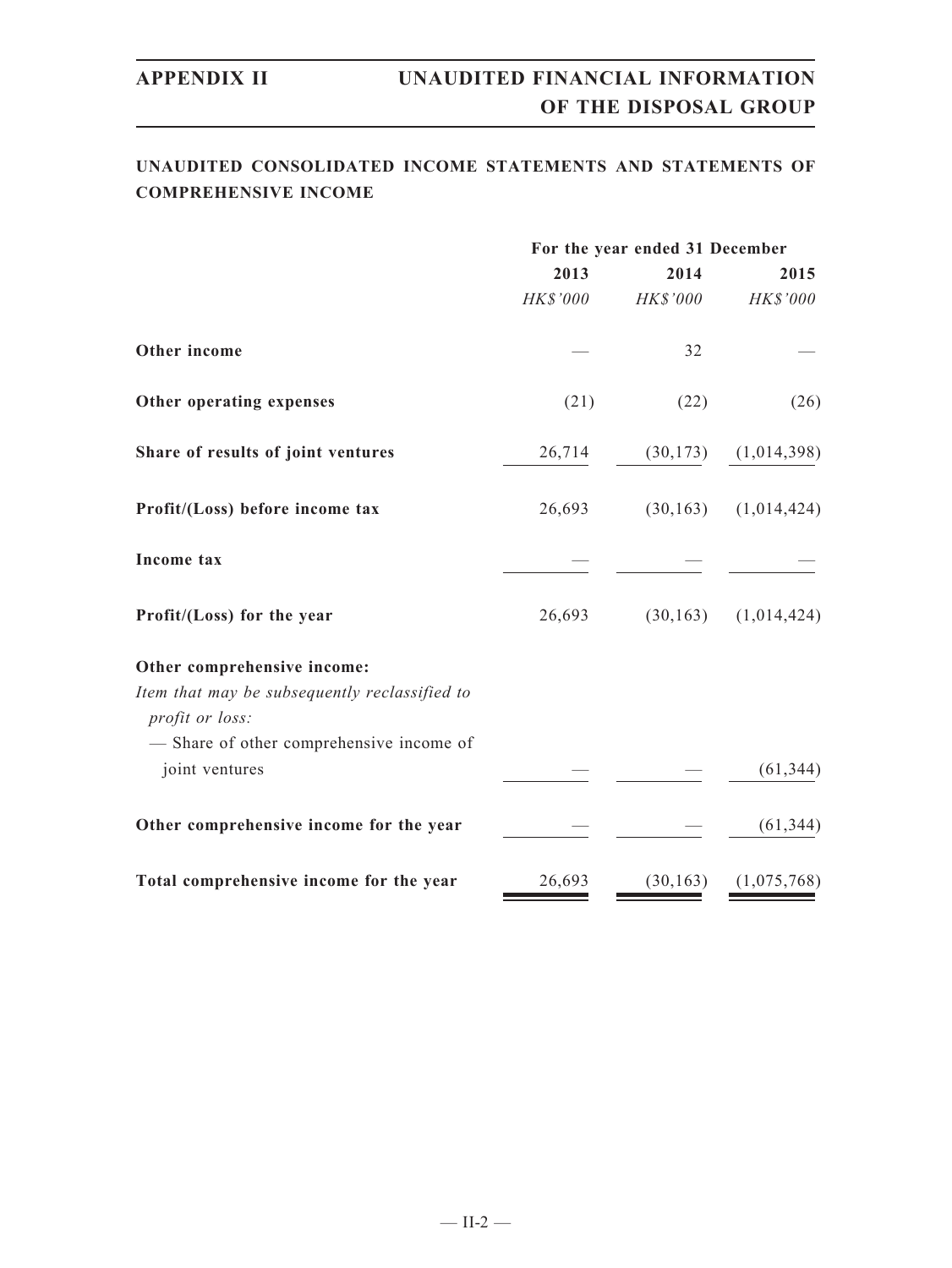## **UNAUDITED CONSOLIDATED INCOME STATEMENTS AND STATEMENTS OF COMPREHENSIVE INCOME**

|                                                                                                 | For the year ended 31 December |           |                             |  |
|-------------------------------------------------------------------------------------------------|--------------------------------|-----------|-----------------------------|--|
|                                                                                                 | 2013                           | 2014      | 2015                        |  |
|                                                                                                 | HK\$'000                       | HK\$'000  | HK\$'000                    |  |
| Other income                                                                                    |                                | 32        |                             |  |
| Other operating expenses                                                                        | (21)                           | (22)      | (26)                        |  |
| Share of results of joint ventures                                                              | 26,714                         |           | $(30,173)$ $(1,014,398)$    |  |
| Profit/(Loss) before income tax                                                                 | 26,693                         |           | $(30, 163)$ $(1, 014, 424)$ |  |
| Income tax                                                                                      |                                |           |                             |  |
| Profit/(Loss) for the year                                                                      | 26,693                         |           | $(30,163)$ $(1,014,424)$    |  |
| Other comprehensive income:<br>Item that may be subsequently reclassified to<br>profit or loss: |                                |           |                             |  |
| - Share of other comprehensive income of<br>joint ventures                                      |                                |           | (61, 344)                   |  |
| Other comprehensive income for the year                                                         |                                |           | (61, 344)                   |  |
| Total comprehensive income for the year                                                         | 26,693                         | (30, 163) | (1,075,768)                 |  |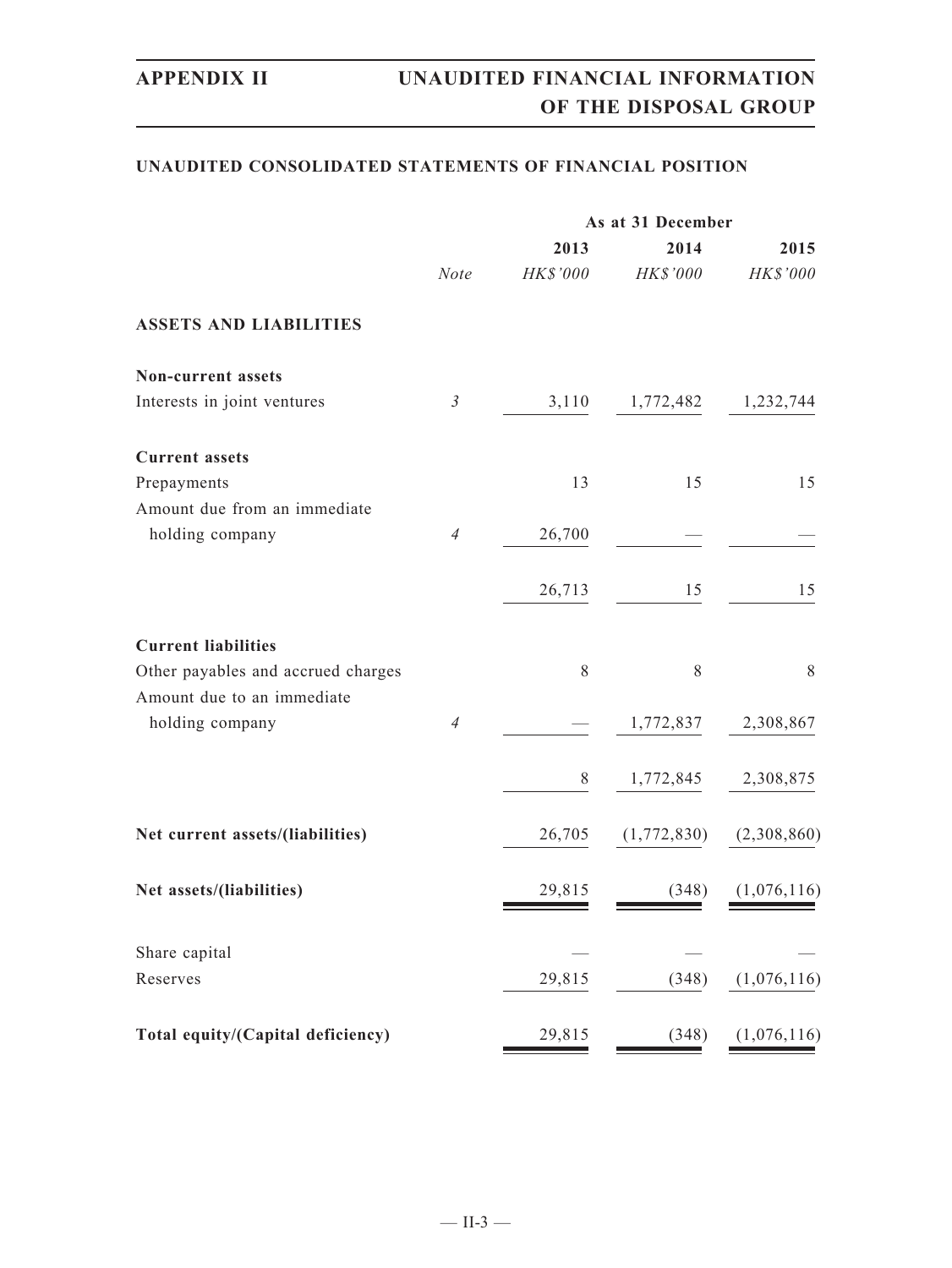### **UNAUDITED CONSOLIDATED STATEMENTS OF FINANCIAL POSITION**

|                                                                  |                | As at 31 December |                     |             |  |  |
|------------------------------------------------------------------|----------------|-------------------|---------------------|-------------|--|--|
|                                                                  |                | 2013              | 2014                | 2015        |  |  |
|                                                                  | <b>Note</b>    | HK\$'000          | HK\$'000            | HK\$'000    |  |  |
| <b>ASSETS AND LIABILITIES</b>                                    |                |                   |                     |             |  |  |
| Non-current assets                                               |                |                   |                     |             |  |  |
| Interests in joint ventures                                      | $\mathfrak{Z}$ | 3,110             | 1,772,482 1,232,744 |             |  |  |
| <b>Current assets</b>                                            |                |                   |                     |             |  |  |
| Prepayments                                                      |                | 13                | 15                  | 15          |  |  |
| Amount due from an immediate                                     |                |                   |                     |             |  |  |
| holding company                                                  | $\overline{4}$ | 26,700            |                     |             |  |  |
|                                                                  |                | 26,713            | 15                  | 15          |  |  |
| <b>Current liabilities</b>                                       |                |                   |                     |             |  |  |
| Other payables and accrued charges<br>Amount due to an immediate |                | 8                 | 8                   | 8           |  |  |
| holding company                                                  | $\overline{4}$ |                   | 1,772,837           | 2,308,867   |  |  |
|                                                                  |                | 8                 | 1,772,845           | 2,308,875   |  |  |
|                                                                  |                |                   |                     |             |  |  |
| Net current assets/(liabilities)                                 |                | 26,705            | (1,772,830)         | (2,308,860) |  |  |
| Net assets/(liabilities)                                         |                | 29,815            | (348)               | (1,076,116) |  |  |
|                                                                  |                |                   |                     |             |  |  |
| Share capital<br>Reserves                                        |                | 29,815            | (348)               | (1,076,116) |  |  |
|                                                                  |                |                   |                     |             |  |  |
| Total equity/(Capital deficiency)                                |                | 29,815            | (348)               | (1,076,116) |  |  |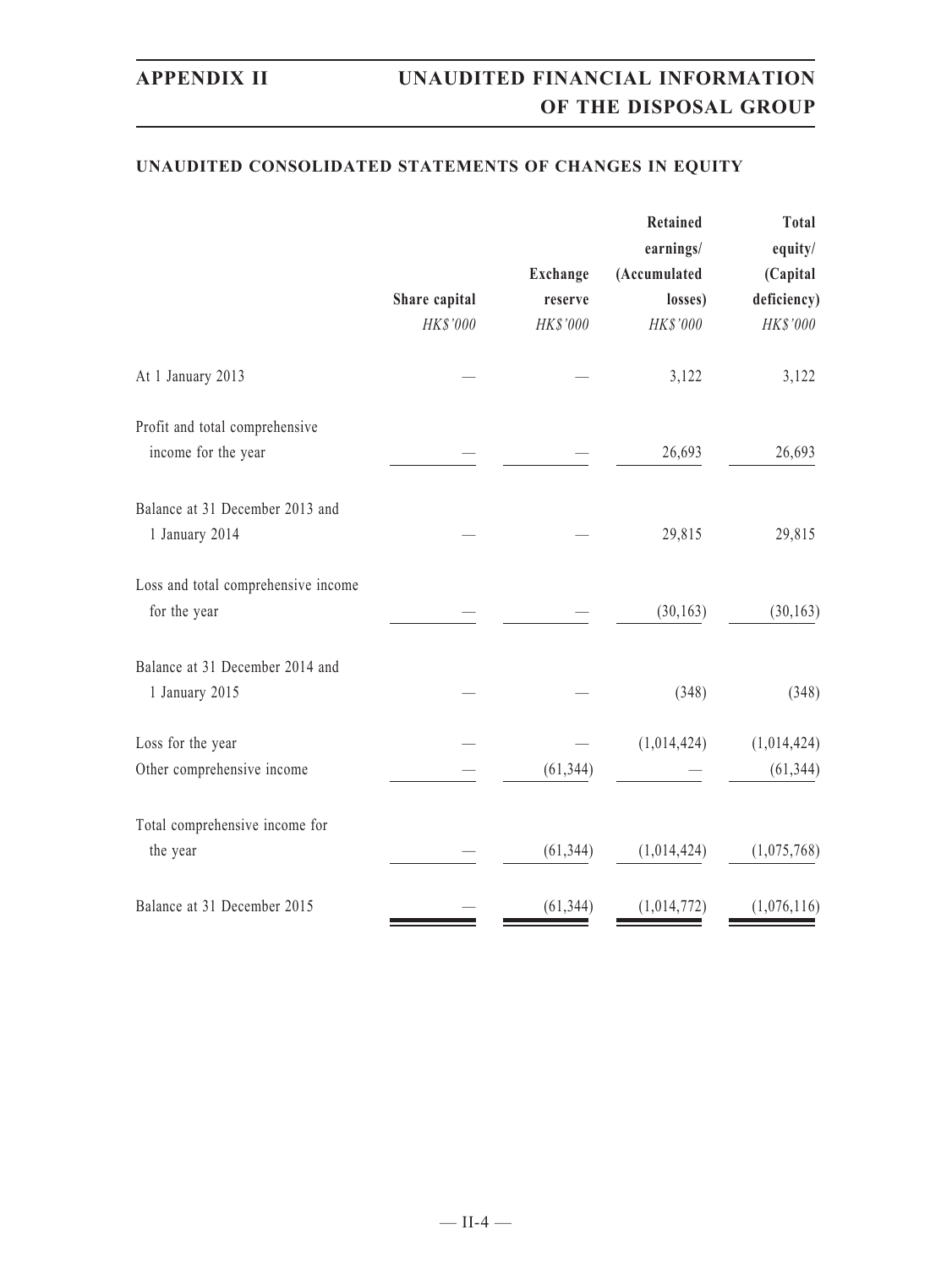### **UNAUDITED CONSOLIDATED STATEMENTS OF CHANGES IN EQUITY**

|                                                       | Share capital<br>HK\$'000 | Exchange<br>reserve<br>HK\$'000 | Retained<br>earnings/<br>(Accumulated<br>losses)<br>HK\$'000 | Total<br>equity/<br>(Capital<br>deficiency)<br>HK\$'000 |
|-------------------------------------------------------|---------------------------|---------------------------------|--------------------------------------------------------------|---------------------------------------------------------|
| At 1 January 2013                                     |                           |                                 | 3,122                                                        | 3,122                                                   |
| Profit and total comprehensive<br>income for the year |                           |                                 | 26,693                                                       | 26,693                                                  |
| Balance at 31 December 2013 and<br>1 January 2014     |                           |                                 | 29,815                                                       | 29,815                                                  |
| Loss and total comprehensive income<br>for the year   |                           |                                 | (30, 163)                                                    | (30, 163)                                               |
| Balance at 31 December 2014 and<br>1 January 2015     |                           |                                 | (348)                                                        | (348)                                                   |
| Loss for the year<br>Other comprehensive income       |                           | (61, 344)                       | (1,014,424)                                                  | (1,014,424)<br>(61, 344)                                |
| Total comprehensive income for<br>the year            |                           | (61, 344)                       | (1,014,424)                                                  | (1,075,768)                                             |
| Balance at 31 December 2015                           |                           | (61, 344)                       | (1,014,772)                                                  | (1,076,116)                                             |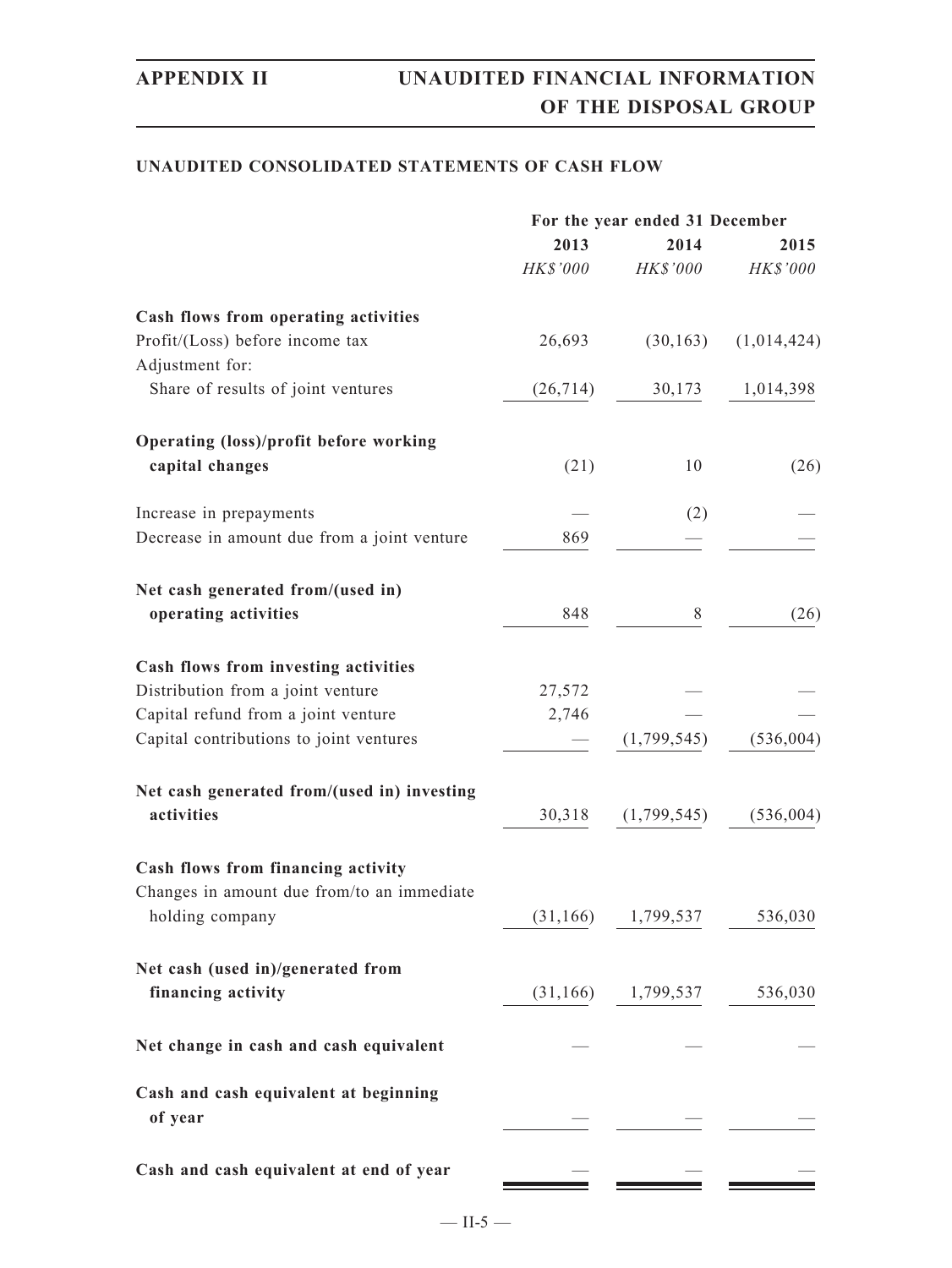### **UNAUDITED CONSOLIDATED STATEMENTS OF CASH FLOW**

|                                                    |           | For the year ended 31 December |             |
|----------------------------------------------------|-----------|--------------------------------|-------------|
|                                                    | 2013      | 2014                           | 2015        |
|                                                    | HK\$'000  | HK\$'000                       | HK\$'000    |
| Cash flows from operating activities               |           |                                |             |
| Profit/(Loss) before income tax<br>Adjustment for: | 26,693    | (30, 163)                      | (1,014,424) |
| Share of results of joint ventures                 | (26, 714) | 30,173                         | 1,014,398   |
| <b>Operating (loss)/profit before working</b>      |           |                                |             |
| capital changes                                    | (21)      | 10                             | (26)        |
| Increase in prepayments                            |           | (2)                            |             |
| Decrease in amount due from a joint venture        | 869       |                                |             |
| Net cash generated from/(used in)                  |           |                                |             |
| operating activities                               | 848       | 8                              | (26)        |
| Cash flows from investing activities               |           |                                |             |
| Distribution from a joint venture                  | 27,572    |                                |             |
| Capital refund from a joint venture                | 2,746     |                                |             |
| Capital contributions to joint ventures            |           | (1,799,545)                    | (536, 004)  |
| Net cash generated from/(used in) investing        |           |                                |             |
| activities                                         | 30,318    | (1,799,545)                    | (536, 004)  |
| Cash flows from financing activity                 |           |                                |             |
| Changes in amount due from/to an immediate         |           |                                |             |
| holding company                                    | (31, 166) | 1,799,537                      | 536,030     |
| Net cash (used in)/generated from                  |           |                                |             |
| financing activity                                 |           | $(31, 166)$ 1,799,537          | 536,030     |
| Net change in cash and cash equivalent             |           |                                |             |
| Cash and cash equivalent at beginning              |           |                                |             |
| of year                                            |           |                                |             |
| Cash and cash equivalent at end of year            |           |                                |             |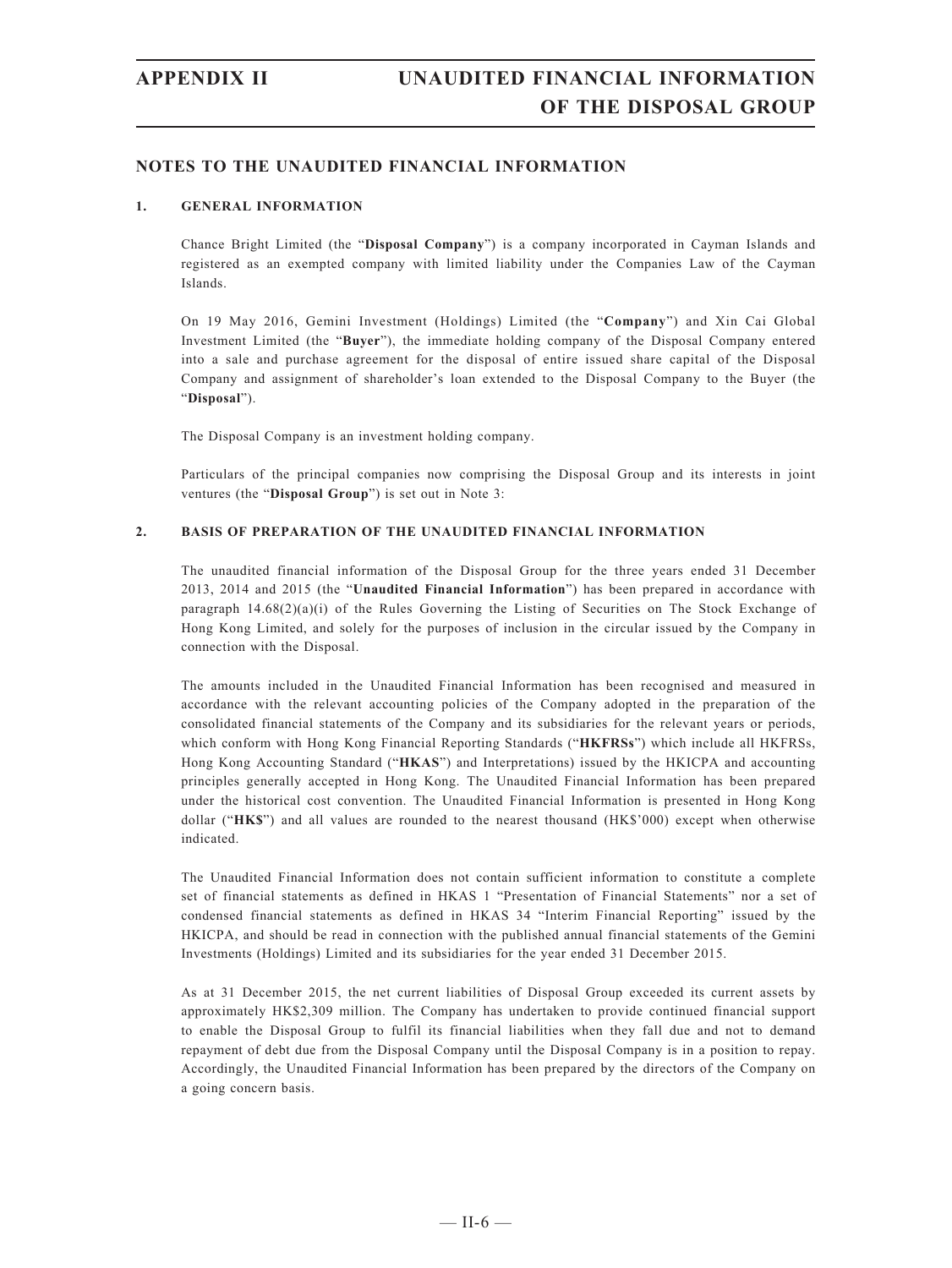### **NOTES TO THE UNAUDITED FINANCIAL INFORMATION**

### **1. GENERAL INFORMATION**

Chance Bright Limited (the "**Disposal Company**") is a company incorporated in Cayman Islands and registered as an exempted company with limited liability under the Companies Law of the Cayman Islands.

On 19 May 2016, Gemini Investment (Holdings) Limited (the "**Company**") and Xin Cai Global Investment Limited (the "**Buyer**"), the immediate holding company of the Disposal Company entered into a sale and purchase agreement for the disposal of entire issued share capital of the Disposal Company and assignment of shareholder's loan extended to the Disposal Company to the Buyer (the "**Disposal**").

The Disposal Company is an investment holding company.

Particulars of the principal companies now comprising the Disposal Group and its interests in joint ventures (the "**Disposal Group**") is set out in Note 3:

### **2. BASIS OF PREPARATION OF THE UNAUDITED FINANCIAL INFORMATION**

The unaudited financial information of the Disposal Group for the three years ended 31 December 2013, 2014 and 2015 (the "**Unaudited Financial Information**") has been prepared in accordance with paragraph  $14.68(2)(a)(i)$  of the Rules Governing the Listing of Securities on The Stock Exchange of Hong Kong Limited, and solely for the purposes of inclusion in the circular issued by the Company in connection with the Disposal.

The amounts included in the Unaudited Financial Information has been recognised and measured in accordance with the relevant accounting policies of the Company adopted in the preparation of the consolidated financial statements of the Company and its subsidiaries for the relevant years or periods, which conform with Hong Kong Financial Reporting Standards ("**HKFRSs**") which include all HKFRSs, Hong Kong Accounting Standard ("**HKAS**") and Interpretations) issued by the HKICPA and accounting principles generally accepted in Hong Kong. The Unaudited Financial Information has been prepared under the historical cost convention. The Unaudited Financial Information is presented in Hong Kong dollar ("**HK\$**") and all values are rounded to the nearest thousand (HK\$'000) except when otherwise indicated.

The Unaudited Financial Information does not contain sufficient information to constitute a complete set of financial statements as defined in HKAS 1 "Presentation of Financial Statements" nor a set of condensed financial statements as defined in HKAS 34 "Interim Financial Reporting" issued by the HKICPA, and should be read in connection with the published annual financial statements of the Gemini Investments (Holdings) Limited and its subsidiaries for the year ended 31 December 2015.

 As at 31 December 2015, the net current liabilities of Disposal Group exceeded its current assets by approximately HK\$2,309 million. The Company has undertaken to provide continued financial support to enable the Disposal Group to fulfil its financial liabilities when they fall due and not to demand repayment of debt due from the Disposal Company until the Disposal Company is in a position to repay. Accordingly, the Unaudited Financial Information has been prepared by the directors of the Company on a going concern basis.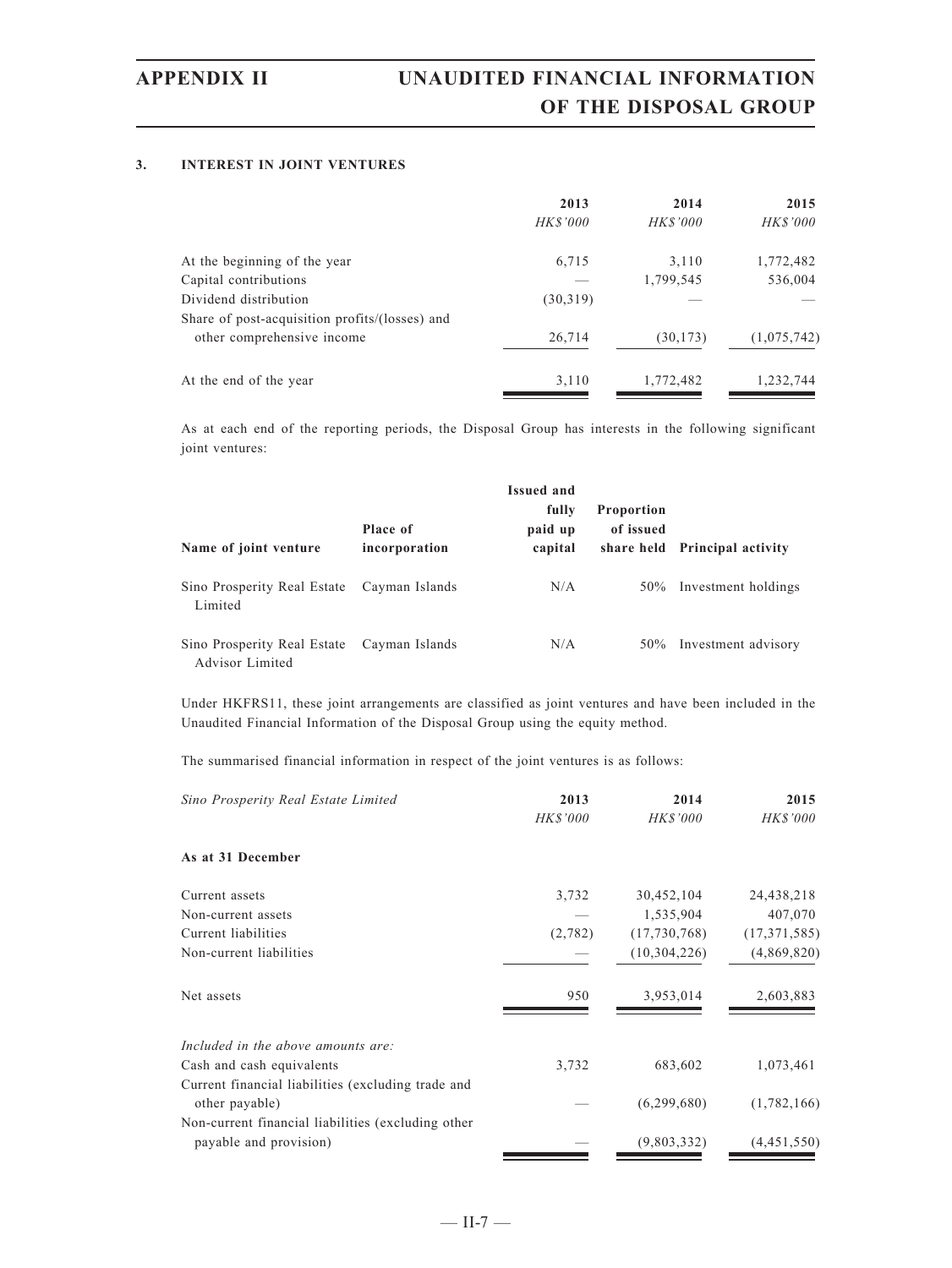### **3. INTEREST IN JOINT VENTURES**

|                                                | 2013            | 2014      | 2015        |
|------------------------------------------------|-----------------|-----------|-------------|
|                                                | <b>HK\$'000</b> | HK\$'000  | HK\$'000    |
| At the beginning of the year                   | 6,715           | 3,110     | 1,772,482   |
| Capital contributions                          |                 | 1,799,545 | 536,004     |
| Dividend distribution                          | (30,319)        |           |             |
| Share of post-acquisition profits/(losses) and |                 |           |             |
| other comprehensive income                     | 26,714          | (30, 173) | (1,075,742) |
| At the end of the year                         | 3,110           | 1,772,482 | 1,232,744   |

As at each end of the reporting periods, the Disposal Group has interests in the following significant joint ventures:

| Name of joint venture                          | Place of<br>incorporation | <b>Issued and</b><br>fully<br>paid up<br>capital | <b>Proportion</b><br>of issued | share held Principal activity |
|------------------------------------------------|---------------------------|--------------------------------------------------|--------------------------------|-------------------------------|
| Sino Prosperity Real Estate<br>Limited         | Cayman Islands            | N/A                                              |                                | 50% Investment holdings       |
| Sino Prosperity Real Estate<br>Advisor Limited | Cayman Islands            | N/A                                              | 50%                            | Investment advisory           |

Under HKFRS11, these joint arrangements are classified as joint ventures and have been included in the Unaudited Financial Information of the Disposal Group using the equity method.

The summarised financial information in respect of the joint ventures is as follows:

| Sino Prosperity Real Estate Limited                                  | 2013     | 2014           | 2015           |  |
|----------------------------------------------------------------------|----------|----------------|----------------|--|
|                                                                      | HK\$'000 | HK\$'000       | HK\$'000       |  |
| As at 31 December                                                    |          |                |                |  |
| Current assets                                                       | 3,732    | 30,452,104     | 24,438,218     |  |
| Non-current assets                                                   |          | 1,535,904      | 407,070        |  |
| Current liabilities                                                  | (2,782)  | (17,730,768)   | (17, 371, 585) |  |
| Non-current liabilities                                              |          | (10, 304, 226) | (4,869,820)    |  |
| Net assets                                                           | 950      | 3,953,014      | 2,603,883      |  |
| Included in the above amounts are:                                   |          |                |                |  |
| Cash and cash equivalents                                            | 3,732    | 683,602        | 1,073,461      |  |
| Current financial liabilities (excluding trade and<br>other payable) |          | (6,299,680)    | (1,782,166)    |  |
| Non-current financial liabilities (excluding other                   |          |                |                |  |
| payable and provision)                                               |          | (9,803,332)    | (4,451,550)    |  |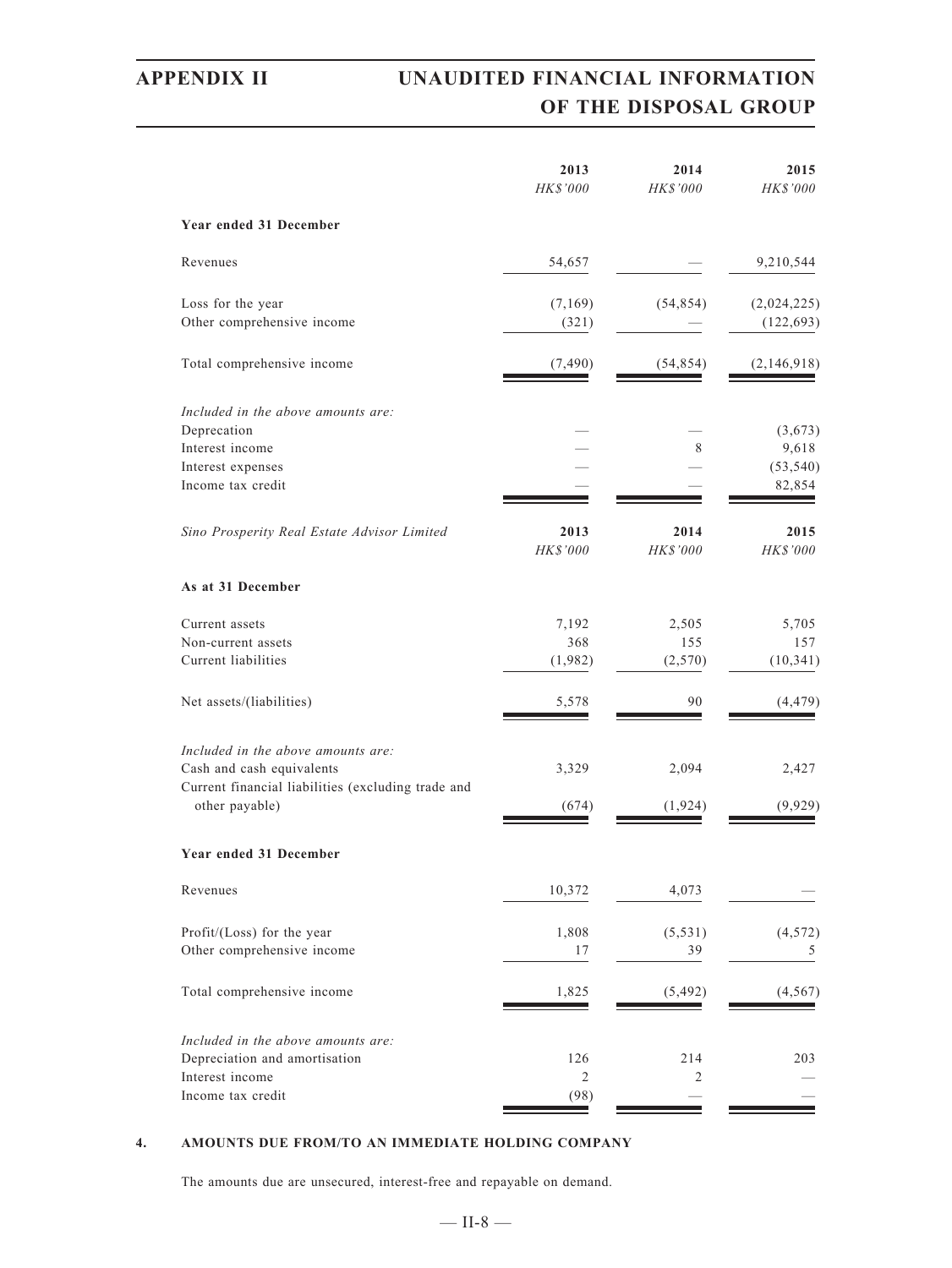# **APPENDIX II UNAUDITED FINANCIAL INFORMATION OF THE DISPOSAL GROUP**

|                                                                      | 2013<br>HK\$'000 | 2014<br>HK\$'000 | 2015<br>HK\$'000 |
|----------------------------------------------------------------------|------------------|------------------|------------------|
| Year ended 31 December                                               |                  |                  |                  |
| Revenues                                                             | 54,657           |                  | 9,210,544        |
| Loss for the year                                                    | (7, 169)         | (54, 854)        | (2,024,225)      |
| Other comprehensive income                                           | (321)            |                  | (122, 693)       |
| Total comprehensive income                                           | (7, 490)         | (54, 854)        | (2,146,918)      |
| Included in the above amounts are:                                   |                  |                  |                  |
| Deprecation                                                          |                  |                  | (3,673)          |
| Interest income                                                      |                  | 8                | 9,618            |
| Interest expenses                                                    |                  |                  | (53, 540)        |
| Income tax credit                                                    |                  |                  | 82,854           |
| Sino Prosperity Real Estate Advisor Limited                          | 2013<br>HK\$'000 | 2014<br>HK\$'000 | 2015<br>HK\$'000 |
| As at 31 December                                                    |                  |                  |                  |
| Current assets                                                       | 7,192            | 2,505            | 5,705            |
| Non-current assets                                                   | 368              | 155              | 157              |
| Current liabilities                                                  | (1,982)          | (2,570)          | (10, 341)        |
| Net assets/(liabilities)                                             | 5,578            | 90               | (4, 479)         |
| Included in the above amounts are:                                   |                  |                  |                  |
| Cash and cash equivalents                                            | 3,329            | 2,094            | 2,427            |
| Current financial liabilities (excluding trade and<br>other payable) | (674)            | (1, 924)         | (9, 929)         |
| Year ended 31 December                                               |                  |                  |                  |
| Revenues                                                             | 10,372           | 4,073            |                  |
| Profit/(Loss) for the year                                           | 1,808            | (5, 531)         | (4, 572)         |
| Other comprehensive income                                           | 17               | 39               | 5                |
|                                                                      |                  |                  |                  |
| Total comprehensive income                                           | 1,825            | (5, 492)         | (4, 567)         |
| Included in the above amounts are:                                   |                  |                  |                  |
| Depreciation and amortisation                                        | 126              | 214              | 203              |
| Interest income                                                      | $\overline{2}$   | 2                |                  |
| Income tax credit                                                    | (98)             |                  |                  |

### **4. AMOUNTS DUE FROM/TO AN IMMEDIATE HOLDING COMPANY**

The amounts due are unsecured, interest-free and repayable on demand.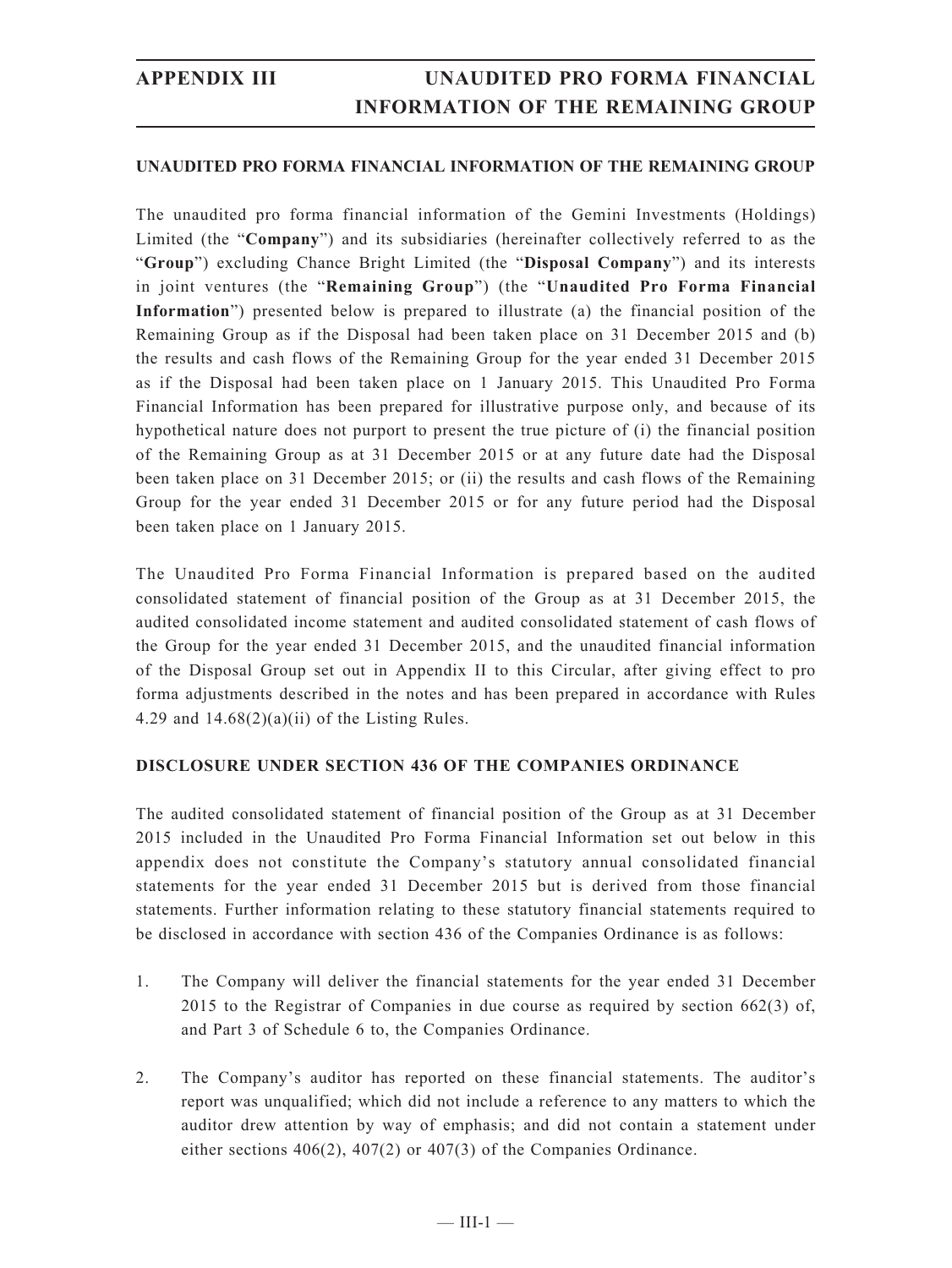### **UNAUDITED PRO FORMA FINANCIAL INFORMATION OF THE REMAINING GROUP**

The unaudited pro forma financial information of the Gemini Investments (Holdings) Limited (the "**Company**") and its subsidiaries (hereinafter collectively referred to as the "**Group**") excluding Chance Bright Limited (the "**Disposal Company**") and its interests in joint ventures (the "**Remaining Group**") (the "**Unaudited Pro Forma Financial Information**") presented below is prepared to illustrate (a) the financial position of the Remaining Group as if the Disposal had been taken place on 31 December 2015 and (b) the results and cash flows of the Remaining Group for the year ended 31 December 2015 as if the Disposal had been taken place on 1 January 2015. This Unaudited Pro Forma Financial Information has been prepared for illustrative purpose only, and because of its hypothetical nature does not purport to present the true picture of (i) the financial position of the Remaining Group as at 31 December 2015 or at any future date had the Disposal been taken place on 31 December 2015; or (ii) the results and cash flows of the Remaining Group for the year ended 31 December 2015 or for any future period had the Disposal been taken place on 1 January 2015.

The Unaudited Pro Forma Financial Information is prepared based on the audited consolidated statement of financial position of the Group as at 31 December 2015, the audited consolidated income statement and audited consolidated statement of cash flows of the Group for the year ended 31 December 2015, and the unaudited financial information of the Disposal Group set out in Appendix II to this Circular, after giving effect to pro forma adjustments described in the notes and has been prepared in accordance with Rules 4.29 and  $14.68(2)(a)(ii)$  of the Listing Rules.

### **DISCLOSURE UNDER SECTION 436 OF THE COMPANIES ORDINANCE**

The audited consolidated statement of financial position of the Group as at 31 December 2015 included in the Unaudited Pro Forma Financial Information set out below in this appendix does not constitute the Company's statutory annual consolidated financial statements for the year ended 31 December 2015 but is derived from those financial statements. Further information relating to these statutory financial statements required to be disclosed in accordance with section 436 of the Companies Ordinance is as follows:

- 1. The Company will deliver the financial statements for the year ended 31 December 2015 to the Registrar of Companies in due course as required by section 662(3) of, and Part 3 of Schedule 6 to, the Companies Ordinance.
- 2. The Company's auditor has reported on these financial statements. The auditor's report was unqualified; which did not include a reference to any matters to which the auditor drew attention by way of emphasis; and did not contain a statement under either sections 406(2), 407(2) or 407(3) of the Companies Ordinance.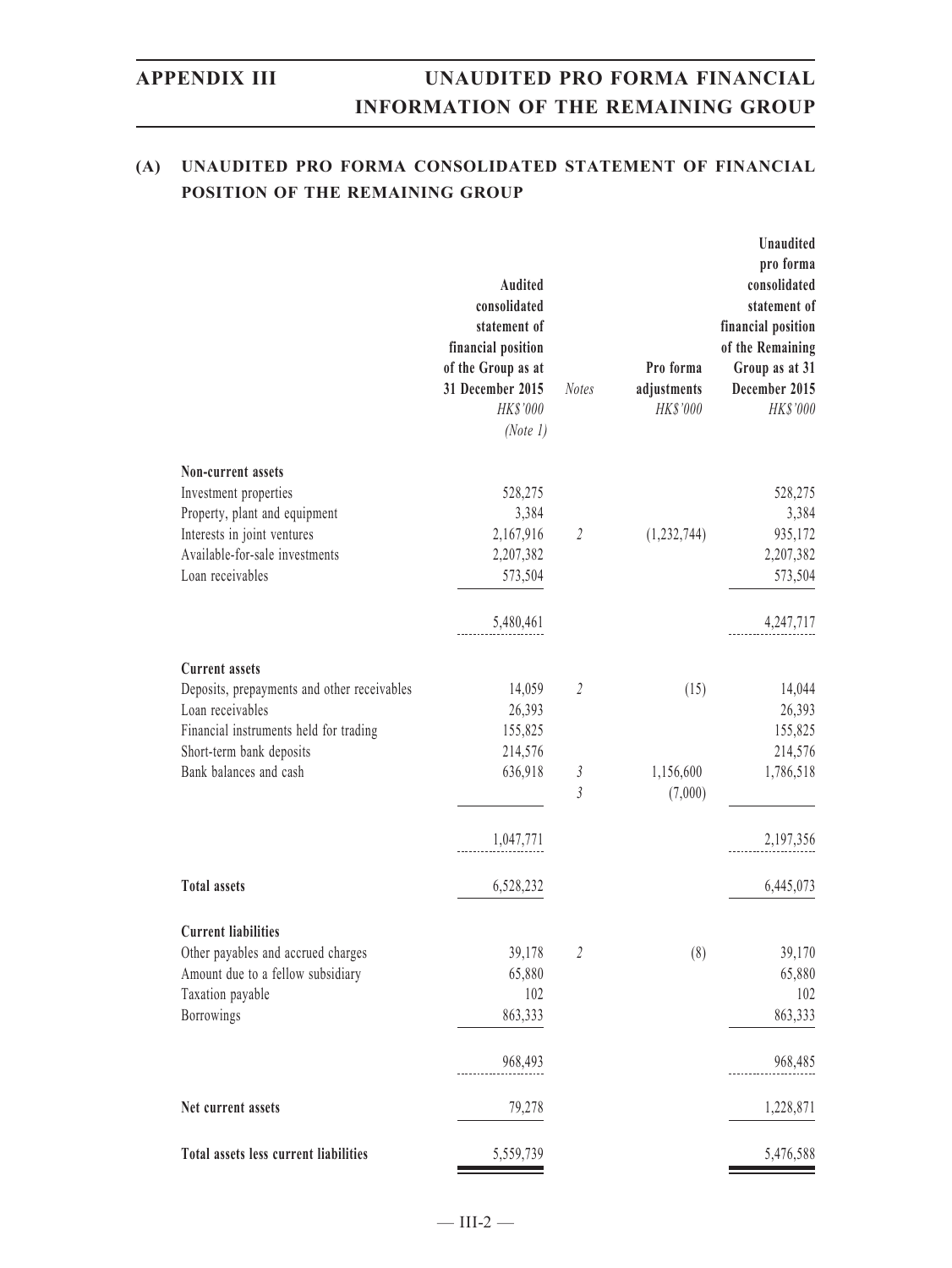### **(A) UNAUDITED PRO FORMA CONSOLIDATED STATEMENT OF FINANCIAL POSITION OF THE REMAINING GROUP**

|                                             | Audited<br>consolidated<br>statement of<br>financial position<br>of the Group as at<br>31 December 2015<br>HK\$'000<br>(Note 1) | <b>Notes</b>   | Pro forma<br>adjustments<br>HK\$'000 | Unaudited<br>pro forma<br>consolidated<br>statement of<br>financial position<br>of the Remaining<br>Group as at 31<br>December 2015<br>HK\$'000 |
|---------------------------------------------|---------------------------------------------------------------------------------------------------------------------------------|----------------|--------------------------------------|-------------------------------------------------------------------------------------------------------------------------------------------------|
| Non-current assets                          |                                                                                                                                 |                |                                      |                                                                                                                                                 |
| Investment properties                       | 528,275                                                                                                                         |                |                                      | 528,275                                                                                                                                         |
| Property, plant and equipment               | 3,384                                                                                                                           |                |                                      | 3,384                                                                                                                                           |
| Interests in joint ventures                 | 2,167,916                                                                                                                       | $\overline{2}$ | (1,232,744)                          | 935,172                                                                                                                                         |
| Available-for-sale investments              | 2,207,382                                                                                                                       |                |                                      | 2,207,382                                                                                                                                       |
| Loan receivables                            | 573,504                                                                                                                         |                |                                      | 573,504                                                                                                                                         |
|                                             | 5,480,461                                                                                                                       |                |                                      | 4,247,717                                                                                                                                       |
| <b>Current assets</b>                       |                                                                                                                                 |                |                                      |                                                                                                                                                 |
| Deposits, prepayments and other receivables | 14,059                                                                                                                          | $\mathfrak{2}$ | (15)                                 | 14,044                                                                                                                                          |
| Loan receivables                            | 26,393                                                                                                                          |                |                                      | 26,393                                                                                                                                          |
| Financial instruments held for trading      | 155,825                                                                                                                         |                |                                      | 155,825                                                                                                                                         |
| Short-term bank deposits                    | 214,576                                                                                                                         |                |                                      | 214,576                                                                                                                                         |
| Bank balances and cash                      | 636,918                                                                                                                         | 3              | 1,156,600                            | 1,786,518                                                                                                                                       |
|                                             |                                                                                                                                 | 3              | (7,000)                              |                                                                                                                                                 |
|                                             | 1,047,771                                                                                                                       |                |                                      | 2,197,356                                                                                                                                       |
| <b>Total assets</b>                         | 6,528,232                                                                                                                       |                |                                      | 6,445,073                                                                                                                                       |
| <b>Current liabilities</b>                  |                                                                                                                                 |                |                                      |                                                                                                                                                 |
| Other payables and accrued charges          | 39,178                                                                                                                          | 2              | (8)                                  | 39,170                                                                                                                                          |
| Amount due to a fellow subsidiary           | 65,880                                                                                                                          |                |                                      | 65,880                                                                                                                                          |
| Taxation payable                            | 102                                                                                                                             |                |                                      | 102                                                                                                                                             |
| Borrowings                                  | 863,333                                                                                                                         |                |                                      | 863,333                                                                                                                                         |
|                                             | 968,493                                                                                                                         |                |                                      | 968,485                                                                                                                                         |
| Net current assets                          | 79,278                                                                                                                          |                |                                      | 1,228,871                                                                                                                                       |
| Total assets less current liabilities       | 5,559,739                                                                                                                       |                |                                      | 5,476,588                                                                                                                                       |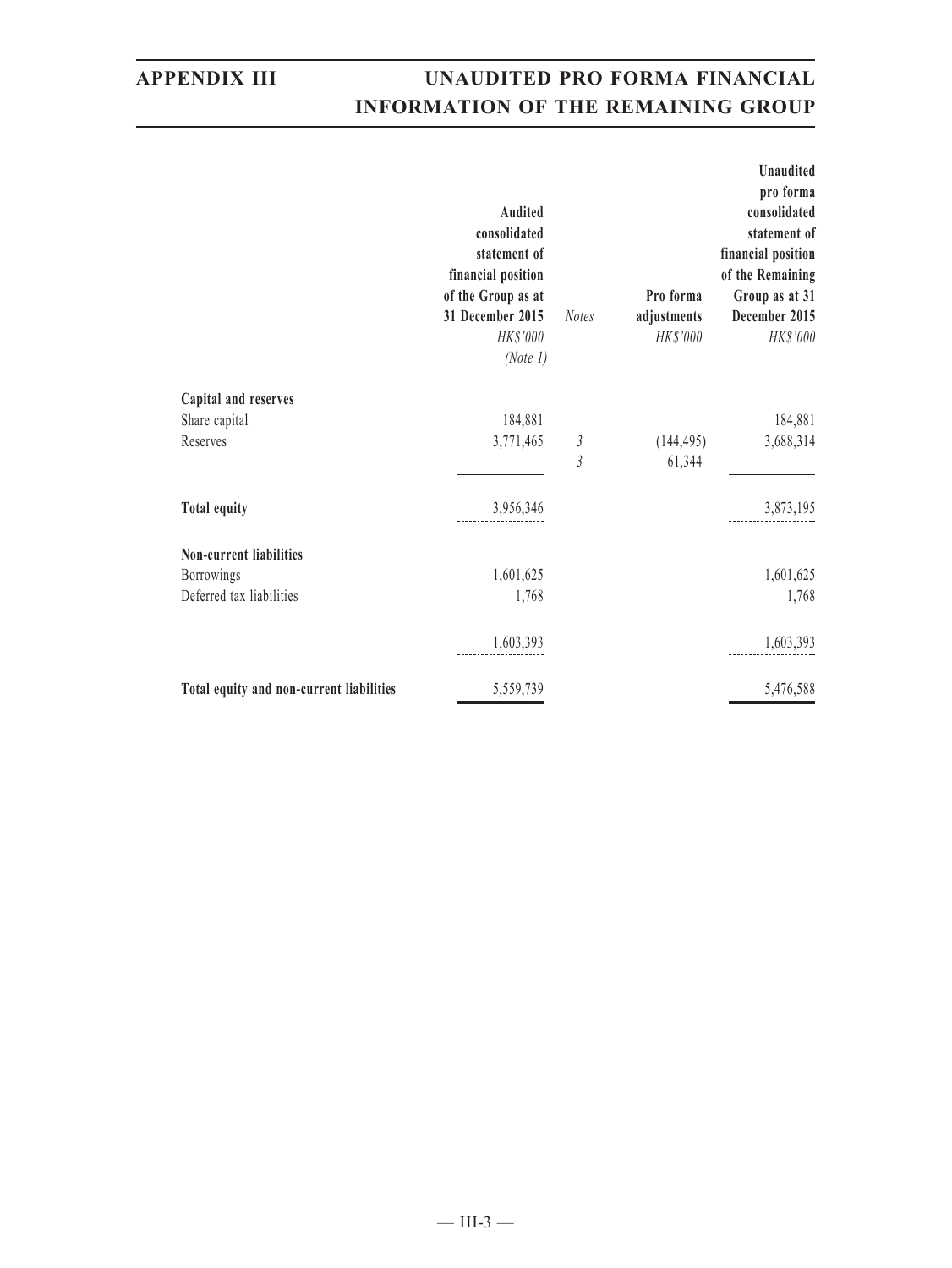|                                          | <b>Audited</b><br>consolidated<br>statement of<br>financial position<br>of the Group as at<br>31 December 2015<br>HK\$'000<br>(Note 1) | <b>Notes</b>    | Pro forma<br>adjustments<br>HK\$'000 | <b>Unaudited</b><br>pro forma<br>consolidated<br>statement of<br>financial position<br>of the Remaining<br>Group as at 31<br>December 2015<br>HK\$'000 |
|------------------------------------------|----------------------------------------------------------------------------------------------------------------------------------------|-----------------|--------------------------------------|--------------------------------------------------------------------------------------------------------------------------------------------------------|
| Capital and reserves                     |                                                                                                                                        |                 |                                      |                                                                                                                                                        |
| Share capital                            | 184,881                                                                                                                                |                 |                                      | 184,881                                                                                                                                                |
| Reserves                                 | 3,771,465                                                                                                                              | $\sqrt{3}$<br>3 | (144, 495)<br>61,344                 | 3,688,314                                                                                                                                              |
| <b>Total equity</b>                      | 3,956,346                                                                                                                              |                 |                                      | 3,873,195                                                                                                                                              |
| <b>Non-current liabilities</b>           |                                                                                                                                        |                 |                                      |                                                                                                                                                        |
| <b>Borrowings</b>                        | 1,601,625                                                                                                                              |                 |                                      | 1,601,625                                                                                                                                              |
| Deferred tax liabilities                 | 1,768                                                                                                                                  |                 |                                      | 1,768                                                                                                                                                  |
|                                          | 1,603,393                                                                                                                              |                 |                                      | 1,603,393                                                                                                                                              |
| Total equity and non-current liabilities | 5,559,739                                                                                                                              |                 |                                      | 5,476,588                                                                                                                                              |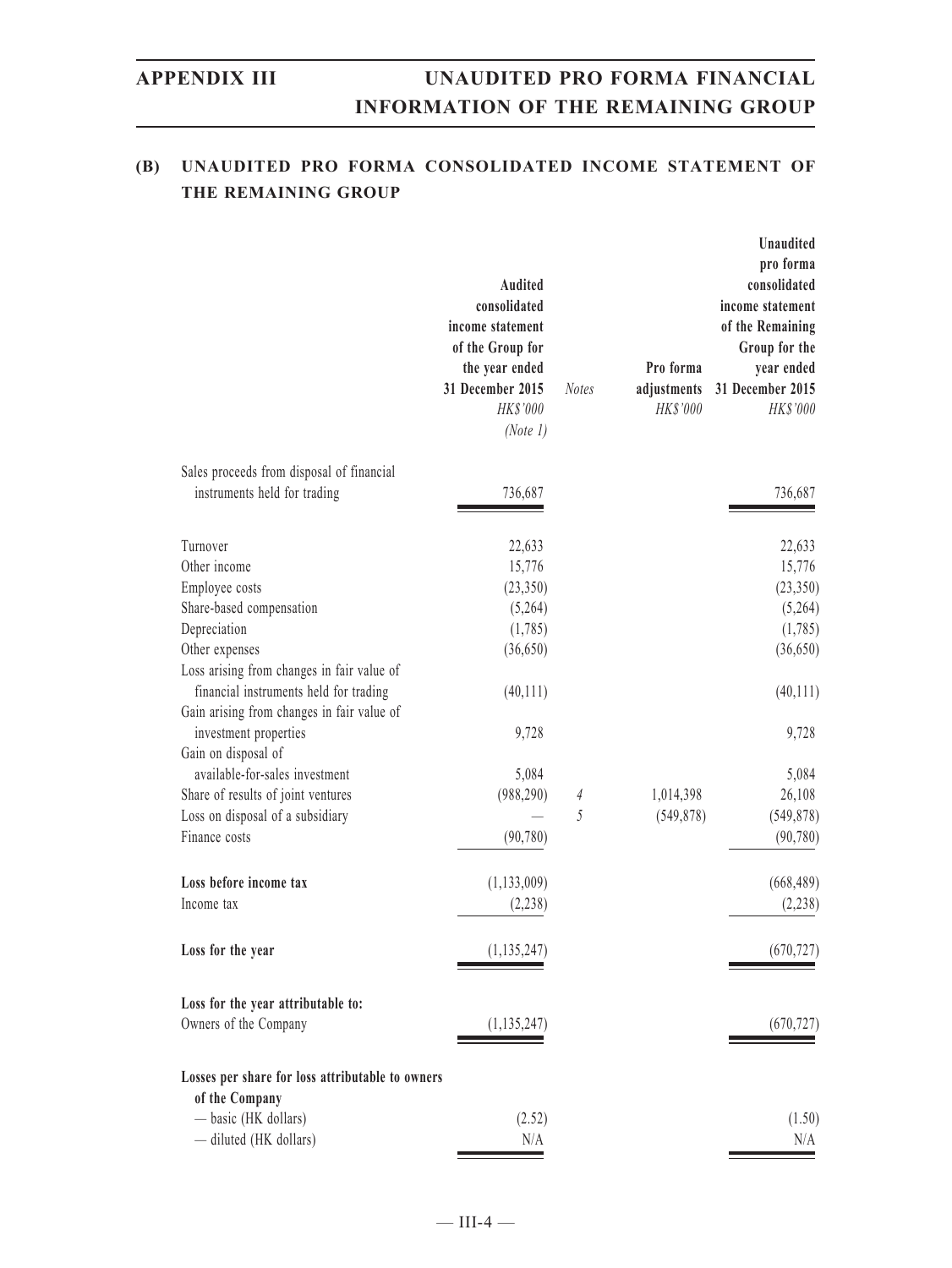### **(B) UNAUDITED PRO FORMA CONSOLIDATED INCOME STATEMENT OF THE REMAINING GROUP**

| Sales proceeds from disposal of financial<br>instruments held for trading<br>736,687<br>736,687<br>Turnover<br>22,633<br>22,633<br>Other income<br>15,776<br>Employee costs<br>(23, 350)<br>Share-based compensation<br>(5,264)<br>Depreciation<br>(1,785)<br>Other expenses<br>(36,650)<br>Loss arising from changes in fair value of<br>financial instruments held for trading<br>(40, 111)<br>Gain arising from changes in fair value of<br>9,728<br>investment properties<br>9,728<br>Gain on disposal of<br>available-for-sales investment<br>5,084<br>5,084<br>Share of results of joint ventures<br>(988, 290)<br>1,014,398<br>26,108<br>$\overline{4}$<br>5<br>Loss on disposal of a subsidiary<br>(549, 878)<br>Finance costs<br>(90, 780)<br>Loss before income tax<br>(1, 133, 009)<br>(2, 238)<br>Income tax<br>(1, 135, 247)<br>Loss for the year<br>Loss for the year attributable to:<br>Owners of the Company<br>(1, 135, 247)<br>Losses per share for loss attributable to owners<br>of the Company<br>- basic (HK dollars)<br>(2.52)<br>- diluted (HK dollars)<br>N/A | Audited<br>consolidated<br>income statement<br>of the Group for<br>the year ended<br>31 December 2015<br>HK\$'000<br>(Note 1) | <b>Notes</b> | Pro forma<br>adjustments<br>HK\$'000 | <b>Unaudited</b><br>pro forma<br>consolidated<br>income statement<br>of the Remaining<br>Group for the<br>year ended<br>31 December 2015<br>HK\$'000 |
|-----------------------------------------------------------------------------------------------------------------------------------------------------------------------------------------------------------------------------------------------------------------------------------------------------------------------------------------------------------------------------------------------------------------------------------------------------------------------------------------------------------------------------------------------------------------------------------------------------------------------------------------------------------------------------------------------------------------------------------------------------------------------------------------------------------------------------------------------------------------------------------------------------------------------------------------------------------------------------------------------------------------------------------------------------------------------------------------|-------------------------------------------------------------------------------------------------------------------------------|--------------|--------------------------------------|------------------------------------------------------------------------------------------------------------------------------------------------------|
|                                                                                                                                                                                                                                                                                                                                                                                                                                                                                                                                                                                                                                                                                                                                                                                                                                                                                                                                                                                                                                                                                         |                                                                                                                               |              |                                      |                                                                                                                                                      |
|                                                                                                                                                                                                                                                                                                                                                                                                                                                                                                                                                                                                                                                                                                                                                                                                                                                                                                                                                                                                                                                                                         |                                                                                                                               |              |                                      |                                                                                                                                                      |
|                                                                                                                                                                                                                                                                                                                                                                                                                                                                                                                                                                                                                                                                                                                                                                                                                                                                                                                                                                                                                                                                                         |                                                                                                                               |              |                                      |                                                                                                                                                      |
|                                                                                                                                                                                                                                                                                                                                                                                                                                                                                                                                                                                                                                                                                                                                                                                                                                                                                                                                                                                                                                                                                         |                                                                                                                               |              |                                      | 15,776                                                                                                                                               |
|                                                                                                                                                                                                                                                                                                                                                                                                                                                                                                                                                                                                                                                                                                                                                                                                                                                                                                                                                                                                                                                                                         |                                                                                                                               |              |                                      | (23,350)                                                                                                                                             |
|                                                                                                                                                                                                                                                                                                                                                                                                                                                                                                                                                                                                                                                                                                                                                                                                                                                                                                                                                                                                                                                                                         |                                                                                                                               |              |                                      | (5,264)                                                                                                                                              |
|                                                                                                                                                                                                                                                                                                                                                                                                                                                                                                                                                                                                                                                                                                                                                                                                                                                                                                                                                                                                                                                                                         |                                                                                                                               |              |                                      | (1,785)                                                                                                                                              |
|                                                                                                                                                                                                                                                                                                                                                                                                                                                                                                                                                                                                                                                                                                                                                                                                                                                                                                                                                                                                                                                                                         |                                                                                                                               |              |                                      | (36,650)                                                                                                                                             |
|                                                                                                                                                                                                                                                                                                                                                                                                                                                                                                                                                                                                                                                                                                                                                                                                                                                                                                                                                                                                                                                                                         |                                                                                                                               |              |                                      |                                                                                                                                                      |
|                                                                                                                                                                                                                                                                                                                                                                                                                                                                                                                                                                                                                                                                                                                                                                                                                                                                                                                                                                                                                                                                                         |                                                                                                                               |              |                                      | (40,111)                                                                                                                                             |
|                                                                                                                                                                                                                                                                                                                                                                                                                                                                                                                                                                                                                                                                                                                                                                                                                                                                                                                                                                                                                                                                                         |                                                                                                                               |              |                                      |                                                                                                                                                      |
|                                                                                                                                                                                                                                                                                                                                                                                                                                                                                                                                                                                                                                                                                                                                                                                                                                                                                                                                                                                                                                                                                         |                                                                                                                               |              |                                      |                                                                                                                                                      |
|                                                                                                                                                                                                                                                                                                                                                                                                                                                                                                                                                                                                                                                                                                                                                                                                                                                                                                                                                                                                                                                                                         |                                                                                                                               |              |                                      |                                                                                                                                                      |
|                                                                                                                                                                                                                                                                                                                                                                                                                                                                                                                                                                                                                                                                                                                                                                                                                                                                                                                                                                                                                                                                                         |                                                                                                                               |              |                                      |                                                                                                                                                      |
|                                                                                                                                                                                                                                                                                                                                                                                                                                                                                                                                                                                                                                                                                                                                                                                                                                                                                                                                                                                                                                                                                         |                                                                                                                               |              |                                      |                                                                                                                                                      |
|                                                                                                                                                                                                                                                                                                                                                                                                                                                                                                                                                                                                                                                                                                                                                                                                                                                                                                                                                                                                                                                                                         |                                                                                                                               |              |                                      | (549, 878)                                                                                                                                           |
|                                                                                                                                                                                                                                                                                                                                                                                                                                                                                                                                                                                                                                                                                                                                                                                                                                                                                                                                                                                                                                                                                         |                                                                                                                               |              |                                      | (90, 780)                                                                                                                                            |
|                                                                                                                                                                                                                                                                                                                                                                                                                                                                                                                                                                                                                                                                                                                                                                                                                                                                                                                                                                                                                                                                                         |                                                                                                                               |              |                                      | (668, 489)                                                                                                                                           |
|                                                                                                                                                                                                                                                                                                                                                                                                                                                                                                                                                                                                                                                                                                                                                                                                                                                                                                                                                                                                                                                                                         |                                                                                                                               |              |                                      | (2, 238)                                                                                                                                             |
|                                                                                                                                                                                                                                                                                                                                                                                                                                                                                                                                                                                                                                                                                                                                                                                                                                                                                                                                                                                                                                                                                         |                                                                                                                               |              |                                      | (670, 727)                                                                                                                                           |
|                                                                                                                                                                                                                                                                                                                                                                                                                                                                                                                                                                                                                                                                                                                                                                                                                                                                                                                                                                                                                                                                                         |                                                                                                                               |              |                                      |                                                                                                                                                      |
|                                                                                                                                                                                                                                                                                                                                                                                                                                                                                                                                                                                                                                                                                                                                                                                                                                                                                                                                                                                                                                                                                         |                                                                                                                               |              |                                      | (670, 727)                                                                                                                                           |
|                                                                                                                                                                                                                                                                                                                                                                                                                                                                                                                                                                                                                                                                                                                                                                                                                                                                                                                                                                                                                                                                                         |                                                                                                                               |              |                                      |                                                                                                                                                      |
|                                                                                                                                                                                                                                                                                                                                                                                                                                                                                                                                                                                                                                                                                                                                                                                                                                                                                                                                                                                                                                                                                         |                                                                                                                               |              |                                      | (1.50)                                                                                                                                               |
|                                                                                                                                                                                                                                                                                                                                                                                                                                                                                                                                                                                                                                                                                                                                                                                                                                                                                                                                                                                                                                                                                         |                                                                                                                               |              |                                      | N/A                                                                                                                                                  |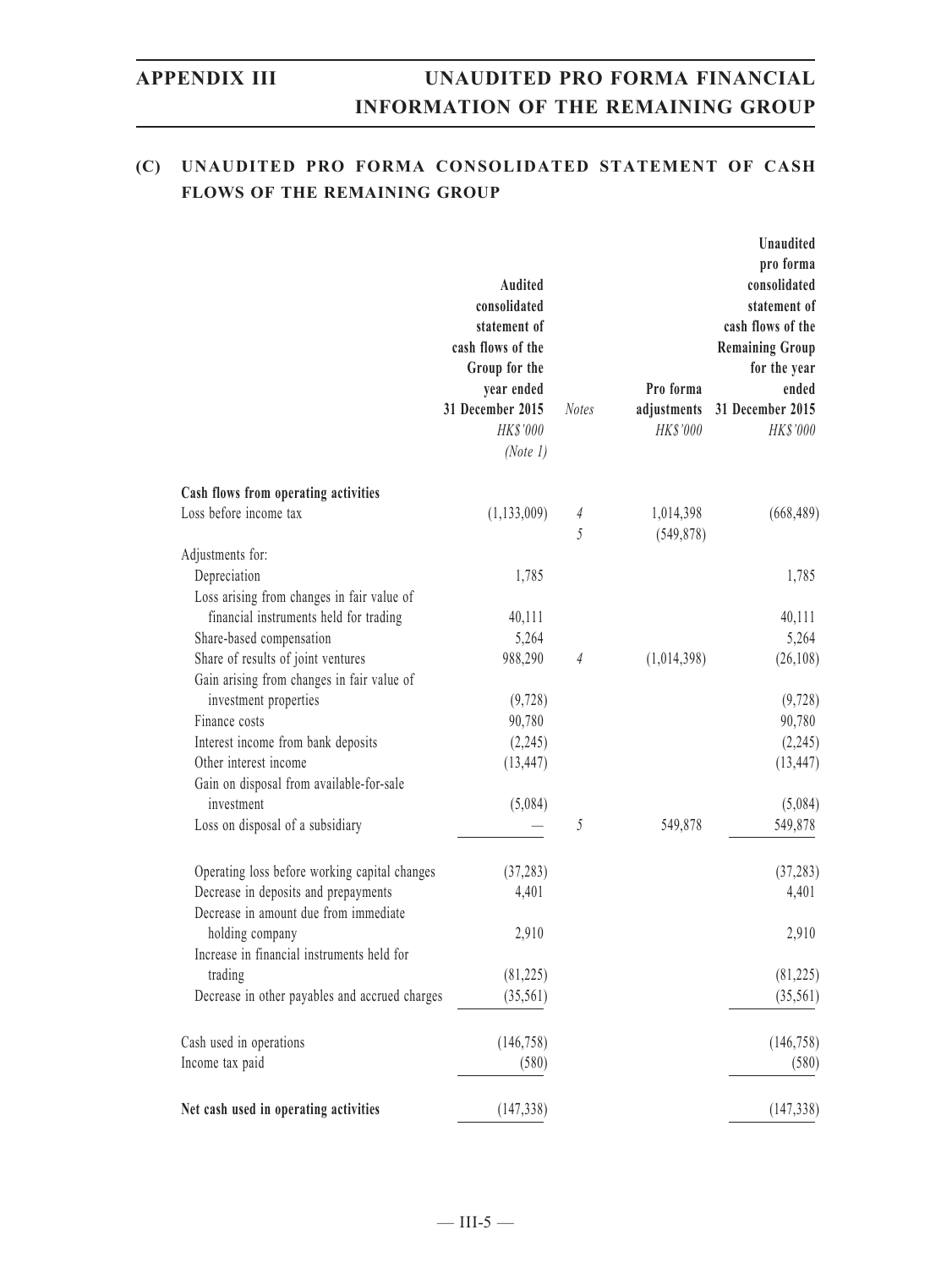### **(C) UNAUDITED PRO FORMA CONSOLIDATED STATEMENT OF CASH FLOWS OF THE REMAINING GROUP**

|                                                            | <b>Audited</b><br>consolidated<br>statement of<br>cash flows of the<br>Group for the<br>year ended<br>31 December 2015<br>HK\$'000<br>(Note 1) | <b>Notes</b> | Pro forma<br>adjustments<br>HK\$'000 | <b>Unaudited</b><br>pro forma<br>consolidated<br>statement of<br>cash flows of the<br><b>Remaining Group</b><br>for the year<br>ended<br>31 December 2015<br>HK\$'000 |
|------------------------------------------------------------|------------------------------------------------------------------------------------------------------------------------------------------------|--------------|--------------------------------------|-----------------------------------------------------------------------------------------------------------------------------------------------------------------------|
| Cash flows from operating activities                       |                                                                                                                                                |              |                                      |                                                                                                                                                                       |
| Loss before income tax                                     | (1, 133, 009)                                                                                                                                  | 4<br>5       | 1,014,398<br>(549, 878)              | (668, 489)                                                                                                                                                            |
| Adjustments for:                                           |                                                                                                                                                |              |                                      |                                                                                                                                                                       |
| Depreciation<br>Loss arising from changes in fair value of | 1,785                                                                                                                                          |              |                                      | 1,785                                                                                                                                                                 |
| financial instruments held for trading                     | 40,111                                                                                                                                         |              |                                      | 40,111                                                                                                                                                                |
| Share-based compensation                                   | 5,264                                                                                                                                          |              |                                      | 5,264                                                                                                                                                                 |
| Share of results of joint ventures                         | 988,290                                                                                                                                        | 4            | (1,014,398)                          | (26, 108)                                                                                                                                                             |
| Gain arising from changes in fair value of                 |                                                                                                                                                |              |                                      |                                                                                                                                                                       |
| investment properties                                      | (9, 728)                                                                                                                                       |              |                                      | (9,728)                                                                                                                                                               |
| Finance costs                                              | 90,780                                                                                                                                         |              |                                      | 90,780                                                                                                                                                                |
| Interest income from bank deposits                         | (2,245)                                                                                                                                        |              |                                      | (2,245)                                                                                                                                                               |
| Other interest income                                      | (13, 447)                                                                                                                                      |              |                                      | (13, 447)                                                                                                                                                             |
| Gain on disposal from available-for-sale                   |                                                                                                                                                |              |                                      |                                                                                                                                                                       |
| investment                                                 | (5,084)                                                                                                                                        |              |                                      | (5,084)                                                                                                                                                               |
| Loss on disposal of a subsidiary                           |                                                                                                                                                | 5            | 549,878                              | 549,878                                                                                                                                                               |
| Operating loss before working capital changes              | (37, 283)                                                                                                                                      |              |                                      | (37, 283)                                                                                                                                                             |
| Decrease in deposits and prepayments                       | 4,401                                                                                                                                          |              |                                      | 4,401                                                                                                                                                                 |
| Decrease in amount due from immediate                      |                                                                                                                                                |              |                                      |                                                                                                                                                                       |
| holding company                                            | 2,910                                                                                                                                          |              |                                      | 2,910                                                                                                                                                                 |
| Increase in financial instruments held for                 |                                                                                                                                                |              |                                      |                                                                                                                                                                       |
| trading                                                    | (81, 225)                                                                                                                                      |              |                                      | (81, 225)                                                                                                                                                             |
| Decrease in other payables and accrued charges             | (35,561)                                                                                                                                       |              |                                      | (35,561)                                                                                                                                                              |
| Cash used in operations                                    | (146, 758)                                                                                                                                     |              |                                      | (146, 758)                                                                                                                                                            |
| Income tax paid                                            | (580)                                                                                                                                          |              |                                      | (580)                                                                                                                                                                 |
| Net cash used in operating activities                      | (147, 338)                                                                                                                                     |              |                                      | (147, 338)                                                                                                                                                            |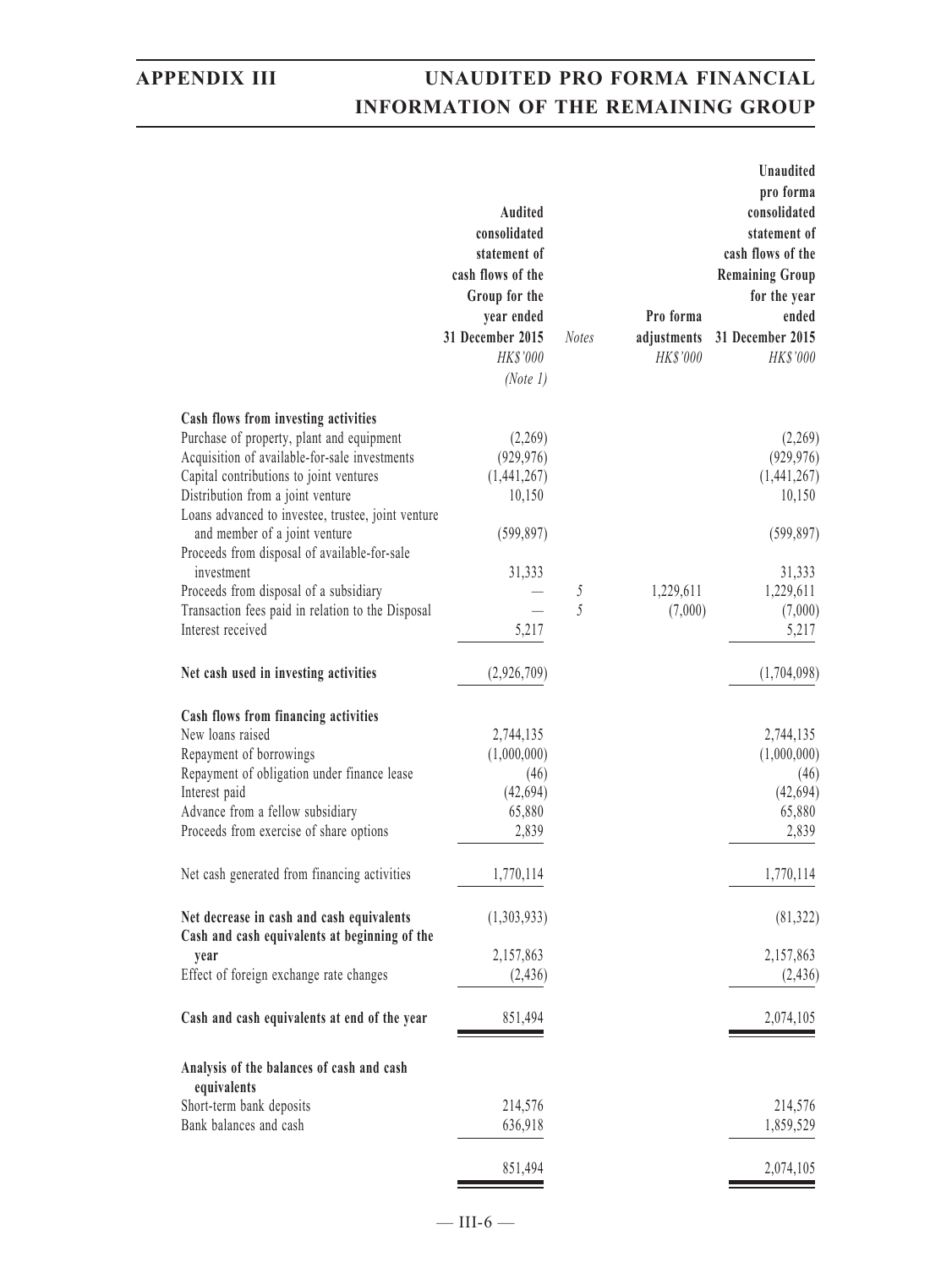|                                                                                            | Audited<br>consolidated<br>statement of<br>cash flows of the<br>Group for the<br>year ended<br>31 December 2015<br>HK\$'000<br>(Note 1) | <b>Notes</b> | Pro forma<br>adjustments<br>HK\$'000 | Unaudited<br>pro forma<br>consolidated<br>statement of<br>cash flows of the<br><b>Remaining Group</b><br>for the year<br>ended<br>31 December 2015<br>HK\$'000 |
|--------------------------------------------------------------------------------------------|-----------------------------------------------------------------------------------------------------------------------------------------|--------------|--------------------------------------|----------------------------------------------------------------------------------------------------------------------------------------------------------------|
| Cash flows from investing activities                                                       |                                                                                                                                         |              |                                      |                                                                                                                                                                |
| Purchase of property, plant and equipment                                                  | (2,269)                                                                                                                                 |              |                                      | (2,269)                                                                                                                                                        |
| Acquisition of available-for-sale investments                                              | (929, 976)                                                                                                                              |              |                                      | (929, 976)                                                                                                                                                     |
| Capital contributions to joint ventures                                                    | (1,441,267)                                                                                                                             |              |                                      | (1,441,267)                                                                                                                                                    |
| Distribution from a joint venture<br>Loans advanced to investee, trustee, joint venture    | 10,150                                                                                                                                  |              |                                      | 10,150                                                                                                                                                         |
| and member of a joint venture                                                              | (599, 897)                                                                                                                              |              |                                      | (599, 897)                                                                                                                                                     |
| Proceeds from disposal of available-for-sale                                               |                                                                                                                                         |              |                                      |                                                                                                                                                                |
| investment                                                                                 | 31,333                                                                                                                                  |              |                                      | 31,333                                                                                                                                                         |
| Proceeds from disposal of a subsidiary                                                     |                                                                                                                                         | 5            | 1,229,611                            | 1,229,611                                                                                                                                                      |
| Transaction fees paid in relation to the Disposal                                          |                                                                                                                                         | 5            | (7,000)                              | (7,000)                                                                                                                                                        |
| Interest received                                                                          | 5,217                                                                                                                                   |              |                                      | 5,217                                                                                                                                                          |
| Net cash used in investing activities                                                      | (2,926,709)                                                                                                                             |              |                                      | (1,704,098)                                                                                                                                                    |
|                                                                                            |                                                                                                                                         |              |                                      |                                                                                                                                                                |
| Cash flows from financing activities                                                       |                                                                                                                                         |              |                                      |                                                                                                                                                                |
| New loans raised<br>Repayment of borrowings                                                | 2,744,135<br>(1,000,000)                                                                                                                |              |                                      | 2,744,135<br>(1,000,000)                                                                                                                                       |
| Repayment of obligation under finance lease                                                | (46)                                                                                                                                    |              |                                      | (46)                                                                                                                                                           |
| Interest paid                                                                              | (42, 694)                                                                                                                               |              |                                      | (42, 694)                                                                                                                                                      |
| Advance from a fellow subsidiary                                                           | 65,880                                                                                                                                  |              |                                      | 65,880                                                                                                                                                         |
| Proceeds from exercise of share options                                                    | 2,839                                                                                                                                   |              |                                      | 2,839                                                                                                                                                          |
| Net cash generated from financing activities                                               | 1,770,114                                                                                                                               |              |                                      | 1,770,114                                                                                                                                                      |
|                                                                                            |                                                                                                                                         |              |                                      |                                                                                                                                                                |
| Net decrease in cash and cash equivalents<br>Cash and cash equivalents at beginning of the | (1,303,933)                                                                                                                             |              |                                      | (81,322)                                                                                                                                                       |
| vear                                                                                       | 2,157,863                                                                                                                               |              |                                      | 2,157,863                                                                                                                                                      |
| Effect of foreign exchange rate changes                                                    | (2, 436)                                                                                                                                |              |                                      | (2, 436)                                                                                                                                                       |
|                                                                                            |                                                                                                                                         |              |                                      |                                                                                                                                                                |
| Cash and cash equivalents at end of the year                                               | 851,494                                                                                                                                 |              |                                      | 2,074,105                                                                                                                                                      |
| Analysis of the balances of cash and cash                                                  |                                                                                                                                         |              |                                      |                                                                                                                                                                |
| equivalents                                                                                |                                                                                                                                         |              |                                      |                                                                                                                                                                |
| Short-term bank deposits<br>Bank balances and cash                                         | 214,576<br>636,918                                                                                                                      |              |                                      | 214,576<br>1,859,529                                                                                                                                           |
|                                                                                            |                                                                                                                                         |              |                                      |                                                                                                                                                                |
|                                                                                            | 851,494                                                                                                                                 |              |                                      | 2,074,105                                                                                                                                                      |
|                                                                                            |                                                                                                                                         |              |                                      |                                                                                                                                                                |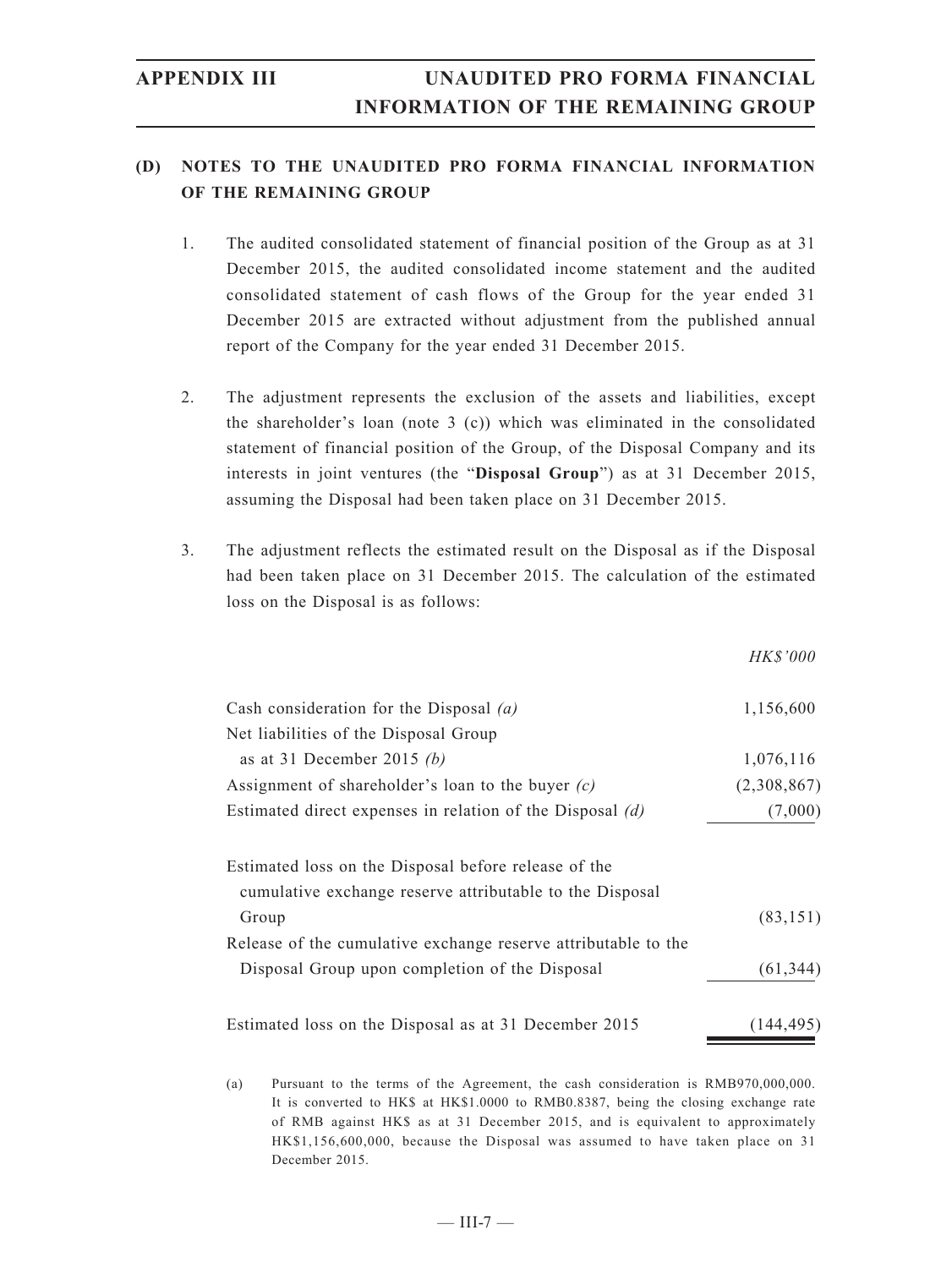### **(D) NOTES TO THE UNAUDITED PRO FORMA FINANCIAL INFORMATION OF THE REMAINING GROUP**

- 1. The audited consolidated statement of financial position of the Group as at 31 December 2015, the audited consolidated income statement and the audited consolidated statement of cash flows of the Group for the year ended 31 December 2015 are extracted without adjustment from the published annual report of the Company for the year ended 31 December 2015.
- 2. The adjustment represents the exclusion of the assets and liabilities, except the shareholder's loan (note 3 (c)) which was eliminated in the consolidated statement of financial position of the Group, of the Disposal Company and its interests in joint ventures (the "**Disposal Group**") as at 31 December 2015, assuming the Disposal had been taken place on 31 December 2015.
- 3. The adjustment reflects the estimated result on the Disposal as if the Disposal had been taken place on 31 December 2015. The calculation of the estimated loss on the Disposal is as follows:

|                                                                                                                  | HK\$'000    |
|------------------------------------------------------------------------------------------------------------------|-------------|
| Cash consideration for the Disposal $(a)$                                                                        | 1,156,600   |
| Net liabilities of the Disposal Group                                                                            |             |
| as at 31 December 2015 (b)                                                                                       | 1,076,116   |
| Assignment of shareholder's loan to the buyer $(c)$                                                              | (2,308,867) |
| Estimated direct expenses in relation of the Disposal $(d)$                                                      | (7,000)     |
| Estimated loss on the Disposal before release of the<br>cumulative exchange reserve attributable to the Disposal |             |
| Group                                                                                                            | (83, 151)   |
| Release of the cumulative exchange reserve attributable to the                                                   |             |
| Disposal Group upon completion of the Disposal                                                                   | (61, 344)   |
| Estimated loss on the Disposal as at 31 December 2015                                                            | (144,495)   |

(a) Pursuant to the terms of the Agreement, the cash consideration is RMB970,000,000. It is converted to HK\$ at HK\$1.0000 to RMB0.8387, being the closing exchange rate of RMB against HK\$ as at 31 December 2015, and is equivalent to approximately HK\$1,156,600,000, because the Disposal was assumed to have taken place on 31 December 2015.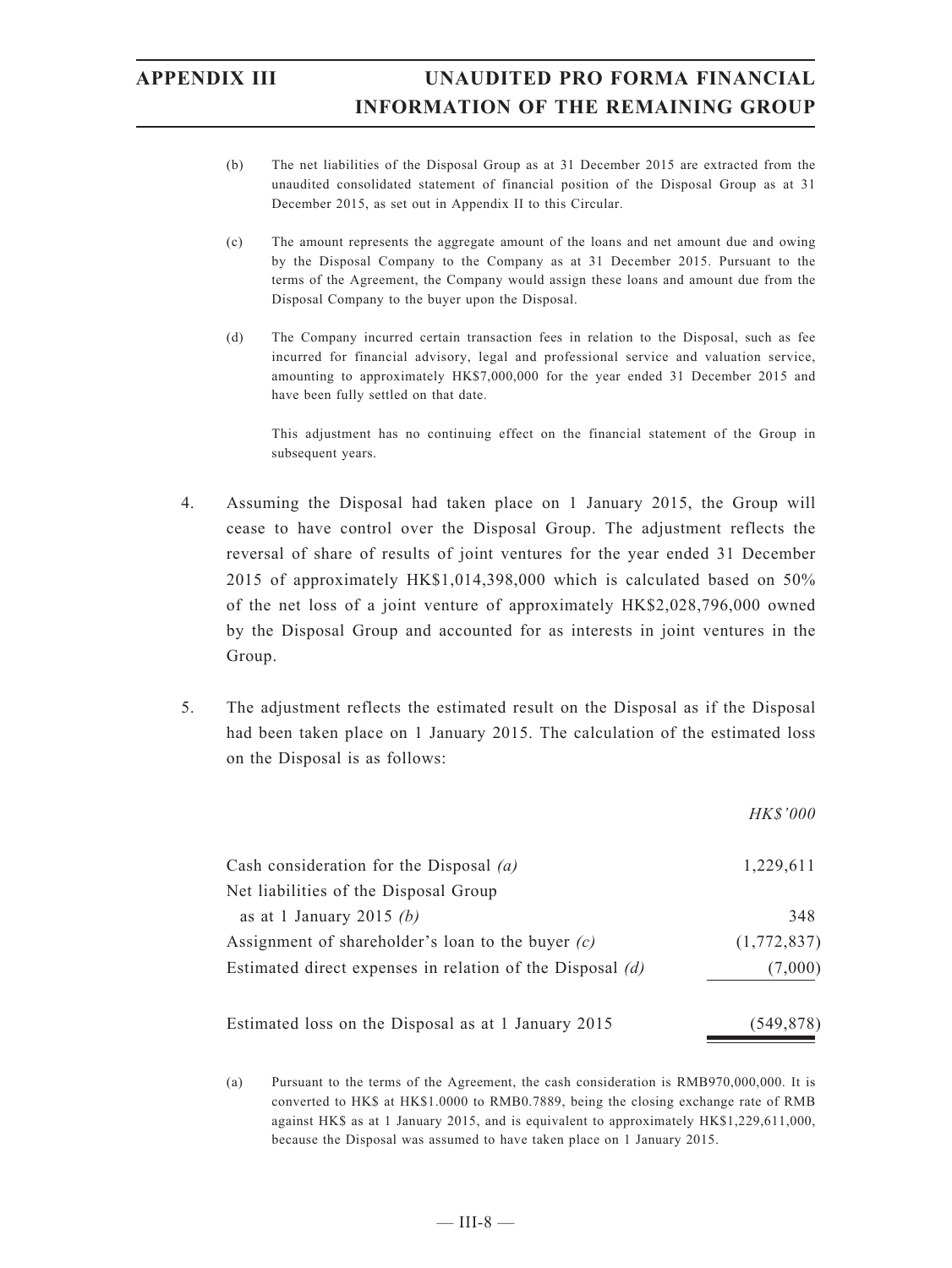- (b) The net liabilities of the Disposal Group as at 31 December 2015 are extracted from the unaudited consolidated statement of financial position of the Disposal Group as at 31 December 2015, as set out in Appendix II to this Circular.
- (c) The amount represents the aggregate amount of the loans and net amount due and owing by the Disposal Company to the Company as at 31 December 2015. Pursuant to the terms of the Agreement, the Company would assign these loans and amount due from the Disposal Company to the buyer upon the Disposal.
- (d) The Company incurred certain transaction fees in relation to the Disposal, such as fee incurred for financial advisory, legal and professional service and valuation service, amounting to approximately HK\$7,000,000 for the year ended 31 December 2015 and have been fully settled on that date.

This adjustment has no continuing effect on the financial statement of the Group in subsequent years.

- 4. Assuming the Disposal had taken place on 1 January 2015, the Group will cease to have control over the Disposal Group. The adjustment reflects the reversal of share of results of joint ventures for the year ended 31 December 2015 of approximately HK\$1,014,398,000 which is calculated based on 50% of the net loss of a joint venture of approximately HK\$2,028,796,000 owned by the Disposal Group and accounted for as interests in joint ventures in the Group.
- 5. The adjustment reflects the estimated result on the Disposal as if the Disposal had been taken place on 1 January 2015. The calculation of the estimated loss on the Disposal is as follows:

|                                                             | <i>HK\$'000</i> |
|-------------------------------------------------------------|-----------------|
| Cash consideration for the Disposal $(a)$                   | 1,229,611       |
| Net liabilities of the Disposal Group                       |                 |
| as at 1 January 2015 (b)                                    | 348             |
| Assignment of shareholder's loan to the buyer $(c)$         | (1,772,837)     |
| Estimated direct expenses in relation of the Disposal $(d)$ | (7,000)         |
| Estimated loss on the Disposal as at 1 January 2015         | (549,878)       |

(a) Pursuant to the terms of the Agreement, the cash consideration is RMB970,000,000. It is converted to HK\$ at HK\$1.0000 to RMB0.7889, being the closing exchange rate of RMB against HK\$ as at 1 January 2015, and is equivalent to approximately HK\$1,229,611,000, because the Disposal was assumed to have taken place on 1 January 2015.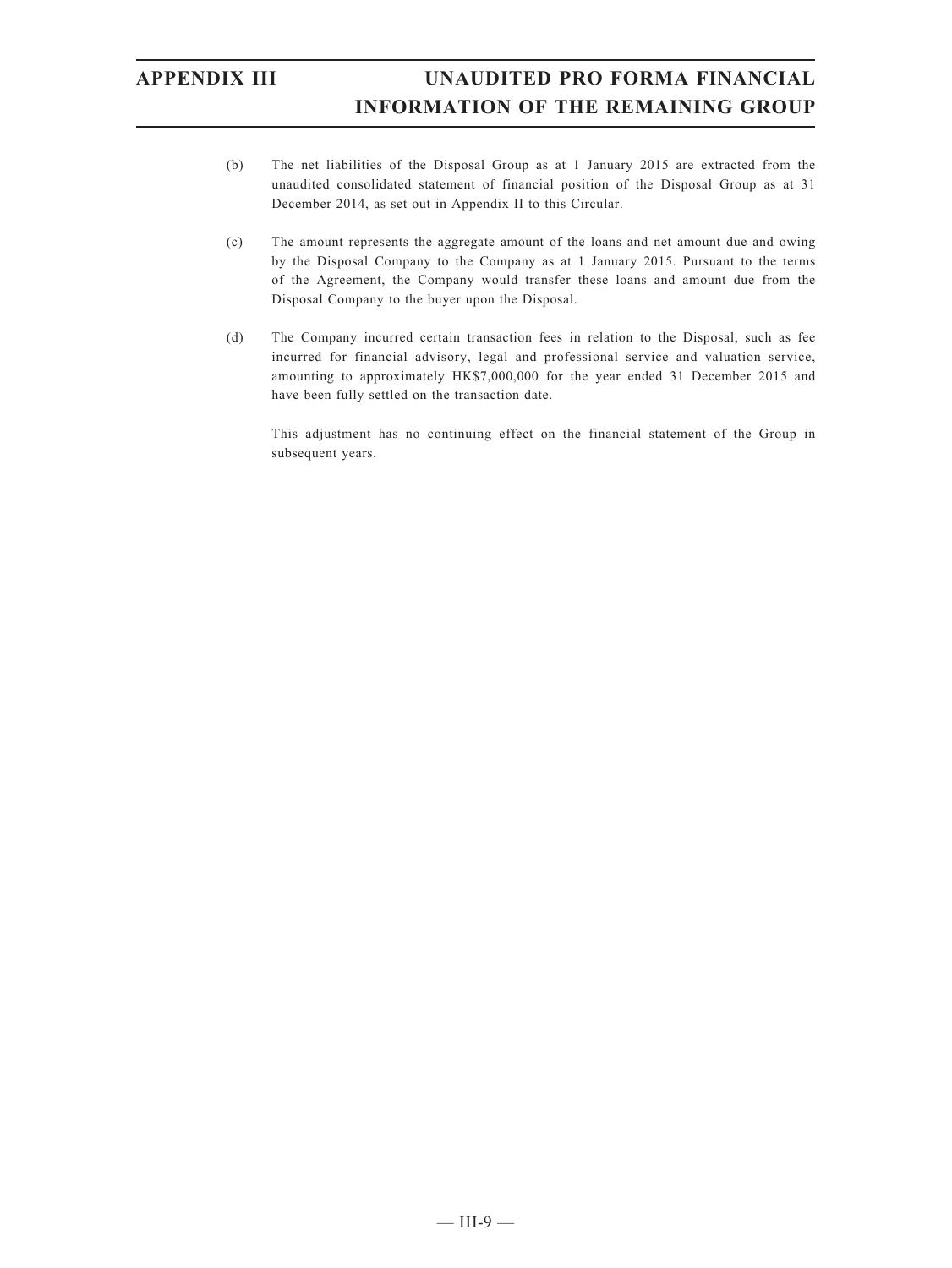- (b) The net liabilities of the Disposal Group as at 1 January 2015 are extracted from the unaudited consolidated statement of financial position of the Disposal Group as at 31 December 2014, as set out in Appendix II to this Circular.
- (c) The amount represents the aggregate amount of the loans and net amount due and owing by the Disposal Company to the Company as at 1 January 2015. Pursuant to the terms of the Agreement, the Company would transfer these loans and amount due from the Disposal Company to the buyer upon the Disposal.
- (d) The Company incurred certain transaction fees in relation to the Disposal, such as fee incurred for financial advisory, legal and professional service and valuation service, amounting to approximately HK\$7,000,000 for the year ended 31 December 2015 and have been fully settled on the transaction date.

This adjustment has no continuing effect on the financial statement of the Group in subsequent years.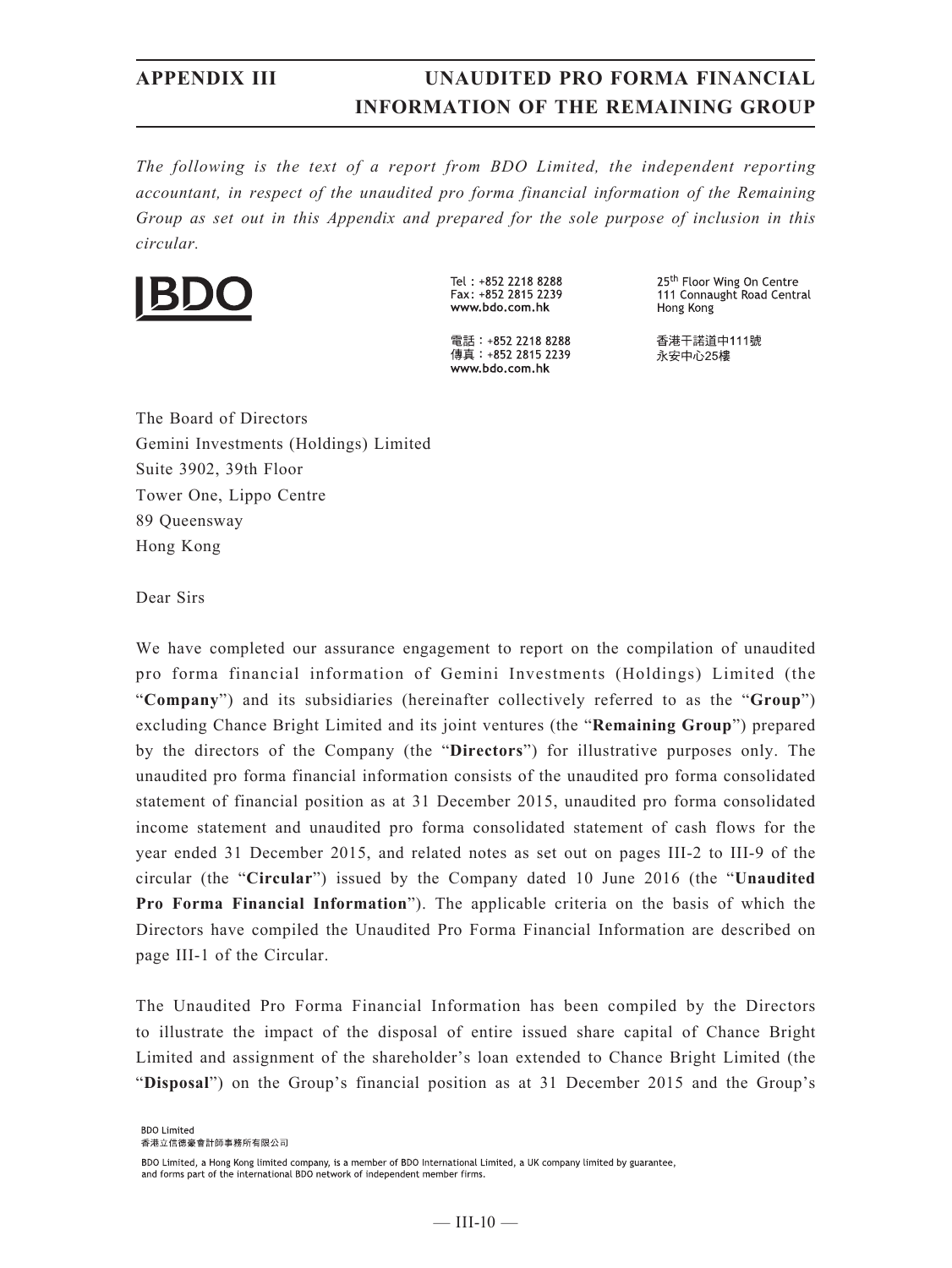*The following is the text of a report from BDO Limited, the independent reporting accountant, in respect of the unaudited pro forma financial information of the Remaining Group as set out in this Appendix and prepared for the sole purpose of inclusion in this circular.*



Tel: +852 2218 8288 Fax: +852 2815 2239 www.bdo.com.hk

電話: +852 2218 8288 傳真: +852 2815 2239 www.bdo.com.hk

25<sup>th</sup> Floor Wing On Centre 111 Connaught Road Central Hong Kong

香港干諾道中111號 永安中心25樓

The Board of Directors Gemini Investments (Holdings) Limited Suite 3902, 39th Floor Tower One, Lippo Centre 89 Queensway Hong Kong

Dear Sirs

We have completed our assurance engagement to report on the compilation of unaudited pro forma financial information of Gemini Investments (Holdings) Limited (the "**Company**") and its subsidiaries (hereinafter collectively referred to as the "**Group**") excluding Chance Bright Limited and its joint ventures (the "**Remaining Group**") prepared by the directors of the Company (the "**Directors**") for illustrative purposes only. The unaudited pro forma financial information consists of the unaudited pro forma consolidated statement of financial position as at 31 December 2015, unaudited pro forma consolidated income statement and unaudited pro forma consolidated statement of cash flows for the year ended 31 December 2015, and related notes as set out on pages III-2 to III-9 of the circular (the "**Circular**") issued by the Company dated 10 June 2016 (the "**Unaudited Pro Forma Financial Information**"). The applicable criteria on the basis of which the Directors have compiled the Unaudited Pro Forma Financial Information are described on page III-1 of the Circular.

The Unaudited Pro Forma Financial Information has been compiled by the Directors to illustrate the impact of the disposal of entire issued share capital of Chance Bright Limited and assignment of the shareholder's loan extended to Chance Bright Limited (the "**Disposal**") on the Group's financial position as at 31 December 2015 and the Group's

BDO Limited 香港立信德豪會計師事務所有限公司

BDO Limited, a Hong Kong limited company, is a member of BDO International Limited, a UK company limited by guarantee, and forms part of the international BDO network of independent member firms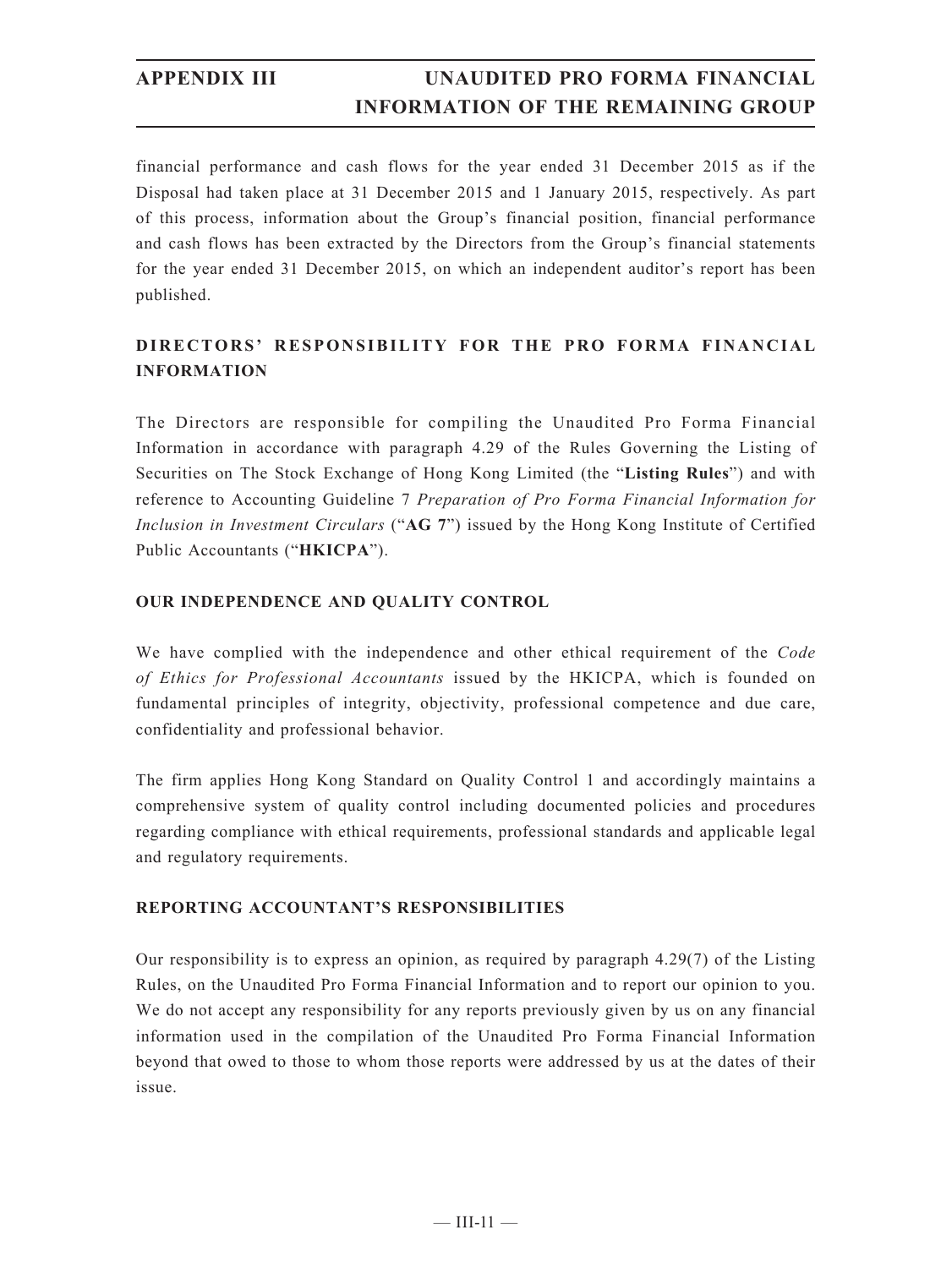financial performance and cash flows for the year ended 31 December 2015 as if the Disposal had taken place at 31 December 2015 and 1 January 2015, respectively. As part of this process, information about the Group's financial position, financial performance and cash flows has been extracted by the Directors from the Group's financial statements for the year ended 31 December 2015, on which an independent auditor's report has been published.

## **DIRECTORS' RESPONSIBILITY FOR THE PRO FORMA FINANCIAL INFORMATION**

The Directors are responsible for compiling the Unaudited Pro Forma Financial Information in accordance with paragraph 4.29 of the Rules Governing the Listing of Securities on The Stock Exchange of Hong Kong Limited (the "**Listing Rules**") and with reference to Accounting Guideline 7 *Preparation of Pro Forma Financial Information for Inclusion in Investment Circulars* ("**AG 7**") issued by the Hong Kong Institute of Certified Public Accountants ("**HKICPA**").

### **OUR INDEPENDENCE AND QUALITY CONTROL**

We have complied with the independence and other ethical requirement of the *Code of Ethics for Professional Accountants* issued by the HKICPA, which is founded on fundamental principles of integrity, objectivity, professional competence and due care, confidentiality and professional behavior.

The firm applies Hong Kong Standard on Quality Control 1 and accordingly maintains a comprehensive system of quality control including documented policies and procedures regarding compliance with ethical requirements, professional standards and applicable legal and regulatory requirements.

### **REPORTING ACCOUNTANT'S RESPONSIBILITIES**

Our responsibility is to express an opinion, as required by paragraph 4.29(7) of the Listing Rules, on the Unaudited Pro Forma Financial Information and to report our opinion to you. We do not accept any responsibility for any reports previously given by us on any financial information used in the compilation of the Unaudited Pro Forma Financial Information beyond that owed to those to whom those reports were addressed by us at the dates of their issue.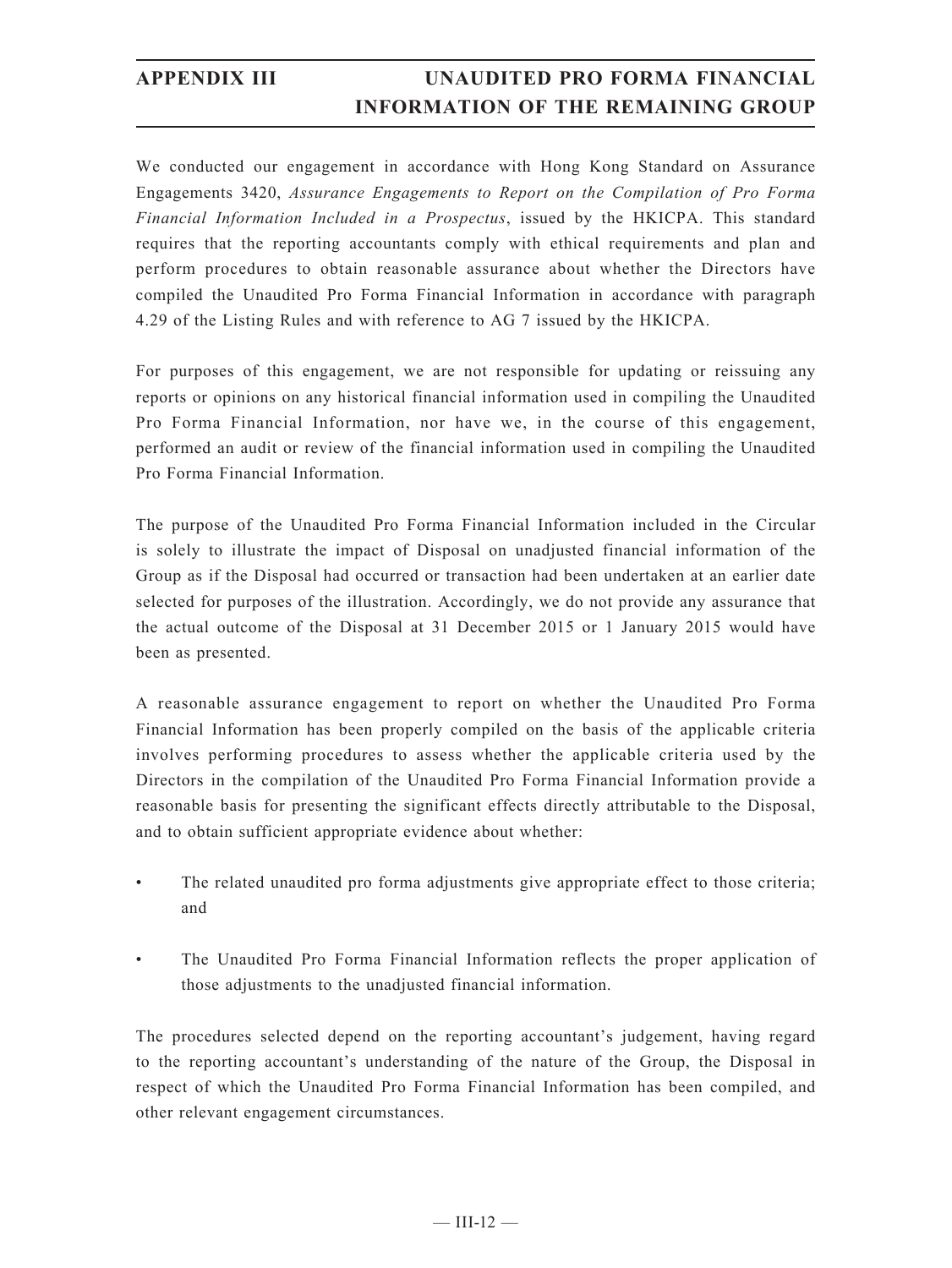We conducted our engagement in accordance with Hong Kong Standard on Assurance Engagements 3420, *Assurance Engagements to Report on the Compilation of Pro Forma Financial Information Included in a Prospectus*, issued by the HKICPA. This standard requires that the reporting accountants comply with ethical requirements and plan and perform procedures to obtain reasonable assurance about whether the Directors have compiled the Unaudited Pro Forma Financial Information in accordance with paragraph 4.29 of the Listing Rules and with reference to AG 7 issued by the HKICPA.

For purposes of this engagement, we are not responsible for updating or reissuing any reports or opinions on any historical financial information used in compiling the Unaudited Pro Forma Financial Information, nor have we, in the course of this engagement, performed an audit or review of the financial information used in compiling the Unaudited Pro Forma Financial Information.

The purpose of the Unaudited Pro Forma Financial Information included in the Circular is solely to illustrate the impact of Disposal on unadjusted financial information of the Group as if the Disposal had occurred or transaction had been undertaken at an earlier date selected for purposes of the illustration. Accordingly, we do not provide any assurance that the actual outcome of the Disposal at 31 December 2015 or 1 January 2015 would have been as presented.

A reasonable assurance engagement to report on whether the Unaudited Pro Forma Financial Information has been properly compiled on the basis of the applicable criteria involves performing procedures to assess whether the applicable criteria used by the Directors in the compilation of the Unaudited Pro Forma Financial Information provide a reasonable basis for presenting the significant effects directly attributable to the Disposal, and to obtain sufficient appropriate evidence about whether:

- The related unaudited pro forma adjustments give appropriate effect to those criteria; and
- The Unaudited Pro Forma Financial Information reflects the proper application of those adjustments to the unadjusted financial information.

The procedures selected depend on the reporting accountant's judgement, having regard to the reporting accountant's understanding of the nature of the Group, the Disposal in respect of which the Unaudited Pro Forma Financial Information has been compiled, and other relevant engagement circumstances.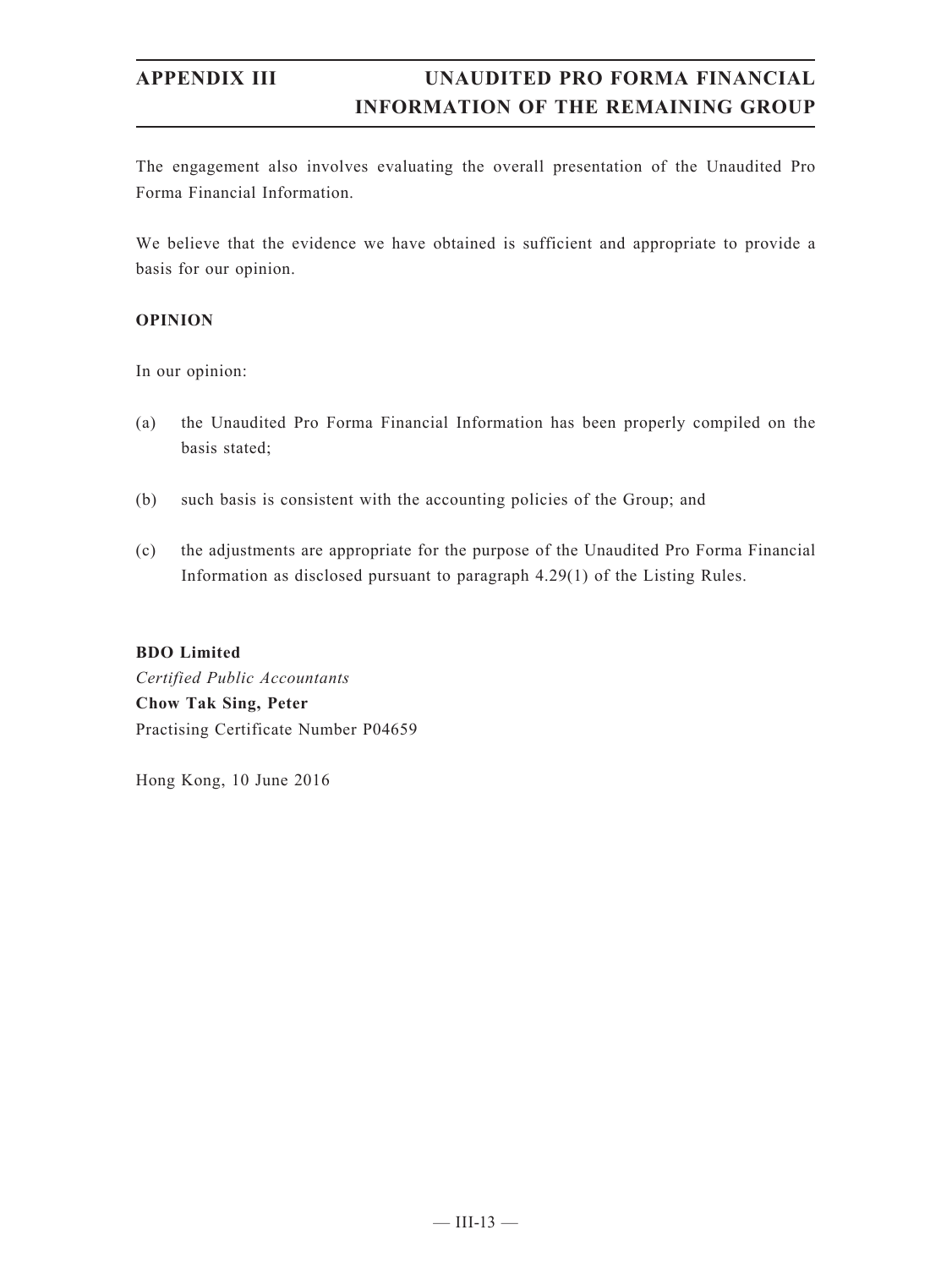The engagement also involves evaluating the overall presentation of the Unaudited Pro Forma Financial Information.

We believe that the evidence we have obtained is sufficient and appropriate to provide a basis for our opinion.

### **OPINION**

In our opinion:

- (a) the Unaudited Pro Forma Financial Information has been properly compiled on the basis stated;
- (b) such basis is consistent with the accounting policies of the Group; and
- (c) the adjustments are appropriate for the purpose of the Unaudited Pro Forma Financial Information as disclosed pursuant to paragraph 4.29(1) of the Listing Rules.

### **BDO Limited**

*Certified Public Accountants* **Chow Tak Sing, Peter** Practising Certificate Number P04659

Hong Kong, 10 June 2016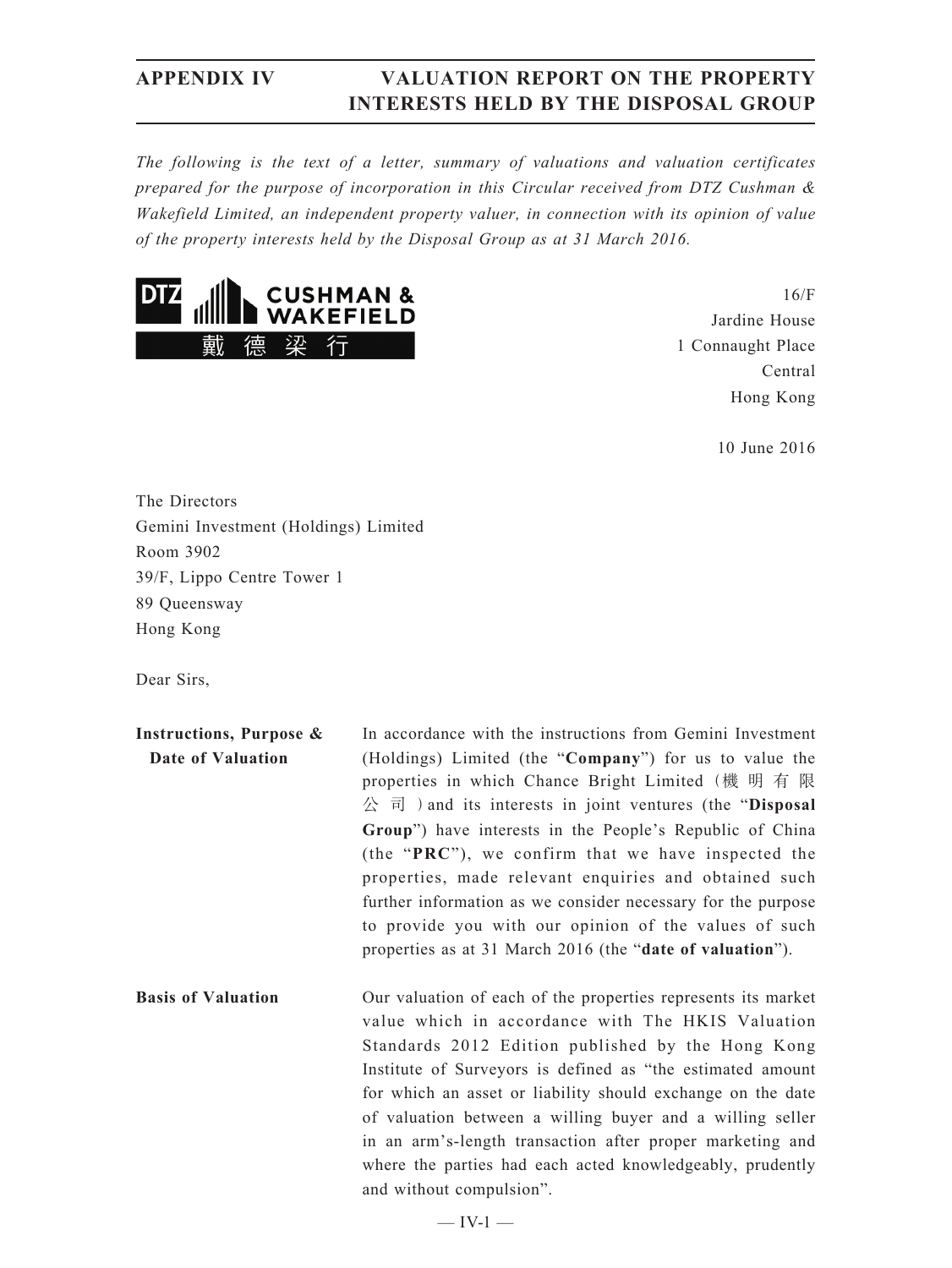*The following is the text of a letter, summary of valuations and valuation certificates prepared for the purpose of incorporation in this Circular received from DTZ Cushman & Wakefield Limited, an independent property valuer, in connection with its opinion of value of the property interests held by the Disposal Group as at 31 March 2016.*



16/F Jardine House 1 Connaught Place Central Hong Kong

10 June 2016

The Directors Gemini Investment (Holdings) Limited Room 3902 39/F, Lippo Centre Tower 1 89 Queensway Hong Kong

Dear Sirs,

| In accordance with the instructions from Gemini Investment<br>Instructions, Purpose & |                                                                                                                                                                                            |  |  |  |
|---------------------------------------------------------------------------------------|--------------------------------------------------------------------------------------------------------------------------------------------------------------------------------------------|--|--|--|
| Date of Valuation                                                                     | (Holdings) Limited (the "Company") for us to value the<br>properties in which Chance Bright Limited (機 明 有 限<br>$\Diamond$ $\exists$ ) and its interests in joint ventures (the "Disposal" |  |  |  |
|                                                                                       | Group") have interests in the People's Republic of China                                                                                                                                   |  |  |  |
|                                                                                       | (the "PRC"), we confirm that we have inspected the<br>properties, made relevant enquiries and obtained such                                                                                |  |  |  |
|                                                                                       | further information as we consider necessary for the purpose                                                                                                                               |  |  |  |
|                                                                                       | to provide you with our opinion of the values of such                                                                                                                                      |  |  |  |
|                                                                                       | properties as at 31 March 2016 (the "date of valuation").                                                                                                                                  |  |  |  |
| <b>Basis of Valuation</b>                                                             | Our valuation of each of the properties represents its market<br>value which in accordance with The HKIS Valuation<br>Standards 2012 Edition published by the Hong Kong                    |  |  |  |
|                                                                                       | Institute of Surveyors is defined as "the estimated amount                                                                                                                                 |  |  |  |
|                                                                                       | for which an asset or liability should exchange on the date                                                                                                                                |  |  |  |
|                                                                                       | of valuation between a willing buyer and a willing seller                                                                                                                                  |  |  |  |
|                                                                                       | in an arm's-length transaction after proper marketing and                                                                                                                                  |  |  |  |
|                                                                                       | where the parties had each acted knowledgeably, prudently                                                                                                                                  |  |  |  |
|                                                                                       | and without compulsion".                                                                                                                                                                   |  |  |  |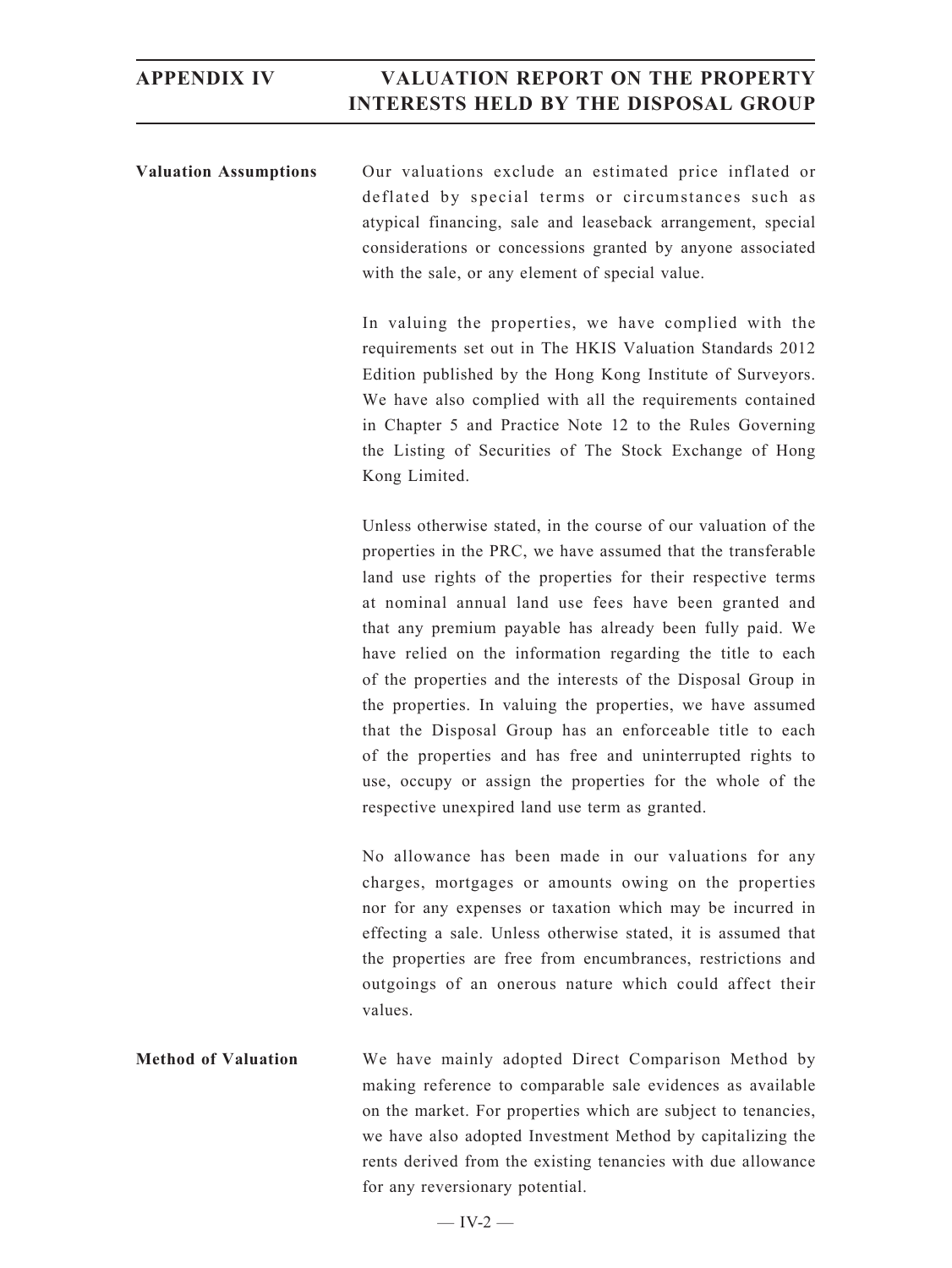**Valuation Assumptions** Our valuations exclude an estimated price inflated or deflated by special terms or circumstances such as atypical financing, sale and leaseback arrangement, special considerations or concessions granted by anyone associated with the sale, or any element of special value.

> In valuing the properties, we have complied with the requirements set out in The HKIS Valuation Standards 2012 Edition published by the Hong Kong Institute of Surveyors. We have also complied with all the requirements contained in Chapter 5 and Practice Note 12 to the Rules Governing the Listing of Securities of The Stock Exchange of Hong Kong Limited.

> Unless otherwise stated, in the course of our valuation of the properties in the PRC, we have assumed that the transferable land use rights of the properties for their respective terms at nominal annual land use fees have been granted and that any premium payable has already been fully paid. We have relied on the information regarding the title to each of the properties and the interests of the Disposal Group in the properties. In valuing the properties, we have assumed that the Disposal Group has an enforceable title to each of the properties and has free and uninterrupted rights to use, occupy or assign the properties for the whole of the respective unexpired land use term as granted.

> No allowance has been made in our valuations for any charges, mortgages or amounts owing on the properties nor for any expenses or taxation which may be incurred in effecting a sale. Unless otherwise stated, it is assumed that the properties are free from encumbrances, restrictions and outgoings of an onerous nature which could affect their values.

**Method of Valuation** We have mainly adopted Direct Comparison Method by making reference to comparable sale evidences as available on the market. For properties which are subject to tenancies, we have also adopted Investment Method by capitalizing the rents derived from the existing tenancies with due allowance for any reversionary potential.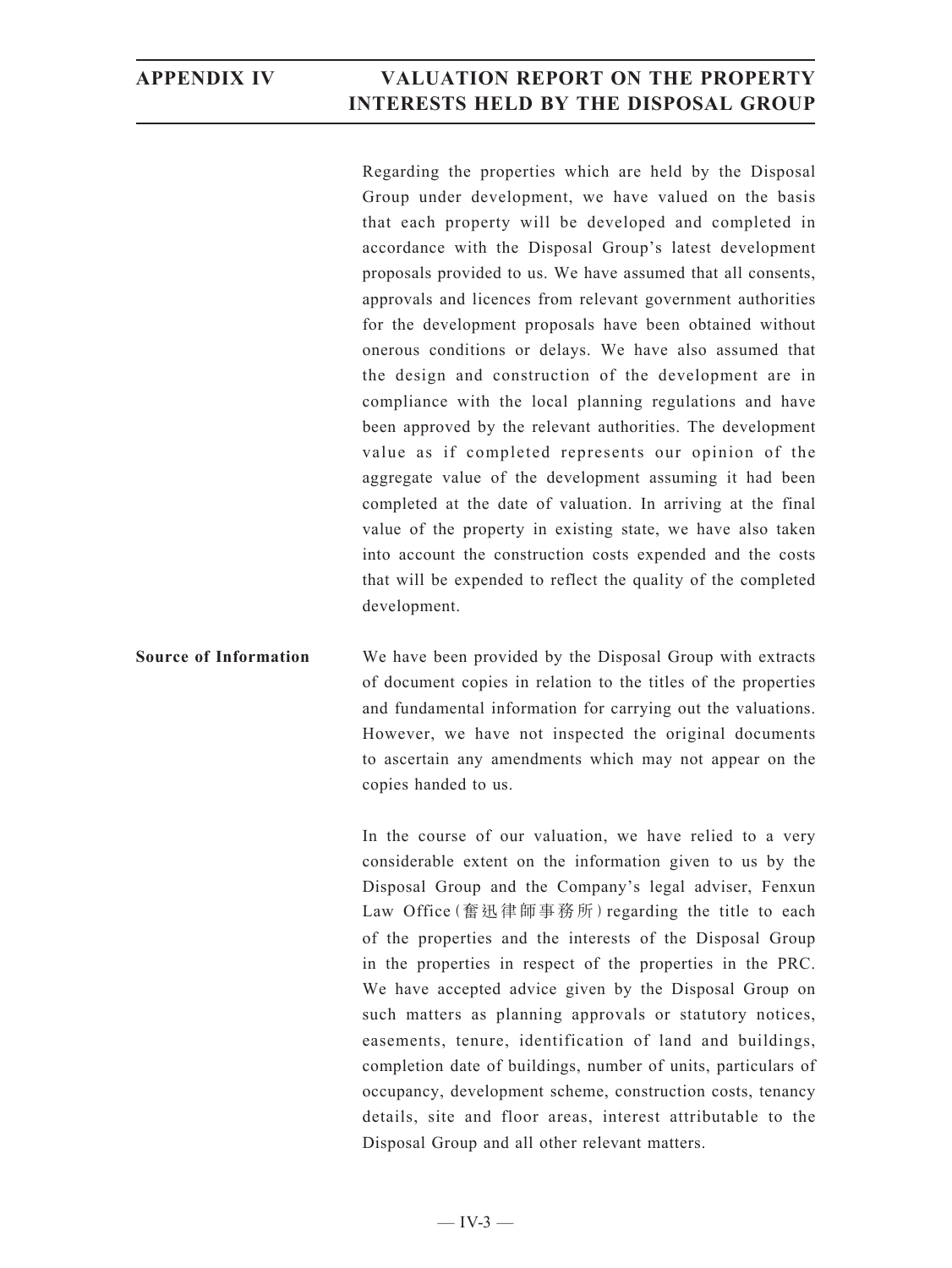Regarding the properties which are held by the Disposal Group under development, we have valued on the basis that each property will be developed and completed in accordance with the Disposal Group's latest development proposals provided to us. We have assumed that all consents, approvals and licences from relevant government authorities for the development proposals have been obtained without onerous conditions or delays. We have also assumed that the design and construction of the development are in compliance with the local planning regulations and have been approved by the relevant authorities. The development value as if completed represents our opinion of the aggregate value of the development assuming it had been completed at the date of valuation. In arriving at the final value of the property in existing state, we have also taken into account the construction costs expended and the costs that will be expended to reflect the quality of the completed development.

**Source of Information** We have been provided by the Disposal Group with extracts of document copies in relation to the titles of the properties and fundamental information for carrying out the valuations. However, we have not inspected the original documents to ascertain any amendments which may not appear on the copies handed to us.

> In the course of our valuation, we have relied to a very considerable extent on the information given to us by the Disposal Group and the Company's legal adviser, Fenxun Law Office(奮迅律師事務所)regarding the title to each of the properties and the interests of the Disposal Group in the properties in respect of the properties in the PRC. We have accepted advice given by the Disposal Group on such matters as planning approvals or statutory notices, easements, tenure, identification of land and buildings, completion date of buildings, number of units, particulars of occupancy, development scheme, construction costs, tenancy details, site and floor areas, interest attributable to the Disposal Group and all other relevant matters.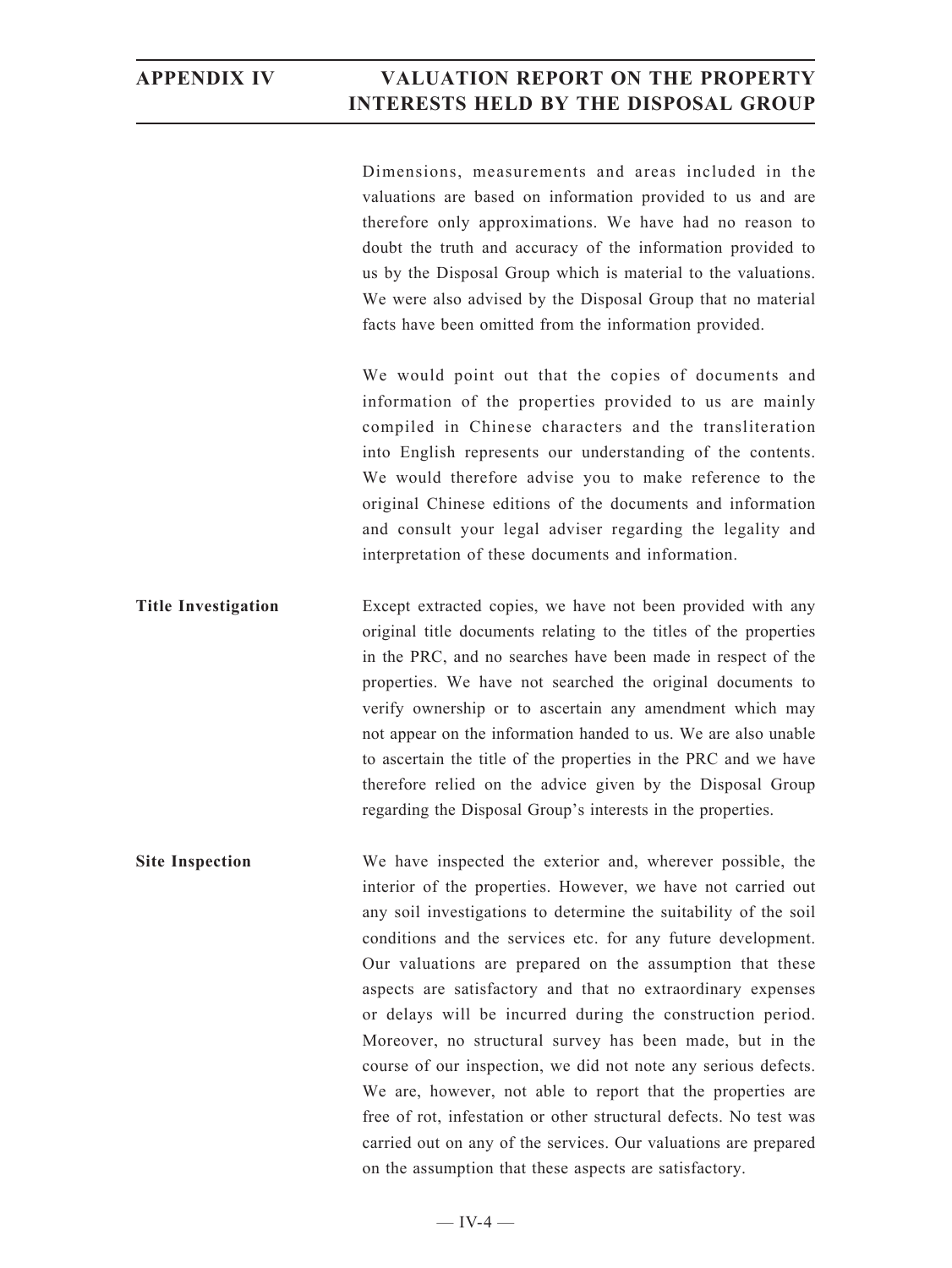Dimensions, measurements and areas included in the valuations are based on information provided to us and are therefore only approximations. We have had no reason to doubt the truth and accuracy of the information provided to us by the Disposal Group which is material to the valuations. We were also advised by the Disposal Group that no material facts have been omitted from the information provided.

We would point out that the copies of documents and information of the properties provided to us are mainly compiled in Chinese characters and the transliteration into English represents our understanding of the contents. We would therefore advise you to make reference to the original Chinese editions of the documents and information and consult your legal adviser regarding the legality and interpretation of these documents and information.

**Title Investigation** Except extracted copies, we have not been provided with any original title documents relating to the titles of the properties in the PRC, and no searches have been made in respect of the properties. We have not searched the original documents to verify ownership or to ascertain any amendment which may not appear on the information handed to us. We are also unable to ascertain the title of the properties in the PRC and we have therefore relied on the advice given by the Disposal Group regarding the Disposal Group's interests in the properties.

**Site Inspection** We have inspected the exterior and, wherever possible, the interior of the properties. However, we have not carried out any soil investigations to determine the suitability of the soil conditions and the services etc. for any future development. Our valuations are prepared on the assumption that these aspects are satisfactory and that no extraordinary expenses or delays will be incurred during the construction period. Moreover, no structural survey has been made, but in the course of our inspection, we did not note any serious defects. We are, however, not able to report that the properties are free of rot, infestation or other structural defects. No test was carried out on any of the services. Our valuations are prepared on the assumption that these aspects are satisfactory.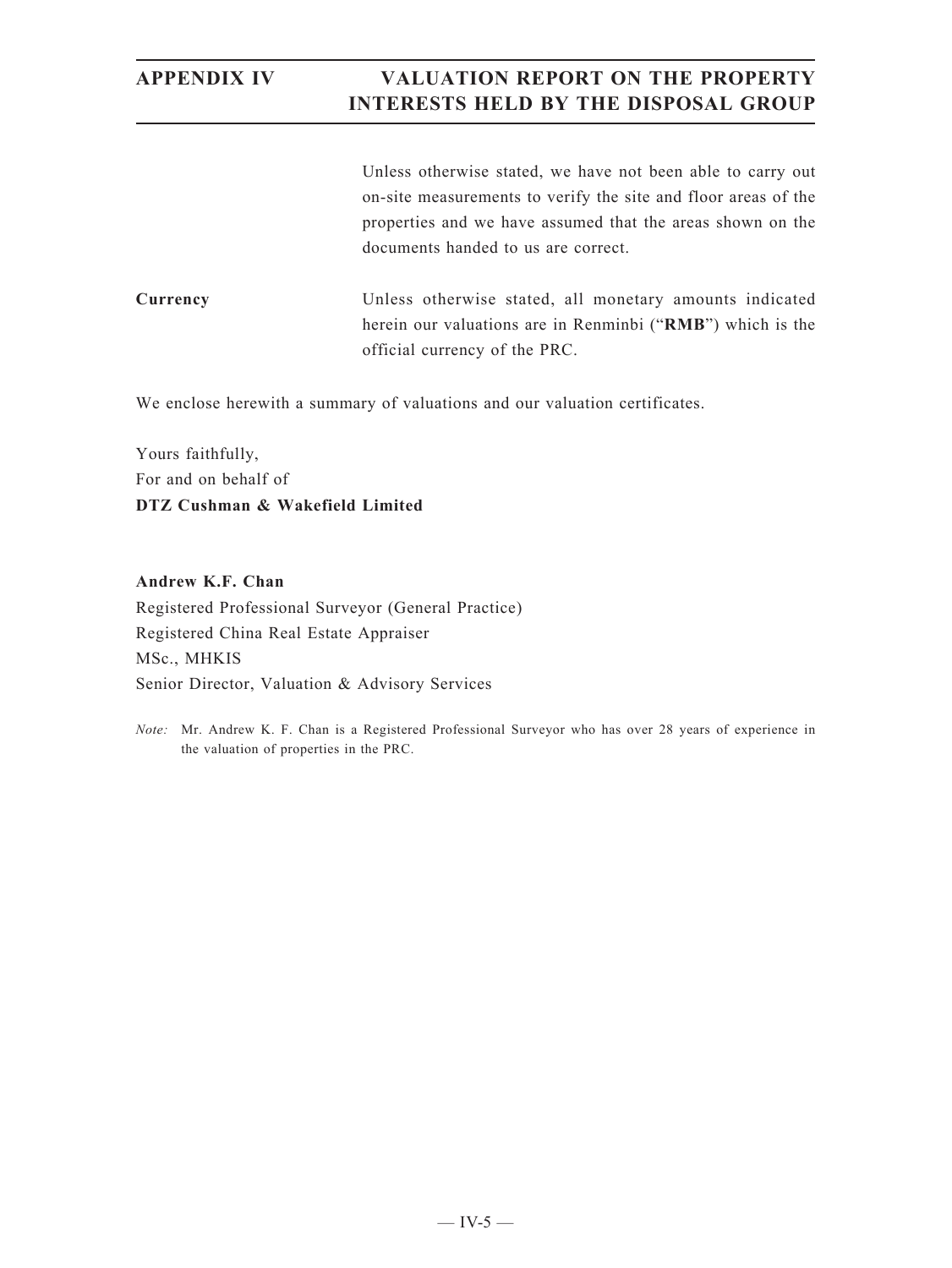Unless otherwise stated, we have not been able to carry out on-site measurements to verify the site and floor areas of the properties and we have assumed that the areas shown on the documents handed to us are correct.

**Currency** Unless otherwise stated, all monetary amounts indicated herein our valuations are in Renminbi ("**RMB**") which is the official currency of the PRC.

We enclose herewith a summary of valuations and our valuation certificates.

Yours faithfully, For and on behalf of **DTZ Cushman & Wakefield Limited**

**Andrew K.F. Chan** Registered Professional Surveyor (General Practice) Registered China Real Estate Appraiser MSc., MHKIS Senior Director, Valuation & Advisory Services

*Note:* Mr. Andrew K. F. Chan is a Registered Professional Surveyor who has over 28 years of experience in the valuation of properties in the PRC.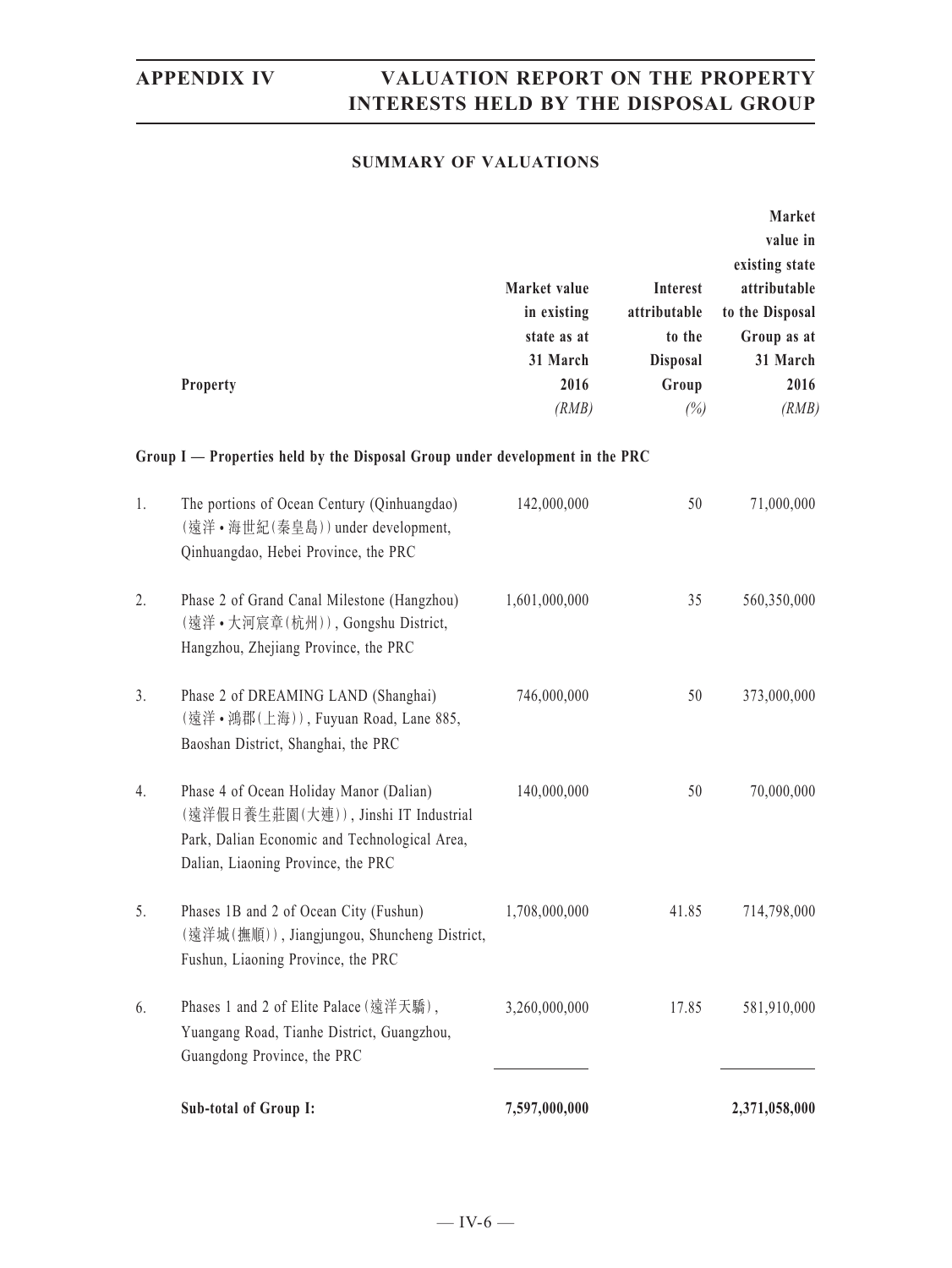### **SUMMARY OF VALUATIONS**

|    | Property                                                                                                                                                                                                | Market value<br>in existing<br>state as at<br>31 March<br>2016<br>(RMB) | Interest<br>attributable<br>to the<br><b>Disposal</b><br>Group<br>(%) | Market<br>value in<br>existing state<br>attributable<br>to the Disposal<br>Group as at<br>31 March<br>2016<br>(RMB) |
|----|---------------------------------------------------------------------------------------------------------------------------------------------------------------------------------------------------------|-------------------------------------------------------------------------|-----------------------------------------------------------------------|---------------------------------------------------------------------------------------------------------------------|
| 1. | Group I — Properties held by the Disposal Group under development in the PRC<br>The portions of Ocean Century (Qinhuangdao)<br>(遠洋·海世紀(秦皇島)) under development,<br>Qinhuangdao, Hebei Province, the PRC | 142,000,000                                                             | 50                                                                    | 71,000,000                                                                                                          |
| 2. | Phase 2 of Grand Canal Milestone (Hangzhou)<br>(遠洋·大河宸章(杭州)), Gongshu District,<br>Hangzhou, Zhejiang Province, the PRC                                                                                 | 1,601,000,000                                                           | 35                                                                    | 560,350,000                                                                                                         |
| 3. | Phase 2 of DREAMING LAND (Shanghai)<br>(遠洋·鴻郡(上海)), Fuyuan Road, Lane 885,<br>Baoshan District, Shanghai, the PRC                                                                                       | 746,000,000                                                             | 50                                                                    | 373,000,000                                                                                                         |
| 4. | Phase 4 of Ocean Holiday Manor (Dalian)<br>(遠洋假日養生莊園(大連)), Jinshi IT Industrial<br>Park, Dalian Economic and Technological Area,<br>Dalian, Liaoning Province, the PRC                                  | 140,000,000                                                             | 50                                                                    | 70,000,000                                                                                                          |
| 5. | Phases 1B and 2 of Ocean City (Fushun)<br>(遠洋城(撫順)), Jiangjungou, Shuncheng District,<br>Fushun, Liaoning Province, the PRC                                                                             | 1,708,000,000                                                           | 41.85                                                                 | 714,798,000                                                                                                         |
| 6. | Phases 1 and 2 of Elite Palace (遠洋天驕),<br>Yuangang Road, Tianhe District, Guangzhou,<br>Guangdong Province, the PRC                                                                                     | 3,260,000,000                                                           | 17.85                                                                 | 581,910,000                                                                                                         |
|    | Sub-total of Group I:                                                                                                                                                                                   | 7,597,000,000                                                           |                                                                       | 2,371,058,000                                                                                                       |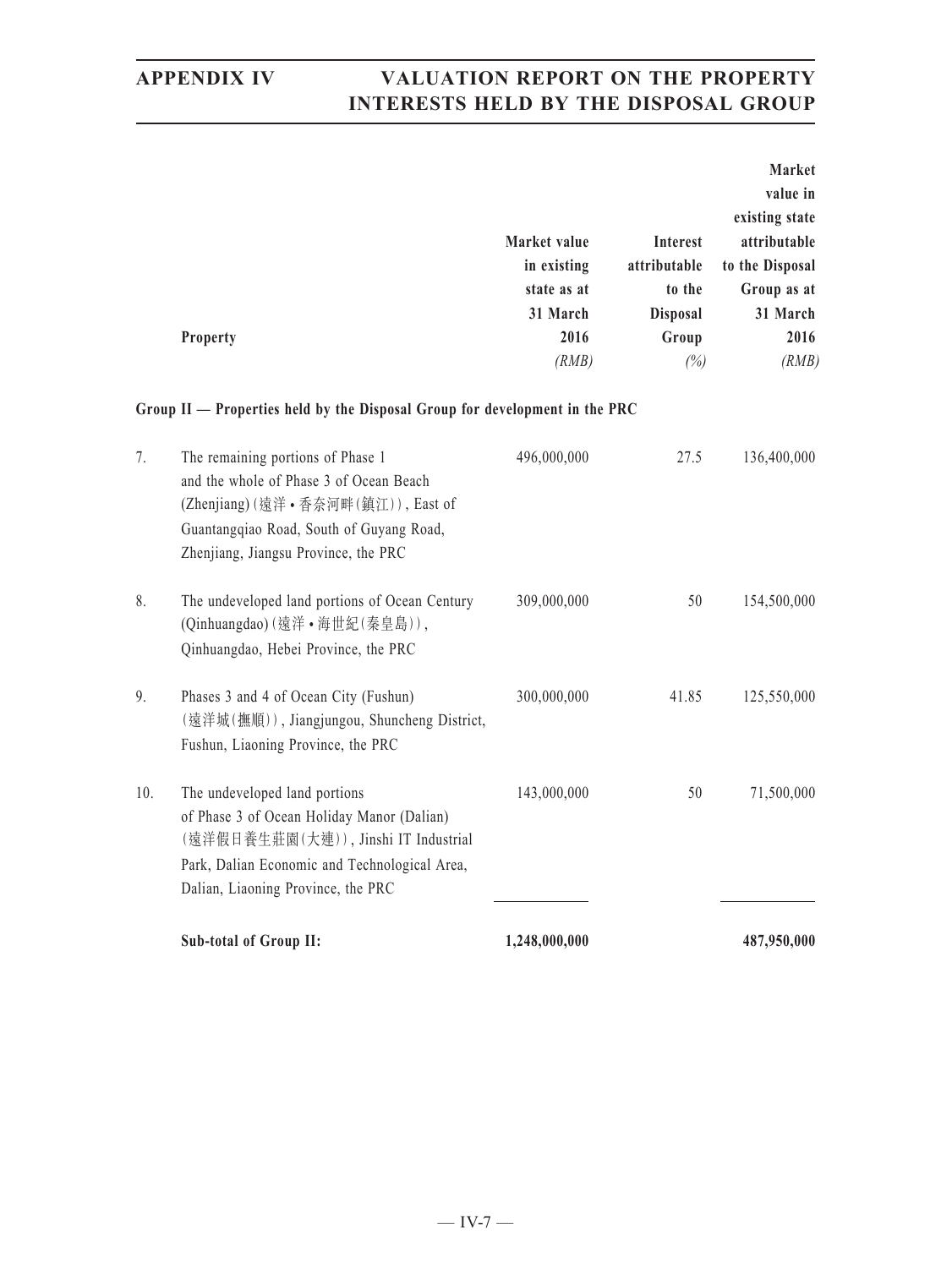|                 |              |                 | Market          |
|-----------------|--------------|-----------------|-----------------|
|                 |              |                 | value in        |
|                 |              |                 | existing state  |
|                 | Market value | <b>Interest</b> | attributable    |
|                 | in existing  | attributable    | to the Disposal |
|                 | state as at  | to the          | Group as at     |
|                 | 31 March     | <b>Disposal</b> | 31 March        |
| <b>Property</b> | 2016         | Group           | 2016            |
|                 | (RMB)        | (%)             | (RMB)           |

### **Group II — Properties held by the Disposal Group for development in the PRC**

|                | <b>Sub-total of Group II:</b>                                                                                                                                                                              | 1,248,000,000 |       | 487,950,000 |
|----------------|------------------------------------------------------------------------------------------------------------------------------------------------------------------------------------------------------------|---------------|-------|-------------|
| 10.            | The undeveloped land portions<br>of Phase 3 of Ocean Holiday Manor (Dalian)<br>(遠洋假日養生莊園(大連)), Jinshi IT Industrial<br>Park, Dalian Economic and Technological Area,<br>Dalian, Liaoning Province, the PRC | 143,000,000   | 50    | 71,500,000  |
| 9 <sub>1</sub> | Phases 3 and 4 of Ocean City (Fushun)<br>(遠洋城(撫順)), Jiangjungou, Shuncheng District,<br>Fushun, Liaoning Province, the PRC                                                                                 | 300,000,000   | 41.85 | 125,550,000 |
| 8.             | The undeveloped land portions of Ocean Century<br>(Qinhuangdao)(遠洋·海世紀(秦皇島)),<br>Qinhuangdao, Hebei Province, the PRC                                                                                      | 309,000,000   | 50    | 154,500,000 |
| $7_{\cdot}$    | The remaining portions of Phase 1<br>and the whole of Phase 3 of Ocean Beach<br>(Zhenjiang) (遠洋·香奈河畔 (鎮江)), East of<br>Guantangqiao Road, South of Guyang Road,<br>Zhenjiang, Jiangsu Province, the PRC    | 496,000,000   | 27.5  | 136,400,000 |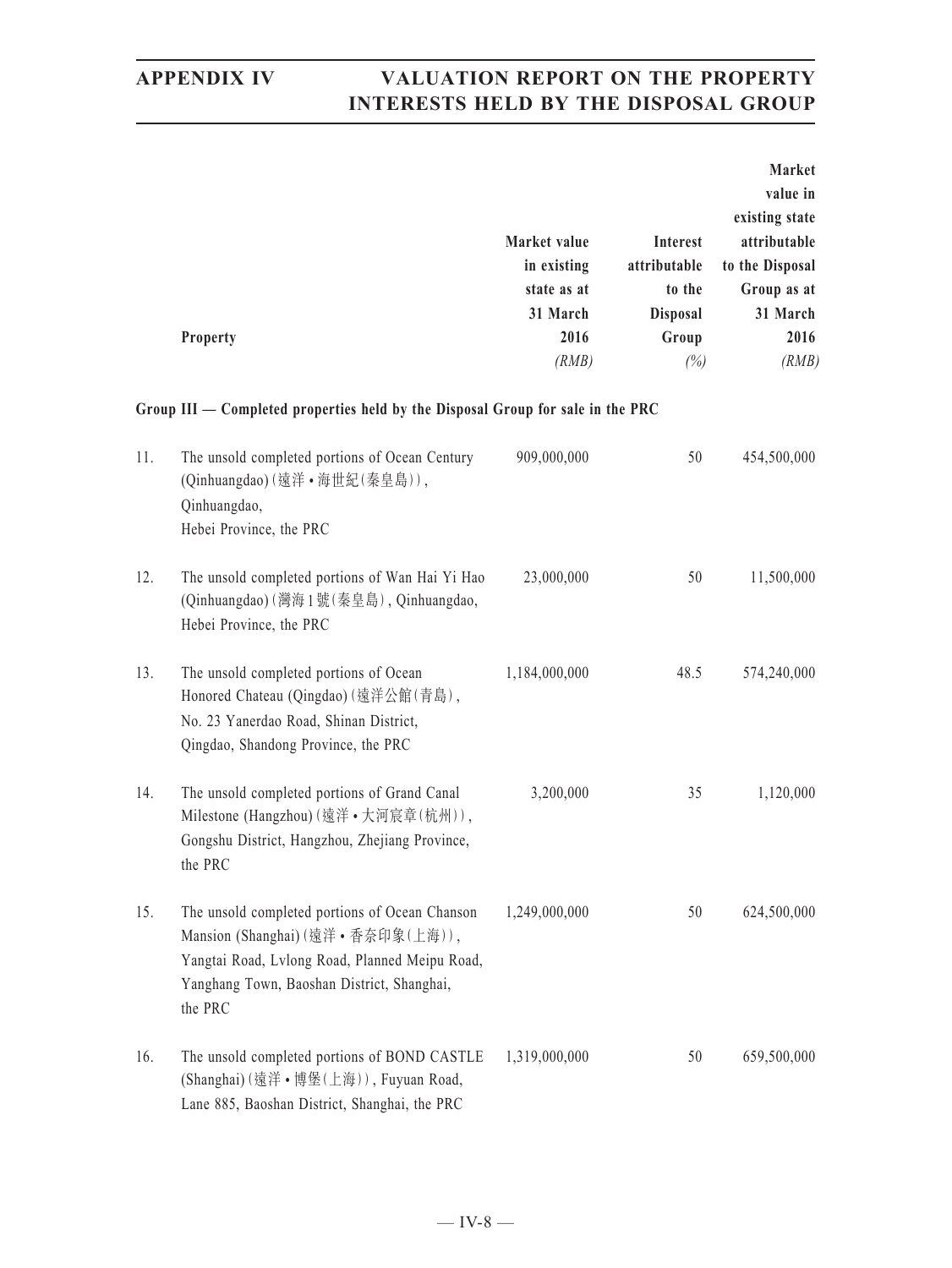|     | Property                                                                                                                                                                                       | Market value<br>in existing<br>state as at<br>31 March<br>2016 | Interest<br>attributable<br>to the<br><b>Disposal</b><br>Group | Market<br>value in<br>existing state<br>attributable<br>to the Disposal<br>Group as at<br>31 March<br>2016 |
|-----|------------------------------------------------------------------------------------------------------------------------------------------------------------------------------------------------|----------------------------------------------------------------|----------------------------------------------------------------|------------------------------------------------------------------------------------------------------------|
|     |                                                                                                                                                                                                | (RMB)                                                          | (%)                                                            | (RMB)                                                                                                      |
|     | Group $III$ $-$ Completed properties held by the Disposal Group for sale in the PRC                                                                                                            |                                                                |                                                                |                                                                                                            |
| 11. | The unsold completed portions of Ocean Century<br>(Qinhuangdao)(遠洋·海世紀(秦皇島)),<br>Qinhuangdao,<br>Hebei Province, the PRC                                                                       | 909,000,000                                                    | 50                                                             | 454,500,000                                                                                                |
| 12. | The unsold completed portions of Wan Hai Yi Hao<br>(Qinhuangdao) (灣海1號 (秦皇島), Qinhuangdao,<br>Hebei Province, the PRC                                                                          | 23,000,000                                                     | 50                                                             | 11,500,000                                                                                                 |
| 13. | The unsold completed portions of Ocean<br>Honored Chateau (Qingdao) (遠洋公館(青島),<br>No. 23 Yanerdao Road, Shinan District,<br>Qingdao, Shandong Province, the PRC                                | 1,184,000,000                                                  | 48.5                                                           | 574,240,000                                                                                                |
| 14. | The unsold completed portions of Grand Canal<br>Milestone (Hangzhou) (遠洋·大河宸章(杭州)),<br>Gongshu District, Hangzhou, Zhejiang Province,<br>the PRC                                               | 3,200,000                                                      | 35                                                             | 1,120,000                                                                                                  |
| 15. | The unsold completed portions of Ocean Chanson<br>Mansion (Shanghai) (遠洋·香奈印象(上海)),<br>Yangtai Road, Lvlong Road, Planned Meipu Road,<br>Yanghang Town, Baoshan District, Shanghai,<br>the PRC | 1,249,000,000                                                  | 50                                                             | 624,500,000                                                                                                |
| 16. | The unsold completed portions of BOND CASTLE<br>(Shanghai) (遠洋·博堡(上海)), Fuyuan Road,<br>Lane 885, Baoshan District, Shanghai, the PRC                                                          | 1,319,000,000                                                  | 50                                                             | 659,500,000                                                                                                |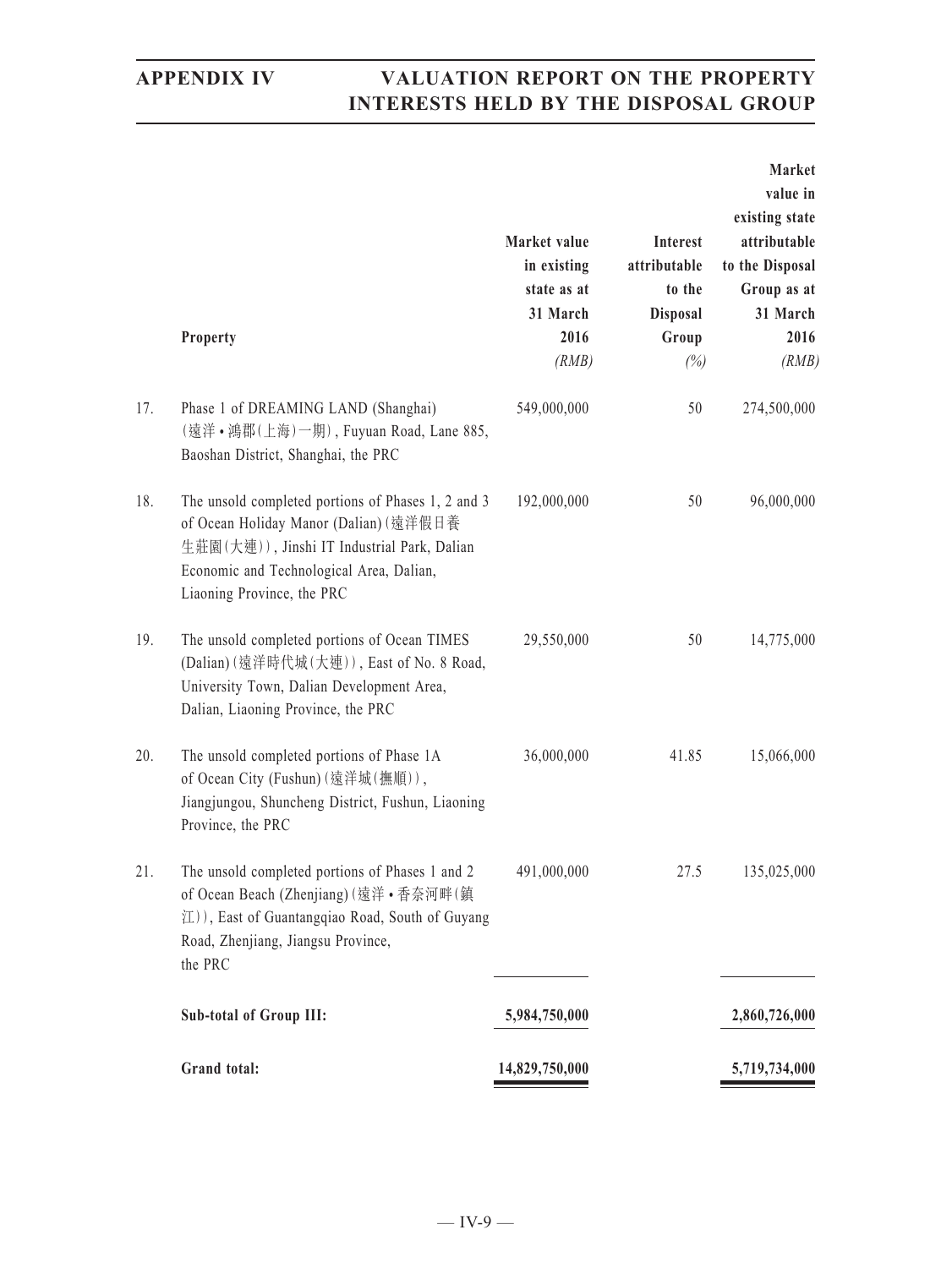|     | Property                                                                                                                                                                                                              | Market value<br>in existing<br>state as at<br>31 March<br>2016<br>(RMB) | Interest<br>attributable<br>to the<br><b>Disposal</b><br>Group<br>(%) | Market<br>value in<br>existing state<br>attributable<br>to the Disposal<br>Group as at<br>31 March<br>2016<br>(RMB) |
|-----|-----------------------------------------------------------------------------------------------------------------------------------------------------------------------------------------------------------------------|-------------------------------------------------------------------------|-----------------------------------------------------------------------|---------------------------------------------------------------------------------------------------------------------|
| 17. | Phase 1 of DREAMING LAND (Shanghai)<br>(遠洋·鴻郡(上海)一期), Fuyuan Road, Lane 885,<br>Baoshan District, Shanghai, the PRC                                                                                                   | 549,000,000                                                             | 50                                                                    | 274,500,000                                                                                                         |
| 18. | The unsold completed portions of Phases 1, 2 and 3<br>of Ocean Holiday Manor (Dalian) (遠洋假日養<br>生莊園(大連)), Jinshi IT Industrial Park, Dalian<br>Economic and Technological Area, Dalian,<br>Liaoning Province, the PRC | 192,000,000                                                             | 50                                                                    | 96,000,000                                                                                                          |
| 19. | The unsold completed portions of Ocean TIMES<br>(Dalian) (遠洋時代城(大連)), East of No. 8 Road,<br>University Town, Dalian Development Area,<br>Dalian, Liaoning Province, the PRC                                          | 29,550,000                                                              | 50                                                                    | 14,775,000                                                                                                          |
| 20. | The unsold completed portions of Phase 1A<br>of Ocean City (Fushun) (遠洋城(撫順)),<br>Jiangjungou, Shuncheng District, Fushun, Liaoning<br>Province, the PRC                                                              | 36,000,000                                                              | 41.85                                                                 | 15,066,000                                                                                                          |
| 21. | The unsold completed portions of Phases 1 and 2<br>of Ocean Beach (Zhenjiang) (遠洋·香奈河畔(鎮<br>江)), East of Guantangqiao Road, South of Guyang<br>Road, Zhenjiang, Jiangsu Province,<br>the PRC                          | 491,000,000                                                             | 27.5                                                                  | 135,025,000                                                                                                         |
|     | <b>Sub-total of Group III:</b>                                                                                                                                                                                        | 5,984,750,000                                                           |                                                                       | 2,860,726,000                                                                                                       |
|     | Grand total:                                                                                                                                                                                                          | 14,829,750,000                                                          |                                                                       | 5,719,734,000                                                                                                       |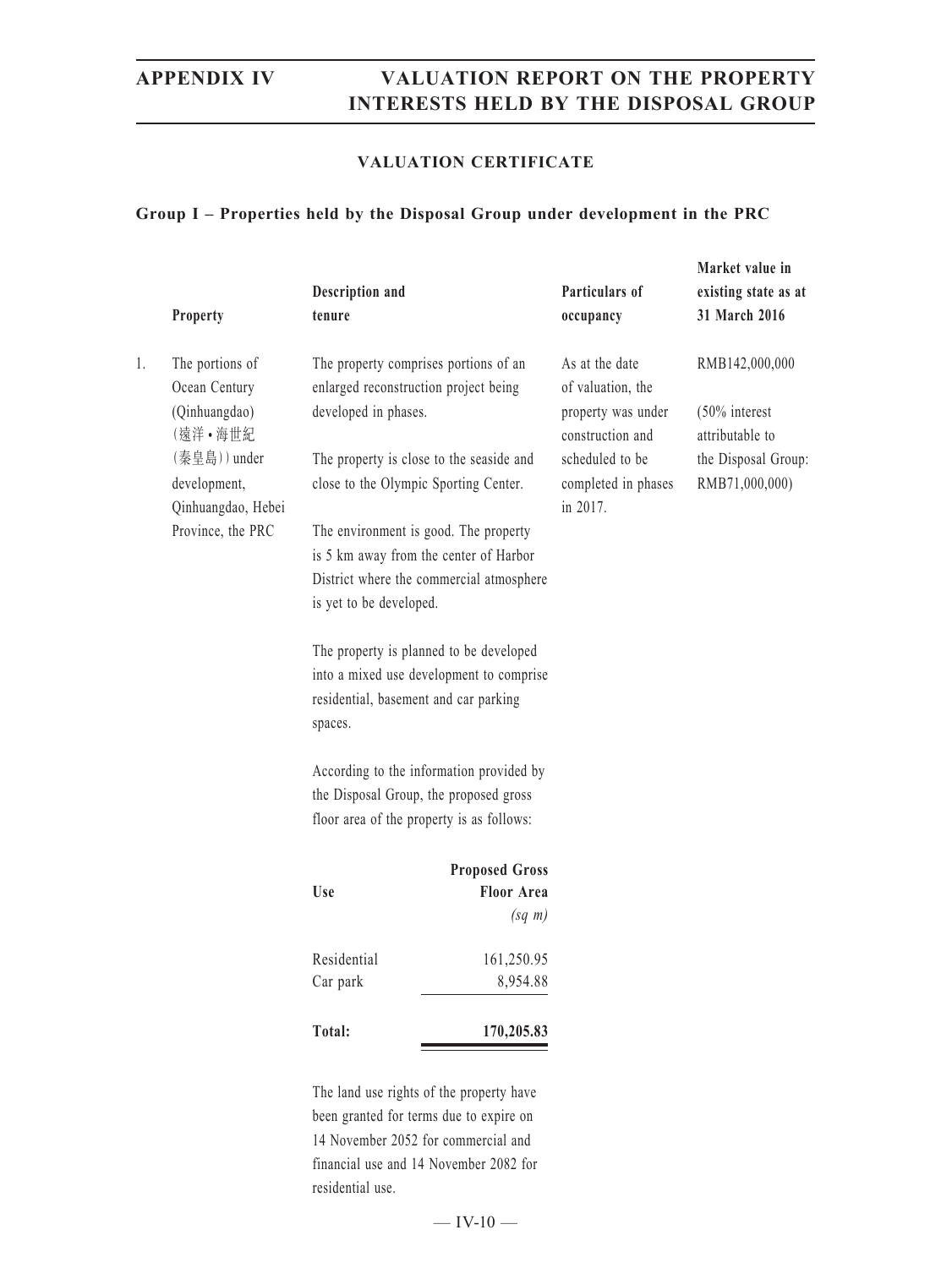### **VALUATION CERTIFICATE**

### **Group I – Properties held by the Disposal Group under development in the PRC**

|    |                                         |                                         |                                                                                   |                                        | Market value in                       |
|----|-----------------------------------------|-----------------------------------------|-----------------------------------------------------------------------------------|----------------------------------------|---------------------------------------|
|    | Property                                | Description and<br>tenure               |                                                                                   | Particulars of<br>occupancy            | existing state as at<br>31 March 2016 |
| 1. | The portions of<br>Ocean Century        |                                         | The property comprises portions of an<br>enlarged reconstruction project being    | As at the date<br>of valuation, the    | RMB142,000,000                        |
|    | (Qinhuangdao)<br>(遠洋·海世紀                | developed in phases.                    |                                                                                   | property was under<br>construction and | $(50\%$ interest<br>attributable to   |
|    | (秦皇島)) under<br>development,            |                                         | The property is close to the seaside and<br>close to the Olympic Sporting Center. | scheduled to be<br>completed in phases | the Disposal Group:<br>RMB71,000,000) |
|    | Qinhuangdao, Hebei<br>Province, the PRC |                                         | The environment is good. The property                                             | in 2017.                               |                                       |
|    |                                         |                                         | is 5 km away from the center of Harbor                                            |                                        |                                       |
|    |                                         |                                         | District where the commercial atmosphere                                          |                                        |                                       |
|    |                                         | is yet to be developed.                 |                                                                                   |                                        |                                       |
|    |                                         | The property is planned to be developed |                                                                                   |                                        |                                       |
|    |                                         |                                         | into a mixed use development to comprise                                          |                                        |                                       |
|    |                                         | spaces.                                 | residential, basement and car parking                                             |                                        |                                       |
|    |                                         |                                         | According to the information provided by                                          |                                        |                                       |
|    |                                         | the Disposal Group, the proposed gross  |                                                                                   |                                        |                                       |
|    |                                         |                                         | floor area of the property is as follows:                                         |                                        |                                       |
|    |                                         |                                         | <b>Proposed Gross</b>                                                             |                                        |                                       |
|    |                                         | <b>Use</b>                              | <b>Floor Area</b>                                                                 |                                        |                                       |
|    |                                         |                                         | $(sq \; m)$                                                                       |                                        |                                       |
|    |                                         | Residential                             | 161,250.95                                                                        |                                        |                                       |
|    |                                         | Car park                                | 8,954.88                                                                          |                                        |                                       |
|    |                                         | Total:                                  | 170,205.83                                                                        |                                        |                                       |
|    |                                         |                                         | The land use rights of the property have                                          |                                        |                                       |

been granted for terms due to expire on 14 November 2052 for commercial and financial use and 14 November 2082 for residential use.

 $-$  IV-10  $-$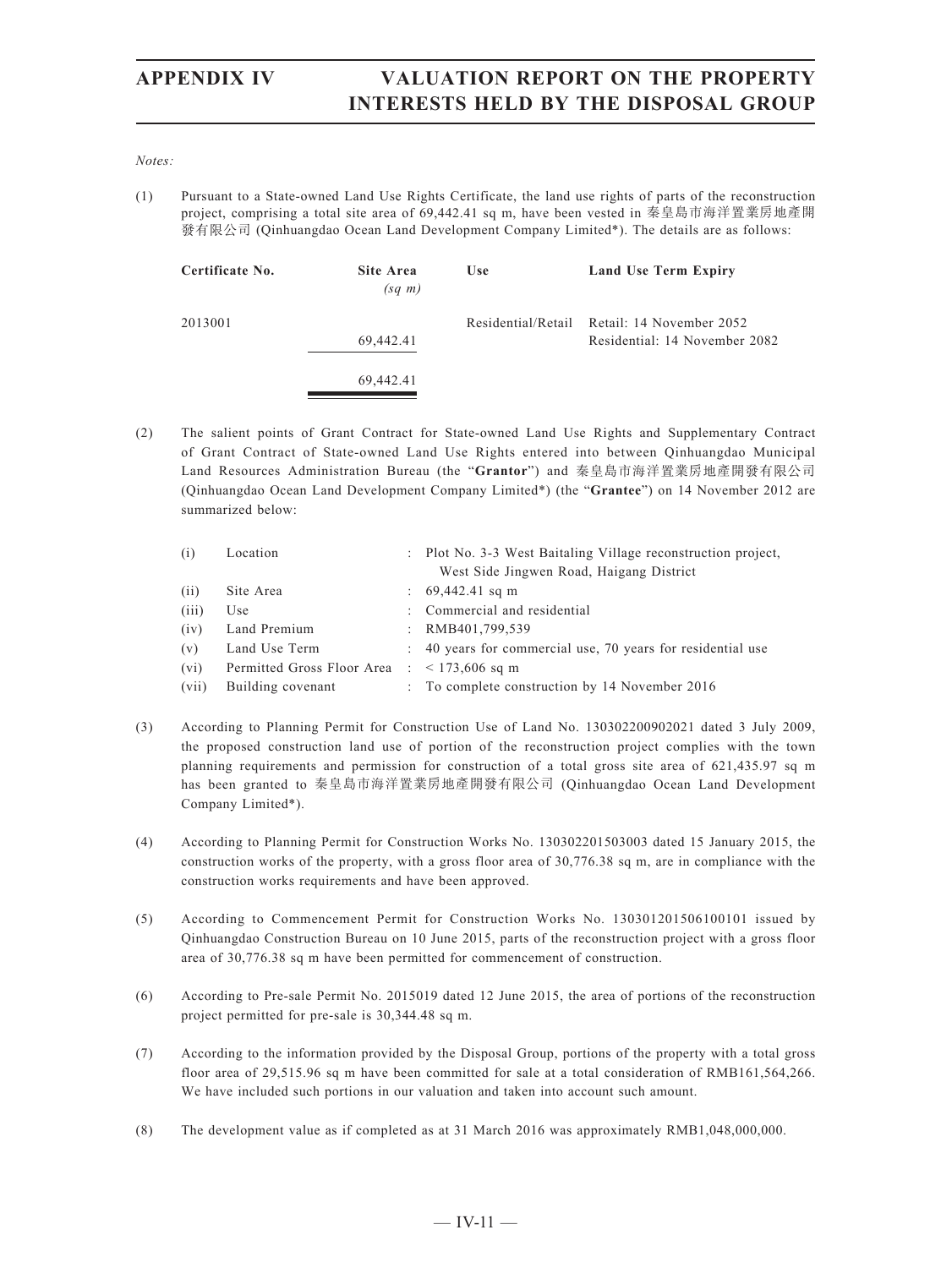### *Notes:*

(1) Pursuant to a State-owned Land Use Rights Certificate, the land use rights of parts of the reconstruction project, comprising a total site area of 69,442.41 sq m, have been vested in 秦皇島市海洋置業房地產開 發有限公司 (Qinhuangdao Ocean Land Development Company Limited\*). The details are as follows:

| Certificate No. | Site Area<br>$(sq \; m)$ | <b>Use</b>         | Land Use Term Expiry                                      |
|-----------------|--------------------------|--------------------|-----------------------------------------------------------|
| 2013001         | 69,442.41                | Residential/Retail | Retail: 14 November 2052<br>Residential: 14 November 2082 |
|                 | 69.442.41                |                    |                                                           |

(2) The salient points of Grant Contract for State-owned Land Use Rights and Supplementary Contract of Grant Contract of State-owned Land Use Rights entered into between Qinhuangdao Municipal Land Resources Administration Bureau (the "**Grantor**") and 秦皇島市海洋置業房地產開發有限公司 (Qinhuangdao Ocean Land Development Company Limited\*) (the "**Grantee**") on 14 November 2012 are summarized below:

| (i)   | Location                   | : Plot No. 3-3 West Baitaling Village reconstruction project, |
|-------|----------------------------|---------------------------------------------------------------|
|       |                            | West Side Jingwen Road, Haigang District                      |
| (i)   | Site Area                  | $\therefore$ 69,442.41 sq m                                   |
| (iii) | Use                        | : Commercial and residential                                  |
| (iv)  | Land Premium               | : $RMB401,799,539$                                            |
| (v)   | Land Use Term              | : 40 years for commercial use, 70 years for residential use   |
| (vi)  | Permitted Gross Floor Area | $: 5173,606$ sq m                                             |
| (vii) | Building covenant          | $\therefore$ To complete construction by 14 November 2016     |

- (3) According to Planning Permit for Construction Use of Land No. 130302200902021 dated 3 July 2009, the proposed construction land use of portion of the reconstruction project complies with the town planning requirements and permission for construction of a total gross site area of 621,435.97 sq m has been granted to 秦皇島市海洋置業房地產開發有限公司 (Qinhuangdao Ocean Land Development Company Limited\*).
- (4) According to Planning Permit for Construction Works No. 130302201503003 dated 15 January 2015, the construction works of the property, with a gross floor area of 30,776.38 sq m, are in compliance with the construction works requirements and have been approved.
- (5) According to Commencement Permit for Construction Works No. 130301201506100101 issued by Qinhuangdao Construction Bureau on 10 June 2015, parts of the reconstruction project with a gross floor area of 30,776.38 sq m have been permitted for commencement of construction.
- (6) According to Pre-sale Permit No. 2015019 dated 12 June 2015, the area of portions of the reconstruction project permitted for pre-sale is 30,344.48 sq m.
- (7) According to the information provided by the Disposal Group, portions of the property with a total gross floor area of 29,515.96 sq m have been committed for sale at a total consideration of RMB161,564,266. We have included such portions in our valuation and taken into account such amount.
- (8) The development value as if completed as at 31 March 2016 was approximately RMB1,048,000,000.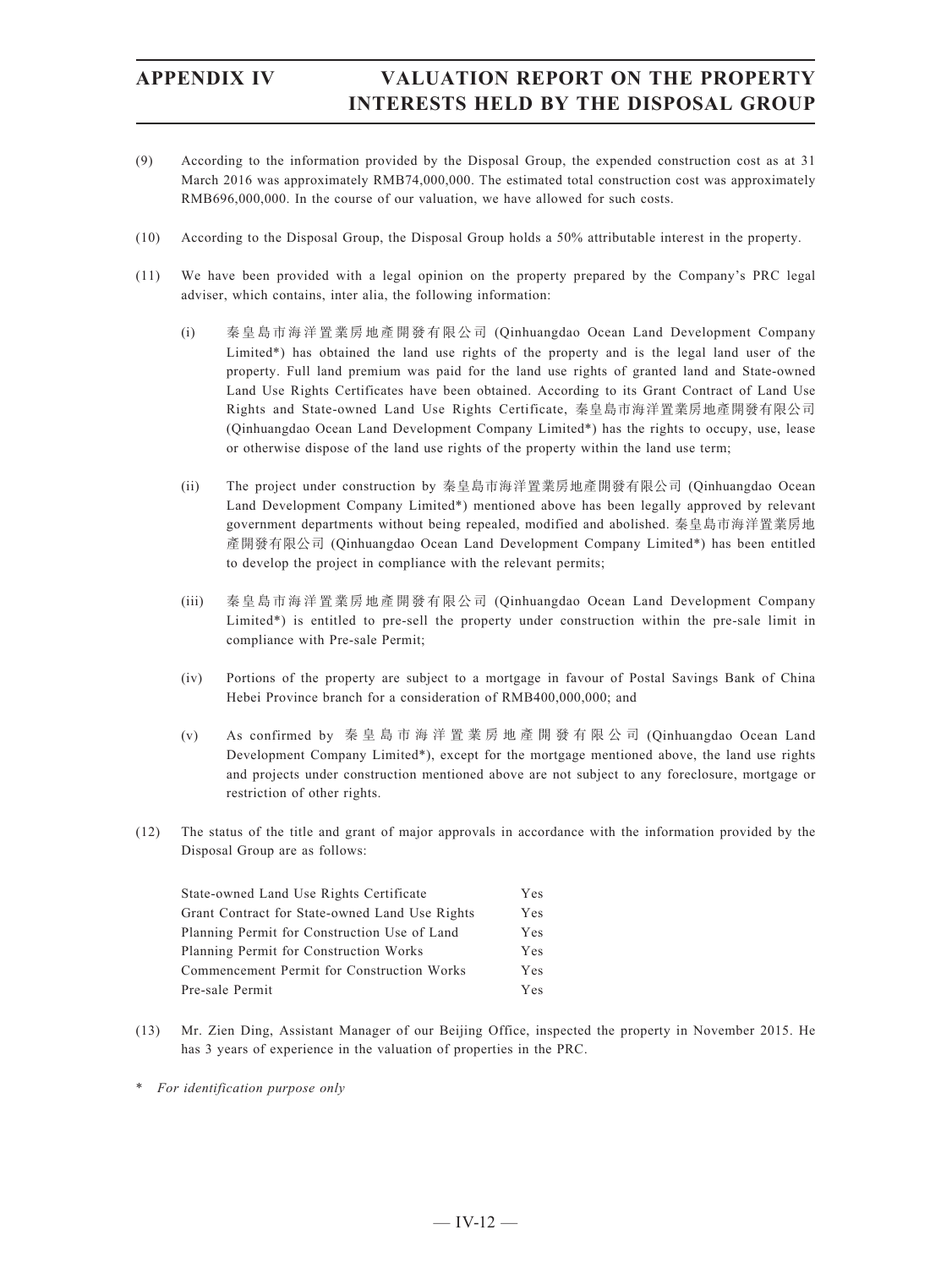- (9) According to the information provided by the Disposal Group, the expended construction cost as at 31 March 2016 was approximately RMB74,000,000. The estimated total construction cost was approximately RMB696,000,000. In the course of our valuation, we have allowed for such costs.
- (10) According to the Disposal Group, the Disposal Group holds a 50% attributable interest in the property.
- (11) We have been provided with a legal opinion on the property prepared by the Company's PRC legal adviser, which contains, inter alia, the following information:
	- (i) 秦皇島市海洋置業房地產開發有限公司 (Qinhuangdao Ocean Land Development Company Limited\*) has obtained the land use rights of the property and is the legal land user of the property. Full land premium was paid for the land use rights of granted land and State-owned Land Use Rights Certificates have been obtained. According to its Grant Contract of Land Use Rights and State-owned Land Use Rights Certificate, 秦皇島市海洋置業房地產開發有限公司 (Qinhuangdao Ocean Land Development Company Limited\*) has the rights to occupy, use, lease or otherwise dispose of the land use rights of the property within the land use term;
	- (ii) The project under construction by 秦皇島市海洋置業房地產開發有限公司 (Qinhuangdao Ocean Land Development Company Limited\*) mentioned above has been legally approved by relevant government departments without being repealed, modified and abolished. 秦皇島市海洋置業房地 產開發有限公司 (Qinhuangdao Ocean Land Development Company Limited\*) has been entitled to develop the project in compliance with the relevant permits;
	- (iii) 秦皇島市海洋置業房地產開發有限公司 (Qinhuangdao Ocean Land Development Company Limited\*) is entitled to pre-sell the property under construction within the pre-sale limit in compliance with Pre-sale Permit;
	- (iv) Portions of the property are subject to a mortgage in favour of Postal Savings Bank of China Hebei Province branch for a consideration of RMB400,000,000; and
	- (v) As confirmed by 秦皇島市海洋置業房地產開發有限公司 (Qinhuangdao Ocean Land Development Company Limited\*), except for the mortgage mentioned above, the land use rights and projects under construction mentioned above are not subject to any foreclosure, mortgage or restriction of other rights.
- (12) The status of the title and grant of major approvals in accordance with the information provided by the Disposal Group are as follows:

| State-owned Land Use Rights Certificate        | Yes |
|------------------------------------------------|-----|
| Grant Contract for State-owned Land Use Rights | Yes |
| Planning Permit for Construction Use of Land   | Yes |
| Planning Permit for Construction Works         | Yes |
| Commencement Permit for Construction Works     | Yes |
| Pre-sale Permit                                | Yes |

- (13) Mr. Zien Ding, Assistant Manager of our Beijing Office, inspected the property in November 2015. He has 3 years of experience in the valuation of properties in the PRC.
- \* *For identification purpose only*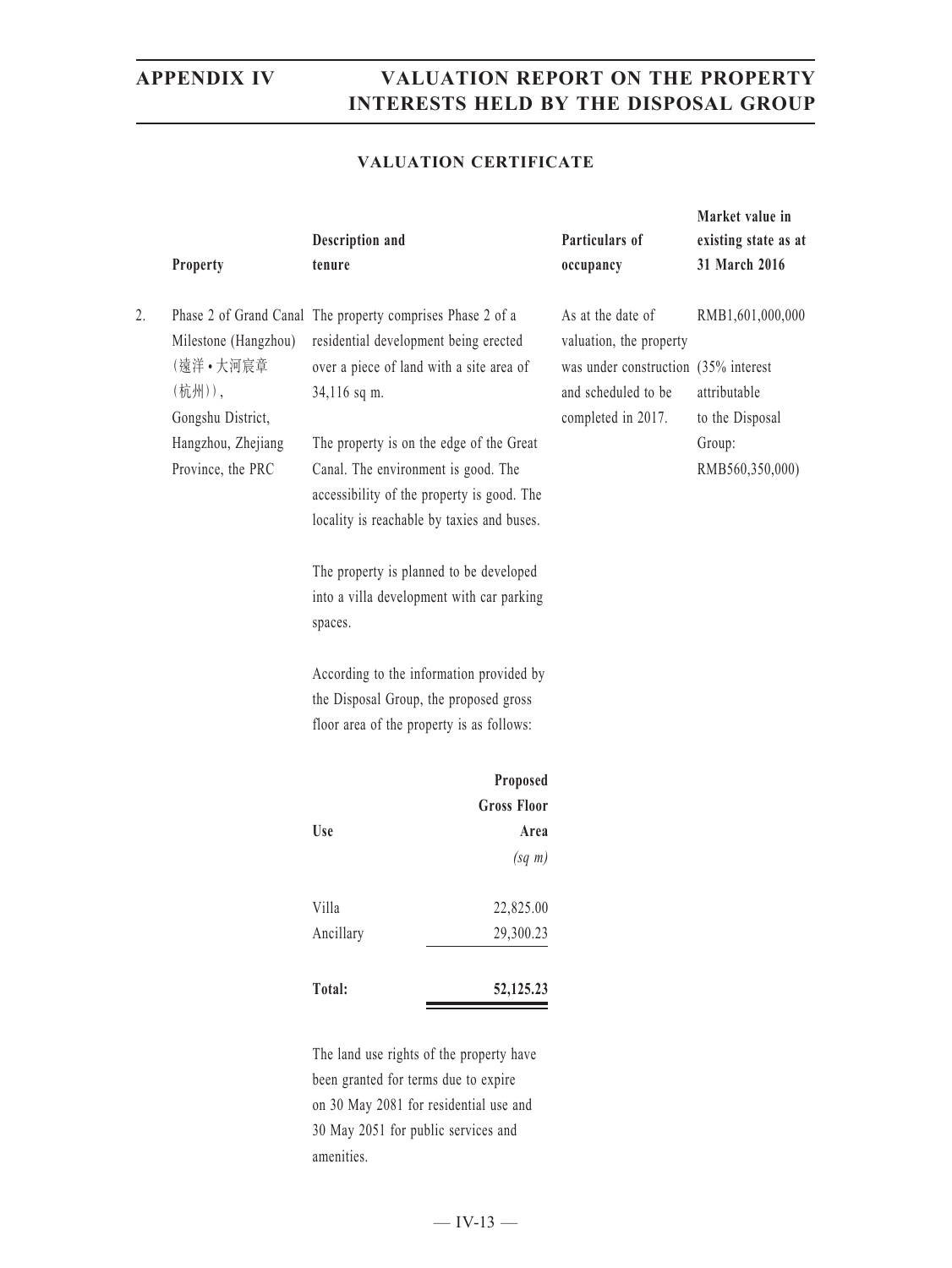### **VALUATION CERTIFICATE**

|    | Property                                                                                                   | Description and<br>tenure                                                                                                                                                                                                                                                                                                                                                                                                                                                                                                                                                            |                                          | Particulars of<br>occupancy                                                                                                       | Market value in<br>existing state as at<br>31 March 2016                         |
|----|------------------------------------------------------------------------------------------------------------|--------------------------------------------------------------------------------------------------------------------------------------------------------------------------------------------------------------------------------------------------------------------------------------------------------------------------------------------------------------------------------------------------------------------------------------------------------------------------------------------------------------------------------------------------------------------------------------|------------------------------------------|-----------------------------------------------------------------------------------------------------------------------------------|----------------------------------------------------------------------------------|
| 2. | Milestone (Hangzhou)<br>(遠洋•大河宸章<br>(杭州)),<br>Gongshu District,<br>Hangzhou, Zhejiang<br>Province, the PRC | Phase 2 of Grand Canal The property comprises Phase 2 of a<br>residential development being erected<br>over a piece of land with a site area of<br>34,116 sq m.<br>The property is on the edge of the Great<br>Canal. The environment is good. The<br>accessibility of the property is good. The<br>locality is reachable by taxies and buses.<br>The property is planned to be developed<br>into a villa development with car parking<br>spaces.<br>According to the information provided by<br>the Disposal Group, the proposed gross<br>floor area of the property is as follows: |                                          | As at the date of<br>valuation, the property<br>was under construction (35% interest<br>and scheduled to be<br>completed in 2017. | RMB1,601,000,000<br>attributable<br>to the Disposal<br>Group:<br>RMB560,350,000) |
|    |                                                                                                            |                                                                                                                                                                                                                                                                                                                                                                                                                                                                                                                                                                                      | Proposed                                 |                                                                                                                                   |                                                                                  |
|    |                                                                                                            |                                                                                                                                                                                                                                                                                                                                                                                                                                                                                                                                                                                      | <b>Gross Floor</b>                       |                                                                                                                                   |                                                                                  |
|    |                                                                                                            | <b>Use</b>                                                                                                                                                                                                                                                                                                                                                                                                                                                                                                                                                                           | Area                                     |                                                                                                                                   |                                                                                  |
|    |                                                                                                            |                                                                                                                                                                                                                                                                                                                                                                                                                                                                                                                                                                                      | $(sq \; m)$                              |                                                                                                                                   |                                                                                  |
|    |                                                                                                            | Villa                                                                                                                                                                                                                                                                                                                                                                                                                                                                                                                                                                                | 22,825.00                                |                                                                                                                                   |                                                                                  |
|    |                                                                                                            | Ancillary                                                                                                                                                                                                                                                                                                                                                                                                                                                                                                                                                                            | 29,300.23                                |                                                                                                                                   |                                                                                  |
|    |                                                                                                            | Total:                                                                                                                                                                                                                                                                                                                                                                                                                                                                                                                                                                               | 52,125.23                                |                                                                                                                                   |                                                                                  |
|    |                                                                                                            |                                                                                                                                                                                                                                                                                                                                                                                                                                                                                                                                                                                      | The land use rights of the property have |                                                                                                                                   |                                                                                  |

been granted for terms due to expire on 30 May 2081 for residential use and 30 May 2051 for public services and amenities.

 $-$  IV-13  $-$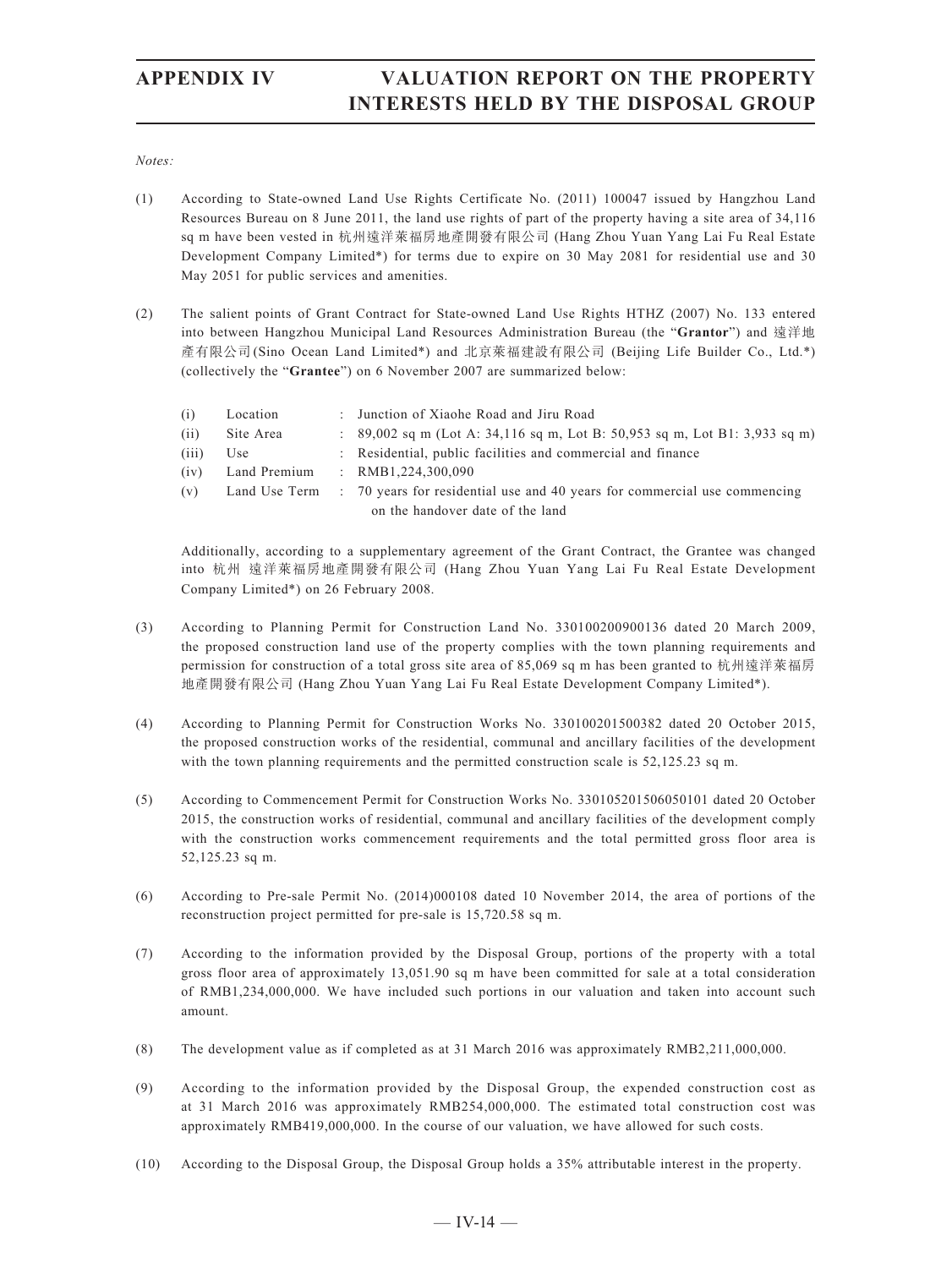### *Notes:*

- (1) According to State-owned Land Use Rights Certificate No. (2011) 100047 issued by Hangzhou Land Resources Bureau on 8 June 2011, the land use rights of part of the property having a site area of 34,116 sq m have been vested in 杭州遠洋萊福房地產開發有限公司 (Hang Zhou Yuan Yang Lai Fu Real Estate Development Company Limited\*) for terms due to expire on 30 May 2081 for residential use and 30 May 2051 for public services and amenities.
- (2) The salient points of Grant Contract for State-owned Land Use Rights HTHZ (2007) No. 133 entered into between Hangzhou Municipal Land Resources Administration Bureau (the "**Grantor**") and 遠洋地 產有限公司(Sino Ocean Land Limited\*) and 北京萊福建設有限公司 (Beijing Life Builder Co., Ltd.\*) (collectively the "**Grantee**") on 6 November 2007 are summarized below:

| (i)   | Location      | : Junction of Xiaohe Road and Jiru Road                                      |
|-------|---------------|------------------------------------------------------------------------------|
| (i)   | Site Area     | : $89,002$ sq m (Lot A: 34,116 sq m, Lot B: 50,953 sq m, Lot B1: 3,933 sq m) |
| (iii) | Use           | : Residential, public facilities and commercial and finance                  |
| (1V)  | Land Premium  | : $RMB1.224.300.090$                                                         |
| (v)   | Land Use Term | : 70 years for residential use and 40 years for commercial use commencing    |
|       |               | on the handover date of the land                                             |

Additionally, according to a supplementary agreement of the Grant Contract, the Grantee was changed into 杭州 遠洋萊福房地產開發有限公司 (Hang Zhou Yuan Yang Lai Fu Real Estate Development Company Limited\*) on 26 February 2008.

- (3) According to Planning Permit for Construction Land No. 330100200900136 dated 20 March 2009, the proposed construction land use of the property complies with the town planning requirements and permission for construction of a total gross site area of 85,069 sq m has been granted to 杭州遠洋萊福房 地產開發有限公司 (Hang Zhou Yuan Yang Lai Fu Real Estate Development Company Limited\*).
- (4) According to Planning Permit for Construction Works No. 330100201500382 dated 20 October 2015, the proposed construction works of the residential, communal and ancillary facilities of the development with the town planning requirements and the permitted construction scale is  $52,125.23$  sq m.
- (5) According to Commencement Permit for Construction Works No. 330105201506050101 dated 20 October 2015, the construction works of residential, communal and ancillary facilities of the development comply with the construction works commencement requirements and the total permitted gross floor area is 52,125.23 sq m.
- (6) According to Pre-sale Permit No. (2014)000108 dated 10 November 2014, the area of portions of the reconstruction project permitted for pre-sale is 15,720.58 sq m.
- (7) According to the information provided by the Disposal Group, portions of the property with a total gross floor area of approximately 13,051.90 sq m have been committed for sale at a total consideration of RMB1,234,000,000. We have included such portions in our valuation and taken into account such amount.
- (8) The development value as if completed as at 31 March 2016 was approximately RMB2,211,000,000.
- (9) According to the information provided by the Disposal Group, the expended construction cost as at 31 March 2016 was approximately RMB254,000,000. The estimated total construction cost was approximately RMB419,000,000. In the course of our valuation, we have allowed for such costs.
- (10) According to the Disposal Group, the Disposal Group holds a 35% attributable interest in the property.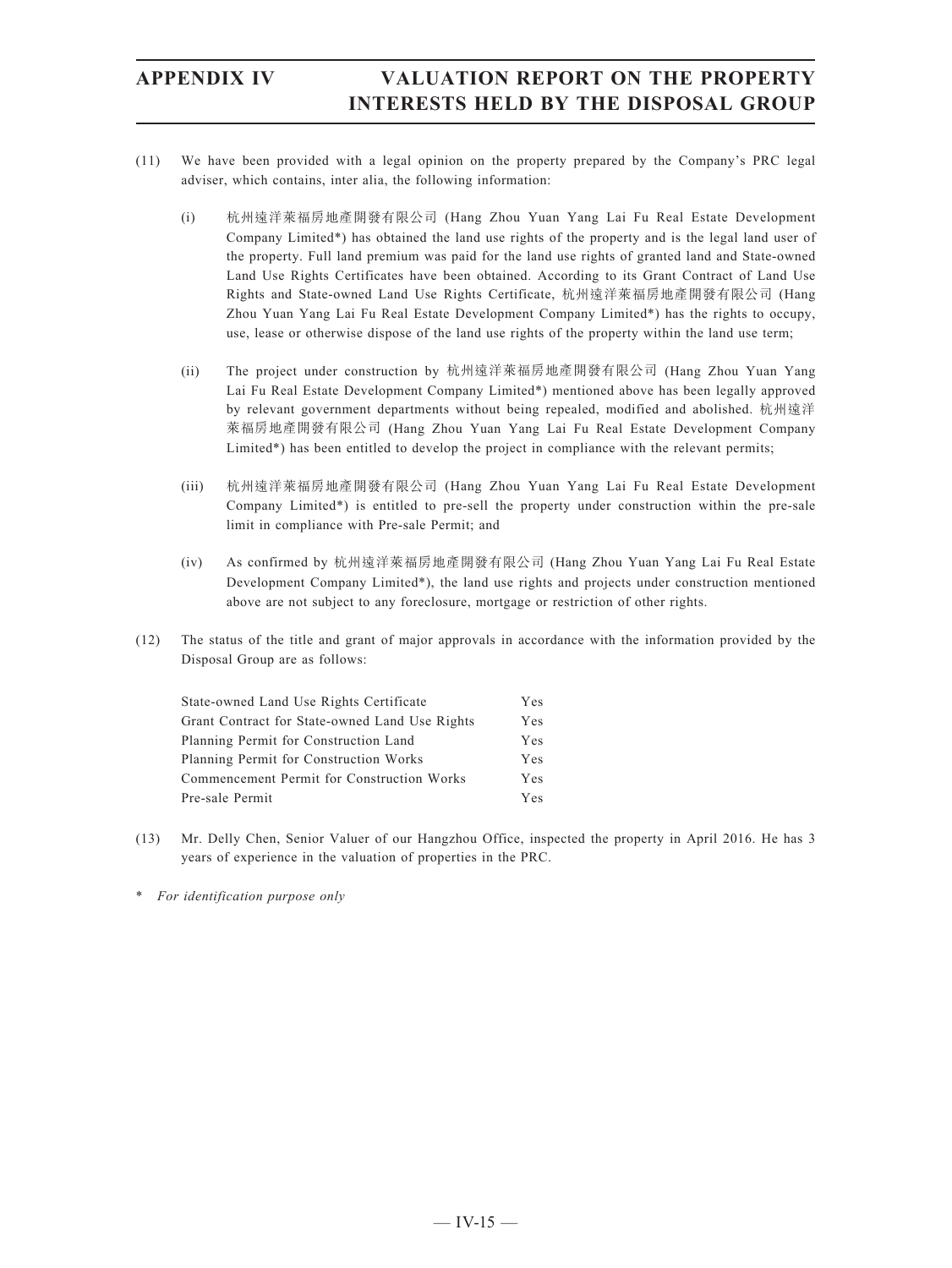- (11) We have been provided with a legal opinion on the property prepared by the Company's PRC legal adviser, which contains, inter alia, the following information:
	- (i) 杭州遠洋萊福房地產開發有限公司 (Hang Zhou Yuan Yang Lai Fu Real Estate Development Company Limited\*) has obtained the land use rights of the property and is the legal land user of the property. Full land premium was paid for the land use rights of granted land and State-owned Land Use Rights Certificates have been obtained. According to its Grant Contract of Land Use Rights and State-owned Land Use Rights Certificate, 杭州遠洋萊福房地產開發有限公司 (Hang Zhou Yuan Yang Lai Fu Real Estate Development Company Limited\*) has the rights to occupy, use, lease or otherwise dispose of the land use rights of the property within the land use term;
	- (ii) The project under construction by 杭州遠洋萊福房地產開發有限公司 (Hang Zhou Yuan Yang Lai Fu Real Estate Development Company Limited\*) mentioned above has been legally approved by relevant government departments without being repealed, modified and abolished. 杭州遠洋 萊福房地產開發有限公司 (Hang Zhou Yuan Yang Lai Fu Real Estate Development Company Limited\*) has been entitled to develop the project in compliance with the relevant permits;
	- (iii) 杭州遠洋萊福房地產開發有限公司 (Hang Zhou Yuan Yang Lai Fu Real Estate Development Company Limited\*) is entitled to pre-sell the property under construction within the pre-sale limit in compliance with Pre-sale Permit; and
	- (iv) As confirmed by 杭州遠洋萊福房地產開發有限公司 (Hang Zhou Yuan Yang Lai Fu Real Estate Development Company Limited\*), the land use rights and projects under construction mentioned above are not subject to any foreclosure, mortgage or restriction of other rights.
- (12) The status of the title and grant of major approvals in accordance with the information provided by the Disposal Group are as follows:

| State-owned Land Use Rights Certificate        |     |
|------------------------------------------------|-----|
| Grant Contract for State-owned Land Use Rights | Yes |
| Planning Permit for Construction Land          | Yes |
| Planning Permit for Construction Works         | Yes |
| Commencement Permit for Construction Works     | Yes |
| Pre-sale Permit                                | Yes |

- (13) Mr. Delly Chen, Senior Valuer of our Hangzhou Office, inspected the property in April 2016. He has 3 years of experience in the valuation of properties in the PRC.
- \* *For identification purpose only*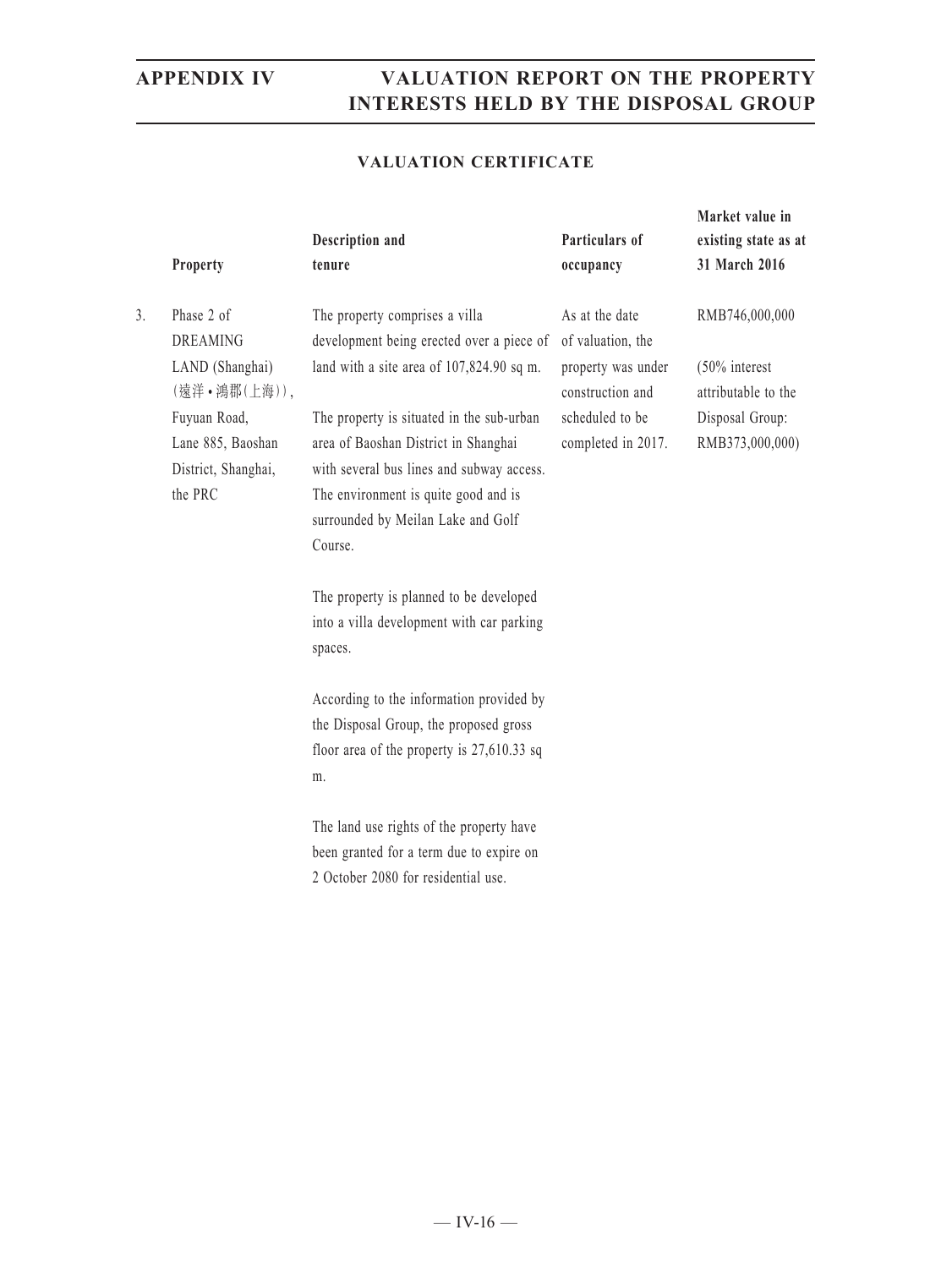**Market value in** 

### **VALUATION CERTIFICATE**

|    | Property                                                            | Description and<br>tenure                                                                                                                                                                                               | Particulars of<br>occupancy            | existing state as at<br>31 March 2016   |
|----|---------------------------------------------------------------------|-------------------------------------------------------------------------------------------------------------------------------------------------------------------------------------------------------------------------|----------------------------------------|-----------------------------------------|
| 3. | Phase 2 of<br><b>DREAMING</b>                                       | The property comprises a villa<br>development being erected over a piece of                                                                                                                                             | As at the date<br>of valuation, the    | RMB746,000,000                          |
|    | LAND (Shanghai)<br>(遠洋·鴻郡(上海)),                                     | land with a site area of 107,824.90 sq m.                                                                                                                                                                               | property was under<br>construction and | $(50\%$ interest<br>attributable to the |
|    | Fuyuan Road,<br>Lane 885, Baoshan<br>District, Shanghai,<br>the PRC | The property is situated in the sub-urban<br>area of Baoshan District in Shanghai<br>with several bus lines and subway access.<br>The environment is quite good and is<br>surrounded by Meilan Lake and Golf<br>Course. | scheduled to be<br>completed in 2017.  | Disposal Group:<br>RMB373,000,000)      |
|    |                                                                     | The property is planned to be developed<br>into a villa development with car parking<br>spaces.                                                                                                                         |                                        |                                         |
|    |                                                                     | According to the information provided by<br>the Disposal Group, the proposed gross<br>floor area of the property is $27,610.33$ sq<br>m.                                                                                |                                        |                                         |
|    |                                                                     | The land use rights of the property have<br>been granted for a term due to expire on<br>2 October 2080 for residential use.                                                                                             |                                        |                                         |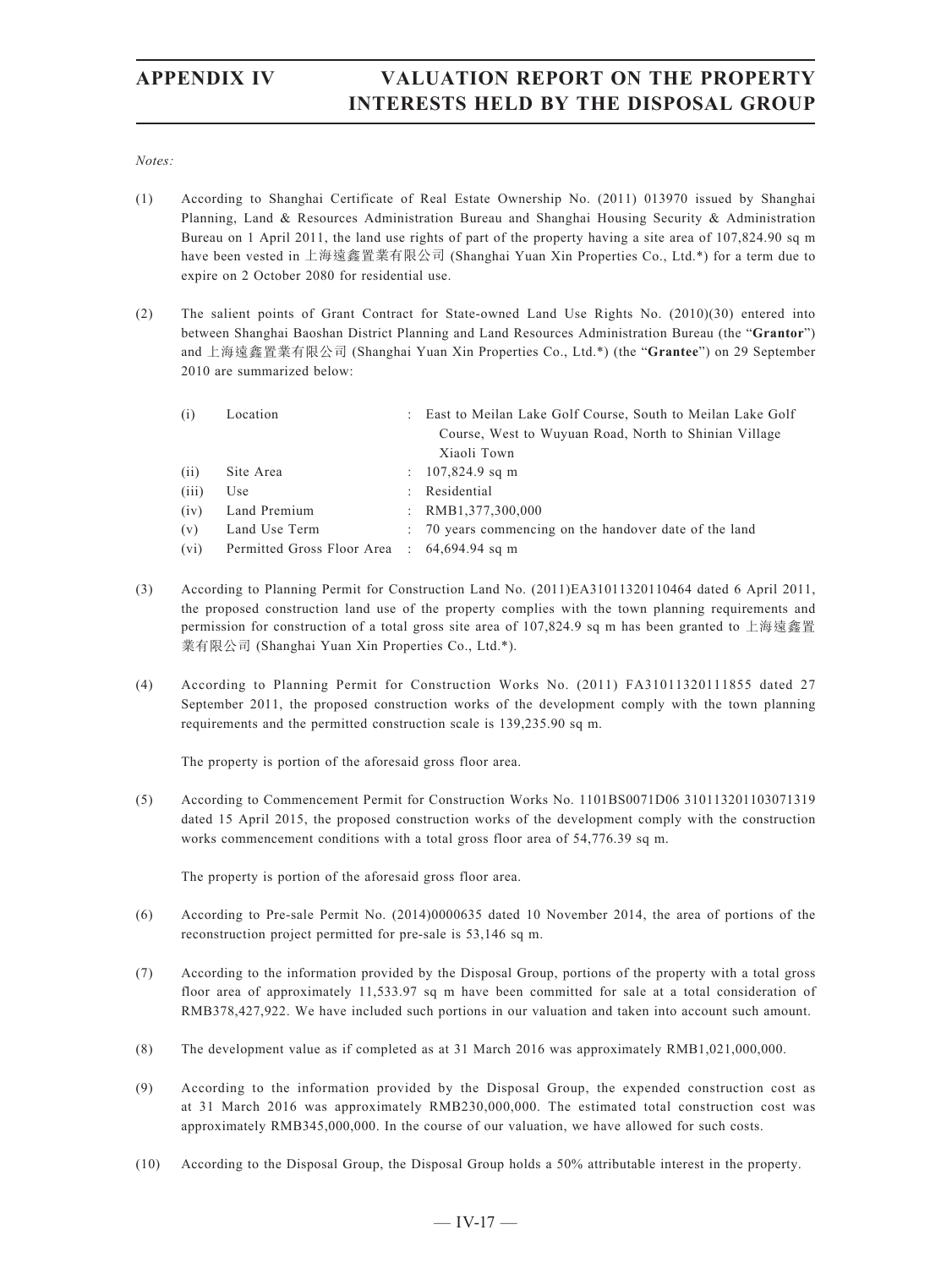*Notes:*

- (1) According to Shanghai Certificate of Real Estate Ownership No. (2011) 013970 issued by Shanghai Planning, Land & Resources Administration Bureau and Shanghai Housing Security & Administration Bureau on 1 April 2011, the land use rights of part of the property having a site area of 107,824.90 sq m have been vested in 上海遠鑫置業有限公司 (Shanghai Yuan Xin Properties Co., Ltd.\*) for a term due to expire on 2 October 2080 for residential use.
- (2) The salient points of Grant Contract for State-owned Land Use Rights No. (2010)(30) entered into between Shanghai Baoshan District Planning and Land Resources Administration Bureau (the "**Grantor**") and 上海遠鑫置業有限公司 (Shanghai Yuan Xin Properties Co., Ltd.\*) (the "**Grantee**") on 29 September 2010 are summarized below:

| (i)   | Location                                    |                           | : East to Meilan Lake Golf Course, South to Meilan Lake Golf |
|-------|---------------------------------------------|---------------------------|--------------------------------------------------------------|
|       |                                             |                           | Course, West to Wuyuan Road, North to Shinian Village        |
|       |                                             |                           | Xiaoli Town                                                  |
| (i)   | Site Area                                   |                           | : $107,824.9$ sq m                                           |
| (iii) | Use                                         | $\mathbb{R}^{\mathbb{Z}}$ | Residential                                                  |
| (iv)  | Land Premium                                |                           | : $RMB1,377,300,000$                                         |
| (v)   | Land Use Term                               |                           | : 70 years commencing on the handover date of the land       |
| (vi)  | Permitted Gross Floor Area : 64,694.94 sq m |                           |                                                              |

- (3) According to Planning Permit for Construction Land No. (2011)EA31011320110464 dated 6 April 2011, the proposed construction land use of the property complies with the town planning requirements and permission for construction of a total gross site area of 107,824.9 sq m has been granted to 上海遠鑫置 業有限公司 (Shanghai Yuan Xin Properties Co., Ltd.\*).
- (4) According to Planning Permit for Construction Works No. (2011) FA31011320111855 dated 27 September 2011, the proposed construction works of the development comply with the town planning requirements and the permitted construction scale is 139,235.90 sq m.

The property is portion of the aforesaid gross floor area.

(5) According to Commencement Permit for Construction Works No. 1101BS0071D06 310113201103071319 dated 15 April 2015, the proposed construction works of the development comply with the construction works commencement conditions with a total gross floor area of 54,776.39 sq m.

The property is portion of the aforesaid gross floor area.

- (6) According to Pre-sale Permit No. (2014)0000635 dated 10 November 2014, the area of portions of the reconstruction project permitted for pre-sale is 53,146 sq m.
- (7) According to the information provided by the Disposal Group, portions of the property with a total gross floor area of approximately 11,533.97 sq m have been committed for sale at a total consideration of RMB378,427,922. We have included such portions in our valuation and taken into account such amount.
- (8) The development value as if completed as at 31 March 2016 was approximately RMB1,021,000,000.
- (9) According to the information provided by the Disposal Group, the expended construction cost as at 31 March 2016 was approximately RMB230,000,000. The estimated total construction cost was approximately RMB345,000,000. In the course of our valuation, we have allowed for such costs.
- (10) According to the Disposal Group, the Disposal Group holds a 50% attributable interest in the property.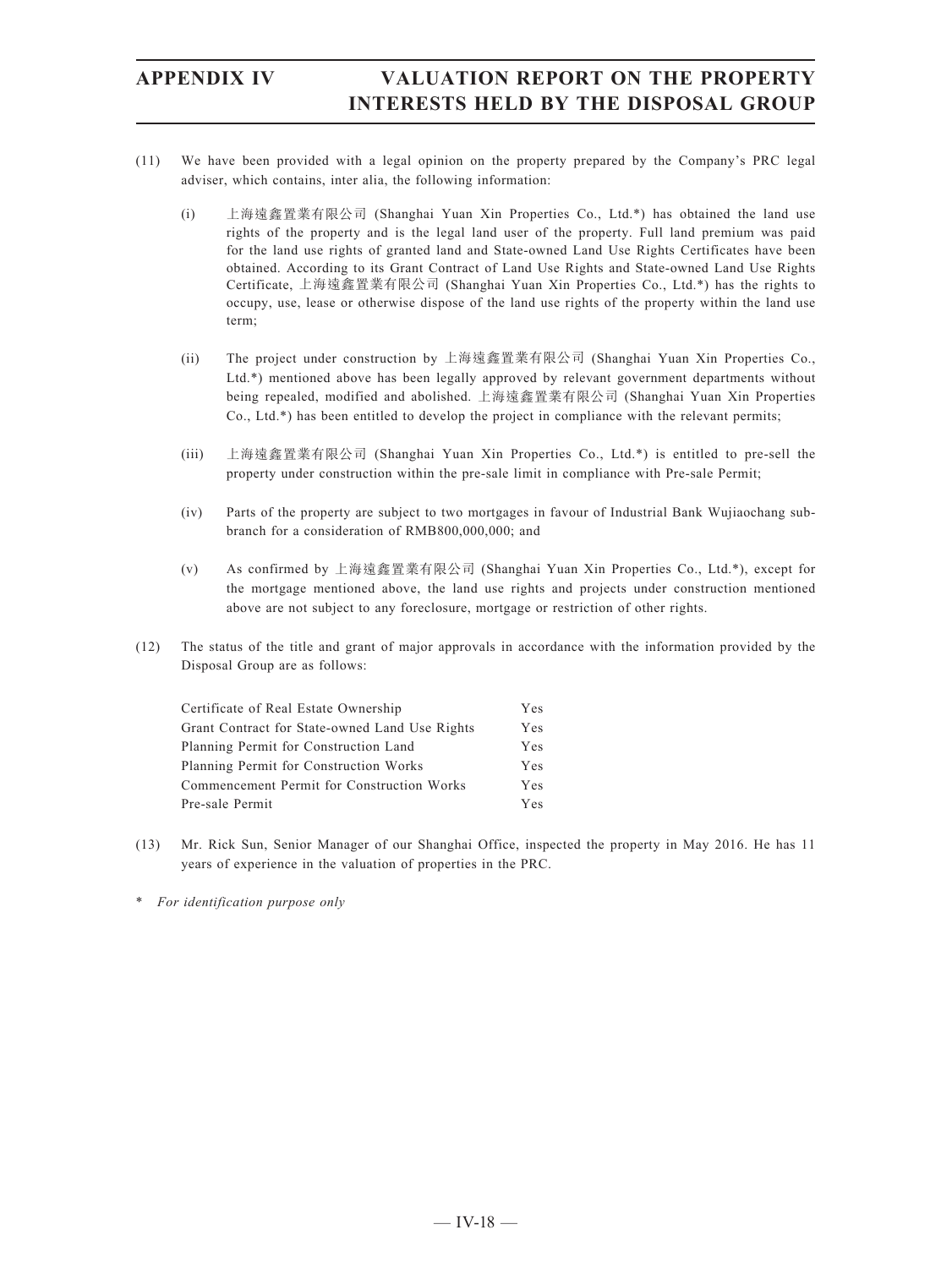- (11) We have been provided with a legal opinion on the property prepared by the Company's PRC legal adviser, which contains, inter alia, the following information:
	- (i) 上海遠鑫置業有限公司 (Shanghai Yuan Xin Properties Co., Ltd.\*) has obtained the land use rights of the property and is the legal land user of the property. Full land premium was paid for the land use rights of granted land and State-owned Land Use Rights Certificates have been obtained. According to its Grant Contract of Land Use Rights and State-owned Land Use Rights Certificate, 上海遠鑫置業有限公司 (Shanghai Yuan Xin Properties Co., Ltd.\*) has the rights to occupy, use, lease or otherwise dispose of the land use rights of the property within the land use term;
	- (ii) The project under construction by 上海遠鑫置業有限公司 (Shanghai Yuan Xin Properties Co., Ltd.\*) mentioned above has been legally approved by relevant government departments without being repealed, modified and abolished. 上海遠鑫置業有限公司 (Shanghai Yuan Xin Properties Co., Ltd.\*) has been entitled to develop the project in compliance with the relevant permits;
	- (iii) 上海遠鑫置業有限公司 (Shanghai Yuan Xin Properties Co., Ltd.\*) is entitled to pre-sell the property under construction within the pre-sale limit in compliance with Pre-sale Permit;
	- (iv) Parts of the property are subject to two mortgages in favour of Industrial Bank Wujiaochang subbranch for a consideration of RMB800,000,000; and
	- (v) As confirmed by 上海遠鑫置業有限公司 (Shanghai Yuan Xin Properties Co., Ltd.\*), except for the mortgage mentioned above, the land use rights and projects under construction mentioned above are not subject to any foreclosure, mortgage or restriction of other rights.
- (12) The status of the title and grant of major approvals in accordance with the information provided by the Disposal Group are as follows:

| Certificate of Real Estate Ownership           | Yes        |
|------------------------------------------------|------------|
| Grant Contract for State-owned Land Use Rights | Yes        |
| Planning Permit for Construction Land          | <b>Yes</b> |
| Planning Permit for Construction Works         | <b>Yes</b> |
| Commencement Permit for Construction Works     | Yes        |
| Pre-sale Permit                                | <b>Yes</b> |

- (13) Mr. Rick Sun, Senior Manager of our Shanghai Office, inspected the property in May 2016. He has 11 years of experience in the valuation of properties in the PRC.
- \* *For identification purpose only*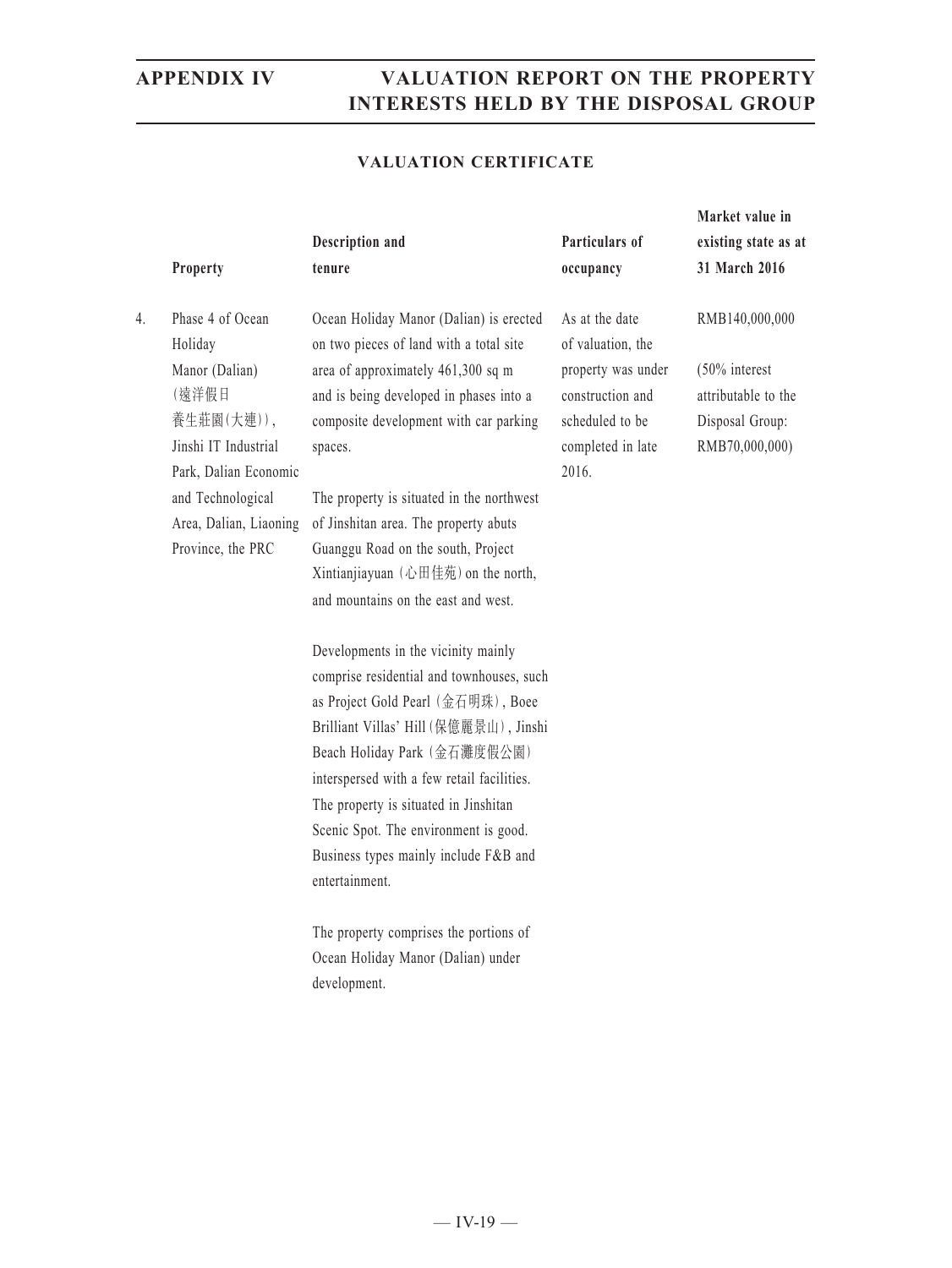### **VALUATION CERTIFICATE**

|    | Property                                                                                                                                                                                  | Description and<br>tenure                                                                                                                                                                                                                                                                                                                                                                                                                                                                                                                                                                                                                                                                                                                                                                                                                                                                                                         | Particulars of<br>occupancy                                                                                                    | Market value in<br>existing state as at<br>31 March 2016                                    |
|----|-------------------------------------------------------------------------------------------------------------------------------------------------------------------------------------------|-----------------------------------------------------------------------------------------------------------------------------------------------------------------------------------------------------------------------------------------------------------------------------------------------------------------------------------------------------------------------------------------------------------------------------------------------------------------------------------------------------------------------------------------------------------------------------------------------------------------------------------------------------------------------------------------------------------------------------------------------------------------------------------------------------------------------------------------------------------------------------------------------------------------------------------|--------------------------------------------------------------------------------------------------------------------------------|---------------------------------------------------------------------------------------------|
| 4. | Phase 4 of Ocean<br>Holiday<br>Manor (Dalian)<br>(遠洋假日<br>養生莊園(大連)),<br>Jinshi IT Industrial<br>Park, Dalian Economic<br>and Technological<br>Area, Dalian, Liaoning<br>Province, the PRC | Ocean Holiday Manor (Dalian) is erected<br>on two pieces of land with a total site<br>area of approximately 461,300 sq m<br>and is being developed in phases into a<br>composite development with car parking<br>spaces.<br>The property is situated in the northwest<br>of Jinshitan area. The property abuts<br>Guanggu Road on the south, Project<br>Xintianjiayuan (心田佳苑) on the north,<br>and mountains on the east and west.<br>Developments in the vicinity mainly<br>comprise residential and townhouses, such<br>as Project Gold Pearl (金石明珠), Boee<br>Brilliant Villas' Hill (保億麗景山), Jinshi<br>Beach Holiday Park (金石灘度假公園)<br>interspersed with a few retail facilities.<br>The property is situated in Jinshitan<br>Scenic Spot. The environment is good.<br>Business types mainly include F&B and<br>entertainment.<br>The property comprises the portions of<br>Ocean Holiday Manor (Dalian) under<br>development. | As at the date<br>of valuation, the<br>property was under<br>construction and<br>scheduled to be<br>completed in late<br>2016. | RMB140,000,000<br>(50% interest<br>attributable to the<br>Disposal Group:<br>RMB70,000,000) |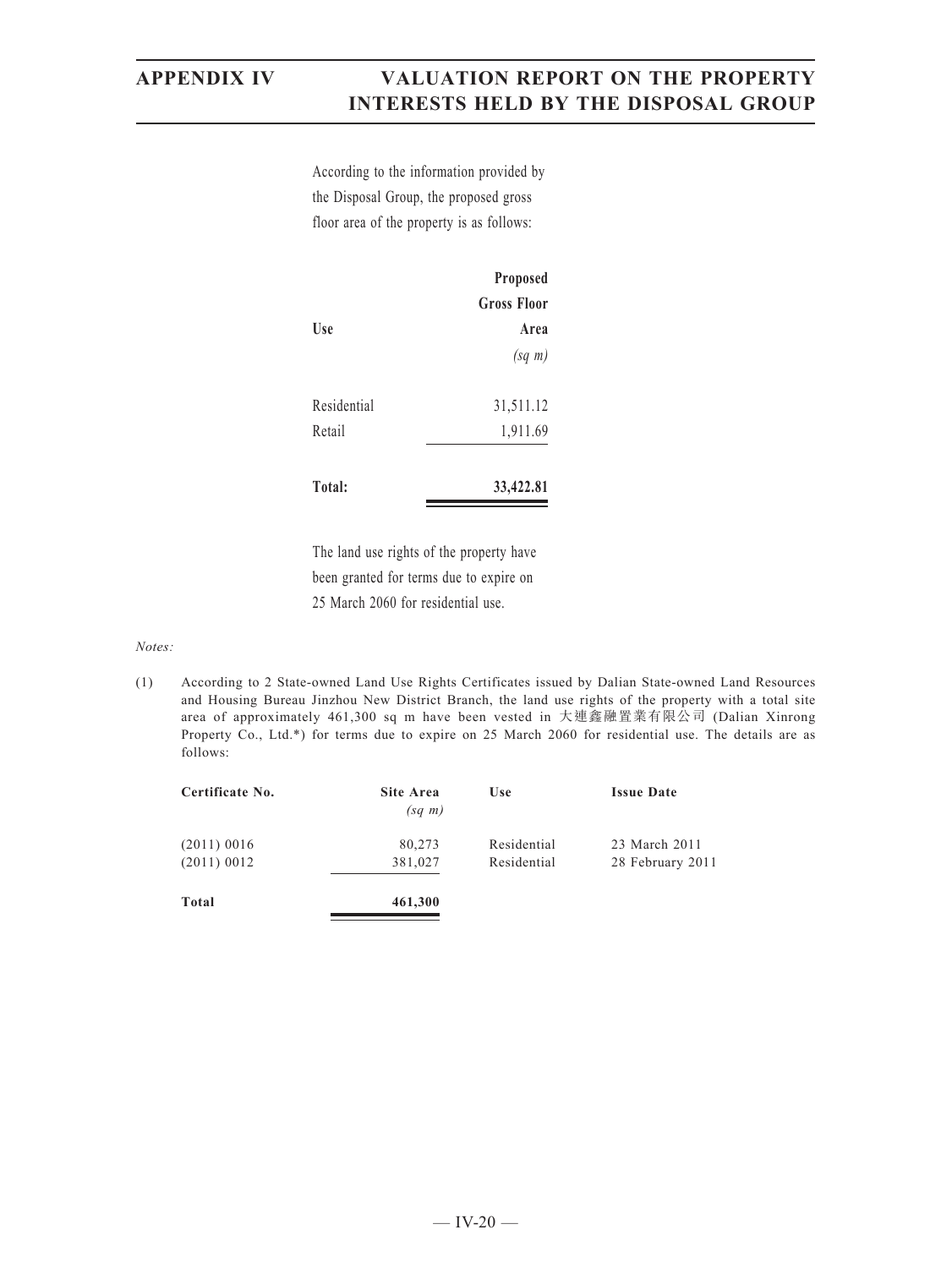According to the information provided by the Disposal Group, the proposed gross floor area of the property is as follows:

|             | Proposed           |
|-------------|--------------------|
|             | <b>Gross Floor</b> |
| Use         | Area               |
|             | $(sq \; m)$        |
| Residential | 31,511.12          |
| Retail      | 1,911.69           |
| Total:      | 33,422.81          |

The land use rights of the property have been granted for terms due to expire on 25 March 2060 for residential use.

*Notes:*

(1) According to 2 State-owned Land Use Rights Certificates issued by Dalian State-owned Land Resources and Housing Bureau Jinzhou New District Branch, the land use rights of the property with a total site area of approximately 461,300 sq m have been vested in 大連鑫融置業有限公司 (Dalian Xinrong Property Co., Ltd.\*) for terms due to expire on 25 March 2060 for residential use. The details are as follows:

| Certificate No.                | <b>Site Area</b><br>$(sq \; m)$ | <b>Use</b>                 | <b>Issue Date</b>                 |
|--------------------------------|---------------------------------|----------------------------|-----------------------------------|
| $(2011)$ 0016<br>$(2011)$ 0012 | 80,273<br>381,027               | Residential<br>Residential | 23 March 2011<br>28 February 2011 |
| Total                          | 461,300                         |                            |                                   |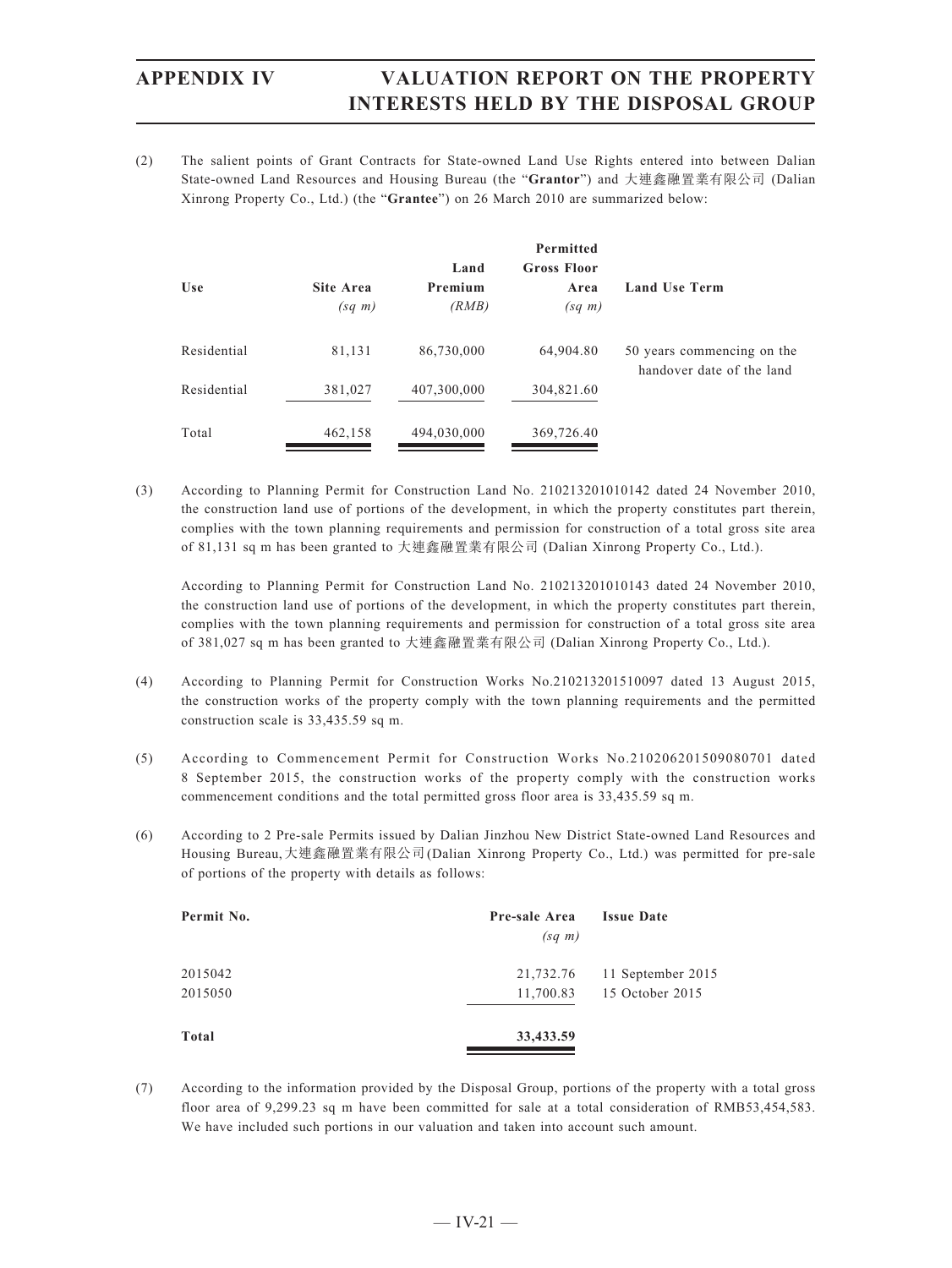(2) The salient points of Grant Contracts for State-owned Land Use Rights entered into between Dalian State-owned Land Resources and Housing Bureau (the "**Grantor**") and 大連鑫融置業有限公司 (Dalian Xinrong Property Co., Ltd.) (the "**Grantee**") on 26 March 2010 are summarized below:

| <b>Use</b>  | Site Area<br>$(sq \; m)$ | Land<br>Premium<br>(RMB) | <b>Permitted</b><br><b>Gross Floor</b><br>Area<br>$(sq \; m)$ | <b>Land Use Term</b>                                    |
|-------------|--------------------------|--------------------------|---------------------------------------------------------------|---------------------------------------------------------|
| Residential | 81,131                   | 86,730,000               | 64,904.80                                                     | 50 years commencing on the<br>handover date of the land |
| Residential | 381,027                  | 407,300,000              | 304,821.60                                                    |                                                         |
| Total       | 462,158                  | 494,030,000              | 369,726.40                                                    |                                                         |

(3) According to Planning Permit for Construction Land No. 210213201010142 dated 24 November 2010, the construction land use of portions of the development, in which the property constitutes part therein, complies with the town planning requirements and permission for construction of a total gross site area of 81,131 sq m has been granted to 大連鑫融置業有限公司 (Dalian Xinrong Property Co., Ltd.).

According to Planning Permit for Construction Land No. 210213201010143 dated 24 November 2010, the construction land use of portions of the development, in which the property constitutes part therein, complies with the town planning requirements and permission for construction of a total gross site area of 381,027 sq m has been granted to 大連鑫融置業有限公司 (Dalian Xinrong Property Co., Ltd.).

- (4) According to Planning Permit for Construction Works No.210213201510097 dated 13 August 2015, the construction works of the property comply with the town planning requirements and the permitted construction scale is 33,435.59 sq m.
- (5) According to Commencement Permit for Construction Works No.210206201509080701 dated 8 September 2015, the construction works of the property comply with the construction works commencement conditions and the total permitted gross floor area is 33,435.59 sq m.
- (6) According to 2 Pre-sale Permits issued by Dalian Jinzhou New District State-owned Land Resources and Housing Bureau,大連鑫融置業有限公司(Dalian Xinrong Property Co., Ltd.) was permitted for pre-sale of portions of the property with details as follows:

| Permit No. | Pre-sale Area<br>$(sq \; m)$ | <b>Issue Date</b> |
|------------|------------------------------|-------------------|
| 2015042    | 21,732.76                    | 11 September 2015 |
| 2015050    | 11,700.83                    | 15 October 2015   |
| Total      | 33,433.59                    |                   |

(7) According to the information provided by the Disposal Group, portions of the property with a total gross floor area of 9,299.23 sq m have been committed for sale at a total consideration of RMB53,454,583. We have included such portions in our valuation and taken into account such amount.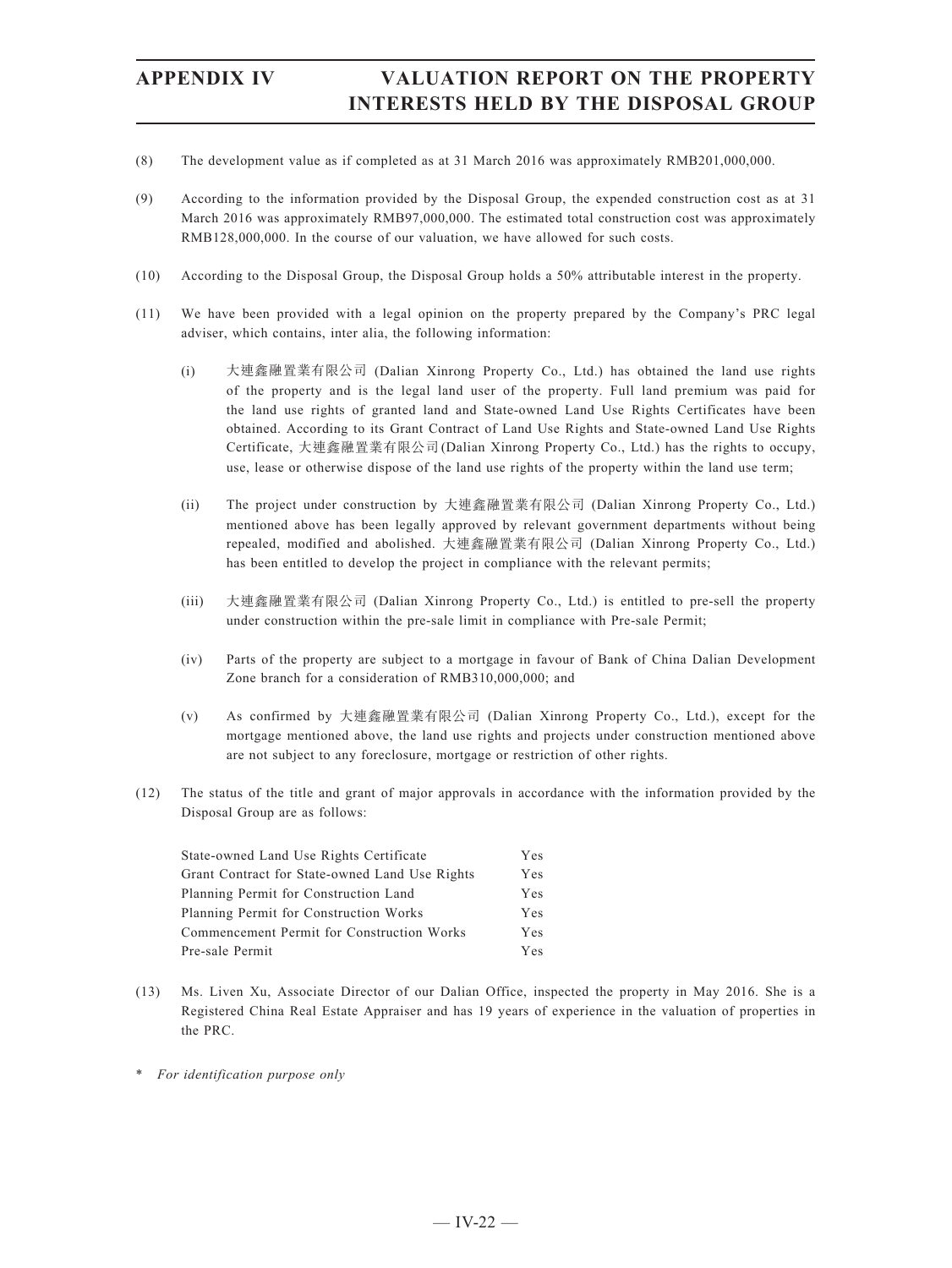- (8) The development value as if completed as at 31 March 2016 was approximately RMB201,000,000.
- (9) According to the information provided by the Disposal Group, the expended construction cost as at 31 March 2016 was approximately RMB97,000,000. The estimated total construction cost was approximately RMB128,000,000. In the course of our valuation, we have allowed for such costs.
- (10) According to the Disposal Group, the Disposal Group holds a 50% attributable interest in the property.
- (11) We have been provided with a legal opinion on the property prepared by the Company's PRC legal adviser, which contains, inter alia, the following information:
	- (i) 大連鑫融置業有限公司 (Dalian Xinrong Property Co., Ltd.) has obtained the land use rights of the property and is the legal land user of the property. Full land premium was paid for the land use rights of granted land and State-owned Land Use Rights Certificates have been obtained. According to its Grant Contract of Land Use Rights and State-owned Land Use Rights Certificate, 大連鑫融置業有限公司(Dalian Xinrong Property Co., Ltd.) has the rights to occupy, use, lease or otherwise dispose of the land use rights of the property within the land use term;
	- (ii) The project under construction by 大連鑫融置業有限公司 (Dalian Xinrong Property Co., Ltd.) mentioned above has been legally approved by relevant government departments without being repealed, modified and abolished. 大連鑫融置業有限公司 (Dalian Xinrong Property Co., Ltd.) has been entitled to develop the project in compliance with the relevant permits;
	- (iii) 大連鑫融置業有限公司 (Dalian Xinrong Property Co., Ltd.) is entitled to pre-sell the property under construction within the pre-sale limit in compliance with Pre-sale Permit;
	- (iv) Parts of the property are subject to a mortgage in favour of Bank of China Dalian Development Zone branch for a consideration of RMB310,000,000; and
	- (v) As confirmed by 大連鑫融置業有限公司 (Dalian Xinrong Property Co., Ltd.), except for the mortgage mentioned above, the land use rights and projects under construction mentioned above are not subject to any foreclosure, mortgage or restriction of other rights.
- (12) The status of the title and grant of major approvals in accordance with the information provided by the Disposal Group are as follows:

| State-owned Land Use Rights Certificate        | Yes |
|------------------------------------------------|-----|
| Grant Contract for State-owned Land Use Rights | Yes |
| Planning Permit for Construction Land          | Yes |
| Planning Permit for Construction Works         | Yes |
| Commencement Permit for Construction Works     | Yes |
| Pre-sale Permit                                | Yes |

- (13) Ms. Liven Xu, Associate Director of our Dalian Office, inspected the property in May 2016. She is a Registered China Real Estate Appraiser and has 19 years of experience in the valuation of properties in the PRC.
- \* *For identification purpose only*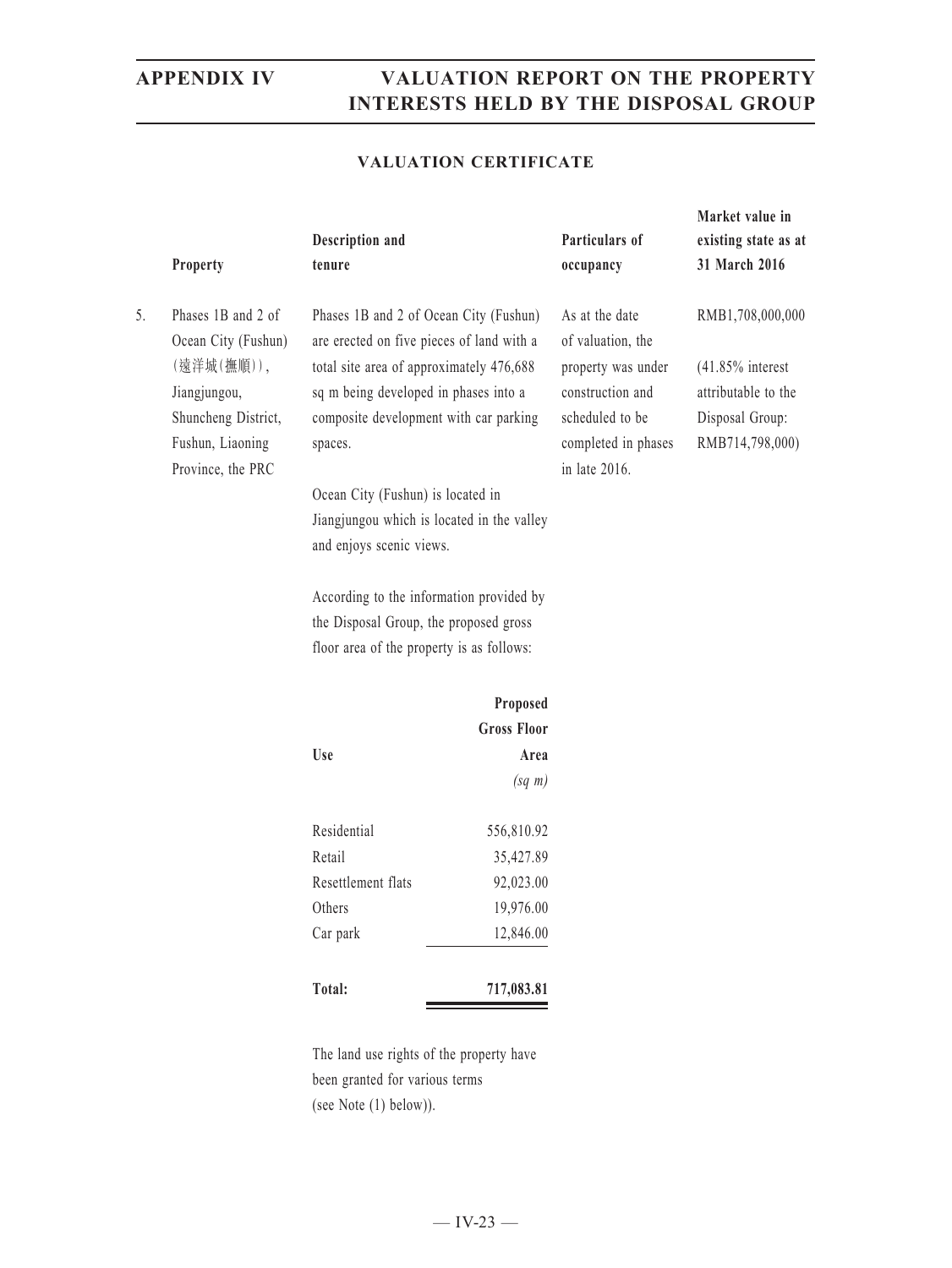### **VALUATION CERTIFICATE**

| Property                                                                                                                                      | Description and<br>tenure                                                                                                                                                                                                                                                                                                                    |                                                                                                                                 | Particulars of<br>occupancy                                                                                                              | Market value in<br>existing state as at<br>31 March 2016                                             |
|-----------------------------------------------------------------------------------------------------------------------------------------------|----------------------------------------------------------------------------------------------------------------------------------------------------------------------------------------------------------------------------------------------------------------------------------------------------------------------------------------------|---------------------------------------------------------------------------------------------------------------------------------|------------------------------------------------------------------------------------------------------------------------------------------|------------------------------------------------------------------------------------------------------|
| 5.<br>Phases 1B and 2 of<br>Ocean City (Fushun)<br>(遠洋城(撫順)),<br>Jiangjungou,<br>Shuncheng District,<br>Fushun, Liaoning<br>Province, the PRC | Phases 1B and 2 of Ocean City (Fushun)<br>are erected on five pieces of land with a<br>total site area of approximately 476,688<br>sq m being developed in phases into a<br>composite development with car parking<br>spaces.<br>Ocean City (Fushun) is located in<br>Jiangjungou which is located in the valley<br>and enjoys scenic views. |                                                                                                                                 | As at the date<br>of valuation, the<br>property was under<br>construction and<br>scheduled to be<br>completed in phases<br>in late 2016. | RMB1,708,000,000<br>$(41.85\%$ interest<br>attributable to the<br>Disposal Group:<br>RMB714,798,000) |
|                                                                                                                                               |                                                                                                                                                                                                                                                                                                                                              | According to the information provided by<br>the Disposal Group, the proposed gross<br>floor area of the property is as follows: |                                                                                                                                          |                                                                                                      |
|                                                                                                                                               |                                                                                                                                                                                                                                                                                                                                              | Proposed<br><b>Gross Floor</b>                                                                                                  |                                                                                                                                          |                                                                                                      |
|                                                                                                                                               | Use                                                                                                                                                                                                                                                                                                                                          | Area<br>$(sq \; m)$                                                                                                             |                                                                                                                                          |                                                                                                      |
|                                                                                                                                               | Residential<br>Retail<br>Resettlement flats<br>Others<br>Car park                                                                                                                                                                                                                                                                            | 556,810.92<br>35,427.89<br>92,023.00<br>19,976.00<br>12,846.00                                                                  |                                                                                                                                          |                                                                                                      |
|                                                                                                                                               | Total:                                                                                                                                                                                                                                                                                                                                       | 717,083.81                                                                                                                      |                                                                                                                                          |                                                                                                      |

The land use rights of the property have been granted for various terms (see Note (1) below)).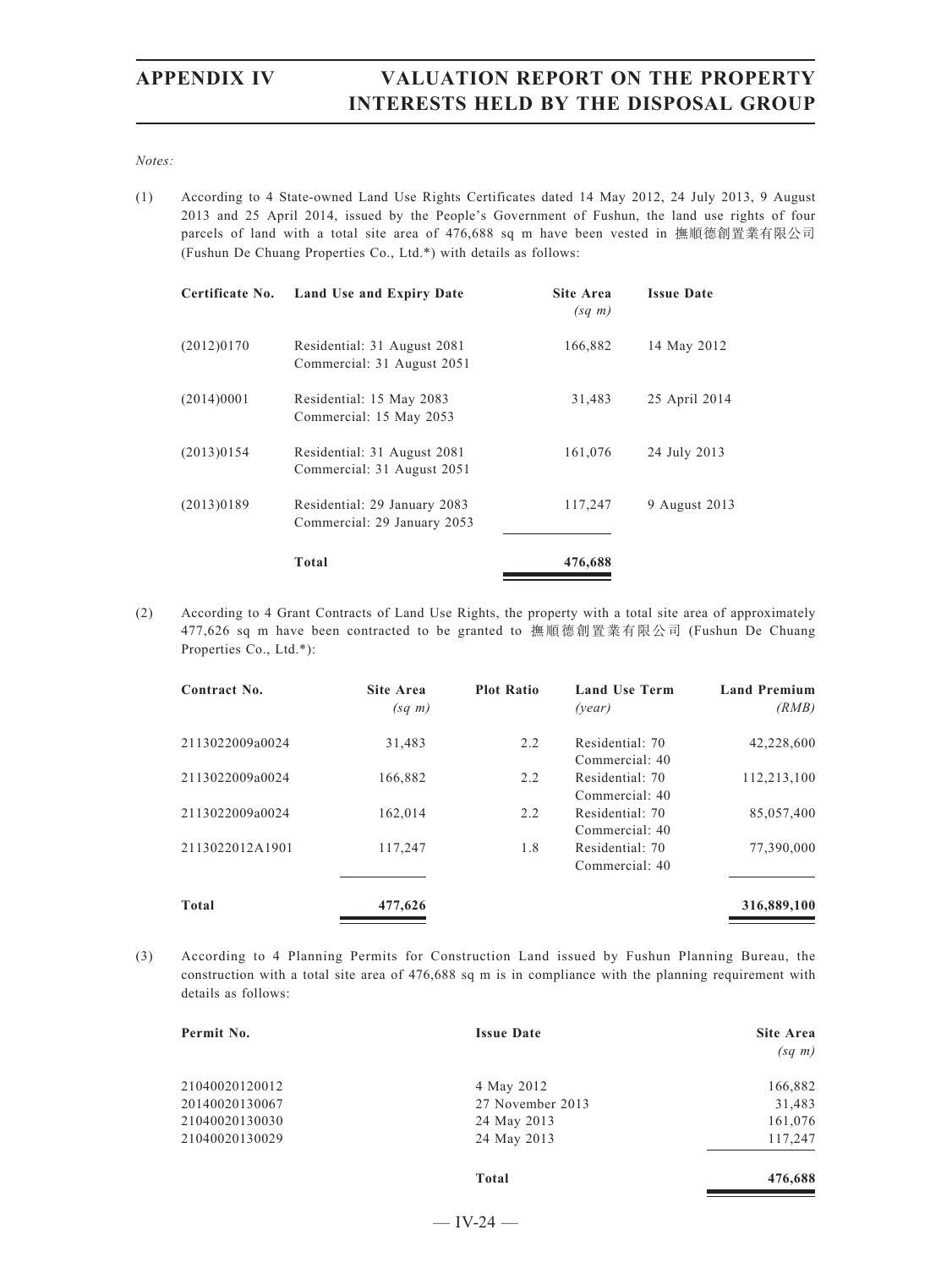*Notes:*

(1) According to 4 State-owned Land Use Rights Certificates dated 14 May 2012, 24 July 2013, 9 August 2013 and 25 April 2014, issued by the People's Government of Fushun, the land use rights of four parcels of land with a total site area of 476,688 sq m have been vested in 撫順德創置業有限公司 (Fushun De Chuang Properties Co., Ltd.\*) with details as follows:

| Certificate No. | Land Use and Expiry Date                                    | <b>Site Area</b><br>$(sq \; m)$ | <b>Issue Date</b> |
|-----------------|-------------------------------------------------------------|---------------------------------|-------------------|
| (2012)0170      | Residential: 31 August 2081<br>Commercial: 31 August 2051   | 166,882                         | 14 May 2012       |
| (2014)0001      | Residential: 15 May 2083<br>Commercial: 15 May 2053         | 31,483                          | 25 April 2014     |
| (2013)0154      | Residential: 31 August 2081<br>Commercial: 31 August 2051   | 161,076                         | 24 July 2013      |
| (2013)0189      | Residential: 29 January 2083<br>Commercial: 29 January 2053 | 117,247                         | 9 August 2013     |
|                 | Total                                                       | 476,688                         |                   |

(2) According to 4 Grant Contracts of Land Use Rights, the property with a total site area of approximately 477,626 sq m have been contracted to be granted to 撫順德創置業有限公司 (Fushun De Chuang Properties Co., Ltd.\*):

| Contract No.    | Site Area<br>$(sq \; m)$ | <b>Plot Ratio</b> | <b>Land Use Term</b><br>(year)    | <b>Land Premium</b><br>(RMB) |
|-----------------|--------------------------|-------------------|-----------------------------------|------------------------------|
| 2113022009a0024 | 31,483                   | 2.2               | Residential: 70<br>Commercial: 40 | 42,228,600                   |
| 2113022009a0024 | 166,882                  | 2.2               | Residential: 70<br>Commercial: 40 | 112,213,100                  |
| 2113022009a0024 | 162,014                  | 2.2               | Residential: 70<br>Commercial: 40 | 85,057,400                   |
| 2113022012A1901 | 117,247                  | 1.8               | Residential: 70<br>Commercial: 40 | 77,390,000                   |
| <b>Total</b>    | 477,626                  |                   |                                   | 316,889,100                  |

(3) According to 4 Planning Permits for Construction Land issued by Fushun Planning Bureau, the construction with a total site area of 476,688 sq m is in compliance with the planning requirement with details as follows:

| <b>Issue Date</b> | <b>Site Area</b> |  |
|-------------------|------------------|--|
|                   | $(sq \; m)$      |  |
| 4 May 2012        | 166,882          |  |
| 27 November 2013  | 31,483           |  |
| 24 May 2013       | 161,076          |  |
| 24 May 2013       | 117,247          |  |
|                   |                  |  |
|                   |                  |  |

**Total 476,688**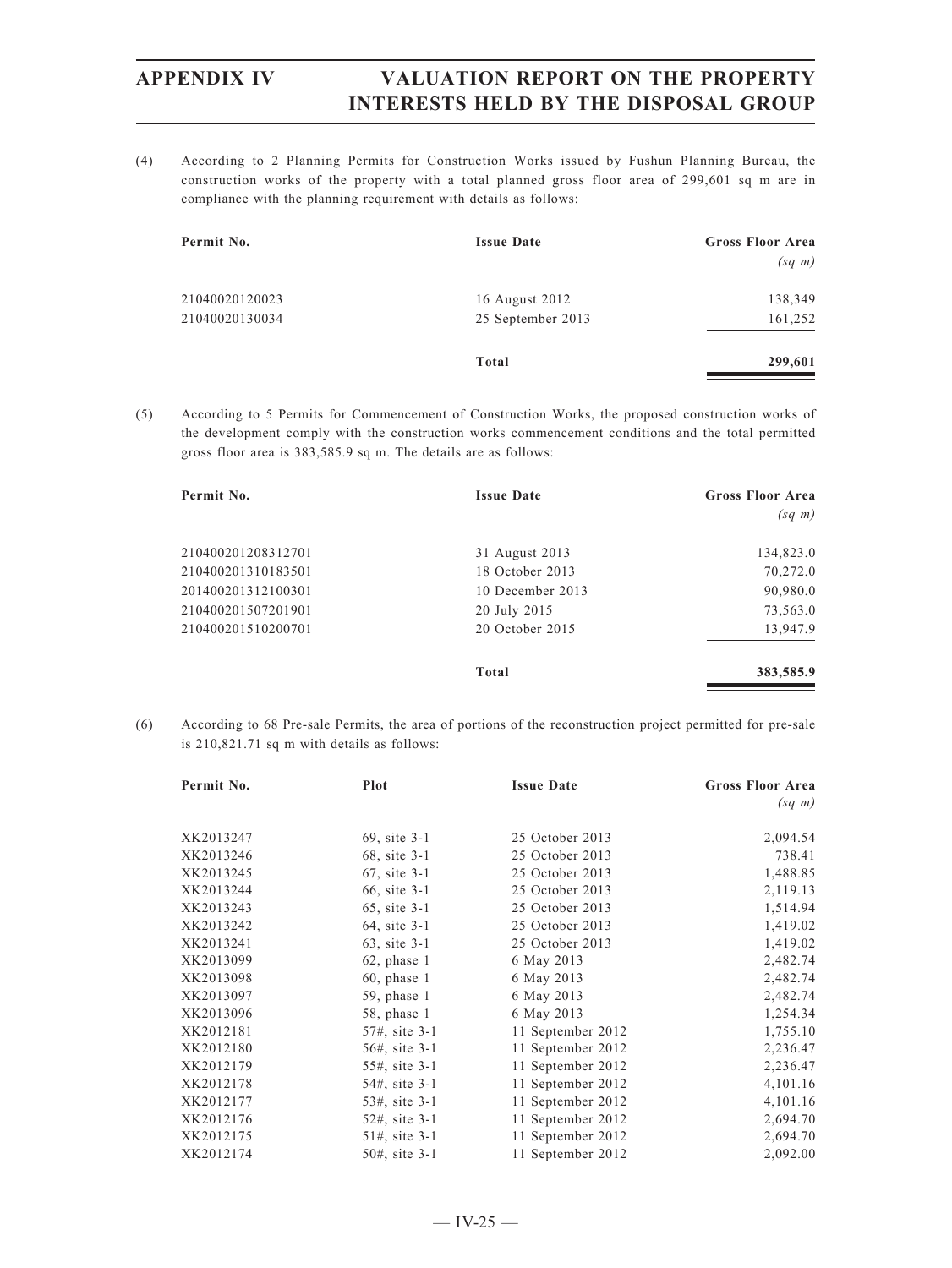(4) According to 2 Planning Permits for Construction Works issued by Fushun Planning Bureau, the construction works of the property with a total planned gross floor area of 299,601 sq m are in compliance with the planning requirement with details as follows:

| Permit No.     | <b>Issue Date</b> | <b>Gross Floor Area</b><br>$(sq \; m)$ |
|----------------|-------------------|----------------------------------------|
| 21040020120023 | 16 August 2012    | 138,349                                |
| 21040020130034 | 25 September 2013 | 161,252                                |
|                | Total             | 299,601                                |

(5) According to 5 Permits for Commencement of Construction Works, the proposed construction works of the development comply with the construction works commencement conditions and the total permitted gross floor area is 383,585.9 sq m. The details are as follows:

| Permit No.         | <b>Issue Date</b> | <b>Gross Floor Area</b> |
|--------------------|-------------------|-------------------------|
|                    |                   | $(sq \; m)$             |
| 210400201208312701 | 31 August 2013    | 134,823.0               |
| 210400201310183501 | 18 October 2013   | 70,272.0                |
| 201400201312100301 | 10 December 2013  | 90,980.0                |
| 210400201507201901 | 20 July 2015      | 73,563.0                |
| 210400201510200701 | 20 October 2015   | 13,947.9                |
|                    | Total             | 383,585.9               |

(6) According to 68 Pre-sale Permits, the area of portions of the reconstruction project permitted for pre-sale is 210,821.71 sq m with details as follows:

| Permit No. | Plot           | <b>Issue Date</b> | <b>Gross Floor Area</b> |
|------------|----------------|-------------------|-------------------------|
|            |                |                   | $(sq \; m)$             |
| XK2013247  | 69, site 3-1   | 25 October 2013   | 2,094.54                |
| XK2013246  | 68, site 3-1   | 25 October 2013   | 738.41                  |
| XK2013245  | 67, site 3-1   | 25 October 2013   | 1,488.85                |
| XK2013244  | 66, site 3-1   | 25 October 2013   | 2,119.13                |
| XK2013243  | 65, site 3-1   | 25 October 2013   | 1,514.94                |
| XK2013242  | 64, site 3-1   | 25 October 2013   | 1,419.02                |
| XK2013241  | 63, site 3-1   | 25 October 2013   | 1,419.02                |
| XK2013099  | $62$ , phase 1 | 6 May 2013        | 2,482.74                |
| XK2013098  | $60$ , phase 1 | 6 May 2013        | 2,482.74                |
| XK2013097  | $59$ , phase 1 | 6 May 2013        | 2,482.74                |
| XK2013096  | $58$ , phase 1 | 6 May 2013        | 1,254.34                |
| XK2012181  | 57#, site 3-1  | 11 September 2012 | 1,755.10                |
| XK2012180  | 56#, site 3-1  | 11 September 2012 | 2,236.47                |
| XK2012179  | 55#, site 3-1  | 11 September 2012 | 2,236.47                |
| XK2012178  | 54#, site 3-1  | 11 September 2012 | 4,101.16                |
| XK2012177  | 53#, site 3-1  | 11 September 2012 | 4,101.16                |
| XK2012176  | 52#, site 3-1  | 11 September 2012 | 2,694.70                |
| XK2012175  | 51#, site 3-1  | 11 September 2012 | 2,694.70                |
| XK2012174  | 50#, site 3-1  | 11 September 2012 | 2,092.00                |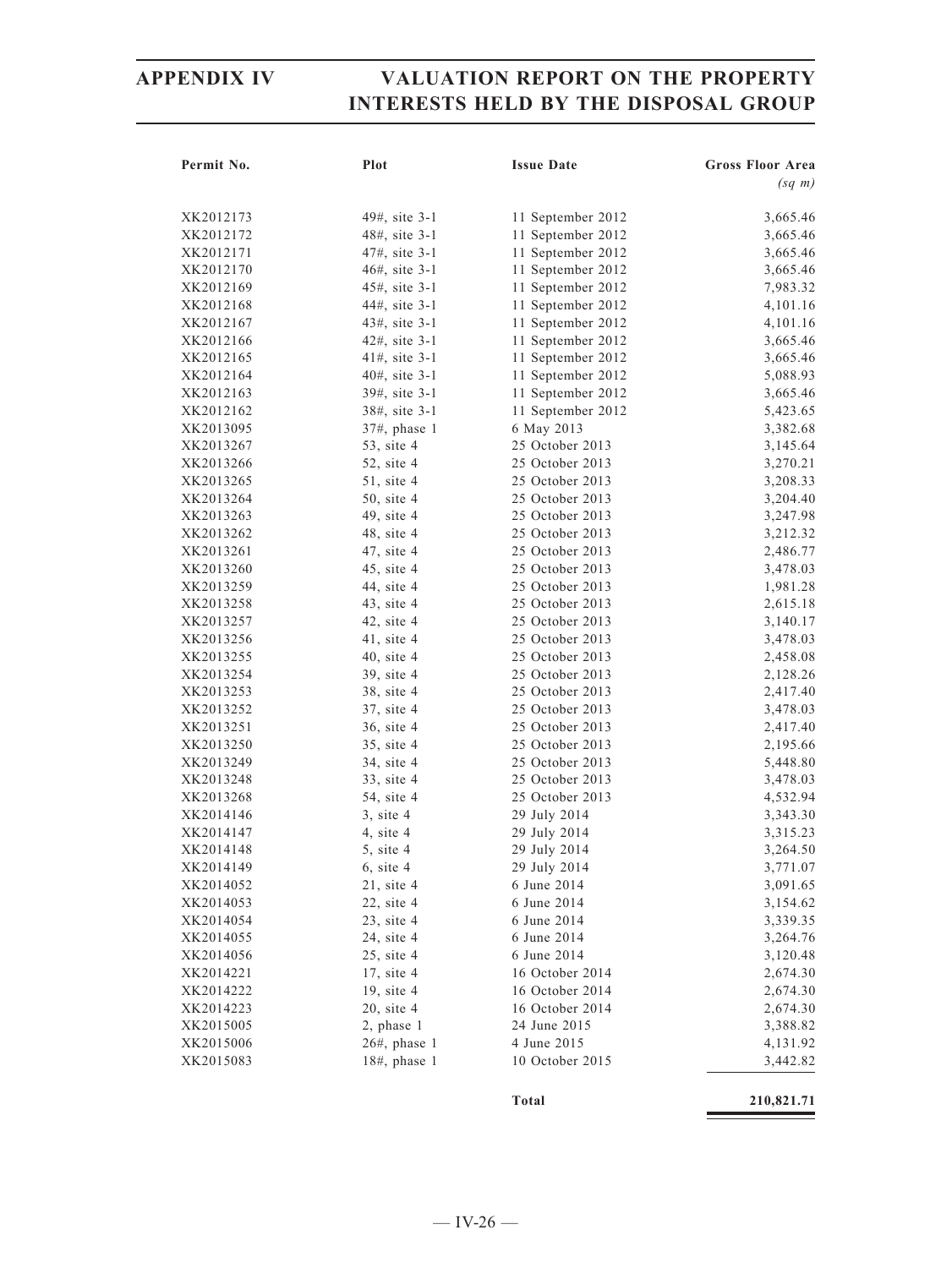| Permit No. | Plot              | <b>Issue Date</b> | <b>Gross Floor Area</b> |
|------------|-------------------|-------------------|-------------------------|
|            |                   |                   | $(sq \; m)$             |
|            |                   |                   |                         |
| XK2012173  | 49#, site 3-1     | 11 September 2012 | 3,665.46                |
| XK2012172  | 48#, site 3-1     | 11 September 2012 | 3,665.46                |
| XK2012171  | 47#, site 3-1     | 11 September 2012 | 3,665.46                |
| XK2012170  | 46#, site 3-1     | 11 September 2012 | 3,665.46                |
| XK2012169  | 45#, site 3-1     | 11 September 2012 | 7,983.32                |
| XK2012168  | 44#, site 3-1     | 11 September 2012 | 4,101.16                |
| XK2012167  | 43#, site 3-1     | 11 September 2012 | 4,101.16                |
| XK2012166  | 42#, site 3-1     | 11 September 2012 | 3,665.46                |
| XK2012165  | $41\#$ , site 3-1 | 11 September 2012 | 3,665.46                |
| XK2012164  | 40#, site 3-1     | 11 September 2012 | 5,088.93                |
| XK2012163  | 39#, site 3-1     | 11 September 2012 | 3,665.46                |
| XK2012162  | 38#, site 3-1     | 11 September 2012 | 5,423.65                |
| XK2013095  | 37#, phase 1      | 6 May 2013        | 3,382.68                |
| XK2013267  | 53, site 4        | 25 October 2013   | 3,145.64                |
| XK2013266  | 52, site 4        | 25 October 2013   | 3,270.21                |
| XK2013265  | $51$ , site 4     | 25 October 2013   | 3,208.33                |
| XK2013264  | 50, site 4        | 25 October 2013   | 3,204.40                |
| XK2013263  | 49, site 4        | 25 October 2013   | 3,247.98                |
| XK2013262  | 48, site 4        | 25 October 2013   | 3,212.32                |
| XK2013261  | 47, site 4        | 25 October 2013   | 2,486.77                |
| XK2013260  | 45, site 4        | 25 October 2013   | 3,478.03                |
| XK2013259  | 44, site 4        | 25 October 2013   | 1,981.28                |
| XK2013258  | 43, site 4        | 25 October 2013   | 2,615.18                |
| XK2013257  | $42$ , site $4$   | 25 October 2013   | 3,140.17                |
| XK2013256  | $41$ , site $4$   | 25 October 2013   | 3,478.03                |
| XK2013255  | $40$ , site $4$   | 25 October 2013   | 2,458.08                |
| XK2013254  | 39, site 4        | 25 October 2013   | 2,128.26                |
| XK2013253  | 38, site 4        | 25 October 2013   | 2,417.40                |
| XK2013252  | 37, site 4        | 25 October 2013   | 3,478.03                |
| XK2013251  | 36, site 4        | 25 October 2013   | 2,417.40                |
| XK2013250  | 35, site 4        | 25 October 2013   | 2,195.66                |
| XK2013249  | 34, site 4        | 25 October 2013   | 5,448.80                |
| XK2013248  | 33, site 4        | 25 October 2013   | 3,478.03                |
| XK2013268  | 54, site 4        | 25 October 2013   | 4,532.94                |
| XK2014146  | $3$ , site $4$    | 29 July 2014      | 3,343.30                |
| XK2014147  | $4$ , site $4$    | 29 July 2014      | 3,315.23                |
| XK2014148  | 5, site 4         | 29 July 2014      | 3,264.50                |
| XK2014149  | $6$ , site $4$    | 29 July 2014      | 3,771.07                |
| XK2014052  | $21$ , site 4     | 6 June 2014       | 3,091.65                |
| XK2014053  | $22$ , site 4     | 6 June 2014       | 3,154.62                |
| XK2014054  | $23$ , site 4     | 6 June 2014       | 3,339.35                |
| XK2014055  | 24, site 4        | 6 June 2014       | 3,264.76                |
| XK2014056  | $25$ , site 4     | 6 June 2014       | 3,120.48                |
| XK2014221  | 17, site 4        | 16 October 2014   | 2,674.30                |
| XK2014222  | 19, site 4        | 16 October 2014   | 2,674.30                |
| XK2014223  | $20$ , site 4     | 16 October 2014   | 2,674.30                |
| XK2015005  | 2, phase 1        | 24 June 2015      | 3,388.82                |
| XK2015006  | $26#$ , phase 1   | 4 June 2015       | 4,131.92                |
| XK2015083  | $18#$ , phase 1   | 10 October 2015   | 3,442.82                |
|            |                   |                   |                         |

**Total 210,821.71**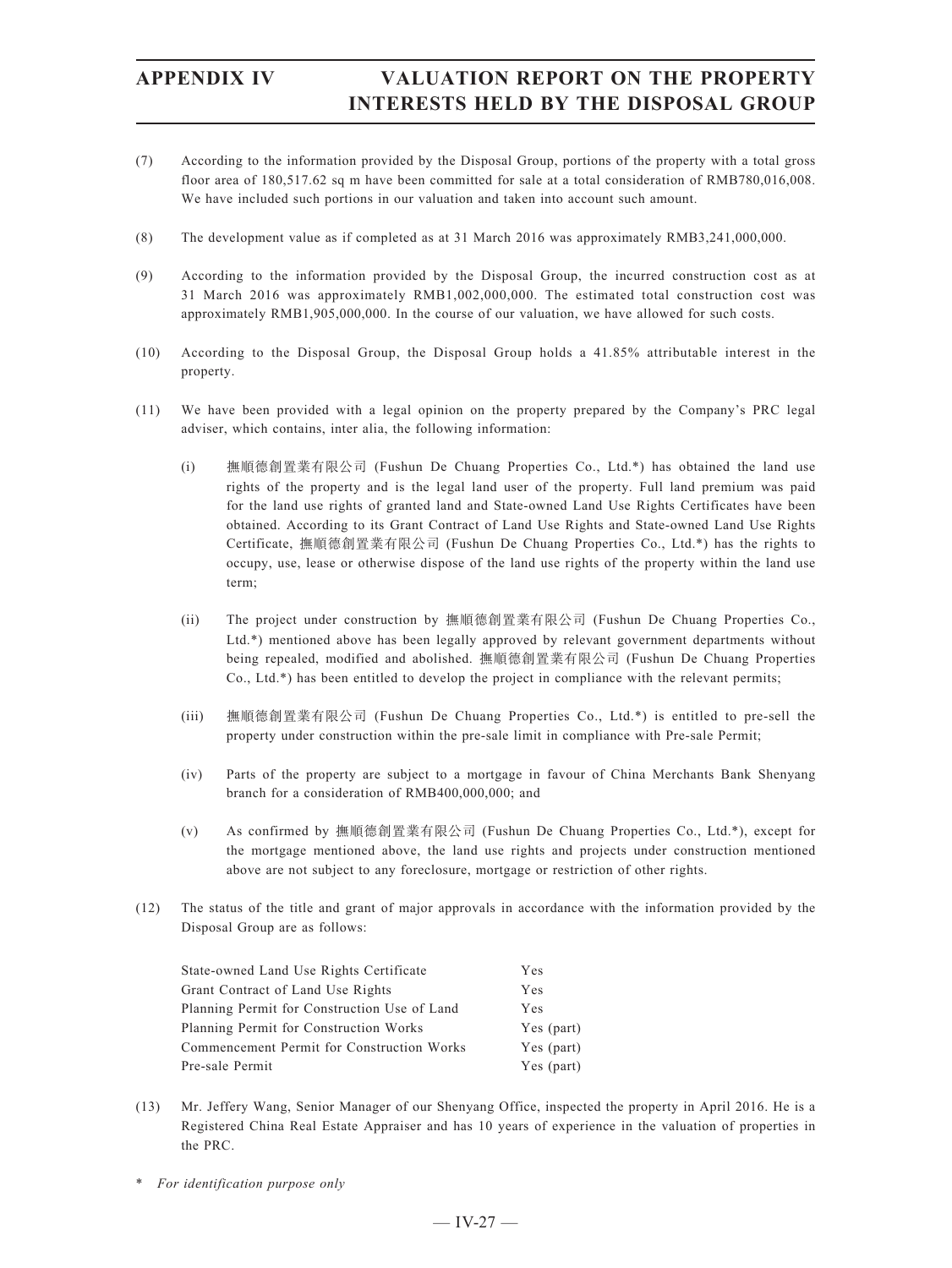- (7) According to the information provided by the Disposal Group, portions of the property with a total gross floor area of 180,517.62 sq m have been committed for sale at a total consideration of RMB780,016,008. We have included such portions in our valuation and taken into account such amount.
- (8) The development value as if completed as at 31 March 2016 was approximately RMB3,241,000,000.
- (9) According to the information provided by the Disposal Group, the incurred construction cost as at 31 March 2016 was approximately RMB1,002,000,000. The estimated total construction cost was approximately RMB1,905,000,000. In the course of our valuation, we have allowed for such costs.
- (10) According to the Disposal Group, the Disposal Group holds a 41.85% attributable interest in the property.
- (11) We have been provided with a legal opinion on the property prepared by the Company's PRC legal adviser, which contains, inter alia, the following information:
	- (i) 撫順德創置業有限公司 (Fushun De Chuang Properties Co., Ltd.\*) has obtained the land use rights of the property and is the legal land user of the property. Full land premium was paid for the land use rights of granted land and State-owned Land Use Rights Certificates have been obtained. According to its Grant Contract of Land Use Rights and State-owned Land Use Rights Certificate, 撫順德創置業有限公司 (Fushun De Chuang Properties Co., Ltd.\*) has the rights to occupy, use, lease or otherwise dispose of the land use rights of the property within the land use term;
	- (ii) The project under construction by 撫順德創置業有限公司 (Fushun De Chuang Properties Co., Ltd.\*) mentioned above has been legally approved by relevant government departments without being repealed, modified and abolished. 撫順德創置業有限公司 (Fushun De Chuang Properties Co., Ltd.\*) has been entitled to develop the project in compliance with the relevant permits;
	- (iii) 撫順德創置業有限公司 (Fushun De Chuang Properties Co., Ltd.\*) is entitled to pre-sell the property under construction within the pre-sale limit in compliance with Pre-sale Permit;
	- (iv) Parts of the property are subject to a mortgage in favour of China Merchants Bank Shenyang branch for a consideration of RMB400,000,000; and
	- (v) As confirmed by 撫順德創置業有限公司 (Fushun De Chuang Properties Co., Ltd.\*), except for the mortgage mentioned above, the land use rights and projects under construction mentioned above are not subject to any foreclosure, mortgage or restriction of other rights.
- (12) The status of the title and grant of major approvals in accordance with the information provided by the Disposal Group are as follows:

| State-owned Land Use Rights Certificate      | Yes        |
|----------------------------------------------|------------|
| Grant Contract of Land Use Rights            | Yes        |
| Planning Permit for Construction Use of Land | Yes        |
| Planning Permit for Construction Works       | Yes (part) |
| Commencement Permit for Construction Works   | Yes (part) |
| Pre-sale Permit                              | Yes (part) |

- (13) Mr. Jeffery Wang, Senior Manager of our Shenyang Office, inspected the property in April 2016. He is a Registered China Real Estate Appraiser and has 10 years of experience in the valuation of properties in the PRC.
- \* *For identification purpose only*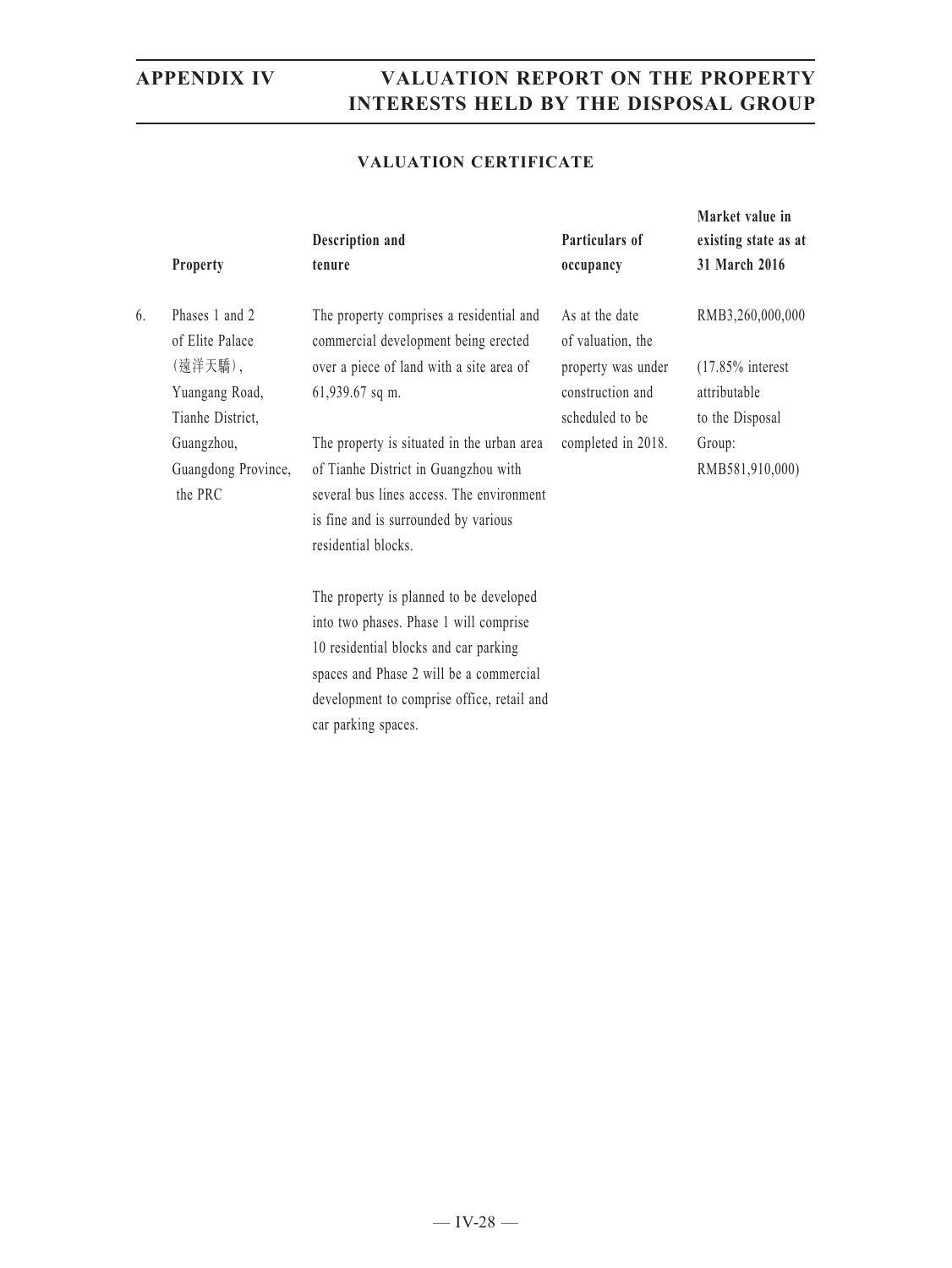### **VALUATION CERTIFICATE**

|    | <b>Property</b>                   | Description and<br>tenure                                                        | Particulars of<br>occupancy         | Market value in<br>existing state as at<br>31 March 2016 |
|----|-----------------------------------|----------------------------------------------------------------------------------|-------------------------------------|----------------------------------------------------------|
| 6. | Phases 1 and 2<br>of Elite Palace | The property comprises a residential and<br>commercial development being erected | As at the date<br>of valuation, the | RMB3,260,000,000                                         |
|    | (遠洋天驕),                           | over a piece of land with a site area of                                         | property was under                  | $(17.85\%$ interest                                      |
|    | Yuangang Road,                    | 61,939.67 sq m.                                                                  | construction and                    | attributable                                             |
|    | Tianhe District,                  |                                                                                  | scheduled to be                     | to the Disposal                                          |
|    | Guangzhou,                        | The property is situated in the urban area                                       | completed in 2018.                  | Group:                                                   |
|    | Guangdong Province,               | of Tianhe District in Guangzhou with                                             |                                     | RMB581,910,000)                                          |
|    | the PRC                           | several bus lines access. The environment                                        |                                     |                                                          |
|    |                                   | is fine and is surrounded by various                                             |                                     |                                                          |
|    |                                   | residential blocks.                                                              |                                     |                                                          |
|    |                                   | The property is planned to be developed                                          |                                     |                                                          |
|    |                                   | into two phases. Phase 1 will comprise                                           |                                     |                                                          |
|    |                                   | 10 residential blocks and car parking                                            |                                     |                                                          |
|    |                                   | spaces and Phase 2 will be a commercial                                          |                                     |                                                          |
|    |                                   | development to comprise office, retail and                                       |                                     |                                                          |

car parking spaces.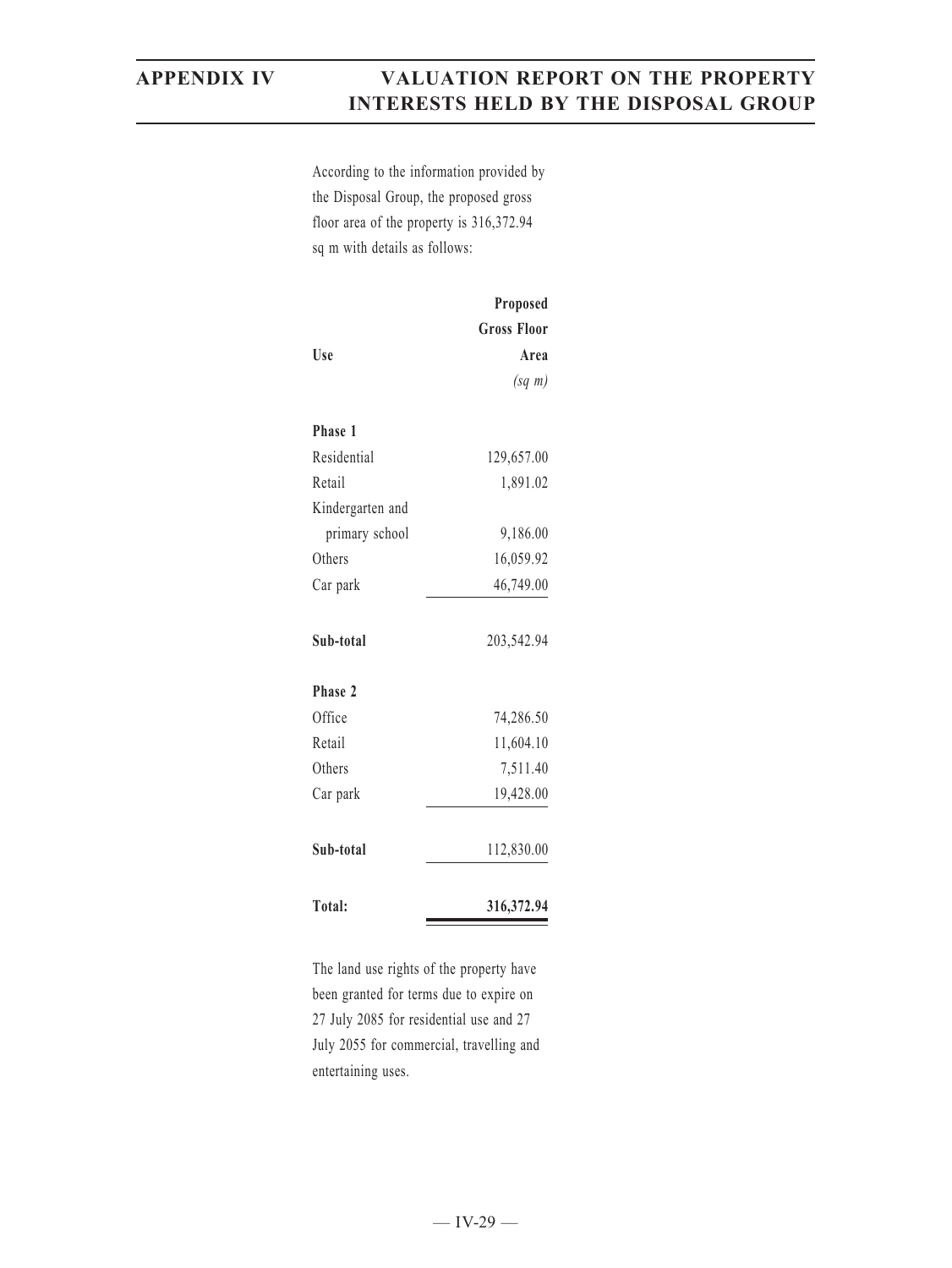According to the information provided by the Disposal Group, the proposed gross floor area of the property is 316,372.94 sq m with details as follows:

|                  | Proposed           |
|------------------|--------------------|
|                  | <b>Gross Floor</b> |
| Use              | Area               |
|                  | $(sq \; m)$        |
| Phase 1          |                    |
| Residential      | 129,657.00         |
| Retail           | 1,891.02           |
| Kindergarten and |                    |
| primary school   | 9,186.00           |
| Others           | 16,059.92          |
| Car park         | 46,749.00          |
|                  |                    |
| Sub-total        | 203,542.94         |
| Phase 2          |                    |
| Office           | 74,286.50          |
| Retail           | 11,604.10          |
| Others           | 7,511.40           |
| Car park         | 19,428.00          |
|                  |                    |
| Sub-total        | 112,830.00         |
|                  |                    |
| Total:           | 316,372.94         |

The land use rights of the property have been granted for terms due to expire on 27 July 2085 for residential use and 27 July 2055 for commercial, travelling and entertaining uses.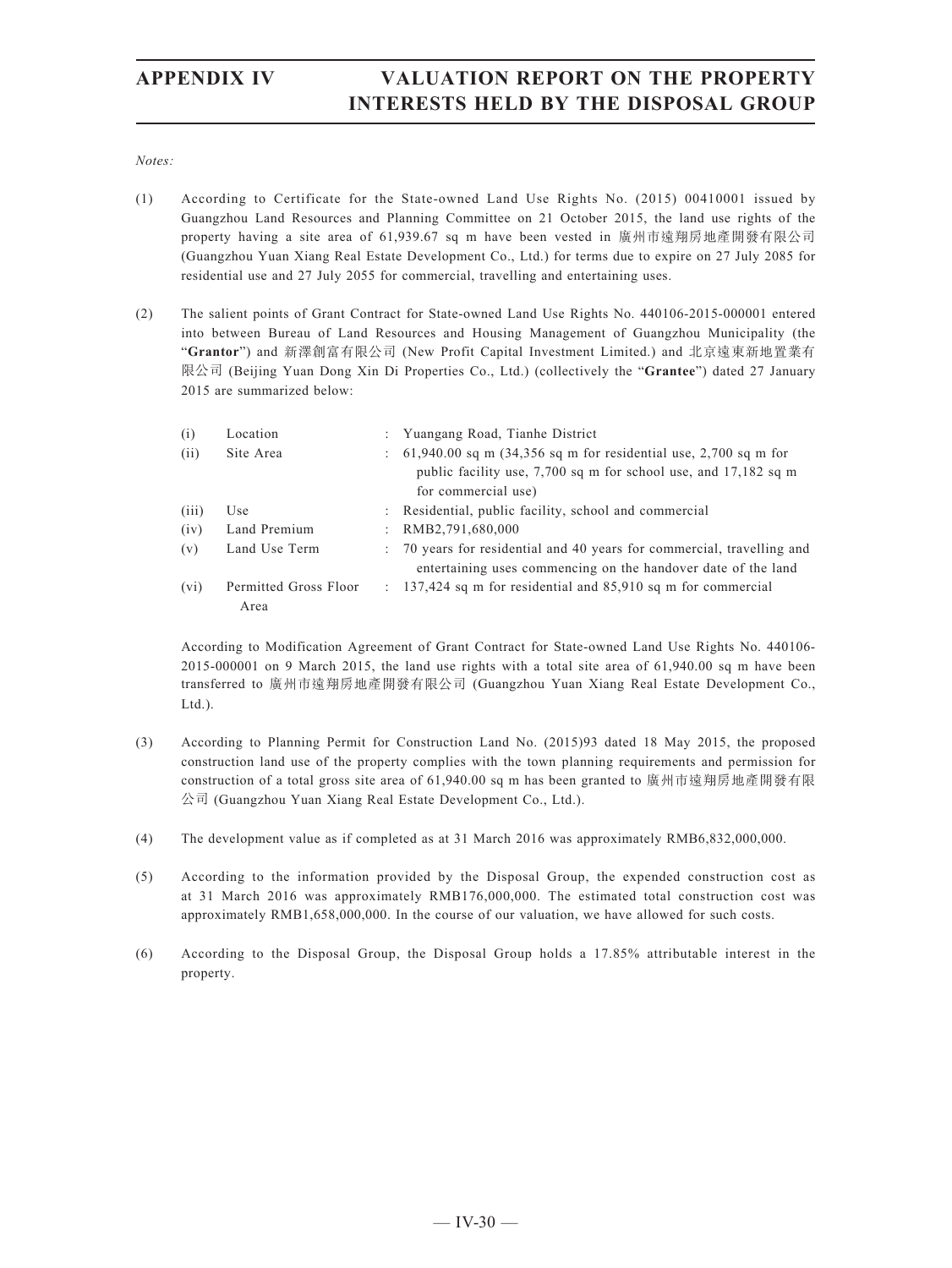*Notes:*

- (1) According to Certificate for the State-owned Land Use Rights No. (2015) 00410001 issued by Guangzhou Land Resources and Planning Committee on 21 October 2015, the land use rights of the property having a site area of 61,939.67 sq m have been vested in 廣州市遠翔房地產開發有限公司 (Guangzhou Yuan Xiang Real Estate Development Co., Ltd.) for terms due to expire on 27 July 2085 for residential use and 27 July 2055 for commercial, travelling and entertaining uses.
- (2) The salient points of Grant Contract for State-owned Land Use Rights No. 440106-2015-000001 entered into between Bureau of Land Resources and Housing Management of Guangzhou Municipality (the "**Grantor**") and 新澤創富有限公司 (New Profit Capital Investment Limited.) and 北京遠東新地置業有 限公司 (Beijing Yuan Dong Xin Di Properties Co., Ltd.) (collectively the "**Grantee**") dated 27 January 2015 are summarized below:

| (i)   | Location                      | : Yuangang Road, Tianhe District                                                                                                                                |
|-------|-------------------------------|-----------------------------------------------------------------------------------------------------------------------------------------------------------------|
| (ii)  | Site Area                     | : $61,940.00$ sq m $(34,356$ sq m for residential use, 2,700 sq m for<br>public facility use, 7,700 sq m for school use, and 17,182 sq m<br>for commercial use) |
| (iii) | Use                           | Residential, public facility, school and commercial                                                                                                             |
| (iv)  | Land Premium                  | : $RMB2,791,680,000$                                                                                                                                            |
| (v)   | Land Use Term                 | : 70 years for residential and 40 years for commercial, travelling and<br>entertaining uses commencing on the handover date of the land                         |
| (vi)  | Permitted Gross Floor<br>Area | $\therefore$ 137,424 sq m for residential and 85,910 sq m for commercial                                                                                        |

According to Modification Agreement of Grant Contract for State-owned Land Use Rights No. 440106- 2015-000001 on 9 March 2015, the land use rights with a total site area of 61,940.00 sq m have been transferred to 廣州市遠翔房地產開發有限公司 (Guangzhou Yuan Xiang Real Estate Development Co., Ltd.).

- (3) According to Planning Permit for Construction Land No. (2015)93 dated 18 May 2015, the proposed construction land use of the property complies with the town planning requirements and permission for construction of a total gross site area of 61,940.00 sq m has been granted to 廣州市遠翔房地產開發有限 公司 (Guangzhou Yuan Xiang Real Estate Development Co., Ltd.).
- (4) The development value as if completed as at 31 March 2016 was approximately RMB6,832,000,000.
- (5) According to the information provided by the Disposal Group, the expended construction cost as at 31 March 2016 was approximately RMB176,000,000. The estimated total construction cost was approximately RMB1,658,000,000. In the course of our valuation, we have allowed for such costs.
- (6) According to the Disposal Group, the Disposal Group holds a 17.85% attributable interest in the property.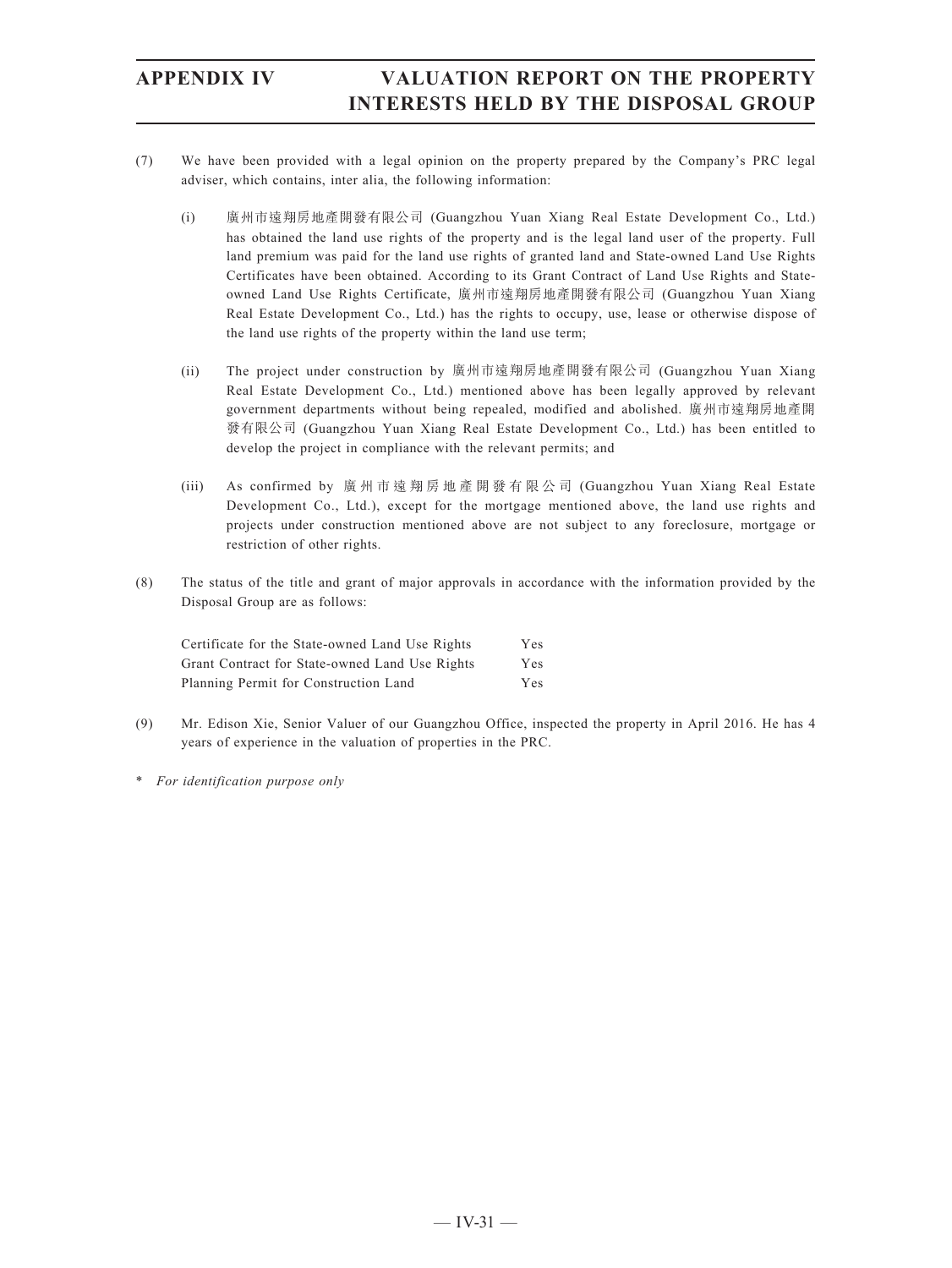- (7) We have been provided with a legal opinion on the property prepared by the Company's PRC legal adviser, which contains, inter alia, the following information:
	- (i) 廣州市遠翔房地產開發有限公司 (Guangzhou Yuan Xiang Real Estate Development Co., Ltd.) has obtained the land use rights of the property and is the legal land user of the property. Full land premium was paid for the land use rights of granted land and State-owned Land Use Rights Certificates have been obtained. According to its Grant Contract of Land Use Rights and Stateowned Land Use Rights Certificate, 廣州市遠翔房地產開發有限公司 (Guangzhou Yuan Xiang Real Estate Development Co., Ltd.) has the rights to occupy, use, lease or otherwise dispose of the land use rights of the property within the land use term;
	- (ii) The project under construction by 廣州市遠翔房地產開發有限公司 (Guangzhou Yuan Xiang Real Estate Development Co., Ltd.) mentioned above has been legally approved by relevant government departments without being repealed, modified and abolished. 廣州市遠翔房地產開 發有限公司 (Guangzhou Yuan Xiang Real Estate Development Co., Ltd.) has been entitled to develop the project in compliance with the relevant permits; and
	- (iii) As confirmed by 廣州市遠翔房地產開發有限公司 (Guangzhou Yuan Xiang Real Estate Development Co., Ltd.), except for the mortgage mentioned above, the land use rights and projects under construction mentioned above are not subject to any foreclosure, mortgage or restriction of other rights.
- (8) The status of the title and grant of major approvals in accordance with the information provided by the Disposal Group are as follows:

| Certificate for the State-owned Land Use Rights | Yes |
|-------------------------------------------------|-----|
| Grant Contract for State-owned Land Use Rights  | Yes |
| Planning Permit for Construction Land           | Yes |

- (9) Mr. Edison Xie, Senior Valuer of our Guangzhou Office, inspected the property in April 2016. He has 4 years of experience in the valuation of properties in the PRC.
- \* *For identification purpose only*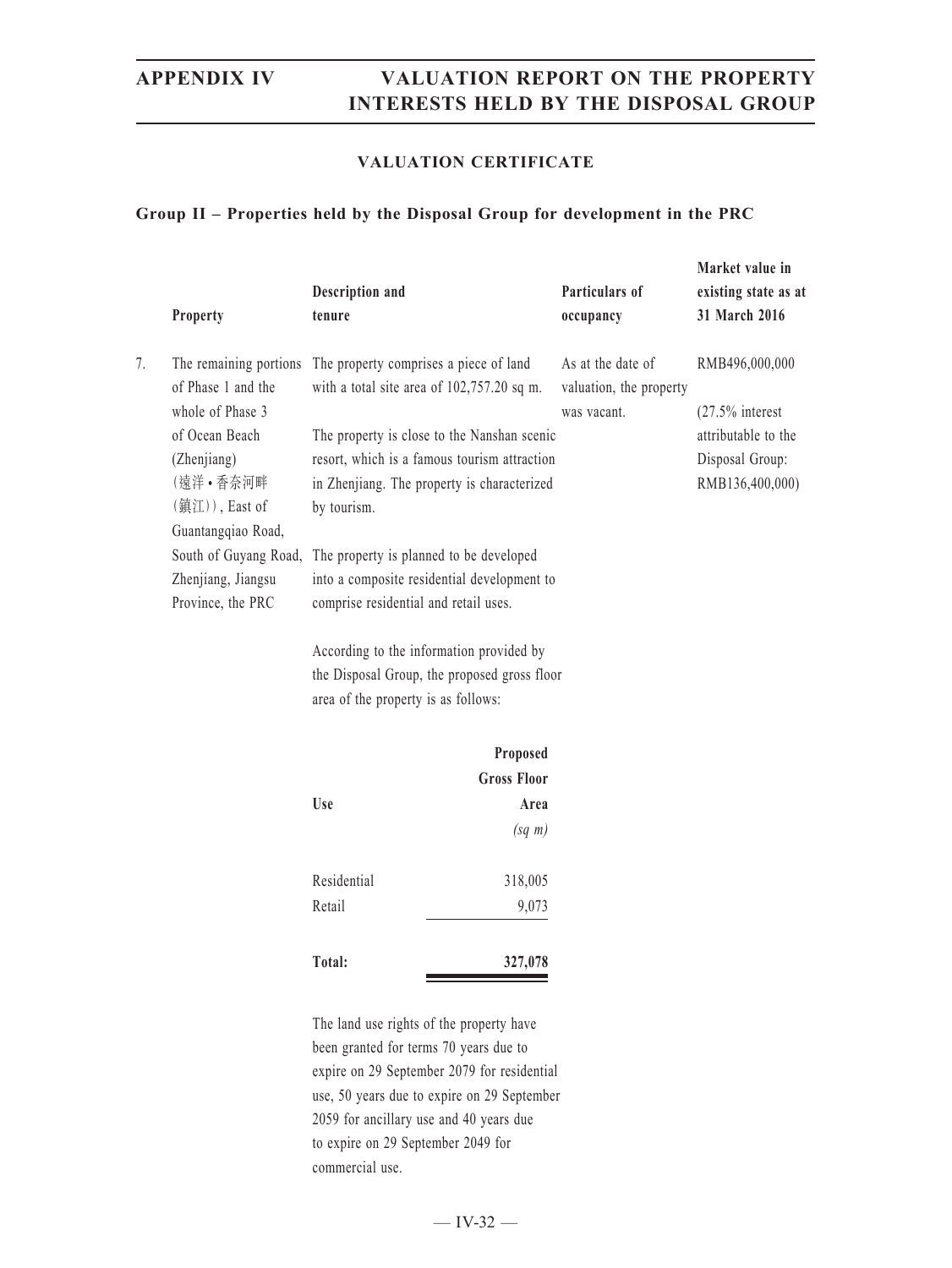### **VALUATION CERTIFICATE**

### **Group II – Properties held by the Disposal Group for development in the PRC**

|    | <b>Property</b>                                                  | Description and<br>tenure                                                              | Particulars of<br>occupancy                                 | Market value in<br>existing state as at<br>31 March 2016 |
|----|------------------------------------------------------------------|----------------------------------------------------------------------------------------|-------------------------------------------------------------|----------------------------------------------------------|
| 7. | The remaining portions<br>of Phase 1 and the<br>whole of Phase 3 | The property comprises a piece of land<br>with a total site area of $102,757.20$ sq m. | As at the date of<br>valuation, the property<br>was vacant. | RMB496,000,000<br>$(27.5\%$ interest                     |
|    | of Ocean Beach                                                   | The property is close to the Nanshan scenic                                            |                                                             | attributable to the                                      |
|    | (Zhenjiang)                                                      | resort, which is a famous tourism attraction                                           |                                                             | Disposal Group:                                          |
|    | (遠洋 • 香奈河畔                                                       | in Zhenjiang. The property is characterized                                            |                                                             | RMB136,400,000)                                          |
|    | $(\overline{\text{}}\mathbf{\mathsf{H}}\mathbf{H}))$ , East of   | by tourism.                                                                            |                                                             |                                                          |
|    | Guantangqiao Road,                                               |                                                                                        |                                                             |                                                          |
|    | South of Guyang Road,                                            | The property is planned to be developed                                                |                                                             |                                                          |
|    | Zhenjiang, Jiangsu                                               | into a composite residential development to                                            |                                                             |                                                          |
|    | Province, the PRC                                                | comprise residential and retail uses.                                                  |                                                             |                                                          |
|    |                                                                  | According to the information provided by                                               |                                                             |                                                          |

the Disposal Group, the proposed gross floor area of the property is as follows:

|             | Proposed           |
|-------------|--------------------|
|             | <b>Gross Floor</b> |
| <b>Use</b>  | Area               |
|             | $(sq \; m)$        |
| Residential | 318,005            |
| Retail      | 9,073              |
| Total:      | 327,078            |

The land use rights of the property have been granted for terms 70 years due to expire on 29 September 2079 for residential use, 50 years due to expire on 29 September 2059 for ancillary use and 40 years due to expire on 29 September 2049 for commercial use.

 $-$  IV-32  $-$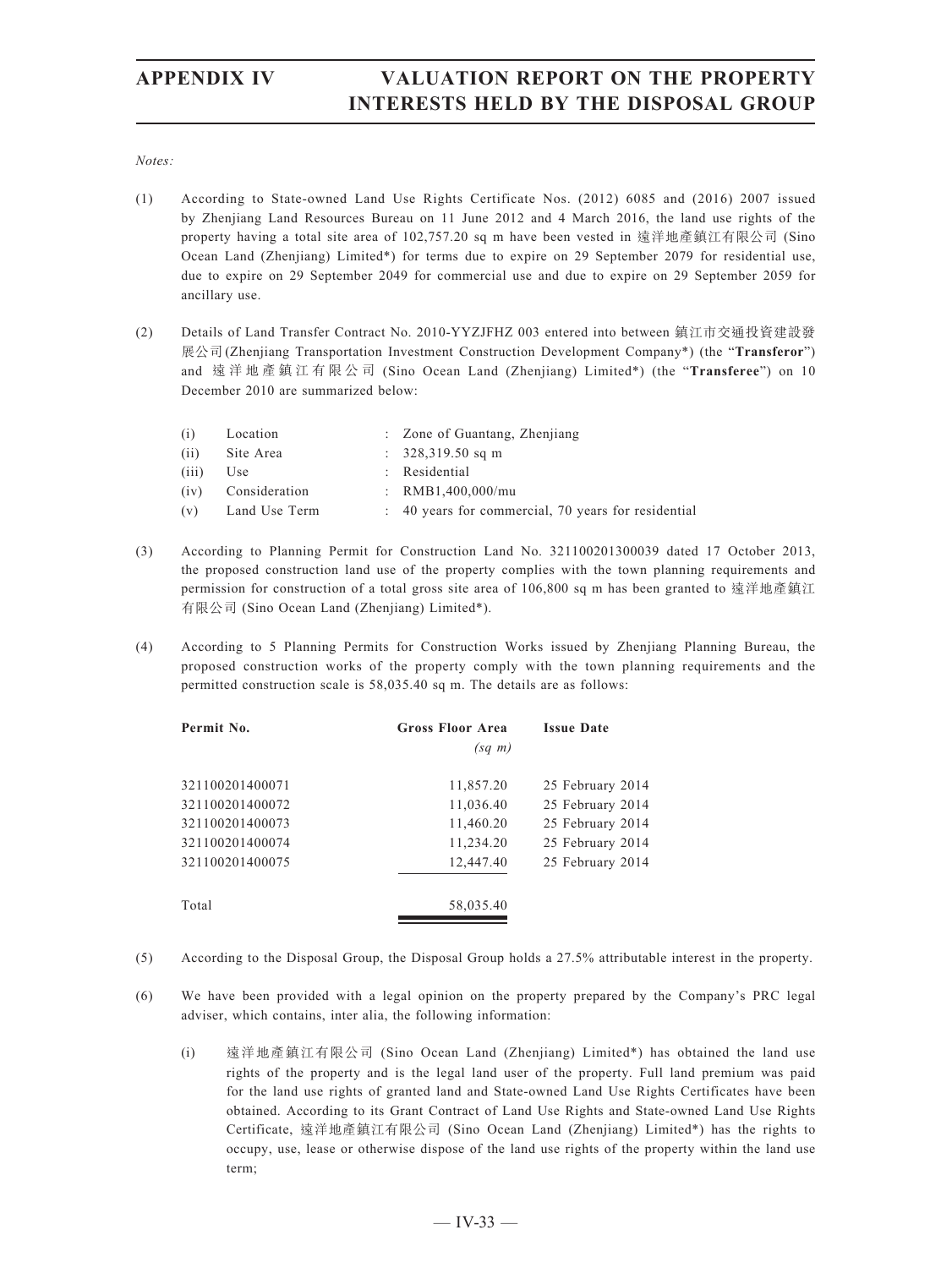### *Notes:*

- (1) According to State-owned Land Use Rights Certificate Nos. (2012) 6085 and (2016) 2007 issued by Zhenjiang Land Resources Bureau on 11 June 2012 and 4 March 2016, the land use rights of the property having a total site area of 102.757.20 sq m have been vested in 遠洋地產鎮江有限公司 (Sino Ocean Land (Zhenjiang) Limited\*) for terms due to expire on 29 September 2079 for residential use, due to expire on 29 September 2049 for commercial use and due to expire on 29 September 2059 for ancillary use.
- (2) Details of Land Transfer Contract No. 2010-YYZJFHZ 003 entered into between 鎮江市交通投資建設發 展公司(Zhenjiang Transportation Investment Construction Development Company\*) (the "**Transferor**") and 遠洋地產鎮江有限公司 (Sino Ocean Land (Zhenjiang) Limited\*) (the "**Transferee**") on 10 December 2010 are summarized below:

| (i)   | Location           | : Zone of Guantang, Zhenjiang                       |
|-------|--------------------|-----------------------------------------------------|
| (ii)  | Site Area          | $\therefore$ 328,319.50 sq m                        |
| (iii) | Use                | : Residential                                       |
|       | (iv) Consideration | : $RMB1.400.000/mu$                                 |
|       | (v) Land Use Term  | : 40 years for commercial, 70 years for residential |

- (3) According to Planning Permit for Construction Land No. 321100201300039 dated 17 October 2013, the proposed construction land use of the property complies with the town planning requirements and permission for construction of a total gross site area of 106,800 sq m has been granted to 遠洋地產鎮江 有限公司 (Sino Ocean Land (Zhenjiang) Limited\*).
- (4) According to 5 Planning Permits for Construction Works issued by Zhenjiang Planning Bureau, the proposed construction works of the property comply with the town planning requirements and the permitted construction scale is 58,035.40 sq m. The details are as follows:

| Permit No.      | <b>Gross Floor Area</b> | <b>Issue Date</b> |
|-----------------|-------------------------|-------------------|
|                 | $(sq \; m)$             |                   |
| 321100201400071 | 11,857.20               | 25 February 2014  |
| 321100201400072 | 11,036.40               | 25 February 2014  |
| 321100201400073 | 11,460.20               | 25 February 2014  |
| 321100201400074 | 11,234.20               | 25 February 2014  |
| 321100201400075 | 12,447.40               | 25 February 2014  |
| Total           | 58,035.40               |                   |

- (5) According to the Disposal Group, the Disposal Group holds a 27.5% attributable interest in the property.
- (6) We have been provided with a legal opinion on the property prepared by the Company's PRC legal adviser, which contains, inter alia, the following information:
	- (i) 遠洋地產鎮江有限公司 (Sino Ocean Land (Zhenjiang) Limited\*) has obtained the land use rights of the property and is the legal land user of the property. Full land premium was paid for the land use rights of granted land and State-owned Land Use Rights Certificates have been obtained. According to its Grant Contract of Land Use Rights and State-owned Land Use Rights Certificate, 遠洋地產鎮江有限公司 (Sino Ocean Land (Zhenjiang) Limited\*) has the rights to occupy, use, lease or otherwise dispose of the land use rights of the property within the land use term;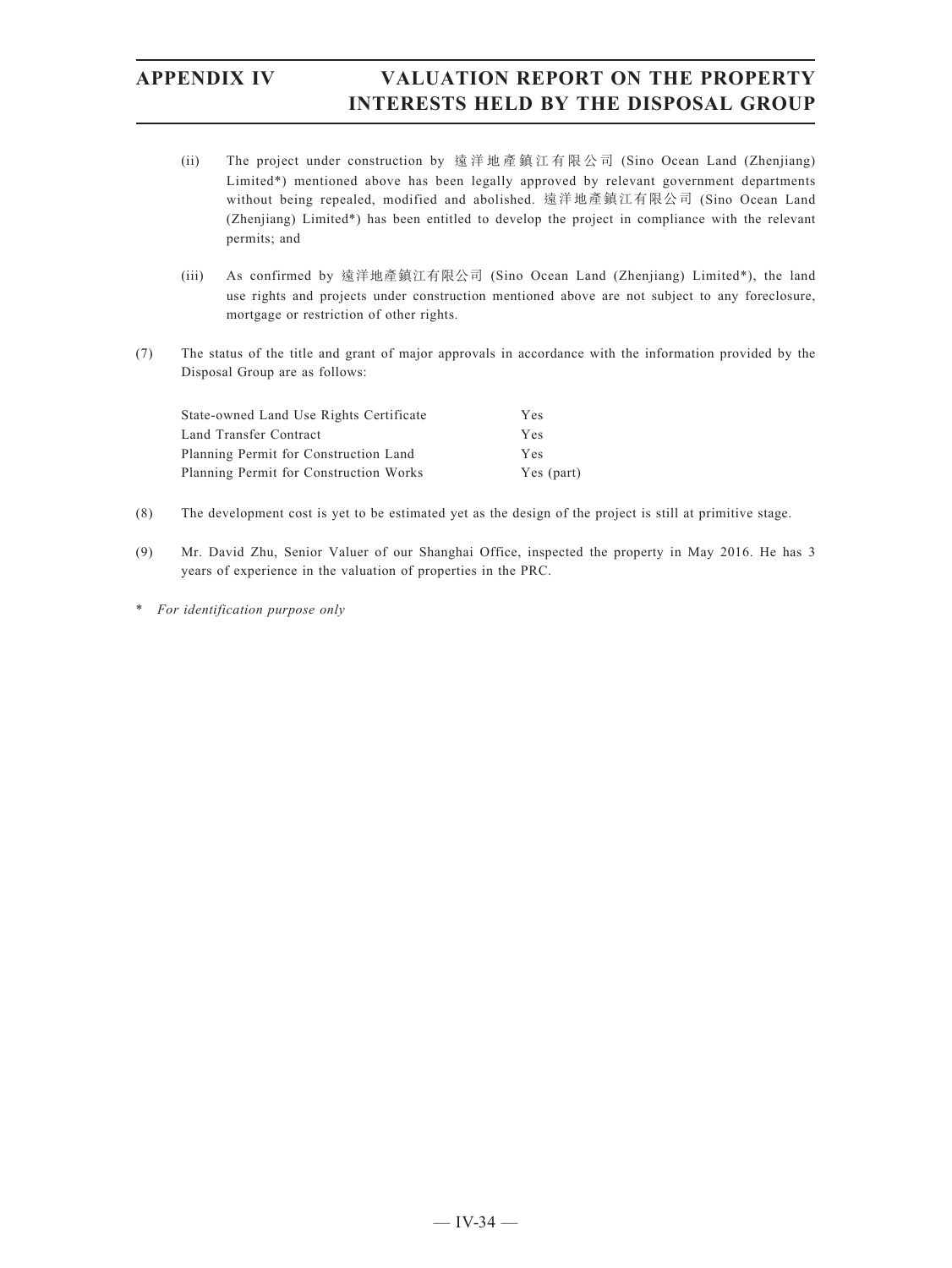- (ii) The project under construction by 遠洋地產鎮江有限公司 (Sino Ocean Land (Zhenjiang) Limited\*) mentioned above has been legally approved by relevant government departments without being repealed, modified and abolished. 遠洋地產鎮江有限公司 (Sino Ocean Land (Zhenjiang) Limited\*) has been entitled to develop the project in compliance with the relevant permits; and
- (iii) As confirmed by 遠洋地產鎮江有限公司 (Sino Ocean Land (Zhenjiang) Limited\*), the land use rights and projects under construction mentioned above are not subject to any foreclosure, mortgage or restriction of other rights.
- (7) The status of the title and grant of major approvals in accordance with the information provided by the Disposal Group are as follows:

| State-owned Land Use Rights Certificate | Yes        |
|-----------------------------------------|------------|
| Land Transfer Contract                  | Yes        |
| Planning Permit for Construction Land   | Yes        |
| Planning Permit for Construction Works  | Yes (part) |

- (8) The development cost is yet to be estimated yet as the design of the project is still at primitive stage.
- (9) Mr. David Zhu, Senior Valuer of our Shanghai Office, inspected the property in May 2016. He has 3 years of experience in the valuation of properties in the PRC.
- \* *For identification purpose only*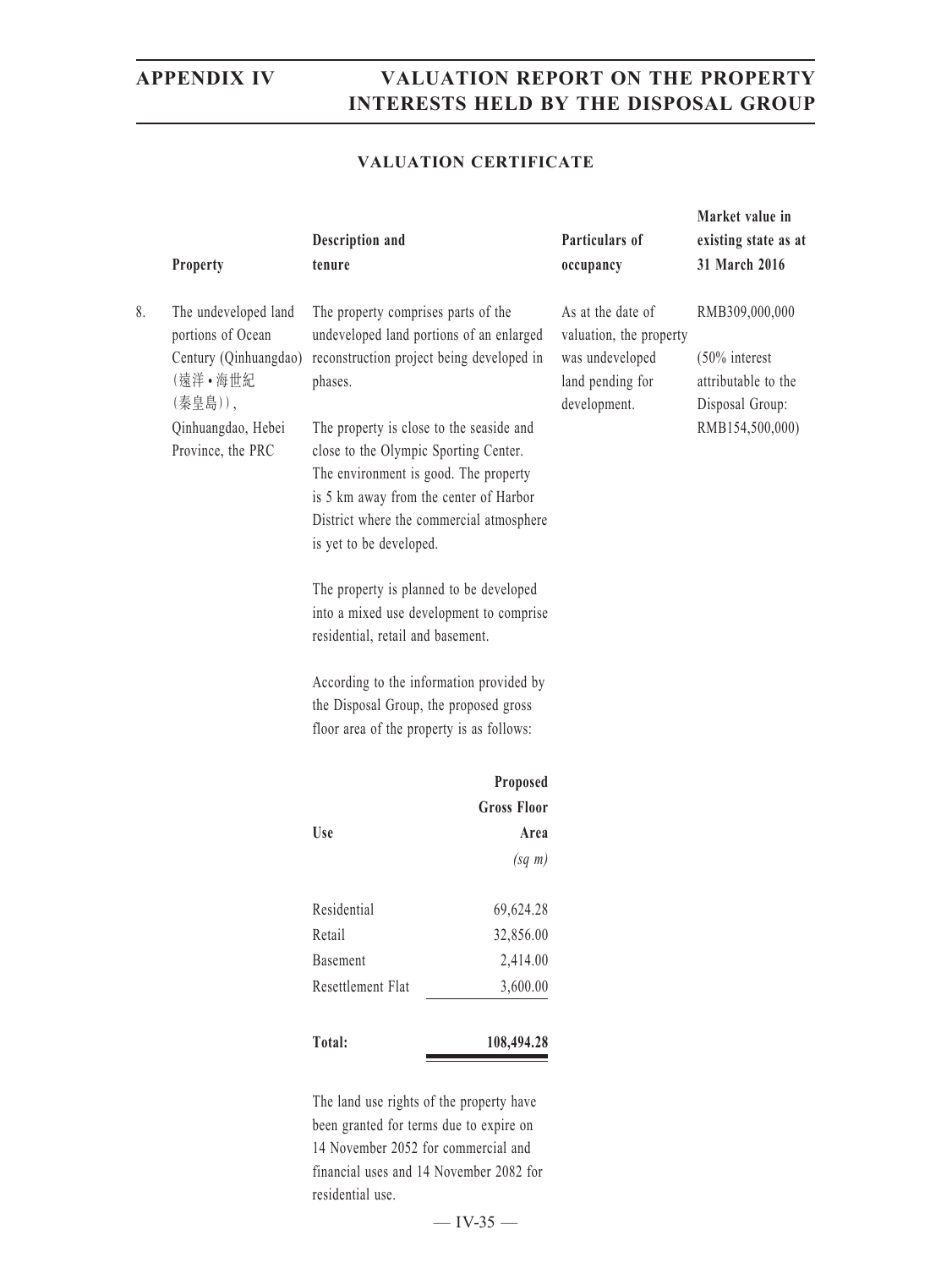**Market value in** 

### **VALUATION CERTIFICATE**

|    | Property                                                                                                                            | Description and<br>tenure                                                                                                |                                                                                                                                                                                                                                                                  | Particulars of<br>occupancy                                                                         | existing state as at<br>31 March 2016                                                           |
|----|-------------------------------------------------------------------------------------------------------------------------------------|--------------------------------------------------------------------------------------------------------------------------|------------------------------------------------------------------------------------------------------------------------------------------------------------------------------------------------------------------------------------------------------------------|-----------------------------------------------------------------------------------------------------|-------------------------------------------------------------------------------------------------|
| 8. | The undeveloped land<br>portions of Ocean<br>Century (Qinhuangdao)<br>(遠洋·海世紀<br>(秦皇島)),<br>Qinhuangdao, Hebei<br>Province, the PRC | The property comprises parts of the<br>phases.<br>close to the Olympic Sporting Center.<br>is yet to be developed.       | undeveloped land portions of an enlarged<br>reconstruction project being developed in<br>The property is close to the seaside and<br>The environment is good. The property<br>is 5 km away from the center of Harbor<br>District where the commercial atmosphere | As at the date of<br>valuation, the property<br>was undeveloped<br>land pending for<br>development. | RMB309,000,000<br>$(50\%$ interest<br>attributable to the<br>Disposal Group:<br>RMB154,500,000) |
|    |                                                                                                                                     | The property is planned to be developed<br>into a mixed use development to comprise<br>residential, retail and basement. |                                                                                                                                                                                                                                                                  |                                                                                                     |                                                                                                 |
|    |                                                                                                                                     | the Disposal Group, the proposed gross<br>floor area of the property is as follows:                                      | According to the information provided by                                                                                                                                                                                                                         |                                                                                                     |                                                                                                 |
|    |                                                                                                                                     |                                                                                                                          | Proposed                                                                                                                                                                                                                                                         |                                                                                                     |                                                                                                 |
|    |                                                                                                                                     |                                                                                                                          | <b>Gross Floor</b>                                                                                                                                                                                                                                               |                                                                                                     |                                                                                                 |
|    |                                                                                                                                     | Use                                                                                                                      | Area                                                                                                                                                                                                                                                             |                                                                                                     |                                                                                                 |
|    |                                                                                                                                     |                                                                                                                          | $(sq \; m)$                                                                                                                                                                                                                                                      |                                                                                                     |                                                                                                 |
|    |                                                                                                                                     | Residential                                                                                                              | 69,624.28                                                                                                                                                                                                                                                        |                                                                                                     |                                                                                                 |
|    |                                                                                                                                     | Retail                                                                                                                   | 32,856.00                                                                                                                                                                                                                                                        |                                                                                                     |                                                                                                 |
|    |                                                                                                                                     | Basement                                                                                                                 | 2,414.00                                                                                                                                                                                                                                                         |                                                                                                     |                                                                                                 |
|    |                                                                                                                                     | Resettlement Flat                                                                                                        | 3,600.00                                                                                                                                                                                                                                                         |                                                                                                     |                                                                                                 |
|    |                                                                                                                                     | Total:                                                                                                                   | 108,494.28                                                                                                                                                                                                                                                       |                                                                                                     |                                                                                                 |
|    |                                                                                                                                     |                                                                                                                          | The land use rights of the property have                                                                                                                                                                                                                         |                                                                                                     |                                                                                                 |

gnts of the property been granted for terms due to expire on 14 November 2052 for commercial and financial uses and 14 November 2082 for residential use.

 $-$  IV-35  $-$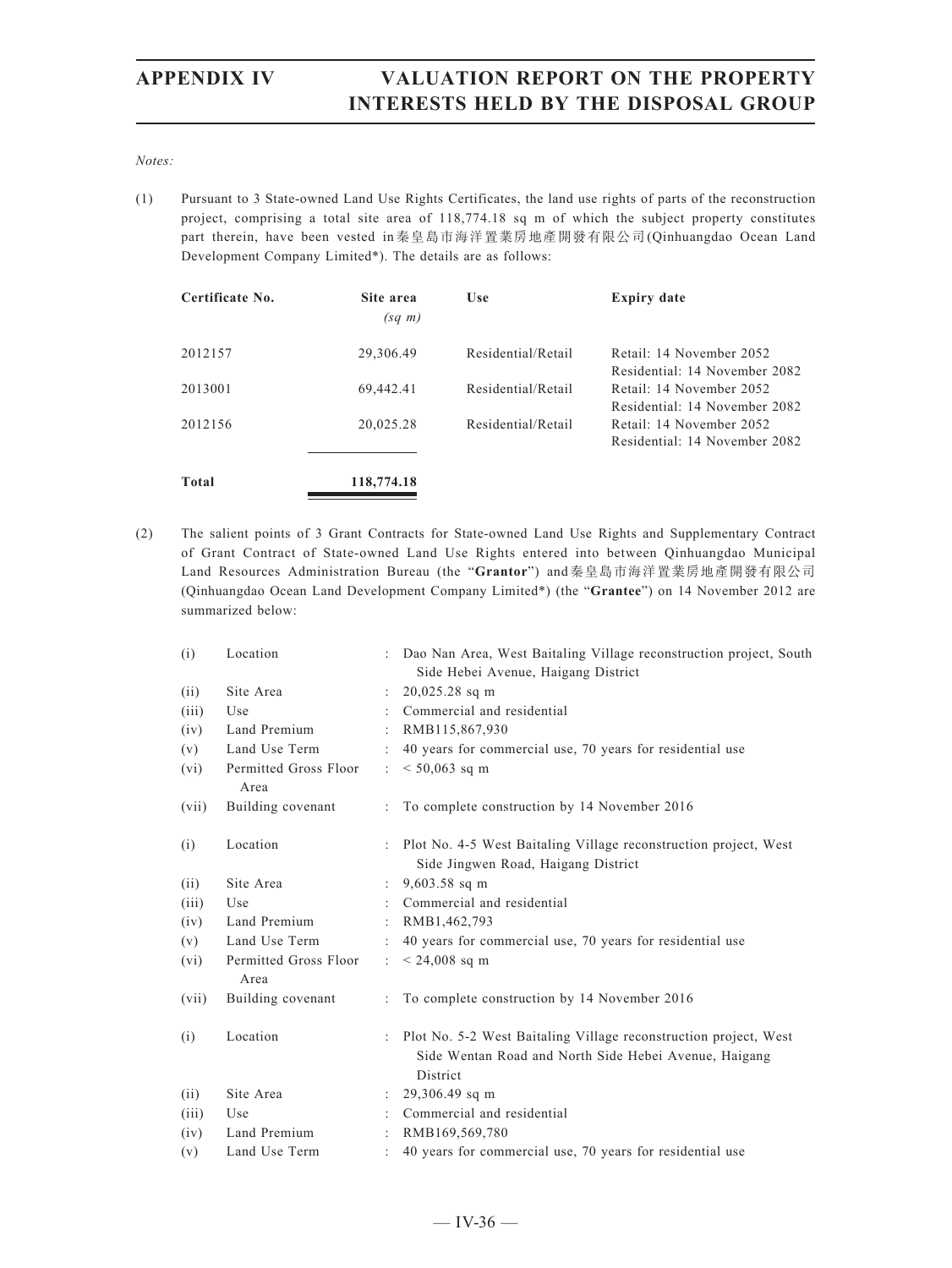### *Notes:*

(1) Pursuant to 3 State-owned Land Use Rights Certificates, the land use rights of parts of the reconstruction project, comprising a total site area of 118,774.18 sq m of which the subject property constitutes part therein, have been vested in秦皇島市海洋置業房地產開發有限公司(Qinhuangdao Ocean Land Development Company Limited\*). The details are as follows:

| Certificate No. | Site area<br>$(sq \; m)$ | Use                | <b>Expiry date</b>                                        |
|-----------------|--------------------------|--------------------|-----------------------------------------------------------|
| 2012157         | 29,306.49                | Residential/Retail | Retail: 14 November 2052<br>Residential: 14 November 2082 |
| 2013001         | 69,442.41                | Residential/Retail | Retail: 14 November 2052<br>Residential: 14 November 2082 |
| 2012156         | 20,025.28                | Residential/Retail | Retail: 14 November 2052<br>Residential: 14 November 2082 |
| <b>Total</b>    | 118,774.18               |                    |                                                           |

(2) The salient points of 3 Grant Contracts for State-owned Land Use Rights and Supplementary Contract of Grant Contract of State-owned Land Use Rights entered into between Qinhuangdao Municipal Land Resources Administration Bureau (the "**Grantor**") and秦皇島市海洋置業房地產開發有限公司 (Qinhuangdao Ocean Land Development Company Limited\*) (the "**Grantee**") on 14 November 2012 are summarized below:

| (i)   | Location                      |                      | Dao Nan Area, West Baitaling Village reconstruction project, South                                                                    |
|-------|-------------------------------|----------------------|---------------------------------------------------------------------------------------------------------------------------------------|
|       |                               |                      | Side Hebei Avenue, Haigang District                                                                                                   |
| (ii)  | Site Area                     |                      | $20,025.28$ sq m                                                                                                                      |
| (iii) | Use                           |                      | Commercial and residential                                                                                                            |
| (iv)  | Land Premium                  |                      | RMB115,867,930                                                                                                                        |
| (v)   | Land Use Term                 |                      | : 40 years for commercial use, 70 years for residential use                                                                           |
| (vi)  | Permitted Gross Floor<br>Area | $\ddot{\phantom{0}}$ | $< 50,063$ sq m                                                                                                                       |
| (vii) | Building covenant             |                      | To complete construction by 14 November 2016                                                                                          |
| (i)   | Location                      |                      | Plot No. 4-5 West Baitaling Village reconstruction project, West<br>Side Jingwen Road, Haigang District                               |
| (ii)  | Site Area                     |                      | $9,603.58$ sq m                                                                                                                       |
| (iii) | Use                           |                      | Commercial and residential                                                                                                            |
| (iv)  | Land Premium                  |                      | : RMB1,462,793                                                                                                                        |
| (v)   | Land Use Term                 |                      | 40 years for commercial use, 70 years for residential use                                                                             |
| (vi)  | Permitted Gross Floor<br>Area | ÷.                   | $< 24,008$ sq m                                                                                                                       |
| (vii) | Building covenant             |                      | To complete construction by 14 November 2016                                                                                          |
| (i)   | Location                      |                      | Plot No. 5-2 West Baitaling Village reconstruction project, West<br>Side Wentan Road and North Side Hebei Avenue, Haigang<br>District |
| (ii)  | Site Area                     |                      | 29,306.49 sq m                                                                                                                        |
| (iii) | Use                           |                      | Commercial and residential                                                                                                            |
| (iv)  | Land Premium                  | $\ddot{\phantom{a}}$ | RMB169,569,780                                                                                                                        |
| (v)   | Land Use Term                 |                      | 40 years for commercial use, 70 years for residential use                                                                             |
|       |                               |                      |                                                                                                                                       |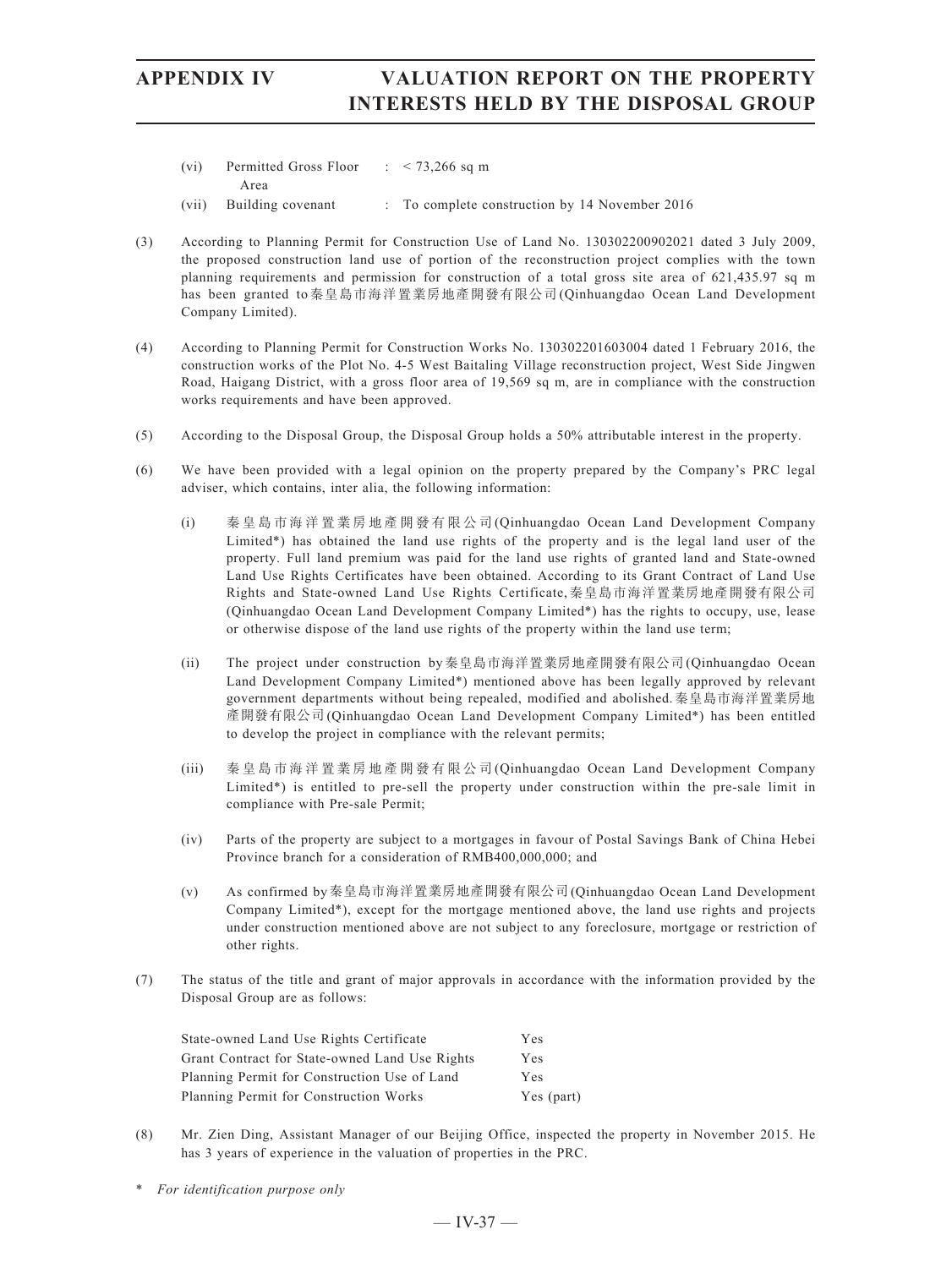- (vi) Permitted Gross Floor Area :  $< 73,266$  sq m
- (vii) Building covenant : To complete construction by 14 November 2016
- (3) According to Planning Permit for Construction Use of Land No. 130302200902021 dated 3 July 2009, the proposed construction land use of portion of the reconstruction project complies with the town planning requirements and permission for construction of a total gross site area of 621,435.97 sq m has been granted to秦皇島市海洋置業房地產開發有限公司(Qinhuangdao Ocean Land Development Company Limited).
- (4) According to Planning Permit for Construction Works No. 130302201603004 dated 1 February 2016, the construction works of the Plot No. 4-5 West Baitaling Village reconstruction project, West Side Jingwen Road, Haigang District, with a gross floor area of 19,569 sq m, are in compliance with the construction works requirements and have been approved.
- (5) According to the Disposal Group, the Disposal Group holds a 50% attributable interest in the property.
- (6) We have been provided with a legal opinion on the property prepared by the Company's PRC legal adviser, which contains, inter alia, the following information:
	- (i) 秦皇島市海洋置業房地產開發有限公司(Qinhuangdao Ocean Land Development Company Limited\*) has obtained the land use rights of the property and is the legal land user of the property. Full land premium was paid for the land use rights of granted land and State-owned Land Use Rights Certificates have been obtained. According to its Grant Contract of Land Use Rights and State-owned Land Use Rights Certificate,秦皇島市海洋置業房地產開發有限公司 (Qinhuangdao Ocean Land Development Company Limited\*) has the rights to occupy, use, lease or otherwise dispose of the land use rights of the property within the land use term;
	- (ii) The project under construction by秦皇島市海洋置業房地產開發有限公司(Qinhuangdao Ocean Land Development Company Limited\*) mentioned above has been legally approved by relevant government departments without being repealed, modified and abolished.秦皇島市海洋置業房地 產開發有限公司(Qinhuangdao Ocean Land Development Company Limited\*) has been entitled to develop the project in compliance with the relevant permits;
	- (iii) 秦皇島市海洋置業房地產開發有限公司(Qinhuangdao Ocean Land Development Company Limited\*) is entitled to pre-sell the property under construction within the pre-sale limit in compliance with Pre-sale Permit;
	- (iv) Parts of the property are subject to a mortgages in favour of Postal Savings Bank of China Hebei Province branch for a consideration of RMB400,000,000; and
	- (v) As confirmed by秦皇島市海洋置業房地產開發有限公司(Qinhuangdao Ocean Land Development Company Limited\*), except for the mortgage mentioned above, the land use rights and projects under construction mentioned above are not subject to any foreclosure, mortgage or restriction of other rights.
- (7) The status of the title and grant of major approvals in accordance with the information provided by the Disposal Group are as follows:

| State-owned Land Use Rights Certificate        | Yes        |
|------------------------------------------------|------------|
| Grant Contract for State-owned Land Use Rights | <b>Yes</b> |
| Planning Permit for Construction Use of Land   | Yes        |
| Planning Permit for Construction Works         | Yes (part) |

- (8) Mr. Zien Ding, Assistant Manager of our Beijing Office, inspected the property in November 2015. He has 3 years of experience in the valuation of properties in the PRC.
- \* *For identification purpose only*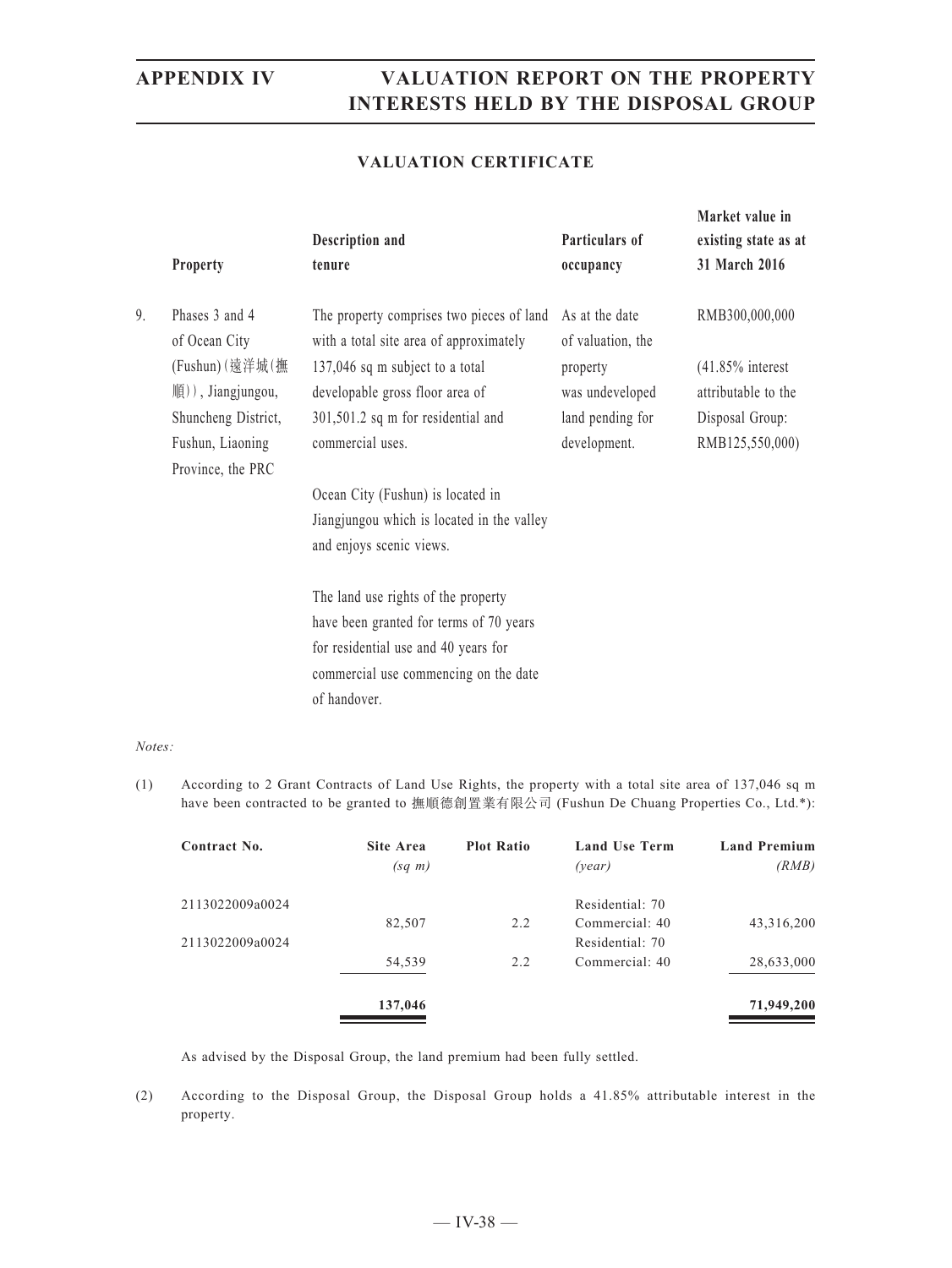### **VALUATION CERTIFICATE**

|    | <b>Property</b>                  | Description and<br>tenure                                                            | Particulars of<br>occupancy         | Market value in<br>existing state as at<br>31 March 2016 |
|----|----------------------------------|--------------------------------------------------------------------------------------|-------------------------------------|----------------------------------------------------------|
| 9. | Phases 3 and 4<br>of Ocean City  | The property comprises two pieces of land<br>with a total site area of approximately | As at the date<br>of valuation, the | RMB300,000,000                                           |
|    | (Fushun) (遠洋城(撫                  | 137,046 sq m subject to a total                                                      | property                            | $(41.85\%$ interest                                      |
|    | $M(\mathfrak{g})$ , Jiangjungou, | developable gross floor area of                                                      | was undeveloped                     | attributable to the                                      |
|    | Shuncheng District,              | 301,501.2 sq m for residential and                                                   | land pending for                    | Disposal Group:                                          |
|    | Fushun, Liaoning                 | commercial uses.                                                                     | development.                        | RMB125,550,000)                                          |
|    | Province, the PRC                |                                                                                      |                                     |                                                          |
|    |                                  | Ocean City (Fushun) is located in                                                    |                                     |                                                          |
|    |                                  | Jiangjungou which is located in the valley                                           |                                     |                                                          |
|    |                                  | and enjoys scenic views.                                                             |                                     |                                                          |
|    |                                  | The land use rights of the property                                                  |                                     |                                                          |
|    |                                  | have been granted for terms of 70 years                                              |                                     |                                                          |
|    |                                  | for residential use and 40 years for                                                 |                                     |                                                          |
|    |                                  | commercial use commencing on the date                                                |                                     |                                                          |
|    |                                  | of handover.                                                                         |                                     |                                                          |
|    |                                  |                                                                                      |                                     |                                                          |

### *Notes:*

(1) According to 2 Grant Contracts of Land Use Rights, the property with a total site area of 137,046 sq m have been contracted to be granted to 撫順德創置業有限公司 (Fushun De Chuang Properties Co., Ltd.\*):

| Contract No.    | Site Area<br>$(sq \; m)$ | <b>Plot Ratio</b> | <b>Land Use Term</b><br>(year) | <b>Land Premium</b><br>(RMB) |
|-----------------|--------------------------|-------------------|--------------------------------|------------------------------|
| 2113022009a0024 |                          |                   | Residential: 70                |                              |
|                 | 82,507                   | 2.2               | Commercial: 40                 | 43,316,200                   |
| 2113022009a0024 |                          |                   | Residential: 70                |                              |
|                 | 54,539                   | 2.2               | Commercial: 40                 | 28,633,000                   |
|                 | 137,046                  |                   |                                | 71,949,200                   |

As advised by the Disposal Group, the land premium had been fully settled.

(2) According to the Disposal Group, the Disposal Group holds a 41.85% attributable interest in the property.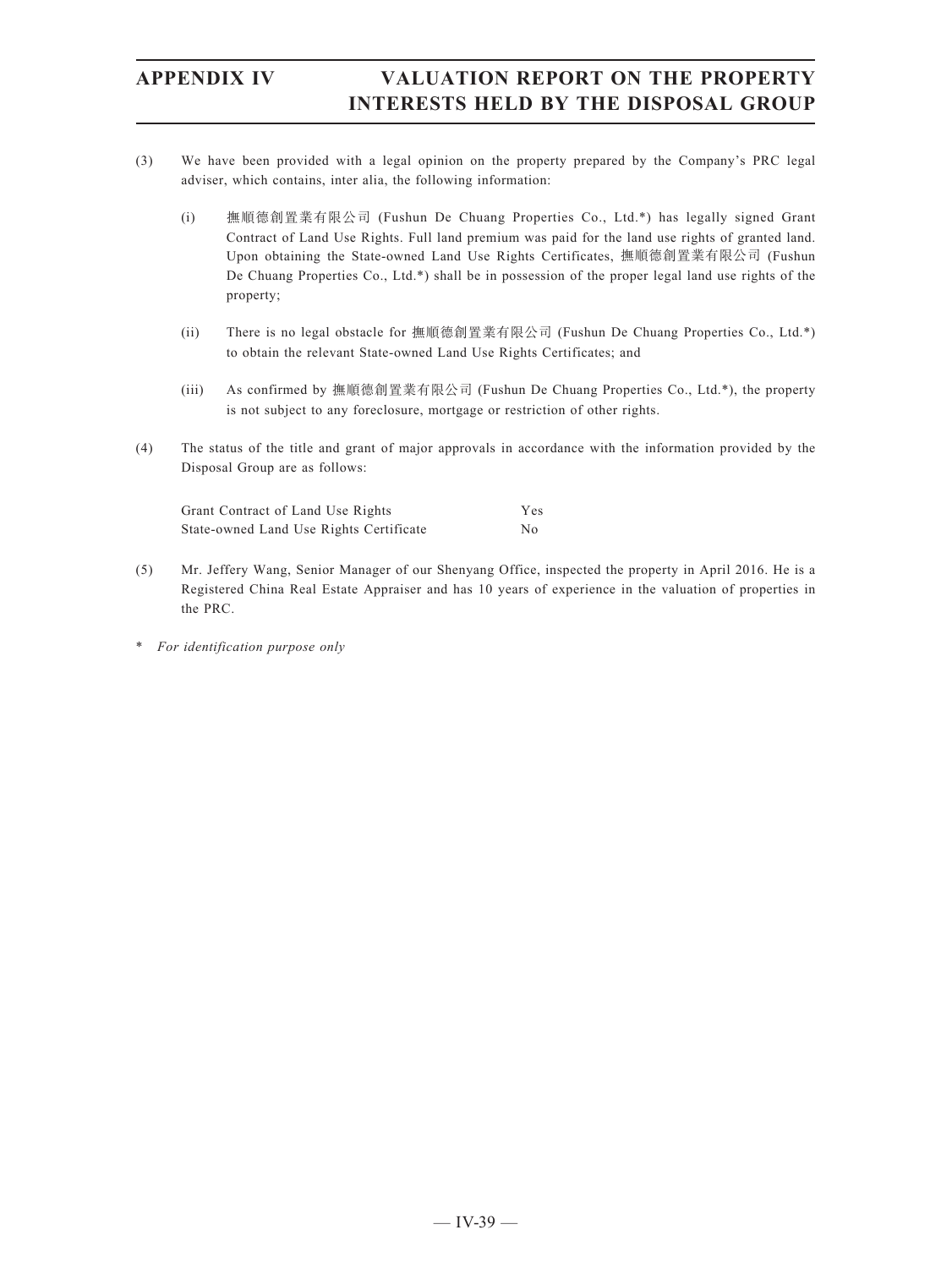- (3) We have been provided with a legal opinion on the property prepared by the Company's PRC legal adviser, which contains, inter alia, the following information:
	- (i) 撫順德創置業有限公司 (Fushun De Chuang Properties Co., Ltd.\*) has legally signed Grant Contract of Land Use Rights. Full land premium was paid for the land use rights of granted land. Upon obtaining the State-owned Land Use Rights Certificates, 撫順德創置業有限公司 (Fushun De Chuang Properties Co., Ltd.\*) shall be in possession of the proper legal land use rights of the property;
	- (ii) There is no legal obstacle for 撫順德創置業有限公司 (Fushun De Chuang Properties Co., Ltd.\*) to obtain the relevant State-owned Land Use Rights Certificates; and
	- (iii) As confirmed by 撫順德創置業有限公司 (Fushun De Chuang Properties Co., Ltd.\*), the property is not subject to any foreclosure, mortgage or restriction of other rights.
- (4) The status of the title and grant of major approvals in accordance with the information provided by the Disposal Group are as follows:

| Grant Contract of Land Use Rights       | Yes |
|-----------------------------------------|-----|
| State-owned Land Use Rights Certificate | Nο  |

- (5) Mr. Jeffery Wang, Senior Manager of our Shenyang Office, inspected the property in April 2016. He is a Registered China Real Estate Appraiser and has 10 years of experience in the valuation of properties in the PRC.
- \* *For identification purpose only*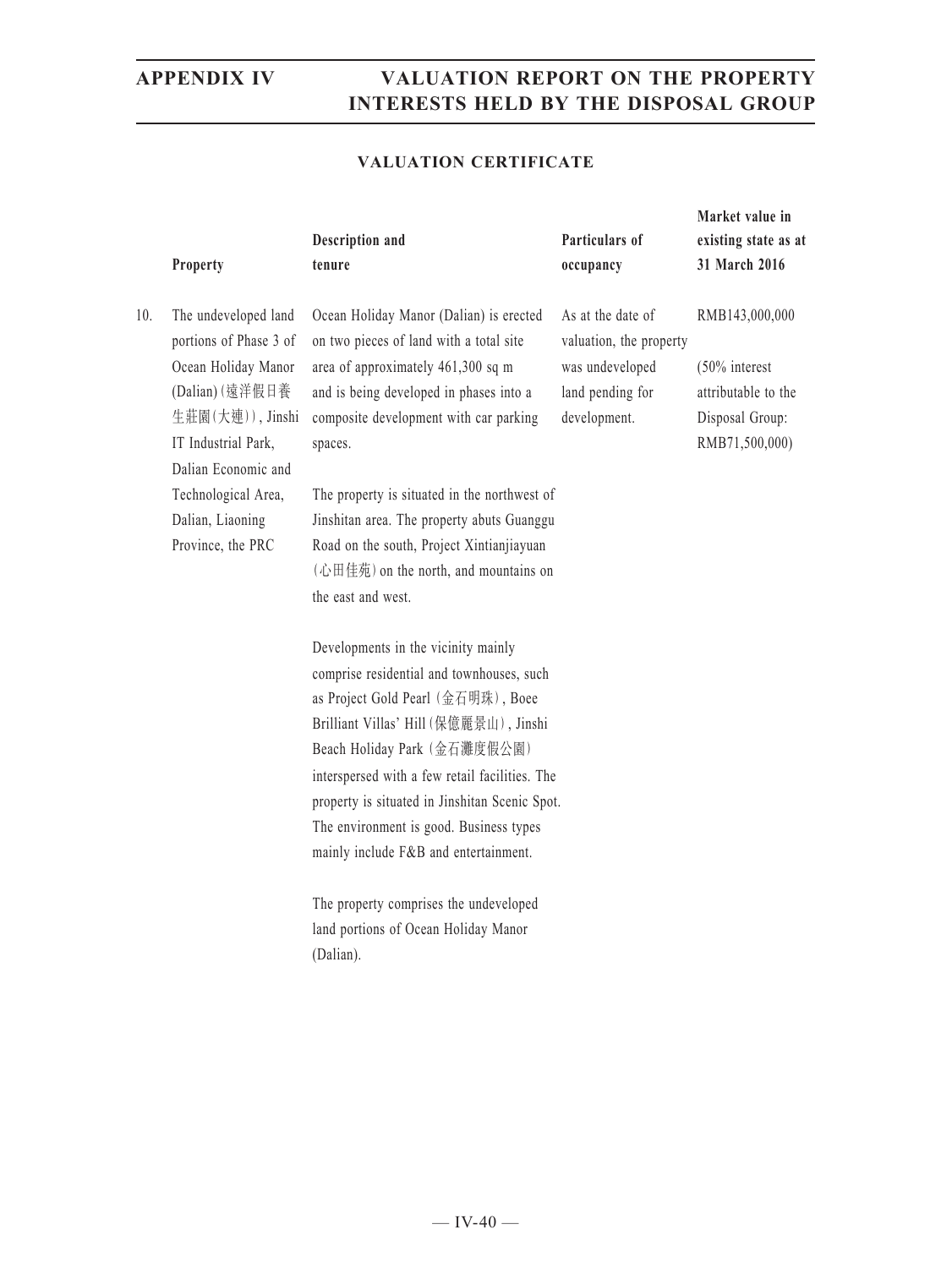### **VALUATION CERTIFICATE**

|     | Property                                                                                                                                                   | Description and<br>tenure                                                                                                                                                                                                                                                                                                                                                                | Particulars of<br>occupancy                                                                         | Market value in<br>existing state as at<br>31 March 2016                                       |
|-----|------------------------------------------------------------------------------------------------------------------------------------------------------------|------------------------------------------------------------------------------------------------------------------------------------------------------------------------------------------------------------------------------------------------------------------------------------------------------------------------------------------------------------------------------------------|-----------------------------------------------------------------------------------------------------|------------------------------------------------------------------------------------------------|
| 10. | The undeveloped land<br>portions of Phase 3 of<br>Ocean Holiday Manor<br>(Dalian) (遠洋假日養<br>生莊園(大連)), Jinshi<br>IT Industrial Park,<br>Dalian Economic and | Ocean Holiday Manor (Dalian) is erected<br>on two pieces of land with a total site<br>area of approximately 461,300 sq m<br>and is being developed in phases into a<br>composite development with car parking<br>spaces.                                                                                                                                                                 | As at the date of<br>valuation, the property<br>was undeveloped<br>land pending for<br>development. | RMB143,000,000<br>$(50\%$ interest<br>attributable to the<br>Disposal Group:<br>RMB71,500,000) |
|     | Technological Area,<br>Dalian, Liaoning<br>Province, the PRC                                                                                               | The property is situated in the northwest of<br>Jinshitan area. The property abuts Guanggu<br>Road on the south, Project Xintianjiayuan<br>(心田佳苑) on the north, and mountains on<br>the east and west.                                                                                                                                                                                   |                                                                                                     |                                                                                                |
|     |                                                                                                                                                            | Developments in the vicinity mainly<br>comprise residential and townhouses, such<br>as Project Gold Pearl (金石明珠), Boee<br>Brilliant Villas' Hill (保億麗景山), Jinshi<br>Beach Holiday Park (金石灘度假公園)<br>interspersed with a few retail facilities. The<br>property is situated in Jinshitan Scenic Spot.<br>The environment is good. Business types<br>mainly include F&B and entertainment. |                                                                                                     |                                                                                                |
|     |                                                                                                                                                            | The property comprises the undeveloped<br>land portions of Ocean Holiday Manor                                                                                                                                                                                                                                                                                                           |                                                                                                     |                                                                                                |

(Dalian).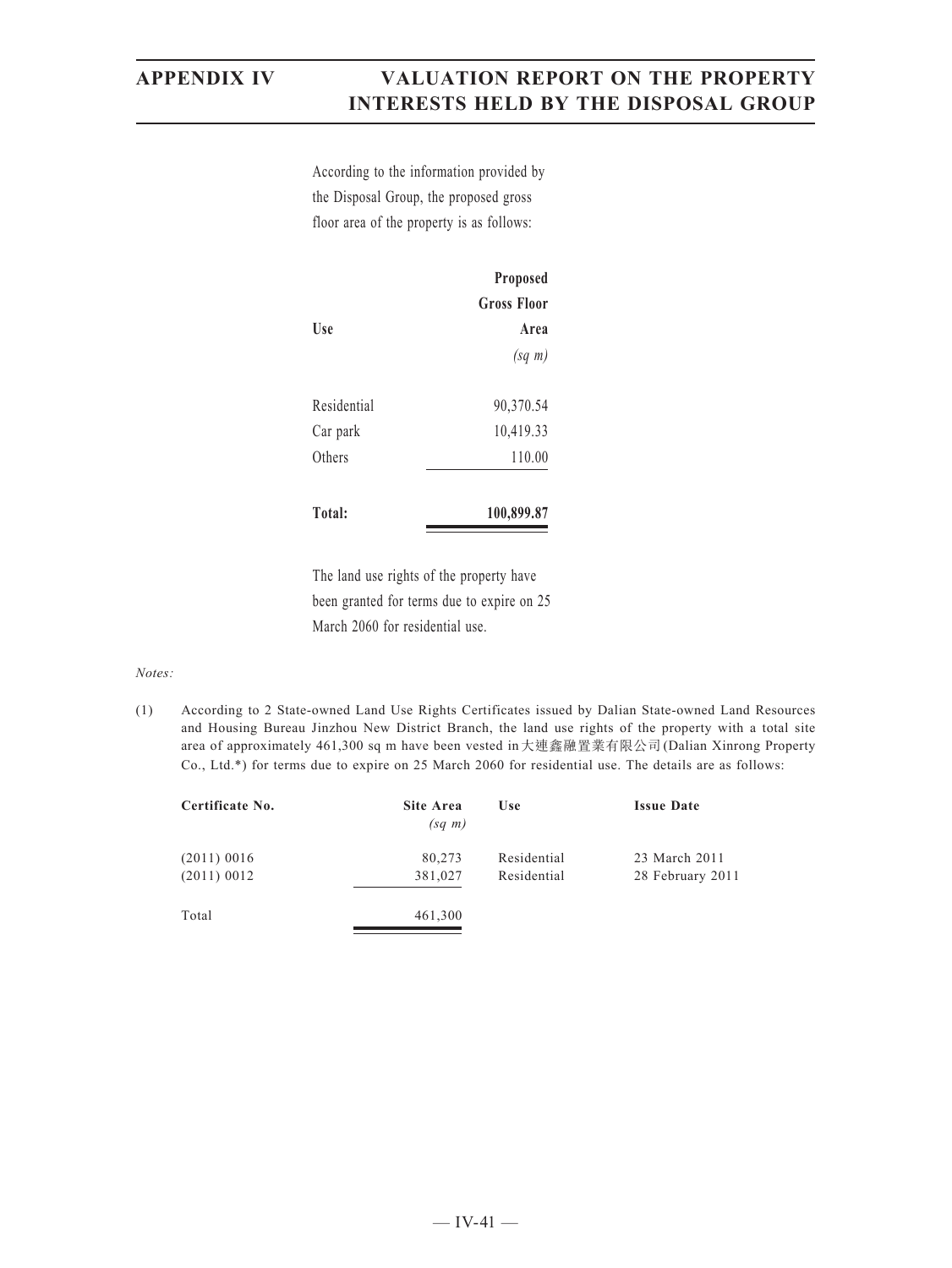According to the information provided by the Disposal Group, the proposed gross floor area of the property is as follows:

|             | Proposed           |
|-------------|--------------------|
|             | <b>Gross Floor</b> |
| Use         | Area               |
|             | $(sq \; m)$        |
| Residential | 90,370.54          |
| Car park    | 10,419.33          |
| Others      | 110.00             |
|             |                    |
| Total:      | 100,899.87         |

The land use rights of the property have been granted for terms due to expire on 25 March 2060 for residential use.

### *Notes:*

(1) According to 2 State-owned Land Use Rights Certificates issued by Dalian State-owned Land Resources and Housing Bureau Jinzhou New District Branch, the land use rights of the property with a total site area of approximately 461,300 sq m have been vested in大連鑫融置業有限公司(Dalian Xinrong Property Co., Ltd.\*) for terms due to expire on 25 March 2060 for residential use. The details are as follows:

| Certificate No.                | <b>Site Area</b><br>$(sq \; m)$ | Use                        | <b>Issue Date</b>                 |
|--------------------------------|---------------------------------|----------------------------|-----------------------------------|
| $(2011)$ 0016<br>$(2011)$ 0012 | 80,273<br>381,027               | Residential<br>Residential | 23 March 2011<br>28 February 2011 |
| Total                          | 461,300                         |                            |                                   |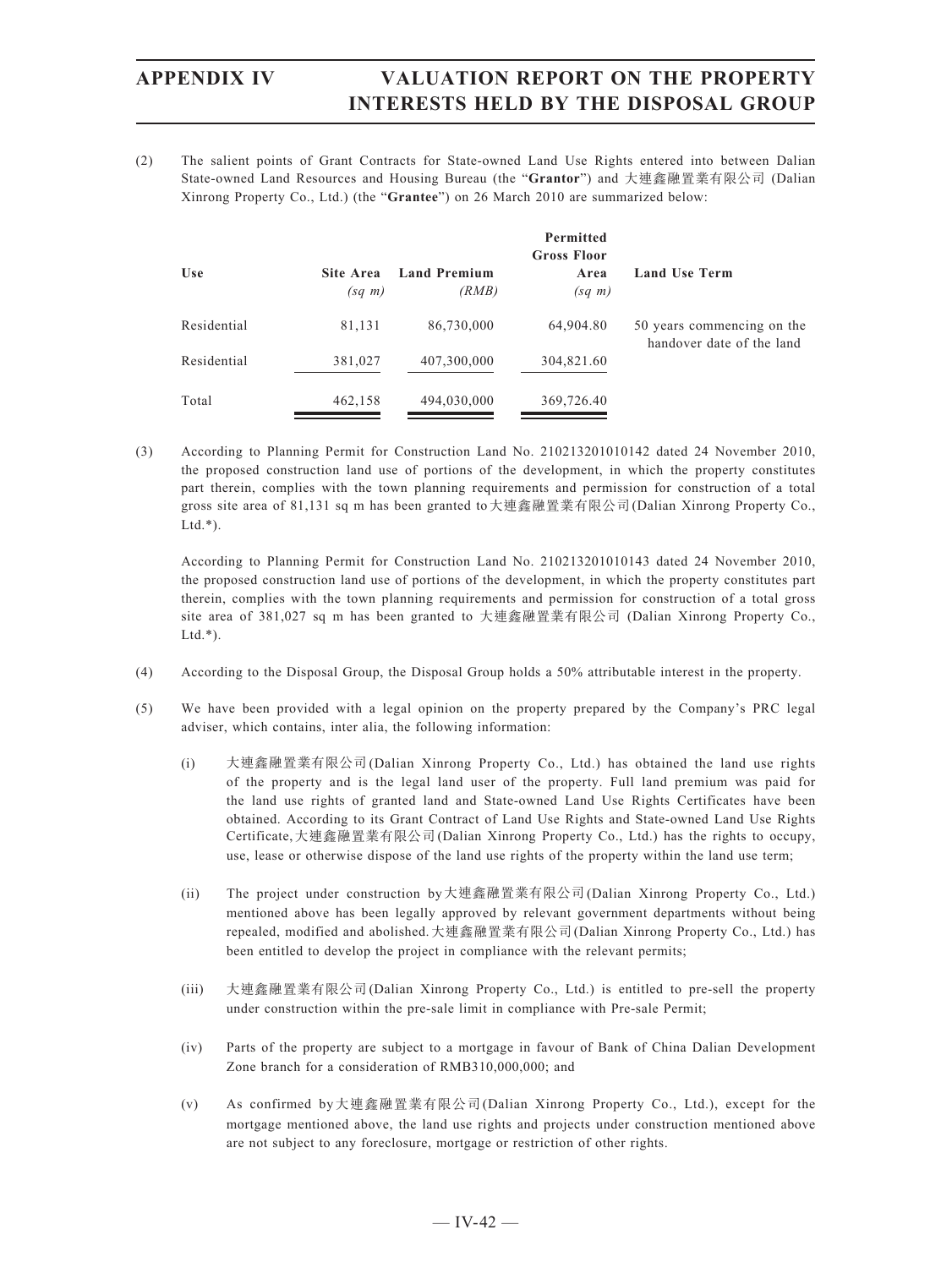(2) The salient points of Grant Contracts for State-owned Land Use Rights entered into between Dalian State-owned Land Resources and Housing Bureau (the "**Grantor**") and 大連鑫融置業有限公司 (Dalian Xinrong Property Co., Ltd.) (the "**Grantee**") on 26 March 2010 are summarized below:

|             |                          |                              | Permitted<br>Gross Floor |                                                         |
|-------------|--------------------------|------------------------------|--------------------------|---------------------------------------------------------|
| Use         | Site Area<br>$(sq \; m)$ | <b>Land Premium</b><br>(RMB) | Area<br>$(sq \; m)$      | <b>Land Use Term</b>                                    |
| Residential | 81,131                   | 86,730,000                   | 64,904.80                | 50 years commencing on the<br>handover date of the land |
| Residential | 381,027                  | 407,300,000                  | 304,821.60               |                                                         |
| Total       | 462,158                  | 494,030,000                  | 369,726.40               |                                                         |

(3) According to Planning Permit for Construction Land No. 210213201010142 dated 24 November 2010, the proposed construction land use of portions of the development, in which the property constitutes part therein, complies with the town planning requirements and permission for construction of a total gross site area of 81,131 sq m has been granted to大連鑫融置業有限公司(Dalian Xinrong Property Co.,  $Ltd.*$ ).

According to Planning Permit for Construction Land No. 210213201010143 dated 24 November 2010, the proposed construction land use of portions of the development, in which the property constitutes part therein, complies with the town planning requirements and permission for construction of a total gross site area of 381,027 sq m has been granted to 大連鑫融置業有限公司 (Dalian Xinrong Property Co.,  $Ltd.*$ ).

- (4) According to the Disposal Group, the Disposal Group holds a 50% attributable interest in the property.
- (5) We have been provided with a legal opinion on the property prepared by the Company's PRC legal adviser, which contains, inter alia, the following information:
	- (i) 大連鑫融置業有限公司(Dalian Xinrong Property Co., Ltd.) has obtained the land use rights of the property and is the legal land user of the property. Full land premium was paid for the land use rights of granted land and State-owned Land Use Rights Certificates have been obtained. According to its Grant Contract of Land Use Rights and State-owned Land Use Rights Certificate,大連鑫融置業有限公司(Dalian Xinrong Property Co., Ltd.) has the rights to occupy, use, lease or otherwise dispose of the land use rights of the property within the land use term;
	- (ii) The project under construction by大連鑫融置業有限公司(Dalian Xinrong Property Co., Ltd.) mentioned above has been legally approved by relevant government departments without being repealed, modified and abolished.大連鑫融置業有限公司(Dalian Xinrong Property Co., Ltd.) has been entitled to develop the project in compliance with the relevant permits;
	- (iii) 大連鑫融置業有限公司(Dalian Xinrong Property Co., Ltd.) is entitled to pre-sell the property under construction within the pre-sale limit in compliance with Pre-sale Permit;
	- (iv) Parts of the property are subject to a mortgage in favour of Bank of China Dalian Development Zone branch for a consideration of RMB310,000,000; and
	- (v) As confirmed by大連鑫融置業有限公司(Dalian Xinrong Property Co., Ltd.), except for the mortgage mentioned above, the land use rights and projects under construction mentioned above are not subject to any foreclosure, mortgage or restriction of other rights.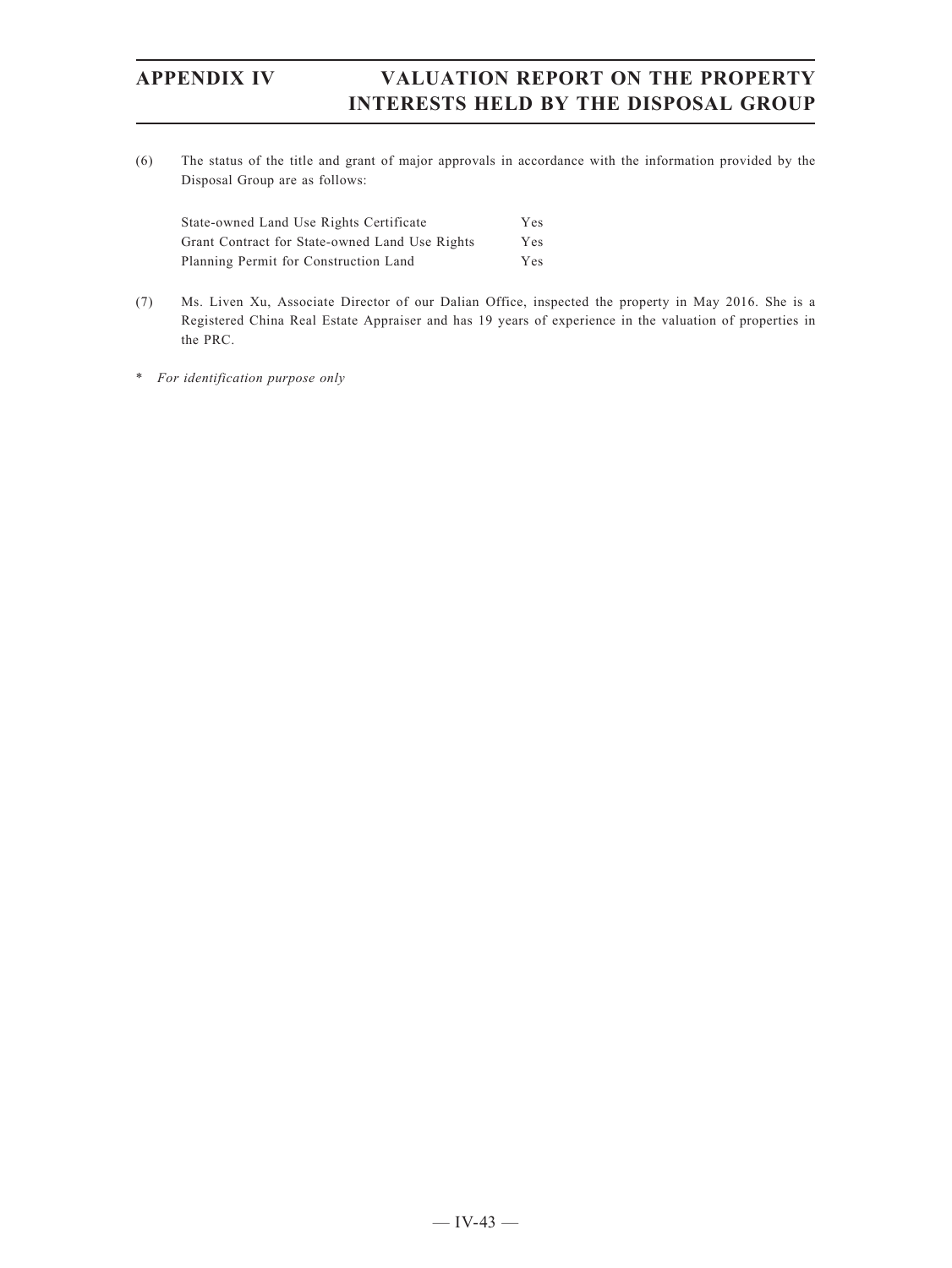(6) The status of the title and grant of major approvals in accordance with the information provided by the Disposal Group are as follows:

| State-owned Land Use Rights Certificate        | Yes. |
|------------------------------------------------|------|
| Grant Contract for State-owned Land Use Rights | Yes. |
| Planning Permit for Construction Land          | Yes. |

- (7) Ms. Liven Xu, Associate Director of our Dalian Office, inspected the property in May 2016. She is a Registered China Real Estate Appraiser and has 19 years of experience in the valuation of properties in the PRC.
- \* *For identification purpose only*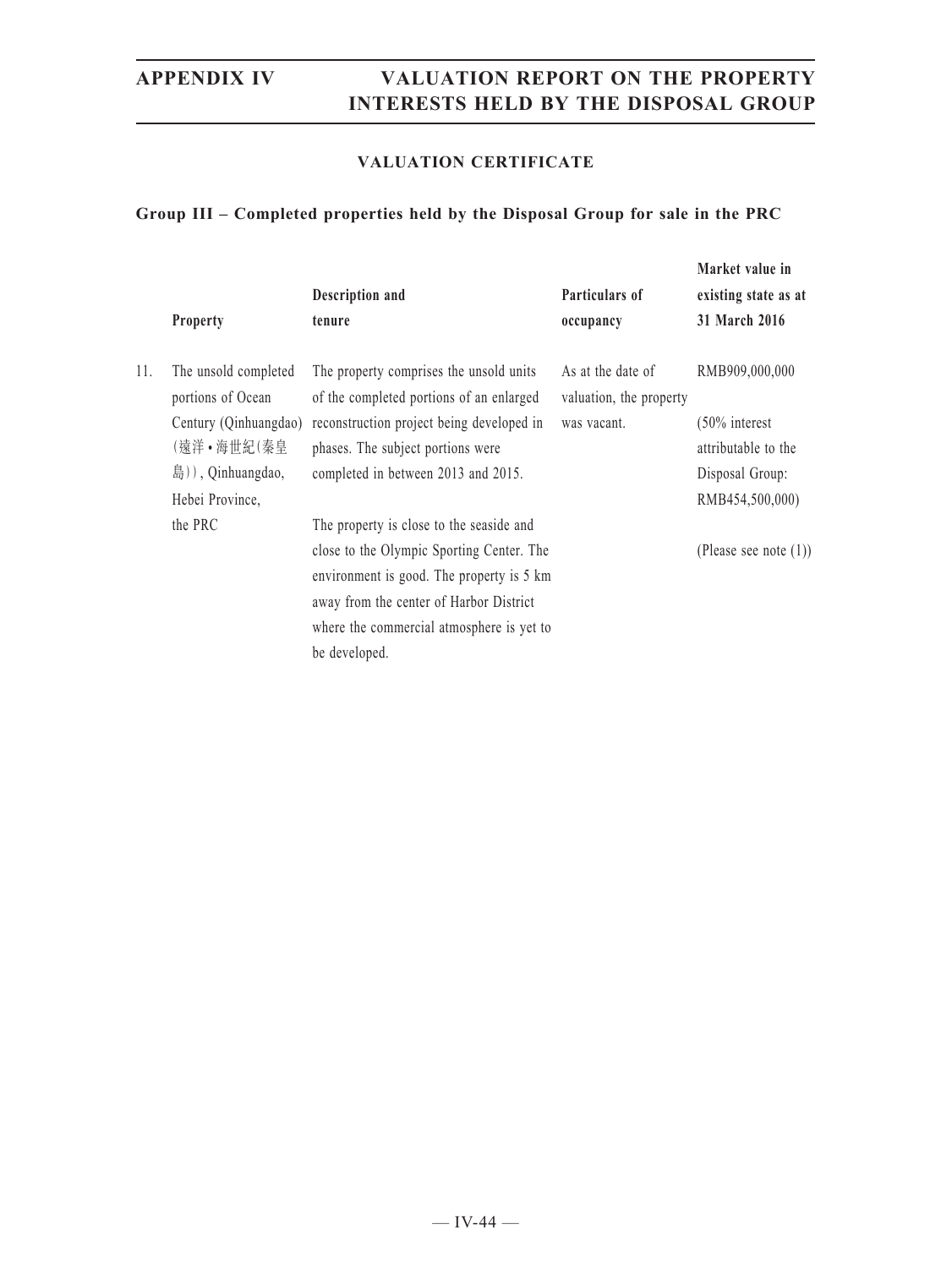### **VALUATION CERTIFICATE**

### **Group III – Completed properties held by the Disposal Group for sale in the PRC**

|     | <b>Property</b>                           | Description and<br>tenure                                                                                                         | Particulars of                               | Market value in<br>existing state as at<br>31 March 2016 |
|-----|-------------------------------------------|-----------------------------------------------------------------------------------------------------------------------------------|----------------------------------------------|----------------------------------------------------------|
|     |                                           |                                                                                                                                   | occupancy                                    |                                                          |
| 11. | The unsold completed<br>portions of Ocean | The property comprises the unsold units<br>of the completed portions of an enlarged                                               | As at the date of<br>valuation, the property | RMB909,000,000                                           |
|     | Century (Qinhuangdao)<br>(遠洋•海世紀(秦皇       | reconstruction project being developed in<br>phases. The subject portions were                                                    | was vacant.                                  | $(50\%$ interest<br>attributable to the                  |
|     | 島)), Qinhuangdao,                         | completed in between 2013 and 2015.                                                                                               |                                              | Disposal Group:                                          |
|     | Hebei Province,                           |                                                                                                                                   |                                              | RMB454,500,000)                                          |
|     | the PRC                                   | The property is close to the seaside and                                                                                          |                                              |                                                          |
|     |                                           | close to the Olympic Sporting Center. The<br>environment is good. The property is 5 km<br>away from the center of Harbor District |                                              | (Please see note $(1)$ )                                 |
|     |                                           | where the commercial atmosphere is yet to<br>be developed.                                                                        |                                              |                                                          |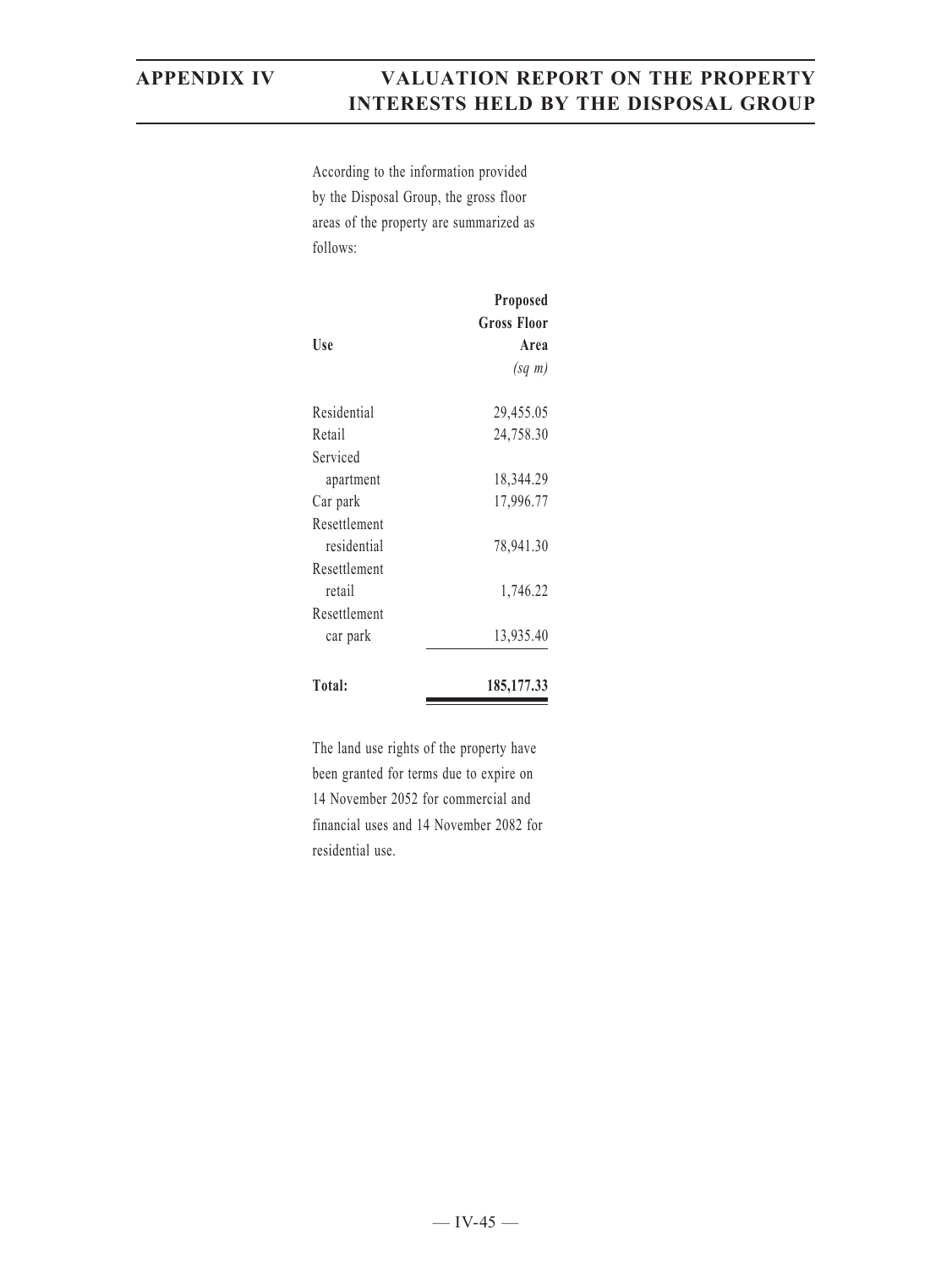According to the information provided by the Disposal Group, the gross floor areas of the property are summarized as follows:

| Use          | Proposed<br><b>Gross Floor</b><br>Area<br>$(sq \; m)$ |
|--------------|-------------------------------------------------------|
| Residential  | 29,455.05                                             |
| Retail       | 24,758.30                                             |
| Serviced     |                                                       |
| apartment    | 18,344.29                                             |
| Car park     | 17,996.77                                             |
| Resettlement |                                                       |
| residential  | 78,941.30                                             |
| Resettlement |                                                       |
| retail       | 1,746.22                                              |
| Resettlement |                                                       |
| car park     | 13,935.40                                             |
| Total:       | 185, 177. 33                                          |

The land use rights of the property have been granted for terms due to expire on 14 November 2052 for commercial and financial uses and 14 November 2082 for residential use.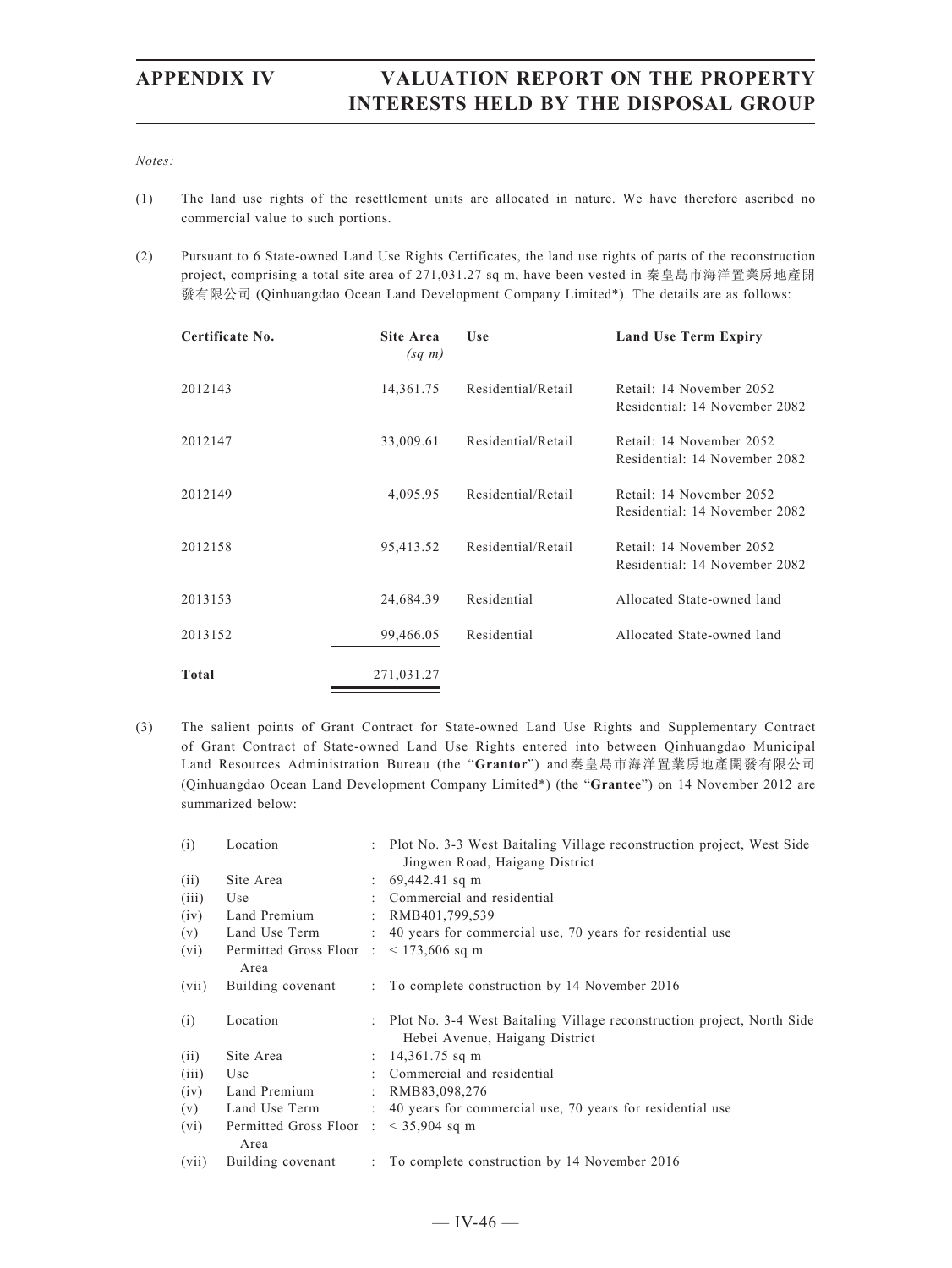### *Notes:*

- (1) The land use rights of the resettlement units are allocated in nature. We have therefore ascribed no commercial value to such portions.
- (2) Pursuant to 6 State-owned Land Use Rights Certificates, the land use rights of parts of the reconstruction project, comprising a total site area of 271,031.27 sq m, have been vested in 秦皇島市海洋置業房地產開 發有限公司 (Qinhuangdao Ocean Land Development Company Limited\*). The details are as follows:

| Certificate No. | Site Area<br>$(sq \; m)$ | Use                | <b>Land Use Term Expiry</b>                               |
|-----------------|--------------------------|--------------------|-----------------------------------------------------------|
| 2012143         | 14,361.75                | Residential/Retail | Retail: 14 November 2052<br>Residential: 14 November 2082 |
| 2012147         | 33,009.61                | Residential/Retail | Retail: 14 November 2052<br>Residential: 14 November 2082 |
| 2012149         | 4,095.95                 | Residential/Retail | Retail: 14 November 2052<br>Residential: 14 November 2082 |
| 2012158         | 95,413.52                | Residential/Retail | Retail: 14 November 2052<br>Residential: 14 November 2082 |
| 2013153         | 24,684.39                | Residential        | Allocated State-owned land                                |
| 2013152         | 99,466.05                | Residential        | Allocated State-owned land                                |
| Total           | 271,031.27               |                    |                                                           |

(3) The salient points of Grant Contract for State-owned Land Use Rights and Supplementary Contract of Grant Contract of State-owned Land Use Rights entered into between Qinhuangdao Municipal Land Resources Administration Bureau (the "**Grantor**") and秦皇島市海洋置業房地產開發有限公司 (Qinhuangdao Ocean Land Development Company Limited\*) (the "**Grantee**") on 14 November 2012 are summarized below:

| (i)   | Location                                                  | : Plot No. 3-3 West Baitaling Village reconstruction project, West Side  |
|-------|-----------------------------------------------------------|--------------------------------------------------------------------------|
|       |                                                           | Jingwen Road, Haigang District                                           |
| (ii)  | Site Area                                                 | $\therefore$ 69,442.41 sq m                                              |
| (iii) | Use                                                       | : Commercial and residential                                             |
| (iv)  | Land Premium                                              | : RMB401,799,539                                                         |
| (v)   | Land Use Term                                             | : 40 years for commercial use, 70 years for residential use              |
| (vi)  | Permitted Gross Floor $\therefore$ < 173,606 sq m<br>Area |                                                                          |
| (vii) | Building covenant                                         | : To complete construction by 14 November 2016                           |
| (i)   | Location                                                  | : Plot No. 3-4 West Baitaling Village reconstruction project, North Side |
|       |                                                           | Hebei Avenue, Haigang District                                           |
| (ii)  | Site Area                                                 | : $14,361.75$ sq m                                                       |
| (iii) | Use                                                       | : Commercial and residential                                             |
| (iv)  | Land Premium                                              | : RMB83,098,276                                                          |
| (v)   | Land Use Term                                             | : 40 years for commercial use, 70 years for residential use              |
|       |                                                           |                                                                          |
| (vi)  | Permitted Gross Floor : $\leq$ 35,904 sq m<br>Area        |                                                                          |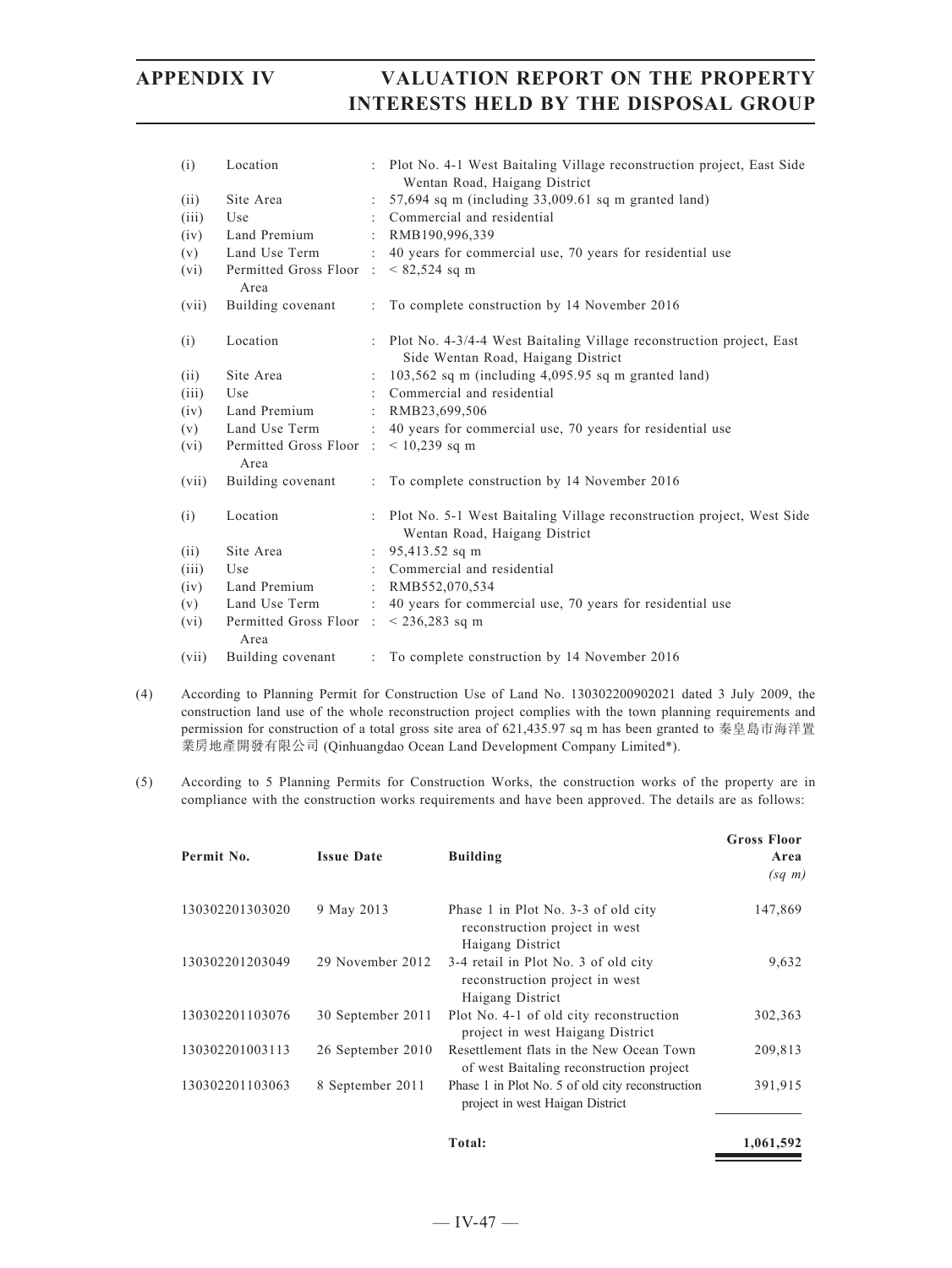|                      | : Plot No. 4-1 West Baitaling Village reconstruction project, East Side<br>Wentan Road, Haigang District<br>$57,694$ sq m (including $33,009.61$ sq m granted land) |
|----------------------|---------------------------------------------------------------------------------------------------------------------------------------------------------------------|
|                      |                                                                                                                                                                     |
|                      |                                                                                                                                                                     |
|                      | Commercial and residential                                                                                                                                          |
|                      | RMB190,996,339                                                                                                                                                      |
|                      | : 40 years for commercial use, 70 years for residential use                                                                                                         |
|                      | $< 82,524$ sq m                                                                                                                                                     |
|                      | : To complete construction by 14 November 2016                                                                                                                      |
|                      | : Plot No. 4-3/4-4 West Baitaling Village reconstruction project, East<br>Side Wentan Road, Haigang District                                                        |
|                      | $103,562$ sq m (including $4,095.95$ sq m granted land)                                                                                                             |
|                      | Commercial and residential                                                                                                                                          |
|                      | : RMB23,699,506                                                                                                                                                     |
|                      | : 40 years for commercial use, 70 years for residential use                                                                                                         |
|                      | $< 10,239$ sq m                                                                                                                                                     |
| ÷                    | To complete construction by 14 November 2016                                                                                                                        |
|                      | Plot No. 5-1 West Baitaling Village reconstruction project, West Side<br>Wentan Road, Haigang District                                                              |
| $\ddot{\phantom{a}}$ | 95,413.52 sq m                                                                                                                                                      |
|                      | : Commercial and residential                                                                                                                                        |
|                      | : RMB552,070,534                                                                                                                                                    |
|                      | : 40 years for commercial use, 70 years for residential use                                                                                                         |
|                      | Permitted Gross Floor : $\leq$ 236,283 sq m                                                                                                                         |
| ÷                    | To complete construction by 14 November 2016                                                                                                                        |
|                      | Permitted Gross Floor:<br>Permitted Gross Floor:                                                                                                                    |

- (4) According to Planning Permit for Construction Use of Land No. 130302200902021 dated 3 July 2009, the construction land use of the whole reconstruction project complies with the town planning requirements and permission for construction of a total gross site area of 621,435.97 sq m has been granted to 秦皇島市海洋置 業房地產開發有限公司 (Qinhuangdao Ocean Land Development Company Limited\*).
- (5) According to 5 Planning Permits for Construction Works, the construction works of the property are in compliance with the construction works requirements and have been approved. The details are as follows:

| Permit No.      | <b>Issue Date</b> | <b>Building</b>                                                                            | <b>Gross Floor</b><br>Area<br>$(sq \; m)$ |
|-----------------|-------------------|--------------------------------------------------------------------------------------------|-------------------------------------------|
| 130302201303020 | 9 May 2013        | Phase 1 in Plot No. 3-3 of old city<br>reconstruction project in west<br>Haigang District  | 147,869                                   |
| 130302201203049 | 29 November 2012  | 3-4 retail in Plot No. 3 of old city<br>reconstruction project in west<br>Haigang District | 9,632                                     |
| 130302201103076 | 30 September 2011 | Plot No. 4-1 of old city reconstruction<br>project in west Haigang District                | 302,363                                   |
| 130302201003113 | 26 September 2010 | Resettlement flats in the New Ocean Town<br>of west Baitaling reconstruction project       | 209,813                                   |
| 130302201103063 | 8 September 2011  | Phase 1 in Plot No. 5 of old city reconstruction<br>project in west Haigan District        | 391,915                                   |
|                 |                   | Total:                                                                                     | 1,061,592                                 |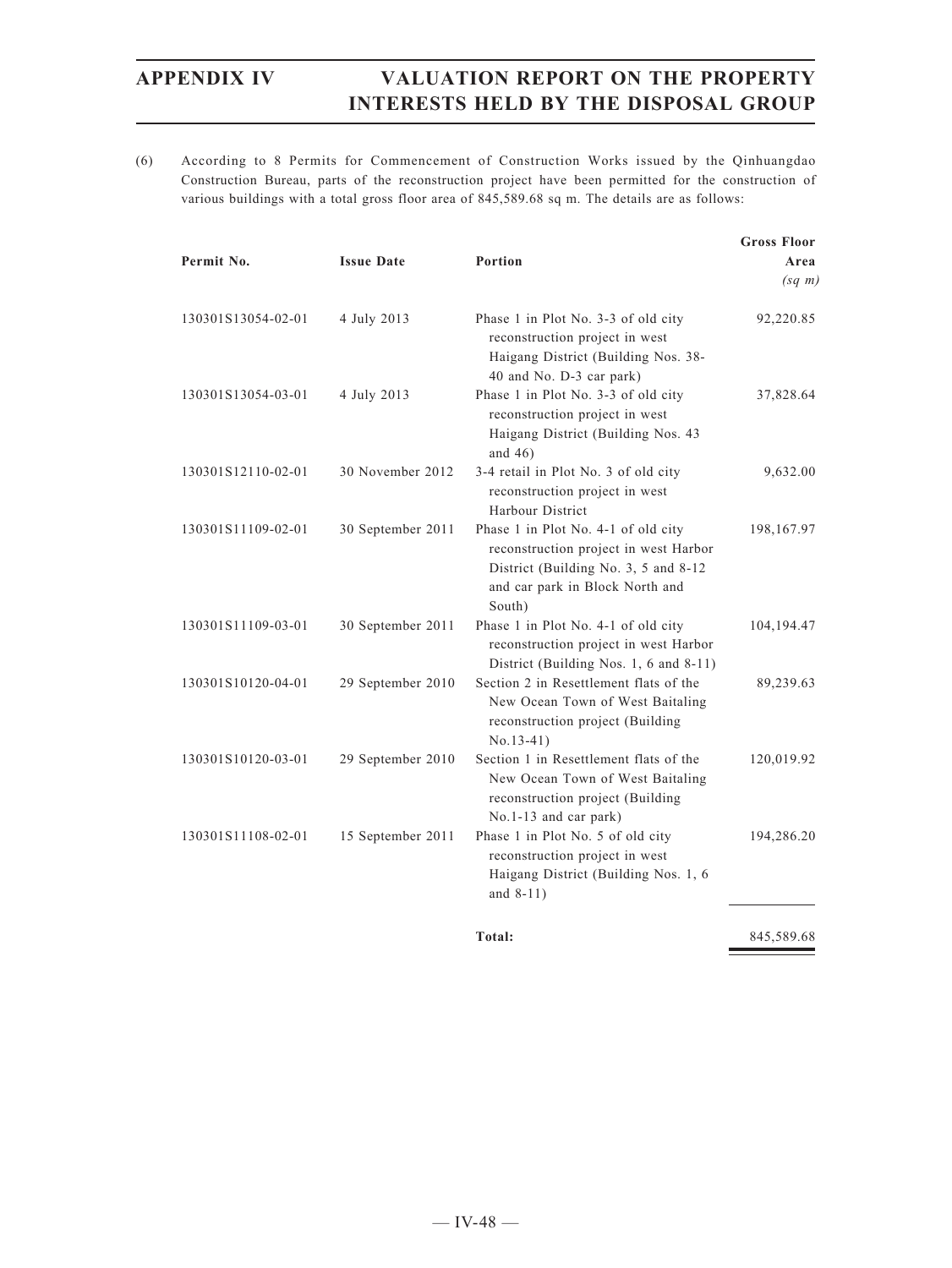(6) According to 8 Permits for Commencement of Construction Works issued by the Qinhuangdao Construction Bureau, parts of the reconstruction project have been permitted for the construction of various buildings with a total gross floor area of 845,589.68 sq m. The details are as follows:

| Permit No.         | <b>Issue Date</b> | Portion                                                                                                                                                           | <b>Gross Floor</b><br>Area<br>$(sq \; m)$ |
|--------------------|-------------------|-------------------------------------------------------------------------------------------------------------------------------------------------------------------|-------------------------------------------|
| 130301S13054-02-01 | 4 July 2013       | Phase 1 in Plot No. 3-3 of old city<br>reconstruction project in west<br>Haigang District (Building Nos. 38-<br>40 and No. D-3 car park)                          | 92,220.85                                 |
| 130301S13054-03-01 | 4 July 2013       | Phase 1 in Plot No. 3-3 of old city<br>reconstruction project in west<br>Haigang District (Building Nos. 43<br>and $46$ )                                         | 37,828.64                                 |
| 130301S12110-02-01 | 30 November 2012  | 3-4 retail in Plot No. 3 of old city<br>reconstruction project in west<br>Harbour District                                                                        | 9,632.00                                  |
| 130301S11109-02-01 | 30 September 2011 | Phase 1 in Plot No. 4-1 of old city<br>reconstruction project in west Harbor<br>District (Building No. 3, 5 and 8-12<br>and car park in Block North and<br>South) | 198,167.97                                |
| 130301S11109-03-01 | 30 September 2011 | Phase 1 in Plot No. 4-1 of old city<br>reconstruction project in west Harbor<br>District (Building Nos. 1, 6 and 8-11)                                            | 104, 194. 47                              |
| 130301S10120-04-01 | 29 September 2010 | Section 2 in Resettlement flats of the<br>New Ocean Town of West Baitaling<br>reconstruction project (Building<br>$No.13-41)$                                     | 89,239.63                                 |
| 130301S10120-03-01 | 29 September 2010 | Section 1 in Resettlement flats of the<br>New Ocean Town of West Baitaling<br>reconstruction project (Building<br>No.1-13 and car park)                           | 120,019.92                                |
| 130301S11108-02-01 | 15 September 2011 | Phase 1 in Plot No. 5 of old city<br>reconstruction project in west<br>Haigang District (Building Nos. 1, 6<br>and $8-11$ )                                       | 194,286.20                                |
|                    |                   | Total:                                                                                                                                                            | 845,589.68                                |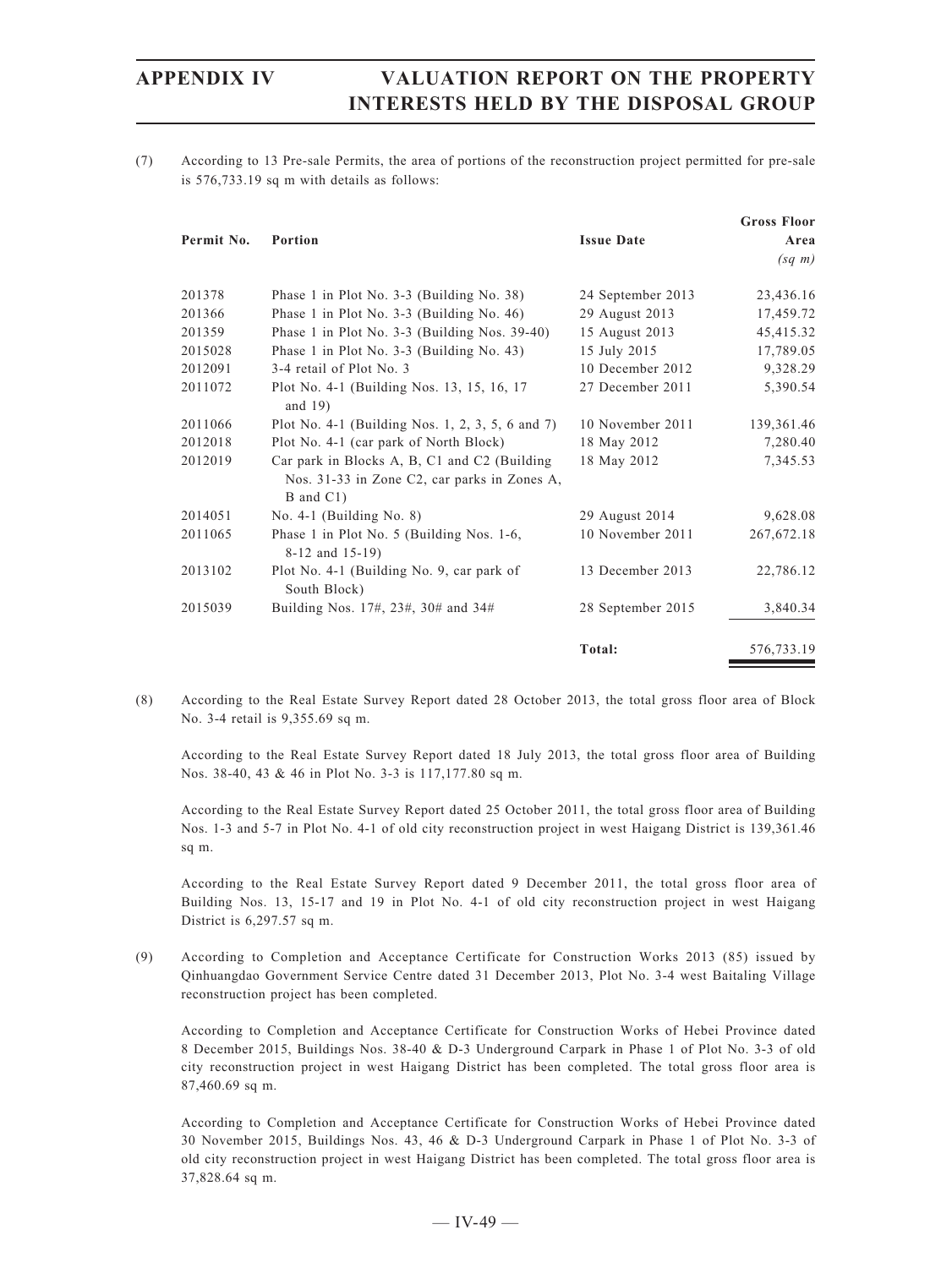(7) According to 13 Pre-sale Permits, the area of portions of the reconstruction project permitted for pre-sale is 576,733.19 sq m with details as follows:

|            |                                                                                                           |                   | <b>Gross Floor</b> |
|------------|-----------------------------------------------------------------------------------------------------------|-------------------|--------------------|
| Permit No. | Portion                                                                                                   | <b>Issue Date</b> | Area               |
|            |                                                                                                           |                   | $(sq \; m)$        |
| 201378     | Phase 1 in Plot No. 3-3 (Building No. 38)                                                                 | 24 September 2013 | 23,436.16          |
| 201366     | Phase 1 in Plot No. $3-3$ (Building No. 46)                                                               | 29 August 2013    | 17,459.72          |
| 201359     | Phase 1 in Plot No. $3-3$ (Building Nos. 39-40)                                                           | 15 August 2013    | 45,415.32          |
| 2015028    | Phase 1 in Plot No. $3-3$ (Building No. 43)                                                               | 15 July 2015      | 17,789.05          |
| 2012091    | 3-4 retail of Plot No. 3                                                                                  | 10 December 2012  | 9,328.29           |
| 2011072    | Plot No. 4-1 (Building Nos. 13, 15, 16, 17<br>and $19$ )                                                  | 27 December 2011  | 5,390.54           |
| 2011066    | Plot No. 4-1 (Building Nos. 1, 2, 3, 5, 6 and 7)                                                          | 10 November 2011  | 139,361.46         |
| 2012018    | Plot No. 4-1 (car park of North Block)                                                                    | 18 May 2012       | 7,280.40           |
| 2012019    | Car park in Blocks A, B, C1 and C2 (Building<br>Nos. 31-33 in Zone C2, car parks in Zones A,<br>B and C1) | 18 May 2012       | 7,345.53           |
| 2014051    | No. $4-1$ (Building No. 8)                                                                                | 29 August 2014    | 9,628.08           |
| 2011065    | Phase 1 in Plot No. 5 (Building Nos. 1-6,<br>8-12 and 15-19)                                              | 10 November 2011  | 267, 672. 18       |
| 2013102    | Plot No. 4-1 (Building No. 9, car park of<br>South Block)                                                 | 13 December 2013  | 22,786.12          |
| 2015039    | Building Nos. 17#, 23#, 30# and 34#                                                                       | 28 September 2015 | 3,840.34           |
|            |                                                                                                           | Total:            | 576,733.19         |

(8) According to the Real Estate Survey Report dated 28 October 2013, the total gross floor area of Block No. 3-4 retail is 9,355.69 sq m.

According to the Real Estate Survey Report dated 18 July 2013, the total gross floor area of Building Nos. 38-40, 43 & 46 in Plot No. 3-3 is 117,177.80 sq m.

According to the Real Estate Survey Report dated 25 October 2011, the total gross floor area of Building Nos. 1-3 and 5-7 in Plot No. 4-1 of old city reconstruction project in west Haigang District is 139,361.46 sq m.

According to the Real Estate Survey Report dated 9 December 2011, the total gross floor area of Building Nos. 13, 15-17 and 19 in Plot No. 4-1 of old city reconstruction project in west Haigang District is 6,297.57 sq m.

(9) According to Completion and Acceptance Certificate for Construction Works 2013 (85) issued by Qinhuangdao Government Service Centre dated 31 December 2013, Plot No. 3-4 west Baitaling Village reconstruction project has been completed.

According to Completion and Acceptance Certificate for Construction Works of Hebei Province dated 8 December 2015, Buildings Nos. 38-40 & D-3 Underground Carpark in Phase 1 of Plot No. 3-3 of old city reconstruction project in west Haigang District has been completed. The total gross floor area is 87,460.69 sq m.

According to Completion and Acceptance Certificate for Construction Works of Hebei Province dated 30 November 2015, Buildings Nos. 43, 46 & D-3 Underground Carpark in Phase 1 of Plot No. 3-3 of old city reconstruction project in west Haigang District has been completed. The total gross floor area is 37,828.64 sq m.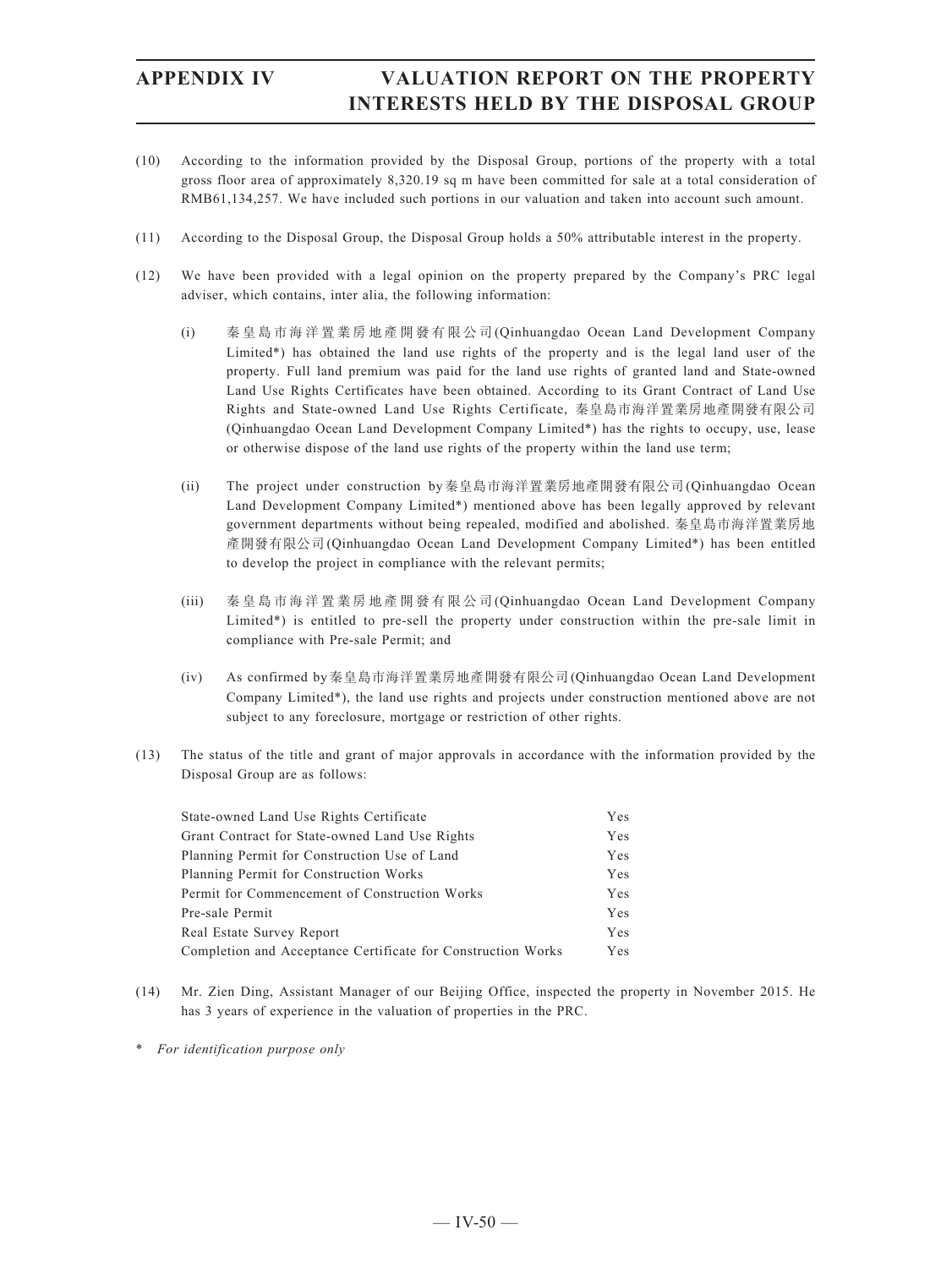- (10) According to the information provided by the Disposal Group, portions of the property with a total gross floor area of approximately 8,320.19 sq m have been committed for sale at a total consideration of RMB61,134,257. We have included such portions in our valuation and taken into account such amount.
- (11) According to the Disposal Group, the Disposal Group holds a 50% attributable interest in the property.
- (12) We have been provided with a legal opinion on the property prepared by the Company's PRC legal adviser, which contains, inter alia, the following information:
	- (i) 秦皇島市海洋置業房地產開發有限公司(Qinhuangdao Ocean Land Development Company Limited\*) has obtained the land use rights of the property and is the legal land user of the property. Full land premium was paid for the land use rights of granted land and State-owned Land Use Rights Certificates have been obtained. According to its Grant Contract of Land Use Rights and State-owned Land Use Rights Certificate, 秦皇島市海洋置業房地產開發有限公司 (Qinhuangdao Ocean Land Development Company Limited\*) has the rights to occupy, use, lease or otherwise dispose of the land use rights of the property within the land use term;
	- (ii) The project under construction by秦皇島市海洋置業房地產開發有限公司(Qinhuangdao Ocean Land Development Company Limited\*) mentioned above has been legally approved by relevant government departments without being repealed, modified and abolished. 秦皇島市海洋置業房地 產開發有限公司(Qinhuangdao Ocean Land Development Company Limited\*) has been entitled to develop the project in compliance with the relevant permits;
	- (iii) 秦皇島市海洋置業房地產開發有限公司(Qinhuangdao Ocean Land Development Company Limited\*) is entitled to pre-sell the property under construction within the pre-sale limit in compliance with Pre-sale Permit; and
	- (iv) As confirmed by秦皇島市海洋置業房地產開發有限公司(Qinhuangdao Ocean Land Development Company Limited\*), the land use rights and projects under construction mentioned above are not subject to any foreclosure, mortgage or restriction of other rights.
- (13) The status of the title and grant of major approvals in accordance with the information provided by the Disposal Group are as follows:

| State-owned Land Use Rights Certificate                      | Yes |
|--------------------------------------------------------------|-----|
| Grant Contract for State-owned Land Use Rights               | Yes |
| Planning Permit for Construction Use of Land                 | Yes |
| Planning Permit for Construction Works                       | Yes |
| Permit for Commencement of Construction Works                | Yes |
| Pre-sale Permit                                              | Yes |
| Real Estate Survey Report                                    | Yes |
| Completion and Acceptance Certificate for Construction Works | Yes |

- (14) Mr. Zien Ding, Assistant Manager of our Beijing Office, inspected the property in November 2015. He has 3 years of experience in the valuation of properties in the PRC.
- \* *For identification purpose only*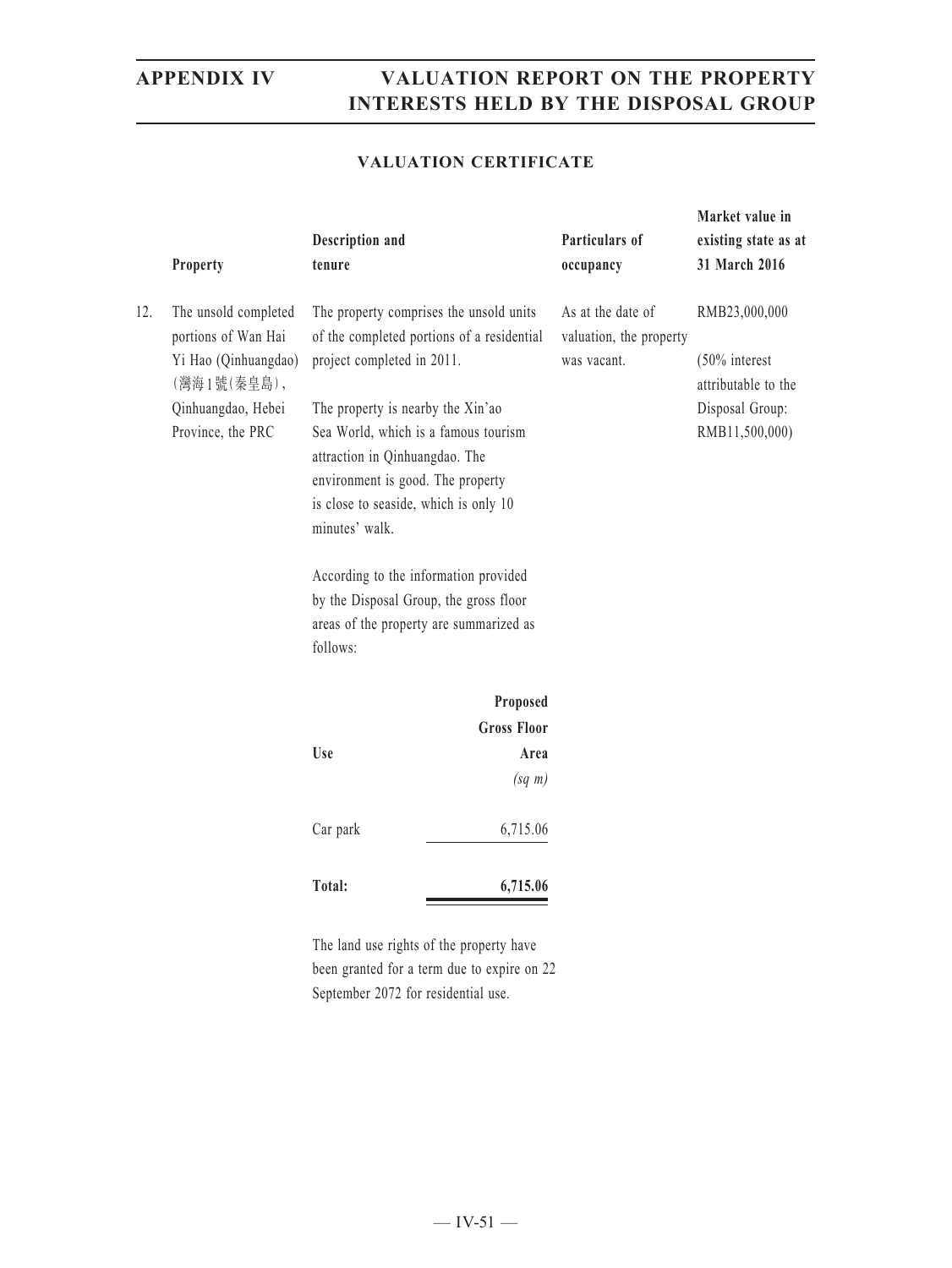**Market value in** 

### **VALUATION CERTIFICATE**

|     | Property                                                                                                                      | Description and<br>tenure  |                                                                                                                                                                                                                                                                                                                                                                                                                                                | Particulars of<br>occupancy | existing state as at<br>31 March 2016                                                         |
|-----|-------------------------------------------------------------------------------------------------------------------------------|----------------------------|------------------------------------------------------------------------------------------------------------------------------------------------------------------------------------------------------------------------------------------------------------------------------------------------------------------------------------------------------------------------------------------------------------------------------------------------|-----------------------------|-----------------------------------------------------------------------------------------------|
| 12. | The unsold completed<br>portions of Wan Hai<br>Yi Hao (Qinhuangdao)<br>(灣海1號(秦皇島),<br>Qinhuangdao, Hebei<br>Province, the PRC | minutes' walk.<br>follows: | The property comprises the unsold units<br>of the completed portions of a residential<br>project completed in 2011.<br>The property is nearby the Xin'ao<br>Sea World, which is a famous tourism<br>attraction in Qinhuangdao. The<br>environment is good. The property<br>is close to seaside, which is only 10<br>According to the information provided<br>by the Disposal Group, the gross floor<br>areas of the property are summarized as |                             | RMB23,000,000<br>$(50\%$ interest<br>attributable to the<br>Disposal Group:<br>RMB11,500,000) |
|     |                                                                                                                               | Use                        | Proposed<br><b>Gross Floor</b><br>Area<br>$(sq \; m)$                                                                                                                                                                                                                                                                                                                                                                                          |                             |                                                                                               |
|     |                                                                                                                               | Car park                   | 6,715.06                                                                                                                                                                                                                                                                                                                                                                                                                                       |                             |                                                                                               |
|     |                                                                                                                               | Total:                     | 6,715.06                                                                                                                                                                                                                                                                                                                                                                                                                                       |                             |                                                                                               |

The land use rights of the property have been granted for a term due to expire on 22 September 2072 for residential use.

 $-$  IV-51  $-$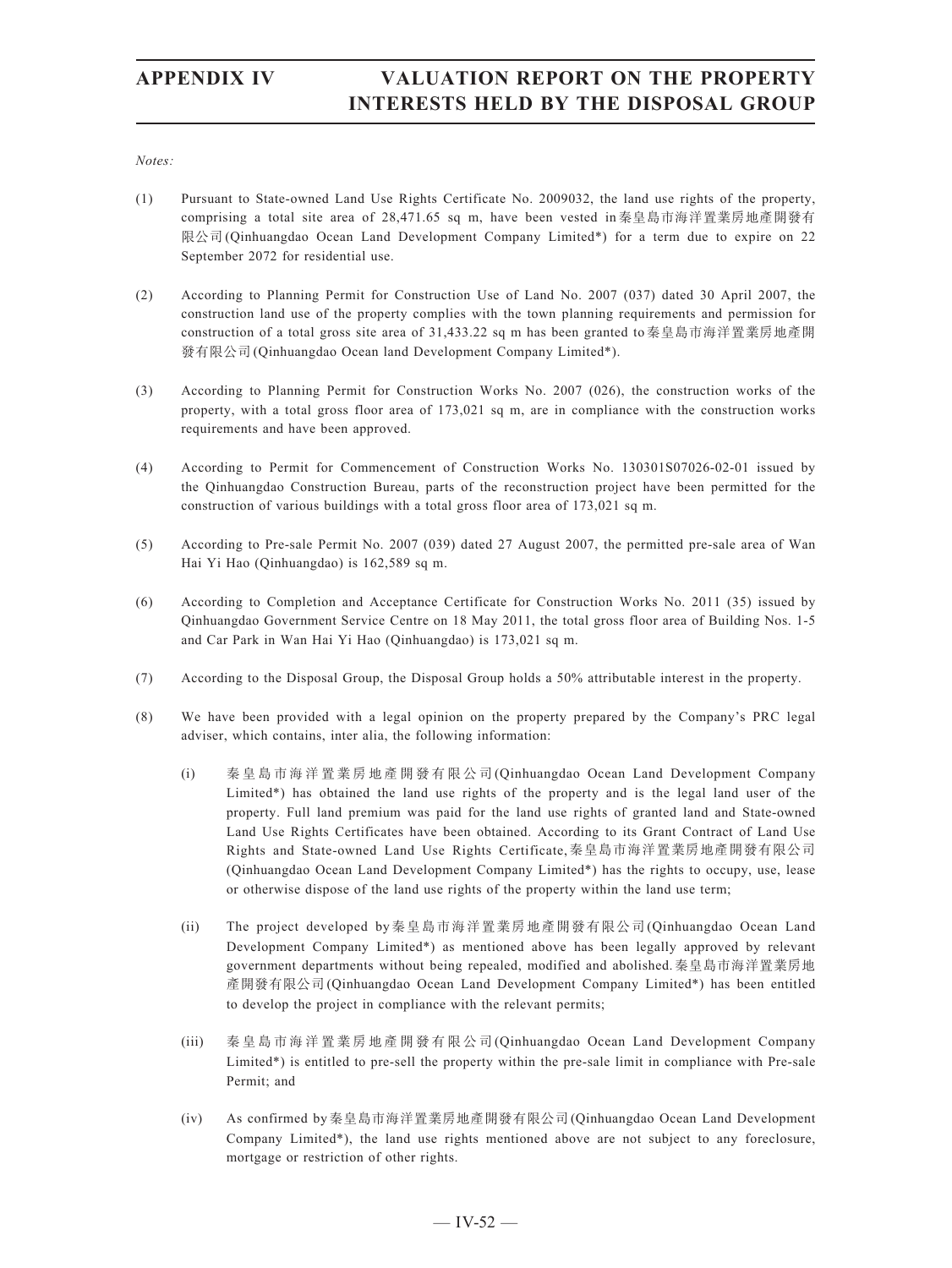*Notes:*

- (1) Pursuant to State-owned Land Use Rights Certificate No. 2009032, the land use rights of the property, comprising a total site area of 28,471.65 sq m, have been vested in秦皇島市海洋置業房地產開發有 限公司(Qinhuangdao Ocean Land Development Company Limited\*) for a term due to expire on 22 September 2072 for residential use.
- (2) According to Planning Permit for Construction Use of Land No. 2007 (037) dated 30 April 2007, the construction land use of the property complies with the town planning requirements and permission for construction of a total gross site area of 31,433.22 sq m has been granted to秦皇島市海洋置業房地產開 發有限公司(Qinhuangdao Ocean land Development Company Limited\*).
- (3) According to Planning Permit for Construction Works No. 2007 (026), the construction works of the property, with a total gross floor area of 173,021 sq m, are in compliance with the construction works requirements and have been approved.
- (4) According to Permit for Commencement of Construction Works No. 130301S07026-02-01 issued by the Qinhuangdao Construction Bureau, parts of the reconstruction project have been permitted for the construction of various buildings with a total gross floor area of 173,021 sq m.
- (5) According to Pre-sale Permit No. 2007 (039) dated 27 August 2007, the permitted pre-sale area of Wan Hai Yi Hao (Qinhuangdao) is 162,589 sq m.
- (6) According to Completion and Acceptance Certificate for Construction Works No. 2011 (35) issued by Qinhuangdao Government Service Centre on 18 May 2011, the total gross floor area of Building Nos. 1-5 and Car Park in Wan Hai Yi Hao (Qinhuangdao) is 173,021 sq m.
- (7) According to the Disposal Group, the Disposal Group holds a 50% attributable interest in the property.
- (8) We have been provided with a legal opinion on the property prepared by the Company's PRC legal adviser, which contains, inter alia, the following information:
	- (i) 秦皇島市海洋置業房地產開發有限公司(Qinhuangdao Ocean Land Development Company Limited\*) has obtained the land use rights of the property and is the legal land user of the property. Full land premium was paid for the land use rights of granted land and State-owned Land Use Rights Certificates have been obtained. According to its Grant Contract of Land Use Rights and State-owned Land Use Rights Certificate,秦皇島市海洋置業房地產開發有限公司 (Qinhuangdao Ocean Land Development Company Limited\*) has the rights to occupy, use, lease or otherwise dispose of the land use rights of the property within the land use term;
	- (ii) The project developed by秦皇島市海洋置業房地產開發有限公司(Qinhuangdao Ocean Land Development Company Limited\*) as mentioned above has been legally approved by relevant government departments without being repealed, modified and abolished.秦皇島市海洋置業房地 產開發有限公司(Qinhuangdao Ocean Land Development Company Limited\*) has been entitled to develop the project in compliance with the relevant permits;
	- (iii) 秦皇島市海洋置業房地產開發有限公司(Qinhuangdao Ocean Land Development Company Limited\*) is entitled to pre-sell the property within the pre-sale limit in compliance with Pre-sale Permit; and
	- (iv) As confirmed by秦皇島市海洋置業房地產開發有限公司(Qinhuangdao Ocean Land Development Company Limited\*), the land use rights mentioned above are not subject to any foreclosure, mortgage or restriction of other rights.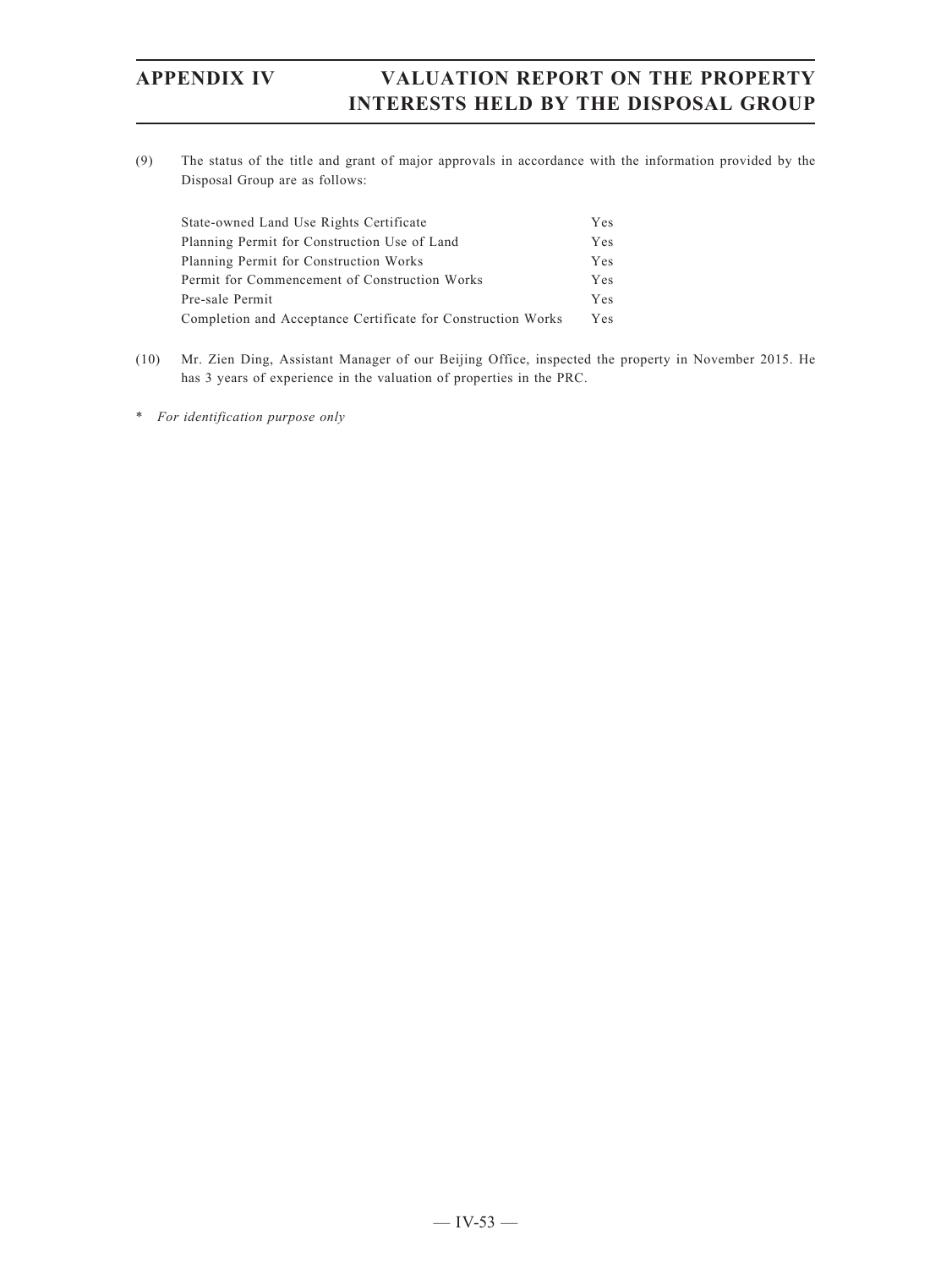(9) The status of the title and grant of major approvals in accordance with the information provided by the Disposal Group are as follows:

| State-owned Land Use Rights Certificate                      | Yes |
|--------------------------------------------------------------|-----|
| Planning Permit for Construction Use of Land                 | Yes |
| Planning Permit for Construction Works                       | Yes |
| Permit for Commencement of Construction Works                | Yes |
| Pre-sale Permit                                              | Yes |
| Completion and Acceptance Certificate for Construction Works | Yes |

- (10) Mr. Zien Ding, Assistant Manager of our Beijing Office, inspected the property in November 2015. He has 3 years of experience in the valuation of properties in the PRC.
- \* *For identification purpose only*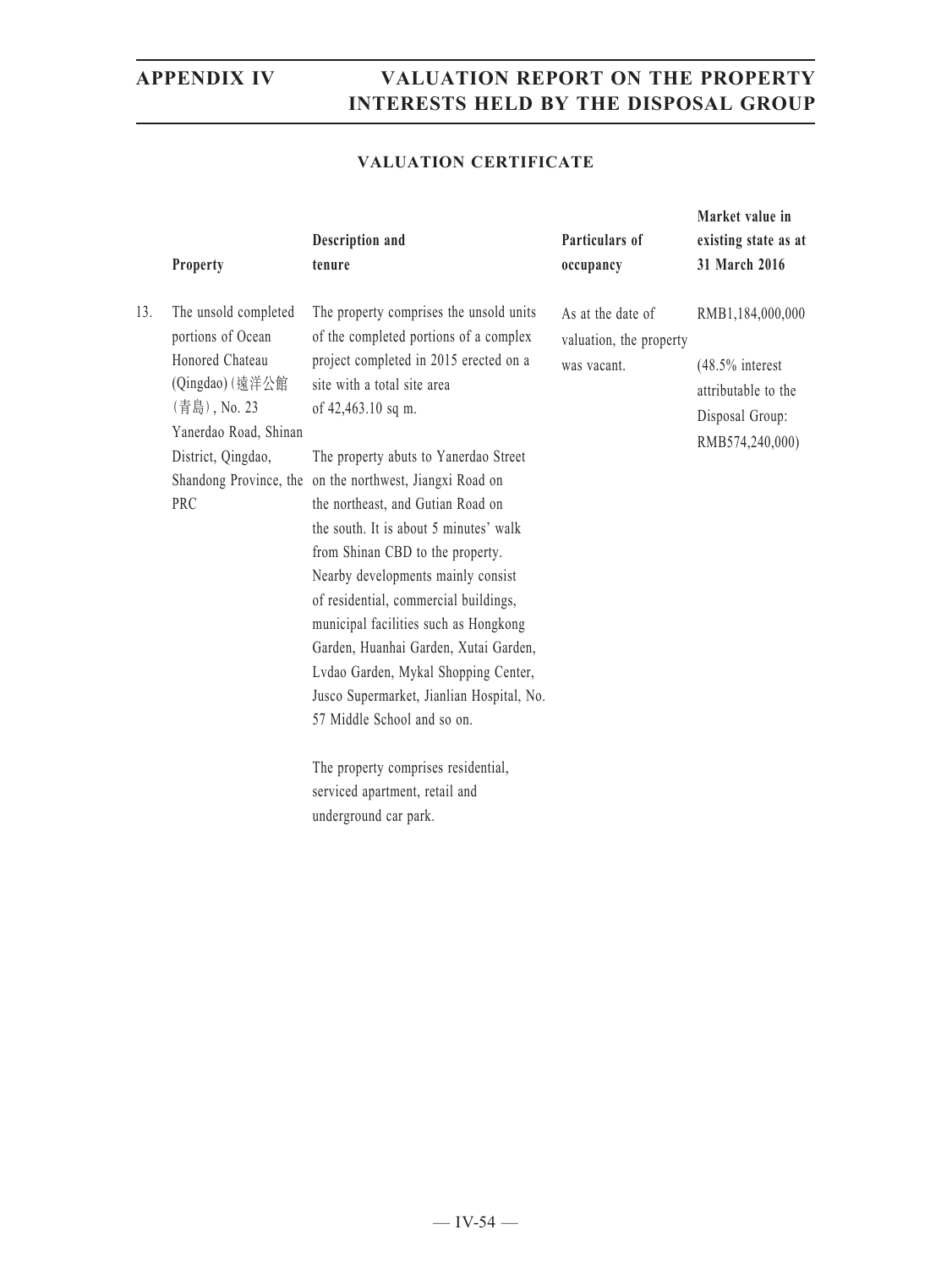### **VALUATION CERTIFICATE**

|     | Property                                                                                                                                              | Description and<br>tenure                                                                                                                                                                                                                                                                                                                                                                                                                                                                                                                                                                                                                                                                                                            | Particulars of<br>occupancy                                 | Market value in<br>existing state as at<br>31 March 2016                                            |
|-----|-------------------------------------------------------------------------------------------------------------------------------------------------------|--------------------------------------------------------------------------------------------------------------------------------------------------------------------------------------------------------------------------------------------------------------------------------------------------------------------------------------------------------------------------------------------------------------------------------------------------------------------------------------------------------------------------------------------------------------------------------------------------------------------------------------------------------------------------------------------------------------------------------------|-------------------------------------------------------------|-----------------------------------------------------------------------------------------------------|
| 13. | The unsold completed<br>portions of Ocean<br>Honored Chateau<br>(Qingdao) (遠洋公館<br>(青島), No. 23<br>Yanerdao Road, Shinan<br>District, Qingdao,<br>PRC | The property comprises the unsold units<br>of the completed portions of a complex<br>project completed in 2015 erected on a<br>site with a total site area<br>of 42,463.10 sq m.<br>The property abuts to Yanerdao Street<br>Shandong Province, the on the northwest, Jiangxi Road on<br>the northeast, and Gutian Road on<br>the south. It is about 5 minutes' walk<br>from Shinan CBD to the property.<br>Nearby developments mainly consist<br>of residential, commercial buildings,<br>municipal facilities such as Hongkong<br>Garden, Huanhai Garden, Xutai Garden,<br>Lvdao Garden, Mykal Shopping Center,<br>Jusco Supermarket, Jianlian Hospital, No.<br>57 Middle School and so on.<br>The property comprises residential, | As at the date of<br>valuation, the property<br>was vacant. | RMB1,184,000,000<br>$(48.5\%$ interest<br>attributable to the<br>Disposal Group:<br>RMB574,240,000) |
|     |                                                                                                                                                       | serviced apartment, retail and                                                                                                                                                                                                                                                                                                                                                                                                                                                                                                                                                                                                                                                                                                       |                                                             |                                                                                                     |

underground car park.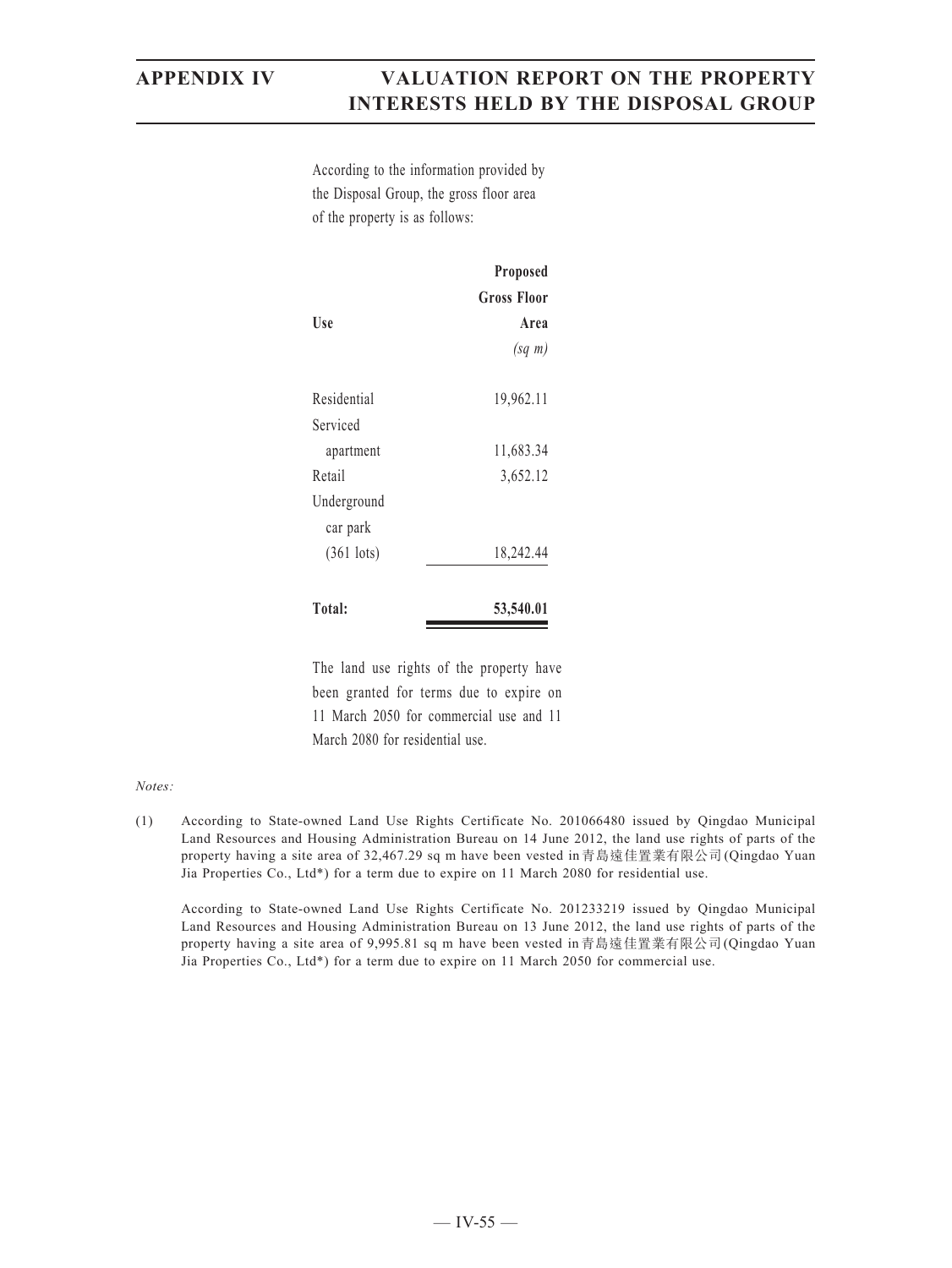According to the information provided by the Disposal Group, the gross floor area of the property is as follows:

|                         | Proposed    |
|-------------------------|-------------|
|                         | Gross Floor |
| Use                     | Area        |
|                         | $(sq \; m)$ |
| Residential             | 19,962.11   |
| Serviced                |             |
| apartment               | 11,683.34   |
| Retail                  | 3,652.12    |
| Underground<br>car park |             |
| $(361$ lots)            | 18,242.44   |
| Total:                  | 53,540.01   |

The land use rights of the property have been granted for terms due to expire on 11 March 2050 for commercial use and 11 March 2080 for residential use.

### *Notes:*

(1) According to State-owned Land Use Rights Certificate No. 201066480 issued by Qingdao Municipal Land Resources and Housing Administration Bureau on 14 June 2012, the land use rights of parts of the property having a site area of 32,467.29 sq m have been vested in青島遠佳置業有限公司(Qingdao Yuan Jia Properties Co., Ltd\*) for a term due to expire on 11 March 2080 for residential use.

According to State-owned Land Use Rights Certificate No. 201233219 issued by Qingdao Municipal Land Resources and Housing Administration Bureau on 13 June 2012, the land use rights of parts of the property having a site area of 9,995.81 sq m have been vested in青島遠佳置業有限公司(Qingdao Yuan Jia Properties Co., Ltd\*) for a term due to expire on 11 March 2050 for commercial use.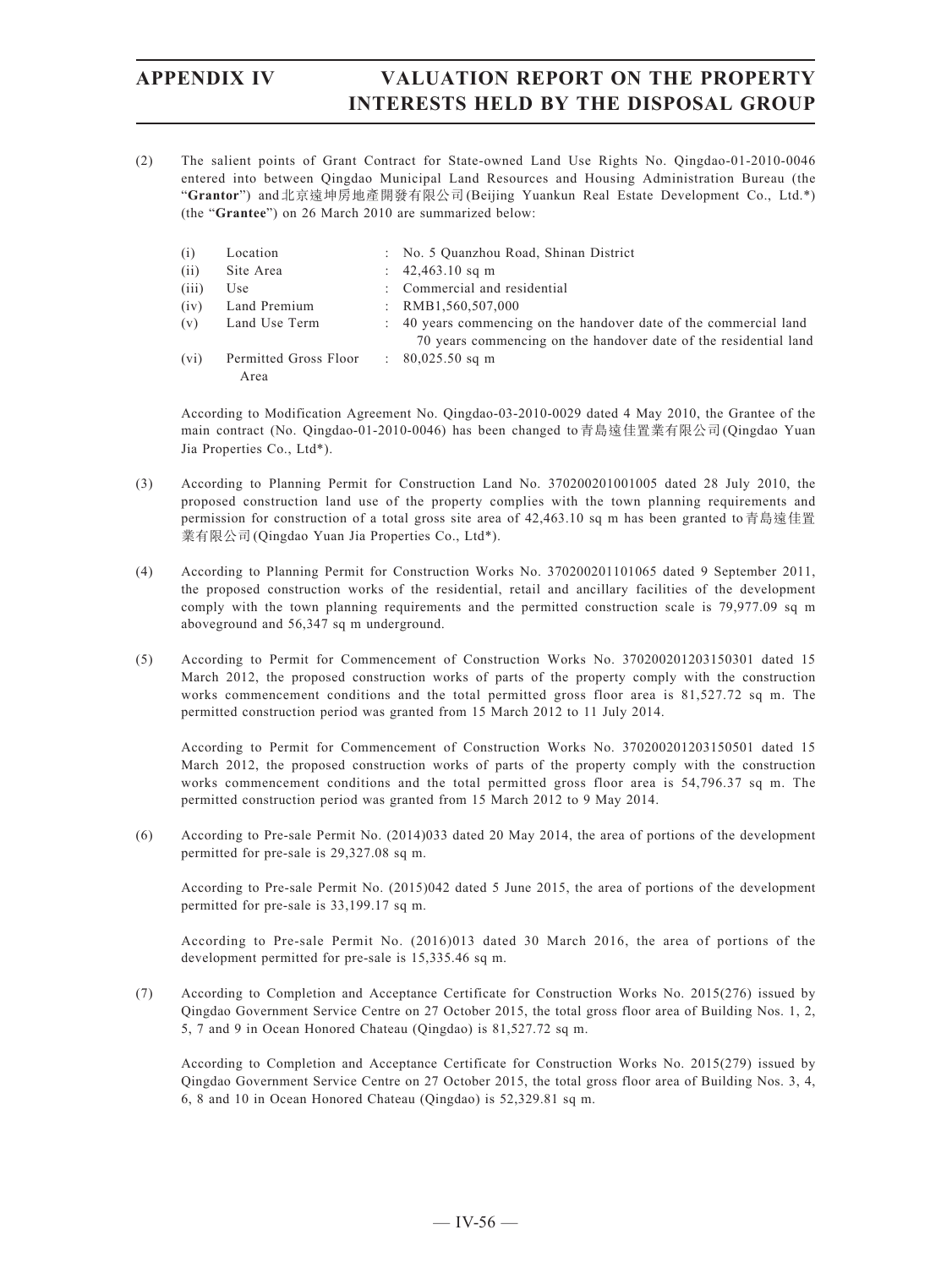(2) The salient points of Grant Contract for State-owned Land Use Rights No. Qingdao-01-2010-0046 entered into between Qingdao Municipal Land Resources and Housing Administration Bureau (the "**Grantor**") and北京遠坤房地產開發有限公司(Beijing Yuankun Real Estate Development Co., Ltd.\*) (the "**Grantee**") on 26 March 2010 are summarized below:

| (i)   | Location                      |                           | : No. 5 Quanzhou Road, Shinan District                                                                                              |
|-------|-------------------------------|---------------------------|-------------------------------------------------------------------------------------------------------------------------------------|
| (ii)  | Site Area                     |                           | : $42,463.10$ sq m                                                                                                                  |
| (iii) | Use                           |                           | : Commercial and residential                                                                                                        |
| (iv)  | Land Premium                  | $\mathbb{R}^{\mathbb{Z}}$ | RMB1,560,507,000                                                                                                                    |
| (v)   | Land Use Term                 | $\mathbb{R}^n$            | 40 years commencing on the handover date of the commercial land<br>70 years commencing on the handover date of the residential land |
| (vi)  | Permitted Gross Floor<br>Area |                           | $\therefore$ 80,025.50 sq m                                                                                                         |

According to Modification Agreement No. Qingdao-03-2010-0029 dated 4 May 2010, the Grantee of the main contract (No. Qingdao-01-2010-0046) has been changed to青島遠佳置業有限公司(Qingdao Yuan Jia Properties Co., Ltd\*).

- (3) According to Planning Permit for Construction Land No. 370200201001005 dated 28 July 2010, the proposed construction land use of the property complies with the town planning requirements and permission for construction of a total gross site area of 42,463.10 sq m has been granted to青島遠佳置 業有限公司(Qingdao Yuan Jia Properties Co., Ltd\*).
- (4) According to Planning Permit for Construction Works No. 370200201101065 dated 9 September 2011, the proposed construction works of the residential, retail and ancillary facilities of the development comply with the town planning requirements and the permitted construction scale is 79,977.09 sq m aboveground and 56,347 sq m underground.
- (5) According to Permit for Commencement of Construction Works No. 370200201203150301 dated 15 March 2012, the proposed construction works of parts of the property comply with the construction works commencement conditions and the total permitted gross floor area is 81,527.72 sq m. The permitted construction period was granted from 15 March 2012 to 11 July 2014.

According to Permit for Commencement of Construction Works No. 370200201203150501 dated 15 March 2012, the proposed construction works of parts of the property comply with the construction works commencement conditions and the total permitted gross floor area is 54,796.37 sq m. The permitted construction period was granted from 15 March 2012 to 9 May 2014.

(6) According to Pre-sale Permit No. (2014)033 dated 20 May 2014, the area of portions of the development permitted for pre-sale is 29,327.08 sq m.

According to Pre-sale Permit No. (2015)042 dated 5 June 2015, the area of portions of the development permitted for pre-sale is 33,199.17 sq m.

According to Pre-sale Permit No. (2016)013 dated 30 March 2016, the area of portions of the development permitted for pre-sale is 15,335.46 sq m.

(7) According to Completion and Acceptance Certificate for Construction Works No. 2015(276) issued by Qingdao Government Service Centre on 27 October 2015, the total gross floor area of Building Nos. 1, 2, 5, 7 and 9 in Ocean Honored Chateau (Qingdao) is 81,527.72 sq m.

According to Completion and Acceptance Certificate for Construction Works No. 2015(279) issued by Qingdao Government Service Centre on 27 October 2015, the total gross floor area of Building Nos. 3, 4, 6, 8 and 10 in Ocean Honored Chateau (Qingdao) is 52,329.81 sq m.

 $-$  IV-56  $-$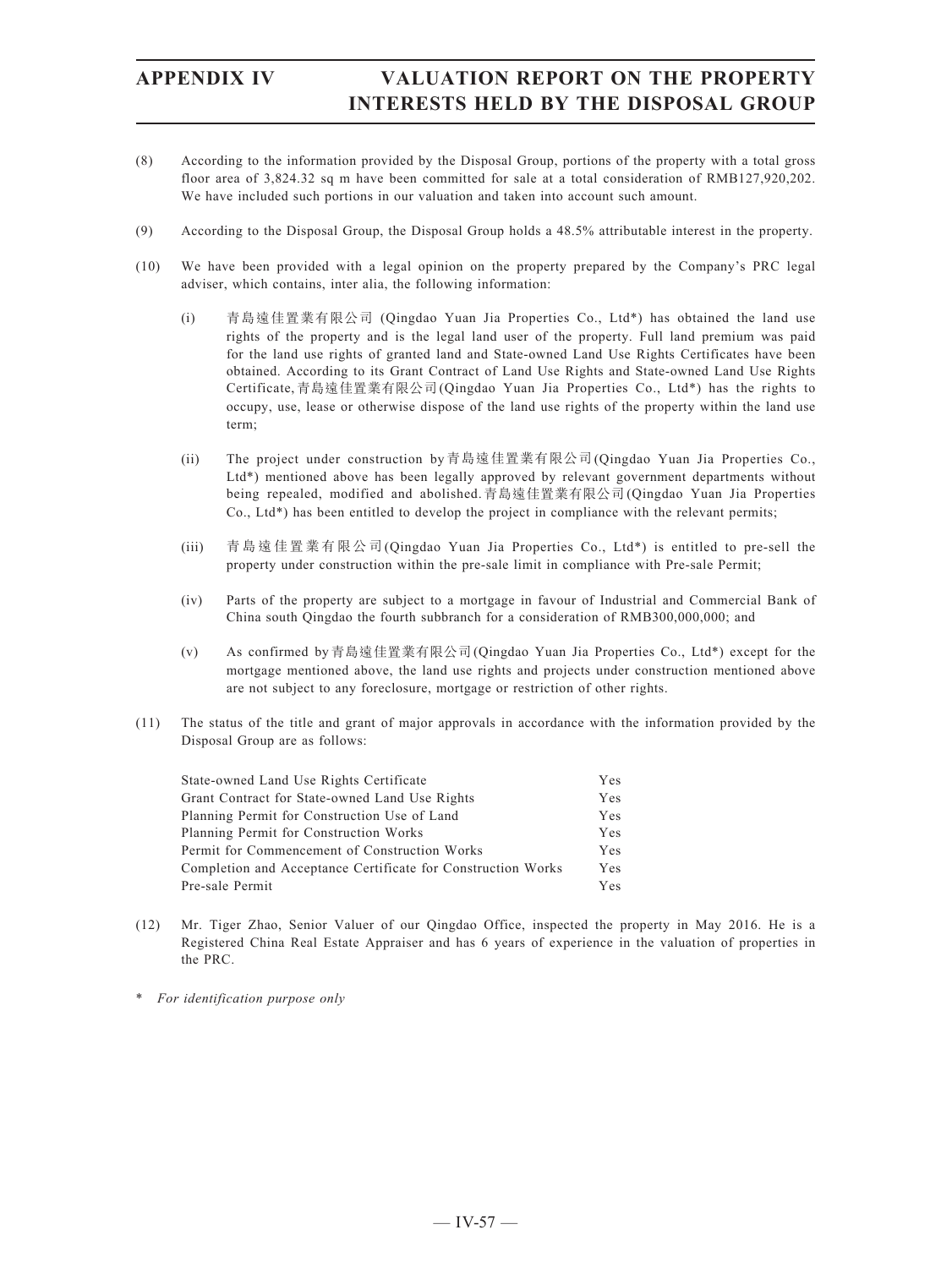- (8) According to the information provided by the Disposal Group, portions of the property with a total gross floor area of 3,824.32 sq m have been committed for sale at a total consideration of RMB127,920,202. We have included such portions in our valuation and taken into account such amount.
- (9) According to the Disposal Group, the Disposal Group holds a 48.5% attributable interest in the property.
- (10) We have been provided with a legal opinion on the property prepared by the Company's PRC legal adviser, which contains, inter alia, the following information:
	- (i) 青島遠佳置業有限公司 (Qingdao Yuan Jia Properties Co., Ltd\*) has obtained the land use rights of the property and is the legal land user of the property. Full land premium was paid for the land use rights of granted land and State-owned Land Use Rights Certificates have been obtained. According to its Grant Contract of Land Use Rights and State-owned Land Use Rights Certificate,青島遠佳置業有限公司(Qingdao Yuan Jia Properties Co., Ltd\*) has the rights to occupy, use, lease or otherwise dispose of the land use rights of the property within the land use term;
	- (ii) The project under construction by青島遠佳置業有限公司(Qingdao Yuan Jia Properties Co., Ltd\*) mentioned above has been legally approved by relevant government departments without being repealed, modified and abolished.青島遠佳置業有限公司(Qingdao Yuan Jia Properties Co., Ltd\*) has been entitled to develop the project in compliance with the relevant permits;
	- (iii) 青島遠佳置業有限公司(Qingdao Yuan Jia Properties Co., Ltd\*) is entitled to pre-sell the property under construction within the pre-sale limit in compliance with Pre-sale Permit;
	- (iv) Parts of the property are subject to a mortgage in favour of Industrial and Commercial Bank of China south Qingdao the fourth subbranch for a consideration of RMB300,000,000; and
	- (v) As confirmed by青島遠佳置業有限公司(Qingdao Yuan Jia Properties Co., Ltd\*) except for the mortgage mentioned above, the land use rights and projects under construction mentioned above are not subject to any foreclosure, mortgage or restriction of other rights.
- (11) The status of the title and grant of major approvals in accordance with the information provided by the Disposal Group are as follows:

| State-owned Land Use Rights Certificate                      | Yes |
|--------------------------------------------------------------|-----|
| Grant Contract for State-owned Land Use Rights               | Yes |
| Planning Permit for Construction Use of Land                 | Yes |
| Planning Permit for Construction Works                       | Yes |
| Permit for Commencement of Construction Works                | Yes |
| Completion and Acceptance Certificate for Construction Works | Yes |
| Pre-sale Permit                                              | Yes |

- (12) Mr. Tiger Zhao, Senior Valuer of our Qingdao Office, inspected the property in May 2016. He is a Registered China Real Estate Appraiser and has 6 years of experience in the valuation of properties in the PRC.
- \* *For identification purpose only*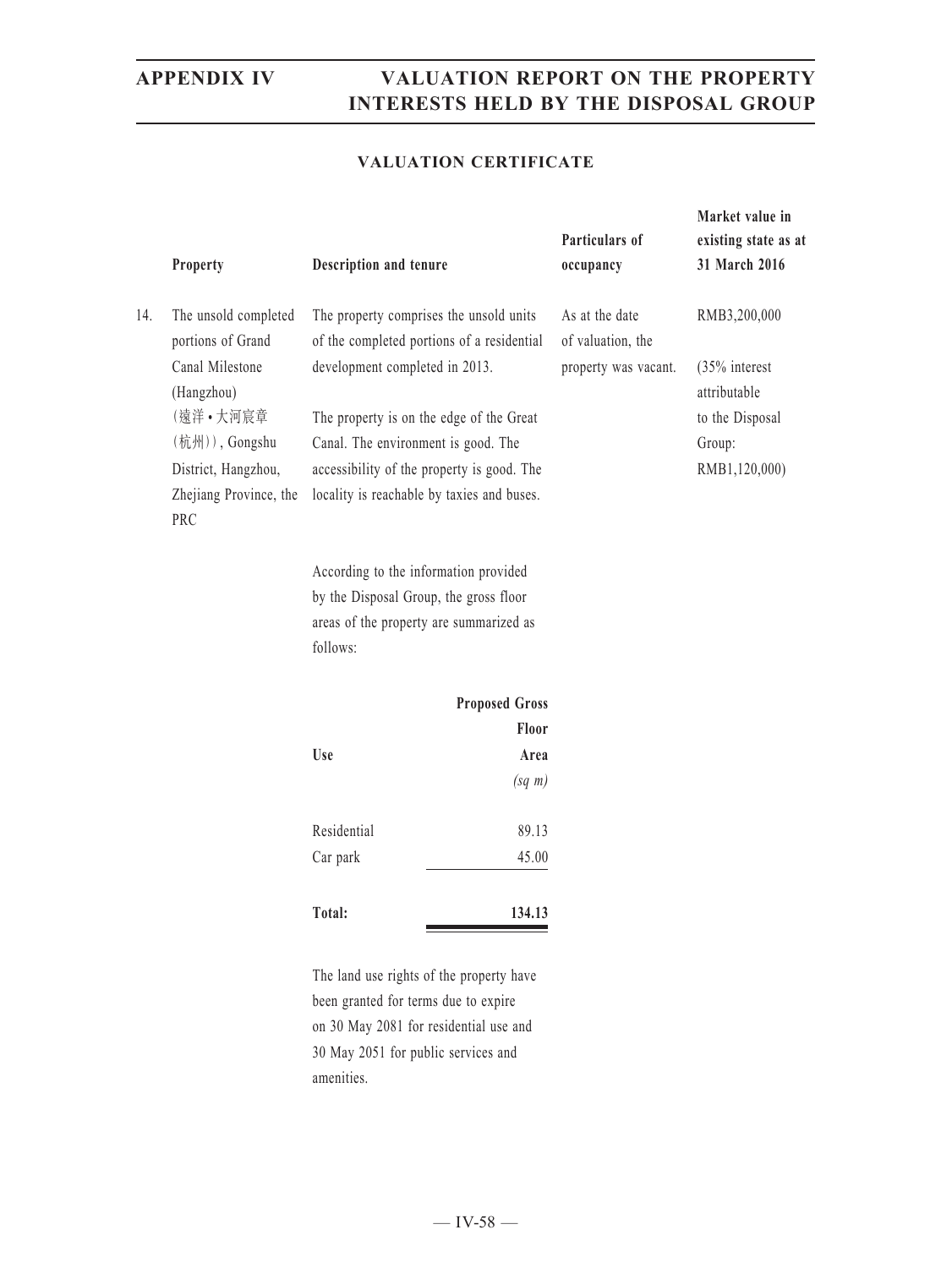### **VALUATION CERTIFICATE**

|     | Property                                  | Description and tenure         |                                                                                       | Particulars of<br>occupancy         | Market value in<br>existing state as at<br>31 March 2016 |
|-----|-------------------------------------------|--------------------------------|---------------------------------------------------------------------------------------|-------------------------------------|----------------------------------------------------------|
| 14. | The unsold completed<br>portions of Grand |                                | The property comprises the unsold units<br>of the completed portions of a residential | As at the date<br>of valuation, the | RMB3,200,000                                             |
|     | Canal Milestone<br>(Hangzhou)             | development completed in 2013. |                                                                                       | property was vacant.                | (35% interest<br>attributable                            |
|     | (遠洋·大河宸章                                  |                                | The property is on the edge of the Great                                              |                                     | to the Disposal                                          |
|     | (杭州)), Gongshu                            |                                | Canal. The environment is good. The                                                   |                                     | Group:                                                   |
|     | District, Hangzhou,                       |                                | accessibility of the property is good. The                                            |                                     | RMB1,120,000)                                            |
|     | Zhejiang Province, the<br>PRC             |                                | locality is reachable by taxies and buses.                                            |                                     |                                                          |
|     |                                           |                                | According to the information provided                                                 |                                     |                                                          |
|     |                                           |                                | by the Disposal Group, the gross floor                                                |                                     |                                                          |
|     |                                           |                                | areas of the property are summarized as                                               |                                     |                                                          |
|     |                                           | follows:                       |                                                                                       |                                     |                                                          |
|     |                                           |                                | <b>Proposed Gross</b>                                                                 |                                     |                                                          |
|     |                                           |                                | Floor                                                                                 |                                     |                                                          |
|     |                                           | Use                            | Area                                                                                  |                                     |                                                          |
|     |                                           |                                | $(sq \; m)$                                                                           |                                     |                                                          |
|     |                                           | Residential                    | 89.13                                                                                 |                                     |                                                          |
|     |                                           | Car park                       | 45.00                                                                                 |                                     |                                                          |
|     |                                           |                                |                                                                                       |                                     |                                                          |

| Total: | 134.13 |
|--------|--------|
|        |        |

The land use rights of the property have been granted for terms due to expire on 30 May 2081 for residential use and 30 May 2051 for public services and amenities.

 $-$  IV-58  $-$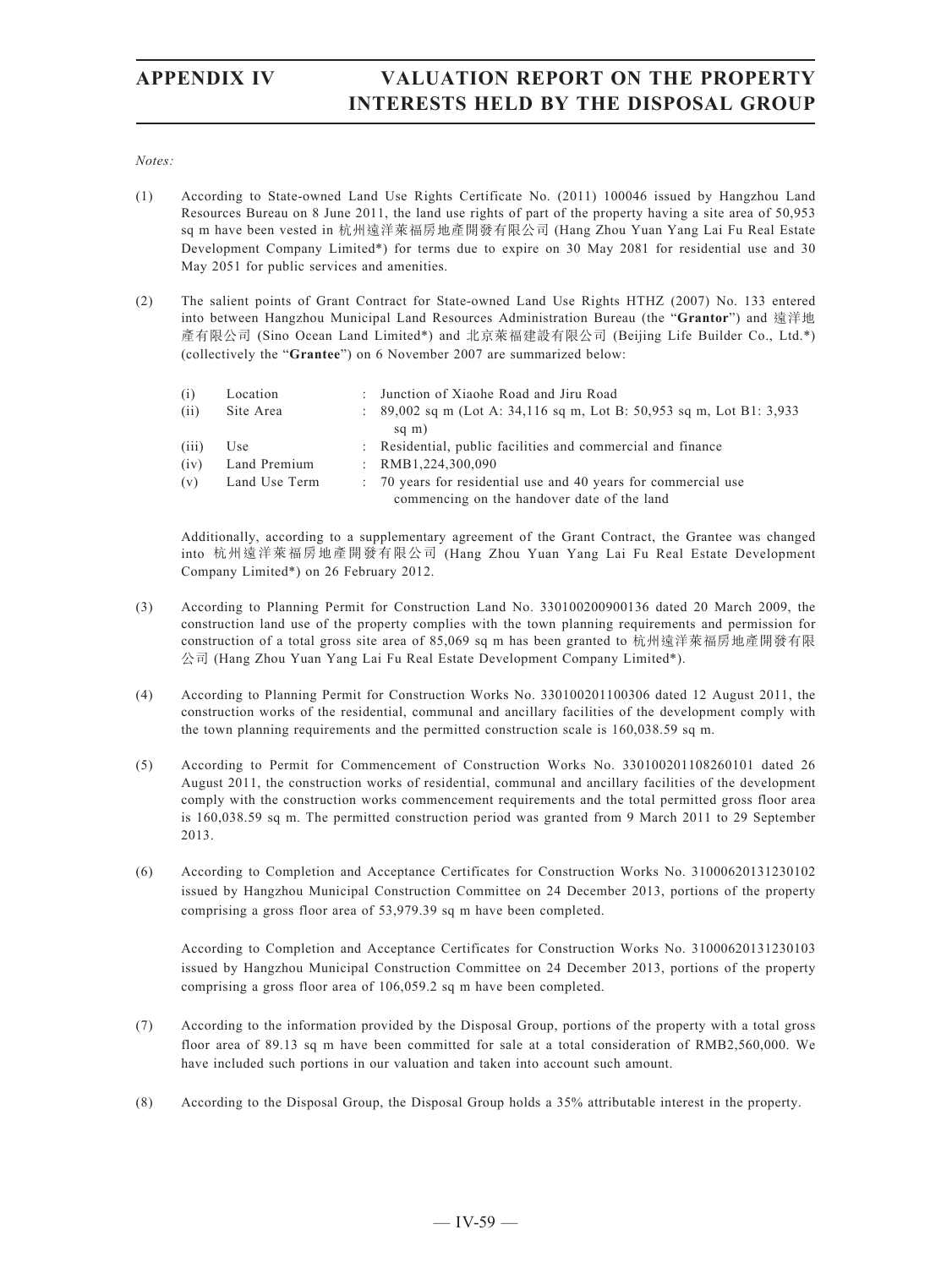### *Notes:*

- (1) According to State-owned Land Use Rights Certificate No. (2011) 100046 issued by Hangzhou Land Resources Bureau on 8 June 2011, the land use rights of part of the property having a site area of 50,953 sq m have been vested in 杭州遠洋萊福房地產開發有限公司 (Hang Zhou Yuan Yang Lai Fu Real Estate Development Company Limited\*) for terms due to expire on 30 May 2081 for residential use and 30 May 2051 for public services and amenities.
- (2) The salient points of Grant Contract for State-owned Land Use Rights HTHZ (2007) No. 133 entered into between Hangzhou Municipal Land Resources Administration Bureau (the "**Grantor**") and 遠洋地 產有限公司 (Sino Ocean Land Limited\*) and 北京萊福建設有限公司 (Beijing Life Builder Co., Ltd.\*) (collectively the "**Grantee**") on 6 November 2007 are summarized below:

| (i)   | Location      | : Junction of Xiaohe Road and Jiru Road                                |
|-------|---------------|------------------------------------------------------------------------|
| (ii)  | Site Area     | : $89,002$ sq m (Lot A: 34,116 sq m, Lot B: 50,953 sq m, Lot B1: 3,933 |
|       |               | sq m)                                                                  |
| (iii) | Use           | : Residential, public facilities and commercial and finance            |
| (iv)  | Land Premium  | : $RMB1,224,300,090$                                                   |
| (v)   | Land Use Term | : 70 years for residential use and 40 years for commercial use         |
|       |               | commencing on the handover date of the land                            |

Additionally, according to a supplementary agreement of the Grant Contract, the Grantee was changed into 杭州遠洋萊福房地產開發有限公司 (Hang Zhou Yuan Yang Lai Fu Real Estate Development Company Limited\*) on 26 February 2012.

- (3) According to Planning Permit for Construction Land No. 330100200900136 dated 20 March 2009, the construction land use of the property complies with the town planning requirements and permission for construction of a total gross site area of 85,069 sq m has been granted to 杭州遠洋萊福房地產開發有限 公司 (Hang Zhou Yuan Yang Lai Fu Real Estate Development Company Limited\*).
- (4) According to Planning Permit for Construction Works No. 330100201100306 dated 12 August 2011, the construction works of the residential, communal and ancillary facilities of the development comply with the town planning requirements and the permitted construction scale is 160,038.59 sq m.
- (5) According to Permit for Commencement of Construction Works No. 330100201108260101 dated 26 August 2011, the construction works of residential, communal and ancillary facilities of the development comply with the construction works commencement requirements and the total permitted gross floor area is 160,038.59 sq m. The permitted construction period was granted from 9 March 2011 to 29 September 2013.
- (6) According to Completion and Acceptance Certificates for Construction Works No. 31000620131230102 issued by Hangzhou Municipal Construction Committee on 24 December 2013, portions of the property comprising a gross floor area of 53,979.39 sq m have been completed.

According to Completion and Acceptance Certificates for Construction Works No. 31000620131230103 issued by Hangzhou Municipal Construction Committee on 24 December 2013, portions of the property comprising a gross floor area of 106,059.2 sq m have been completed.

- (7) According to the information provided by the Disposal Group, portions of the property with a total gross floor area of 89.13 sq m have been committed for sale at a total consideration of RMB2,560,000. We have included such portions in our valuation and taken into account such amount.
- (8) According to the Disposal Group, the Disposal Group holds a 35% attributable interest in the property.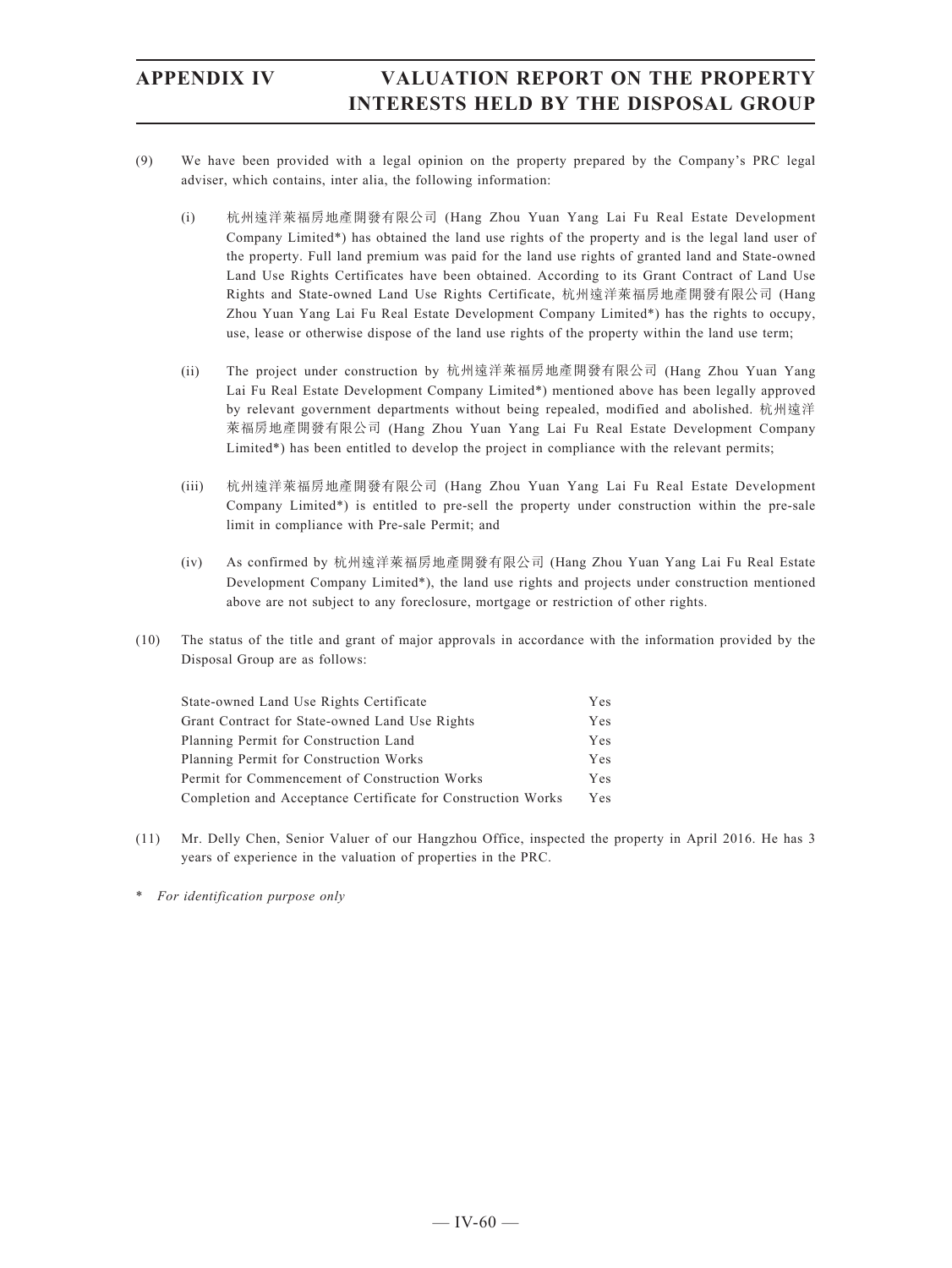- (9) We have been provided with a legal opinion on the property prepared by the Company's PRC legal adviser, which contains, inter alia, the following information:
	- (i) 杭州遠洋萊福房地產開發有限公司 (Hang Zhou Yuan Yang Lai Fu Real Estate Development Company Limited\*) has obtained the land use rights of the property and is the legal land user of the property. Full land premium was paid for the land use rights of granted land and State-owned Land Use Rights Certificates have been obtained. According to its Grant Contract of Land Use Rights and State-owned Land Use Rights Certificate, 杭州遠洋萊福房地產開發有限公司 (Hang Zhou Yuan Yang Lai Fu Real Estate Development Company Limited\*) has the rights to occupy, use, lease or otherwise dispose of the land use rights of the property within the land use term;
	- (ii) The project under construction by 杭州遠洋萊福房地產開發有限公司 (Hang Zhou Yuan Yang Lai Fu Real Estate Development Company Limited\*) mentioned above has been legally approved by relevant government departments without being repealed, modified and abolished. 杭州遠洋 萊福房地產開發有限公司 (Hang Zhou Yuan Yang Lai Fu Real Estate Development Company Limited\*) has been entitled to develop the project in compliance with the relevant permits;
	- (iii) 杭州遠洋萊福房地產開發有限公司 (Hang Zhou Yuan Yang Lai Fu Real Estate Development Company Limited\*) is entitled to pre-sell the property under construction within the pre-sale limit in compliance with Pre-sale Permit; and
	- (iv) As confirmed by 杭州遠洋萊福房地產開發有限公司 (Hang Zhou Yuan Yang Lai Fu Real Estate Development Company Limited\*), the land use rights and projects under construction mentioned above are not subject to any foreclosure, mortgage or restriction of other rights.
- (10) The status of the title and grant of major approvals in accordance with the information provided by the Disposal Group are as follows:

| State-owned Land Use Rights Certificate                      | Yes  |
|--------------------------------------------------------------|------|
| Grant Contract for State-owned Land Use Rights               | Yes  |
| Planning Permit for Construction Land                        | Yes  |
| Planning Permit for Construction Works                       | Yes  |
| Permit for Commencement of Construction Works                | Yes  |
| Completion and Acceptance Certificate for Construction Works | Y es |

- (11) Mr. Delly Chen, Senior Valuer of our Hangzhou Office, inspected the property in April 2016. He has 3 years of experience in the valuation of properties in the PRC.
- \* *For identification purpose only*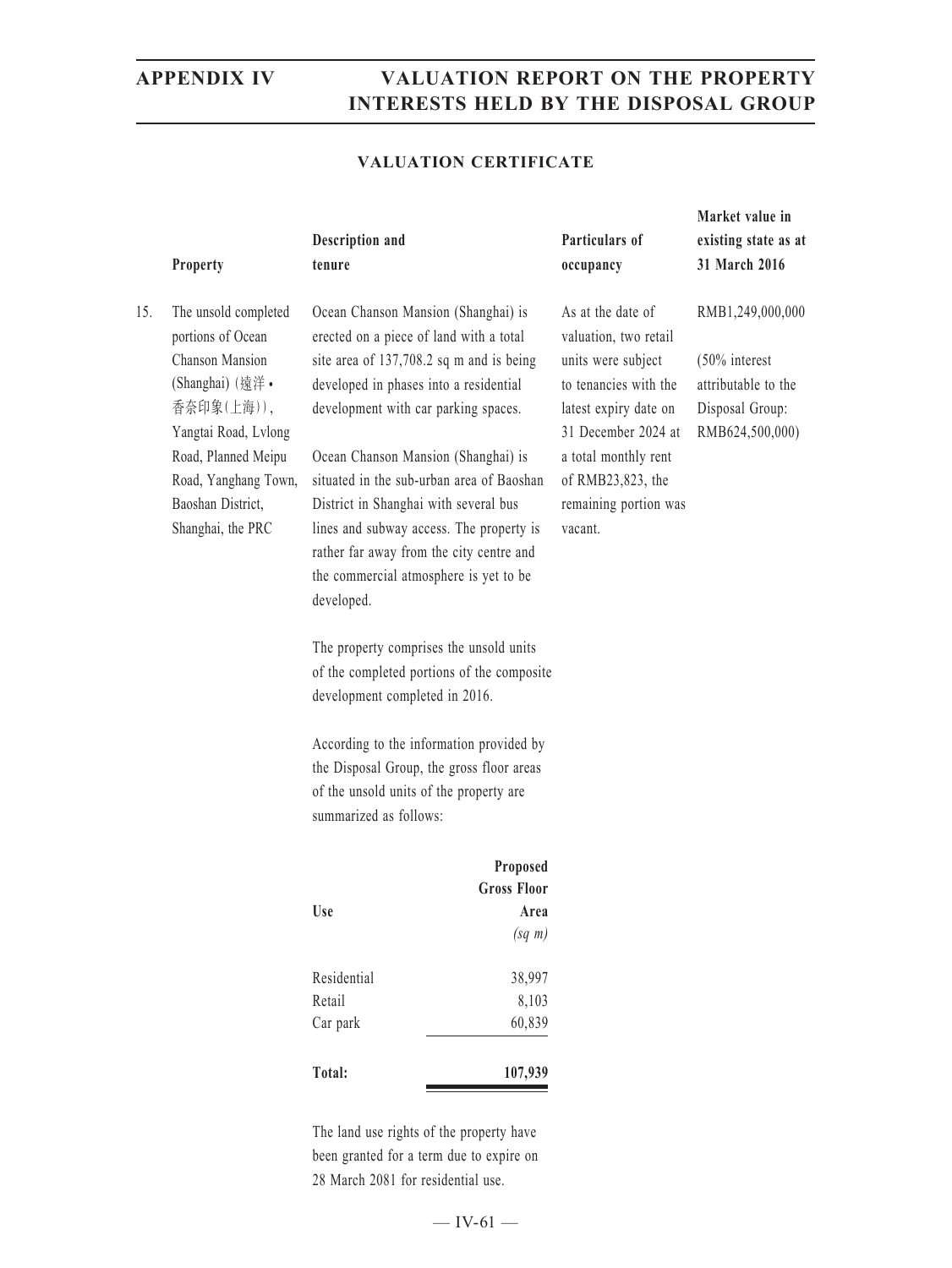### **VALUATION CERTIFICATE**

|     |                                             |                                                                                      |                    |                                              | Market value in                    |
|-----|---------------------------------------------|--------------------------------------------------------------------------------------|--------------------|----------------------------------------------|------------------------------------|
|     |                                             | Description and                                                                      |                    | Particulars of                               | existing state as at               |
|     | Property                                    | tenure                                                                               |                    | occupancy                                    | 31 March 2016                      |
| 15. | The unsold completed<br>portions of Ocean   | Ocean Chanson Mansion (Shanghai) is<br>erected on a piece of land with a total       |                    | As at the date of<br>valuation, two retail   | RMB1,249,000,000                   |
|     | Chanson Mansion                             | site area of 137,708.2 sq m and is being                                             |                    | units were subject                           | $(50\%$ interest                   |
|     | (Shanghai) (遠洋·                             | developed in phases into a residential                                               |                    | to tenancies with the                        | attributable to the                |
|     | 香奈印象(上海)),<br>Yangtai Road, Lvlong          | development with car parking spaces.                                                 |                    | latest expiry date on<br>31 December 2024 at | Disposal Group:<br>RMB624,500,000) |
|     | Road, Planned Meipu<br>Road, Yanghang Town, | Ocean Chanson Mansion (Shanghai) is<br>situated in the sub-urban area of Baoshan     |                    | a total monthly rent<br>of RMB23,823, the    |                                    |
|     | Baoshan District,                           | District in Shanghai with several bus                                                |                    | remaining portion was                        |                                    |
|     | Shanghai, the PRC                           | lines and subway access. The property is                                             |                    | vacant.                                      |                                    |
|     |                                             | rather far away from the city centre and                                             |                    |                                              |                                    |
|     |                                             | the commercial atmosphere is yet to be                                               |                    |                                              |                                    |
|     |                                             | developed.                                                                           |                    |                                              |                                    |
|     |                                             | The property comprises the unsold units                                              |                    |                                              |                                    |
|     |                                             | of the completed portions of the composite                                           |                    |                                              |                                    |
|     |                                             | development completed in 2016.                                                       |                    |                                              |                                    |
|     |                                             | According to the information provided by                                             |                    |                                              |                                    |
|     |                                             | the Disposal Group, the gross floor areas                                            |                    |                                              |                                    |
|     |                                             | of the unsold units of the property are                                              |                    |                                              |                                    |
|     |                                             | summarized as follows:                                                               |                    |                                              |                                    |
|     |                                             |                                                                                      | Proposed           |                                              |                                    |
|     |                                             |                                                                                      | <b>Gross Floor</b> |                                              |                                    |
|     |                                             | Use                                                                                  | Area               |                                              |                                    |
|     |                                             |                                                                                      | $(sq \; m)$        |                                              |                                    |
|     |                                             | Residential                                                                          | 38,997             |                                              |                                    |
|     |                                             | Retail                                                                               | 8,103              |                                              |                                    |
|     |                                             | Car park                                                                             | 60,839             |                                              |                                    |
|     |                                             | Total:                                                                               | 107,939            |                                              |                                    |
|     |                                             |                                                                                      |                    |                                              |                                    |
|     |                                             | The land use rights of the property have<br>been granted for a term due to expire on |                    |                                              |                                    |
|     |                                             |                                                                                      |                    |                                              |                                    |

28 March 2081 for residential use.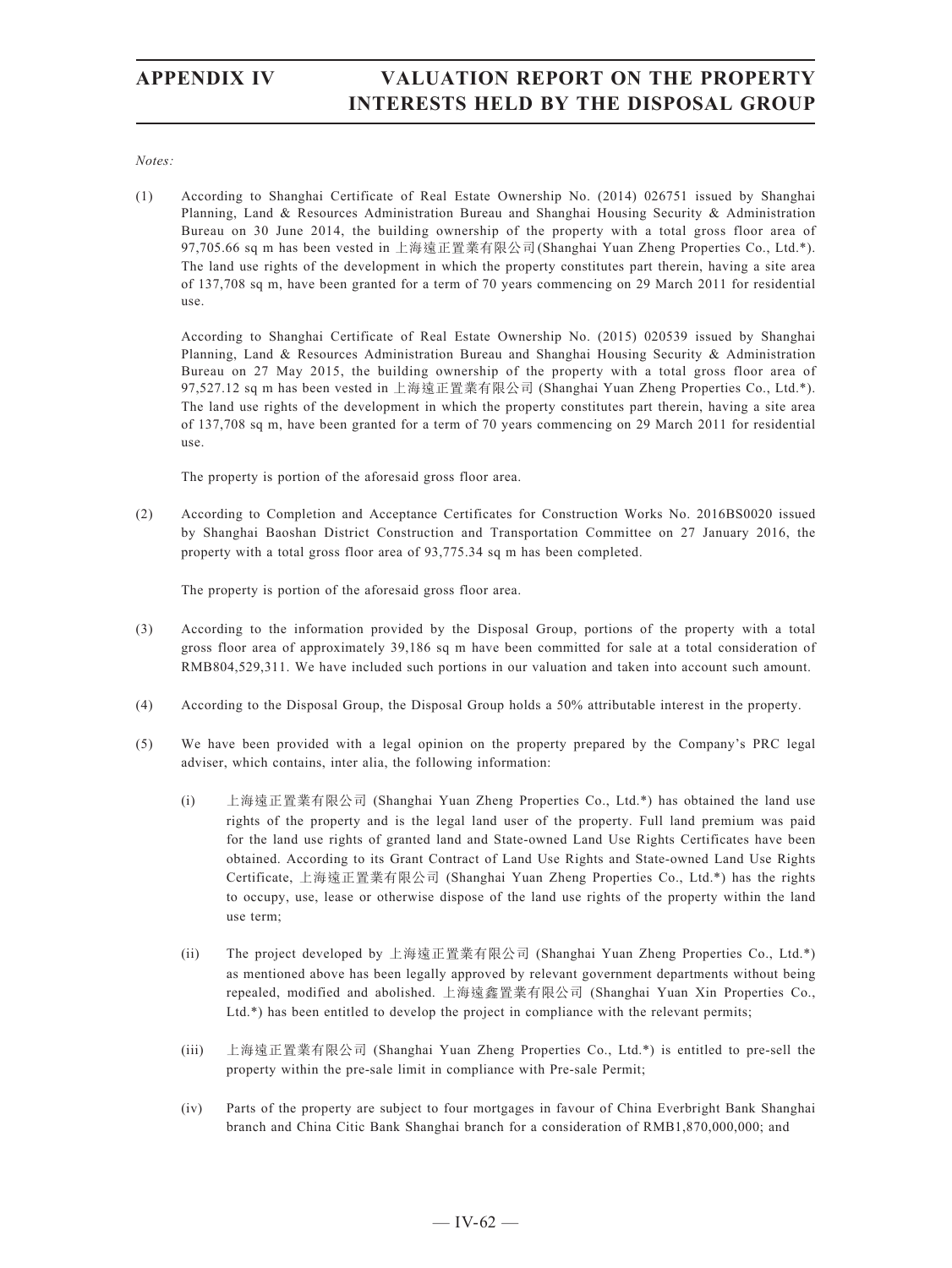*Notes:*

(1) According to Shanghai Certificate of Real Estate Ownership No. (2014) 026751 issued by Shanghai Planning, Land & Resources Administration Bureau and Shanghai Housing Security & Administration Bureau on 30 June 2014, the building ownership of the property with a total gross floor area of 97,705.66 sq m has been vested in 上海遠正置業有限公司(Shanghai Yuan Zheng Properties Co., Ltd.\*). The land use rights of the development in which the property constitutes part therein, having a site area of 137,708 sq m, have been granted for a term of 70 years commencing on 29 March 2011 for residential use.

According to Shanghai Certificate of Real Estate Ownership No. (2015) 020539 issued by Shanghai Planning, Land & Resources Administration Bureau and Shanghai Housing Security & Administration Bureau on 27 May 2015, the building ownership of the property with a total gross floor area of 97,527.12 sq m has been vested in 上海遠正置業有限公司 (Shanghai Yuan Zheng Properties Co., Ltd.\*). The land use rights of the development in which the property constitutes part therein, having a site area of 137,708 sq m, have been granted for a term of 70 years commencing on 29 March 2011 for residential use.

The property is portion of the aforesaid gross floor area.

(2) According to Completion and Acceptance Certificates for Construction Works No. 2016BS0020 issued by Shanghai Baoshan District Construction and Transportation Committee on 27 January 2016, the property with a total gross floor area of 93,775.34 sq m has been completed.

The property is portion of the aforesaid gross floor area.

- (3) According to the information provided by the Disposal Group, portions of the property with a total gross floor area of approximately 39,186 sq m have been committed for sale at a total consideration of RMB804,529,311. We have included such portions in our valuation and taken into account such amount.
- (4) According to the Disposal Group, the Disposal Group holds a 50% attributable interest in the property.
- (5) We have been provided with a legal opinion on the property prepared by the Company's PRC legal adviser, which contains, inter alia, the following information:
	- (i) 上海遠正置業有限公司 (Shanghai Yuan Zheng Properties Co., Ltd.\*) has obtained the land use rights of the property and is the legal land user of the property. Full land premium was paid for the land use rights of granted land and State-owned Land Use Rights Certificates have been obtained. According to its Grant Contract of Land Use Rights and State-owned Land Use Rights Certificate, 上海遠正置業有限公司 (Shanghai Yuan Zheng Properties Co., Ltd.\*) has the rights to occupy, use, lease or otherwise dispose of the land use rights of the property within the land use term;
	- (ii) The project developed by 上海遠正置業有限公司 (Shanghai Yuan Zheng Properties Co., Ltd.\*) as mentioned above has been legally approved by relevant government departments without being repealed, modified and abolished. 上海遠鑫置業有限公司 (Shanghai Yuan Xin Properties Co., Ltd.\*) has been entitled to develop the project in compliance with the relevant permits;
	- (iii) 上海遠正置業有限公司 (Shanghai Yuan Zheng Properties Co., Ltd.\*) is entitled to pre-sell the property within the pre-sale limit in compliance with Pre-sale Permit;
	- (iv) Parts of the property are subject to four mortgages in favour of China Everbright Bank Shanghai branch and China Citic Bank Shanghai branch for a consideration of RMB1,870,000,000; and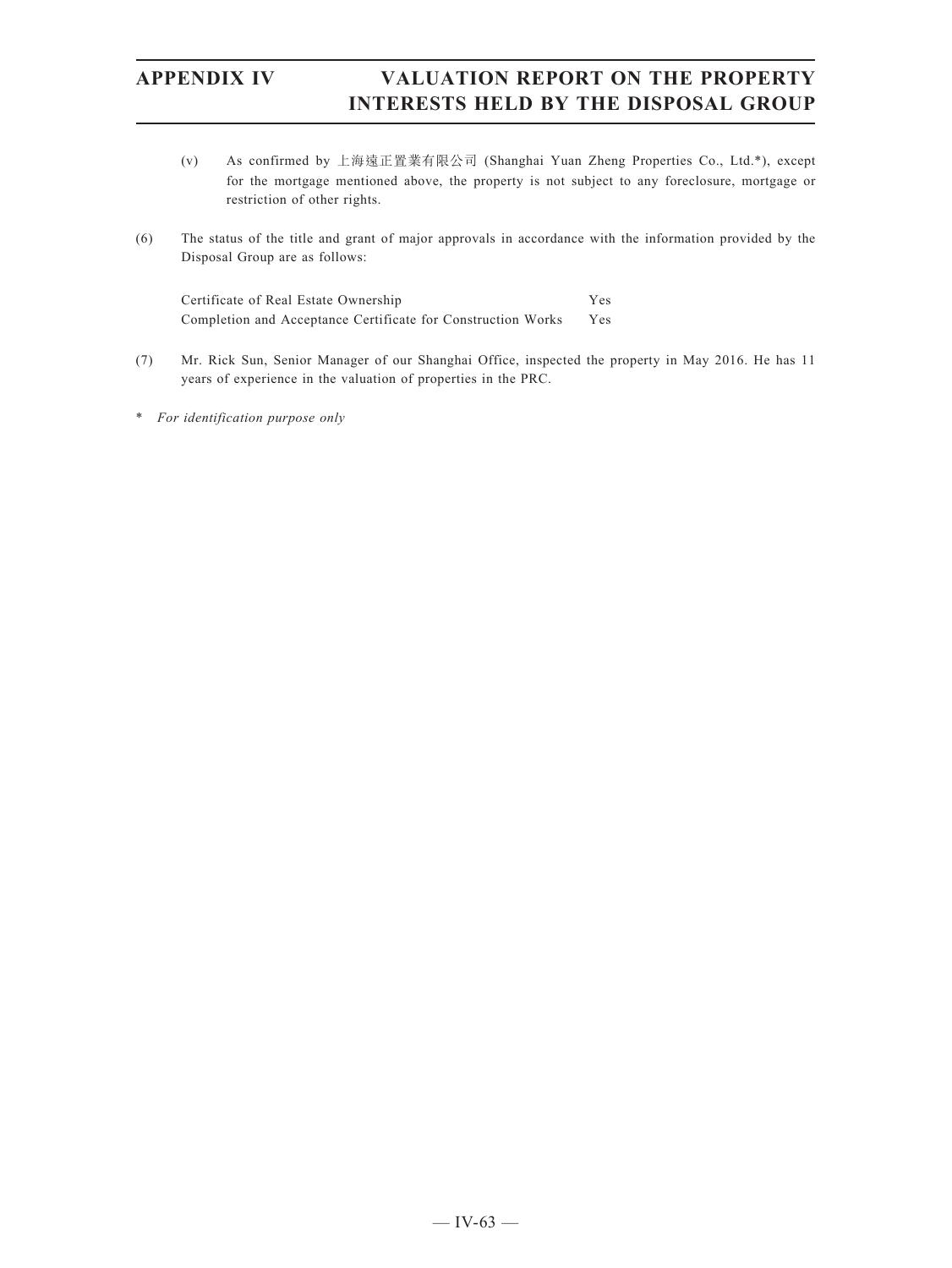- (v) As confirmed by 上海遠正置業有限公司 (Shanghai Yuan Zheng Properties Co., Ltd.\*), except for the mortgage mentioned above, the property is not subject to any foreclosure, mortgage or restriction of other rights.
- (6) The status of the title and grant of major approvals in accordance with the information provided by the Disposal Group are as follows:

Certificate of Real Estate Ownership Yes Completion and Acceptance Certificate for Construction Works Yes

- (7) Mr. Rick Sun, Senior Manager of our Shanghai Office, inspected the property in May 2016. He has 11 years of experience in the valuation of properties in the PRC.
- \* *For identification purpose only*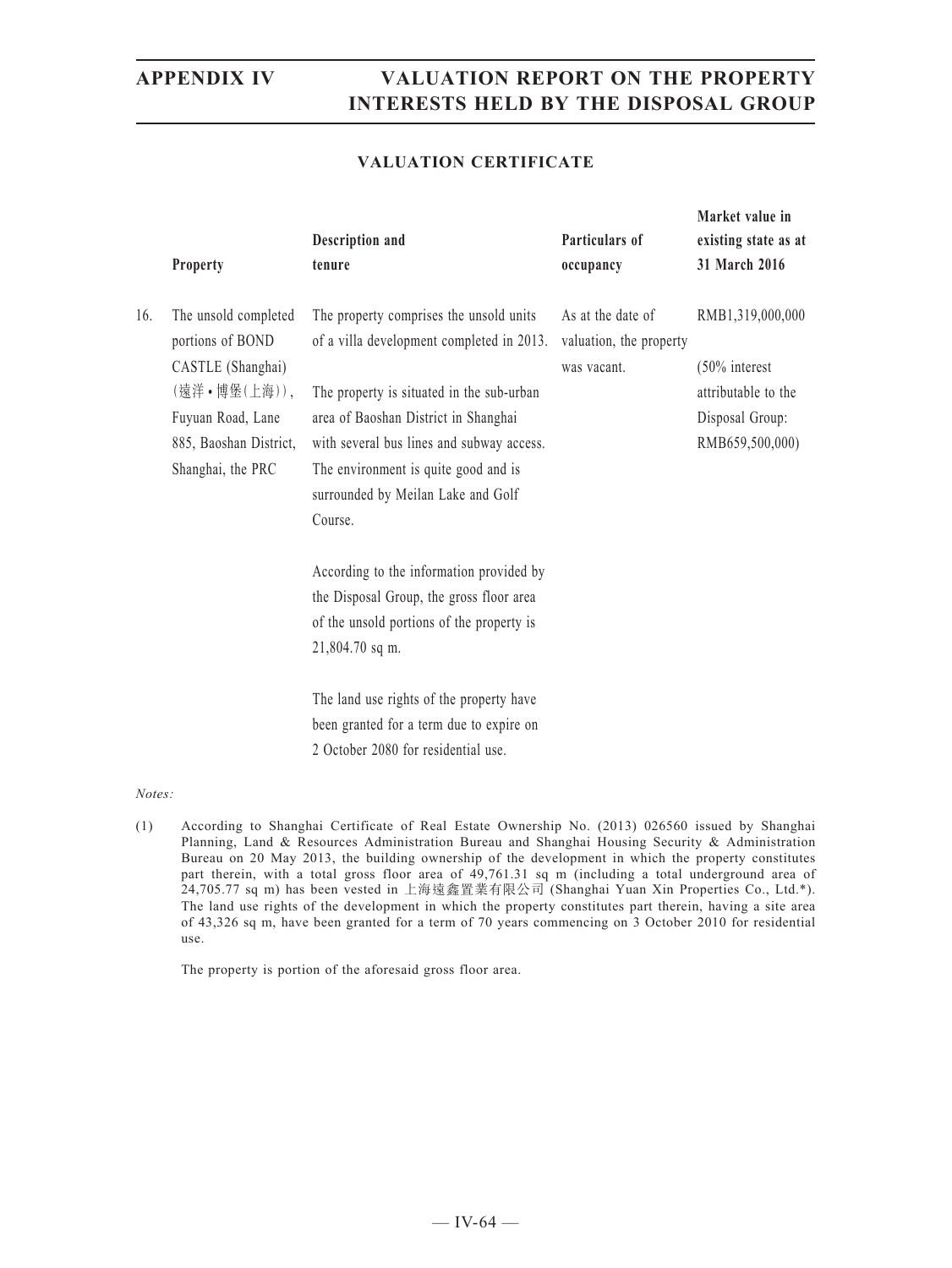**Market value in** 

### **VALUATION CERTIFICATE**

|     | Property                                                                                                                                          | Description and<br>tenure                                                                                                                                                                                                                                                                                       | Particulars of<br>occupancy                                 | existing state as at<br>31 March 2016                                                             |
|-----|---------------------------------------------------------------------------------------------------------------------------------------------------|-----------------------------------------------------------------------------------------------------------------------------------------------------------------------------------------------------------------------------------------------------------------------------------------------------------------|-------------------------------------------------------------|---------------------------------------------------------------------------------------------------|
| 16. | The unsold completed<br>portions of BOND<br>CASTLE (Shanghai)<br>(遠洋•博堡(上海)),<br>Fuyuan Road, Lane<br>885, Baoshan District,<br>Shanghai, the PRC | The property comprises the unsold units<br>of a villa development completed in 2013.<br>The property is situated in the sub-urban<br>area of Baoshan District in Shanghai<br>with several bus lines and subway access.<br>The environment is quite good and is<br>surrounded by Meilan Lake and Golf<br>Course. | As at the date of<br>valuation, the property<br>was vacant. | RMB1,319,000,000<br>$(50\%$ interest<br>attributable to the<br>Disposal Group:<br>RMB659,500,000) |
|     |                                                                                                                                                   | According to the information provided by<br>the Disposal Group, the gross floor area<br>of the unsold portions of the property is<br>21,804.70 sq m.<br>The land use rights of the property have<br>been granted for a term due to expire on<br>2 October 2080 for residential use.                             |                                                             |                                                                                                   |

### *Notes:*

(1) According to Shanghai Certificate of Real Estate Ownership No. (2013) 026560 issued by Shanghai Planning, Land & Resources Administration Bureau and Shanghai Housing Security & Administration Bureau on 20 May 2013, the building ownership of the development in which the property constitutes part therein, with a total gross floor area of 49,761.31 sq m (including a total underground area of 24,705.77 sq m) has been vested in 上海遠鑫置業有限公司 (Shanghai Yuan Xin Properties Co., Ltd.\*). The land use rights of the development in which the property constitutes part therein, having a site area of 43,326 sq m, have been granted for a term of 70 years commencing on 3 October 2010 for residential use.

The property is portion of the aforesaid gross floor area.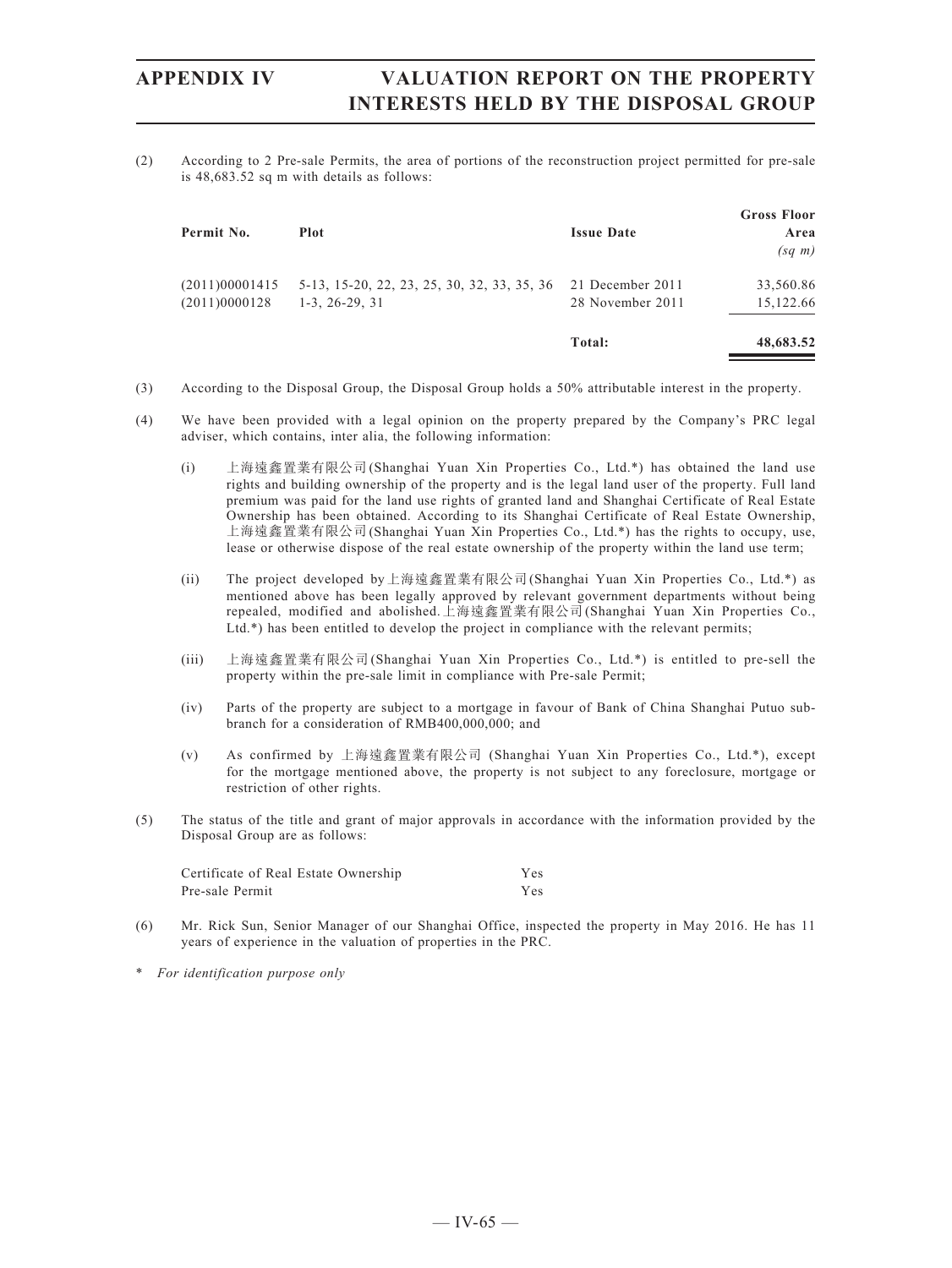(2) According to 2 Pre-sale Permits, the area of portions of the reconstruction project permitted for pre-sale is 48,683.52 sq m with details as follows:

| Permit No.                      | <b>Plot</b>                                                     | <b>Issue Date</b>                    | <b>Gross Floor</b><br>Area<br>$(sq \; m)$ |
|---------------------------------|-----------------------------------------------------------------|--------------------------------------|-------------------------------------------|
| (2011)00001415<br>(2011)0000128 | 5-13, 15-20, 22, 23, 25, 30, 32, 33, 35, 36<br>$1-3, 26-29, 31$ | 21 December 2011<br>28 November 2011 | 33,560.86<br>15,122.66                    |
|                                 |                                                                 | Total:                               | 48,683.52                                 |

- (3) According to the Disposal Group, the Disposal Group holds a 50% attributable interest in the property.
- (4) We have been provided with a legal opinion on the property prepared by the Company's PRC legal adviser, which contains, inter alia, the following information:
	- (i) 上海遠鑫置業有限公司(Shanghai Yuan Xin Properties Co., Ltd.\*) has obtained the land use rights and building ownership of the property and is the legal land user of the property. Full land premium was paid for the land use rights of granted land and Shanghai Certificate of Real Estate Ownership has been obtained. According to its Shanghai Certificate of Real Estate Ownership, 上海遠鑫置業有限公司(Shanghai Yuan Xin Properties Co., Ltd.\*) has the rights to occupy, use, lease or otherwise dispose of the real estate ownership of the property within the land use term;
	- (ii) The project developed by上海遠鑫置業有限公司(Shanghai Yuan Xin Properties Co., Ltd.\*) as mentioned above has been legally approved by relevant government departments without being repealed, modified and abolished.上海遠鑫置業有限公司(Shanghai Yuan Xin Properties Co., Ltd.\*) has been entitled to develop the project in compliance with the relevant permits;
	- (iii) 上海遠鑫置業有限公司(Shanghai Yuan Xin Properties Co., Ltd.\*) is entitled to pre-sell the property within the pre-sale limit in compliance with Pre-sale Permit;
	- (iv) Parts of the property are subject to a mortgage in favour of Bank of China Shanghai Putuo subbranch for a consideration of RMB400,000,000; and
	- (v) As confirmed by 上海遠鑫置業有限公司 (Shanghai Yuan Xin Properties Co., Ltd.\*), except for the mortgage mentioned above, the property is not subject to any foreclosure, mortgage or restriction of other rights.
- (5) The status of the title and grant of major approvals in accordance with the information provided by the Disposal Group are as follows:

| Certificate of Real Estate Ownership | <b>Yes</b> |  |
|--------------------------------------|------------|--|
| Pre-sale Permit                      | Yes.       |  |

- (6) Mr. Rick Sun, Senior Manager of our Shanghai Office, inspected the property in May 2016. He has 11 years of experience in the valuation of properties in the PRC.
- \* *For identification purpose only*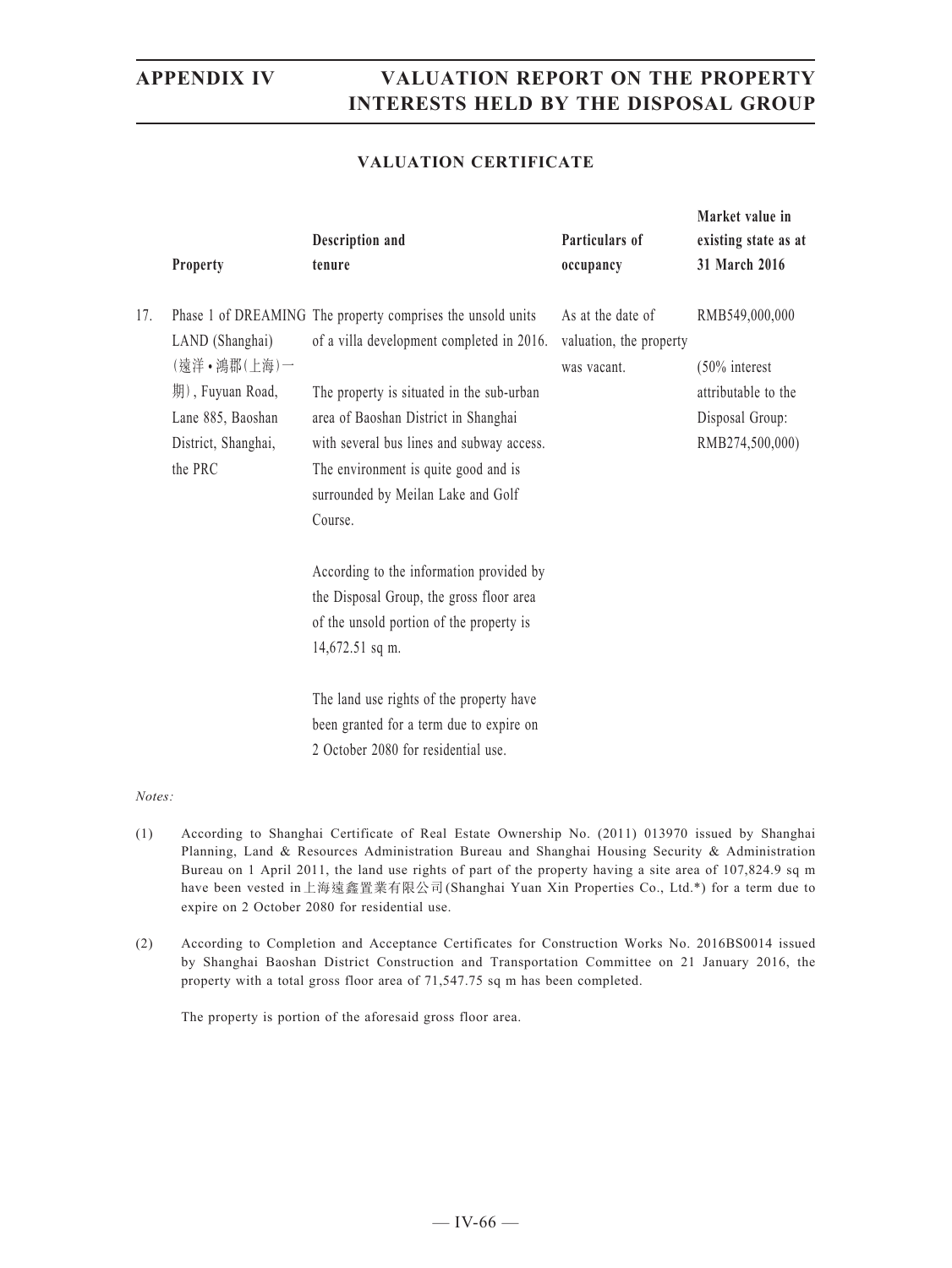**Market value in** 

### **VALUATION CERTIFICATE**

|     | Property                                                                                                  | Description and<br>tenure                                                                                                                                                                                                                                                                                                           | Particulars of<br>occupancy                                 | existing state as at<br>31 March 2016                                                           |
|-----|-----------------------------------------------------------------------------------------------------------|-------------------------------------------------------------------------------------------------------------------------------------------------------------------------------------------------------------------------------------------------------------------------------------------------------------------------------------|-------------------------------------------------------------|-------------------------------------------------------------------------------------------------|
| 17. | LAND (Shanghai)<br>(遠洋·鴻郡(上海)一<br>期), Fuyuan Road,<br>Lane 885, Baoshan<br>District, Shanghai,<br>the PRC | Phase 1 of DREAMING The property comprises the unsold units<br>of a villa development completed in 2016.<br>The property is situated in the sub-urban<br>area of Baoshan District in Shanghai<br>with several bus lines and subway access.<br>The environment is quite good and is<br>surrounded by Meilan Lake and Golf<br>Course. | As at the date of<br>valuation, the property<br>was vacant. | RMB549,000,000<br>$(50\%$ interest<br>attributable to the<br>Disposal Group:<br>RMB274,500,000) |
|     |                                                                                                           | According to the information provided by<br>the Disposal Group, the gross floor area<br>of the unsold portion of the property is<br>14,672.51 sq m.<br>The land use rights of the property have<br>been granted for a term due to expire on<br>2 October 2080 for residential use.                                                  |                                                             |                                                                                                 |

### *Notes:*

- (1) According to Shanghai Certificate of Real Estate Ownership No. (2011) 013970 issued by Shanghai Planning, Land & Resources Administration Bureau and Shanghai Housing Security & Administration Bureau on 1 April 2011, the land use rights of part of the property having a site area of 107,824.9 sq m have been vested in上海遠鑫置業有限公司(Shanghai Yuan Xin Properties Co., Ltd.\*) for a term due to expire on 2 October 2080 for residential use.
- (2) According to Completion and Acceptance Certificates for Construction Works No. 2016BS0014 issued by Shanghai Baoshan District Construction and Transportation Committee on 21 January 2016, the property with a total gross floor area of 71,547.75 sq m has been completed.

The property is portion of the aforesaid gross floor area.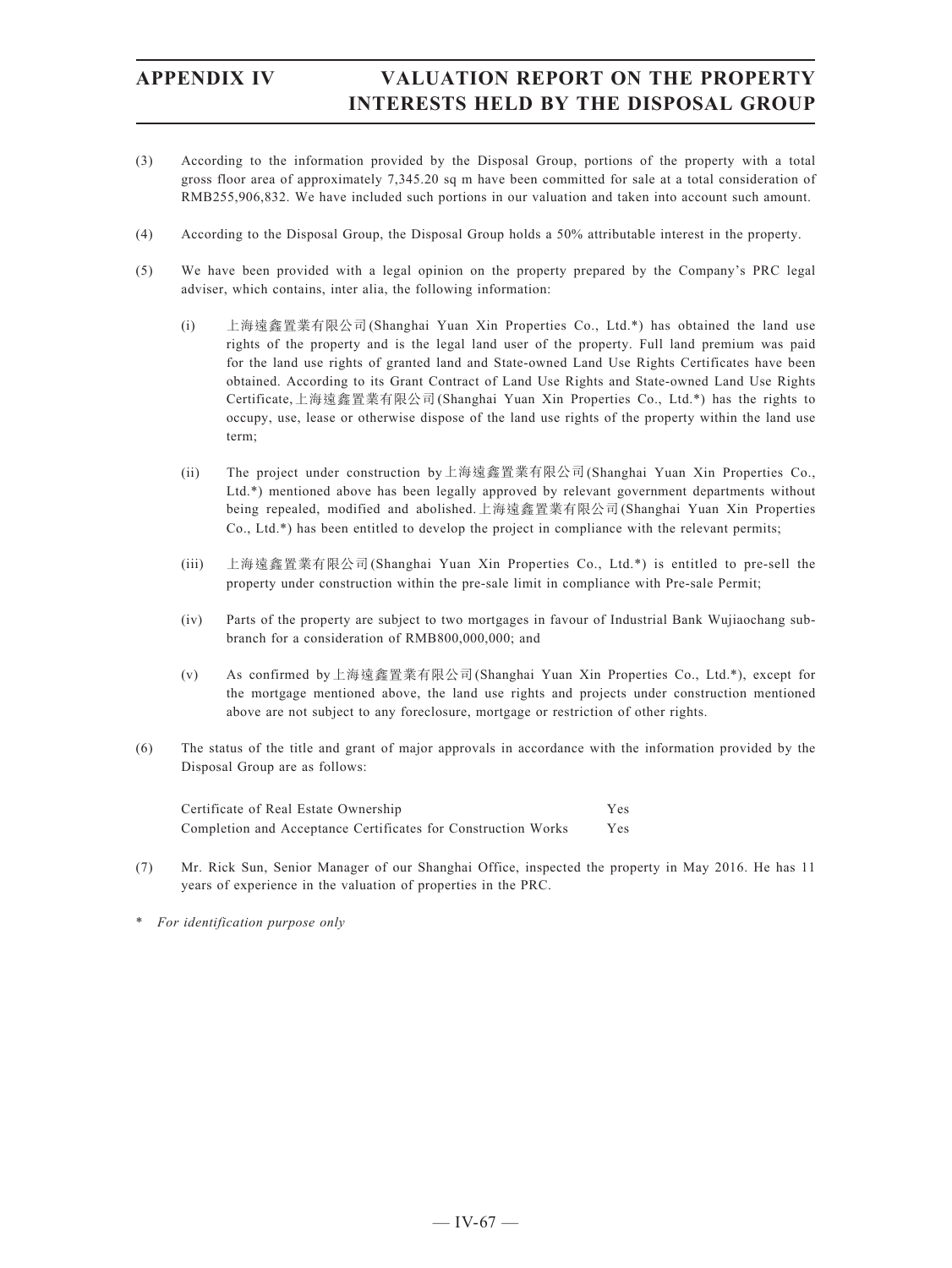- (3) According to the information provided by the Disposal Group, portions of the property with a total gross floor area of approximately 7,345.20 sq m have been committed for sale at a total consideration of RMB255,906,832. We have included such portions in our valuation and taken into account such amount.
- (4) According to the Disposal Group, the Disposal Group holds a 50% attributable interest in the property.
- (5) We have been provided with a legal opinion on the property prepared by the Company's PRC legal adviser, which contains, inter alia, the following information:
	- (i) 上海遠鑫置業有限公司(Shanghai Yuan Xin Properties Co., Ltd.\*) has obtained the land use rights of the property and is the legal land user of the property. Full land premium was paid for the land use rights of granted land and State-owned Land Use Rights Certificates have been obtained. According to its Grant Contract of Land Use Rights and State-owned Land Use Rights Certificate,上海遠鑫置業有限公司(Shanghai Yuan Xin Properties Co., Ltd.\*) has the rights to occupy, use, lease or otherwise dispose of the land use rights of the property within the land use term;
	- (ii) The project under construction by上海遠鑫置業有限公司(Shanghai Yuan Xin Properties Co., Ltd.\*) mentioned above has been legally approved by relevant government departments without being repealed, modified and abolished.上海遠鑫置業有限公司(Shanghai Yuan Xin Properties Co., Ltd.\*) has been entitled to develop the project in compliance with the relevant permits;
	- (iii) 上海遠鑫置業有限公司(Shanghai Yuan Xin Properties Co., Ltd.\*) is entitled to pre-sell the property under construction within the pre-sale limit in compliance with Pre-sale Permit;
	- (iv) Parts of the property are subject to two mortgages in favour of Industrial Bank Wujiaochang subbranch for a consideration of RMB800,000,000; and
	- (v) As confirmed by上海遠鑫置業有限公司(Shanghai Yuan Xin Properties Co., Ltd.\*), except for the mortgage mentioned above, the land use rights and projects under construction mentioned above are not subject to any foreclosure, mortgage or restriction of other rights.
- (6) The status of the title and grant of major approvals in accordance with the information provided by the Disposal Group are as follows:

Certificate of Real Estate Ownership Yes Completion and Acceptance Certificates for Construction Works Yes

- (7) Mr. Rick Sun, Senior Manager of our Shanghai Office, inspected the property in May 2016. He has 11 years of experience in the valuation of properties in the PRC.
- \* *For identification purpose only*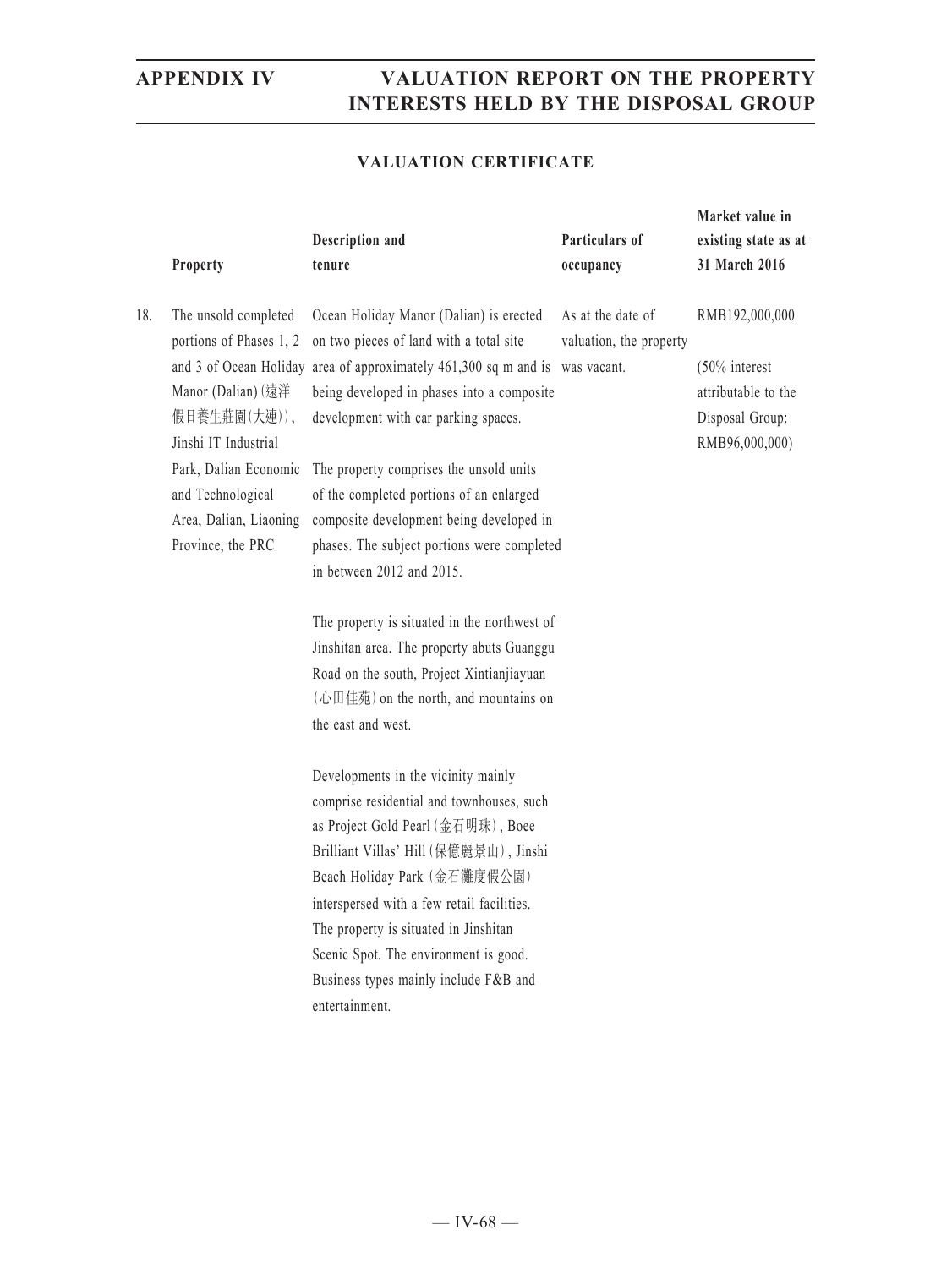### **VALUATION CERTIFICATE**

|     | Property                                                                                                                                                                                                   | Description and<br>tenure                                                                                                                                                                                                                                                                                                                                                                                                                                                                                                                                                                                                                                                                                                                                                                                                                                                                                                                                                                                                                                            | Particulars of<br>occupancy                                 | Market value in<br>existing state as at<br>31 March 2016                                       |
|-----|------------------------------------------------------------------------------------------------------------------------------------------------------------------------------------------------------------|----------------------------------------------------------------------------------------------------------------------------------------------------------------------------------------------------------------------------------------------------------------------------------------------------------------------------------------------------------------------------------------------------------------------------------------------------------------------------------------------------------------------------------------------------------------------------------------------------------------------------------------------------------------------------------------------------------------------------------------------------------------------------------------------------------------------------------------------------------------------------------------------------------------------------------------------------------------------------------------------------------------------------------------------------------------------|-------------------------------------------------------------|------------------------------------------------------------------------------------------------|
| 18. | The unsold completed<br>portions of Phases 1, 2<br>Manor (Dalian) (遠洋<br>假日養生莊園(大連)),<br>Jinshi IT Industrial<br>Park, Dalian Economic<br>and Technological<br>Area, Dalian, Liaoning<br>Province, the PRC | Ocean Holiday Manor (Dalian) is erected<br>on two pieces of land with a total site<br>and 3 of Ocean Holiday area of approximately 461,300 sq m and is<br>being developed in phases into a composite<br>development with car parking spaces.<br>The property comprises the unsold units<br>of the completed portions of an enlarged<br>composite development being developed in<br>phases. The subject portions were completed<br>in between 2012 and 2015.<br>The property is situated in the northwest of<br>Jinshitan area. The property abuts Guanggu<br>Road on the south, Project Xintianjiayuan<br>(心田佳苑) on the north, and mountains on<br>the east and west.<br>Developments in the vicinity mainly<br>comprise residential and townhouses, such<br>as Project Gold Pearl (金石明珠), Boee<br>Brilliant Villas' Hill (保億麗景山), Jinshi<br>Beach Holiday Park (金石灘度假公園)<br>interspersed with a few retail facilities.<br>The property is situated in Jinshitan<br>Scenic Spot. The environment is good.<br>Business types mainly include F&B and<br>entertainment. | As at the date of<br>valuation, the property<br>was vacant. | RMB192,000,000<br>$(50\%$ interest<br>attributable to the<br>Disposal Group:<br>RMB96,000,000) |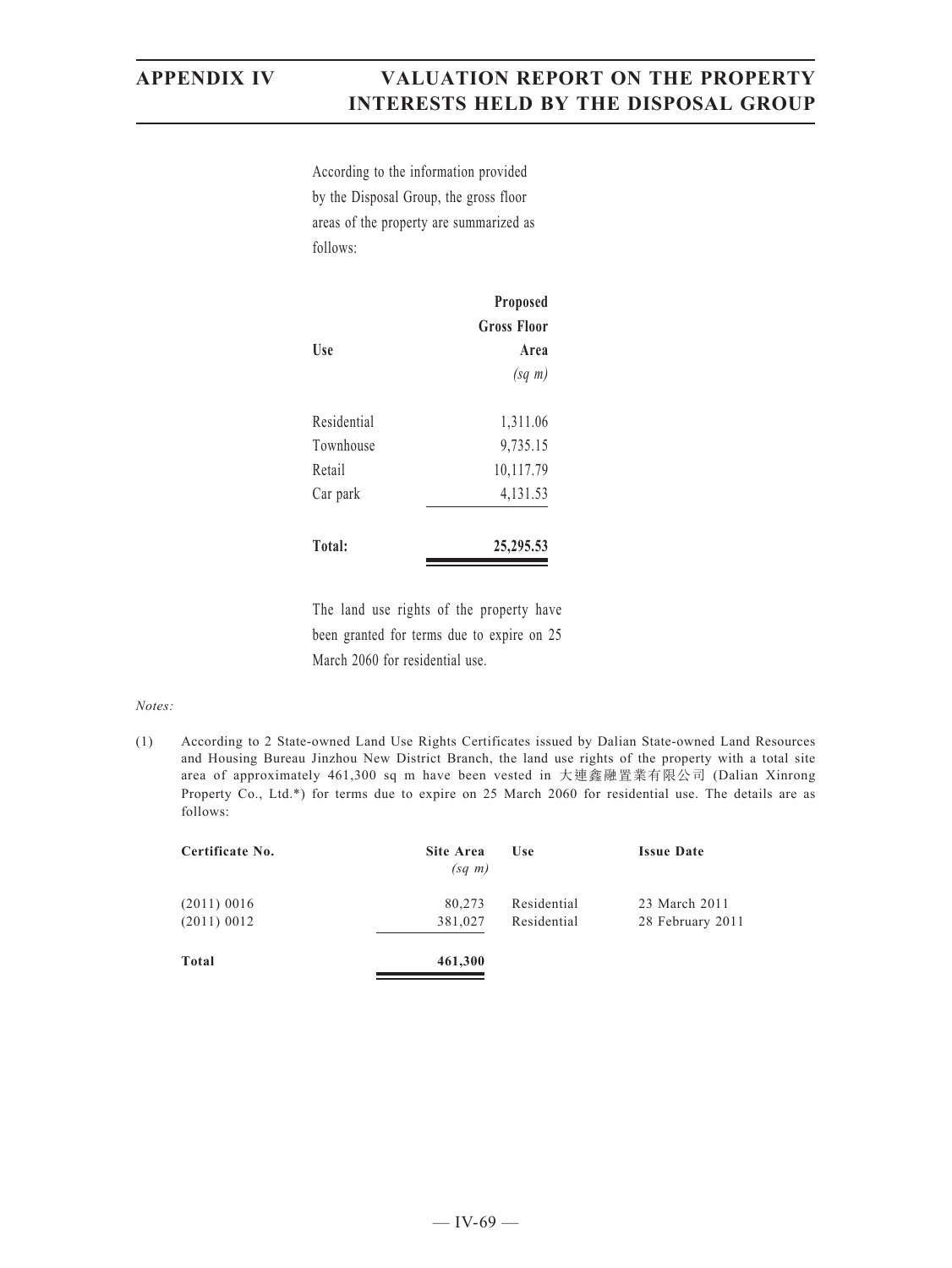According to the information provided by the Disposal Group, the gross floor areas of the property are summarized as follows:

|             | Proposed<br><b>Gross Floor</b> |
|-------------|--------------------------------|
| Use         | Area                           |
|             | $(sq \; m)$                    |
| Residential | 1,311.06                       |
| Townhouse   | 9,735.15                       |
| Retail      | 10,117.79                      |
| Car park    | 4,131.53                       |
| Total:      | 25, 295. 53                    |

The land use rights of the property have been granted for terms due to expire on 25 March 2060 for residential use.

### *Notes:*

(1) According to 2 State-owned Land Use Rights Certificates issued by Dalian State-owned Land Resources and Housing Bureau Jinzhou New District Branch, the land use rights of the property with a total site area of approximately 461,300 sq m have been vested in 大連鑫融置業有限公司 (Dalian Xinrong Property Co., Ltd.\*) for terms due to expire on 25 March 2060 for residential use. The details are as follows:

| Certificate No. | <b>Site Area</b><br>$(sq \; m)$ | Use         | <b>Issue Date</b> |
|-----------------|---------------------------------|-------------|-------------------|
| $(2011)$ 0016   | 80,273                          | Residential | 23 March 2011     |
| $(2011)$ 0012   | 381,027                         | Residential | 28 February 2011  |
| Total           | 461,300                         |             |                   |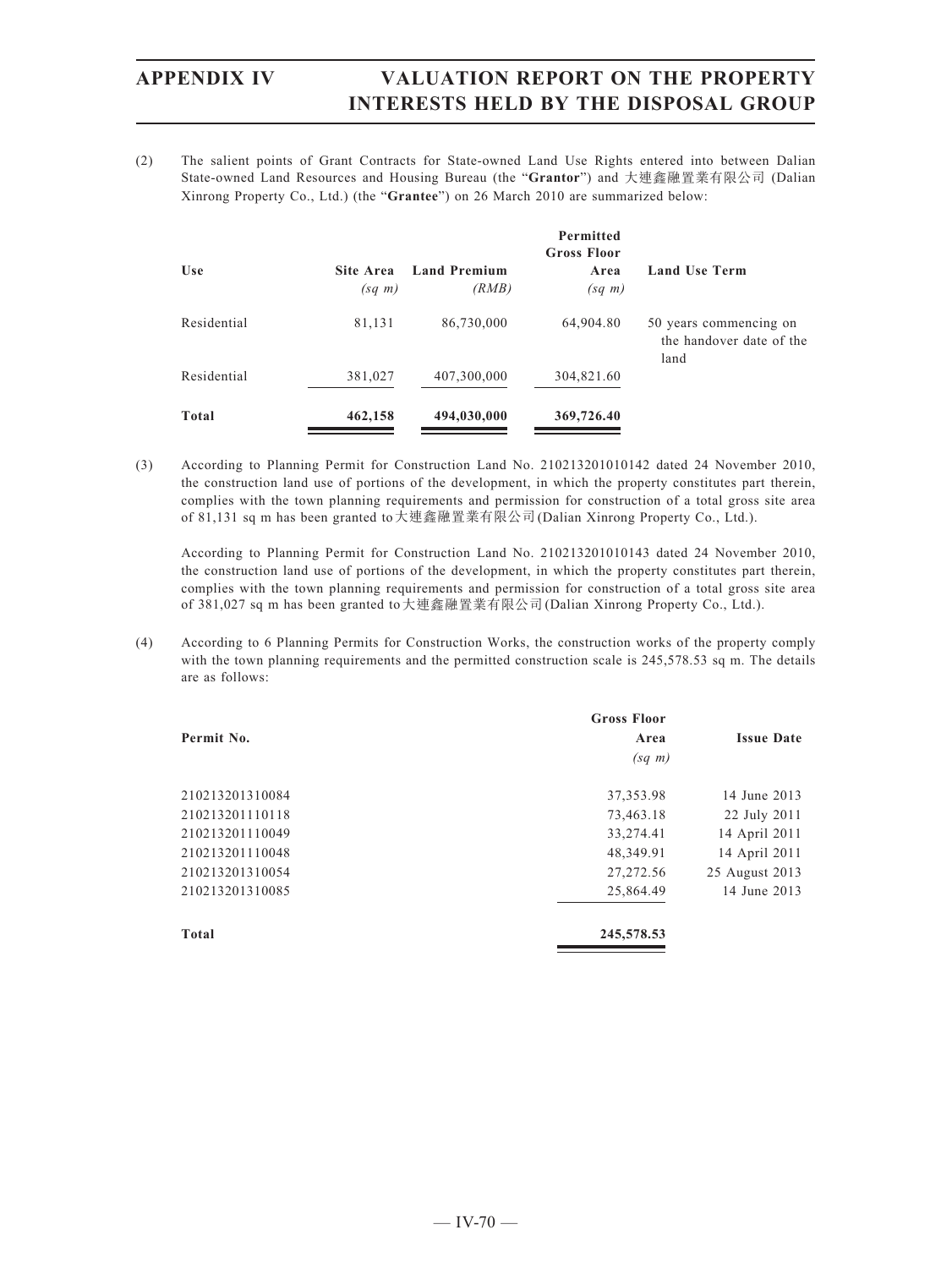(2) The salient points of Grant Contracts for State-owned Land Use Rights entered into between Dalian State-owned Land Resources and Housing Bureau (the "**Grantor**") and 大連鑫融置業有限公司 (Dalian Xinrong Property Co., Ltd.) (the "**Grantee**") on 26 March 2010 are summarized below:

|              |                          |                              | <b>Permitted</b><br><b>Gross Floor</b> |                                                            |
|--------------|--------------------------|------------------------------|----------------------------------------|------------------------------------------------------------|
| Use          | Site Area<br>$(sq \; m)$ | <b>Land Premium</b><br>(RMB) | Area<br>$(sq \; m)$                    | <b>Land Use Term</b>                                       |
| Residential  | 81,131                   | 86,730,000                   | 64,904.80                              | 50 years commencing on<br>the handover date of the<br>land |
| Residential  | 381,027                  | 407,300,000                  | 304,821.60                             |                                                            |
| <b>Total</b> | 462,158                  | 494,030,000                  | 369,726.40                             |                                                            |

(3) According to Planning Permit for Construction Land No. 210213201010142 dated 24 November 2010, the construction land use of portions of the development, in which the property constitutes part therein, complies with the town planning requirements and permission for construction of a total gross site area of 81,131 sq m has been granted to大連鑫融置業有限公司(Dalian Xinrong Property Co., Ltd.).

According to Planning Permit for Construction Land No. 210213201010143 dated 24 November 2010, the construction land use of portions of the development, in which the property constitutes part therein, complies with the town planning requirements and permission for construction of a total gross site area of 381,027 sq m has been granted to大連鑫融置業有限公司(Dalian Xinrong Property Co., Ltd.).

(4) According to 6 Planning Permits for Construction Works, the construction works of the property comply with the town planning requirements and the permitted construction scale is 245,578.53 sq m. The details are as follows:

|                 | <b>Gross Floor</b> |                   |
|-----------------|--------------------|-------------------|
| Permit No.      | Area               | <b>Issue Date</b> |
|                 | $(sq \; m)$        |                   |
| 210213201310084 | 37, 353. 98        | 14 June 2013      |
| 210213201110118 | 73,463.18          | 22 July 2011      |
| 210213201110049 | 33,274.41          | 14 April 2011     |
| 210213201110048 | 48,349.91          | 14 April 2011     |
| 210213201310054 | 27, 272.56         | 25 August 2013    |
| 210213201310085 | 25,864.49          | 14 June 2013      |
| Total           | 245,578.53         |                   |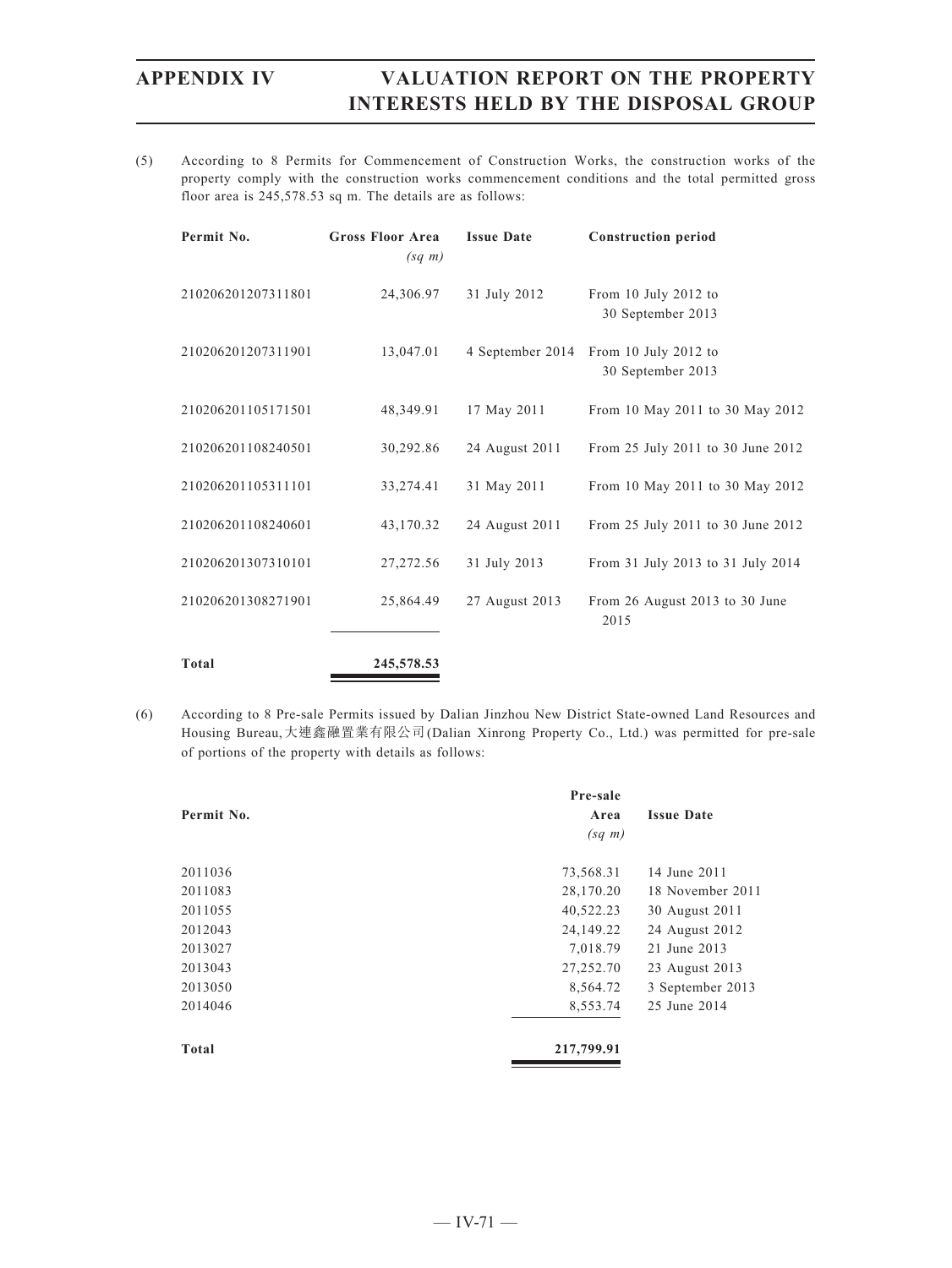(5) According to 8 Permits for Commencement of Construction Works, the construction works of the property comply with the construction works commencement conditions and the total permitted gross floor area is 245,578.53 sq m. The details are as follows:

| Permit No.         | <b>Gross Floor Area</b><br>$(sq \; m)$ | <b>Issue Date</b> | <b>Construction period</b>                |
|--------------------|----------------------------------------|-------------------|-------------------------------------------|
| 210206201207311801 | 24,306.97                              | 31 July 2012      | From 10 July 2012 to<br>30 September 2013 |
| 210206201207311901 | 13,047.01                              | 4 September 2014  | From 10 July 2012 to<br>30 September 2013 |
| 210206201105171501 | 48,349.91                              | 17 May 2011       | From 10 May 2011 to 30 May 2012           |
| 210206201108240501 | 30,292.86                              | 24 August 2011    | From 25 July 2011 to 30 June 2012         |
| 210206201105311101 | 33,274.41                              | 31 May 2011       | From 10 May 2011 to 30 May 2012           |
| 210206201108240601 | 43,170.32                              | 24 August 2011    | From 25 July 2011 to 30 June 2012         |
| 210206201307310101 | 27,272.56                              | 31 July 2013      | From 31 July 2013 to 31 July 2014         |
| 210206201308271901 | 25,864.49                              | 27 August 2013    | From 26 August 2013 to 30 June<br>2015    |
| Total              | 245,578.53                             |                   |                                           |

(6) According to 8 Pre-sale Permits issued by Dalian Jinzhou New District State-owned Land Resources and Housing Bureau,大連鑫融置業有限公司(Dalian Xinrong Property Co., Ltd.) was permitted for pre-sale of portions of the property with details as follows:

|            | Pre-sale    |                   |
|------------|-------------|-------------------|
| Permit No. | Area        | <b>Issue Date</b> |
|            | $(sq \; m)$ |                   |
| 2011036    | 73,568.31   | 14 June 2011      |
| 2011083    | 28,170.20   | 18 November 2011  |
| 2011055    | 40,522.23   | 30 August 2011    |
| 2012043    | 24,149.22   | 24 August 2012    |
| 2013027    | 7,018.79    | 21 June 2013      |
| 2013043    | 27,252.70   | 23 August 2013    |
| 2013050    | 8,564.72    | 3 September 2013  |
| 2014046    | 8,553.74    | 25 June 2014      |
| Total      | 217,799.91  |                   |
|            |             |                   |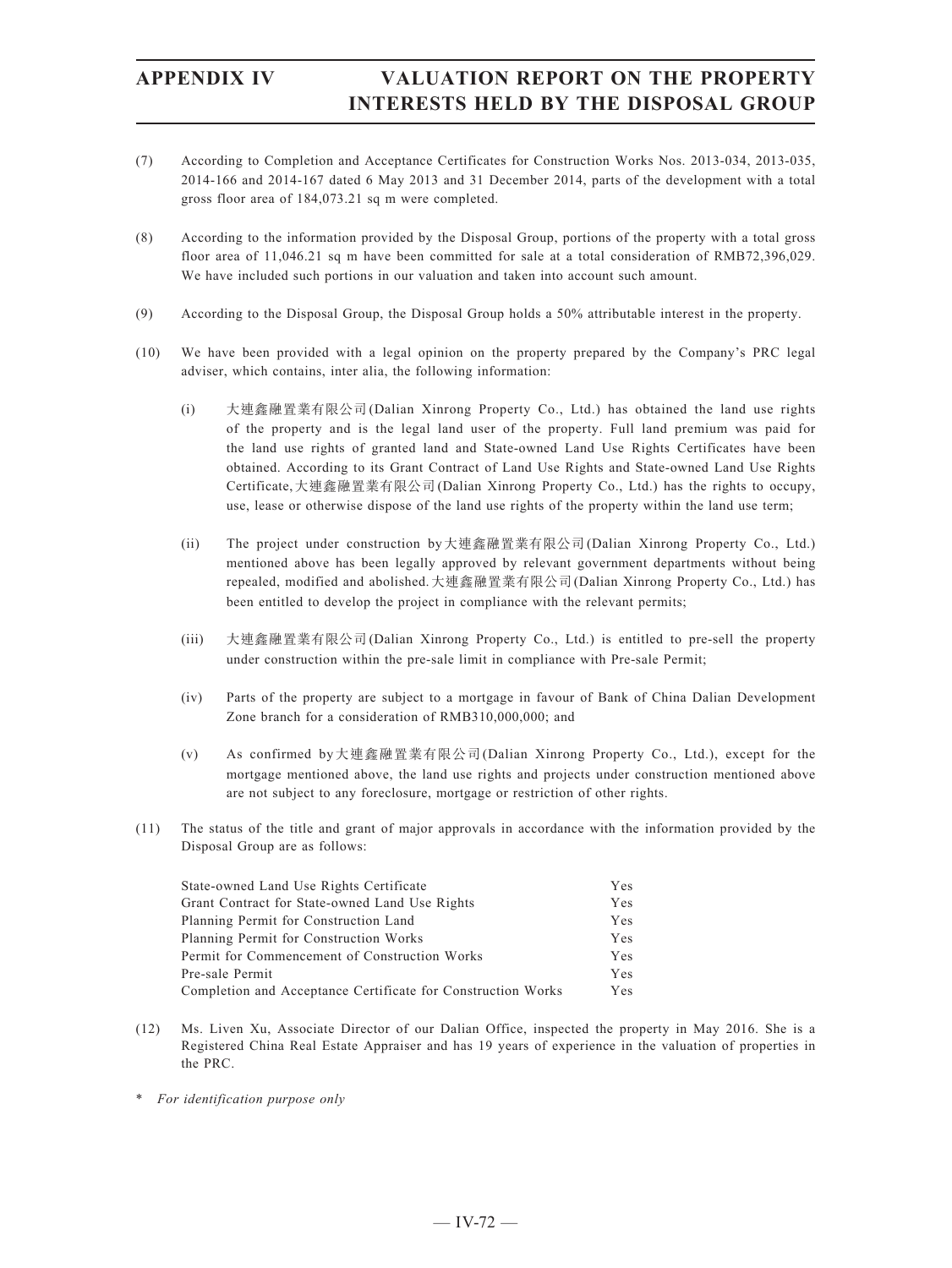- (7) According to Completion and Acceptance Certificates for Construction Works Nos. 2013-034, 2013-035, 2014-166 and 2014-167 dated 6 May 2013 and 31 December 2014, parts of the development with a total gross floor area of 184,073.21 sq m were completed.
- (8) According to the information provided by the Disposal Group, portions of the property with a total gross floor area of 11,046.21 sq m have been committed for sale at a total consideration of RMB72,396,029. We have included such portions in our valuation and taken into account such amount.
- (9) According to the Disposal Group, the Disposal Group holds a 50% attributable interest in the property.
- (10) We have been provided with a legal opinion on the property prepared by the Company's PRC legal adviser, which contains, inter alia, the following information:
	- (i) 大連鑫融置業有限公司(Dalian Xinrong Property Co., Ltd.) has obtained the land use rights of the property and is the legal land user of the property. Full land premium was paid for the land use rights of granted land and State-owned Land Use Rights Certificates have been obtained. According to its Grant Contract of Land Use Rights and State-owned Land Use Rights Certificate,大連鑫融置業有限公司(Dalian Xinrong Property Co., Ltd.) has the rights to occupy, use, lease or otherwise dispose of the land use rights of the property within the land use term;
	- (ii) The project under construction by大連鑫融置業有限公司(Dalian Xinrong Property Co., Ltd.) mentioned above has been legally approved by relevant government departments without being repealed, modified and abolished.大連鑫融置業有限公司(Dalian Xinrong Property Co., Ltd.) has been entitled to develop the project in compliance with the relevant permits;
	- (iii) 大連鑫融置業有限公司(Dalian Xinrong Property Co., Ltd.) is entitled to pre-sell the property under construction within the pre-sale limit in compliance with Pre-sale Permit;
	- (iv) Parts of the property are subject to a mortgage in favour of Bank of China Dalian Development Zone branch for a consideration of RMB310,000,000; and
	- (v) As confirmed by大連鑫融置業有限公司(Dalian Xinrong Property Co., Ltd.), except for the mortgage mentioned above, the land use rights and projects under construction mentioned above are not subject to any foreclosure, mortgage or restriction of other rights.
- (11) The status of the title and grant of major approvals in accordance with the information provided by the Disposal Group are as follows:

| State-owned Land Use Rights Certificate                      | Yes |
|--------------------------------------------------------------|-----|
| Grant Contract for State-owned Land Use Rights               | Yes |
| Planning Permit for Construction Land                        | Yes |
| Planning Permit for Construction Works                       | Yes |
| Permit for Commencement of Construction Works                | Yes |
| Pre-sale Permit                                              | Yes |
| Completion and Acceptance Certificate for Construction Works | Yes |

- (12) Ms. Liven Xu, Associate Director of our Dalian Office, inspected the property in May 2016. She is a Registered China Real Estate Appraiser and has 19 years of experience in the valuation of properties in the PRC.
- \* *For identification purpose only*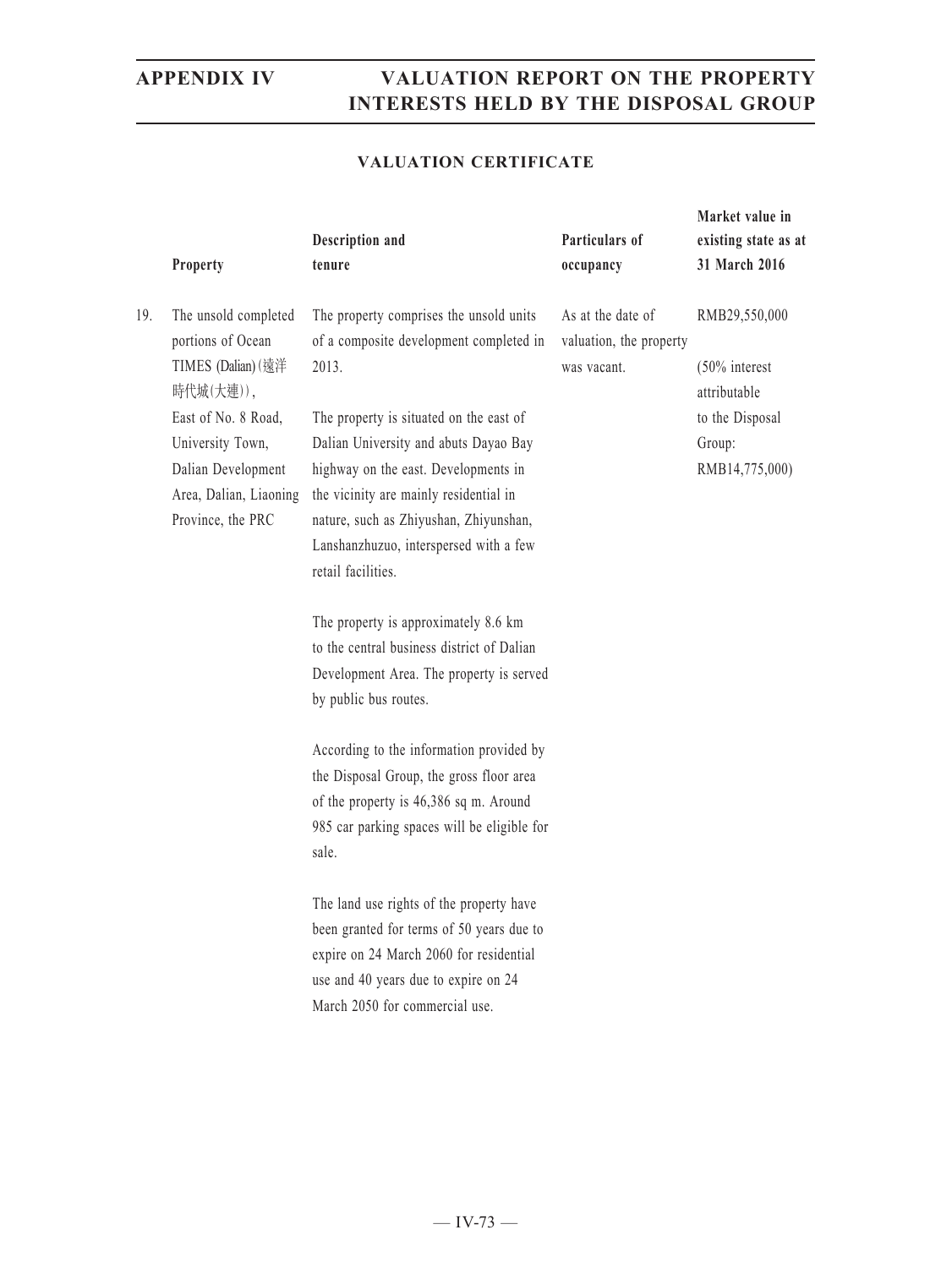### **VALUATION CERTIFICATE**

|     | Property                                                                                                                                                                                     | Description and<br>tenure                                                                                                                                                                                                                                                                                                                                                                                                                                                                                                                                                          | Particulars of<br>occupancy                                 | Market value in<br>existing state as at<br>31 March 2016                                         |
|-----|----------------------------------------------------------------------------------------------------------------------------------------------------------------------------------------------|------------------------------------------------------------------------------------------------------------------------------------------------------------------------------------------------------------------------------------------------------------------------------------------------------------------------------------------------------------------------------------------------------------------------------------------------------------------------------------------------------------------------------------------------------------------------------------|-------------------------------------------------------------|--------------------------------------------------------------------------------------------------|
| 19. | The unsold completed<br>portions of Ocean<br>TIMES (Dalian) (遠洋<br>時代城(大連)),<br>East of No. 8 Road,<br>University Town,<br>Dalian Development<br>Area, Dalian, Liaoning<br>Province, the PRC | The property comprises the unsold units<br>of a composite development completed in<br>2013.<br>The property is situated on the east of<br>Dalian University and abuts Dayao Bay<br>highway on the east. Developments in<br>the vicinity are mainly residential in<br>nature, such as Zhiyushan, Zhiyunshan,<br>Lanshanzhuzuo, interspersed with a few<br>retail facilities.<br>The property is approximately 8.6 km<br>to the central business district of Dalian<br>Development Area. The property is served<br>by public bus routes.<br>According to the information provided by | As at the date of<br>valuation, the property<br>was vacant. | RMB29,550,000<br>$(50\%$ interest<br>attributable<br>to the Disposal<br>Group:<br>RMB14,775,000) |
|     |                                                                                                                                                                                              | the Disposal Group, the gross floor area<br>of the property is 46,386 sq m. Around<br>985 car parking spaces will be eligible for<br>sale.<br>The land use rights of the property have                                                                                                                                                                                                                                                                                                                                                                                             |                                                             |                                                                                                  |
|     |                                                                                                                                                                                              | been granted for terms of 50 years due to<br>expire on 24 March 2060 for residential<br>use and 40 years due to expire on 24<br>March 2050 for commercial use.                                                                                                                                                                                                                                                                                                                                                                                                                     |                                                             |                                                                                                  |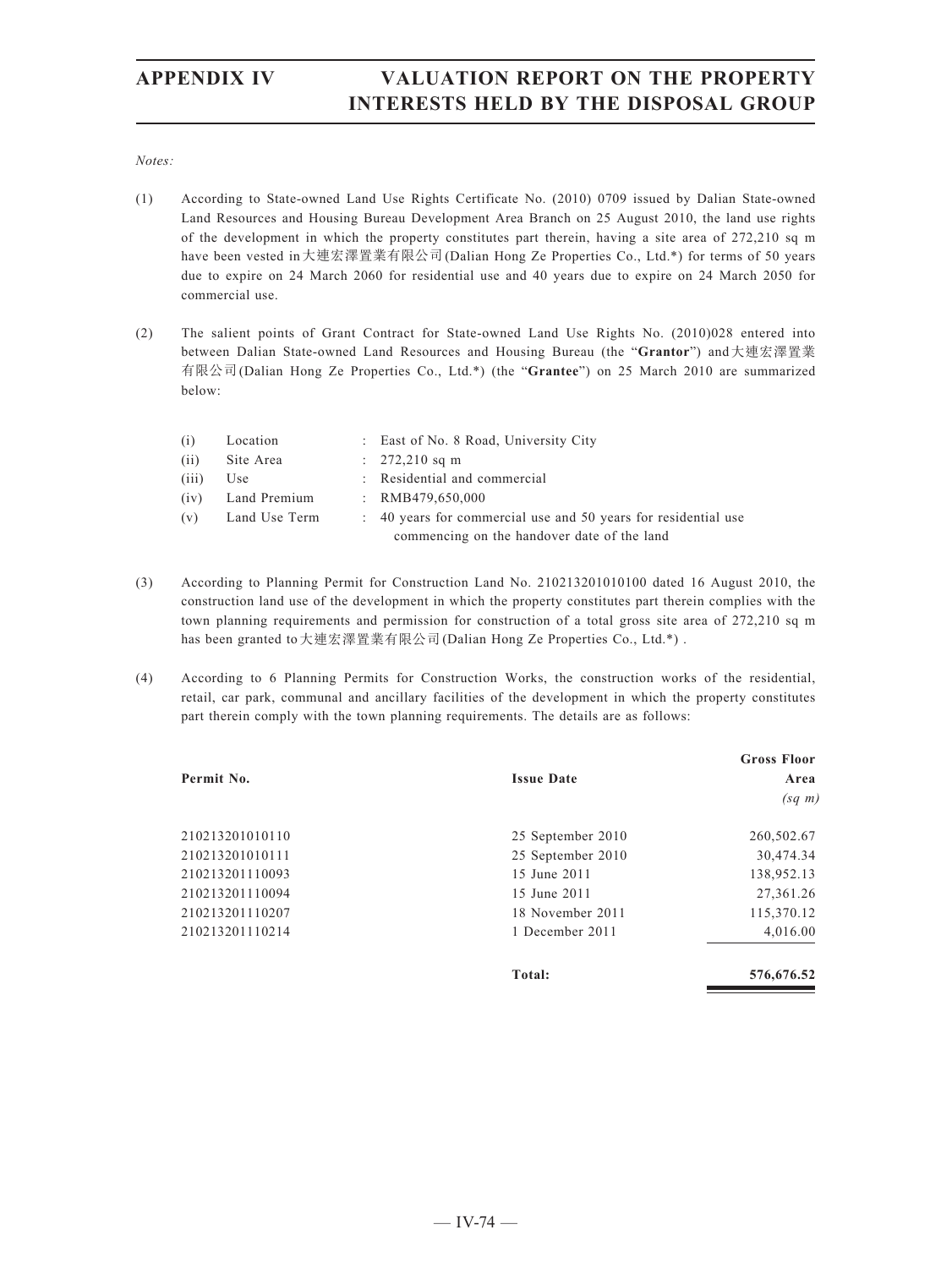### *Notes:*

- (1) According to State-owned Land Use Rights Certificate No. (2010) 0709 issued by Dalian State-owned Land Resources and Housing Bureau Development Area Branch on 25 August 2010, the land use rights of the development in which the property constitutes part therein, having a site area of 272,210 sq m have been vested in大連宏澤置業有限公司(Dalian Hong Ze Properties Co., Ltd.\*) for terms of 50 years due to expire on 24 March 2060 for residential use and 40 years due to expire on 24 March 2050 for commercial use.
- (2) The salient points of Grant Contract for State-owned Land Use Rights No. (2010)028 entered into between Dalian State-owned Land Resources and Housing Bureau (the "**Grantor**") and大連宏澤置業 有限公司(Dalian Hong Ze Properties Co., Ltd.\*) (the "**Grantee**") on 25 March 2010 are summarized below:

| (i)   | Location      | : East of No. 8 Road, University City                          |
|-------|---------------|----------------------------------------------------------------|
| (ii)  | Site Area     | $: 272,210$ sq m                                               |
| (iii) | Use           | : Residential and commercial                                   |
| (iv)  | Land Premium  | : $RMB479,650,000$                                             |
| (v)   | Land Use Term | : 40 years for commercial use and 50 years for residential use |
|       |               | commencing on the handover date of the land                    |

- (3) According to Planning Permit for Construction Land No. 210213201010100 dated 16 August 2010, the construction land use of the development in which the property constitutes part therein complies with the town planning requirements and permission for construction of a total gross site area of 272,210 sq m has been granted to大連宏澤置業有限公司(Dalian Hong Ze Properties Co., Ltd.\*) .
- (4) According to 6 Planning Permits for Construction Works, the construction works of the residential, retail, car park, communal and ancillary facilities of the development in which the property constitutes part therein comply with the town planning requirements. The details are as follows:

|                 |                   | <b>Gross Floor</b> |
|-----------------|-------------------|--------------------|
| Permit No.      | <b>Issue Date</b> | Area               |
|                 |                   | $(sq \; m)$        |
| 210213201010110 | 25 September 2010 | 260,502.67         |
| 210213201010111 | 25 September 2010 | 30,474.34          |
| 210213201110093 | 15 June 2011      | 138,952.13         |
| 210213201110094 | 15 June 2011      | 27,361.26          |
| 210213201110207 | 18 November 2011  | 115,370.12         |
| 210213201110214 | 1 December 2011   | 4,016.00           |
|                 | Total:            | 576,676.52         |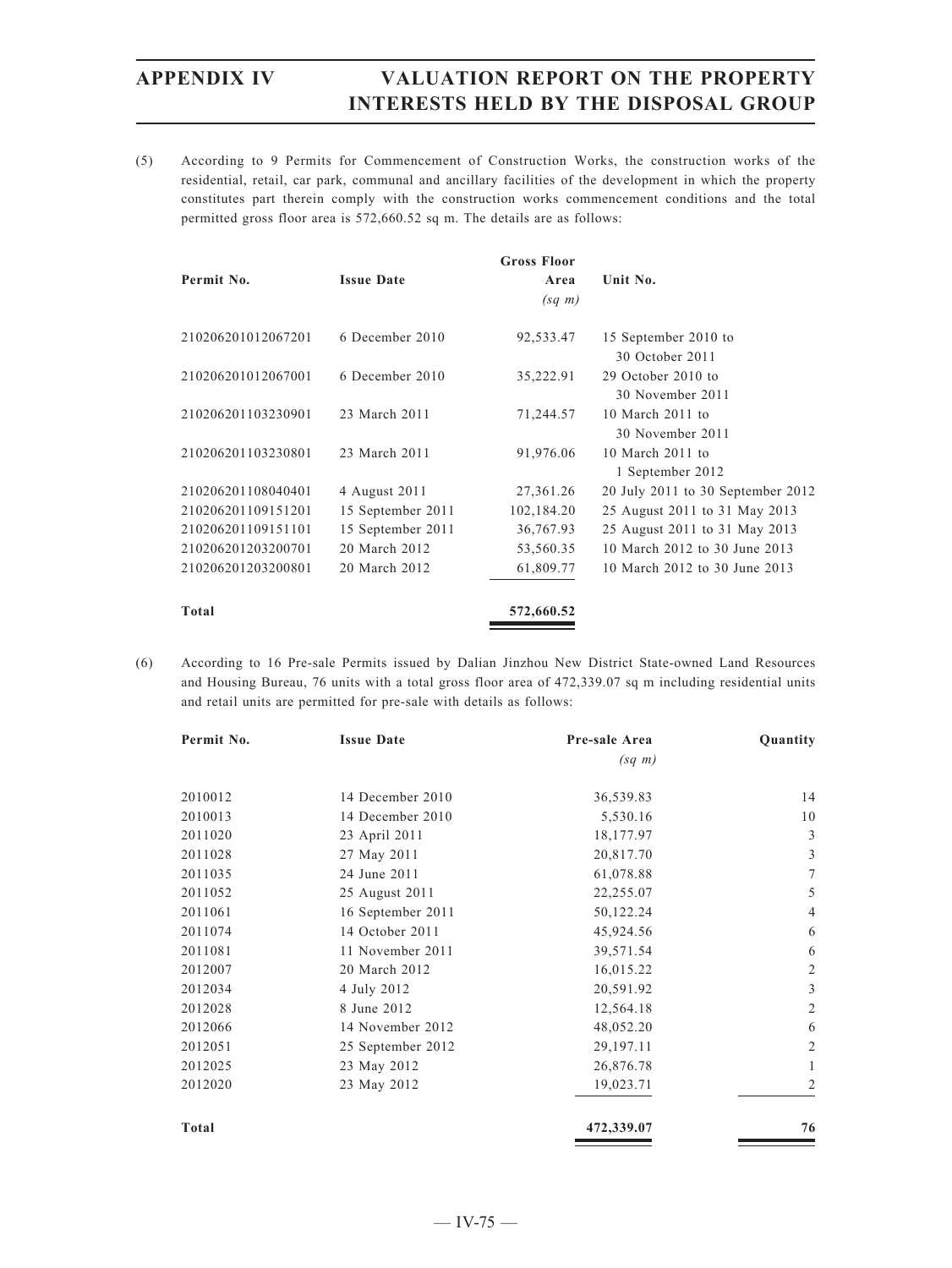(5) According to 9 Permits for Commencement of Construction Works, the construction works of the residential, retail, car park, communal and ancillary facilities of the development in which the property constitutes part therein comply with the construction works commencement conditions and the total permitted gross floor area is 572,660.52 sq m. The details are as follows:

|                    |                   | <b>Gross Floor</b> |                                         |
|--------------------|-------------------|--------------------|-----------------------------------------|
| Permit No.         | <b>Issue Date</b> | Area               | Unit No.                                |
|                    |                   | $(sq \; m)$        |                                         |
| 210206201012067201 | 6 December 2010   | 92,533.47          | 15 September 2010 to<br>30 October 2011 |
| 210206201012067001 | 6 December 2010   | 35,222.91          | 29 October 2010 to<br>30 November 2011  |
| 210206201103230901 | 23 March 2011     | 71,244.57          | 10 March 2011 to<br>30 November 2011    |
| 210206201103230801 | 23 March 2011     | 91,976.06          | 10 March 2011 to<br>1 September 2012    |
| 210206201108040401 | 4 August 2011     | 27,361.26          | 20 July 2011 to 30 September 2012       |
| 210206201109151201 | 15 September 2011 | 102,184.20         | 25 August 2011 to 31 May 2013           |
| 210206201109151101 | 15 September 2011 | 36,767.93          | 25 August 2011 to 31 May 2013           |
| 210206201203200701 | 20 March 2012     | 53,560.35          | 10 March 2012 to 30 June 2013           |
| 210206201203200801 | 20 March 2012     | 61,809.77          | 10 March 2012 to 30 June 2013           |
| Total              |                   | 572,660.52         |                                         |

(6) According to 16 Pre-sale Permits issued by Dalian Jinzhou New District State-owned Land Resources and Housing Bureau, 76 units with a total gross floor area of 472,339.07 sq m including residential units and retail units are permitted for pre-sale with details as follows:

| Permit No.   | <b>Issue Date</b> | Pre-sale Area | Quantity       |
|--------------|-------------------|---------------|----------------|
|              |                   | $(sq \; m)$   |                |
| 2010012      | 14 December 2010  | 36,539.83     | 14             |
| 2010013      | 14 December 2010  | 5,530.16      | 10             |
| 2011020      | 23 April 2011     | 18,177.97     | 3              |
| 2011028      | 27 May 2011       | 20,817.70     | 3              |
| 2011035      | 24 June 2011      | 61,078.88     | 7              |
| 2011052      | 25 August 2011    | 22,255.07     | 5              |
| 2011061      | 16 September 2011 | 50,122.24     | $\overline{4}$ |
| 2011074      | 14 October 2011   | 45,924.56     | 6              |
| 2011081      | 11 November 2011  | 39,571.54     | 6              |
| 2012007      | 20 March 2012     | 16,015.22     | $\overline{2}$ |
| 2012034      | 4 July 2012       | 20,591.92     | 3              |
| 2012028      | 8 June 2012       | 12,564.18     | $\overline{2}$ |
| 2012066      | 14 November 2012  | 48,052.20     | 6              |
| 2012051      | 25 September 2012 | 29,197.11     | $\overline{2}$ |
| 2012025      | 23 May 2012       | 26,876.78     | 1              |
| 2012020      | 23 May 2012       | 19,023.71     | 2              |
| <b>Total</b> |                   | 472,339.07    | 76             |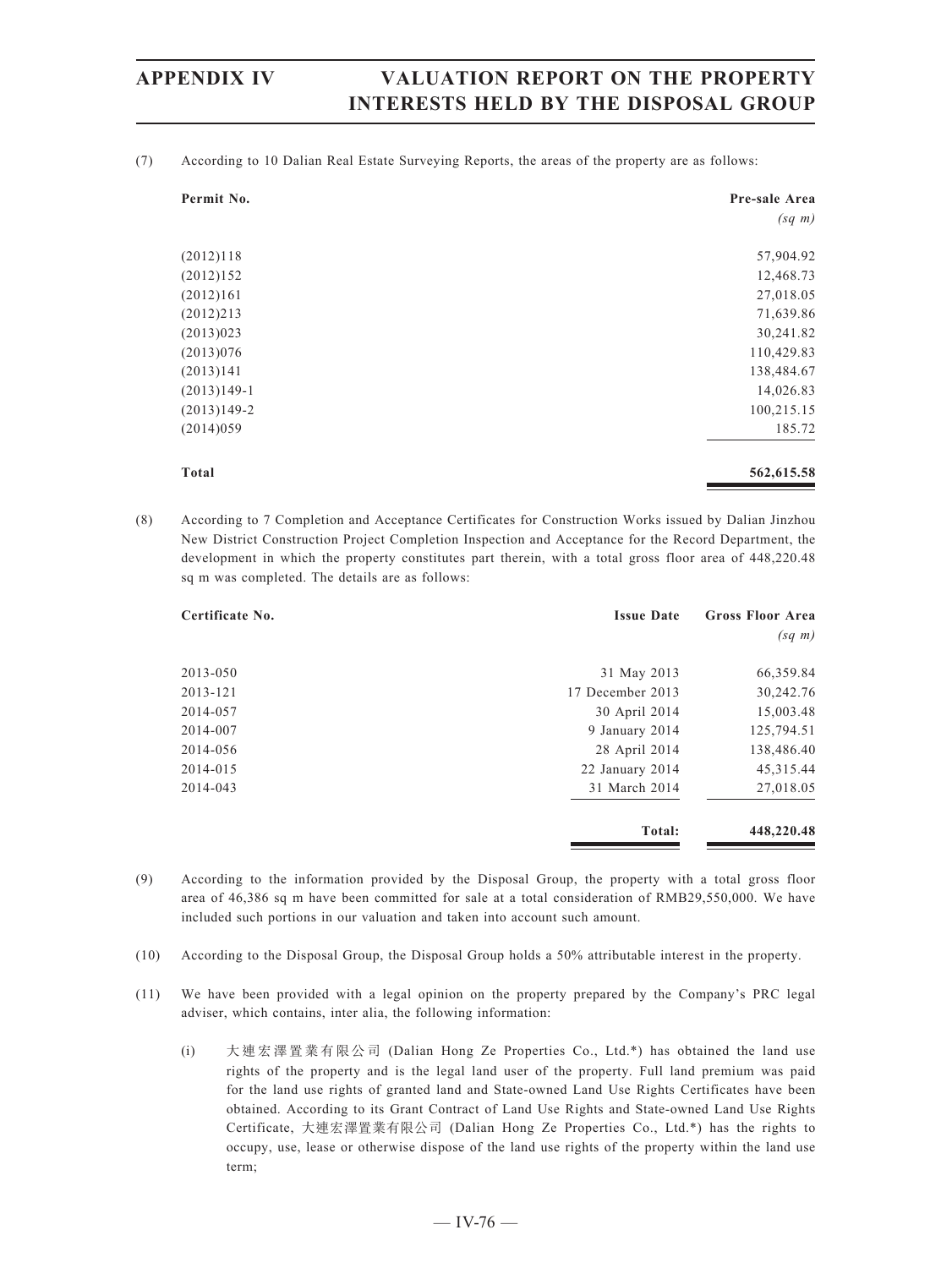(7) According to 10 Dalian Real Estate Surveying Reports, the areas of the property are as follows:

| Permit No.    | Pre-sale Area |
|---------------|---------------|
|               | $(sq \; m)$   |
| (2012)118     | 57,904.92     |
| (2012)152     | 12,468.73     |
| (2012)161     | 27,018.05     |
| (2012)213     | 71,639.86     |
| (2013)023     | 30,241.82     |
| (2013)076     | 110,429.83    |
| (2013)141     | 138,484.67    |
| $(2013)149-1$ | 14,026.83     |
| $(2013)149-2$ | 100,215.15    |
| (2014)059     | 185.72        |
| <b>Total</b>  | 562,615.58    |

(8) According to 7 Completion and Acceptance Certificates for Construction Works issued by Dalian Jinzhou New District Construction Project Completion Inspection and Acceptance for the Record Department, the development in which the property constitutes part therein, with a total gross floor area of 448,220.48 sq m was completed. The details are as follows:

| Certificate No. | <b>Issue Date</b> | <b>Gross Floor Area</b> |
|-----------------|-------------------|-------------------------|
|                 |                   | $(sq \; m)$             |
| 2013-050        | 31 May 2013       | 66,359.84               |
| 2013-121        | 17 December 2013  | 30,242.76               |
| 2014-057        | 30 April 2014     | 15,003.48               |
| 2014-007        | 9 January 2014    | 125,794.51              |
| 2014-056        | 28 April 2014     | 138,486.40              |
| 2014-015        | 22 January 2014   | 45, 315. 44             |
| 2014-043        | 31 March 2014     | 27,018.05               |
|                 | Total:            | 448,220.48              |

- (9) According to the information provided by the Disposal Group, the property with a total gross floor area of 46,386 sq m have been committed for sale at a total consideration of RMB29,550,000. We have included such portions in our valuation and taken into account such amount.
- (10) According to the Disposal Group, the Disposal Group holds a 50% attributable interest in the property.
- (11) We have been provided with a legal opinion on the property prepared by the Company's PRC legal adviser, which contains, inter alia, the following information:
	- (i) 大連宏澤置業有限公司 (Dalian Hong Ze Properties Co., Ltd.\*) has obtained the land use rights of the property and is the legal land user of the property. Full land premium was paid for the land use rights of granted land and State-owned Land Use Rights Certificates have been obtained. According to its Grant Contract of Land Use Rights and State-owned Land Use Rights Certificate, 大連宏澤置業有限公司 (Dalian Hong Ze Properties Co., Ltd.\*) has the rights to occupy, use, lease or otherwise dispose of the land use rights of the property within the land use term;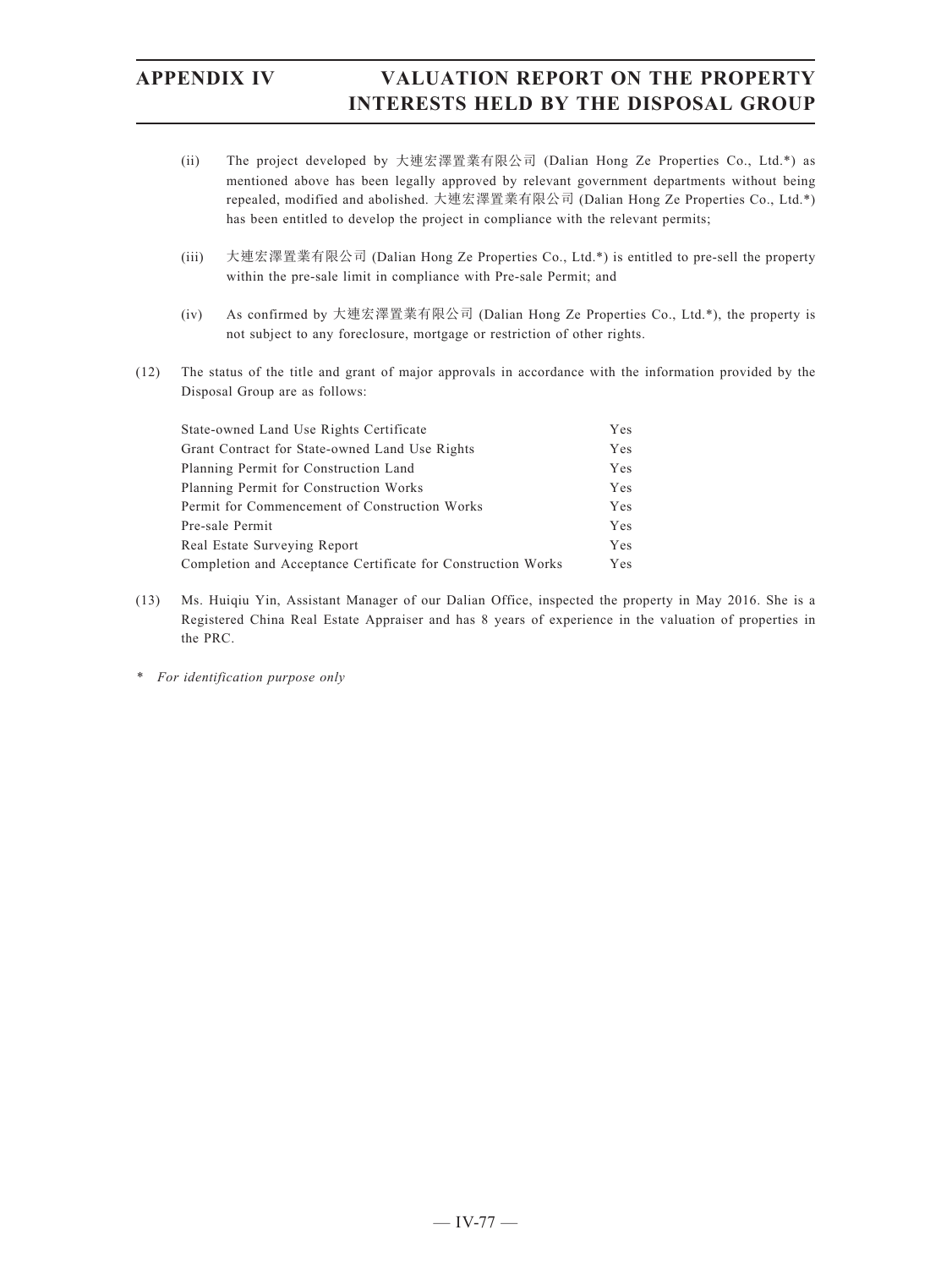- (ii) The project developed by 大連宏澤置業有限公司 (Dalian Hong Ze Properties Co., Ltd.\*) as mentioned above has been legally approved by relevant government departments without being repealed, modified and abolished. 大連宏澤置業有限公司 (Dalian Hong Ze Properties Co., Ltd.\*) has been entitled to develop the project in compliance with the relevant permits;
- (iii) 大連宏澤置業有限公司 (Dalian Hong Ze Properties Co., Ltd.\*) is entitled to pre-sell the property within the pre-sale limit in compliance with Pre-sale Permit; and
- (iv) As confirmed by 大連宏澤置業有限公司 (Dalian Hong Ze Properties Co., Ltd.\*), the property is not subject to any foreclosure, mortgage or restriction of other rights.
- (12) The status of the title and grant of major approvals in accordance with the information provided by the Disposal Group are as follows:

| State-owned Land Use Rights Certificate                      | <b>Yes</b> |
|--------------------------------------------------------------|------------|
| Grant Contract for State-owned Land Use Rights               | <b>Yes</b> |
| Planning Permit for Construction Land                        | <b>Yes</b> |
| Planning Permit for Construction Works                       | <b>Yes</b> |
| Permit for Commencement of Construction Works                | <b>Yes</b> |
| Pre-sale Permit                                              | <b>Yes</b> |
| Real Estate Surveying Report                                 | <b>Yes</b> |
| Completion and Acceptance Certificate for Construction Works | <b>Yes</b> |

- (13) Ms. Huiqiu Yin, Assistant Manager of our Dalian Office, inspected the property in May 2016. She is a Registered China Real Estate Appraiser and has 8 years of experience in the valuation of properties in the PRC.
- *\* For identification purpose only*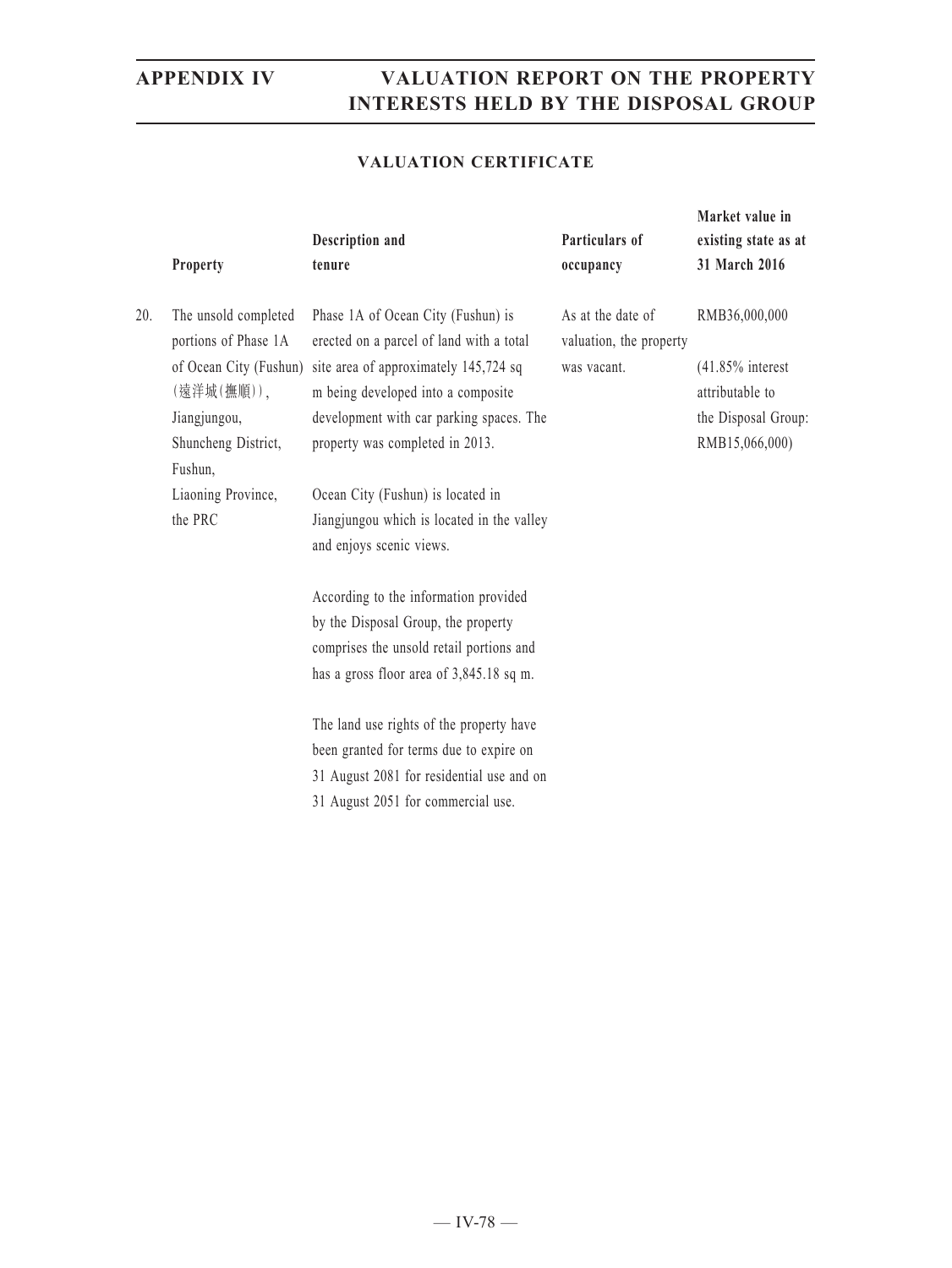**Market value in** 

### **VALUATION CERTIFICATE**

|     | Property                                                                                          | Description and<br>tenure                                                                                                                                                                                                                                           | Particulars of<br>occupancy                                 | existing state as at<br>31 March 2016                                                            |
|-----|---------------------------------------------------------------------------------------------------|---------------------------------------------------------------------------------------------------------------------------------------------------------------------------------------------------------------------------------------------------------------------|-------------------------------------------------------------|--------------------------------------------------------------------------------------------------|
| 20. | The unsold completed<br>portions of Phase 1A<br>(遠洋城(撫順)),<br>Jiangjungou,<br>Shuncheng District, | Phase 1A of Ocean City (Fushun) is<br>erected on a parcel of land with a total<br>of Ocean City (Fushun) site area of approximately 145,724 sq<br>m being developed into a composite<br>development with car parking spaces. The<br>property was completed in 2013. | As at the date of<br>valuation, the property<br>was vacant. | RMB36,000,000<br>$(41.85\%$ interest<br>attributable to<br>the Disposal Group:<br>RMB15,066,000) |
|     | Fushun,<br>Liaoning Province,<br>the PRC                                                          | Ocean City (Fushun) is located in<br>Jiangjungou which is located in the valley<br>and enjoys scenic views.                                                                                                                                                         |                                                             |                                                                                                  |
|     |                                                                                                   | According to the information provided<br>by the Disposal Group, the property<br>comprises the unsold retail portions and<br>has a gross floor area of 3,845.18 sq m.                                                                                                |                                                             |                                                                                                  |
|     |                                                                                                   | The land use rights of the property have<br>been granted for terms due to expire on<br>31 August 2081 for residential use and on<br>31 August 2051 for commercial use.                                                                                              |                                                             |                                                                                                  |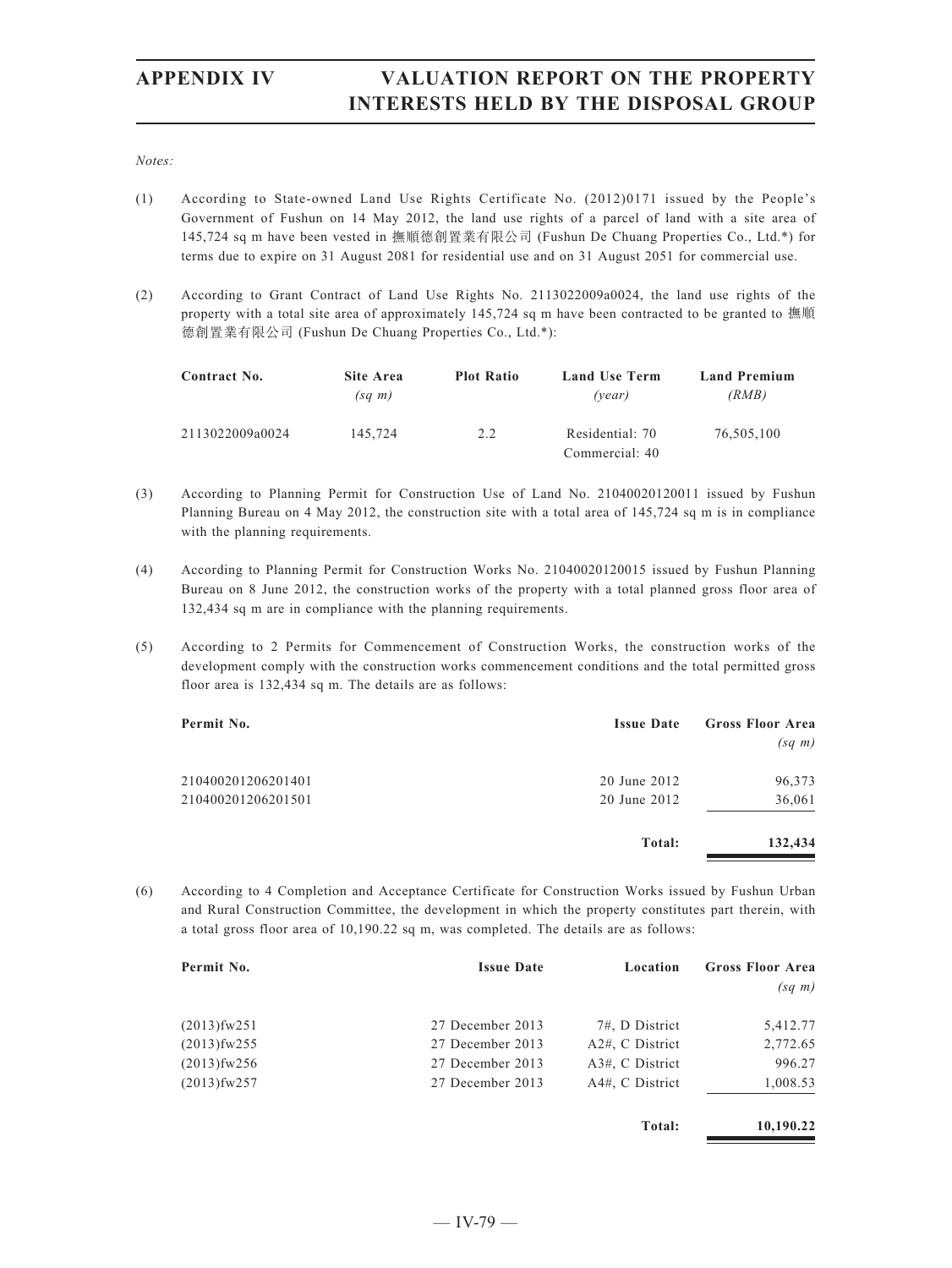*Notes:*

- (1) According to State-owned Land Use Rights Certificate No. (2012)0171 issued by the People's Government of Fushun on 14 May 2012, the land use rights of a parcel of land with a site area of 145,724 sq m have been vested in 撫順德創置業有限公司 (Fushun De Chuang Properties Co., Ltd.\*) for terms due to expire on 31 August 2081 for residential use and on 31 August 2051 for commercial use.
- (2) According to Grant Contract of Land Use Rights No. 2113022009a0024, the land use rights of the property with a total site area of approximately 145,724 sq m have been contracted to be granted to 撫順 德創置業有限公司 (Fushun De Chuang Properties Co., Ltd.\*):

| Site Area   | <b>Plot Ratio</b> | <b>Land Use Term</b> | <b>Land Premium</b> |
|-------------|-------------------|----------------------|---------------------|
| $(sq \; m)$ |                   | (vear)               | (RMB)               |
| 145.724     | 2.2               | Residential: 70      | 76,505,100          |
|             |                   |                      | Commercial: 40      |

- (3) According to Planning Permit for Construction Use of Land No. 21040020120011 issued by Fushun Planning Bureau on 4 May 2012, the construction site with a total area of 145,724 sq m is in compliance with the planning requirements.
- (4) According to Planning Permit for Construction Works No. 21040020120015 issued by Fushun Planning Bureau on 8 June 2012, the construction works of the property with a total planned gross floor area of 132,434 sq m are in compliance with the planning requirements.
- (5) According to 2 Permits for Commencement of Construction Works, the construction works of the development comply with the construction works commencement conditions and the total permitted gross floor area is 132,434 sq m. The details are as follows:

| Permit No.         | <b>Issue Date</b> | <b>Gross Floor Area</b><br>$(sq \; m)$ |
|--------------------|-------------------|----------------------------------------|
| 210400201206201401 | 20 June 2012      | 96,373                                 |
| 210400201206201501 | 20 June 2012      | 36,061                                 |
|                    | Total:            | 132,434                                |

(6) According to 4 Completion and Acceptance Certificate for Construction Works issued by Fushun Urban and Rural Construction Committee, the development in which the property constitutes part therein, with a total gross floor area of 10,190.22 sq m, was completed. The details are as follows:

| Permit No.        | <b>Issue Date</b> | Location           | <b>Gross Floor Area</b> |
|-------------------|-------------------|--------------------|-------------------------|
|                   |                   |                    | $(sq \; m)$             |
| $(2013)$ fw $251$ | 27 December 2013  | 7#, D District     | 5,412.77                |
| $(2013)$ fw $255$ | 27 December 2013  | $A2#$ , C District | 2,772.65                |
| $(2013)$ fw $256$ | 27 December 2013  | A3#, C District    | 996.27                  |
| $(2013)$ fw $257$ | 27 December 2013  | A4#, C District    | 1,008.53                |

**Total: 10,190.22**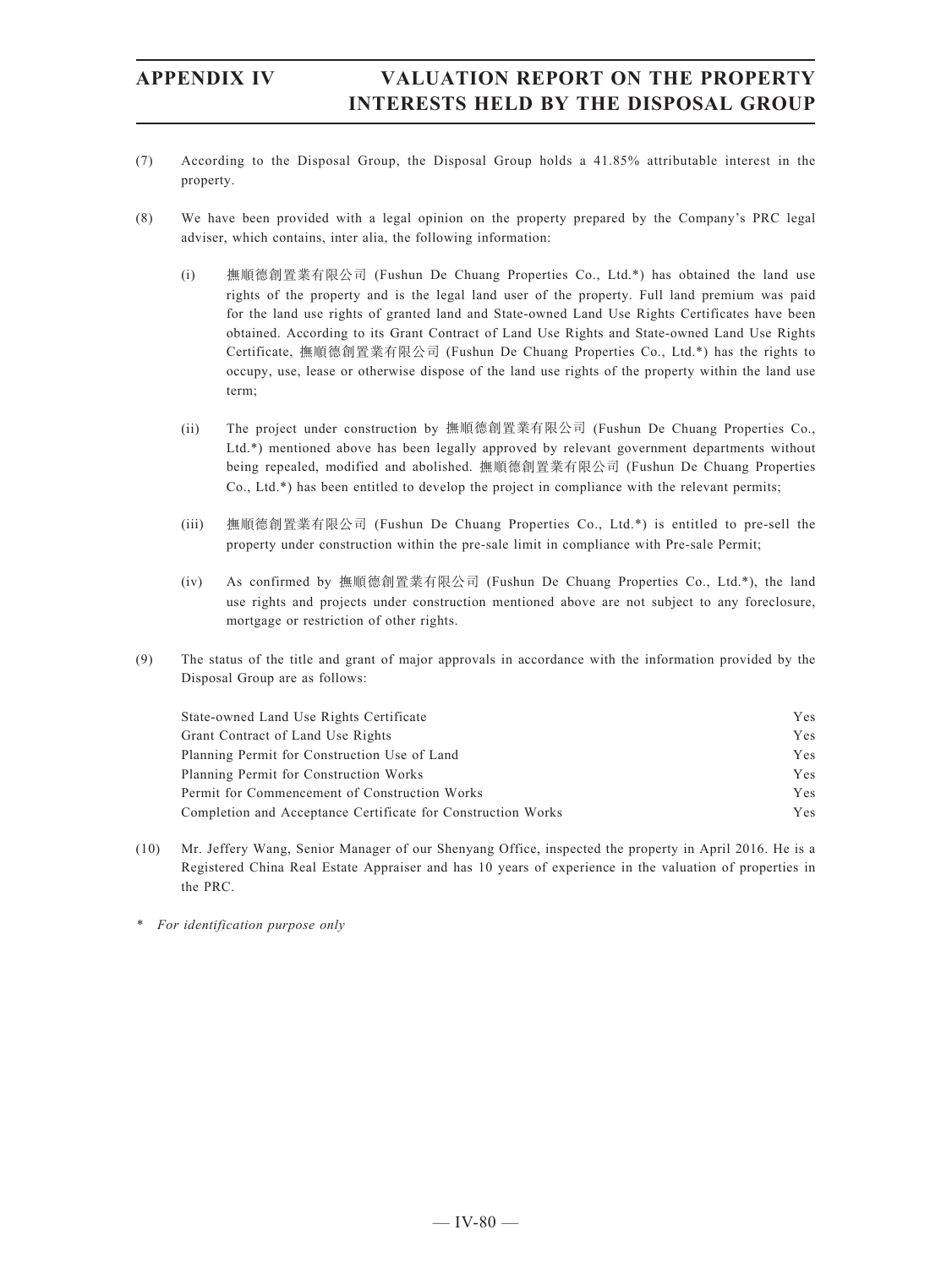- (7) According to the Disposal Group, the Disposal Group holds a 41.85% attributable interest in the property.
- (8) We have been provided with a legal opinion on the property prepared by the Company's PRC legal adviser, which contains, inter alia, the following information:
	- (i) 撫順德創置業有限公司 (Fushun De Chuang Properties Co., Ltd.\*) has obtained the land use rights of the property and is the legal land user of the property. Full land premium was paid for the land use rights of granted land and State-owned Land Use Rights Certificates have been obtained. According to its Grant Contract of Land Use Rights and State-owned Land Use Rights Certificate, 撫順德創置業有限公司 (Fushun De Chuang Properties Co., Ltd.\*) has the rights to occupy, use, lease or otherwise dispose of the land use rights of the property within the land use term;
	- (ii) The project under construction by 撫順德創置業有限公司 (Fushun De Chuang Properties Co., Ltd.\*) mentioned above has been legally approved by relevant government departments without being repealed, modified and abolished. 撫順德創置業有限公司 (Fushun De Chuang Properties Co., Ltd.\*) has been entitled to develop the project in compliance with the relevant permits;
	- (iii) 撫順德創置業有限公司 (Fushun De Chuang Properties Co., Ltd.\*) is entitled to pre-sell the property under construction within the pre-sale limit in compliance with Pre-sale Permit;
	- (iv) As confirmed by 撫順德創置業有限公司 (Fushun De Chuang Properties Co., Ltd.\*), the land use rights and projects under construction mentioned above are not subject to any foreclosure, mortgage or restriction of other rights.
- (9) The status of the title and grant of major approvals in accordance with the information provided by the Disposal Group are as follows:

| State-owned Land Use Rights Certificate                      | Yes.       |
|--------------------------------------------------------------|------------|
| Grant Contract of Land Use Rights                            | <b>Yes</b> |
| Planning Permit for Construction Use of Land                 | <b>Yes</b> |
| Planning Permit for Construction Works                       | <b>Yes</b> |
| Permit for Commencement of Construction Works                | <b>Yes</b> |
| Completion and Acceptance Certificate for Construction Works | <b>Yes</b> |

- (10) Mr. Jeffery Wang, Senior Manager of our Shenyang Office, inspected the property in April 2016. He is a Registered China Real Estate Appraiser and has 10 years of experience in the valuation of properties in the PRC.
- *\* For identification purpose only*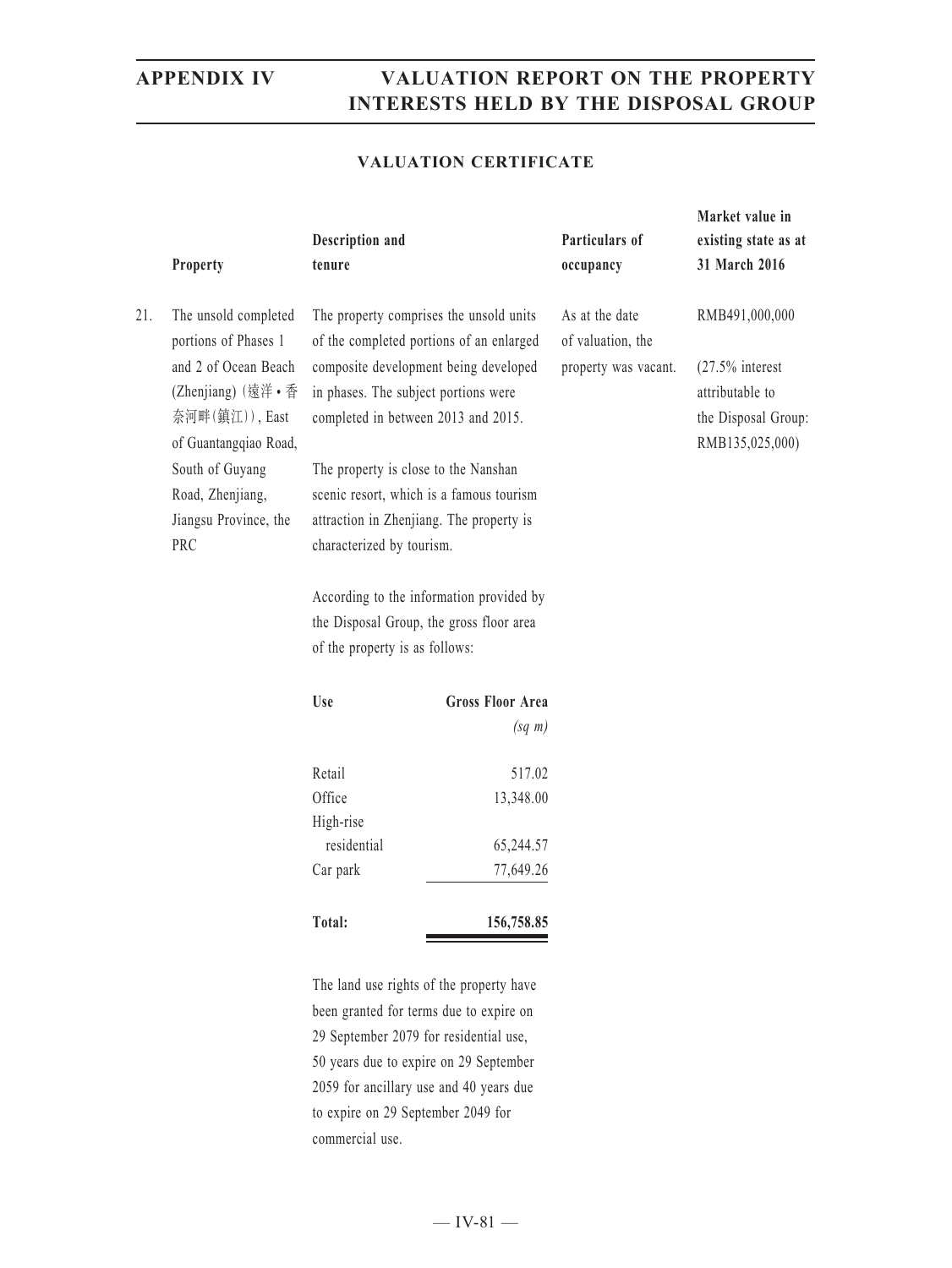### **VALUATION CERTIFICATE**

|     | Property                                     | Description and<br>tenure                |                                                                                     | Particulars of<br>occupancy         | Market value in<br>existing state as at<br>31 March 2016 |
|-----|----------------------------------------------|------------------------------------------|-------------------------------------------------------------------------------------|-------------------------------------|----------------------------------------------------------|
| 21. | The unsold completed<br>portions of Phases 1 |                                          | The property comprises the unsold units<br>of the completed portions of an enlarged | As at the date<br>of valuation, the | RMB491,000,000                                           |
|     | and 2 of Ocean Beach                         |                                          | composite development being developed                                               | property was vacant.                | $(27.5\%$ interest                                       |
|     | (Zhenjiang) (遠洋·香                            | in phases. The subject portions were     |                                                                                     |                                     | attributable to                                          |
|     | 奈河畔(鎮江)), East                               |                                          | completed in between 2013 and 2015.                                                 |                                     | the Disposal Group:                                      |
|     | of Guantangqiao Road,                        |                                          |                                                                                     |                                     | RMB135,025,000)                                          |
|     | South of Guyang                              | The property is close to the Nanshan     |                                                                                     |                                     |                                                          |
|     | Road, Zhenjiang,                             |                                          | scenic resort, which is a famous tourism                                            |                                     |                                                          |
|     | Jiangsu Province, the                        |                                          | attraction in Zhenjiang. The property is                                            |                                     |                                                          |
|     | PRC                                          | characterized by tourism.                |                                                                                     |                                     |                                                          |
|     |                                              | According to the information provided by |                                                                                     |                                     |                                                          |
|     |                                              | the Disposal Group, the gross floor area |                                                                                     |                                     |                                                          |
|     |                                              | of the property is as follows:           |                                                                                     |                                     |                                                          |
|     |                                              | Use                                      | <b>Gross Floor Area</b>                                                             |                                     |                                                          |
|     |                                              |                                          | $(sq \; m)$                                                                         |                                     |                                                          |
|     |                                              | Retail                                   | 517.02                                                                              |                                     |                                                          |
|     |                                              | Office                                   | 13,348.00                                                                           |                                     |                                                          |
|     |                                              | High-rise                                |                                                                                     |                                     |                                                          |
|     |                                              | residential                              | 65,244.57                                                                           |                                     |                                                          |
|     |                                              | Car park                                 | 77,649.26                                                                           |                                     |                                                          |
|     |                                              | Total:                                   | 156,758.85                                                                          |                                     |                                                          |

The land use rights of the property have been granted for terms due to expire on 29 September 2079 for residential use, 50 years due to expire on 29 September 2059 for ancillary use and 40 years due to expire on 29 September 2049 for commercial use.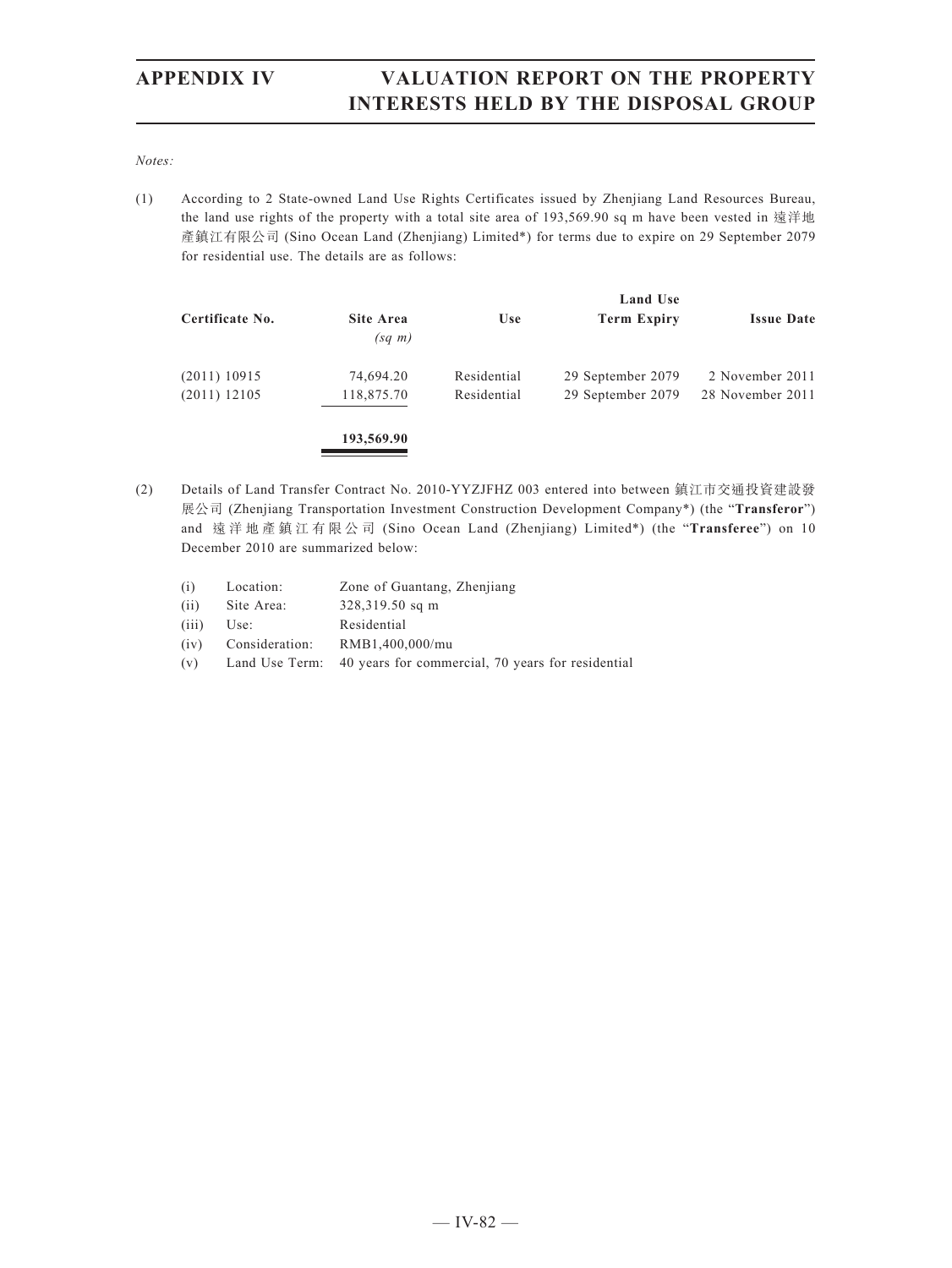*Notes:*

(1) According to 2 State-owned Land Use Rights Certificates issued by Zhenjiang Land Resources Bureau, the land use rights of the property with a total site area of 193,569.90 sq m have been vested in 遠洋地 產鎮江有限公司 (Sino Ocean Land (Zhenjiang) Limited\*) for terms due to expire on 29 September 2079 for residential use. The details are as follows:

|                 |                          |             | <b>Land Use</b>    |                   |
|-----------------|--------------------------|-------------|--------------------|-------------------|
| Certificate No. | Site Area<br>$(sq \; m)$ | <b>Use</b>  | <b>Term Expiry</b> | <b>Issue Date</b> |
| $(2011)$ 10915  | 74,694.20                | Residential | 29 September 2079  | 2 November 2011   |
| $(2011)$ 12105  | 118,875.70               | Residential | 29 September 2079  | 28 November 2011  |
|                 | 193,569.90               |             |                    |                   |

- (2) Details of Land Transfer Contract No. 2010-YYZJFHZ 003 entered into between 鎮江市交通投資建設發 展公司 (Zhenjiang Transportation Investment Construction Development Company\*) (the "**Transferor**") and 遠洋地產鎮江有限公司 (Sino Ocean Land (Zhenjiang) Limited\*) (the "**Transferee**") on 10 December 2010 are summarized below:
	- (i) Location: Zone of Guantang, Zhenjiang
	- (ii) Site Area: 328,319.50 sq m
	- (iii) Use: Residential
	- (iv) Consideration: RMB1,400,000/mu
	- (v) Land Use Term: 40 years for commercial, 70 years for residential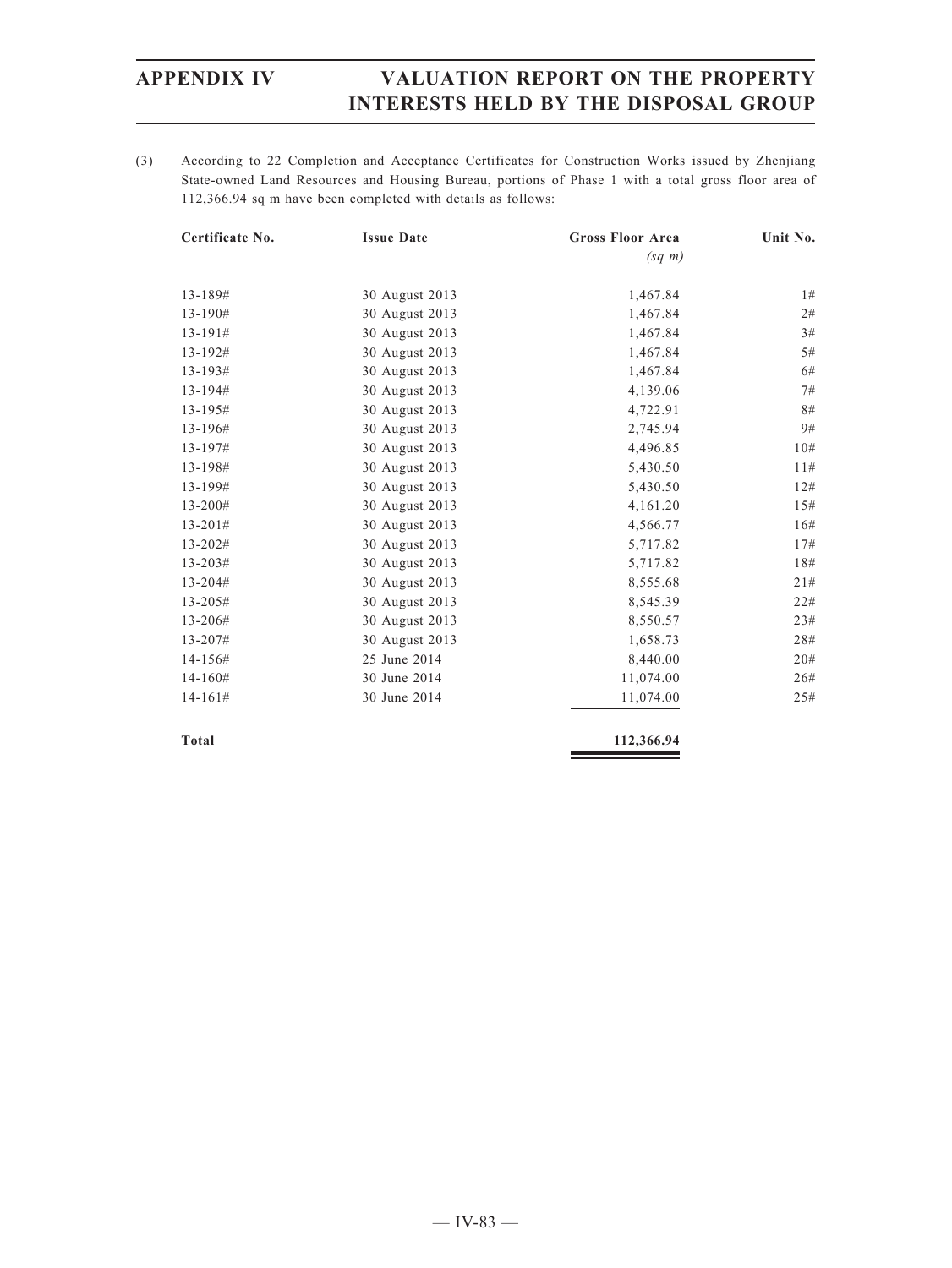(3) According to 22 Completion and Acceptance Certificates for Construction Works issued by Zhenjiang State-owned Land Resources and Housing Bureau, portions of Phase 1 with a total gross floor area of 112,366.94 sq m have been completed with details as follows:

| Certificate No. | <b>Issue Date</b> | <b>Gross Floor Area</b> | Unit No. |
|-----------------|-------------------|-------------------------|----------|
|                 |                   | $(sq \; m)$             |          |
| 13-189#         | 30 August 2013    | 1,467.84                | 1#       |
| 13-190#         | 30 August 2013    | 1,467.84                | 2#       |
| $13 - 191#$     | 30 August 2013    | 1,467.84                | 3#       |
| 13-192#         | 30 August 2013    | 1,467.84                | 5#       |
| 13-193#         | 30 August 2013    | 1,467.84                | 6#       |
| 13-194#         | 30 August 2013    | 4,139.06                | 7#       |
| 13-195#         | 30 August 2013    | 4,722.91                | 8#       |
| 13-196#         | 30 August 2013    | 2,745.94                | 9#       |
| 13-197#         | 30 August 2013    | 4,496.85                | 10#      |
| 13-198#         | 30 August 2013    | 5,430.50                | 11#      |
| 13-199#         | 30 August 2013    | 5,430.50                | 12#      |
| 13-200#         | 30 August 2013    | 4,161.20                | 15#      |
| $13 - 201#$     | 30 August 2013    | 4,566.77                | 16#      |
| 13-202#         | 30 August 2013    | 5,717.82                | 17#      |
| $13 - 203#$     | 30 August 2013    | 5,717.82                | 18#      |
| 13-204#         | 30 August 2013    | 8,555.68                | 21#      |
| 13-205#         | 30 August 2013    | 8,545.39                | 22#      |
| 13-206#         | 30 August 2013    | 8,550.57                | 23#      |
| 13-207#         | 30 August 2013    | 1,658.73                | 28#      |
| 14-156#         | 25 June 2014      | 8,440.00                | 20#      |
| $14 - 160#$     | 30 June 2014      | 11,074.00               | 26#      |
| $14 - 161#$     | 30 June 2014      | 11,074.00               | 25#      |
|                 |                   |                         |          |

**Total 112,366.94**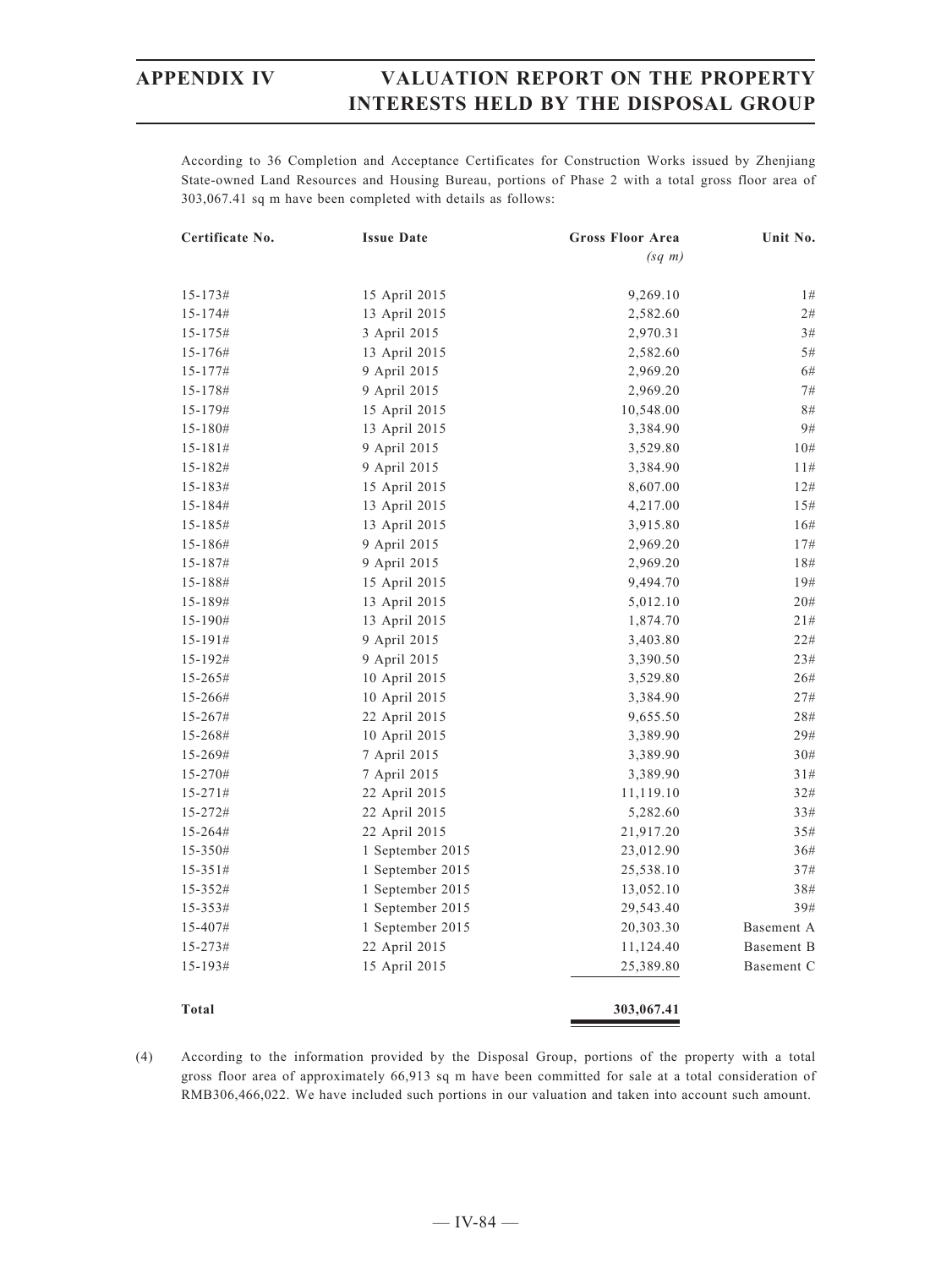According to 36 Completion and Acceptance Certificates for Construction Works issued by Zhenjiang State-owned Land Resources and Housing Bureau, portions of Phase 2 with a total gross floor area of 303,067.41 sq m have been completed with details as follows:

| Certificate No. | <b>Issue Date</b> | <b>Gross Floor Area</b> | Unit No.   |
|-----------------|-------------------|-------------------------|------------|
|                 |                   | $(sq \; m)$             |            |
| $15 - 173#$     | 15 April 2015     | 9,269.10                | 1#         |
| $15 - 174 \#$   | 13 April 2015     | 2,582.60                | 2#         |
| $15 - 175#$     | 3 April 2015      | 2,970.31                | $3\#$      |
| $15 - 176#$     | 13 April 2015     | 2,582.60                | 5#         |
| $15 - 177$ #    | 9 April 2015      | 2,969.20                | 6#         |
| 15-178#         | 9 April 2015      | 2,969.20                | 7#         |
| 15-179#         | 15 April 2015     | 10,548.00               | 8#         |
| $15 - 180#$     | 13 April 2015     | 3,384.90                | 9#         |
| $15 - 181#$     | 9 April 2015      | 3,529.80                | 10#        |
| $15 - 182#$     | 9 April 2015      | 3,384.90                | 11#        |
| $15 - 183#$     | 15 April 2015     | 8,607.00                | 12#        |
| $15 - 184#$     | 13 April 2015     | 4,217.00                | 15#        |
| $15 - 185#$     | 13 April 2015     | 3,915.80                | 16#        |
| $15 - 186#$     | 9 April 2015      | 2,969.20                | 17#        |
| $15 - 187$ #    | 9 April 2015      | 2,969.20                | 18#        |
| 15-188#         | 15 April 2015     | 9,494.70                | 19#        |
| 15-189#         | 13 April 2015     | 5,012.10                | 20#        |
| $15 - 190#$     | 13 April 2015     | 1,874.70                | 21#        |
| $15 - 191 \#$   | 9 April 2015      | 3,403.80                | 22#        |
| $15 - 192#$     | 9 April 2015      | 3,390.50                | 23#        |
| $15 - 265#$     | 10 April 2015     | 3,529.80                | 26#        |
| 15-266#         | 10 April 2015     | 3,384.90                | 27#        |
| $15 - 267#$     | 22 April 2015     | 9,655.50                | 28#        |
| $15 - 268#$     | 10 April 2015     | 3,389.90                | 29#        |
| $15 - 269#$     | 7 April 2015      | 3,389.90                | 30#        |
| 15-270#         | 7 April 2015      | 3,389.90                | 31#        |
| $15 - 271 \#$   | 22 April 2015     | 11,119.10               | 32#        |
| $15 - 272#$     | 22 April 2015     | 5,282.60                | 33#        |
| 15-264#         | 22 April 2015     | 21,917.20               | 35#        |
| $15 - 350#$     | 1 September 2015  | 23,012.90               | 36#        |
| $15 - 351 \#$   | 1 September 2015  | 25,538.10               | 37#        |
| $15 - 352#$     | 1 September 2015  | 13,052.10               | 38#        |
| $15 - 353#$     | 1 September 2015  | 29,543.40               | 39#        |
| 15-407#         | 1 September 2015  | 20,303.30               | Basement A |
| $15 - 273#$     | 22 April 2015     | 11,124.40               | Basement B |
| $15 - 193#$     | 15 April 2015     | 25,389.80               | Basement C |
| Total           |                   | 303,067.41              |            |

(4) According to the information provided by the Disposal Group, portions of the property with a total gross floor area of approximately 66,913 sq m have been committed for sale at a total consideration of RMB306,466,022. We have included such portions in our valuation and taken into account such amount.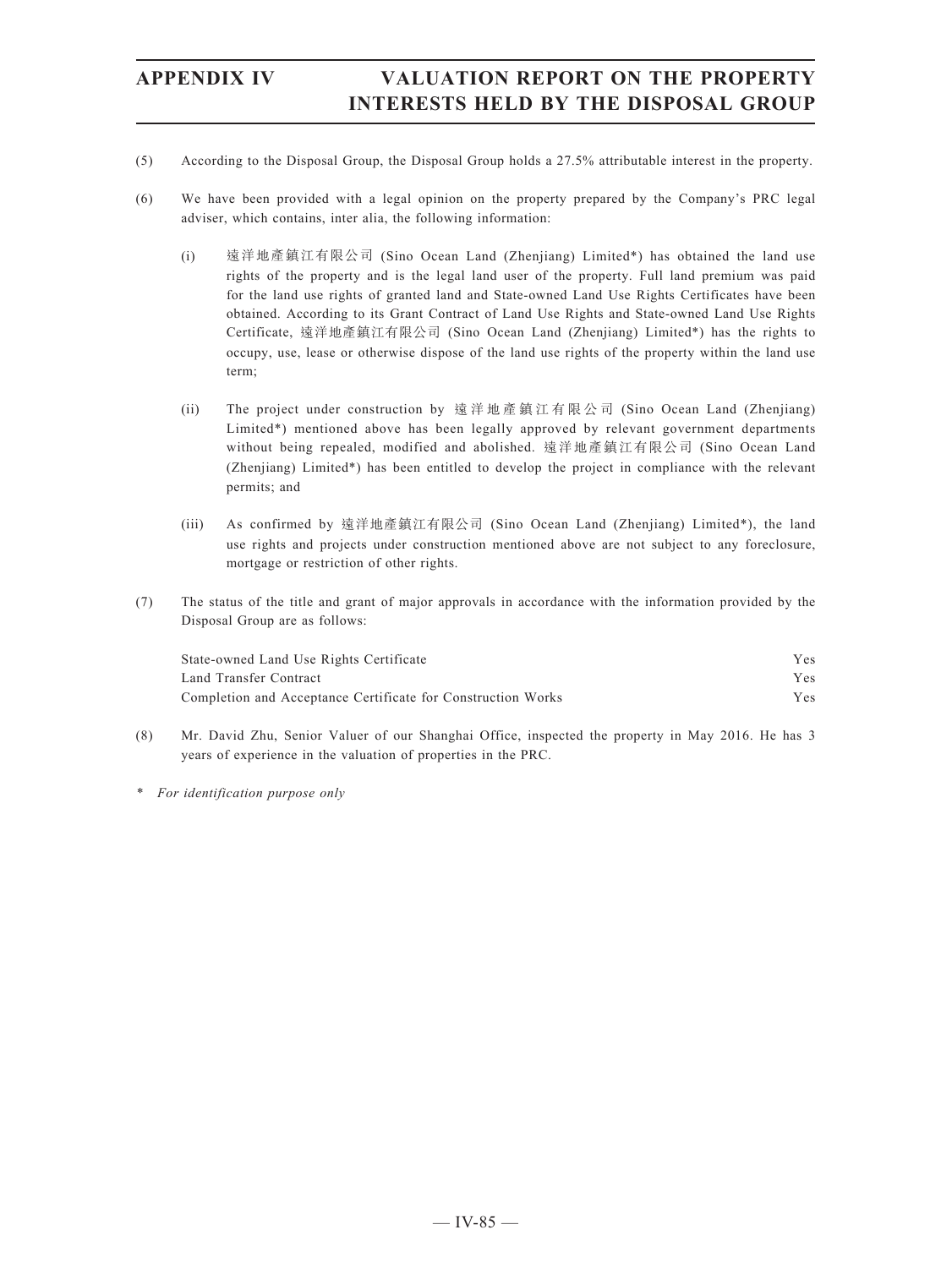- (5) According to the Disposal Group, the Disposal Group holds a 27.5% attributable interest in the property.
- (6) We have been provided with a legal opinion on the property prepared by the Company's PRC legal adviser, which contains, inter alia, the following information:
	- (i) 遠洋地產鎮江有限公司 (Sino Ocean Land (Zhenjiang) Limited\*) has obtained the land use rights of the property and is the legal land user of the property. Full land premium was paid for the land use rights of granted land and State-owned Land Use Rights Certificates have been obtained. According to its Grant Contract of Land Use Rights and State-owned Land Use Rights Certificate, 遠洋地產鎮江有限公司 (Sino Ocean Land (Zhenjiang) Limited\*) has the rights to occupy, use, lease or otherwise dispose of the land use rights of the property within the land use term;
	- (ii) The project under construction by 遠洋地產鎮江有限公司 (Sino Ocean Land (Zhenjiang) Limited\*) mentioned above has been legally approved by relevant government departments without being repealed, modified and abolished. 遠洋地產鎮江有限公司 (Sino Ocean Land (Zhenjiang) Limited\*) has been entitled to develop the project in compliance with the relevant permits; and
	- (iii) As confirmed by 遠洋地產鎮江有限公司 (Sino Ocean Land (Zhenjiang) Limited\*), the land use rights and projects under construction mentioned above are not subject to any foreclosure, mortgage or restriction of other rights.
- (7) The status of the title and grant of major approvals in accordance with the information provided by the Disposal Group are as follows:

| State-owned Land Use Rights Certificate                      | Y es.      |
|--------------------------------------------------------------|------------|
| Land Transfer Contract                                       | <b>Yes</b> |
| Completion and Acceptance Certificate for Construction Works | Yes        |

- (8) Mr. David Zhu, Senior Valuer of our Shanghai Office, inspected the property in May 2016. He has 3 years of experience in the valuation of properties in the PRC.
- *\* For identification purpose only*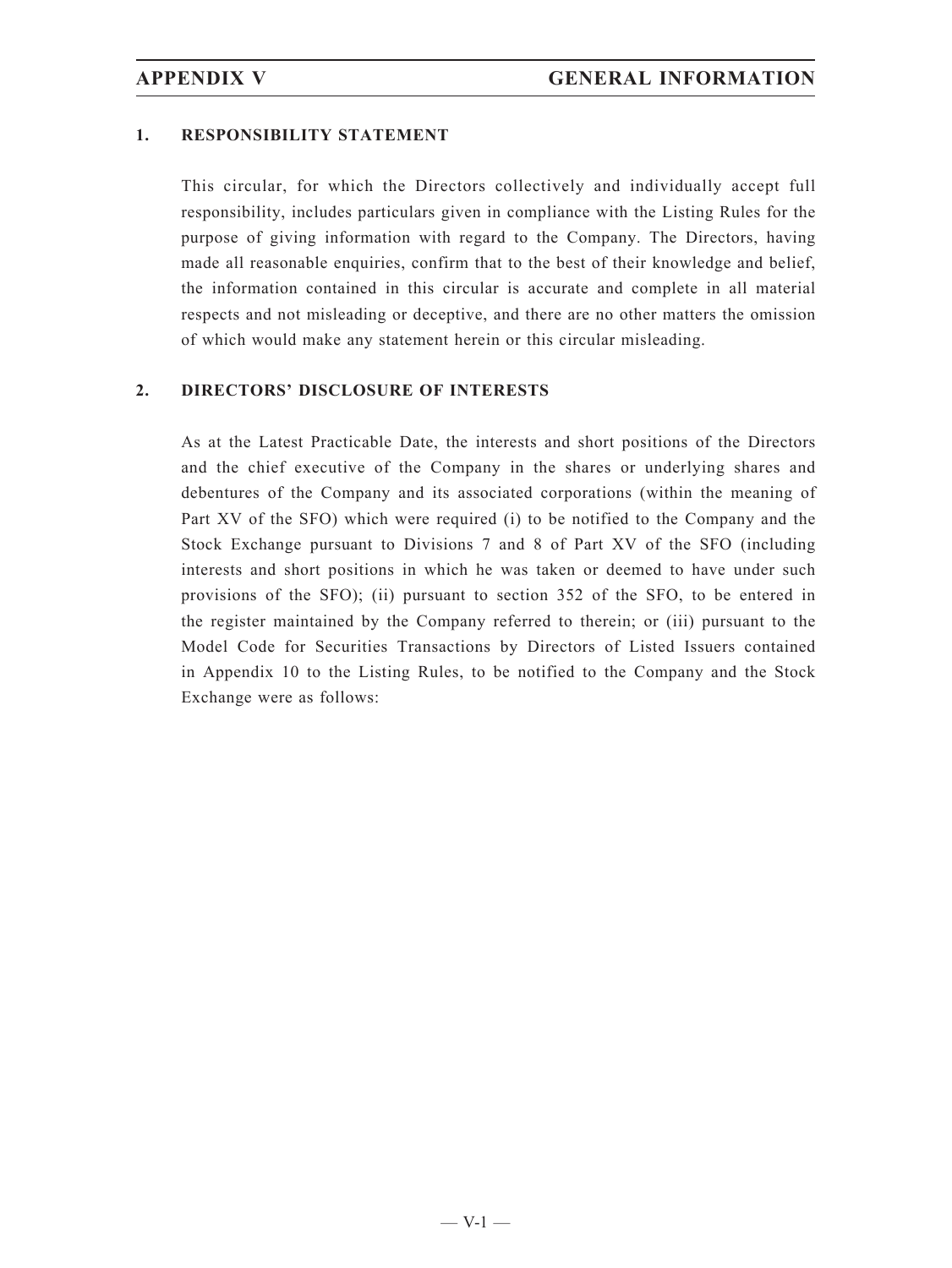### **1. RESPONSIBILITY STATEMENT**

This circular, for which the Directors collectively and individually accept full responsibility, includes particulars given in compliance with the Listing Rules for the purpose of giving information with regard to the Company. The Directors, having made all reasonable enquiries, confirm that to the best of their knowledge and belief, the information contained in this circular is accurate and complete in all material respects and not misleading or deceptive, and there are no other matters the omission of which would make any statement herein or this circular misleading.

### **2. DIRECTORS' DISCLOSURE OF INTERESTS**

As at the Latest Practicable Date, the interests and short positions of the Directors and the chief executive of the Company in the shares or underlying shares and debentures of the Company and its associated corporations (within the meaning of Part XV of the SFO) which were required (i) to be notified to the Company and the Stock Exchange pursuant to Divisions 7 and 8 of Part XV of the SFO (including interests and short positions in which he was taken or deemed to have under such provisions of the SFO); (ii) pursuant to section 352 of the SFO, to be entered in the register maintained by the Company referred to therein; or (iii) pursuant to the Model Code for Securities Transactions by Directors of Listed Issuers contained in Appendix 10 to the Listing Rules, to be notified to the Company and the Stock Exchange were as follows: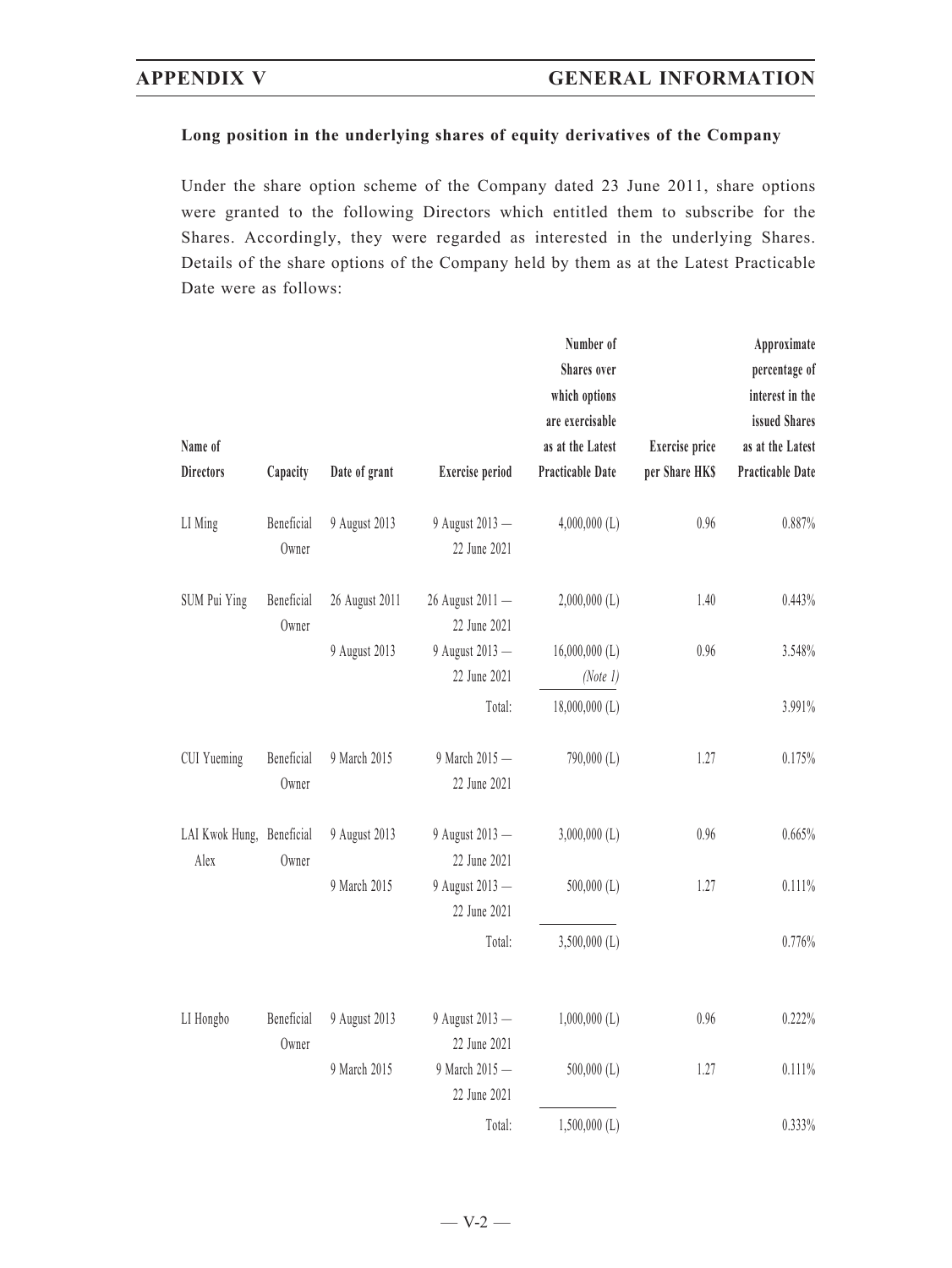### **Long position in the underlying shares of equity derivatives of the Company**

Under the share option scheme of the Company dated 23 June 2011, share options were granted to the following Directors which entitled them to subscribe for the Shares. Accordingly, they were regarded as interested in the underlying Shares. Details of the share options of the Company held by them as at the Latest Practicable Date were as follows:

| Name of<br><b>Directors</b>       | Capacity            | Date of grant  | <b>Exercise</b> period           | Number of<br>Shares over<br>which options<br>are exercisable<br>as at the Latest<br>Practicable Date | <b>Exercise</b> price<br>per Share HK\$ | Approximate<br>percentage of<br>interest in the<br>issued Shares<br>as at the Latest<br>Practicable Date |
|-----------------------------------|---------------------|----------------|----------------------------------|------------------------------------------------------------------------------------------------------|-----------------------------------------|----------------------------------------------------------------------------------------------------------|
| LI Ming                           | Beneficial<br>Owner | 9 August 2013  | 9 August 2013 -<br>22 June 2021  | $4,000,000$ (L)                                                                                      | 0.96                                    | 0.887%                                                                                                   |
| SUM Pui Ying                      | Beneficial<br>Owner | 26 August 2011 | 26 August 2011 -<br>22 June 2021 | $2,000,000$ (L)                                                                                      | 1.40                                    | 0.443%                                                                                                   |
|                                   |                     | 9 August 2013  | 9 August 2013 -<br>22 June 2021  | $16,000,000$ (L)<br>(Note 1)                                                                         | 0.96                                    | 3.548%                                                                                                   |
|                                   |                     |                | Total:                           | $18,000,000$ (L)                                                                                     |                                         | 3.991%                                                                                                   |
| CUI Yueming                       | Beneficial<br>Owner | 9 March 2015   | 9 March 2015 -<br>22 June 2021   | 790,000 (L)                                                                                          | 1.27                                    | 0.175%                                                                                                   |
| LAI Kwok Hung, Beneficial<br>Alex | Owner               | 9 August 2013  | 9 August 2013 -<br>22 June 2021  | $3,000,000$ (L)                                                                                      | 0.96                                    | 0.665%                                                                                                   |
|                                   |                     | 9 March 2015   | 9 August 2013 -<br>22 June 2021  | $500,000$ (L)                                                                                        | 1.27                                    | 0.111%                                                                                                   |
|                                   |                     |                | Total:                           | $3,500,000$ (L)                                                                                      |                                         | 0.776%                                                                                                   |
| LI Hongbo                         | Beneficial<br>Owner | 9 August 2013  | 9 August 2013 -<br>22 June 2021  | $1,000,000$ (L)                                                                                      | 0.96                                    | 0.222%                                                                                                   |
|                                   |                     | 9 March 2015   | 9 March 2015 -<br>22 June 2021   | $500,000$ (L)                                                                                        | 1.27                                    | 0.111%                                                                                                   |
|                                   |                     |                | Total:                           | $1,500,000$ (L)                                                                                      |                                         | 0.333%                                                                                                   |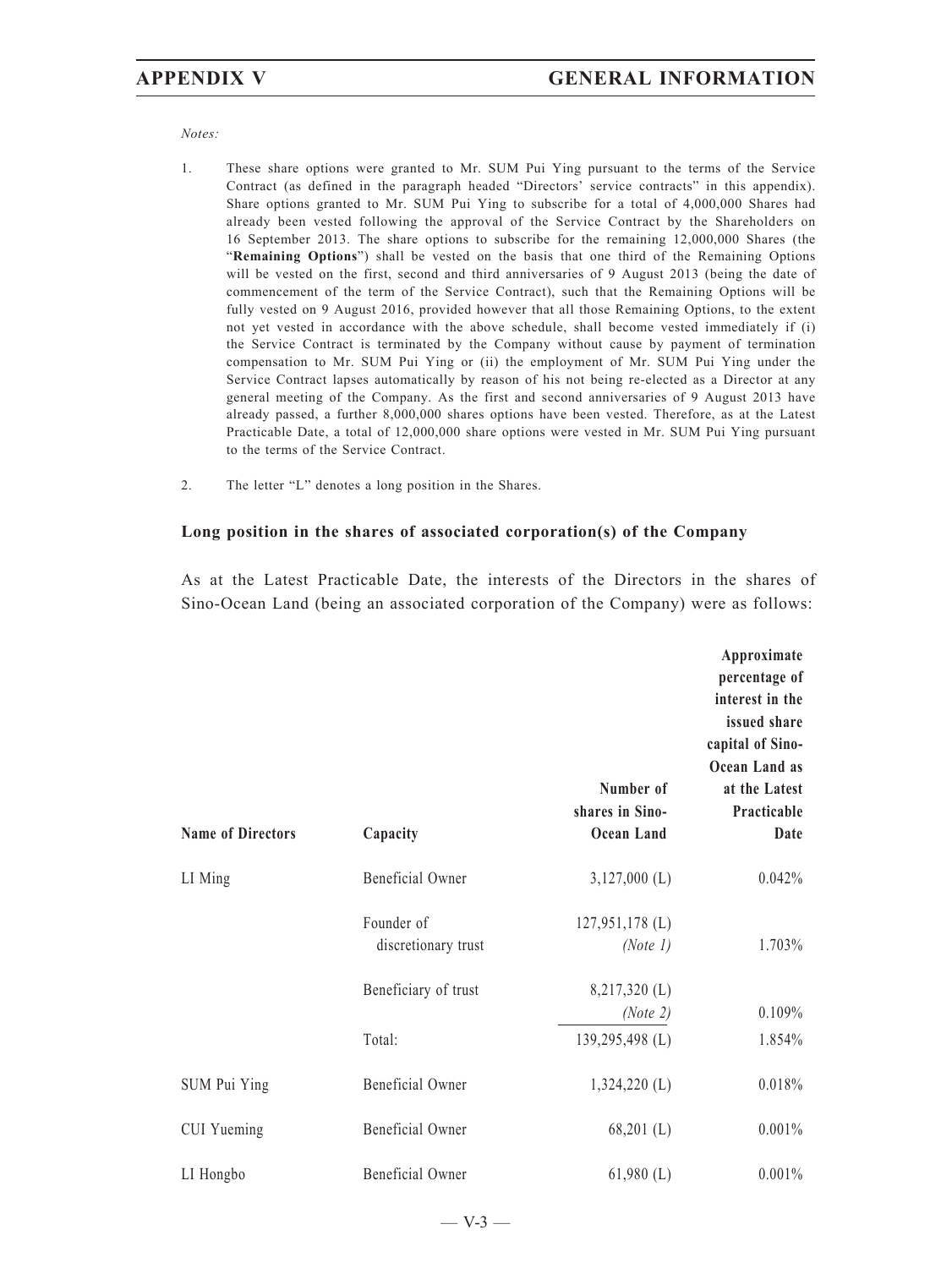*Notes:*

- 1. These share options were granted to Mr. SUM Pui Ying pursuant to the terms of the Service Contract (as defined in the paragraph headed "Directors' service contracts" in this appendix). Share options granted to Mr. SUM Pui Ying to subscribe for a total of 4,000,000 Shares had already been vested following the approval of the Service Contract by the Shareholders on 16 September 2013. The share options to subscribe for the remaining 12,000,000 Shares (the "**Remaining Options**") shall be vested on the basis that one third of the Remaining Options will be vested on the first, second and third anniversaries of 9 August 2013 (being the date of commencement of the term of the Service Contract), such that the Remaining Options will be fully vested on 9 August 2016, provided however that all those Remaining Options, to the extent not yet vested in accordance with the above schedule, shall become vested immediately if (i) the Service Contract is terminated by the Company without cause by payment of termination compensation to Mr. SUM Pui Ying or (ii) the employment of Mr. SUM Pui Ying under the Service Contract lapses automatically by reason of his not being re-elected as a Director at any general meeting of the Company. As the first and second anniversaries of 9 August 2013 have already passed, a further 8,000,000 shares options have been vested. Therefore, as at the Latest Practicable Date, a total of 12,000,000 share options were vested in Mr. SUM Pui Ying pursuant to the terms of the Service Contract.
- 2. The letter "L" denotes a long position in the Shares.

### **Long position in the shares of associated corporation(s) of the Company**

As at the Latest Practicable Date, the interests of the Directors in the shares of Sino-Ocean Land (being an associated corporation of the Company) were as follows:

| <b>Name of Directors</b> | Capacity                          | Number of<br>shares in Sino-<br>Ocean Land | Approximate<br>percentage of<br>interest in the<br>issued share<br>capital of Sino-<br>Ocean Land as<br>at the Latest<br>Practicable<br>Date |
|--------------------------|-----------------------------------|--------------------------------------------|----------------------------------------------------------------------------------------------------------------------------------------------|
| LI Ming                  | Beneficial Owner                  | $3,127,000$ (L)                            | 0.042%                                                                                                                                       |
|                          | Founder of<br>discretionary trust | $127,951,178$ (L)<br>(Note 1)              | 1.703%                                                                                                                                       |
|                          | Beneficiary of trust              | $8,217,320$ (L)<br>(Note 2)                | 0.109%                                                                                                                                       |
|                          | Total:                            | 139,295,498 (L)                            | 1.854%                                                                                                                                       |
| SUM Pui Ying             | Beneficial Owner                  | $1,324,220$ (L)                            | 0.018%                                                                                                                                       |
| CUI Yueming              | Beneficial Owner                  | $68,201$ (L)                               | 0.001%                                                                                                                                       |
| LI Hongbo                | Beneficial Owner                  | $61,980$ (L)                               | 0.001%                                                                                                                                       |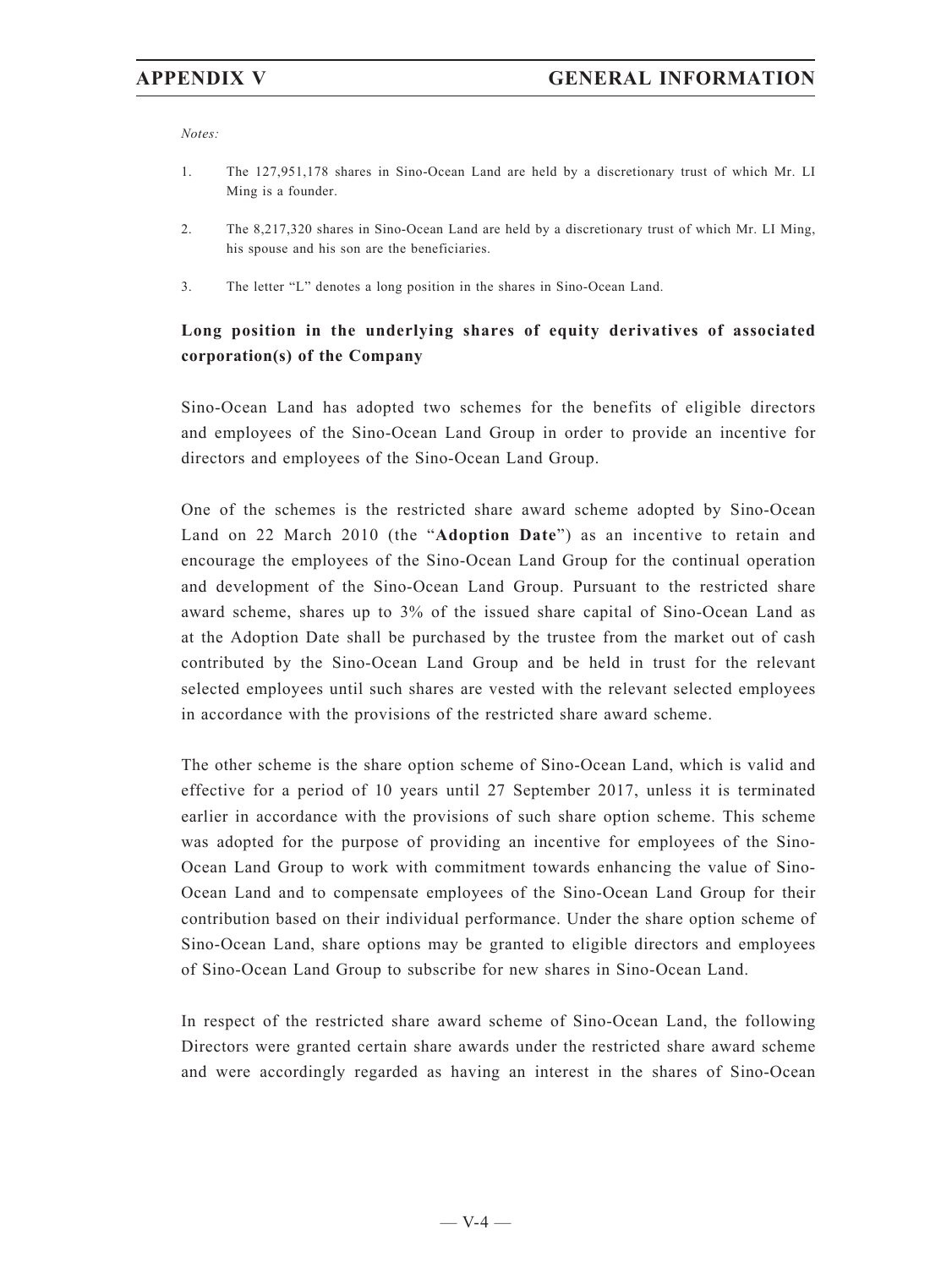*Notes:*

- 1. The 127,951,178 shares in Sino-Ocean Land are held by a discretionary trust of which Mr. LI Ming is a founder.
- 2. The 8,217,320 shares in Sino-Ocean Land are held by a discretionary trust of which Mr. LI Ming, his spouse and his son are the beneficiaries.
- 3. The letter "L" denotes a long position in the shares in Sino-Ocean Land.

# **Long position in the underlying shares of equity derivatives of associated corporation(s) of the Company**

Sino-Ocean Land has adopted two schemes for the benefits of eligible directors and employees of the Sino-Ocean Land Group in order to provide an incentive for directors and employees of the Sino-Ocean Land Group.

One of the schemes is the restricted share award scheme adopted by Sino-Ocean Land on 22 March 2010 (the "**Adoption Date**") as an incentive to retain and encourage the employees of the Sino-Ocean Land Group for the continual operation and development of the Sino-Ocean Land Group. Pursuant to the restricted share award scheme, shares up to 3% of the issued share capital of Sino-Ocean Land as at the Adoption Date shall be purchased by the trustee from the market out of cash contributed by the Sino-Ocean Land Group and be held in trust for the relevant selected employees until such shares are vested with the relevant selected employees in accordance with the provisions of the restricted share award scheme.

The other scheme is the share option scheme of Sino-Ocean Land, which is valid and effective for a period of 10 years until 27 September 2017, unless it is terminated earlier in accordance with the provisions of such share option scheme. This scheme was adopted for the purpose of providing an incentive for employees of the Sino-Ocean Land Group to work with commitment towards enhancing the value of Sino-Ocean Land and to compensate employees of the Sino-Ocean Land Group for their contribution based on their individual performance. Under the share option scheme of Sino-Ocean Land, share options may be granted to eligible directors and employees of Sino-Ocean Land Group to subscribe for new shares in Sino-Ocean Land.

In respect of the restricted share award scheme of Sino-Ocean Land, the following Directors were granted certain share awards under the restricted share award scheme and were accordingly regarded as having an interest in the shares of Sino-Ocean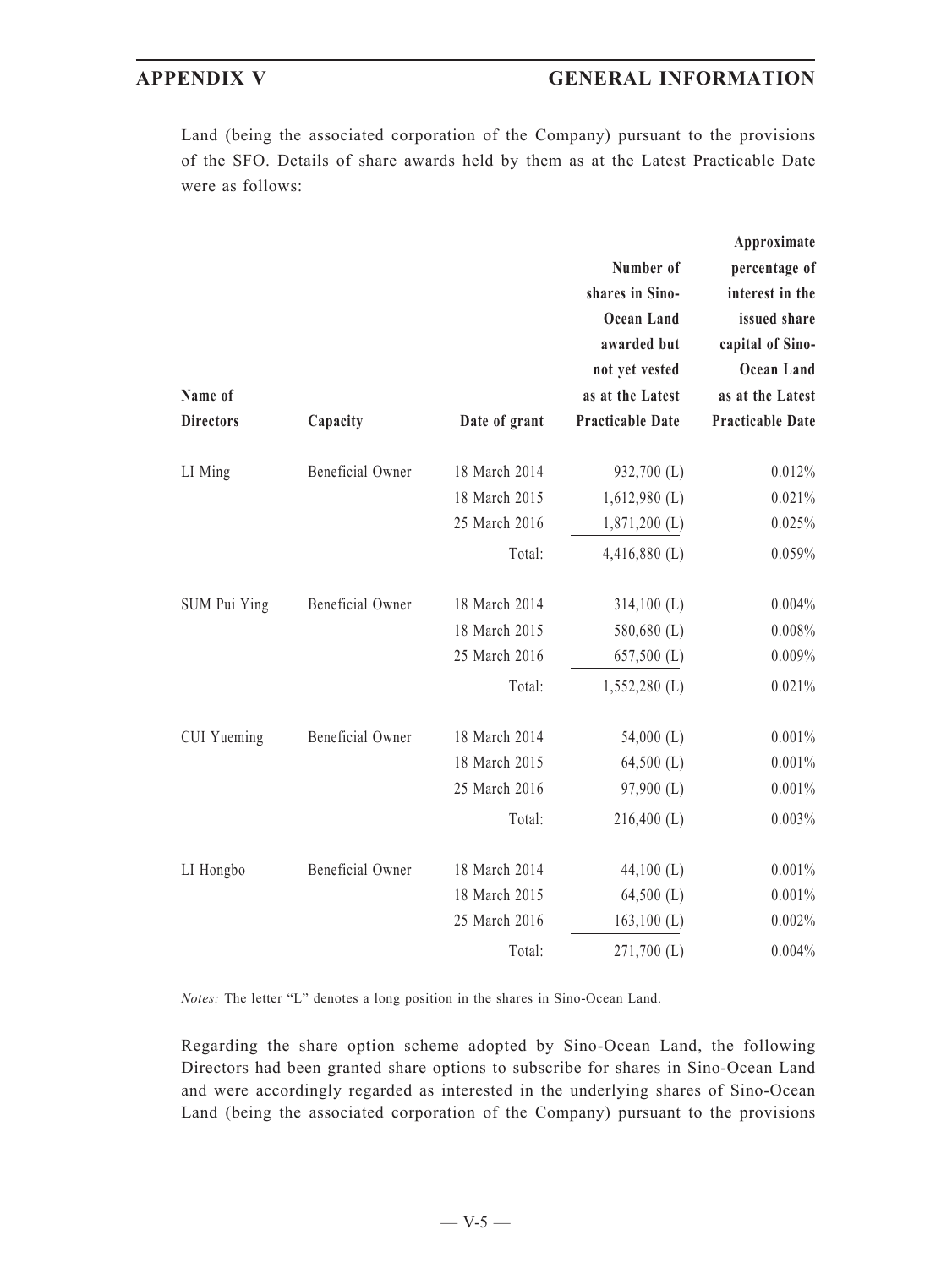Land (being the associated corporation of the Company) pursuant to the provisions of the SFO. Details of share awards held by them as at the Latest Practicable Date were as follows:

|                  |                  |               |                         | Approximate             |
|------------------|------------------|---------------|-------------------------|-------------------------|
|                  |                  |               | Number of               | percentage of           |
|                  |                  |               | shares in Sino-         | interest in the         |
|                  |                  |               | <b>Ocean Land</b>       | issued share            |
|                  |                  |               | awarded but             | capital of Sino-        |
|                  |                  |               | not yet vested          | Ocean Land              |
| Name of          |                  |               | as at the Latest        | as at the Latest        |
| <b>Directors</b> | Capacity         | Date of grant | <b>Practicable Date</b> | <b>Practicable Date</b> |
| LI Ming          | Beneficial Owner | 18 March 2014 | 932,700 (L)             | 0.012%                  |
|                  |                  | 18 March 2015 | $1,612,980$ (L)         | 0.021%                  |
|                  |                  | 25 March 2016 | $1,871,200$ (L)         | 0.025%                  |
|                  |                  | Total:        | $4,416,880$ (L)         | 0.059%                  |
| SUM Pui Ying     | Beneficial Owner | 18 March 2014 | $314,100$ (L)           | 0.004%                  |
|                  |                  | 18 March 2015 | 580,680 (L)             | 0.008%                  |
|                  |                  | 25 March 2016 | $657,500$ (L)           | 0.009%                  |
|                  |                  | Total:        | $1,552,280$ (L)         | 0.021%                  |
| CUI Yueming      | Beneficial Owner | 18 March 2014 | 54,000 $(L)$            | 0.001%                  |
|                  |                  | 18 March 2015 | $64,500$ (L)            | 0.001%                  |
|                  |                  | 25 March 2016 | 97,900 (L)              | 0.001%                  |
|                  |                  | Total:        | $216,400$ (L)           | 0.003%                  |
| LI Hongbo        | Beneficial Owner | 18 March 2014 | 44,100 $(L)$            | 0.001%                  |
|                  |                  | 18 March 2015 | $64,500$ (L)            | $0.001\%$               |
|                  |                  | 25 March 2016 | $163,100$ (L)           | 0.002%                  |
|                  |                  | Total:        | $271,700$ (L)           | 0.004%                  |

*Notes:* The letter "L" denotes a long position in the shares in Sino-Ocean Land.

Regarding the share option scheme adopted by Sino-Ocean Land, the following Directors had been granted share options to subscribe for shares in Sino-Ocean Land and were accordingly regarded as interested in the underlying shares of Sino-Ocean Land (being the associated corporation of the Company) pursuant to the provisions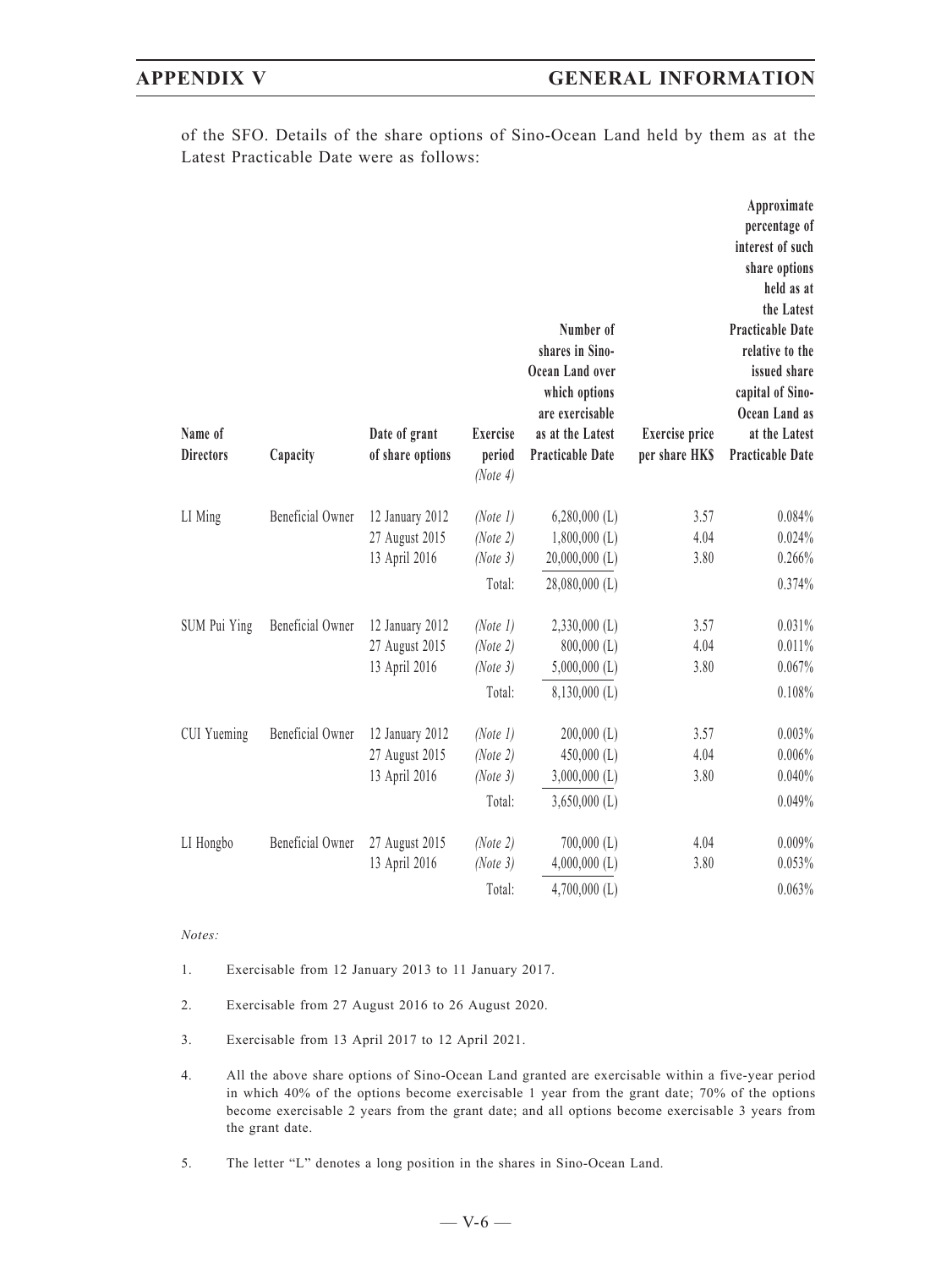of the SFO. Details of the share options of Sino-Ocean Land held by them as at the Latest Practicable Date were as follows:

| Name of<br><b>Directors</b> | Capacity         | Date of grant<br>of share options | <b>Exercise</b><br>period<br>(Note 4) | Number of<br>shares in Sino-<br>Ocean Land over<br>which options<br>are exercisable<br>as at the Latest<br>Practicable Date | <b>Exercise</b> price<br>per share HKS | Approximate<br>percentage of<br>interest of such<br>share options<br>held as at<br>the Latest<br><b>Practicable Date</b><br>relative to the<br>issued share<br>capital of Sino-<br>Ocean Land as<br>at the Latest<br><b>Practicable Date</b> |
|-----------------------------|------------------|-----------------------------------|---------------------------------------|-----------------------------------------------------------------------------------------------------------------------------|----------------------------------------|----------------------------------------------------------------------------------------------------------------------------------------------------------------------------------------------------------------------------------------------|
|                             |                  |                                   |                                       |                                                                                                                             |                                        |                                                                                                                                                                                                                                              |
| LI Ming                     | Beneficial Owner | 12 January 2012<br>27 August 2015 | (Note 1)<br>(Note 2)                  | $6,280,000$ (L)<br>$1,800,000$ (L)                                                                                          | 3.57<br>4.04                           | 0.084%<br>0.024%                                                                                                                                                                                                                             |
|                             |                  | 13 April 2016                     | (Note 3)                              | $20,000,000$ (L)                                                                                                            | 3.80                                   | 0.266%                                                                                                                                                                                                                                       |
|                             |                  |                                   | Total:                                | $28,080,000$ (L)                                                                                                            |                                        | 0.374%                                                                                                                                                                                                                                       |
| SUM Pui Ying                | Beneficial Owner | 12 January 2012                   | (Note 1)                              | $2,330,000$ (L)                                                                                                             | 3.57                                   | 0.031%                                                                                                                                                                                                                                       |
|                             |                  | 27 August 2015                    | (Note 2)                              | $800,000$ (L)                                                                                                               | 4.04                                   | 0.011%                                                                                                                                                                                                                                       |
|                             |                  | 13 April 2016                     | (Note 3)                              | $5,000,000$ (L)                                                                                                             | 3.80                                   | 0.067%                                                                                                                                                                                                                                       |
|                             |                  |                                   | Total:                                | $8,130,000$ (L)                                                                                                             |                                        | 0.108%                                                                                                                                                                                                                                       |
| CUI Yueming                 | Beneficial Owner | 12 January 2012                   | (Note 1)                              | $200,000$ (L)                                                                                                               | 3.57                                   | 0.003%                                                                                                                                                                                                                                       |
|                             |                  | 27 August 2015                    | (Note 2)                              | $450,000$ (L)                                                                                                               | 4.04                                   | 0.006%                                                                                                                                                                                                                                       |
|                             |                  | 13 April 2016                     | (Note 3)                              | $3,000,000$ (L)                                                                                                             | 3.80                                   | 0.040%                                                                                                                                                                                                                                       |
|                             |                  |                                   | Total:                                | $3,650,000$ (L)                                                                                                             |                                        | 0.049%                                                                                                                                                                                                                                       |
| LI Hongbo                   | Beneficial Owner | 27 August 2015                    | (Note 2)                              | $700,000$ (L)                                                                                                               | 4.04                                   | 0.009%                                                                                                                                                                                                                                       |
|                             |                  | 13 April 2016                     | (Note 3)                              | $4,000,000$ (L)                                                                                                             | 3.80                                   | 0.053%                                                                                                                                                                                                                                       |
|                             |                  |                                   | Total:                                | $4,700,000$ (L)                                                                                                             |                                        | 0.063%                                                                                                                                                                                                                                       |

### *Notes:*

- 1. Exercisable from 12 January 2013 to 11 January 2017.
- 2. Exercisable from 27 August 2016 to 26 August 2020.
- 3. Exercisable from 13 April 2017 to 12 April 2021.
- 4. All the above share options of Sino-Ocean Land granted are exercisable within a five-year period in which 40% of the options become exercisable 1 year from the grant date; 70% of the options become exercisable 2 years from the grant date; and all options become exercisable 3 years from the grant date.
- 5. The letter "L" denotes a long position in the shares in Sino-Ocean Land.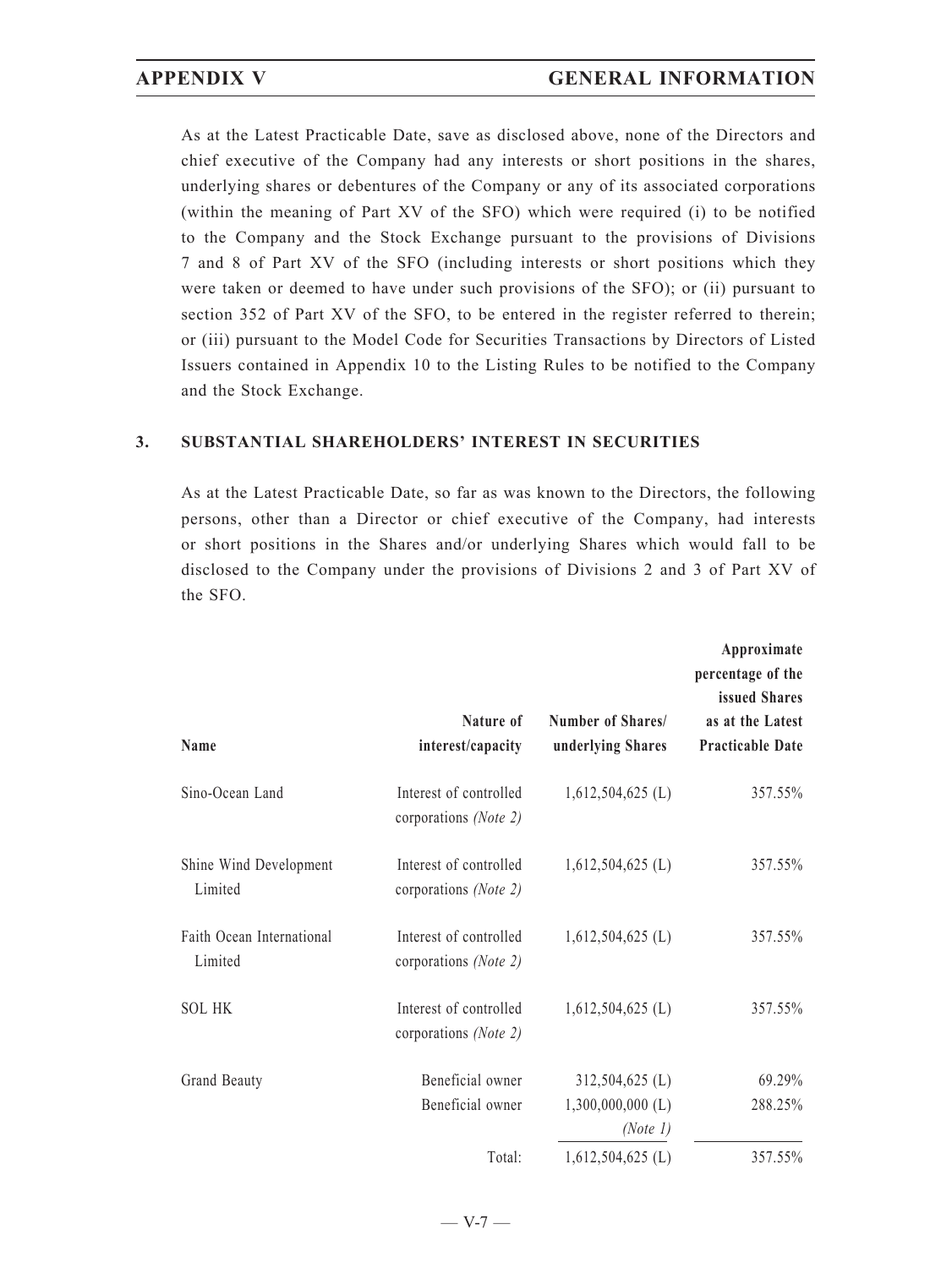As at the Latest Practicable Date, save as disclosed above, none of the Directors and chief executive of the Company had any interests or short positions in the shares, underlying shares or debentures of the Company or any of its associated corporations (within the meaning of Part XV of the SFO) which were required (i) to be notified to the Company and the Stock Exchange pursuant to the provisions of Divisions 7 and 8 of Part XV of the SFO (including interests or short positions which they were taken or deemed to have under such provisions of the SFO); or (ii) pursuant to section 352 of Part XV of the SFO, to be entered in the register referred to therein; or (iii) pursuant to the Model Code for Securities Transactions by Directors of Listed Issuers contained in Appendix 10 to the Listing Rules to be notified to the Company and the Stock Exchange.

### **3. SUBSTANTIAL SHAREHOLDERS' INTEREST IN SECURITIES**

As at the Latest Practicable Date, so far as was known to the Directors, the following persons, other than a Director or chief executive of the Company, had interests or short positions in the Shares and/or underlying Shares which would fall to be disclosed to the Company under the provisions of Divisions 2 and 3 of Part XV of the SFO.

| Name                                 | Nature of<br>interest/capacity                  | Number of Shares/<br>underlying Shares             | Approximate<br>percentage of the<br>issued Shares<br>as at the Latest<br><b>Practicable Date</b> |
|--------------------------------------|-------------------------------------------------|----------------------------------------------------|--------------------------------------------------------------------------------------------------|
| Sino-Ocean Land                      | Interest of controlled<br>corporations (Note 2) | $1,612,504,625$ (L)                                | 357.55%                                                                                          |
| Shine Wind Development<br>Limited    | Interest of controlled<br>corporations (Note 2) | $1,612,504,625$ (L)                                | 357.55%                                                                                          |
| Faith Ocean International<br>Limited | Interest of controlled<br>corporations (Note 2) | $1,612,504,625$ (L)                                | 357.55%                                                                                          |
| <b>SOL HK</b>                        | Interest of controlled<br>corporations (Note 2) | $1,612,504,625$ (L)                                | 357.55%                                                                                          |
| Grand Beauty                         | Beneficial owner<br>Beneficial owner            | 312,504,625 (L)<br>$1,300,000,000$ (L)<br>(Note 1) | 69.29%<br>288.25%                                                                                |
|                                      | Total:                                          | $1,612,504,625$ (L)                                | 357.55%                                                                                          |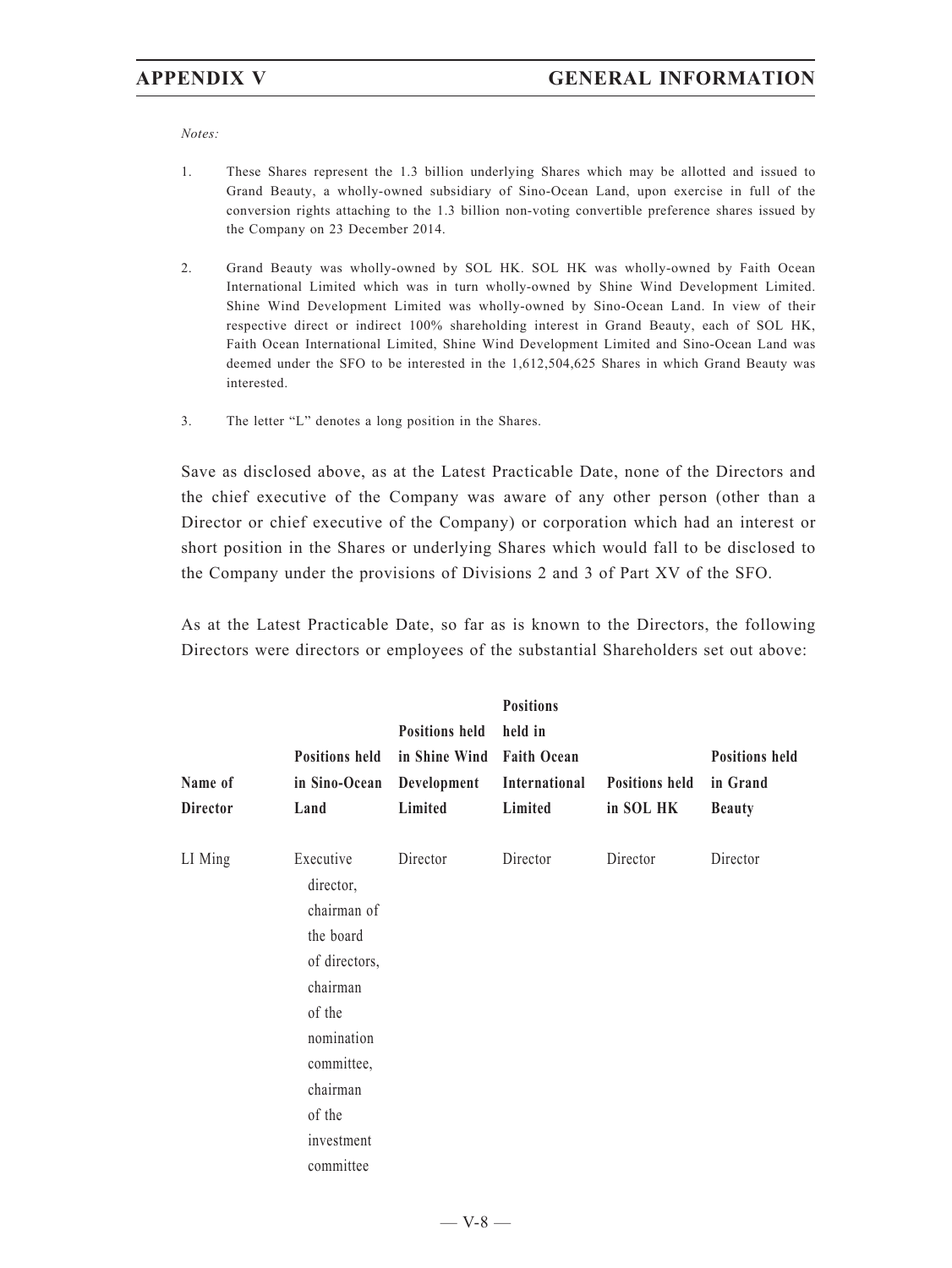*Notes:*

- 1. These Shares represent the 1.3 billion underlying Shares which may be allotted and issued to Grand Beauty, a wholly-owned subsidiary of Sino-Ocean Land, upon exercise in full of the conversion rights attaching to the 1.3 billion non-voting convertible preference shares issued by the Company on 23 December 2014.
- 2. Grand Beauty was wholly-owned by SOL HK. SOL HK was wholly-owned by Faith Ocean International Limited which was in turn wholly-owned by Shine Wind Development Limited. Shine Wind Development Limited was wholly-owned by Sino-Ocean Land. In view of their respective direct or indirect 100% shareholding interest in Grand Beauty, each of SOL HK, Faith Ocean International Limited, Shine Wind Development Limited and Sino-Ocean Land was deemed under the SFO to be interested in the 1,612,504,625 Shares in which Grand Beauty was interested.
- 3. The letter "L" denotes a long position in the Shares.

Save as disclosed above, as at the Latest Practicable Date, none of the Directors and the chief executive of the Company was aware of any other person (other than a Director or chief executive of the Company) or corporation which had an interest or short position in the Shares or underlying Shares which would fall to be disclosed to the Company under the provisions of Divisions 2 and 3 of Part XV of the SFO.

As at the Latest Practicable Date, so far as is known to the Directors, the following Directors were directors or employees of the substantial Shareholders set out above:

| Name of<br><b>Director</b> | <b>Positions held</b><br>in Sino-Ocean<br>Land                                                                                                                         | <b>Positions held</b><br>in Shine Wind Faith Ocean<br>Development<br>Limited | <b>Positions</b><br>held in<br>International<br>Limited | <b>Positions held</b><br>in SOL HK | <b>Positions held</b><br>in Grand<br><b>Beauty</b> |
|----------------------------|------------------------------------------------------------------------------------------------------------------------------------------------------------------------|------------------------------------------------------------------------------|---------------------------------------------------------|------------------------------------|----------------------------------------------------|
| LI Ming                    | Executive<br>director,<br>chairman of<br>the board<br>of directors,<br>chairman<br>of the<br>nomination<br>committee,<br>chairman<br>of the<br>investment<br>committee | Director                                                                     | Director                                                | Director                           | Director                                           |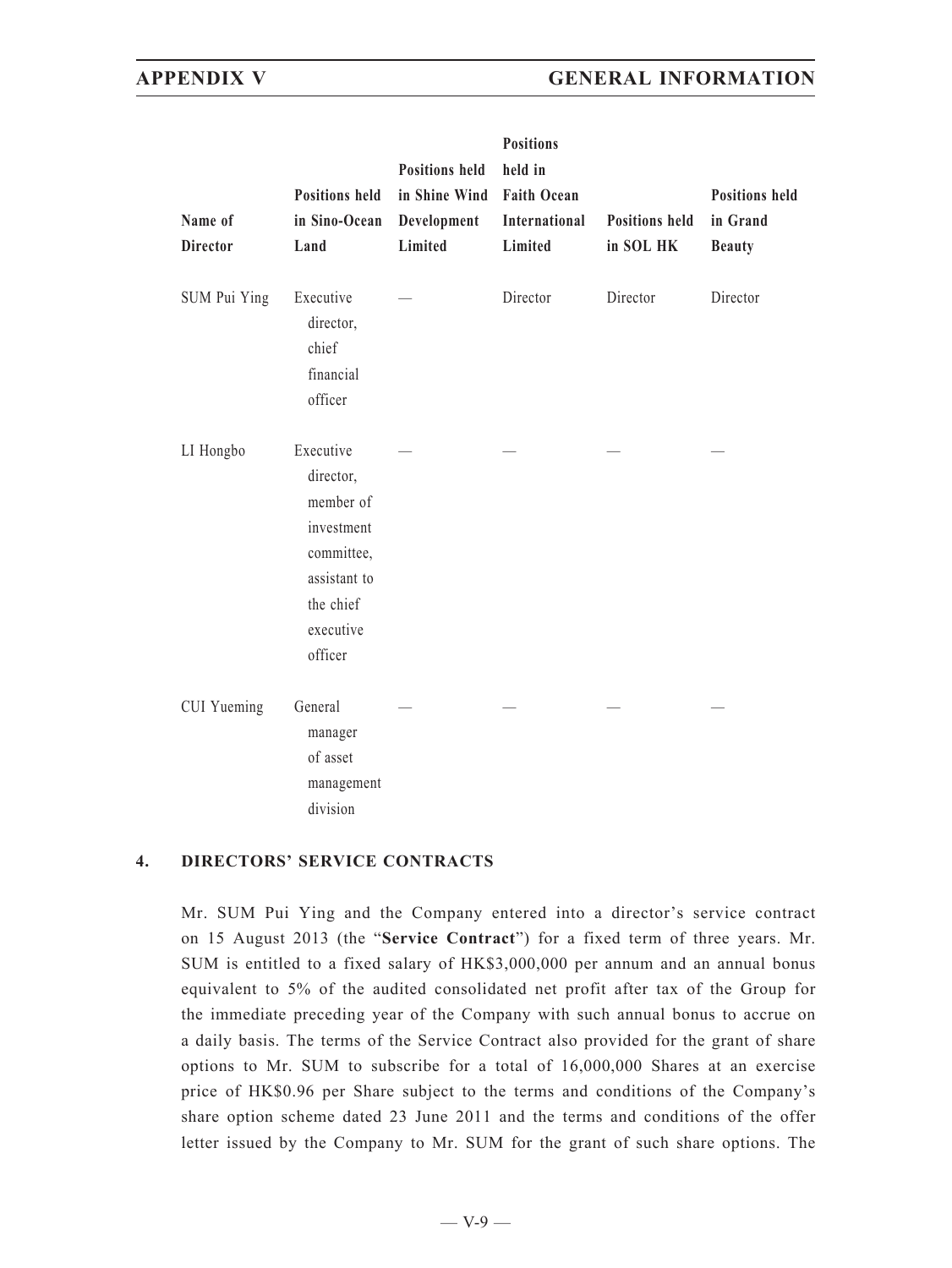## **APPENDIX V GENERAL INFORMATION**

| Name of<br><b>Director</b> | <b>Positions held</b><br>in Sino-Ocean<br>Land                                                                       | <b>Positions held</b><br>in Shine Wind<br>Development<br>Limited | <b>Positions</b><br>held in<br><b>Faith Ocean</b><br>International<br>Limited | <b>Positions held</b><br>in SOL HK | <b>Positions held</b><br>in Grand<br><b>Beauty</b> |
|----------------------------|----------------------------------------------------------------------------------------------------------------------|------------------------------------------------------------------|-------------------------------------------------------------------------------|------------------------------------|----------------------------------------------------|
| SUM Pui Ying               | Executive<br>director,<br>chief<br>financial<br>officer                                                              |                                                                  | Director                                                                      | Director                           | Director                                           |
| LI Hongbo                  | Executive<br>director,<br>member of<br>investment<br>committee,<br>assistant to<br>the chief<br>executive<br>officer |                                                                  |                                                                               |                                    |                                                    |
| <b>CUI</b> Yueming         | General<br>manager<br>of asset<br>management<br>division                                                             |                                                                  |                                                                               |                                    |                                                    |

### **4. DIRECTORS' SERVICE CONTRACTS**

Mr. SUM Pui Ying and the Company entered into a director's service contract on 15 August 2013 (the "**Service Contract**") for a fixed term of three years. Mr. SUM is entitled to a fixed salary of HK\$3,000,000 per annum and an annual bonus equivalent to 5% of the audited consolidated net profit after tax of the Group for the immediate preceding year of the Company with such annual bonus to accrue on a daily basis. The terms of the Service Contract also provided for the grant of share options to Mr. SUM to subscribe for a total of 16,000,000 Shares at an exercise price of HK\$0.96 per Share subject to the terms and conditions of the Company's share option scheme dated 23 June 2011 and the terms and conditions of the offer letter issued by the Company to Mr. SUM for the grant of such share options. The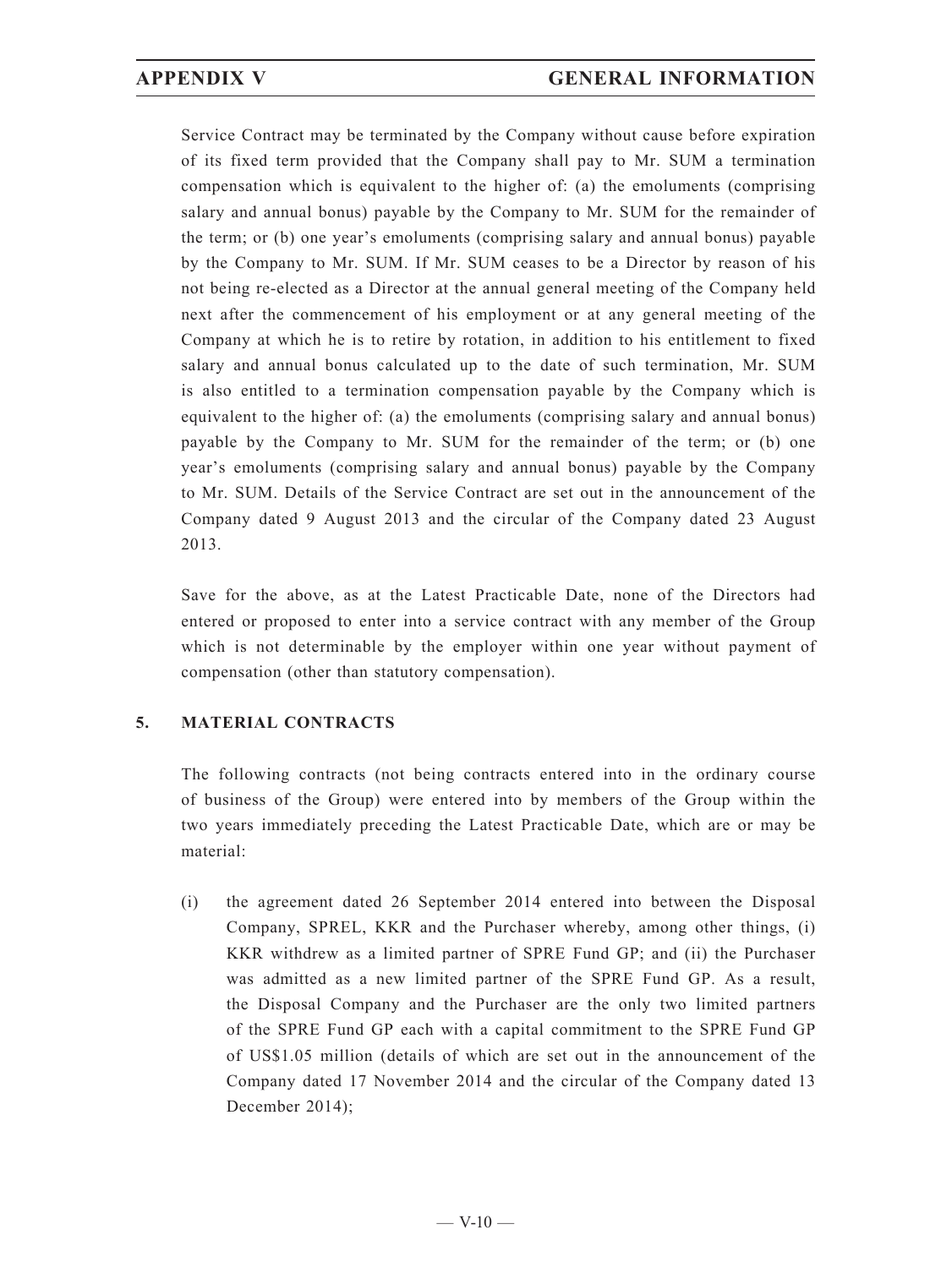Service Contract may be terminated by the Company without cause before expiration of its fixed term provided that the Company shall pay to Mr. SUM a termination compensation which is equivalent to the higher of: (a) the emoluments (comprising salary and annual bonus) payable by the Company to Mr. SUM for the remainder of the term; or (b) one year's emoluments (comprising salary and annual bonus) payable by the Company to Mr. SUM. If Mr. SUM ceases to be a Director by reason of his not being re-elected as a Director at the annual general meeting of the Company held next after the commencement of his employment or at any general meeting of the Company at which he is to retire by rotation, in addition to his entitlement to fixed salary and annual bonus calculated up to the date of such termination, Mr. SUM is also entitled to a termination compensation payable by the Company which is equivalent to the higher of: (a) the emoluments (comprising salary and annual bonus) payable by the Company to Mr. SUM for the remainder of the term; or (b) one year's emoluments (comprising salary and annual bonus) payable by the Company to Mr. SUM. Details of the Service Contract are set out in the announcement of the Company dated 9 August 2013 and the circular of the Company dated 23 August 2013.

Save for the above, as at the Latest Practicable Date, none of the Directors had entered or proposed to enter into a service contract with any member of the Group which is not determinable by the employer within one year without payment of compensation (other than statutory compensation).

### **5. MATERIAL CONTRACTS**

The following contracts (not being contracts entered into in the ordinary course of business of the Group) were entered into by members of the Group within the two years immediately preceding the Latest Practicable Date, which are or may be material:

(i) the agreement dated 26 September 2014 entered into between the Disposal Company, SPREL, KKR and the Purchaser whereby, among other things, (i) KKR withdrew as a limited partner of SPRE Fund GP; and (ii) the Purchaser was admitted as a new limited partner of the SPRE Fund GP. As a result, the Disposal Company and the Purchaser are the only two limited partners of the SPRE Fund GP each with a capital commitment to the SPRE Fund GP of US\$1.05 million (details of which are set out in the announcement of the Company dated 17 November 2014 and the circular of the Company dated 13 December 2014);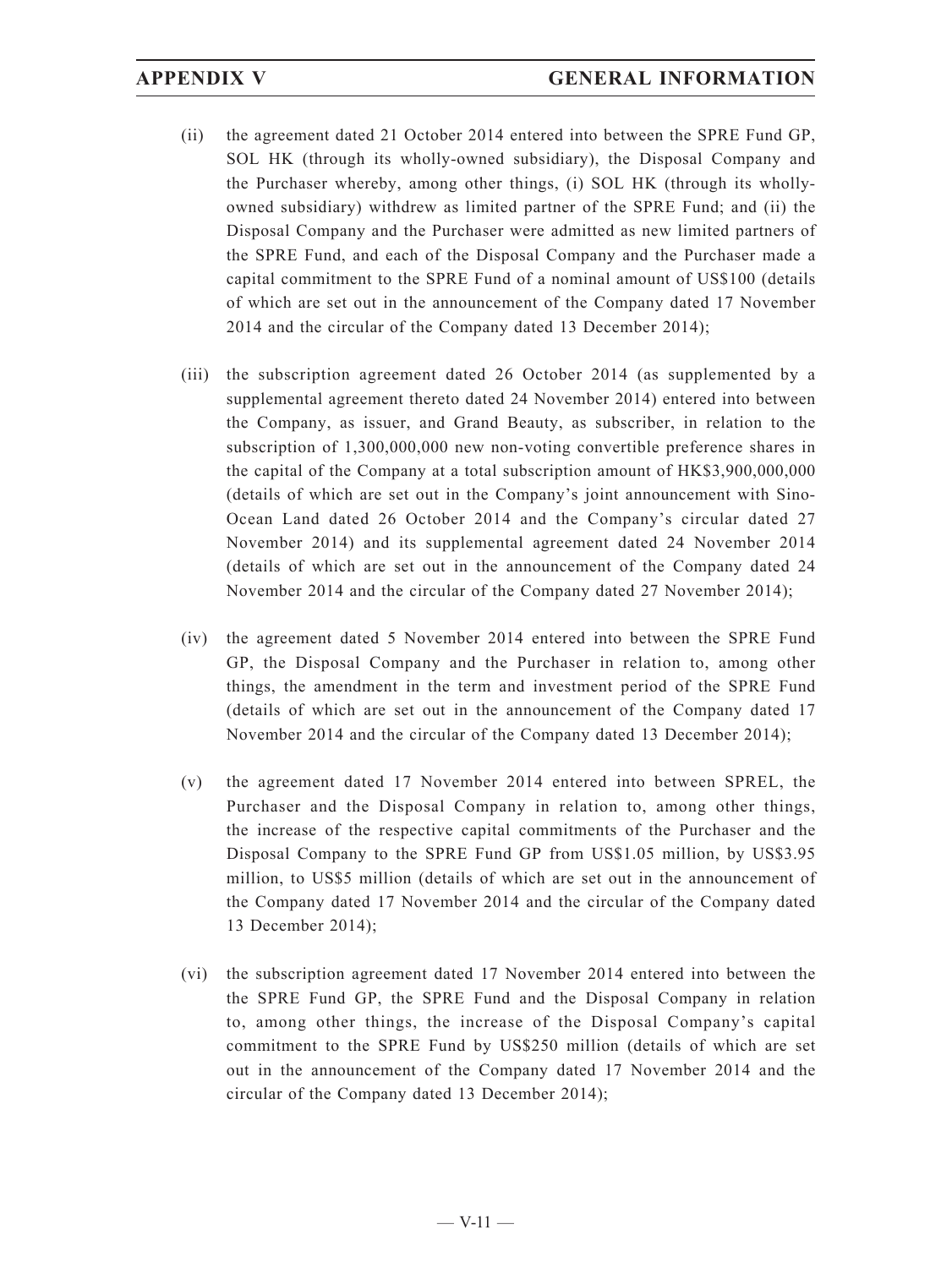- (ii) the agreement dated 21 October 2014 entered into between the SPRE Fund GP, SOL HK (through its wholly-owned subsidiary), the Disposal Company and the Purchaser whereby, among other things, (i) SOL HK (through its whollyowned subsidiary) withdrew as limited partner of the SPRE Fund; and (ii) the Disposal Company and the Purchaser were admitted as new limited partners of the SPRE Fund, and each of the Disposal Company and the Purchaser made a capital commitment to the SPRE Fund of a nominal amount of US\$100 (details of which are set out in the announcement of the Company dated 17 November 2014 and the circular of the Company dated 13 December 2014);
- (iii) the subscription agreement dated 26 October 2014 (as supplemented by a supplemental agreement thereto dated 24 November 2014) entered into between the Company, as issuer, and Grand Beauty, as subscriber, in relation to the subscription of 1,300,000,000 new non-voting convertible preference shares in the capital of the Company at a total subscription amount of HK\$3,900,000,000 (details of which are set out in the Company's joint announcement with Sino-Ocean Land dated 26 October 2014 and the Company's circular dated 27 November 2014) and its supplemental agreement dated 24 November 2014 (details of which are set out in the announcement of the Company dated 24 November 2014 and the circular of the Company dated 27 November 2014);
- (iv) the agreement dated 5 November 2014 entered into between the SPRE Fund GP, the Disposal Company and the Purchaser in relation to, among other things, the amendment in the term and investment period of the SPRE Fund (details of which are set out in the announcement of the Company dated 17 November 2014 and the circular of the Company dated 13 December 2014);
- (v) the agreement dated 17 November 2014 entered into between SPREL, the Purchaser and the Disposal Company in relation to, among other things, the increase of the respective capital commitments of the Purchaser and the Disposal Company to the SPRE Fund GP from US\$1.05 million, by US\$3.95 million, to US\$5 million (details of which are set out in the announcement of the Company dated 17 November 2014 and the circular of the Company dated 13 December 2014);
- (vi) the subscription agreement dated 17 November 2014 entered into between the the SPRE Fund GP, the SPRE Fund and the Disposal Company in relation to, among other things, the increase of the Disposal Company's capital commitment to the SPRE Fund by US\$250 million (details of which are set out in the announcement of the Company dated 17 November 2014 and the circular of the Company dated 13 December 2014);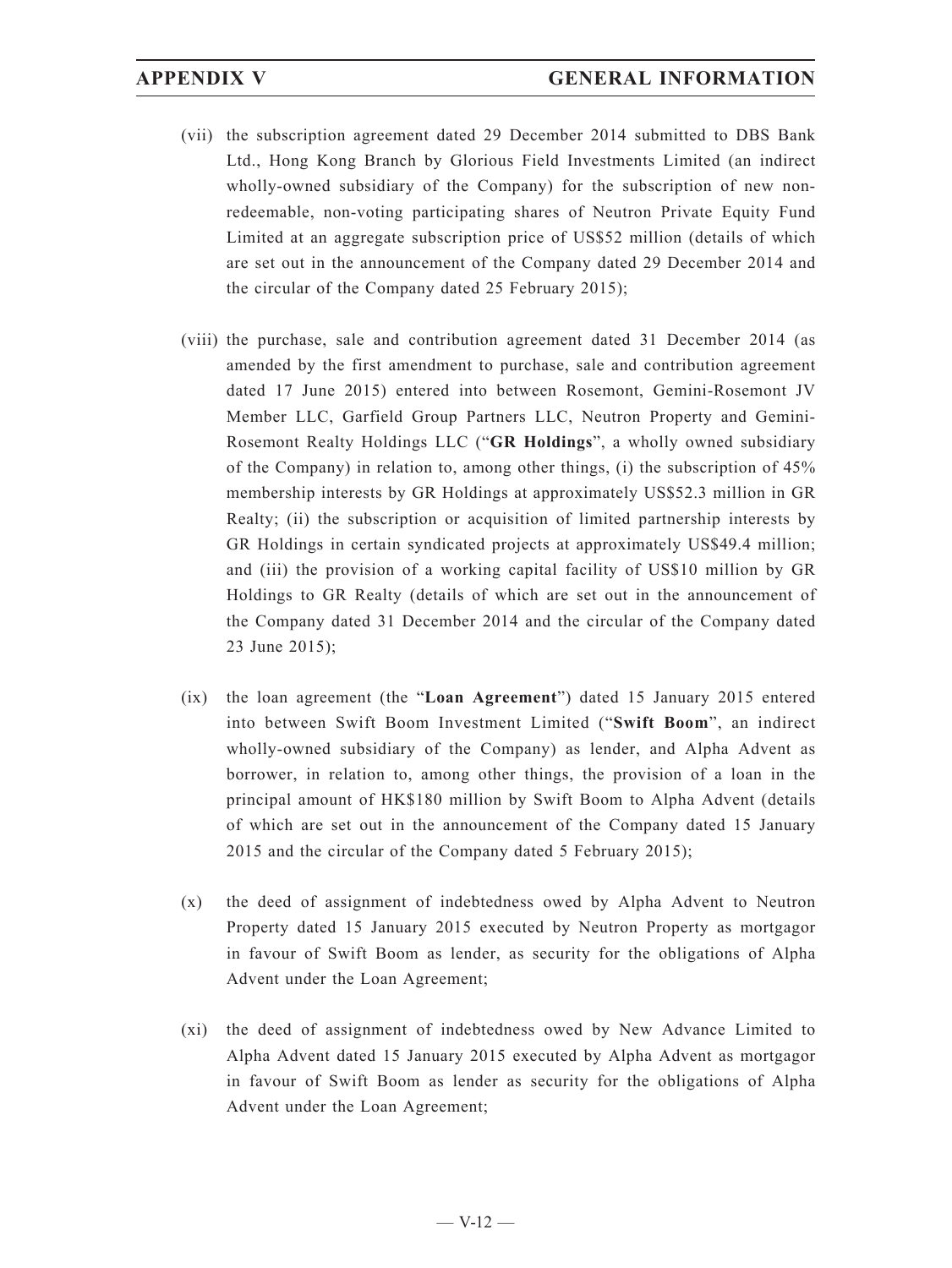- (vii) the subscription agreement dated 29 December 2014 submitted to DBS Bank Ltd., Hong Kong Branch by Glorious Field Investments Limited (an indirect wholly-owned subsidiary of the Company) for the subscription of new nonredeemable, non-voting participating shares of Neutron Private Equity Fund Limited at an aggregate subscription price of US\$52 million (details of which are set out in the announcement of the Company dated 29 December 2014 and the circular of the Company dated 25 February 2015);
- (viii) the purchase, sale and contribution agreement dated 31 December 2014 (as amended by the first amendment to purchase, sale and contribution agreement dated 17 June 2015) entered into between Rosemont, Gemini-Rosemont JV Member LLC, Garfield Group Partners LLC, Neutron Property and Gemini-Rosemont Realty Holdings LLC ("**GR Holdings**", a wholly owned subsidiary of the Company) in relation to, among other things, (i) the subscription of 45% membership interests by GR Holdings at approximately US\$52.3 million in GR Realty; (ii) the subscription or acquisition of limited partnership interests by GR Holdings in certain syndicated projects at approximately US\$49.4 million; and (iii) the provision of a working capital facility of US\$10 million by GR Holdings to GR Realty (details of which are set out in the announcement of the Company dated 31 December 2014 and the circular of the Company dated 23 June 2015);
- (ix) the loan agreement (the "**Loan Agreement**") dated 15 January 2015 entered into between Swift Boom Investment Limited ("**Swift Boom**", an indirect wholly-owned subsidiary of the Company) as lender, and Alpha Advent as borrower, in relation to, among other things, the provision of a loan in the principal amount of HK\$180 million by Swift Boom to Alpha Advent (details of which are set out in the announcement of the Company dated 15 January 2015 and the circular of the Company dated 5 February 2015);
- (x) the deed of assignment of indebtedness owed by Alpha Advent to Neutron Property dated 15 January 2015 executed by Neutron Property as mortgagor in favour of Swift Boom as lender, as security for the obligations of Alpha Advent under the Loan Agreement;
- (xi) the deed of assignment of indebtedness owed by New Advance Limited to Alpha Advent dated 15 January 2015 executed by Alpha Advent as mortgagor in favour of Swift Boom as lender as security for the obligations of Alpha Advent under the Loan Agreement;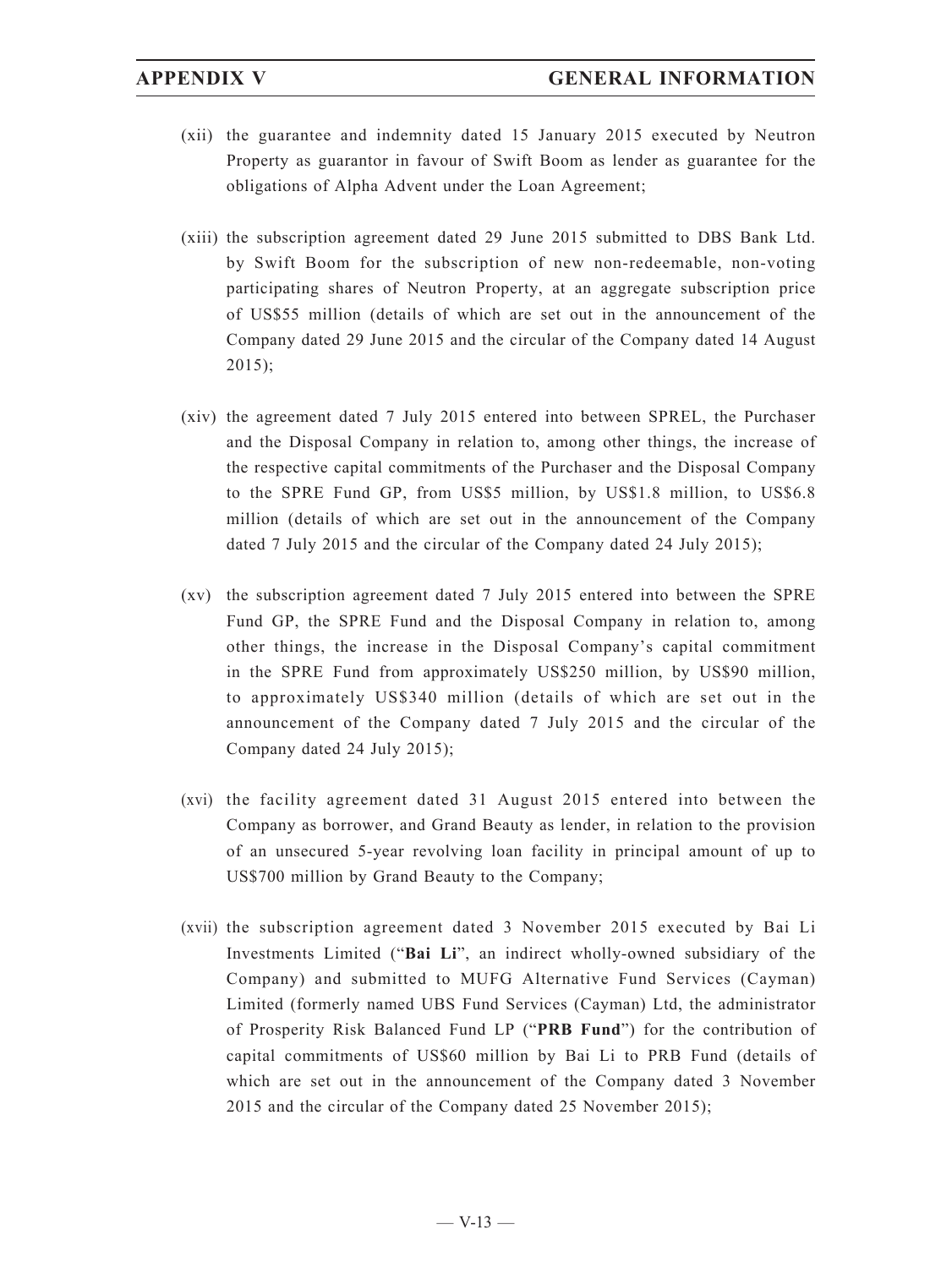- (xii) the guarantee and indemnity dated 15 January 2015 executed by Neutron Property as guarantor in favour of Swift Boom as lender as guarantee for the obligations of Alpha Advent under the Loan Agreement;
- (xiii) the subscription agreement dated 29 June 2015 submitted to DBS Bank Ltd. by Swift Boom for the subscription of new non-redeemable, non-voting participating shares of Neutron Property, at an aggregate subscription price of US\$55 million (details of which are set out in the announcement of the Company dated 29 June 2015 and the circular of the Company dated 14 August 2015);
- (xiv) the agreement dated 7 July 2015 entered into between SPREL, the Purchaser and the Disposal Company in relation to, among other things, the increase of the respective capital commitments of the Purchaser and the Disposal Company to the SPRE Fund GP, from US\$5 million, by US\$1.8 million, to US\$6.8 million (details of which are set out in the announcement of the Company dated 7 July 2015 and the circular of the Company dated 24 July 2015);
- (xv) the subscription agreement dated 7 July 2015 entered into between the SPRE Fund GP, the SPRE Fund and the Disposal Company in relation to, among other things, the increase in the Disposal Company's capital commitment in the SPRE Fund from approximately US\$250 million, by US\$90 million, to approximately US\$340 million (details of which are set out in the announcement of the Company dated 7 July 2015 and the circular of the Company dated 24 July 2015);
- (xvi) the facility agreement dated 31 August 2015 entered into between the Company as borrower, and Grand Beauty as lender, in relation to the provision of an unsecured 5-year revolving loan facility in principal amount of up to US\$700 million by Grand Beauty to the Company;
- (xvii) the subscription agreement dated 3 November 2015 executed by Bai Li Investments Limited ("**Bai Li**", an indirect wholly-owned subsidiary of the Company) and submitted to MUFG Alternative Fund Services (Cayman) Limited (formerly named UBS Fund Services (Cayman) Ltd, the administrator of Prosperity Risk Balanced Fund LP ("**PRB Fund**") for the contribution of capital commitments of US\$60 million by Bai Li to PRB Fund (details of which are set out in the announcement of the Company dated 3 November 2015 and the circular of the Company dated 25 November 2015);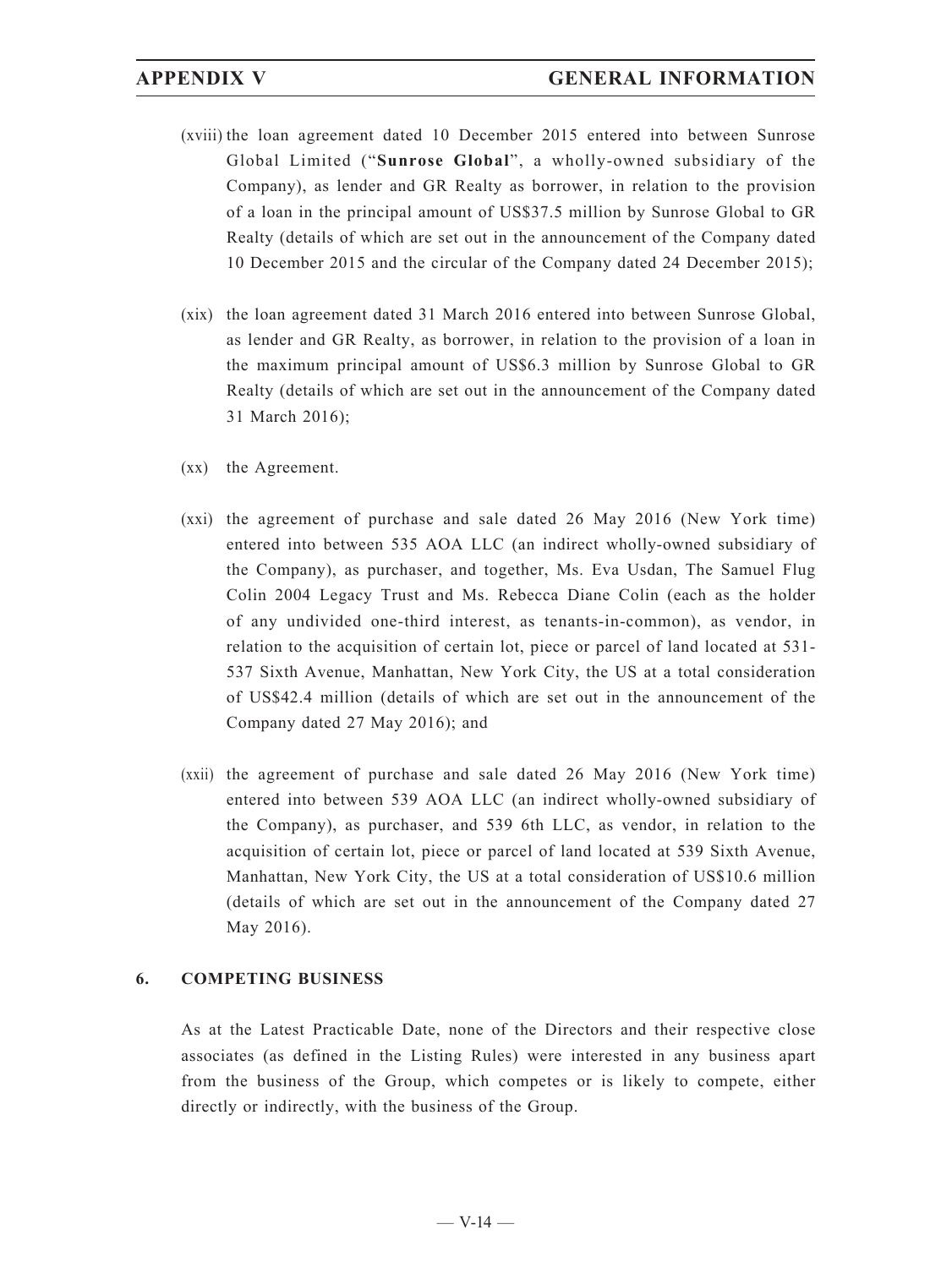- (xviii) the loan agreement dated 10 December 2015 entered into between Sunrose Global Limited ("**Sunrose Global**", a wholly-owned subsidiary of the Company), as lender and GR Realty as borrower, in relation to the provision of a loan in the principal amount of US\$37.5 million by Sunrose Global to GR Realty (details of which are set out in the announcement of the Company dated 10 December 2015 and the circular of the Company dated 24 December 2015);
- (xix) the loan agreement dated 31 March 2016 entered into between Sunrose Global, as lender and GR Realty, as borrower, in relation to the provision of a loan in the maximum principal amount of US\$6.3 million by Sunrose Global to GR Realty (details of which are set out in the announcement of the Company dated 31 March 2016);
- (xx) the Agreement.
- (xxi) the agreement of purchase and sale dated 26 May 2016 (New York time) entered into between 535 AOA LLC (an indirect wholly-owned subsidiary of the Company), as purchaser, and together, Ms. Eva Usdan, The Samuel Flug Colin 2004 Legacy Trust and Ms. Rebecca Diane Colin (each as the holder of any undivided one-third interest, as tenants-in-common), as vendor, in relation to the acquisition of certain lot, piece or parcel of land located at 531- 537 Sixth Avenue, Manhattan, New York City, the US at a total consideration of US\$42.4 million (details of which are set out in the announcement of the Company dated 27 May 2016); and
- (xxii) the agreement of purchase and sale dated 26 May 2016 (New York time) entered into between 539 AOA LLC (an indirect wholly-owned subsidiary of the Company), as purchaser, and 539 6th LLC, as vendor, in relation to the acquisition of certain lot, piece or parcel of land located at 539 Sixth Avenue, Manhattan, New York City, the US at a total consideration of US\$10.6 million (details of which are set out in the announcement of the Company dated 27 May 2016).

### **6. COMPETING BUSINESS**

As at the Latest Practicable Date, none of the Directors and their respective close associates (as defined in the Listing Rules) were interested in any business apart from the business of the Group, which competes or is likely to compete, either directly or indirectly, with the business of the Group.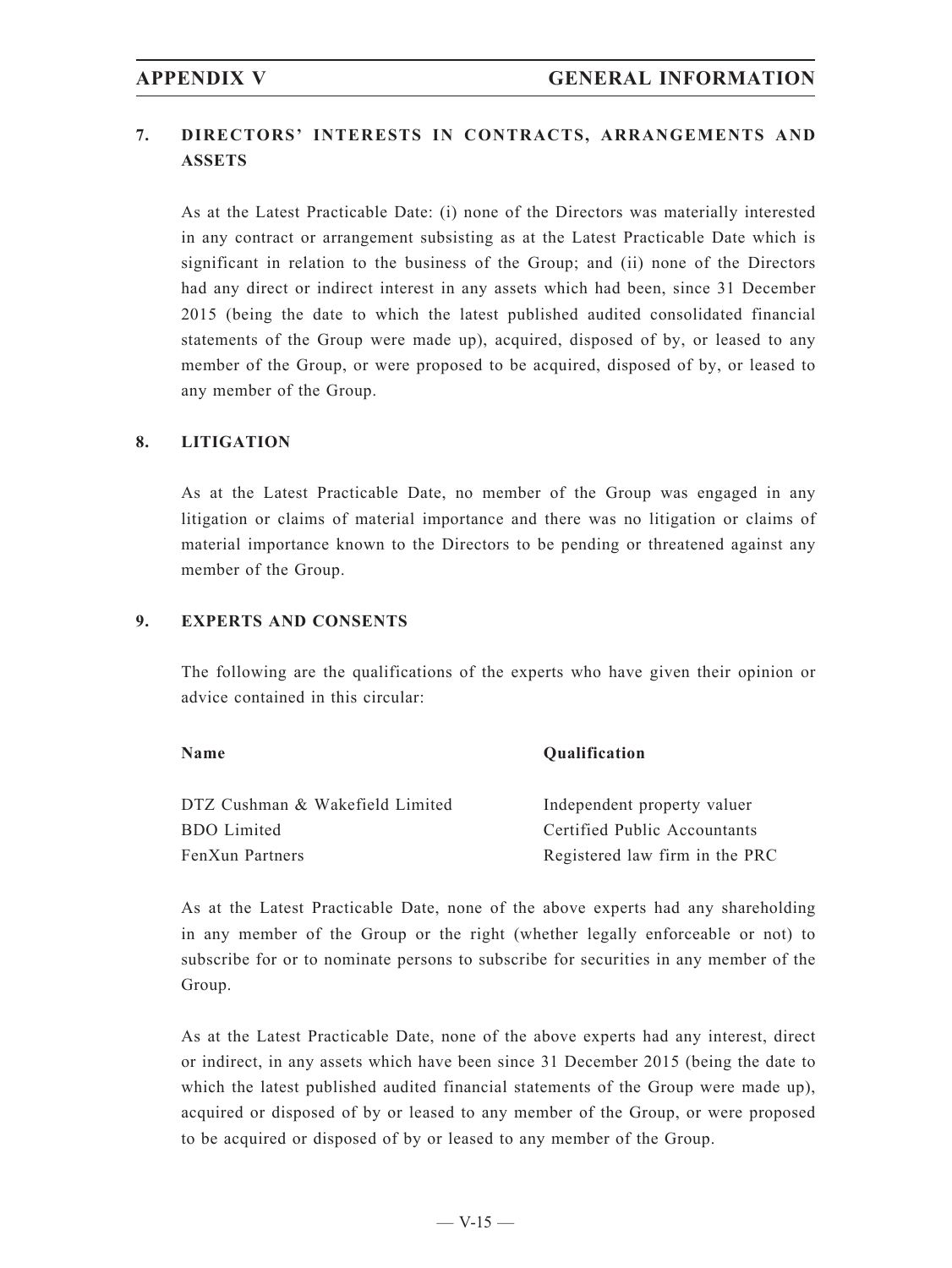# **7. DIRECTORS' INTERESTS IN CONTRACTS, ARRANGEMENTS AND ASSETS**

As at the Latest Practicable Date: (i) none of the Directors was materially interested in any contract or arrangement subsisting as at the Latest Practicable Date which is significant in relation to the business of the Group; and (ii) none of the Directors had any direct or indirect interest in any assets which had been, since 31 December 2015 (being the date to which the latest published audited consolidated financial statements of the Group were made up), acquired, disposed of by, or leased to any member of the Group, or were proposed to be acquired, disposed of by, or leased to any member of the Group.

### **8. LITIGATION**

As at the Latest Practicable Date, no member of the Group was engaged in any litigation or claims of material importance and there was no litigation or claims of material importance known to the Directors to be pending or threatened against any member of the Group.

### **9. EXPERTS AND CONSENTS**

The following are the qualifications of the experts who have given their opinion or advice contained in this circular:

DTZ Cushman & Wakefield Limited Independent property valuer BDO Limited Certified Public Accountants FenXun Partners Registered law firm in the PRC

**Name Qualification**

As at the Latest Practicable Date, none of the above experts had any shareholding in any member of the Group or the right (whether legally enforceable or not) to subscribe for or to nominate persons to subscribe for securities in any member of the Group.

As at the Latest Practicable Date, none of the above experts had any interest, direct or indirect, in any assets which have been since 31 December 2015 (being the date to which the latest published audited financial statements of the Group were made up), acquired or disposed of by or leased to any member of the Group, or were proposed to be acquired or disposed of by or leased to any member of the Group.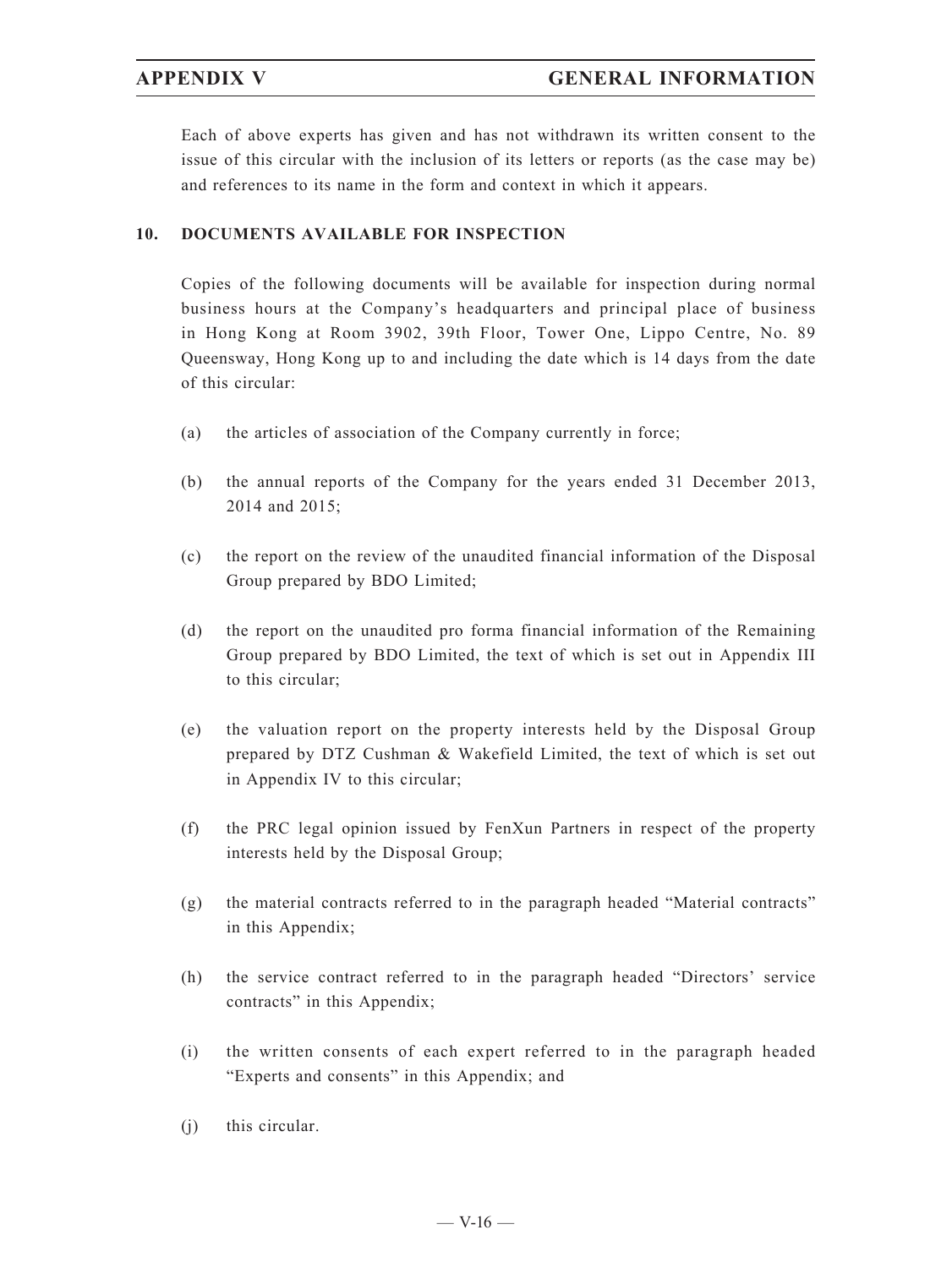Each of above experts has given and has not withdrawn its written consent to the issue of this circular with the inclusion of its letters or reports (as the case may be) and references to its name in the form and context in which it appears.

### **10. DOCUMENTS AVAILABLE FOR INSPECTION**

Copies of the following documents will be available for inspection during normal business hours at the Company's headquarters and principal place of business in Hong Kong at Room 3902, 39th Floor, Tower One, Lippo Centre, No. 89 Queensway, Hong Kong up to and including the date which is 14 days from the date of this circular:

- (a) the articles of association of the Company currently in force;
- (b) the annual reports of the Company for the years ended 31 December 2013, 2014 and 2015;
- (c) the report on the review of the unaudited financial information of the Disposal Group prepared by BDO Limited;
- (d) the report on the unaudited pro forma financial information of the Remaining Group prepared by BDO Limited, the text of which is set out in Appendix III to this circular;
- (e) the valuation report on the property interests held by the Disposal Group prepared by DTZ Cushman & Wakefield Limited, the text of which is set out in Appendix IV to this circular;
- (f) the PRC legal opinion issued by FenXun Partners in respect of the property interests held by the Disposal Group;
- (g) the material contracts referred to in the paragraph headed "Material contracts" in this Appendix;
- (h) the service contract referred to in the paragraph headed "Directors' service contracts" in this Appendix;
- (i) the written consents of each expert referred to in the paragraph headed "Experts and consents" in this Appendix; and
- (j) this circular.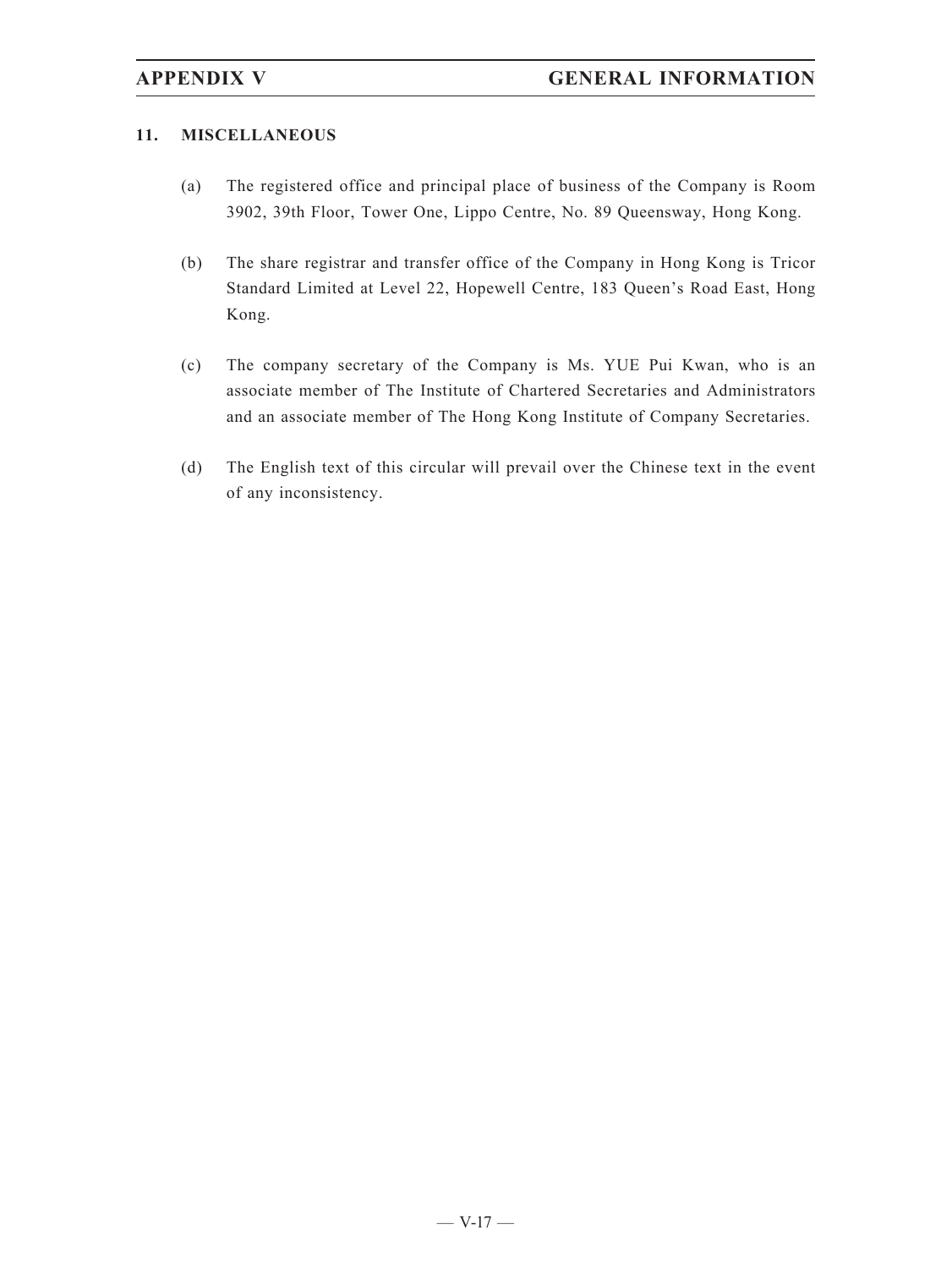### **11. MISCELLANEOUS**

- (a) The registered office and principal place of business of the Company is Room 3902, 39th Floor, Tower One, Lippo Centre, No. 89 Queensway, Hong Kong.
- (b) The share registrar and transfer office of the Company in Hong Kong is Tricor Standard Limited at Level 22, Hopewell Centre, 183 Queen's Road East, Hong Kong.
- (c) The company secretary of the Company is Ms. YUE Pui Kwan, who is an associate member of The Institute of Chartered Secretaries and Administrators and an associate member of The Hong Kong Institute of Company Secretaries.
- (d) The English text of this circular will prevail over the Chinese text in the event of any inconsistency.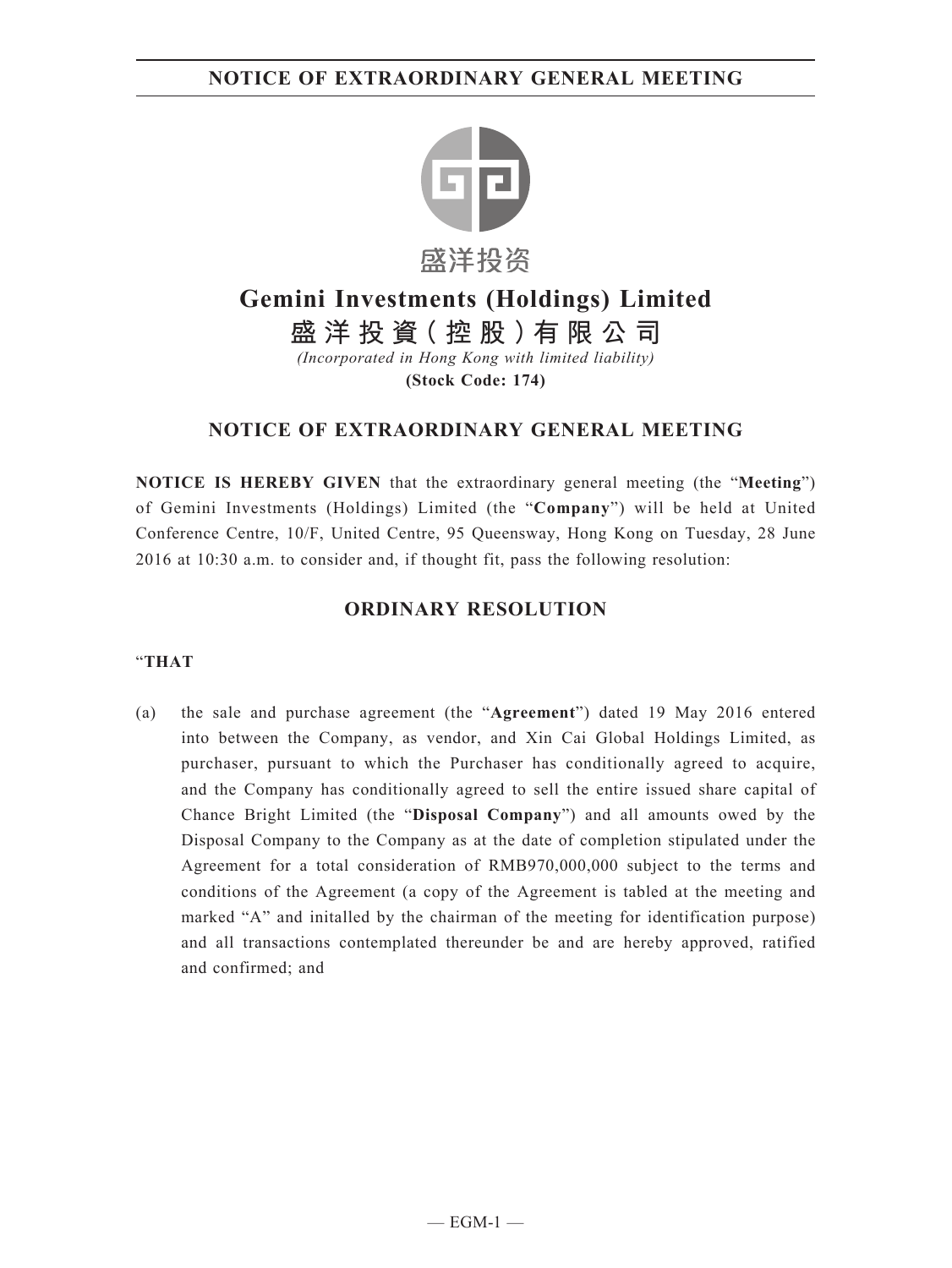# **NOTICE OF EXTRAORDINARY GENERAL MEETING**



# **Gemini Investments (Holdings) Limited**

**盛洋投資(控股)有限公司** *(Incorporated in Hong Kong with limited liability)*

**(Stock Code: 174)**

# **NOTICE OF EXTRAORDINARY GENERAL MEETING**

**NOTICE IS HEREBY GIVEN** that the extraordinary general meeting (the "**Meeting**") of Gemini Investments (Holdings) Limited (the "**Company**") will be held at United Conference Centre, 10/F, United Centre, 95 Queensway, Hong Kong on Tuesday, 28 June 2016 at 10:30 a.m. to consider and, if thought fit, pass the following resolution:

# **ORDINARY RESOLUTION**

### "**THAT**

(a) the sale and purchase agreement (the "**Agreement**") dated 19 May 2016 entered into between the Company, as vendor, and Xin Cai Global Holdings Limited, as purchaser, pursuant to which the Purchaser has conditionally agreed to acquire, and the Company has conditionally agreed to sell the entire issued share capital of Chance Bright Limited (the "**Disposal Company**") and all amounts owed by the Disposal Company to the Company as at the date of completion stipulated under the Agreement for a total consideration of RMB970,000,000 subject to the terms and conditions of the Agreement (a copy of the Agreement is tabled at the meeting and marked "A" and initalled by the chairman of the meeting for identification purpose) and all transactions contemplated thereunder be and are hereby approved, ratified and confirmed; and